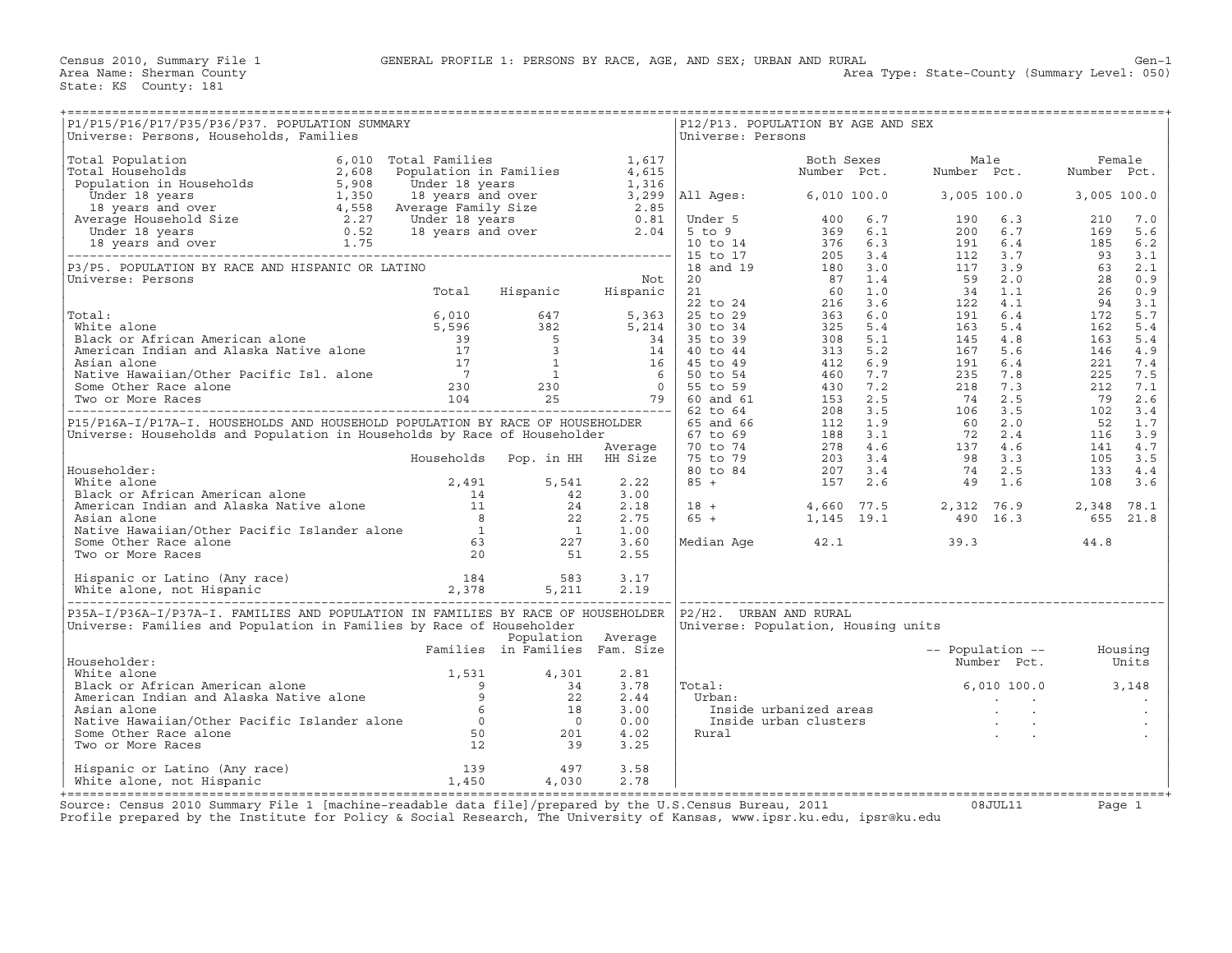Census 2010, Summary File 1 GENERAL PROFILE 1: PERSONS BY RACE, AGE, AND SEX; URBAN AND RURAL Gen−1

State: KS County: 181

Area Type: State-County (Summary Level: 050)

| P1/P15/P16/P17/P35/P36/P37. POPULATION SUMMARY<br>Universe: Persons, Households, Families                                                                                                                                                              |                                |                    |              | Universe: Persons | P12/P13. POPULATION BY AGE AND SEX  |                                                                                                                                                                |                         |
|--------------------------------------------------------------------------------------------------------------------------------------------------------------------------------------------------------------------------------------------------------|--------------------------------|--------------------|--------------|-------------------|-------------------------------------|----------------------------------------------------------------------------------------------------------------------------------------------------------------|-------------------------|
|                                                                                                                                                                                                                                                        |                                |                    |              |                   |                                     |                                                                                                                                                                |                         |
|                                                                                                                                                                                                                                                        |                                |                    |              |                   |                                     |                                                                                                                                                                |                         |
|                                                                                                                                                                                                                                                        |                                |                    |              |                   |                                     |                                                                                                                                                                |                         |
|                                                                                                                                                                                                                                                        |                                |                    |              |                   |                                     |                                                                                                                                                                |                         |
|                                                                                                                                                                                                                                                        |                                |                    |              |                   |                                     |                                                                                                                                                                |                         |
|                                                                                                                                                                                                                                                        |                                |                    |              |                   |                                     |                                                                                                                                                                |                         |
|                                                                                                                                                                                                                                                        |                                |                    |              |                   |                                     |                                                                                                                                                                |                         |
|                                                                                                                                                                                                                                                        |                                |                    |              |                   |                                     |                                                                                                                                                                |                         |
|                                                                                                                                                                                                                                                        |                                |                    |              |                   |                                     |                                                                                                                                                                |                         |
|                                                                                                                                                                                                                                                        |                                |                    |              |                   |                                     |                                                                                                                                                                |                         |
|                                                                                                                                                                                                                                                        |                                |                    |              |                   |                                     |                                                                                                                                                                |                         |
| Householder:<br>White alone<br>Black or African American alone<br>Black or African American alone<br>American and Alaska Native alone<br>Asian alone<br>Asian alone<br>Asian alone<br>Asian alone<br>Asian alone<br>Asian alone<br>Asian alone<br>Asia |                                |                    |              |                   |                                     | $\begin{array}{cccccccc} 18 & + & & & 4\,660 & 77.5 & & 2\,312 & 76.9 & & 2\,348 & 78.1 \\ 65 & + & & 1\,145 & 19.1 & & 490 & 16.3 & & 655 & 21.8 \end{array}$ |                         |
|                                                                                                                                                                                                                                                        |                                |                    |              |                   |                                     |                                                                                                                                                                |                         |
|                                                                                                                                                                                                                                                        |                                |                    |              |                   |                                     |                                                                                                                                                                |                         |
| P35A-I/P36A-I/P37A-I. FAMILIES AND POPULATION IN FAMILIES BY RACE OF HOUSEHOLDER   P2/H2. URBAN AND RURAL<br>Universe: Families and Population in Families by Race of Householder                                                                      |                                |                    |              |                   | Universe: Population, Housing units |                                                                                                                                                                |                         |
| Householder:                                                                                                                                                                                                                                           | Families in Families Fam. Size | Population Average |              |                   |                                     | -- Population -- Housing<br>Number Pct. Units                                                                                                                  |                         |
|                                                                                                                                                                                                                                                        |                                |                    |              | Total:            |                                     | $6,010,100.0$ $3,148$                                                                                                                                          | $\sim 100$ km s $^{-1}$ |
| Material and Alexian and Alexian and Alexian and Alexian and Alexian and Alexian and Alexian and Alexian and B<br>Materican Indian and Alaska Native alone and and Alexian and Alexian and Alexian and Alexian and Alexian and A                       |                                |                    |              |                   |                                     | urban:<br>Inside urbanized areas<br>Inside urban clusters<br>Rural<br>.                                                                                        |                         |
|                                                                                                                                                                                                                                                        |                                |                    |              |                   |                                     |                                                                                                                                                                |                         |
| Hispanic or Latino (Any race) 139 (1978)<br>White alone, not Hispanic (1,450 (1,450 (1,030)                                                                                                                                                            |                                |                    | 3.58<br>2.78 |                   |                                     |                                                                                                                                                                |                         |
| Source: Census 2010 Summary File 1 [machine-readable data file]/prepared by the U.S Census Bureau, 2011                                                                                                                                                |                                |                    |              |                   |                                     | $0.8$ . TIIT. 1.1                                                                                                                                              |                         |

Source: Census 2010 Summary File 1 [machine-readable data file]/prepared by the U.S.Census Bureau, 2011 Page 1<br>Profile prepared by the Institute for Policy & Social Research, The University of Kansas, www.ip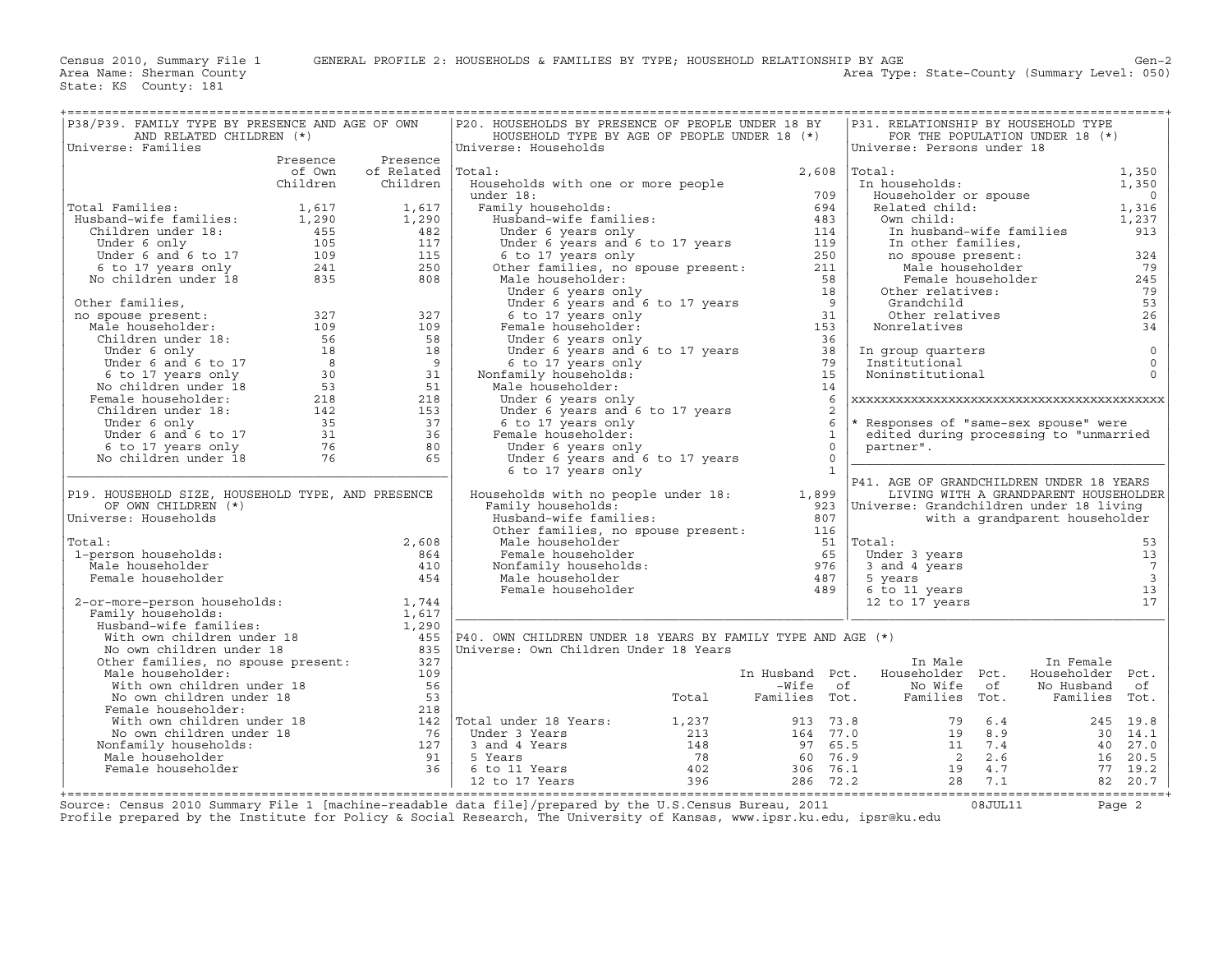Area Type: State-County (Summary Level: 050)

| P38/P39. FAMILY TYPE BY PRESENCE AND AGE OF OWN<br>AND RELATED CHILDREN (*)                                                                                                    |          |            | P20. HOUSEHOLDS BY PRESENCE OF PEOPLE UNDER 18 BY<br>HOUSEHOLD TYPE BY AGE OF PEOPLE UNDER 18 (*)                                                                                                                                                            |                       | P31. RELATIONSHIP BY HOUSEHOLD TYPE                   | FOR THE POPULATION UNDER 18 (*)        |                  |                            |
|--------------------------------------------------------------------------------------------------------------------------------------------------------------------------------|----------|------------|--------------------------------------------------------------------------------------------------------------------------------------------------------------------------------------------------------------------------------------------------------------|-----------------------|-------------------------------------------------------|----------------------------------------|------------------|----------------------------|
| Universe: Families                                                                                                                                                             |          |            | Universe: Households                                                                                                                                                                                                                                         |                       | Universe: Persons under 18                            |                                        |                  |                            |
|                                                                                                                                                                                | Presence | Presence   |                                                                                                                                                                                                                                                              |                       |                                                       |                                        |                  |                            |
|                                                                                                                                                                                | of Own   | of Related | Total:                                                                                                                                                                                                                                                       | 2,608                 | Total:                                                |                                        |                  | 1,350                      |
|                                                                                                                                                                                | Children | Children   | Households with one or more people                                                                                                                                                                                                                           |                       | In households:                                        |                                        |                  | 1,350                      |
|                                                                                                                                                                                |          |            | under 18:                                                                                                                                                                                                                                                    | 709                   | Householder or spouse<br>Related child:<br>Own child: |                                        |                  | $\sim$ 0                   |
| Total Families:                                                                                                                                                                |          |            |                                                                                                                                                                                                                                                              |                       |                                                       |                                        |                  | 1,316                      |
|                                                                                                                                                                                |          |            |                                                                                                                                                                                                                                                              |                       |                                                       |                                        |                  | 1,237                      |
|                                                                                                                                                                                |          |            |                                                                                                                                                                                                                                                              |                       |                                                       | In husband-wife families               |                  | 913                        |
|                                                                                                                                                                                |          |            |                                                                                                                                                                                                                                                              |                       | In other families,                                    |                                        |                  |                            |
|                                                                                                                                                                                |          |            |                                                                                                                                                                                                                                                              |                       | no spouse present:                                    |                                        |                  | 324                        |
| Total Families: $1,617$<br>Husband-wife families: $1,290$<br>Children under 18: $455$<br>Under 6 and 6 to 17<br>6 to 17 years only $241$<br>No children under 18<br>835<br>808 |          |            |                                                                                                                                                                                                                                                              |                       |                                                       | no spouse present:<br>Male householder |                  | 79                         |
|                                                                                                                                                                                |          |            |                                                                                                                                                                                                                                                              |                       |                                                       | Female householder                     |                  | 245                        |
|                                                                                                                                                                                |          |            |                                                                                                                                                                                                                                                              |                       | Other relatives:                                      |                                        |                  | 79                         |
| Other families,                                                                                                                                                                |          |            | 994<br>Humband-wife families:<br>Humband-wife families:<br>Under 6 years only<br>Under 6 years and 6 to 17 years<br>114<br>114<br>114<br>119<br>6 to 17 years only<br>119<br>Male householder:<br>211<br>Male householder:<br>18<br>Under 6 years and 6 to 1 |                       | Grandchild                                            |                                        |                  | 53                         |
|                                                                                                                                                                                |          |            |                                                                                                                                                                                                                                                              |                       | Other relatives                                       |                                        |                  | 26                         |
|                                                                                                                                                                                |          |            |                                                                                                                                                                                                                                                              |                       | Nonrelatives                                          |                                        |                  | 34                         |
|                                                                                                                                                                                |          |            |                                                                                                                                                                                                                                                              |                       |                                                       |                                        |                  |                            |
|                                                                                                                                                                                |          |            | Under 6 years and 6 to 17 years<br>6 to 17 years only                                                                                                                                                                                                        | $\frac{38}{22}$<br>79 | In group quarters<br>Institutional                    |                                        |                  | $\mathbb O$<br>$\mathbf 0$ |
|                                                                                                                                                                                |          |            | Nonfamily households:                                                                                                                                                                                                                                        | 15                    | Noninstitutional                                      |                                        |                  | $\Omega$                   |
|                                                                                                                                                                                |          |            | Male householder:                                                                                                                                                                                                                                            | 14                    |                                                       |                                        |                  |                            |
|                                                                                                                                                                                |          |            | Under 6 years only                                                                                                                                                                                                                                           | 6                     |                                                       |                                        |                  |                            |
|                                                                                                                                                                                |          |            | Under 6 years and 6 to 17 years                                                                                                                                                                                                                              | 2                     |                                                       |                                        |                  |                            |
|                                                                                                                                                                                |          |            | 6 to 17 years only                                                                                                                                                                                                                                           | 6                     | * Responses of "same-sex spouse" were                 |                                        |                  |                            |
|                                                                                                                                                                                |          |            | Female householder:                                                                                                                                                                                                                                          | 1                     | edited during processing to "unmarried                |                                        |                  |                            |
|                                                                                                                                                                                |          |            | Under 6 years only                                                                                                                                                                                                                                           | $\Omega$              | partner".                                             |                                        |                  |                            |
|                                                                                                                                                                                |          |            | Under $6 \text{ years}$ and $6 \text{ to } 17$ years                                                                                                                                                                                                         | $\Omega$              |                                                       |                                        |                  |                            |
|                                                                                                                                                                                |          |            | 6 to 17 years only                                                                                                                                                                                                                                           | <sup>1</sup>          |                                                       |                                        |                  |                            |
|                                                                                                                                                                                |          |            |                                                                                                                                                                                                                                                              |                       | P41. AGE OF GRANDCHILDREN UNDER 18 YEARS              |                                        |                  |                            |
| P19. HOUSEHOLD SIZE, HOUSEHOLD TYPE, AND PRESENCE                                                                                                                              |          |            | Households with no people under 18: 1,899                                                                                                                                                                                                                    |                       |                                                       | LIVING WITH A GRANDPARENT HOUSEHOLDER  |                  |                            |
| OF OWN CHILDREN (*)                                                                                                                                                            |          |            | Family households:                                                                                                                                                                                                                                           |                       | 923   Universe: Grandchildren under 18 living         |                                        |                  |                            |
| Universe: Households                                                                                                                                                           |          |            | Husband-wife families:                                                                                                                                                                                                                                       | 807                   |                                                       | with a grandparent householder         |                  |                            |
|                                                                                                                                                                                |          |            | Other families, no spouse present:                                                                                                                                                                                                                           | 116                   |                                                       |                                        |                  |                            |
| Total:                                                                                                                                                                         |          | 2,608      | Male householder                                                                                                                                                                                                                                             |                       | 51   Total:                                           |                                        |                  | 53                         |
| 1-person households:                                                                                                                                                           |          | 864        | A chiane industribution<br>Nonfamily households: 976<br>Male householder                                                                                                                                                                                     |                       | Under 3 years                                         |                                        |                  | 13                         |
| Male householder                                                                                                                                                               |          | 410        |                                                                                                                                                                                                                                                              |                       | $3$ and $4$ years                                     |                                        |                  | $\overline{7}$             |
| Female householder                                                                                                                                                             |          | 454        |                                                                                                                                                                                                                                                              |                       | 5 years                                               |                                        |                  | $\overline{\mathbf{3}}$    |
|                                                                                                                                                                                |          |            | Female householder                                                                                                                                                                                                                                           | 489                   | 6 to 11 years<br>12 to 17 years                       |                                        |                  | 13<br>17                   |
| 2-or-more-person households: 1,744<br>Family households:                                                                                                                       |          |            |                                                                                                                                                                                                                                                              |                       |                                                       |                                        |                  |                            |
|                                                                                                                                                                                |          |            |                                                                                                                                                                                                                                                              |                       |                                                       |                                        |                  |                            |
|                                                                                                                                                                                |          |            |                                                                                                                                                                                                                                                              |                       |                                                       |                                        |                  |                            |
|                                                                                                                                                                                |          |            | Family households:<br>Family households:<br>With own children under 18<br>With own children under 18<br>No own children under 18<br>The Universe: Own Children Under 18 Years<br>Mo own children under 18<br>Other families, no spouse prese                 |                       |                                                       |                                        |                  |                            |
|                                                                                                                                                                                |          |            |                                                                                                                                                                                                                                                              |                       | In Male                                               |                                        | In Female        |                            |
| Male householder:                                                                                                                                                              |          | 109        |                                                                                                                                                                                                                                                              |                       | In Husband Pct. Householder Pct.                      |                                        | Householder Pct. |                            |
|                                                                                                                                                                                |          |            |                                                                                                                                                                                                                                                              |                       |                                                       |                                        |                  |                            |
|                                                                                                                                                                                |          |            |                                                                                                                                                                                                                                                              |                       |                                                       |                                        |                  |                            |
|                                                                                                                                                                                |          |            |                                                                                                                                                                                                                                                              |                       |                                                       |                                        |                  |                            |
|                                                                                                                                                                                |          |            |                                                                                                                                                                                                                                                              |                       |                                                       |                                        |                  |                            |
|                                                                                                                                                                                |          |            |                                                                                                                                                                                                                                                              |                       |                                                       |                                        |                  |                            |
| Nonfamily households:                                                                                                                                                          |          |            |                                                                                                                                                                                                                                                              |                       |                                                       |                                        |                  |                            |
|                                                                                                                                                                                |          |            |                                                                                                                                                                                                                                                              |                       |                                                       |                                        |                  |                            |
|                                                                                                                                                                                |          |            |                                                                                                                                                                                                                                                              |                       |                                                       |                                        |                  |                            |
|                                                                                                                                                                                |          |            |                                                                                                                                                                                                                                                              |                       |                                                       |                                        |                  |                            |
|                                                                                                                                                                                |          |            |                                                                                                                                                                                                                                                              |                       |                                                       |                                        |                  |                            |

+===================================================================================================================================================+Source: Census 2010 Summary File 1 [machine−readable data file]/prepared by the U.S.Census Bureau, 2011 08JUL11 Page 2 Profile prepared by the Institute for Policy & Social Research, The University of Kansas, www.ipsr.ku.edu, ipsr@ku.edu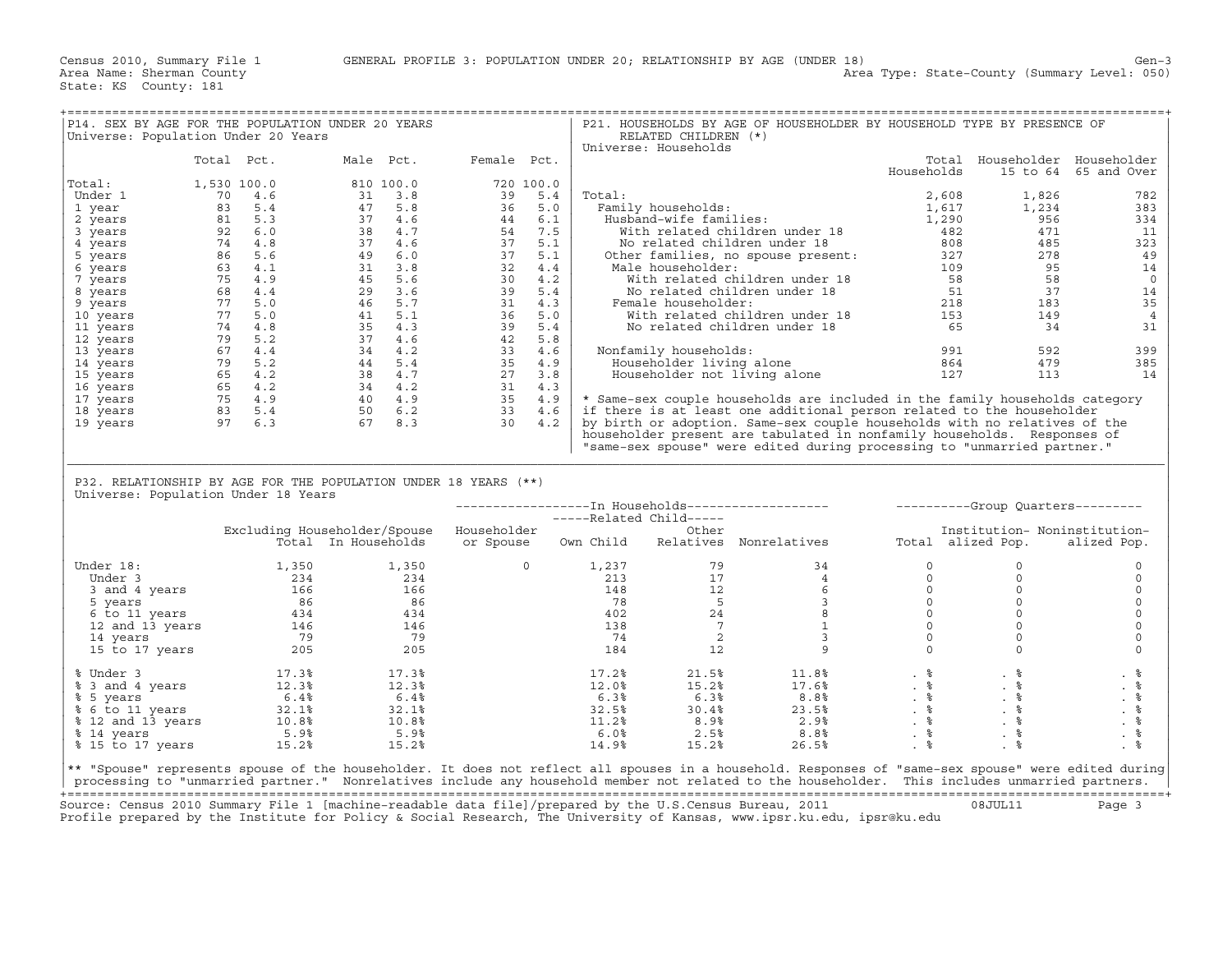| P14. SEX BY AGE FOR THE POPULATION UNDER 20 YEARS                                                                                                                                                                                                                                                     |             |                    |               |                                                                                                                                                                                                                                                                   |                  |                                                   | P21. HOUSEHOLDS BY AGE OF HOUSEHOLDER BY HOUSEHOLD TYPE BY PRESENCE OF                                                                                                                                                                                                                                                 |                                                            |                                                                         |                      |
|-------------------------------------------------------------------------------------------------------------------------------------------------------------------------------------------------------------------------------------------------------------------------------------------------------|-------------|--------------------|---------------|-------------------------------------------------------------------------------------------------------------------------------------------------------------------------------------------------------------------------------------------------------------------|------------------|---------------------------------------------------|------------------------------------------------------------------------------------------------------------------------------------------------------------------------------------------------------------------------------------------------------------------------------------------------------------------------|------------------------------------------------------------|-------------------------------------------------------------------------|----------------------|
| Universe: Population Under 20 Years                                                                                                                                                                                                                                                                   |             |                    |               |                                                                                                                                                                                                                                                                   |                  | RELATED CHILDREN (*)                              |                                                                                                                                                                                                                                                                                                                        |                                                            |                                                                         |                      |
|                                                                                                                                                                                                                                                                                                       |             |                    |               |                                                                                                                                                                                                                                                                   |                  | Universe: Households                              |                                                                                                                                                                                                                                                                                                                        |                                                            |                                                                         |                      |
|                                                                                                                                                                                                                                                                                                       | Total Pct.  |                    |               | Male Pct. Female Pct.                                                                                                                                                                                                                                             |                  |                                                   |                                                                                                                                                                                                                                                                                                                        |                                                            | Total Householder Householder                                           |                      |
|                                                                                                                                                                                                                                                                                                       |             |                    |               | 810 100.0<br>31 3.8 39 5.4<br>47 5.8 39 5.4<br>37 4.6 44 6.1<br>38 4.7 54 6.1<br>37 4.6 37 5.1<br>49 6.0 37 5.1<br>45 5.6 30 4.2<br>45 5.6 30 4.2<br>46 5.7 31 4.3<br>41 5.1 36 5.0<br>37 4.6<br>44 5.4 31 4.3<br>41 5.1 36 5.0<br>37 4.6<br>44 4.2<br>44 4.2<br> |                  |                                                   |                                                                                                                                                                                                                                                                                                                        | Households                                                 |                                                                         | 15 to 64 65 and Over |
| Total:                                                                                                                                                                                                                                                                                                | 1,530 100.0 |                    |               |                                                                                                                                                                                                                                                                   |                  |                                                   |                                                                                                                                                                                                                                                                                                                        |                                                            |                                                                         |                      |
| Under 1                                                                                                                                                                                                                                                                                               |             |                    |               |                                                                                                                                                                                                                                                                   | Total:           |                                                   |                                                                                                                                                                                                                                                                                                                        | 2,608                                                      | 1,826                                                                   | 782<br>383           |
| 1 year<br>2 years                                                                                                                                                                                                                                                                                     |             |                    |               |                                                                                                                                                                                                                                                                   |                  |                                                   |                                                                                                                                                                                                                                                                                                                        |                                                            |                                                                         | 334                  |
| 3 years                                                                                                                                                                                                                                                                                               |             |                    |               |                                                                                                                                                                                                                                                                   |                  |                                                   |                                                                                                                                                                                                                                                                                                                        |                                                            |                                                                         | 11                   |
| 4 years                                                                                                                                                                                                                                                                                               |             |                    |               |                                                                                                                                                                                                                                                                   |                  |                                                   |                                                                                                                                                                                                                                                                                                                        |                                                            |                                                                         | 323                  |
| 5 years                                                                                                                                                                                                                                                                                               |             |                    |               |                                                                                                                                                                                                                                                                   |                  |                                                   |                                                                                                                                                                                                                                                                                                                        |                                                            |                                                                         | 49                   |
| 6 years                                                                                                                                                                                                                                                                                               |             |                    |               |                                                                                                                                                                                                                                                                   |                  |                                                   |                                                                                                                                                                                                                                                                                                                        |                                                            |                                                                         | 14                   |
| 7 years                                                                                                                                                                                                                                                                                               |             |                    |               |                                                                                                                                                                                                                                                                   |                  |                                                   |                                                                                                                                                                                                                                                                                                                        |                                                            |                                                                         | $\circ$              |
| 8 years                                                                                                                                                                                                                                                                                               |             |                    |               |                                                                                                                                                                                                                                                                   |                  |                                                   |                                                                                                                                                                                                                                                                                                                        |                                                            |                                                                         | 14                   |
| 9 years                                                                                                                                                                                                                                                                                               |             |                    |               |                                                                                                                                                                                                                                                                   |                  |                                                   |                                                                                                                                                                                                                                                                                                                        |                                                            |                                                                         | 35                   |
| 10 years                                                                                                                                                                                                                                                                                              |             |                    |               |                                                                                                                                                                                                                                                                   |                  |                                                   |                                                                                                                                                                                                                                                                                                                        |                                                            |                                                                         | $\overline{4}$       |
| 11 years                                                                                                                                                                                                                                                                                              |             |                    |               |                                                                                                                                                                                                                                                                   |                  |                                                   |                                                                                                                                                                                                                                                                                                                        |                                                            |                                                                         | 31                   |
| 12 years                                                                                                                                                                                                                                                                                              |             |                    |               |                                                                                                                                                                                                                                                                   |                  |                                                   |                                                                                                                                                                                                                                                                                                                        |                                                            |                                                                         |                      |
| 13 years                                                                                                                                                                                                                                                                                              |             |                    |               |                                                                                                                                                                                                                                                                   |                  | Nonfamily households:                             | onfamily households: 991<br>Householder living alone 864                                                                                                                                                                                                                                                               |                                                            | 592                                                                     | 399                  |
| 14 years                                                                                                                                                                                                                                                                                              |             |                    |               |                                                                                                                                                                                                                                                                   |                  |                                                   |                                                                                                                                                                                                                                                                                                                        |                                                            | 479                                                                     | 385                  |
| 15 years                                                                                                                                                                                                                                                                                              |             |                    |               |                                                                                                                                                                                                                                                                   |                  |                                                   | Householder not living alone 127                                                                                                                                                                                                                                                                                       |                                                            | 113                                                                     | 14                   |
| 16 years                                                                                                                                                                                                                                                                                              |             |                    |               |                                                                                                                                                                                                                                                                   |                  |                                                   | * Same-sex couple households are included in the family households category                                                                                                                                                                                                                                            |                                                            |                                                                         |                      |
| 17 years<br>18 years                                                                                                                                                                                                                                                                                  |             |                    |               |                                                                                                                                                                                                                                                                   |                  |                                                   | if there is at least one additional person related to the householder                                                                                                                                                                                                                                                  |                                                            |                                                                         |                      |
| 19 years                                                                                                                                                                                                                                                                                              |             |                    |               |                                                                                                                                                                                                                                                                   |                  |                                                   | by birth or adoption. Same-sex couple households with no relatives of the                                                                                                                                                                                                                                              |                                                            |                                                                         |                      |
|                                                                                                                                                                                                                                                                                                       |             |                    |               |                                                                                                                                                                                                                                                                   |                  |                                                   | householder present are tabulated in nonfamily households. Responses of                                                                                                                                                                                                                                                |                                                            |                                                                         |                      |
|                                                                                                                                                                                                                                                                                                       |             |                    |               |                                                                                                                                                                                                                                                                   |                  |                                                   |                                                                                                                                                                                                                                                                                                                        |                                                            |                                                                         |                      |
|                                                                                                                                                                                                                                                                                                       |             |                    |               |                                                                                                                                                                                                                                                                   |                  |                                                   |                                                                                                                                                                                                                                                                                                                        |                                                            |                                                                         |                      |
|                                                                                                                                                                                                                                                                                                       |             |                    |               |                                                                                                                                                                                                                                                                   |                  |                                                   |                                                                                                                                                                                                                                                                                                                        |                                                            | "same-sex spouse" were edited during processing to "unmarried partner." |                      |
|                                                                                                                                                                                                                                                                                                       |             |                    |               |                                                                                                                                                                                                                                                                   |                  |                                                   |                                                                                                                                                                                                                                                                                                                        |                                                            |                                                                         |                      |
| P32. RELATIONSHIP BY AGE FOR THE POPULATION UNDER 18 YEARS (**)                                                                                                                                                                                                                                       |             |                    |               |                                                                                                                                                                                                                                                                   |                  |                                                   |                                                                                                                                                                                                                                                                                                                        |                                                            |                                                                         |                      |
| Universe: Population Under 18 Years                                                                                                                                                                                                                                                                   |             |                    |               |                                                                                                                                                                                                                                                                   |                  |                                                   |                                                                                                                                                                                                                                                                                                                        |                                                            |                                                                         |                      |
|                                                                                                                                                                                                                                                                                                       |             |                    |               |                                                                                                                                                                                                                                                                   |                  |                                                   | -----------------In Households----------------------------------Group Quarters---------                                                                                                                                                                                                                                |                                                            |                                                                         |                      |
|                                                                                                                                                                                                                                                                                                       |             |                    |               |                                                                                                                                                                                                                                                                   |                  |                                                   |                                                                                                                                                                                                                                                                                                                        |                                                            |                                                                         |                      |
|                                                                                                                                                                                                                                                                                                       |             |                    |               | Excluding Householder/Spouse Householder                                                                                                                                                                                                                          |                  | ------ In now<br>-----Related Child-----<br>Other |                                                                                                                                                                                                                                                                                                                        |                                                            | Institution- Noninstitution-                                            |                      |
|                                                                                                                                                                                                                                                                                                       |             |                    |               |                                                                                                                                                                                                                                                                   |                  |                                                   |                                                                                                                                                                                                                                                                                                                        |                                                            |                                                                         |                      |
| Under 18:                                                                                                                                                                                                                                                                                             |             |                    | 1,350         |                                                                                                                                                                                                                                                                   |                  |                                                   |                                                                                                                                                                                                                                                                                                                        |                                                            | $\Omega$                                                                | $\circ$              |
|                                                                                                                                                                                                                                                                                                       |             | 1,350              |               |                                                                                                                                                                                                                                                                   |                  |                                                   |                                                                                                                                                                                                                                                                                                                        |                                                            | $\circ$                                                                 | 0                    |
|                                                                                                                                                                                                                                                                                                       |             |                    |               |                                                                                                                                                                                                                                                                   |                  |                                                   |                                                                                                                                                                                                                                                                                                                        |                                                            | $\circ$                                                                 | 0                    |
|                                                                                                                                                                                                                                                                                                       |             |                    |               |                                                                                                                                                                                                                                                                   |                  |                                                   |                                                                                                                                                                                                                                                                                                                        |                                                            | $\circ$                                                                 | $\circ$              |
|                                                                                                                                                                                                                                                                                                       |             |                    |               |                                                                                                                                                                                                                                                                   |                  |                                                   |                                                                                                                                                                                                                                                                                                                        |                                                            | $\circ$                                                                 | $\mathsf{O}\xspace$  |
|                                                                                                                                                                                                                                                                                                       |             |                    |               |                                                                                                                                                                                                                                                                   |                  |                                                   |                                                                                                                                                                                                                                                                                                                        |                                                            | $\circ$                                                                 | $\mathbf 0$          |
|                                                                                                                                                                                                                                                                                                       |             |                    |               |                                                                                                                                                                                                                                                                   |                  |                                                   |                                                                                                                                                                                                                                                                                                                        |                                                            | $\circ$                                                                 | $\mathbf 0$          |
|                                                                                                                                                                                                                                                                                                       |             |                    |               |                                                                                                                                                                                                                                                                   |                  |                                                   | $\begin{array}{cccccc} 0 & & & 1,237 & & & 79 & & & 34 & & & 0 \\ & & & 213 & & & 17 & & & 4 & & & 0 \\ & & 148 & & & 12 & & & 6 & & & 0 \\ & & 78 & & & 5 & & 3 & & & 0 \\ & & 402 & & & 24 & & 8 & & & 0 \\ & 138 & & & 7 & & 1 & & 0 \\ & & 74 & & & 2 & & 3 & & 0 \\ & & 184 & & & 12 & & & 9 & & & 0 \end{array}$ | $\begin{bmatrix} 0 \\ 0 \\ 0 \\ 0 \\ 0 \\ 0 \end{bmatrix}$ | $\Omega$                                                                | $\mathbf 0$          |
| 1, 334<br>1, 334<br>3 and 4 years<br>5 years<br>6 to 11 years<br>434<br>6 to 11 years<br>12 and 13 years<br>12 and 13 years<br>15 to 17 years<br>205<br>205<br>205                                                                                                                                    |             |                    |               |                                                                                                                                                                                                                                                                   |                  |                                                   |                                                                                                                                                                                                                                                                                                                        |                                                            |                                                                         |                      |
| % Under 3                                                                                                                                                                                                                                                                                             |             |                    | 17.3%         |                                                                                                                                                                                                                                                                   | 17.2%            | 21.5%                                             |                                                                                                                                                                                                                                                                                                                        |                                                            |                                                                         | . 응                  |
| % 3 and 4 years                                                                                                                                                                                                                                                                                       |             | $17.3%$<br>$12.3%$ | 12.3%         |                                                                                                                                                                                                                                                                   | 12.0%            | 15.2%                                             |                                                                                                                                                                                                                                                                                                                        |                                                            |                                                                         |                      |
|                                                                                                                                                                                                                                                                                                       |             | 6.4%               |               |                                                                                                                                                                                                                                                                   | 6.3%             | 6.3%                                              |                                                                                                                                                                                                                                                                                                                        |                                                            |                                                                         | . %                  |
|                                                                                                                                                                                                                                                                                                       |             |                    |               |                                                                                                                                                                                                                                                                   | 32.5%            |                                                   |                                                                                                                                                                                                                                                                                                                        |                                                            |                                                                         | $\frac{6}{3}$        |
| % 5 years<br>% 6.4% 6.4%<br>% 12 and 13 years<br>% 12 and 10.8% 10.8%<br>% 14 years 5.9% 5.9%                                                                                                                                                                                                         |             |                    |               |                                                                                                                                                                                                                                                                   | 11.2%            | $6.3\%$<br>30.4\\ $8.9\%$                         | $8.8\%$<br>$23.5\%$<br>$2.9\%$                                                                                                                                                                                                                                                                                         |                                                            |                                                                         |                      |
| % 14 years                                                                                                                                                                                                                                                                                            |             | 5.9%               | 5.9%<br>15.2% |                                                                                                                                                                                                                                                                   | $6.0\%$<br>14.9% | 2.5%<br>15.2%                                     | 26.5%                                                                                                                                                                                                                                                                                                                  | $\frac{8}{3}$<br>. $\frac{6}{6}$                           | $. \circ$                                                               | $. \circ$            |
| % 15 to 17 years 15.2%                                                                                                                                                                                                                                                                                |             |                    |               |                                                                                                                                                                                                                                                                   |                  |                                                   |                                                                                                                                                                                                                                                                                                                        |                                                            |                                                                         |                      |
| ** "Spouse" represents spouse of the householder. It does not reflect all spouses in a household. Responses of "same-sex spouse" were edited during<br>processing to "unmarried partner." Nonrelatives include any household member not related to the householder. This includes unmarried partners. |             |                    |               |                                                                                                                                                                                                                                                                   |                  |                                                   |                                                                                                                                                                                                                                                                                                                        |                                                            |                                                                         |                      |

+===================================================================================================================================================+ Source: Census 2010 Summary File 1 [machine−readable data file]/prepared by the U.S.Census Bureau, 2011 08JUL11 Page 3 Profile prepared by the Institute for Policy & Social Research, The University of Kansas, www.ipsr.ku.edu, ipsr@ku.edu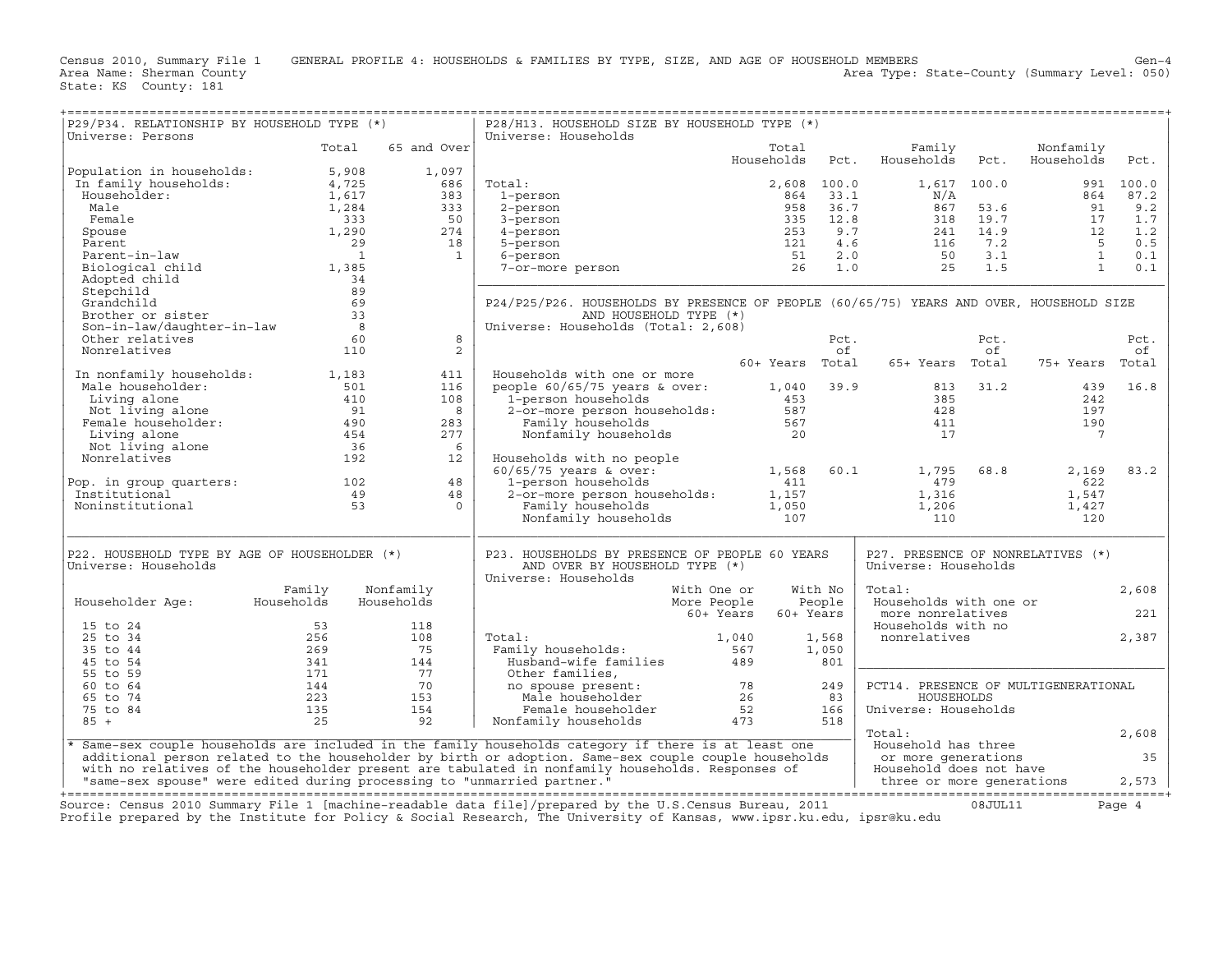| P29/P34. RELATIONSHIP BY HOUSEHOLD TYPE (*)<br>Universe: Persons                                                                                                                                                                                                                                                                                                                                                                                       |                                               |                          | P28/H13. HOUSEHOLD SIZE BY HOUSEHOLD TYPE (*)<br>Universe: Households                                                                                                                                                          |                     |         |                                                             |      |                         |           |
|--------------------------------------------------------------------------------------------------------------------------------------------------------------------------------------------------------------------------------------------------------------------------------------------------------------------------------------------------------------------------------------------------------------------------------------------------------|-----------------------------------------------|--------------------------|--------------------------------------------------------------------------------------------------------------------------------------------------------------------------------------------------------------------------------|---------------------|---------|-------------------------------------------------------------|------|-------------------------|-----------|
|                                                                                                                                                                                                                                                                                                                                                                                                                                                        | Total                                         | 65 and Over              |                                                                                                                                                                                                                                | Total<br>Households | Pct.    | Family<br>Households                                        | Pct. | Nonfamily<br>Households | Pct.      |
| $\begin{tabular}{ l l } \hline \texttt{Population in households:} & \texttt{5,908} \\ \hline \texttt{In family households:} & \texttt{4,725} \\ \texttt{Householder:} & \texttt{1,617} \\ \texttt{Male} & \texttt{1,284} \\ \texttt{Female} & \texttt{333} \\ \texttt{Spouse} & \texttt{1,290} \\ \texttt{Parent-in-law} & \texttt{29} \\ \texttt{Bicological child} & \texttt{1,385} \\ \texttt{Adopted child} & \texttt{34} \\ \hline \end{tabular}$ |                                               | 1,097<br>686             | Total:<br>31 1 2,000 100.0<br>1-person 864 33.1 N/A<br>3-person 958 33.7 867 53.6 91<br>3-person 253 9.7 241 14.9 12<br>5-person 253 9.7 241 14.9 12<br>5-person 51 2.0 50 3.1 1<br>7-or-more person 26 1.0 25 1.5 1           | 2,608 100.0         |         | 1,617 100.0                                                 |      |                         | 991 100.0 |
|                                                                                                                                                                                                                                                                                                                                                                                                                                                        |                                               | 383                      |                                                                                                                                                                                                                                |                     |         |                                                             |      |                         | 87.2      |
|                                                                                                                                                                                                                                                                                                                                                                                                                                                        |                                               | 333                      |                                                                                                                                                                                                                                |                     |         |                                                             |      |                         | 9.2       |
|                                                                                                                                                                                                                                                                                                                                                                                                                                                        |                                               | 50                       |                                                                                                                                                                                                                                |                     |         |                                                             |      |                         | 1.7       |
|                                                                                                                                                                                                                                                                                                                                                                                                                                                        |                                               | 274                      |                                                                                                                                                                                                                                |                     |         |                                                             |      |                         | 1.2       |
|                                                                                                                                                                                                                                                                                                                                                                                                                                                        |                                               | 18                       |                                                                                                                                                                                                                                |                     |         |                                                             |      |                         | 0.5       |
|                                                                                                                                                                                                                                                                                                                                                                                                                                                        |                                               | $\overline{\phantom{a}}$ |                                                                                                                                                                                                                                |                     |         |                                                             |      |                         | 0.1       |
|                                                                                                                                                                                                                                                                                                                                                                                                                                                        |                                               |                          |                                                                                                                                                                                                                                |                     |         |                                                             |      |                         | 0.1       |
| Adopted child                                                                                                                                                                                                                                                                                                                                                                                                                                          | $\begin{array}{r} 34 \\ 89 \\ 69 \end{array}$ |                          |                                                                                                                                                                                                                                |                     |         |                                                             |      |                         |           |
| Stepchild                                                                                                                                                                                                                                                                                                                                                                                                                                              |                                               |                          |                                                                                                                                                                                                                                |                     |         |                                                             |      |                         |           |
|                                                                                                                                                                                                                                                                                                                                                                                                                                                        |                                               |                          | P24/P25/P26. HOUSEHOLDS BY PRESENCE OF PEOPLE (60/65/75) YEARS AND OVER, HOUSEHOLD SIZE                                                                                                                                        |                     |         |                                                             |      |                         |           |
|                                                                                                                                                                                                                                                                                                                                                                                                                                                        |                                               |                          | AND HOUSEHOLD TYPE (*)                                                                                                                                                                                                         |                     |         |                                                             |      |                         |           |
|                                                                                                                                                                                                                                                                                                                                                                                                                                                        |                                               |                          | Universe: Households (Total: 2,608)                                                                                                                                                                                            |                     |         |                                                             |      |                         |           |
| Grandchild<br>Brother or sister 33<br>Son-in-law/daughter-in-law 8<br>Constitution 60                                                                                                                                                                                                                                                                                                                                                                  |                                               | 8                        |                                                                                                                                                                                                                                |                     | Pct.    |                                                             | Pct. |                         | Pct.      |
| Nonrelatives                                                                                                                                                                                                                                                                                                                                                                                                                                           | 110                                           | 2                        |                                                                                                                                                                                                                                |                     | of      |                                                             | of   |                         | оf        |
|                                                                                                                                                                                                                                                                                                                                                                                                                                                        |                                               |                          |                                                                                                                                                                                                                                |                     |         | 60+ Years Total 65+ Years Total                             |      | 75+ Years Total         |           |
| In nonfamily households: 1,183                                                                                                                                                                                                                                                                                                                                                                                                                         |                                               | 411                      | Households with one or more                                                                                                                                                                                                    |                     |         |                                                             |      |                         |           |
|                                                                                                                                                                                                                                                                                                                                                                                                                                                        |                                               | 116                      |                                                                                                                                                                                                                                |                     |         |                                                             |      | 439                     | 16.8      |
|                                                                                                                                                                                                                                                                                                                                                                                                                                                        |                                               | 108                      |                                                                                                                                                                                                                                |                     |         |                                                             |      | 242                     |           |
|                                                                                                                                                                                                                                                                                                                                                                                                                                                        |                                               | 8                        |                                                                                                                                                                                                                                |                     |         |                                                             |      | 197                     |           |
| Male householder: 1,103<br>Male householder: 501<br>Living alone 501<br>Temale householder: 410<br>Female householder: 490<br>Female 103<br>Living alone 454<br>Not living alone 36<br>Nonrelatives 192                                                                                                                                                                                                                                                |                                               | 283                      | Propertival with the change of the change of the change of the change of the change of the change of the change of the change of the change of the change of the change of the change of the change of the change of the chang |                     |         |                                                             |      | 190                     |           |
|                                                                                                                                                                                                                                                                                                                                                                                                                                                        |                                               | 277                      |                                                                                                                                                                                                                                |                     |         |                                                             |      | $\overline{7}$          |           |
|                                                                                                                                                                                                                                                                                                                                                                                                                                                        |                                               | - 6                      |                                                                                                                                                                                                                                |                     |         |                                                             |      |                         |           |
|                                                                                                                                                                                                                                                                                                                                                                                                                                                        |                                               | 12                       | Households with no people                                                                                                                                                                                                      |                     |         |                                                             |      |                         |           |
|                                                                                                                                                                                                                                                                                                                                                                                                                                                        |                                               |                          |                                                                                                                                                                                                                                |                     |         |                                                             |      | 2,169                   | 83.2      |
|                                                                                                                                                                                                                                                                                                                                                                                                                                                        |                                               | 48                       |                                                                                                                                                                                                                                |                     |         |                                                             |      | 622                     |           |
| Pop. in group quarters: 102<br>Institutional                                                                                                                                                                                                                                                                                                                                                                                                           |                                               | 48                       |                                                                                                                                                                                                                                |                     |         |                                                             |      | 1,547                   |           |
| $\frac{49}{53}$<br>Noninstitutional                                                                                                                                                                                                                                                                                                                                                                                                                    |                                               | $\overline{0}$           |                                                                                                                                                                                                                                |                     |         |                                                             |      | 1,427                   |           |
|                                                                                                                                                                                                                                                                                                                                                                                                                                                        |                                               |                          | Households with no people<br>60/65/75 years & over:<br>1,568 60.1 1,795 68.8<br>1-person households<br>2-or-more person households:<br>Family households<br>1,050 1,206<br>107 100                                             |                     |         | $\begin{array}{c} 479 \\ 1,316 \\ 1,206 \\ 110 \end{array}$ |      | 120                     |           |
|                                                                                                                                                                                                                                                                                                                                                                                                                                                        |                                               |                          |                                                                                                                                                                                                                                |                     |         |                                                             |      |                         |           |
| P22. HOUSEHOLD TYPE BY AGE OF HOUSEHOLDER (*)<br>Universe: Households                                                                                                                                                                                                                                                                                                                                                                                  |                                               |                          | P23. HOUSEHOLDS BY PRESENCE OF PEOPLE 60 YEARS<br>AND OVER BY HOUSEHOLD TYPE (*)                                                                                                                                               |                     |         | P27. PRESENCE OF NONRELATIVES (*)<br>Universe: Households   |      |                         |           |
|                                                                                                                                                                                                                                                                                                                                                                                                                                                        |                                               |                          | Universe: Households                                                                                                                                                                                                           |                     |         |                                                             |      |                         |           |
|                                                                                                                                                                                                                                                                                                                                                                                                                                                        | Family                                        | Nonfamily                | With One or                                                                                                                                                                                                                    |                     | With No | Total:                                                      |      |                         | 2,608     |
| Householder Age: Households                                                                                                                                                                                                                                                                                                                                                                                                                            |                                               | Households               | More People                                                                                                                                                                                                                    |                     | People  | Households with one or                                      |      |                         |           |
|                                                                                                                                                                                                                                                                                                                                                                                                                                                        |                                               |                          | 60+ Years                                                                                                                                                                                                                      | 60+ Years           |         | more nonrelatives                                           |      |                         | 221       |
| 15 to 24                                                                                                                                                                                                                                                                                                                                                                                                                                               |                                               | 118                      |                                                                                                                                                                                                                                |                     |         | Households with no                                          |      |                         |           |
| 25 to 34                                                                                                                                                                                                                                                                                                                                                                                                                                               |                                               | 108                      | Total:                                                                                                                                                                                                                         |                     | 1,568   | nonrelatives                                                |      |                         | 2,387     |
| 35 to 44                                                                                                                                                                                                                                                                                                                                                                                                                                               |                                               | 75                       |                                                                                                                                                                                                                                |                     | 1,050   |                                                             |      |                         |           |
| 45 to 54                                                                                                                                                                                                                                                                                                                                                                                                                                               |                                               | 144                      |                                                                                                                                                                                                                                |                     | 801     |                                                             |      |                         |           |
| 55 to 59                                                                                                                                                                                                                                                                                                                                                                                                                                               |                                               | 77                       | Other families,                                                                                                                                                                                                                |                     |         |                                                             |      |                         |           |
| 60 to 64                                                                                                                                                                                                                                                                                                                                                                                                                                               |                                               | 70                       |                                                                                                                                                                                                                                |                     | 249     | PCT14. PRESENCE OF MULTIGENERATIONAL                        |      |                         |           |
| 65 to 74                                                                                                                                                                                                                                                                                                                                                                                                                                               |                                               | 153                      |                                                                                                                                                                                                                                |                     | 83      | HOUSEHOLDS                                                  |      |                         |           |
| 75 to 84                                                                                                                                                                                                                                                                                                                                                                                                                                               |                                               | 154                      |                                                                                                                                                                                                                                |                     | 166     | Universe: Households                                        |      |                         |           |
| $85 +$                                                                                                                                                                                                                                                                                                                                                                                                                                                 |                                               | 92                       |                                                                                                                                                                                                                                |                     | 518     |                                                             |      |                         |           |
|                                                                                                                                                                                                                                                                                                                                                                                                                                                        |                                               |                          |                                                                                                                                                                                                                                |                     |         | Total:                                                      |      |                         | 2,608     |
|                                                                                                                                                                                                                                                                                                                                                                                                                                                        |                                               |                          | Same-sex couple households are included in the family households category if there is at least one                                                                                                                             |                     |         | Household has three                                         |      |                         |           |
|                                                                                                                                                                                                                                                                                                                                                                                                                                                        |                                               |                          | additional person related to the householder by birth or adoption. Same-sex couple couple households                                                                                                                           |                     |         |                                                             |      |                         | 35        |
|                                                                                                                                                                                                                                                                                                                                                                                                                                                        |                                               |                          | with no relatives of the householder present are tabulated in nonfamily households. Responses of                                                                                                                               |                     |         | or more generations<br>Household does not have              |      |                         |           |
|                                                                                                                                                                                                                                                                                                                                                                                                                                                        |                                               |                          |                                                                                                                                                                                                                                |                     |         |                                                             |      |                         |           |
|                                                                                                                                                                                                                                                                                                                                                                                                                                                        |                                               |                          |                                                                                                                                                                                                                                |                     |         |                                                             |      |                         |           |
| Cource: Census 2010 Summary File 1 [machine_readable data file]/prepared by the U.S Census Bureau 2011 (18.III.11                                                                                                                                                                                                                                                                                                                                      |                                               |                          |                                                                                                                                                                                                                                |                     |         |                                                             |      |                         |           |

Source: Census 2010 Summary File 1 [machine-readable data file]/prepared by the U.S.Census Bureau, 2011 Page 4<br>Profile prepared by the Institute for Policy & Social Research, The University of Kansas, www.ip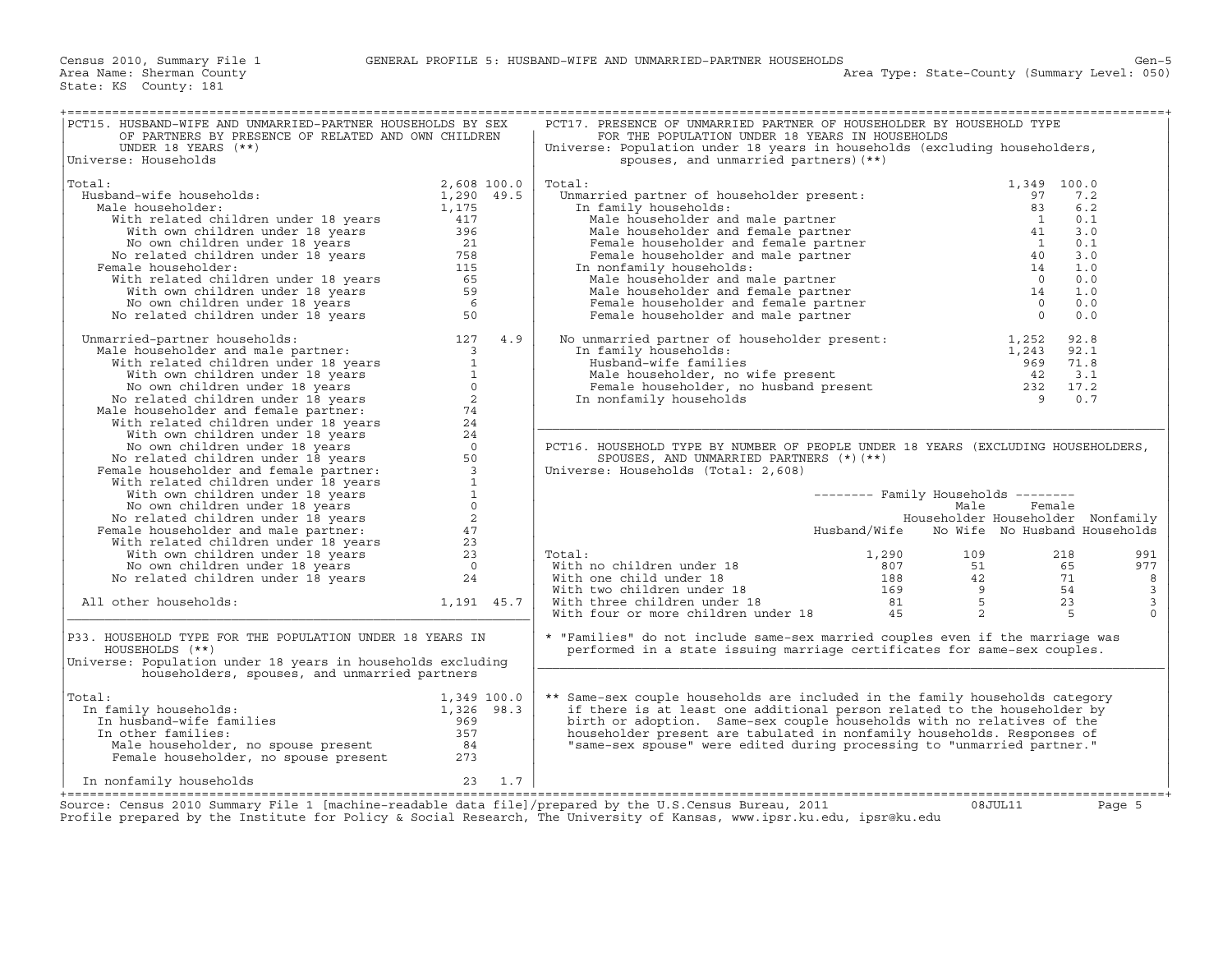| PCT15. HUSBAND-WIFE AND UNMARRIED-PARTNER HOUSEHOLDS BY SEX<br>OF PARTNERS BY PRESENCE OF RELATED AND OWN CHILDREN                                                                                                                                                            |             |     | PCT17. PRESENCE OF UNMARRIED PARTNER OF HOUSEHOLDER BY HOUSEHOLD TYPE<br>FOR THE POPULATION UNDER 18 YEARS IN HOUSEHOLDS                                                                                                                                                                                                                                                                                                                          |                                            |        |                              |
|-------------------------------------------------------------------------------------------------------------------------------------------------------------------------------------------------------------------------------------------------------------------------------|-------------|-----|---------------------------------------------------------------------------------------------------------------------------------------------------------------------------------------------------------------------------------------------------------------------------------------------------------------------------------------------------------------------------------------------------------------------------------------------------|--------------------------------------------|--------|------------------------------|
| UNDER 18 YEARS $(**)$<br>Universe: Households                                                                                                                                                                                                                                 |             |     | Universe: Population under 18 years in households (excluding householders,<br>spouses, and unmarried partners) (**)                                                                                                                                                                                                                                                                                                                               |                                            |        |                              |
| Total:                                                                                                                                                                                                                                                                        | 2,608 100.0 |     | dial:<br>Unmarried partner of householder present:<br>In family households:<br>Male householder and male partner<br>Male householder and female partner<br>Male householder and female partner<br>Female householder and male partner<br>In                                                                                                                                                                                                       | 1,349 100.0                                |        |                              |
| % : and wife households:<br>iale householder:<br>iale householder:<br>with related children under 18 years<br>$1,290$ 49.5<br>with own children under 18 years<br>No own children under 18 years<br>No related children under 18 years<br>"To<br>Husband-wife households:     |             |     |                                                                                                                                                                                                                                                                                                                                                                                                                                                   |                                            | 7.2    |                              |
| Male householder:                                                                                                                                                                                                                                                             |             |     |                                                                                                                                                                                                                                                                                                                                                                                                                                                   |                                            | 6.2    |                              |
|                                                                                                                                                                                                                                                                               |             |     |                                                                                                                                                                                                                                                                                                                                                                                                                                                   |                                            | 0.1    |                              |
|                                                                                                                                                                                                                                                                               |             |     |                                                                                                                                                                                                                                                                                                                                                                                                                                                   |                                            | 3.0    |                              |
|                                                                                                                                                                                                                                                                               |             |     |                                                                                                                                                                                                                                                                                                                                                                                                                                                   |                                            | 0.1    |                              |
|                                                                                                                                                                                                                                                                               |             |     |                                                                                                                                                                                                                                                                                                                                                                                                                                                   |                                            | 3.0    |                              |
| Female householder:                                                                                                                                                                                                                                                           |             |     |                                                                                                                                                                                                                                                                                                                                                                                                                                                   |                                            | 1.0    |                              |
|                                                                                                                                                                                                                                                                               |             |     |                                                                                                                                                                                                                                                                                                                                                                                                                                                   |                                            | 0.0    |                              |
|                                                                                                                                                                                                                                                                               |             |     |                                                                                                                                                                                                                                                                                                                                                                                                                                                   |                                            | 1.0    |                              |
|                                                                                                                                                                                                                                                                               |             |     |                                                                                                                                                                                                                                                                                                                                                                                                                                                   |                                            | 0.0    |                              |
|                                                                                                                                                                                                                                                                               |             |     |                                                                                                                                                                                                                                                                                                                                                                                                                                                   |                                            | 0.0    |                              |
|                                                                                                                                                                                                                                                                               |             |     |                                                                                                                                                                                                                                                                                                                                                                                                                                                   |                                            |        |                              |
| No related children under 18 years<br>30<br>Mamarried-partner households:<br>Mich householder and male partner:<br>With related children under 18 years<br>1 No own children under 18 years<br>No related children under 18 years<br>No rela<br>Unmarried-partner households: |             | 4.9 | No unmarried partner of householder present: $1,252$ 92.8<br>In family households: $1,243$ 92.1<br>Husband-wife families 969 71.8<br>Male householder, no wife present 42 3.1<br>Female householder, no husband present 232 17.2<br>In n                                                                                                                                                                                                          |                                            |        |                              |
|                                                                                                                                                                                                                                                                               |             |     |                                                                                                                                                                                                                                                                                                                                                                                                                                                   |                                            |        |                              |
|                                                                                                                                                                                                                                                                               |             |     |                                                                                                                                                                                                                                                                                                                                                                                                                                                   |                                            |        |                              |
|                                                                                                                                                                                                                                                                               |             |     |                                                                                                                                                                                                                                                                                                                                                                                                                                                   |                                            |        |                              |
|                                                                                                                                                                                                                                                                               |             |     |                                                                                                                                                                                                                                                                                                                                                                                                                                                   |                                            |        |                              |
|                                                                                                                                                                                                                                                                               |             |     |                                                                                                                                                                                                                                                                                                                                                                                                                                                   |                                            |        |                              |
|                                                                                                                                                                                                                                                                               |             |     |                                                                                                                                                                                                                                                                                                                                                                                                                                                   |                                            |        |                              |
|                                                                                                                                                                                                                                                                               |             |     |                                                                                                                                                                                                                                                                                                                                                                                                                                                   |                                            |        |                              |
|                                                                                                                                                                                                                                                                               |             |     |                                                                                                                                                                                                                                                                                                                                                                                                                                                   |                                            |        |                              |
|                                                                                                                                                                                                                                                                               |             |     | PCT16. HOUSEHOLD TYPE BY NUMBER OF PEOPLE UNDER 18 YEARS (EXCLUDING HOUSEHOLDERS,                                                                                                                                                                                                                                                                                                                                                                 |                                            |        |                              |
|                                                                                                                                                                                                                                                                               |             |     | SPOUSES, AND UNMARRIED PARTNERS $(*)$ (**)                                                                                                                                                                                                                                                                                                                                                                                                        |                                            |        |                              |
|                                                                                                                                                                                                                                                                               |             |     | Universe: Households (Total: 2,608)                                                                                                                                                                                                                                                                                                                                                                                                               |                                            |        |                              |
|                                                                                                                                                                                                                                                                               |             |     |                                                                                                                                                                                                                                                                                                                                                                                                                                                   |                                            |        |                              |
|                                                                                                                                                                                                                                                                               |             |     |                                                                                                                                                                                                                                                                                                                                                                                                                                                   | -------- Family Households --------        |        |                              |
|                                                                                                                                                                                                                                                                               |             |     |                                                                                                                                                                                                                                                                                                                                                                                                                                                   | Male                                       | Female |                              |
|                                                                                                                                                                                                                                                                               |             |     |                                                                                                                                                                                                                                                                                                                                                                                                                                                   | Householder Householder Nonfamily          |        |                              |
|                                                                                                                                                                                                                                                                               |             |     |                                                                                                                                                                                                                                                                                                                                                                                                                                                   | Husband/Wife No Wife No Husband Households |        |                              |
|                                                                                                                                                                                                                                                                               |             |     |                                                                                                                                                                                                                                                                                                                                                                                                                                                   |                                            |        |                              |
|                                                                                                                                                                                                                                                                               |             |     | Total:                                                                                                                                                                                                                                                                                                                                                                                                                                            |                                            |        | 991                          |
|                                                                                                                                                                                                                                                                               |             |     |                                                                                                                                                                                                                                                                                                                                                                                                                                                   |                                            |        | 977                          |
|                                                                                                                                                                                                                                                                               |             |     |                                                                                                                                                                                                                                                                                                                                                                                                                                                   |                                            |        | 8<br>$\overline{\mathbf{3}}$ |
|                                                                                                                                                                                                                                                                               | 1,191 45.7  |     |                                                                                                                                                                                                                                                                                                                                                                                                                                                   |                                            |        | $\overline{3}$               |
| All other households:                                                                                                                                                                                                                                                         |             |     | $\begin{tabular}{lllllllllll} \multicolumn{3}{l} \textbf{Total:} & & & & 1,290 & & 109 & & 218 \\ \textbf{With no children under 18} & & & 807 & & 51 & & 65 \\ \textbf{With two children under 18} & & & 188 & & 42 & & 71 \\ \textbf{With three children under 18} & & & 169 & & 9 & & 54 \\ \textbf{With three children under 18} & & & 81 & & 5 & & 23 \\ \textbf{With four or more children under 18} & & & 45 & & 2 & & 5 \\ \end{tabular}$ |                                            |        | $\Omega$                     |
|                                                                                                                                                                                                                                                                               |             |     |                                                                                                                                                                                                                                                                                                                                                                                                                                                   |                                            |        |                              |
| P33. HOUSEHOLD TYPE FOR THE POPULATION UNDER 18 YEARS IN                                                                                                                                                                                                                      |             |     | * "Families" do not include same-sex married couples even if the marriage was                                                                                                                                                                                                                                                                                                                                                                     |                                            |        |                              |
| HOUSEHOLDS (**)                                                                                                                                                                                                                                                               |             |     | performed in a state issuing marriage certificates for same-sex couples.                                                                                                                                                                                                                                                                                                                                                                          |                                            |        |                              |
| Universe: Population under 18 years in households excluding                                                                                                                                                                                                                   |             |     |                                                                                                                                                                                                                                                                                                                                                                                                                                                   |                                            |        |                              |
| householders, spouses, and unmarried partners                                                                                                                                                                                                                                 |             |     |                                                                                                                                                                                                                                                                                                                                                                                                                                                   |                                            |        |                              |
|                                                                                                                                                                                                                                                                               |             |     |                                                                                                                                                                                                                                                                                                                                                                                                                                                   |                                            |        |                              |
| al:<br>1,349 100.0<br>1,326 98.3<br>In husband-wife families<br>In other families<br>The other families<br>Total:                                                                                                                                                             |             |     | ** Same-sex couple households are included in the family households category                                                                                                                                                                                                                                                                                                                                                                      |                                            |        |                              |
| In family households:                                                                                                                                                                                                                                                         |             |     | if there is at least one additional person related to the householder by                                                                                                                                                                                                                                                                                                                                                                          |                                            |        |                              |
|                                                                                                                                                                                                                                                                               |             |     | birth or adoption. Same-sex couple households with no relatives of the                                                                                                                                                                                                                                                                                                                                                                            |                                            |        |                              |
| In other families:                                                                                                                                                                                                                                                            |             |     | householder present are tabulated in nonfamily households. Responses of                                                                                                                                                                                                                                                                                                                                                                           |                                            |        |                              |
|                                                                                                                                                                                                                                                                               |             |     | "same-sex spouse" were edited during processing to "unmarried partner."                                                                                                                                                                                                                                                                                                                                                                           |                                            |        |                              |
|                                                                                                                                                                                                                                                                               |             |     |                                                                                                                                                                                                                                                                                                                                                                                                                                                   |                                            |        |                              |
| 23 1.7<br>In nonfamily households                                                                                                                                                                                                                                             |             |     |                                                                                                                                                                                                                                                                                                                                                                                                                                                   |                                            |        |                              |
|                                                                                                                                                                                                                                                                               |             |     |                                                                                                                                                                                                                                                                                                                                                                                                                                                   |                                            |        |                              |
| Source: Census 2010 Summary File 1 [machine-readable data file]/prepared by the U.S.Census Bureau, 2011                                                                                                                                                                       |             |     |                                                                                                                                                                                                                                                                                                                                                                                                                                                   | 08JUL11                                    |        | Page 5                       |
| Profile prepared by the Institute for Policy & Social Research, The University of Kansas, www.ipsr.ku.edu, ipsr@ku.edu                                                                                                                                                        |             |     |                                                                                                                                                                                                                                                                                                                                                                                                                                                   |                                            |        |                              |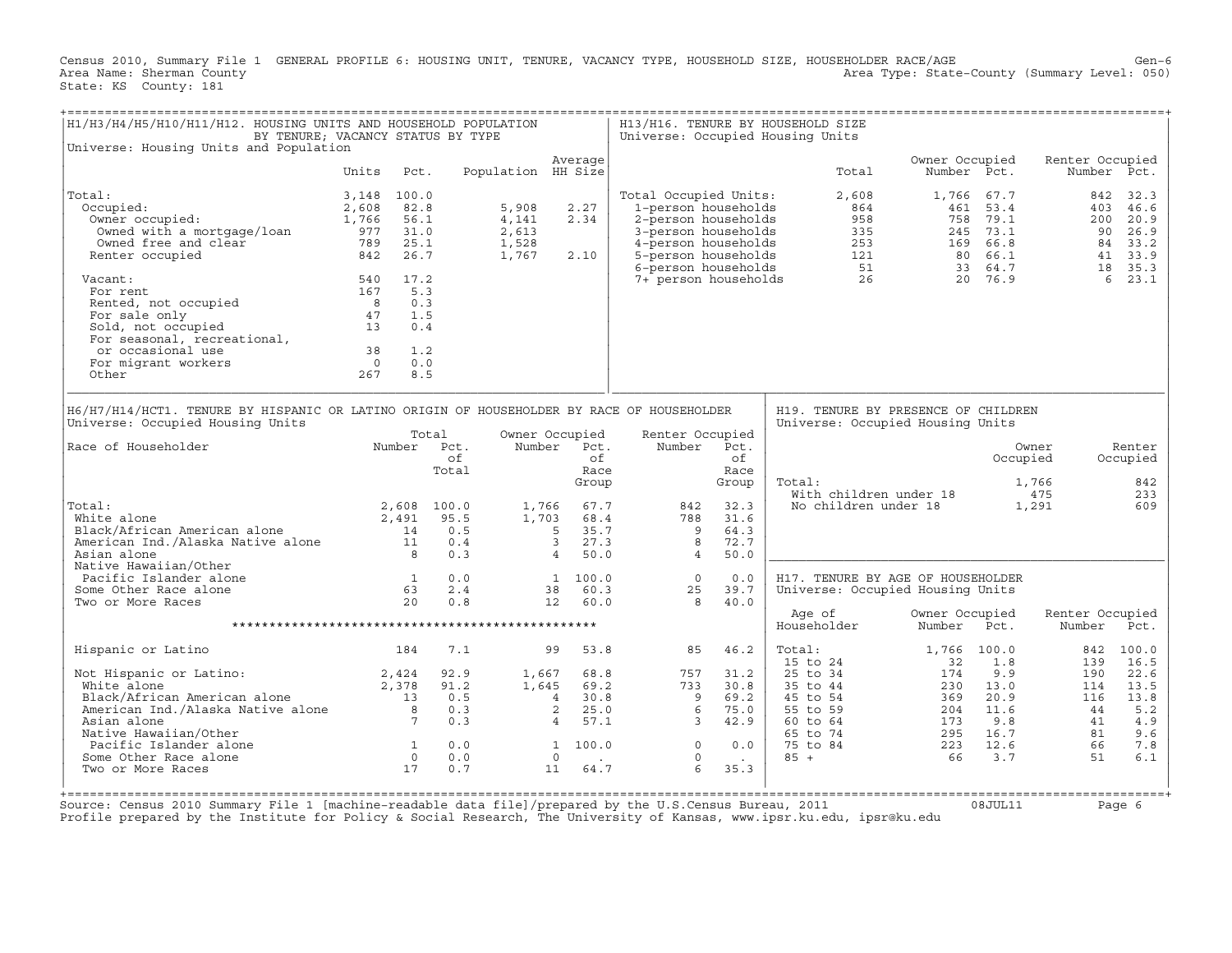Census 2010, Summary File 1 GENERAL PROFILE 6: HOUSING UNIT, TENURE, VACANCY TYPE, HOUSEHOLD SIZE, HOUSEHOLDER RACE/AGE Gen−6<br>Area Name: Sherman County (summary Level: 050) Area Type: State-County (Summary Level: 050) State: KS County: 181

| H1/H3/H4/H5/H10/H11/H12. HOUSING UNITS AND HOUSEHOLD POPULATION                                                                                                                                               | BY TENURE; VACANCY STATUS BY TYPE                                                       |                                          |                                           |                                                                                                          |                                                                                                                                                                 |                                             | H13/H16. TENURE BY HOUSEHOLD SIZE<br>Universe: Occupied Housing Units                        |                                                              |                                                           |                                                  |                                                                |
|---------------------------------------------------------------------------------------------------------------------------------------------------------------------------------------------------------------|-----------------------------------------------------------------------------------------|------------------------------------------|-------------------------------------------|----------------------------------------------------------------------------------------------------------|-----------------------------------------------------------------------------------------------------------------------------------------------------------------|---------------------------------------------|----------------------------------------------------------------------------------------------|--------------------------------------------------------------|-----------------------------------------------------------|--------------------------------------------------|----------------------------------------------------------------|
| Universe: Housing Units and Population                                                                                                                                                                        |                                                                                         |                                          |                                           |                                                                                                          |                                                                                                                                                                 |                                             |                                                                                              |                                                              |                                                           |                                                  |                                                                |
|                                                                                                                                                                                                               | Pct.<br>Units                                                                           |                                          | Population HH Size                        | Average                                                                                                  |                                                                                                                                                                 |                                             | Total                                                                                        | Owner Occupied<br>Number Pct.                                |                                                           | Renter Occupied<br>Number Pct.                   |                                                                |
| Total:<br>Occupied:<br>Owner occupied:<br>Owned with a mortgage/loan<br>Owned free and clear<br>Renter occupied                                                                                               | 3,148 100.0<br>82.8<br>2,608<br>1,766<br>56.1<br>977 31.0<br>25.1<br>789<br>842<br>26.7 |                                          | 5,908<br>4,141<br>2,613<br>1,528<br>1,767 | 2.27<br>2.34<br>2.10                                                                                     | Total Occupied Units:<br>1-person households<br>2-person households<br>3-person households<br>4-person households<br>5-person households<br>6-person households |                                             | 2,608<br>864<br>958                                                                          | 335<br>253<br>253<br>121 80 66.1<br>51 33 64.7<br>26 20 76.9 | 1,766 67.7<br>461 53.4<br>758 79.1                        | 842<br>200<br>90<br>18                           | 32.3<br>403 46.6<br>20.9<br>26.9<br>84 33.2<br>41 33.9<br>35.3 |
| Vacant:<br>For rent<br>Rented, not occupied<br>For sale only<br>Sold, not occupied<br>For seasonal, recreational,<br>or occasional use<br>For migrant workers<br>Other                                        | 540 17.2<br>167<br>5.3<br>8 <sup>8</sup><br>47<br>13<br>38<br>$\overline{0}$<br>267     | 0.3<br>1.5<br>0.4<br>1.2<br>0.0<br>8.5   |                                           |                                                                                                          | 7+ person households                                                                                                                                            |                                             |                                                                                              |                                                              |                                                           | 6                                                | 23.1                                                           |
| H6/H7/H14/HCT1. TENURE BY HISPANIC OR LATINO ORIGIN OF HOUSEHOLDER BY RACE OF HOUSEHOLDER<br>Universe: Occupied Housing Units                                                                                 |                                                                                         |                                          |                                           |                                                                                                          |                                                                                                                                                                 |                                             | H19. TENURE BY PRESENCE OF CHILDREN<br>Universe: Occupied Housing Units                      |                                                              |                                                           |                                                  |                                                                |
| Race of Householder                                                                                                                                                                                           |                                                                                         | Total<br>Number Pct.<br>of<br>Total      |                                           | Owner Occupied<br>Number Pct.<br>∩f<br>Race<br>Group                                                     | Renter Occupied<br>Number                                                                                                                                       | Pct.<br>of<br>Race<br>Group                 | Total:                                                                                       |                                                              | Occupied                                                  | Owner<br>1,766                                   | Renter<br>Occupied<br>842                                      |
| Total:<br>White alone<br>Black/African American alone<br>American Ind./Alaska Native alone<br>Asian alone                                                                                                     | 2,491<br>14<br>$\overline{11}$<br>8                                                     | 2,608 100.0<br>95.5<br>0.5<br>0.4<br>0.3 | 1,766<br>1,703                            | 67.7<br>68.4<br>$5^{\circ}$<br>35.7<br>27.3<br>3 <sup>7</sup><br>50.0<br>$\overline{4}$                  | 842<br>788<br>$\overline{9}$<br>8<br>$\overline{4}$                                                                                                             | 32.3<br>31.6<br>64.3<br>72.7<br>50.0        | With children under 18<br>No children under 18                                               |                                                              |                                                           | 475<br>1,291                                     | 233<br>609                                                     |
| Native Hawaiian/Other<br>Pacific Islander alone<br>Some Other Race alone<br>Two or More Races                                                                                                                 | 1<br>63<br>20                                                                           | 0.0<br>2.4<br>0.8                        |                                           | 1 100.0<br>60.3<br>38<br>12<br>60.0                                                                      | $\overline{0}$<br>25<br>8                                                                                                                                       | 0.0<br>39.7<br>40.0                         | H17. TENURE BY AGE OF HOUSEHOLDER<br>Universe: Occupied Housing Units                        |                                                              |                                                           |                                                  |                                                                |
|                                                                                                                                                                                                               |                                                                                         |                                          |                                           |                                                                                                          |                                                                                                                                                                 |                                             | Age of<br>Householder                                                                        | Owner Occupied<br>Number                                     | Pct.                                                      | Renter Occupied<br>Number                        | Pct.                                                           |
| Hispanic or Latino                                                                                                                                                                                            | 184                                                                                     | 7.1                                      |                                           | 53.8<br>99                                                                                               | 85                                                                                                                                                              | 46.2                                        | Total:                                                                                       | 1,766 100.0                                                  |                                                           | 842                                              | 100.0                                                          |
| Not Hispanic or Latino:<br>Vot Hispanic or Latino: 2,424<br>White alone 2,378<br>Black/African American alone 2,378<br>American Ind./Alaska Native alone 8<br>Native Hawaiian/Other<br>Pacific Islander alone | $\begin{array}{c} 1 \\ 0 \end{array}$                                                   | 92.9<br>91.2<br>0.5<br>0.3<br>0.3<br>0.0 | 1,667                                     | 68.8<br>$1.645$ 69.2<br>30.8<br>$4\phantom{0}$<br>$\overline{a}$<br>25.0<br>57.1<br>$4 \quad$<br>1 100.0 | 757<br>733<br>$\overline{9}$<br>6<br>$\overline{\phantom{a}}$<br>$\circ$                                                                                        | 31.2<br>30.8<br>69.2<br>75.0<br>42.9<br>0.0 | 15 to 24<br>25 to 34<br>35 to 44<br>45 to 54<br>55 to 59<br>60 to 64<br>65 to 74<br>75 to 84 | 32<br>174<br>230<br>369<br>204<br>173<br>295<br>223          | 1.8<br>9.9<br>13.0<br>20.9<br>11.6<br>9.8<br>16.7<br>12.6 | 139<br>190<br>114<br>116<br>44<br>41<br>81<br>66 | 16.5<br>22.6<br>13.5<br>13.8<br>5.2<br>4.9<br>9.6<br>7.8       |
| Some Other Race alone<br>Two or More Races                                                                                                                                                                    | 17                                                                                      | 0.0<br>0.7                               |                                           | $\overline{0}$<br>11<br>64.7                                                                             | $\circ$<br>6                                                                                                                                                    | $\sim 100$<br>35.3                          | $85 +$                                                                                       | 66                                                           | 3.7                                                       | 51                                               | 6.1                                                            |

+===================================================================================================================================================+ Source: Census 2010 Summary File 1 [machine−readable data file]/prepared by the U.S.Census Bureau, 2011 08JUL11 Page 6 Profile prepared by the Institute for Policy & Social Research, The University of Kansas, www.ipsr.ku.edu, ipsr@ku.edu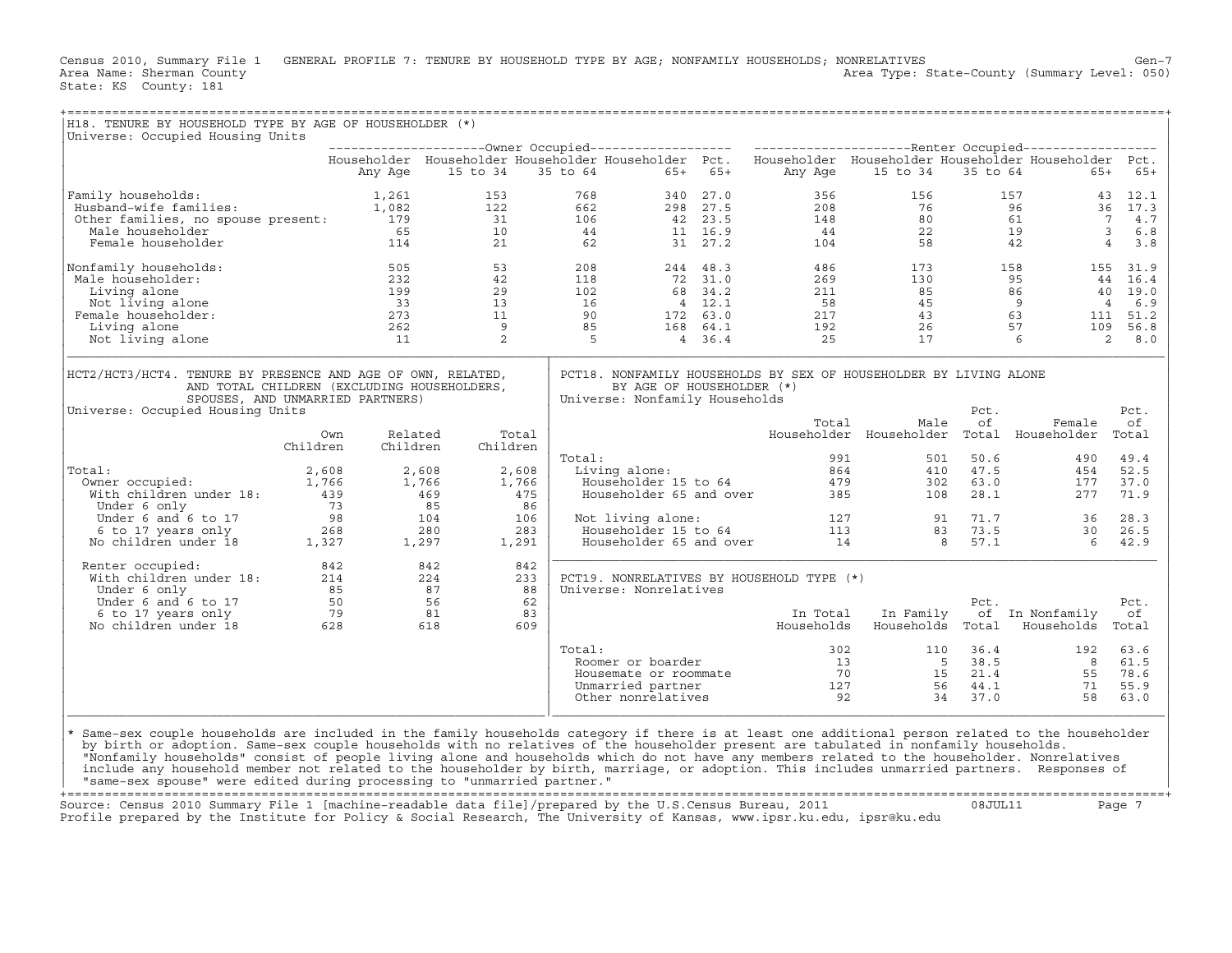Census 2010, Summary File 1 GENERAL PROFILE 7: TENURE BY HOUSEHOLD TYPE BY AGE; NONFAMILY HOUSEHOLDS; NONRELATIVES<br>Area Name: Sherman County Level: 050) Area Type: State-County (Summary Level: 050) Area Type: State-County (Summary Level: 050) State: KS County: 181

| H18. TENURE BY HOUSEHOLD TYPE BY AGE OF HOUSEHOLDER (*)<br>Universe: Occupied Housing Units                                                                                                                                                                                               |                 |                     |          |                   |                                                                                           |                                                                                           |                                     |                                           |                                                                                                                                      |            |                                                                                                                                                                                                                      |                                |
|-------------------------------------------------------------------------------------------------------------------------------------------------------------------------------------------------------------------------------------------------------------------------------------------|-----------------|---------------------|----------|-------------------|-------------------------------------------------------------------------------------------|-------------------------------------------------------------------------------------------|-------------------------------------|-------------------------------------------|--------------------------------------------------------------------------------------------------------------------------------------|------------|----------------------------------------------------------------------------------------------------------------------------------------------------------------------------------------------------------------------|--------------------------------|
|                                                                                                                                                                                                                                                                                           |                 |                     |          |                   |                                                                                           |                                                                                           |                                     |                                           |                                                                                                                                      |            |                                                                                                                                                                                                                      |                                |
|                                                                                                                                                                                                                                                                                           |                 |                     |          |                   |                                                                                           |                                                                                           |                                     |                                           | Householder Householder Householder Householder Pct. Householder Householder Householder Householder Pct.                            |            |                                                                                                                                                                                                                      |                                |
| %/amily households: 1,261<br>Husband-wife families: 1,082<br>Other families, no spouse present: 179<br>Male householder 65<br>114                                                                                                                                                         |                 |                     | 15 to 34 |                   |                                                                                           | 35 to 64                                                                                  | $65+ 65+$                           | Any Age                                   | 15 to 34                                                                                                                             |            | 35 to 64                                                                                                                                                                                                             | 65+<br>$65+$                   |
|                                                                                                                                                                                                                                                                                           |                 |                     | 153      |                   | 768                                                                                       |                                                                                           | 340 27.0                            | 356                                       | 156                                                                                                                                  |            | $\begin{array}{cccc} 157 & \hspace{15.1cm} & 43 & 12 \, .1 \end{array}$                                                                                                                                              |                                |
|                                                                                                                                                                                                                                                                                           |                 |                     | 122      |                   | 662                                                                                       |                                                                                           | 298 27.5                            | 208                                       | 76                                                                                                                                   |            | 96                                                                                                                                                                                                                   | 36 17.3                        |
|                                                                                                                                                                                                                                                                                           |                 |                     | 31       |                   | $\frac{106}{44}$                                                                          | $42 \t 23.5$<br>11 16.9                                                                   |                                     | $\frac{148}{44}$                          |                                                                                                                                      |            | $\begin{array}{cc} 76 & 96 \\ 80 & 61 \\ 22 & 19 \\ 58 & 42 \end{array}$                                                                                                                                             | 7<br>4.7                       |
|                                                                                                                                                                                                                                                                                           |                 |                     | 10       |                   |                                                                                           |                                                                                           |                                     |                                           |                                                                                                                                      |            |                                                                                                                                                                                                                      | $\overline{\mathbf{3}}$<br>6.8 |
|                                                                                                                                                                                                                                                                                           |                 |                     | 21       |                   | 62                                                                                        |                                                                                           | 31 27.2                             | 104                                       |                                                                                                                                      |            | $\overline{4}$                                                                                                                                                                                                       | 3.8                            |
| Nonfamily households:                                                                                                                                                                                                                                                                     |                 | 505                 |          | 53                | $\begin{array}{cc}\n 1. & 1. \\  & 1.1 \\  & 102 \\  & 16 \\  & 90 \\  & 85\n\end{array}$ |                                                                                           | 244 48.3                            | 486                                       |                                                                                                                                      | 173        | $\frac{158}{25}$                                                                                                                                                                                                     | 155 31.9                       |
| Male householder:                                                                                                                                                                                                                                                                         |                 | 232<br>232<br>199   |          | 42                |                                                                                           |                                                                                           | 72 31.0                             | 269                                       |                                                                                                                                      |            |                                                                                                                                                                                                                      |                                |
| Living alone                                                                                                                                                                                                                                                                              |                 |                     | 29<br>13 |                   |                                                                                           |                                                                                           | $68$ $34.2$<br>$4$ $12.1$<br>4 12.1 | $\begin{array}{c} 211 \\ 58 \end{array}$  |                                                                                                                                      |            | $\begin{array}{cccc} 130 & & 130 & & 130 \\ 130 & & 95 & & 44 & 16.4 \\ 85 & & 86 & & 40 & 19.0 \\ 45 & & 9 & & 4 & 6.9 \\ 43 & & 63 & & 111 & 51.2 \\ 26 & & 57 & & 109 & 56.8 \\ 17 & & 6 & & 2 & 8.0 \end{array}$ |                                |
| Not living alone<br>Female householder:                                                                                                                                                                                                                                                   |                 | 33<br>273           | 11       |                   |                                                                                           |                                                                                           | 172 63.0                            | 58<br>217                                 |                                                                                                                                      |            |                                                                                                                                                                                                                      |                                |
| Living alone                                                                                                                                                                                                                                                                              |                 | 262                 | 9        |                   |                                                                                           |                                                                                           | 168 64.1                            | 192                                       |                                                                                                                                      |            |                                                                                                                                                                                                                      |                                |
| Not living alone                                                                                                                                                                                                                                                                          |                 | 11                  |          | 2                 | $\overline{5}$                                                                            |                                                                                           | 4 36.4                              | 25                                        |                                                                                                                                      |            |                                                                                                                                                                                                                      |                                |
|                                                                                                                                                                                                                                                                                           |                 |                     |          |                   |                                                                                           |                                                                                           |                                     |                                           |                                                                                                                                      |            |                                                                                                                                                                                                                      |                                |
| HCT2/HCT3/HCT4. TENURE BY PRESENCE AND AGE OF OWN, RELATED,<br>AND TOTAL CHILDREN (EXCLUDING HOUSEHOLDERS,<br>SPOUSES, AND UNMARRIED PARTNERS)                                                                                                                                            |                 |                     |          |                   |                                                                                           | BY AGE OF HOUSEHOLDER (*)<br>Universe: Nonfamily Households                               |                                     |                                           | PCT18. NONFAMILY HOUSEHOLDS BY SEX OF HOUSEHOLDER BY LIVING ALONE                                                                    |            |                                                                                                                                                                                                                      |                                |
| Universe: Occupied Housing Units                                                                                                                                                                                                                                                          |                 |                     |          |                   |                                                                                           |                                                                                           |                                     | Total                                     | Male                                                                                                                                 | Pct.<br>оf | Female                                                                                                                                                                                                               | Pct.<br>оf                     |
|                                                                                                                                                                                                                                                                                           | Own<br>Children | Related<br>Children |          | Total<br>Children |                                                                                           |                                                                                           |                                     |                                           | Householder Householder Total Householder                                                                                            |            |                                                                                                                                                                                                                      | Total                          |
|                                                                                                                                                                                                                                                                                           |                 |                     |          |                   | Total:                                                                                    |                                                                                           |                                     | 991                                       | 501                                                                                                                                  | 50.6       | 490                                                                                                                                                                                                                  | 49.4                           |
| Total:                                                                                                                                                                                                                                                                                    | 2,608           |                     | 2,608    | 2,608             |                                                                                           | cui.<br>Living alone:<br>Householder 15 to 64<br>Householder 65 and over<br>Living alone: |                                     |                                           | 410                                                                                                                                  | 47.5       | 454                                                                                                                                                                                                                  | 52.5                           |
| tal: 2,608<br>Owner occupied: 1,766<br>With children under 18: 439                                                                                                                                                                                                                        |                 |                     | 1,766    | 1,766             |                                                                                           |                                                                                           |                                     |                                           | 864<br>479<br>385<br>302                                                                                                             | 63.0       | 177                                                                                                                                                                                                                  | 37.0                           |
|                                                                                                                                                                                                                                                                                           |                 | 469                 |          | 475               |                                                                                           |                                                                                           |                                     |                                           | 108                                                                                                                                  | 28.1       | 277                                                                                                                                                                                                                  | 71.9                           |
|                                                                                                                                                                                                                                                                                           |                 |                     |          | 86                |                                                                                           |                                                                                           |                                     |                                           |                                                                                                                                      |            |                                                                                                                                                                                                                      |                                |
| 1991 - The Matter of Matter of Matter of Matter of Matter of Matter of Matter of Matter of Matter of Matter of Matter of Matter of Matter of Matter of Matter of Matter of Matter of Matter of Matter of Matter of Matter of M                                                            |                 |                     |          | 106               |                                                                                           |                                                                                           |                                     |                                           | Not living alone:<br>Householder 15 to 64 113 83 73.5<br>Householder 65 and over 14 8 57.1                                           |            | 36                                                                                                                                                                                                                   | 28.3                           |
|                                                                                                                                                                                                                                                                                           |                 |                     |          | 283               |                                                                                           |                                                                                           |                                     |                                           |                                                                                                                                      |            | 30                                                                                                                                                                                                                   | 26.5                           |
| No children under 18                                                                                                                                                                                                                                                                      |                 |                     |          | 1,291             |                                                                                           |                                                                                           |                                     |                                           |                                                                                                                                      |            | 6                                                                                                                                                                                                                    | 42.9                           |
| Renter occupied:<br>Renter occupied: 842<br>With children under 18: 214<br>Under 6 only 85<br>Under 6 and 6 to 17<br>6 to 17 years only 79<br>No children under 18<br>6 28<br>6 18                                                                                                        |                 |                     |          | 842<br>233        |                                                                                           |                                                                                           |                                     | PCT19. NONRELATIVES BY HOUSEHOLD TYPE (*) |                                                                                                                                      |            |                                                                                                                                                                                                                      |                                |
|                                                                                                                                                                                                                                                                                           |                 |                     |          | 88                |                                                                                           | Universe: Nonrelatives                                                                    |                                     |                                           |                                                                                                                                      |            |                                                                                                                                                                                                                      |                                |
|                                                                                                                                                                                                                                                                                           |                 |                     |          | 62                |                                                                                           |                                                                                           |                                     |                                           |                                                                                                                                      | Pct.       |                                                                                                                                                                                                                      | Pct.                           |
|                                                                                                                                                                                                                                                                                           |                 |                     |          | 83                |                                                                                           |                                                                                           |                                     | In Total                                  | In Family                                                                                                                            |            | of In Nonfamily                                                                                                                                                                                                      | оf                             |
|                                                                                                                                                                                                                                                                                           |                 |                     |          | 609               |                                                                                           |                                                                                           |                                     | Households                                | Households                                                                                                                           |            | Total Households                                                                                                                                                                                                     | Total                          |
|                                                                                                                                                                                                                                                                                           |                 |                     |          |                   | Total:                                                                                    |                                                                                           |                                     |                                           | $\begin{array}{cccc} 302 & & 110 & 36.4 \\ 13 & & 5 & 38.5 \\ 70 & & 15 & 21.4 \\ 127 & & 56 & 44.1 \\ 92 & & 34 & 37.0 \end{array}$ |            | 192                                                                                                                                                                                                                  | 63.6                           |
|                                                                                                                                                                                                                                                                                           |                 |                     |          |                   |                                                                                           | Roomer or boarder                                                                         |                                     |                                           |                                                                                                                                      |            | 8 <sup>1</sup>                                                                                                                                                                                                       | 61.5                           |
|                                                                                                                                                                                                                                                                                           |                 |                     |          |                   |                                                                                           | Housemate or roommate                                                                     |                                     |                                           |                                                                                                                                      |            | 55                                                                                                                                                                                                                   | 78.6                           |
|                                                                                                                                                                                                                                                                                           |                 |                     |          |                   |                                                                                           | Unmarried partner                                                                         |                                     |                                           |                                                                                                                                      |            | 71                                                                                                                                                                                                                   | 55.9                           |
|                                                                                                                                                                                                                                                                                           |                 |                     |          |                   |                                                                                           | Other nonrelatives                                                                        |                                     |                                           | 92                                                                                                                                   | 34 37.0    | 58                                                                                                                                                                                                                   | 63.0                           |
| * Same-sex couple households are included in the family households category if there is at least one additional person related to the householder<br>by birth or adoption. Same-sex couple households with no relatives of the householder present are tabulated in nonfamily households. |                 |                     |          |                   |                                                                                           |                                                                                           |                                     |                                           |                                                                                                                                      |            |                                                                                                                                                                                                                      |                                |
| "Nonfamily households" consist of people living alone and households which do not have any members related to the householder. Nonrelatives                                                                                                                                               |                 |                     |          |                   |                                                                                           |                                                                                           |                                     |                                           |                                                                                                                                      |            |                                                                                                                                                                                                                      |                                |
| include any household member not related to the householder by birth, marriage, or adoption. This includes unmarried partners. Responses of<br>"same-sex spouse" were edited during processing to "unmarried partner."                                                                    |                 |                     |          |                   |                                                                                           |                                                                                           |                                     |                                           |                                                                                                                                      |            |                                                                                                                                                                                                                      |                                |

+===================================================================================================================================================+ Source: Census 2010 Summary File 1 [machine−readable data file]/prepared by the U.S.Census Bureau, 2011 08JUL11 Page 7 Profile prepared by the Institute for Policy & Social Research, The University of Kansas, www.ipsr.ku.edu, ipsr@ku.edu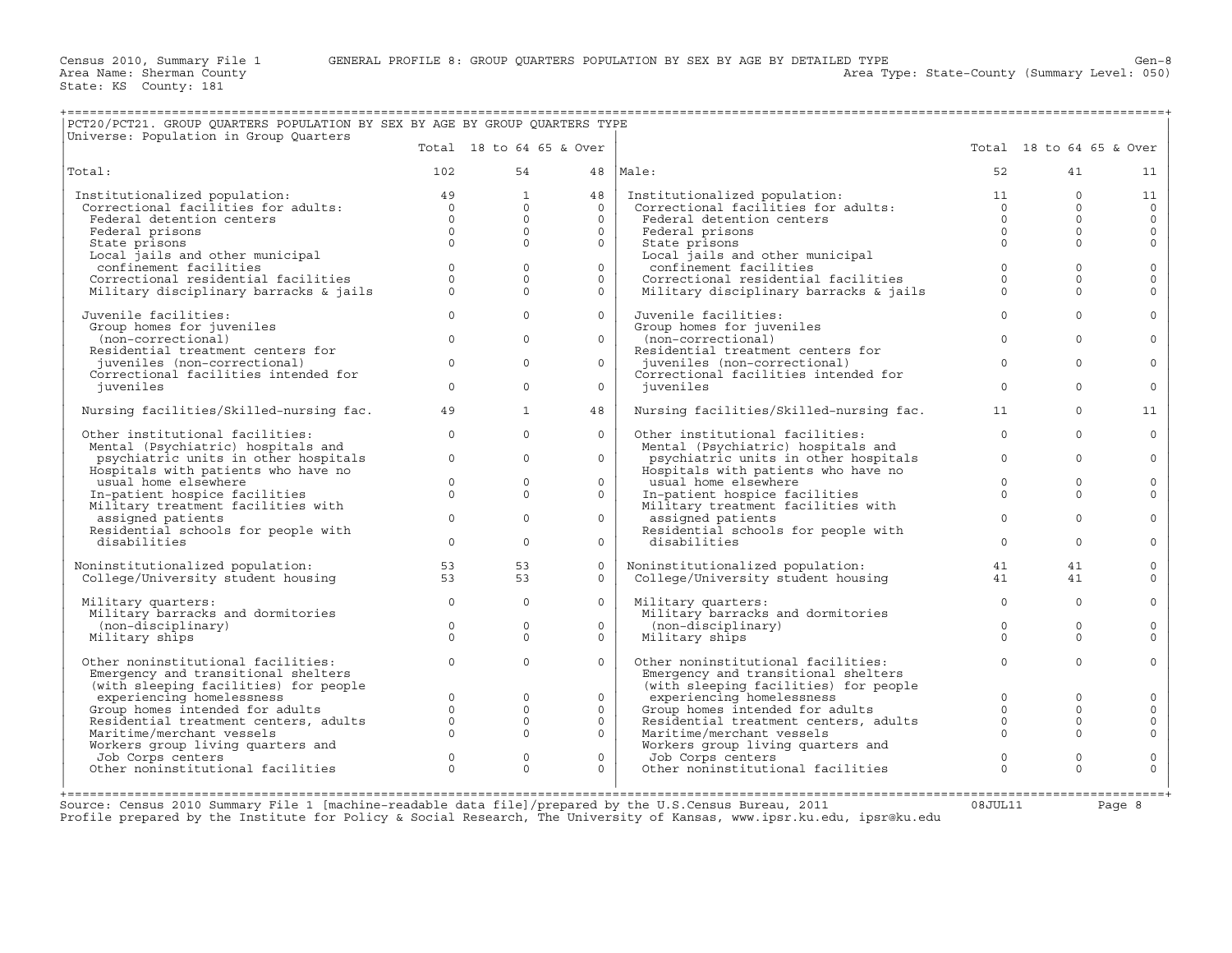+===================================================================================================================================================+

Area Type: State-County (Summary Level: 050)

| PCT20/PCT21. GROUP QUARTERS POPULATION BY SEX BY AGE BY GROUP QUARTERS TYPE<br>Universe: Population in Group Quarters                                                                              |                |                          |          |                                                                                                                                           |              |                                                            |                |
|----------------------------------------------------------------------------------------------------------------------------------------------------------------------------------------------------|----------------|--------------------------|----------|-------------------------------------------------------------------------------------------------------------------------------------------|--------------|------------------------------------------------------------|----------------|
|                                                                                                                                                                                                    |                | Total 18 to 64 65 & Over |          |                                                                                                                                           |              | Total 18 to 64 65 & Over                                   |                |
| Total:                                                                                                                                                                                             | 102            | 54                       |          | 48   Male:                                                                                                                                | 52           | 41                                                         | 11             |
| Institutionalized population: 49<br>Correctional facilities for adults: 0<br>Federal detention centers 0<br>Federal prisons 0<br>Chita Corrections 0<br>Chita Corrections 0<br>Chita Corrections 0 |                | $\mathbf{1}$             | 48       | Institutionalized population:<br>Institutionalized population: 11<br>Correctional facilities for adults: 0<br>Federal detention centers 0 |              | $\Omega$                                                   | 11             |
|                                                                                                                                                                                                    |                | $\Omega$                 | $\Omega$ |                                                                                                                                           |              | $\Omega$                                                   | $\overline{0}$ |
|                                                                                                                                                                                                    |                | $\circ$                  | $\circ$  |                                                                                                                                           |              | $\overline{0}$<br>$\Omega$                                 | $\circ$        |
|                                                                                                                                                                                                    |                | $\Omega$                 | $\Omega$ | Federal prisons                                                                                                                           | $\Omega$     | $\Omega$                                                   | $\circ$        |
| State prisons                                                                                                                                                                                      | $\Omega$       | $\circ$                  | $\circ$  | State prisons                                                                                                                             | $\mathbf{0}$ | $\Omega$                                                   | $\circ$        |
| Local jails and other municipal                                                                                                                                                                    |                |                          |          | State prisons<br>Local jails and other municipal<br>confinement facilities<br>Correctional residential facilities                         |              |                                                            |                |
| confinement facilities                                                                                                                                                                             | $\Omega$       | $\Omega$                 | $\Omega$ |                                                                                                                                           | $\circ$      | $\Omega$                                                   | $\mathbf 0$    |
| Confinement facilities<br>Correctional residential facilities                                                                                                                                      | $\Omega$       | $\Omega$                 | $\Omega$ |                                                                                                                                           | $\Omega$     | $\Omega$                                                   | $\mathbf 0$    |
| Military disciplinary barracks & jails                                                                                                                                                             | $\Omega$       | $\Omega$                 | $\circ$  | Military disciplinary barracks & jails                                                                                                    | $\Omega$     | $\Omega$                                                   | $\Omega$       |
| Juvenile facilities:                                                                                                                                                                               | $\Omega$       | $\Omega$                 | $\Omega$ | Juvenile facilities:                                                                                                                      | $\Omega$     | $\Omega$                                                   | $\mathbf 0$    |
| Group homes for juveniles                                                                                                                                                                          |                |                          |          | Group homes for juveniles                                                                                                                 |              |                                                            |                |
| (non-correctional)                                                                                                                                                                                 | $\circ$        | $\Omega$                 | $\circ$  | (non-correctional)                                                                                                                        | $\Omega$     | $\Omega$                                                   | $\circ$        |
| Residential treatment centers for                                                                                                                                                                  |                |                          |          | Residential treatment centers for<br>juveniles (non-correctional)                                                                         |              |                                                            |                |
| juveniles (non-correctional)                                                                                                                                                                       | $\Omega$       | $\Omega$                 | $\Omega$ |                                                                                                                                           | $\Omega$     | $\Omega$                                                   | $\Omega$       |
| Correctional facilities intended for                                                                                                                                                               |                |                          |          | Correctional facilities intended for                                                                                                      |              |                                                            |                |
| juveniles                                                                                                                                                                                          | $\Omega$       | $\Omega$                 | $\Omega$ | juveniles                                                                                                                                 | $\Omega$     | $\Omega$                                                   | $\circ$        |
| Nursing facilities/Skilled-nursing fac.                                                                                                                                                            | 49             | $\mathbf{1}$             | 48       | Nursing facilities/Skilled-nursing fac.                                                                                                   | 11           | $\circ$                                                    | 11             |
| Other institutional facilities:                                                                                                                                                                    | $\Omega$       | $\Omega$                 | $\circ$  | Other institutional facilities:                                                                                                           | $\Omega$     | $\Omega$                                                   | $\circ$        |
| Mental (Psychiatric) hospitals and                                                                                                                                                                 |                |                          |          | Mental (Psychiatric) hospitals and                                                                                                        |              |                                                            |                |
| psychiatric units in other hospitals                                                                                                                                                               | $\circ$        | $\mathbf{0}$             | $\circ$  | psychiatric units in other hospitals                                                                                                      | $\circ$      | $\Omega$                                                   | $\circ$        |
| Hospitals with patients who have no                                                                                                                                                                |                |                          |          | Hospitals with patients who have no                                                                                                       |              |                                                            |                |
| usual home elsewhere                                                                                                                                                                               | $\Omega$       | $\Omega$                 | $\Omega$ | usual home elsewhere                                                                                                                      | $\Omega$     | $\Omega$                                                   | $\mathbf{0}$   |
| In-patient hospice facilities                                                                                                                                                                      | $\circ$        | $\mathbf{0}$             | $\circ$  | In-patient hospice facilities<br>Military treatment facilities with                                                                       | $\Omega$     | $\Omega$                                                   | $\circ$        |
| Military treatment facilities with                                                                                                                                                                 |                |                          |          |                                                                                                                                           |              |                                                            |                |
| assigned patients                                                                                                                                                                                  | $\circ$        | $\mathbf{0}$             | $\circ$  | assigned patients                                                                                                                         | $\mathbf{0}$ | $\Omega$                                                   | $\mathbf{0}$   |
| Residential schools for people with                                                                                                                                                                |                |                          |          | Residential schools for people with                                                                                                       |              |                                                            |                |
| disabilities                                                                                                                                                                                       | $\Omega$       | $\Omega$                 | $\Omega$ | disabilities                                                                                                                              | $\Omega$     | $\Omega$                                                   | $\mathbf{0}$   |
|                                                                                                                                                                                                    |                |                          |          |                                                                                                                                           |              |                                                            |                |
|                                                                                                                                                                                                    |                | 53                       | $\Omega$ | Noninstitutionalized population: 41<br>College/University student housing 41                                                              |              | 41                                                         | $\circ$        |
| Noninstitutionalized population: 53<br>College/University student housing 53                                                                                                                       |                | 53                       | $\circ$  |                                                                                                                                           |              | 41                                                         | $\circ$        |
| Military quarters:                                                                                                                                                                                 | $\circ$        | $\Omega$                 | $\Omega$ | Military quarters:                                                                                                                        | $\circ$      | $\Omega$                                                   | $\circ$        |
| Military barracks and dormitories                                                                                                                                                                  |                |                          |          | Military barracks and dormitories                                                                                                         |              |                                                            |                |
| (non-disciplinary)                                                                                                                                                                                 | $\circ$        | $\mathbf{0}$             | $\circ$  | (non-disciplinary)                                                                                                                        | $\Omega$     | $\Omega$                                                   | $\circ$        |
| Military ships                                                                                                                                                                                     | $\Omega$       | $\Omega$                 | $\Omega$ | Military ships                                                                                                                            | $\Omega$     | $\Omega$                                                   | $\Omega$       |
| Other noninstitutional facilities:                                                                                                                                                                 | $\circ$        | $\Omega$                 | $\Omega$ | Other noninstitutional facilities:                                                                                                        | $\circ$      | $\Omega$                                                   | $\circ$        |
| Emergency and transitional shelters                                                                                                                                                                |                |                          |          | Emergency and transitional shelters                                                                                                       |              |                                                            |                |
| (with sleeping facilities) for people                                                                                                                                                              |                |                          |          |                                                                                                                                           |              |                                                            |                |
|                                                                                                                                                                                                    |                | $\Omega$                 | $\Omega$ |                                                                                                                                           |              | $\Omega$                                                   | $\circ$        |
| with sleeping facilities) for people<br>experiencing homelessness 0<br>Group homes intended for adults 0<br>Residential treatment centers, adults 0<br>0                                           |                | $\mathbf{0}$             | $\circ$  | Continued a member of the people<br>Group homes intended for adults<br>Residential treatment centers adults<br>Maritima morel             |              | $\begin{array}{c} 0 \\ 0 \\ 0 \\ 0 \end{array}$<br>$\circ$ | $\circ$        |
|                                                                                                                                                                                                    |                | $\circ$                  | $\Omega$ |                                                                                                                                           |              | $\Omega$                                                   | $\circ$        |
| Maritime/merchant vessels                                                                                                                                                                          |                | $\Omega$<br>$\Omega$     | $\circ$  | Maritime/merchant vessels                                                                                                                 |              | $\Omega$                                                   | $\circ$        |
|                                                                                                                                                                                                    |                |                          |          |                                                                                                                                           |              |                                                            |                |
|                                                                                                                                                                                                    | $\circ$        | $\circ$                  | $\circ$  | Workers group living quarters and<br>Job Corps centers                                                                                    | $\mathbf{0}$ | $\mathbf{0}$                                               | $\mathbf{0}$   |
| Morkers group living quarters and<br>Job Corps centers<br>Other noninstitutional facilities                                                                                                        | $\overline{0}$ | $\circ$                  | $\circ$  | Other noninstitutional facilities                                                                                                         | $\circ$      | $\Omega$                                                   | $\Omega$       |
|                                                                                                                                                                                                    |                |                          |          |                                                                                                                                           |              |                                                            |                |
|                                                                                                                                                                                                    |                |                          |          |                                                                                                                                           |              |                                                            |                |

+===================================================================================================================================================+Source: Census 2010 Summary File 1 [machine−readable data file]/prepared by the U.S.Census Bureau, 2011 08JUL11 Page 8 Profile prepared by the Institute for Policy & Social Research, The University of Kansas, www.ipsr.ku.edu, ipsr@ku.edu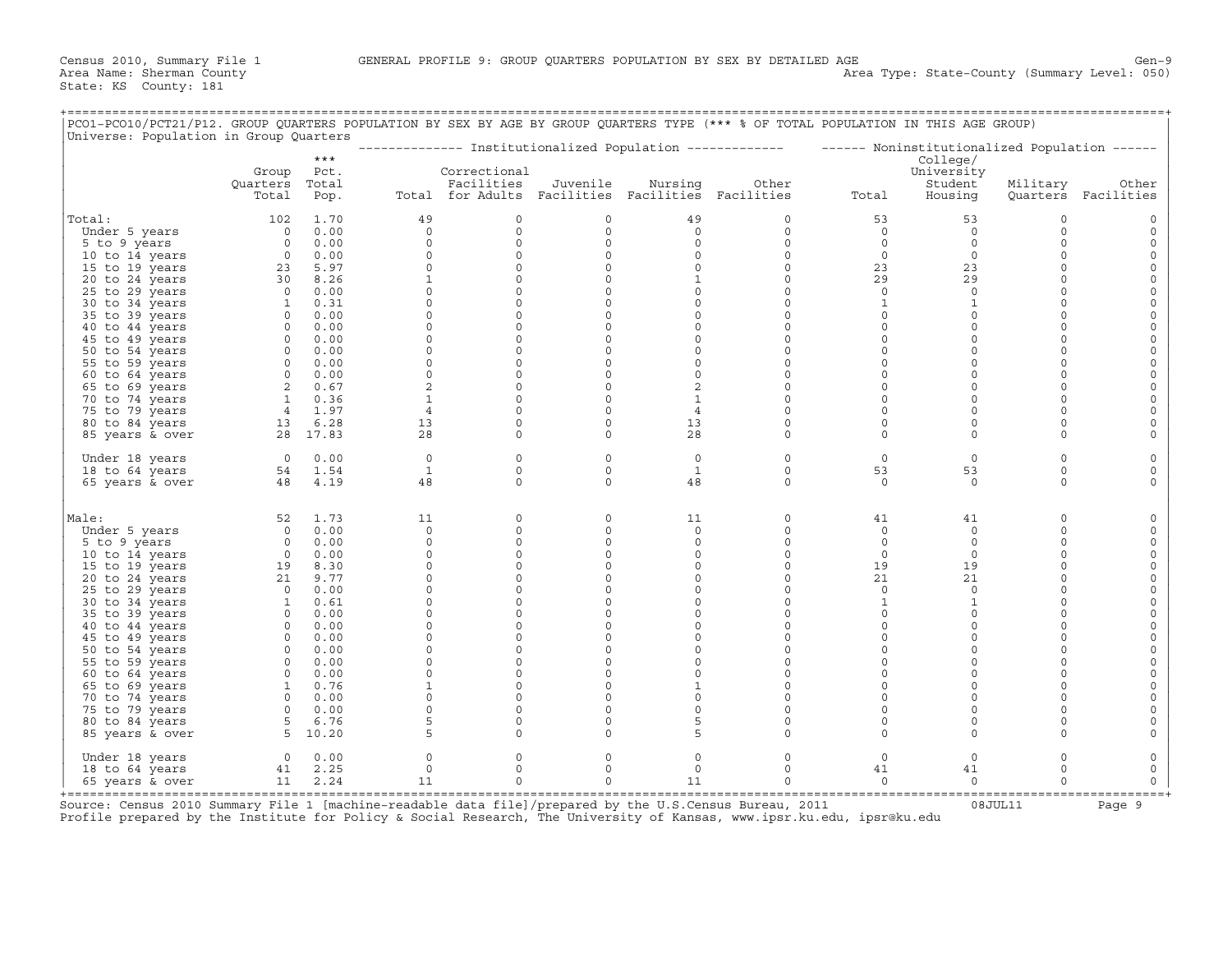+===================================================================================================================================================+

| PCO1-PCO10/PCT21/P12. GROUP QUARTERS POPULATION BY SEX BY AGE BY GROUP QUARTERS TYPE (*** % OF TOTAL POPULATION IN THIS AGE GROUP)<br>Universe: Population in Group Quarters |                                                       |                |                     |                                                   |                     |                     |                        |                                                                                                         |                     |                      |                         |
|------------------------------------------------------------------------------------------------------------------------------------------------------------------------------|-------------------------------------------------------|----------------|---------------------|---------------------------------------------------|---------------------|---------------------|------------------------|---------------------------------------------------------------------------------------------------------|---------------------|----------------------|-------------------------|
|                                                                                                                                                                              |                                                       | $***$          |                     |                                                   |                     |                     |                        | -------------- Institutionalized Population ------------- ------ Noninstitutionalized Population ------ |                     |                      |                         |
|                                                                                                                                                                              |                                                       |                |                     |                                                   |                     |                     |                        |                                                                                                         | College/            |                      |                         |
|                                                                                                                                                                              | Group                                                 | Pct.           |                     | Correctional                                      |                     |                     |                        |                                                                                                         | University          |                      |                         |
|                                                                                                                                                                              | Quarters                                              | Total          |                     | Facilities                                        | Juvenile            | Nursing             | Other                  |                                                                                                         | Student             | Military             | Other                   |
|                                                                                                                                                                              | Total                                                 | Pop.           |                     | Total for Adults Facilities Facilities Facilities |                     |                     |                        | Total                                                                                                   | Housing             |                      | Quarters Facilities     |
| Total:                                                                                                                                                                       | 102                                                   | 1.70           | 49                  | $\circ$                                           | 0                   | 49                  | $\mathbf 0$            | 53                                                                                                      | 53                  | $\circ$              | $\circ$                 |
| Under 5 years                                                                                                                                                                | $\overline{0}$                                        | 0.00           | $\circ$             | $\mathsf{O}$                                      | 0                   | $\circ$             | $\circ$                | $\circ$                                                                                                 | $\circ$             | $\circ$              | $\mathbf 0$             |
| 5 to 9 years                                                                                                                                                                 |                                                       | $0 \t 0.00$    | $\circ$             | $\circ$                                           | $\circ$             | $\circ$             | $\circ$                | $\circ$                                                                                                 | $\circ$             | $\Omega$             | $\mathbb O$             |
| 10 to 14 years                                                                                                                                                               |                                                       | $0 \quad 0.00$ | $\circ$             | $\circ$                                           | $\circ$             | 0                   | $\circ$                | $\circ$                                                                                                 | $\circ$             | $\mathbf 0$          | $\circ$                 |
| 15 to 19 years                                                                                                                                                               |                                                       | 23 5.97        | $\circ$             | $\circ$                                           | $\circ$             | $\mathsf O$         | $\circ$                | 23                                                                                                      | 23                  | $\mathbf 0$          | $\mathbf 0$             |
| 20 to 24 years                                                                                                                                                               |                                                       | 30 8.26        | $\mathbf{1}$        | $\circ$                                           | $\circ$             | $\mathbf{1}$        | $\circ$                | 29                                                                                                      | 29                  | $\circ$              | $\mathbb O$             |
| 25 to 29 years                                                                                                                                                               |                                                       | $0 \t 0.00$    | $\mathsf{O}\xspace$ | $\mathsf{O}\xspace$                               | $\circ$             | $\circ$             | $\circ$                | $\circ$                                                                                                 | $\circ$             | $\mathbf 0$          | $\mathsf O$             |
| 30 to 34 years                                                                                                                                                               |                                                       | 1 0.31         | $\circ$             | $\circ$                                           | $\circ$             | 0                   | $\mathbf 0$            | 1                                                                                                       | $\mathbf{1}$        | $\mathbf 0$          | 0                       |
| 35 to 39 years                                                                                                                                                               |                                                       | $0 \t 0.00$    | $\Omega$            | $\Omega$                                          | $\Omega$            | $\Omega$            | $\Omega$               | $\circ$                                                                                                 | $\circ$             | $\Omega$             | $\mathbb O$             |
| 40 to 44 years                                                                                                                                                               |                                                       | $0 \t 0.00$    | $\circ$             | $\mathbb O$                                       | $\circ$             | $\mathsf O$         | $\mathsf O$            | $\mathsf{O}$                                                                                            | $\mathbb O$         | $\mathbf 0$          | $\mathsf{O}$            |
| 45 to 49 years                                                                                                                                                               |                                                       | $0 \t 0.00$    | $\circ$             | $\mathsf{O}\xspace$                               | $\circ$             | $\mathsf O$         | $\mathsf O$            | $\circ$                                                                                                 | $\mathsf{O}\xspace$ | $\mathbf 0$          | $\mathbf 0$             |
| 50 to 54 years                                                                                                                                                               |                                                       | $0 \t 0.00$    | $\circ$             | $\circ$                                           | $\circ$             | $\circ$             | $\mathbf 0$            | $\circ$                                                                                                 | $\circ$             | $\mathbf 0$          | $\mathbf 0$             |
| 55 to 59 years                                                                                                                                                               |                                                       | $0 \t 0.00$    | $\circ$             | $\circ$                                           | $\circ$             | $\circ$             | $\mathbf 0$            | $\circ$                                                                                                 | $\mathbb O$         | $\Omega$             | $\mathsf{O}$            |
| 60 to 64 years                                                                                                                                                               |                                                       | $0 \t 0.00$    | $\circ$             | $\mathsf{O}$                                      | $\circ$             | $\mathsf O$         | 0                      | $\circ$                                                                                                 | $\mathbb O$         | $\mathbf 0$          | $\mathsf{O}$            |
| 65 to 69 years                                                                                                                                                               | 2 0.67                                                |                | 2                   | $\circ$                                           | $\circ$             | 2                   | $\mathsf O$            | $\circ$                                                                                                 | $\mathbb O$         | $\mathbf{0}$         | $\circ$                 |
| 70 to 74 years                                                                                                                                                               |                                                       | 1 0.36         | $\mathbf{1}$        | $\circ$                                           | $\circ$             | $\mathbf{1}$        | $\Omega$               | $\circ$                                                                                                 | $\circ$             | $\Omega$             | $\mathsf{O}$            |
| 75 to 79 years                                                                                                                                                               |                                                       | 4 1.97         | $\overline{4}$      | $\circ$                                           | $\circ$             | $\overline{4}$      | $\mathbf 0$            | $\circ$                                                                                                 | $\circ$             | $\circ$              | 0                       |
| 80 to 84 years                                                                                                                                                               | $13 \t 6.28$                                          |                | 13                  | $\mathsf{O}$                                      | $\circ$             | 13                  | $\circ$                | $\circ$                                                                                                 | $\mathbb O$         | $\mathbf 0$          | $\circ$                 |
| 85 years & over                                                                                                                                                              |                                                       | 28 17.83       | 28                  | $\mathbf{0}$                                      | $\circ$             | 28                  | $\circ$                | $\circ$                                                                                                 | $\circ$             | $\Omega$             | $\mathsf{O}$            |
|                                                                                                                                                                              |                                                       |                |                     |                                                   |                     |                     |                        |                                                                                                         |                     |                      |                         |
| Under 18 years                                                                                                                                                               | 0 0.00                                                |                | $\circ$             | $\mathsf{O}$                                      | $\circ$             | $\circ$             | 0                      | $\circ$                                                                                                 | $\circ$             | $\mathbf 0$          | $\mathbf 0$             |
| 18 to 64 years                                                                                                                                                               | 48 4.19                                               | 54 1.54        | $\mathbf{1}$<br>48  | $\Omega$<br>$\Omega$                              | $\circ$<br>$\Omega$ | 1<br>48             | $\circ$<br>$\mathbf 0$ | 53<br>$\Omega$                                                                                          | 53<br>$\mathbf 0$   | $\Omega$<br>$\Omega$ | $\mathsf{O}$<br>$\circ$ |
| 65 years & over                                                                                                                                                              |                                                       |                |                     |                                                   |                     |                     |                        |                                                                                                         |                     |                      |                         |
| Male:                                                                                                                                                                        | 52                                                    | 1.73           | 11                  | $\mathbf{0}$                                      | 0                   | 11                  | $\circ$                | 41                                                                                                      | 41                  | $\mathbf 0$          | 0                       |
| Under 5 years                                                                                                                                                                |                                                       | $0 \t 0.00$    | $\circ$             | $\circ$                                           | $\circ$             | $\circ$             | $\circ$                | $\circ$                                                                                                 | $\circ$             | $\circ$              | $\circ$                 |
| 5 to 9 years                                                                                                                                                                 |                                                       | $0 \t 0.00$    | $\circ$             | $\mathbf 0$                                       | $\circ$             | $\circ$             | $\circ$                | $\mathbb O$                                                                                             | $\circ$             | $\Omega$             | $\mathsf O$             |
| 10 to 14 years                                                                                                                                                               |                                                       | $0 \t 0.00$    | $\circ$             | $\circ$                                           | $\circ$             | $\circ$             | $\circ$                | $\circ$                                                                                                 | $\circ$             | $\mathbf 0$          | $\circ$                 |
| 15 to 19 years                                                                                                                                                               | $\begin{array}{cc} 0 & 0.00 \\ 19 & 8.30 \end{array}$ |                | $\circ$             | $\circ$                                           | $\circ$             | $\circ$             | $\circ$                | 19                                                                                                      | 19                  | $\mathbf 0$          | $\circ$                 |
| 20 to 24 years                                                                                                                                                               | 21                                                    | 9.77           | $\circ$             | 0                                                 | 0                   | $\mathsf O$         | 0                      | 21                                                                                                      | 21                  | $\Omega$             | $\mathsf{O}$            |
| 25 to 29 years                                                                                                                                                               |                                                       | $0 \t 0.00$    | $\circ$             | $\mathbf 0$                                       | $\circ$             | $\mathsf O$         | $\mathsf O$            | $\circ$                                                                                                 | $\circ$             | $\mathbf{0}$         | $\mathsf O$             |
| 30 to 34 years                                                                                                                                                               |                                                       | $1 \t 0.61$    | $\circ$             | $\circ$                                           | $\circ$             | $\mathsf{O}$        | $\mathbf 0$            | 1                                                                                                       | $\mathbf{1}$        | $\mathbf 0$          | $\circ$                 |
| 35 to 39 years                                                                                                                                                               |                                                       | $0 \t 0.00$    | $\circ$             | $\circ$                                           | $\circ$             | $\circ$             | $\Omega$               | $\circ$                                                                                                 | $\circ$             | $\Omega$             | $\mathsf{O}$            |
| 40 to 44 years                                                                                                                                                               |                                                       | $0 \t 0.00$    | $\circ$             | $\circ$                                           | $\circ$             | $\mathsf O$         | $\mathsf O$            | $\circ$                                                                                                 | $\mathbb O$         | $\mathbf 0$          | $\mathbb O$             |
| 45 to 49 years                                                                                                                                                               |                                                       | $0 \t 0.00$    | $\circ$             | $\mathsf{O}\xspace$                               | $\circ$             | $\mathsf{O}\xspace$ | $\circ$                | $\circ$                                                                                                 | $\circ$             | $\mathbf{0}$         | $\mathbb O$             |
| 50 to 54 years                                                                                                                                                               |                                                       | $0 \t 0.00$    | $\circ$             | $\mathbf{0}$                                      | $\circ$             | $\circ$             | $\Omega$               | $\circ$                                                                                                 | $\circ$             | $\Omega$             | $\mathsf{O}$            |
| 55 to 59 years                                                                                                                                                               |                                                       | 0 0.00         | $\circ$             | $\circ$                                           | $\circ$             | $\circ$             | $\mathbf 0$            | $\circ$                                                                                                 | $\mathbf 0$         | $\mathbf 0$          | $\mathbf 0$             |
| 60 to 64 years                                                                                                                                                               |                                                       | $0 \t 0.00$    | $\mathsf{O}$        | $\mathsf{O}$                                      | 0                   | $\mathsf O$         | $\mathbf 0$            | $\circ$                                                                                                 | $\circ$             | $\circ$              | $\mathbb O$             |
| 65 to 69 years                                                                                                                                                               |                                                       | 1 0.76         | $\mathbf{1}$        | $\circ$                                           | 0                   | $\mathbf{1}$        | $\mathbf 0$            | $\circ$                                                                                                 | $\mathbb O$         | $\Omega$             | $\mathsf{O}$            |
| 70 to 74 years                                                                                                                                                               |                                                       | $0 \t 0.00$    | $\circ$             | $\circ$                                           | $\circ$             | $\mathsf O$         | $\mathbf 0$            | $\circ$                                                                                                 | $\circ$             | $\mathbf 0$          | $\mathsf{O}$            |
| 75 to 79 years                                                                                                                                                               |                                                       | $0 \t 0.00$    | $\circ$             | $\circ$                                           | $\circ$             | $\circ$             | $\mathbf 0$            | $\circ$                                                                                                 | $\mathbb O$         | $\mathbf 0$          | $\mathbf 0$             |
| 80 to 84 years                                                                                                                                                               |                                                       | 5 6.76         | 5                   | $\circ$                                           | $\circ$             | 5                   | $\mathbf 0$            | $\circ$                                                                                                 | $\circ$             | $\mathbf 0$          | $\mathbf 0$             |
| 85 years & over                                                                                                                                                              | $5\quad 10.20$                                        |                | 5                   | $\circ$                                           | $\circ$             | 5                   | $\mathbf 0$            | $\circ$                                                                                                 | $\circ$             | $\mathbf 0$          | $\mathsf{O}$            |
| Under 18 years                                                                                                                                                               |                                                       | $0 \t 0.00$    | 0                   | 0                                                 | 0                   | 0                   | 0                      | $\circ$                                                                                                 | $\circ$             | $\circ$              | 0                       |
| 18 to 64 years                                                                                                                                                               |                                                       | 41 2.25        | $\circ$             | $\circ$                                           | $\circ$             | $\circ$             | $\circ$                | 41                                                                                                      | 41                  | $\mathbf 0$          | $\mathbf 0$             |
| 65 years & over                                                                                                                                                              |                                                       | 11 2.24        | 11                  | $\mathbf{0}$                                      | $\circ$             | 11                  | $\circ$                | $\mathbf 0$                                                                                             | $\circ$             | $\Omega$             | $\mathbf 0$             |

+===================================================================================================================================================+ Source: Census 2010 Summary File 1 [machine-readable data file]/prepared by the U.S.Census Bureau, 2011 Page 9<br>Profile prepared by the Institute for Policy & Social Research, The University of Kansas, www.ip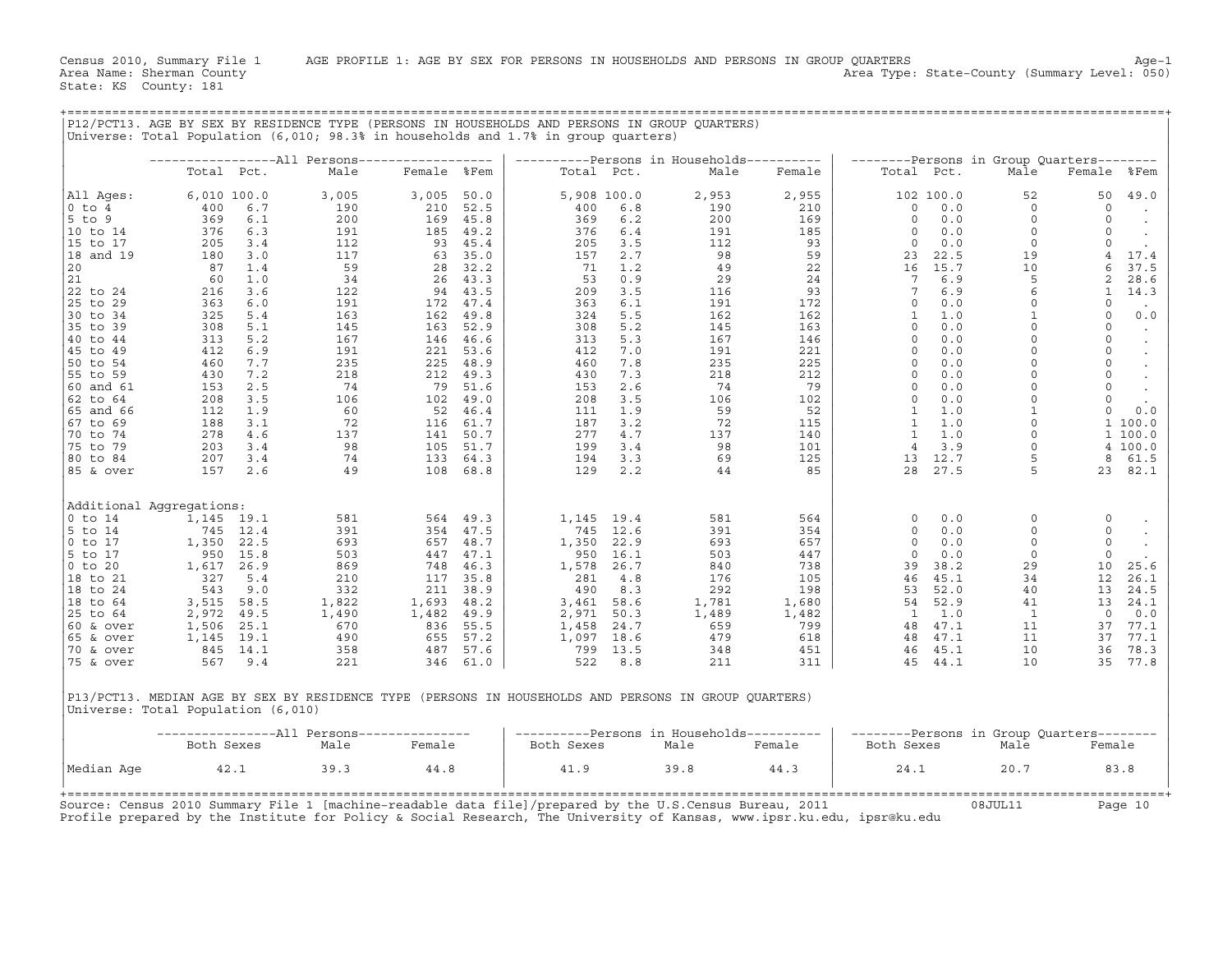|                        |                                    |              | P12/PCT13. AGE BY SEX BY RESIDENCE TYPE (PERSONS IN HOUSEHOLDS AND PERSONS IN GROUP QUARTERS)<br>Universe: Total Population (6,010; 98.3% in households and 1.7% in group quarters) |             |              |              |              |                                                   |            |                        |              |                                                   |                     |                      |
|------------------------|------------------------------------|--------------|-------------------------------------------------------------------------------------------------------------------------------------------------------------------------------------|-------------|--------------|--------------|--------------|---------------------------------------------------|------------|------------------------|--------------|---------------------------------------------------|---------------------|----------------------|
|                        |                                    |              |                                                                                                                                                                                     |             |              |              |              |                                                   |            |                        |              |                                                   |                     |                      |
|                        | Total Pct.                         |              | Male                                                                                                                                                                                | Female %Fem |              |              | Total Pct.   | ----------Persons in Households----------<br>Male | Female     | Total Pct.             |              | --------Persons in Group Ouarters--------<br>Male | Female              | %Fem                 |
|                        |                                    |              |                                                                                                                                                                                     |             |              |              |              |                                                   |            |                        |              |                                                   |                     |                      |
| All Ages:              | 6,010 100.0                        |              | 3,005                                                                                                                                                                               | 3,005       | 50.0         |              | 5,908 100.0  | 2,953                                             | 2,955      |                        | 102 100.0    | 52                                                | 50                  | 49.0                 |
| $0$ to $4$             | 400                                | 6.7          | 190                                                                                                                                                                                 | 210         | 52.5         | 400          | 6.8          | 190                                               | 210        | 0                      | 0.0          | $\circ$                                           | $\Omega$            |                      |
| $5$ to $9$<br>10 to 14 | 369<br>376                         | 6.1<br>6.3   | 200<br>191                                                                                                                                                                          | 169<br>185  | 45.8<br>49.2 | 369<br>376   | 6.2<br>6.4   | 200<br>191                                        | 169<br>185 | $\circ$<br>0           | 0.0<br>0.0   | $\circ$<br>0                                      | $\Omega$<br>$\circ$ |                      |
| 15 to 17               | 205                                | 3.4          | 112                                                                                                                                                                                 | 93          | 45.4         | 205          | 3.5          | 112                                               | 93         | $\circ$                | 0.0          | $\circ$                                           | $\circ$             |                      |
| 18 and 19              | 180                                | 3.0          | 117                                                                                                                                                                                 | 63          | 35.0         | 157          | 2.7          | 98                                                | 59         | 23                     | 22.5         | 19                                                | $\overline{4}$      | 17.4                 |
| 20                     | 87                                 | 1.4          | 59                                                                                                                                                                                  |             | 28 32.2      | 71           | 1.2          | 49                                                | 22         | 16                     | 15.7         | 10                                                | 6                   | 37.5                 |
| 21                     | 60                                 | 1.0          | 34                                                                                                                                                                                  | 26          | 43.3         | 53           | 0.9          | 29                                                | 24         | 7                      | 6.9          | 5                                                 | $\sqrt{2}$          | 28.6                 |
| 22 to 24               | 216                                | 3.6          | 122                                                                                                                                                                                 | 94          | 43.5         | 209          | 3.5          | 116                                               | 93         | $7\overline{ }$        | 6.9          | 6                                                 | $\mathbf{1}$        | 14.3                 |
| 25 to 29               | 363                                | 6.0          | 191                                                                                                                                                                                 | 172         | 47.4         | 363          | 6.1          | 191                                               | 172        | $\circ$                | 0.0          | 0                                                 | 0                   | $\cdot$              |
| 30 to 34               | 325                                | 5.4          | 163                                                                                                                                                                                 | 162         | 49.8         | 324          | 5.5          | 162                                               | 162        | 1                      | 1.0          | $\mathbf{1}$                                      | $\Omega$            | 0.0                  |
| 35 to 39               | 308                                | 5.1          | 145                                                                                                                                                                                 | 163         | 52.9         | 308          | 5.2          | 145                                               | 163        | $\circ$                | 0.0          | $\mathbf 0$                                       | 0                   | $\bullet$            |
| 40 to 44<br>45 to 49   | 313<br>412                         | 5.2<br>6.9   | 167<br>191                                                                                                                                                                          | 146<br>221  | 46.6<br>53.6 | 313<br>412   | 5.3<br>7.0   | 167<br>191                                        | 146<br>221 | $\mathbf 0$<br>$\circ$ | 0.0<br>0.0   | $\mathbf 0$<br>$\Omega$                           | $\circ$<br>$\circ$  | $\ddot{\phantom{a}}$ |
| 50 to 54               | 460                                | 7.7          | 235                                                                                                                                                                                 | 225         | 48.9         | 460          | 7.8          | 235                                               | 225        | $\Omega$               | 0.0          | $\Omega$                                          | $\circ$             |                      |
| 55 to 59               | 430                                | 7.2          | 218                                                                                                                                                                                 | 212         | 49.3         | 430          | 7.3          | 218                                               | 212        | $\circ$                | 0.0          | $\mathbf 0$                                       | $\circ$             |                      |
| 60 and 61              | 153                                | 2.5          | 74                                                                                                                                                                                  | 79          | 51.6         | 153          | 2.6          | 74                                                | 79         | $\circ$                | 0.0          | $\Omega$                                          | $\circ$             | $\cdot$              |
| 62 to 64               | 208                                | 3.5          | 106                                                                                                                                                                                 | 102         | 49.0         | 208          | 3.5          | 106                                               | 102        | $\circ$                | 0.0          | $\Omega$                                          | $\circ$             |                      |
| 65 and 66              | 112                                | 1.9          | 60                                                                                                                                                                                  | 52          | 46.4         | 111          | 1.9          | 59                                                | 52         | 1                      | 1.0          | $\mathbf{1}$                                      | $\circ$             | 0.0                  |
| 67 to 69               | 188                                | 3.1          | 72                                                                                                                                                                                  | 116         | 61.7         | 187          | 3.2          | 72                                                | 115        | $\mathbf{1}$           | 1.0          | $\mathbf 0$                                       |                     | 1 100.0              |
| 70 to 74               | 278                                | 4.6          | 137                                                                                                                                                                                 |             | 141 50.7     | 277          | 4.7          | 137                                               | 140        | $\mathbf{1}$           | 1.0          | $\mathbf 0$                                       |                     | 1 100.0              |
| 75 to 79<br>80 to 84   | 203<br>207                         | 3.4          | 98<br>74                                                                                                                                                                            | 105<br>133  | 51.7<br>64.3 | 199<br>194   | 3.4<br>3.3   | 98<br>69                                          | 101<br>125 | $\overline{4}$<br>13   | 3.9<br>12.7  | $\Omega$<br>5                                     | 8                   | 4 100.0<br>61.5      |
| 85 & over              | 157                                | 3.4<br>2.6   | 49                                                                                                                                                                                  |             | 108 68.8     | 129          | 2.2          | 44                                                | 85         | 28                     | 27.5         | 5                                                 |                     | 23 82.1              |
|                        |                                    |              |                                                                                                                                                                                     |             |              |              |              |                                                   |            |                        |              |                                                   |                     |                      |
|                        |                                    |              |                                                                                                                                                                                     |             |              |              |              |                                                   |            |                        |              |                                                   |                     |                      |
|                        | Additional Aggregations:           |              |                                                                                                                                                                                     |             |              |              |              |                                                   |            |                        |              |                                                   |                     |                      |
| $0$ to $14$            | 1,145                              | 19.1         | 581                                                                                                                                                                                 | 564         | 49.3         | 1,145        | 19.4         | 581                                               | 564        | $\mathbf 0$            | 0.0          | $\Omega$                                          | $\circ$             |                      |
| 5 to 14                | 745                                | 12.4         | 391<br>693                                                                                                                                                                          | 354         | 47.5         | 745          | 12.6<br>22.9 | 391                                               | 354<br>657 | $\circ$<br>$\Omega$    | 0.0<br>0.0   | $\Omega$<br>0                                     | $\circ$<br>$\circ$  |                      |
| 0 to 17<br>5 to 17     | 1,350<br>950                       | 22.5<br>15.8 | 503                                                                                                                                                                                 | 657<br>447  | 48.7<br>47.1 | 1,350<br>950 | 16.1         | 693<br>503                                        | 447        | $\circ$                | 0.0          | $\circ$                                           | $\circ$             |                      |
| $0$ to $20$            | 1,617                              | 26.9         | 869                                                                                                                                                                                 | 748         | 46.3         | 1,578        | 26.7         | 840                                               | 738        | 39                     | 38.2         | 29                                                | 10                  | 25.6                 |
| 18 to 21               | 327                                | 5.4          | 210                                                                                                                                                                                 | 117         | 35.8         | 281          | 4.8          | 176                                               | 105        | 46                     | 45.1         | 34                                                | 12                  | 26.1                 |
| 18 to 24               | 543                                | 9.0          | 332                                                                                                                                                                                 | 211         | 38.9         | 490          | 8.3          | 292                                               | 198        | 53                     | 52.0         | 40                                                | 13                  | 24.5                 |
| 18 to 64               | 3,515                              | 58.5         | 1,822                                                                                                                                                                               | 1,693       | 48.2         | 3,461        | 58.6         | 1,781                                             | 1,680      | 54                     | 52.9         | 41                                                | 13                  | 24.1                 |
| 25 to 64               | 2,972                              | 49.5         | 1,490                                                                                                                                                                               | 1,482       | 49.9         | 2,971        | 50.3         | 1,489                                             | 1,482      | <sup>1</sup>           | 1.0          | 1                                                 | $\circ$             | 0.0                  |
| 60 & over              | 1,506                              | 25.1         | 670                                                                                                                                                                                 | 836         | 55.5         | 1,458        | 24.7         | 659                                               | 799        | 48                     | 47.1         | 11                                                | 37                  | 77.1                 |
| $65$ & over            | 1,145<br>845                       | 19.1         | 490                                                                                                                                                                                 | 655         | 57.2<br>57.6 | 1,097<br>799 | 18.6<br>13.5 | 479                                               | 618<br>451 | 48<br>46               | 47.1<br>45.1 | 11                                                | 37<br>36            | 77.1<br>78.3         |
| 70 & over<br>75 & over | 567                                | 14.1<br>9.4  | 358<br>221                                                                                                                                                                          | 487<br>346  | 61.0         | 522          | 8.8          | 348<br>211                                        | 311        |                        | 45 44.1      | 10<br>10                                          |                     | 35 77.8              |
|                        |                                    |              |                                                                                                                                                                                     |             |              |              |              |                                                   |            |                        |              |                                                   |                     |                      |
|                        |                                    |              |                                                                                                                                                                                     |             |              |              |              |                                                   |            |                        |              |                                                   |                     |                      |
|                        |                                    |              | P13/PCT13. MEDIAN AGE BY SEX BY RESIDENCE TYPE (PERSONS IN HOUSEHOLDS AND PERSONS IN GROUP OUARTERS)                                                                                |             |              |              |              |                                                   |            |                        |              |                                                   |                     |                      |
|                        | Universe: Total Population (6,010) |              |                                                                                                                                                                                     |             |              |              |              |                                                   |            |                        |              |                                                   |                     |                      |
|                        |                                    |              |                                                                                                                                                                                     |             |              |              |              |                                                   |            |                        |              |                                                   |                     |                      |
|                        |                                    |              | ----------------All Persons---------------                                                                                                                                          |             |              |              |              | ----------Persons in Households----------         |            |                        |              | --------Persons in Group Quarters--------         |                     |                      |
|                        | Both Sexes                         |              | Male                                                                                                                                                                                | Female      |              | Both Sexes   |              | Male                                              | Female     | Both Sexes             |              | Male                                              | Female              |                      |
| Median Aqe             |                                    | 42.1         | 39.3                                                                                                                                                                                | 44.8        |              | 41.9         |              | 39.8                                              | 44.3       | 24.1                   |              | 20.7                                              |                     | 83.8                 |
|                        |                                    |              |                                                                                                                                                                                     |             |              |              |              |                                                   |            |                        |              |                                                   |                     |                      |
|                        |                                    |              |                                                                                                                                                                                     |             |              |              |              |                                                   |            |                        |              |                                                   |                     |                      |

+===================================================================================================================================================+ Source: Census 2010 Summary File 1 [machine−readable data file]/prepared by the U.S.Census Bureau, 2011 08JUL11 Page 10 Profile prepared by the Institute for Policy & Social Research, The University of Kansas, www.ipsr.ku.edu, ipsr@ku.edu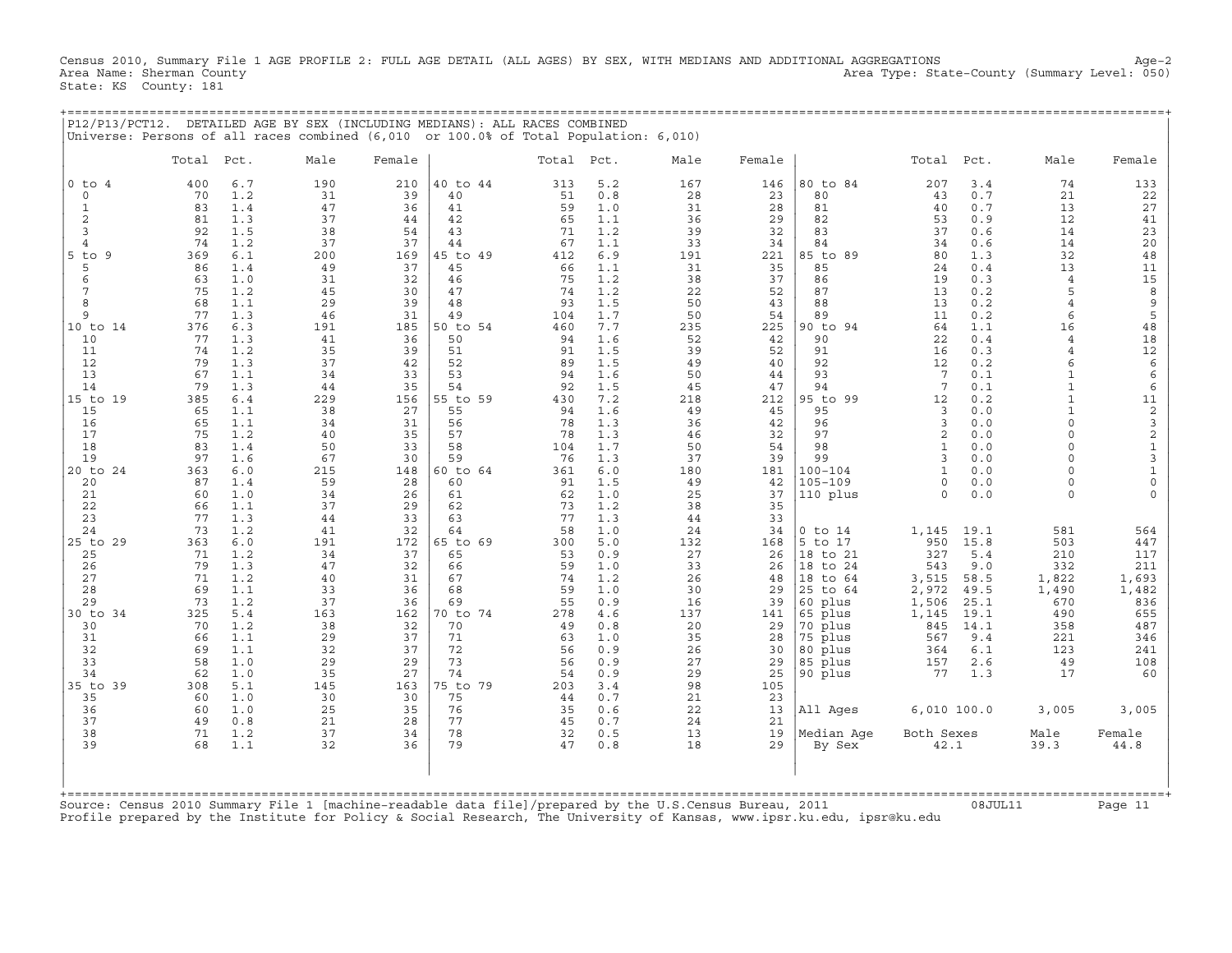Census 2010, Summary File 1 AGE PROFILE 2: FULL AGE DETAIL (ALL AGES) BY SEX, WITH MEDIANS AND ADDITIONAL AGGREGATIONS Age−2 Area Name: Sherman County Area Type: State−County (Summary Level: 050) State: KS County: 181

+===================================================================================================================================================+

| P12/P13/PCT12.                      |           |            | DETAILED AGE BY SEX (INCLUDING MEDIANS): ALL RACES COMBINED<br>Universe: Persons of all races combined (6,010 or 100.0% of Total Population: 6,010) |           |                |           |            |           |           |                         |                     |            |                              |                                 |
|-------------------------------------|-----------|------------|-----------------------------------------------------------------------------------------------------------------------------------------------------|-----------|----------------|-----------|------------|-----------|-----------|-------------------------|---------------------|------------|------------------------------|---------------------------------|
|                                     | Total     | Pct.       | Male                                                                                                                                                | Female    |                | Total     | Pct.       | Male      | Female    |                         | Total               | Pct.       | Male                         | Female                          |
| $0$ to<br>$\overline{4}$<br>$\circ$ | 400<br>70 | 6.7<br>1.2 | 190<br>31                                                                                                                                           | 210<br>39 | 40 to 44<br>40 | 313<br>51 | 5.2<br>0.8 | 167<br>28 | 146<br>23 | 80 to 84<br>80          | 207<br>43           | 3.4<br>0.7 | 74<br>21                     | 133                             |
| $\mathbf{1}$                        | 83        | 1.4        | 47                                                                                                                                                  | 36        | 41             | 59        | 1.0        | 31        | 28        | 81                      | 40                  | 0.7        | 13                           | 22<br>27                        |
| $\overline{c}$                      | 81        | 1.3        | 37                                                                                                                                                  | 44        | 42             | 65        | 1.1        | 36        | 29        | 82                      | 53                  | 0.9        | 12                           | 41                              |
| 3                                   | 92        | 1.5        | 38                                                                                                                                                  | 54        | 43             | 71        | 1.2        | 39        | 32        | 83                      | 37                  | 0.6        | 14                           | 23                              |
| $\overline{4}$                      | 74        | 1.2        | 37                                                                                                                                                  | 37        | 44             | 67        | 1.1        | 33        | 34        | 84                      | 34                  | 0.6        | 14                           | 20                              |
| $5$ to<br>9<br>5                    | 369<br>86 | 6.1<br>1.4 | 200<br>49                                                                                                                                           | 169<br>37 | 45 to 49<br>45 | 412<br>66 | 6.9<br>1.1 | 191<br>31 | 221<br>35 | 85 to 89<br>85          | 80<br>24            | 1.3<br>0.4 | 32<br>13                     | 48<br>11                        |
| 6                                   | 63        | 1.0        | 31                                                                                                                                                  | 32        | 46             | 75        | 1.2        | 38        | 37        | 86                      | 19                  | 0.3        | $\overline{4}$               | 15                              |
| 7                                   | 75        | 1.2        | 45                                                                                                                                                  | 30        | 47             | 74        | 1.2        | 22        | 52        | 87                      | 13                  | 0.2        | 5                            | 8                               |
| 8                                   | 68        | 1.1        | 29                                                                                                                                                  | 39        | 48             | 93        | 1.5        | 50        | 43        | 88                      | 13                  | 0.2        | $\overline{4}$               | $\mathsf 9$                     |
| 9                                   | 77        | 1.3        | 46                                                                                                                                                  | 31        | 49             | 104       | 1.7        | 50        | 54        | 89                      | 11                  | 0.2        | 6                            | 5                               |
| 10 to 14<br>10                      | 376<br>77 | 6.3<br>1.3 | 191<br>41                                                                                                                                           | 185<br>36 | 50 to 54<br>50 | 460<br>94 | 7.7<br>1.6 | 235<br>52 | 225<br>42 | 90 to 94<br>90          | 64<br>22            | 1.1<br>0.4 | 16<br>$\overline{4}$         | 48<br>18                        |
| 11                                  | 74        | 1.2        | 35                                                                                                                                                  | 39        | 51             | 91        | 1.5        | 39        | 52        | 91                      | 16                  | 0.3        | $\overline{4}$               | $12$                            |
| 12                                  | 79        | 1.3        | 37                                                                                                                                                  | 42        | 52             | 89        | 1.5        | 49        | 40        | 92                      | 12                  | 0.2        | 6                            | $\epsilon$                      |
| 13                                  | 67        | 1.1        | 34                                                                                                                                                  | 33        | 53             | 94        | 1.6        | 50        | 44        | 93                      | 7                   | 0.1        | $\mathbf{1}$                 | $\epsilon$                      |
| 14                                  | 79        | 1.3        | 44                                                                                                                                                  | 35        | 54             | 92        | 1.5        | 45        | 47        | 94                      | $7\phantom{.0}$     | 0.1        | $\mathbf{1}$                 | 6                               |
| $15$ to<br>19<br>15                 | 385<br>65 | 6.4<br>1.1 | 229<br>38                                                                                                                                           | 156<br>27 | 55 to 59<br>55 | 430<br>94 | 7.2<br>1.6 | 218<br>49 | 212<br>45 | 95 to<br>99<br>95       | 12<br>3             | 0.2<br>0.0 | $\mathbf{1}$<br>$\mathbf{1}$ | 11<br>$\overline{\mathbf{c}}$   |
| 16                                  | 65        | 1.1        | 34                                                                                                                                                  | 31        | 56             | 78        | 1.3        | 36        | 42        | 96                      | 3                   | 0.0        | $\Omega$                     | 3                               |
| 17                                  | 75        | 1.2        | 40                                                                                                                                                  | 35        | 57             | 78        | 1.3        | 46        | 32        | 97                      | $\mathbf{2}$        | 0.0        | $\Omega$                     | $\boldsymbol{2}$                |
| 18                                  | 83        | 1.4        | 50                                                                                                                                                  | 33        | 58             | 104       | 1.7        | 50        | 54        | 98                      | $\mathbf{1}$        | 0.0        | $\Omega$                     | $\mathbf 1$                     |
| 19                                  | 97        | 1.6        | 67                                                                                                                                                  | 30        | 59             | 76        | 1.3        | 37        | 39        | 99                      | 3                   | 0.0        | $\Omega$                     | $\mathsf 3$                     |
| $20$ to<br>24                       | 363       | 6.0        | 215                                                                                                                                                 | 148       | 60 to 64       | 361       | 6.0        | 180       | 181       | $100 - 104$             | $\mathbf{1}$        | 0.0        | $\Omega$                     | $\mathbf 1$                     |
| 20<br>21                            | 87<br>60  | 1.4<br>1.0 | 59<br>34                                                                                                                                            | 28<br>26  | 60<br>61       | 91<br>62  | 1.5<br>1.0 | 49<br>25  | 42<br>37  | $105 - 109$<br>110 plus | $\circ$<br>$\Omega$ | 0.0<br>0.0 | $\Omega$<br>$\Omega$         | $\mathsf{O}\xspace$<br>$\Omega$ |
| 22                                  | 66        | 1.1        | 37                                                                                                                                                  | 29        | 62             | 73        | 1.2        | 38        | 35        |                         |                     |            |                              |                                 |
| 23                                  | 77        | 1.3        | 44                                                                                                                                                  | 33        | 63             | 77        | 1.3        | 44        | 33        |                         |                     |            |                              |                                 |
| 24                                  | 73        | 1.2        | 41                                                                                                                                                  | 32        | 64             | 58        | 1.0        | 24        | 34        | $0$ to $14$             | 1,145               | 19.1       | 581                          | 564                             |
| 25 to 29                            | 363       | 6.0        | 191                                                                                                                                                 | 172       | 65 to 69       | 300       | 5.0        | 132       | 168       | 5 to 17                 | 950                 | 15.8       | 503                          | 447                             |
| 25<br>26                            | 71<br>79  | 1.2<br>1.3 | 34<br>47                                                                                                                                            | 37<br>32  | 65<br>66       | 53<br>59  | 0.9<br>1.0 | 27<br>33  | 26<br>26  | 18 to 21<br>18 to 24    | 327<br>543          | 5.4<br>9.0 | 210<br>332                   | 117<br>211                      |
| 27                                  | 71        | 1.2        | 40                                                                                                                                                  | 31        | 67             | 74        | 1.2        | 26        | 48        | 18 to 64                | 3,515               | 58.5       | 1,822                        | 1,693                           |
| 28                                  | 69        | 1.1        | 33                                                                                                                                                  | 36        | 68             | 59        | 1.0        | 30        | 29        | 25 to 64                | 2,972               | 49.5       | 1,490                        | 1,482                           |
| 29                                  | 73        | 1.2        | 37                                                                                                                                                  | 36        | 69             | 55        | 0.9        | 16        | 39        | 60 plus                 | 1,506               | 25.1       | 670                          | 836                             |
| 30 to 34                            | 325       | 5.4        | 163                                                                                                                                                 | 162       | 70 to 74       | 278       | 4.6        | 137       | 141       | 65 plus                 | 1,145               | 19.1       | 490                          | 655                             |
| 30                                  | 70        | 1.2        | 38                                                                                                                                                  | 32        | 70             | 49        | 0.8        | 20        | 29        | 70 plus                 | 845                 | 14.1       | 358                          | 487                             |
| 31<br>32                            | 66<br>69  | 1.1<br>1.1 | 29<br>32                                                                                                                                            | 37<br>37  | 71<br>72       | 63<br>56  | 1.0<br>0.9 | 35<br>26  | 28<br>30  | 75 plus<br>80 plus      | 567<br>364          | 9.4<br>6.1 | 221<br>123                   | 346<br>241                      |
| 33                                  | 58        | 1.0        | 29                                                                                                                                                  | 29        | 73             | 56        | 0.9        | 27        | 29        | 85 plus                 | 157                 | 2.6        | 49                           | 108                             |
| 34                                  | 62        | 1.0        | 35                                                                                                                                                  | 27        | 74             | 54        | 0.9        | 29        | 25        | 90 plus                 | 77                  | 1.3        | 17                           | 60                              |
| 35 to<br>39                         | 308       | 5.1        | 145                                                                                                                                                 | 163       | 75 to 79       | 203       | 3.4        | 98        | 105       |                         |                     |            |                              |                                 |
| 35                                  | 60        | 1.0        | 30                                                                                                                                                  | 30        | 75             | 44        | 0.7        | 21        | 23        |                         |                     |            |                              |                                 |
| 36<br>37                            | 60<br>49  | 1.0<br>0.8 | 25<br>21                                                                                                                                            | 35<br>28  | 76<br>77       | 35<br>45  | 0.6<br>0.7 | 22<br>24  | 13<br>21  | All Ages                | 6,010 100.0         |            | 3,005                        | 3,005                           |
| 38                                  | 71        | 1.2        | 37                                                                                                                                                  | 34        | 78             | 32        | 0.5        | 13        | 19        | Median Aqe              | Both Sexes          |            | Male                         | Female                          |
| 39                                  | 68        | 1.1        | 32                                                                                                                                                  | 36        | 79             | 47        | 0.8        | 18        | 29        | By Sex                  | 42.1                |            | 39.3                         | 44.8                            |
|                                     |           |            |                                                                                                                                                     |           |                |           |            |           |           |                         |                     |            |                              |                                 |
|                                     |           |            |                                                                                                                                                     | readable  | deta           |           |            |           |           |                         |                     |            |                              |                                 |

Source: Census 2010 Summary File 1 [machine−readable data file]/prepared by the U.S.Census Bureau, 2011 08JUL11 Page 11 Profile prepared by the Institute for Policy & Social Research, The University of Kansas, www.ipsr.ku.edu, ipsr@ku.edu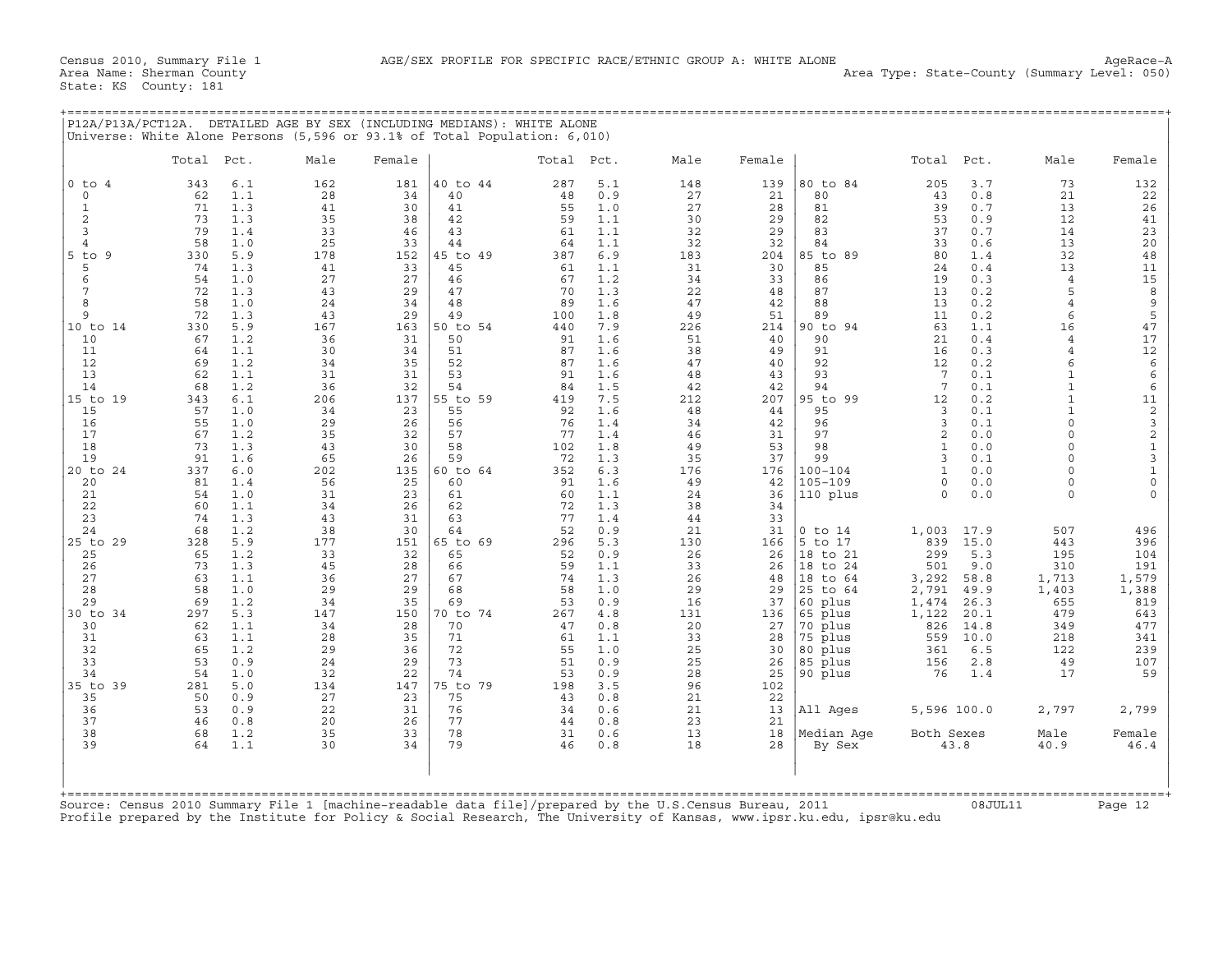| P12A/P13A/PCT12A.                                                                                                                                                                                                                    | Universe: White Alone Persons (5,596 or 93.1% of Total Population: 6,010)                                                                                                                                                                                                                                                                                        |                                                                                                                                                                     |                                                                                                                                                                     | DETAILED AGE BY SEX (INCLUDING MEDIANS): WHITE ALONE                                                                                                                                         |                                                                                                                                                                       |                                                                                                                                                                                           |                                                                                                                                                                     |                                                                                                                                                                     |                                                                                                                                                                                                                |                                                                                                                                                                                                        |                                                                                                                                                                                           |                                                                                                                                                                                                                                                                               |                                                                                                                                                                                         |
|--------------------------------------------------------------------------------------------------------------------------------------------------------------------------------------------------------------------------------------|------------------------------------------------------------------------------------------------------------------------------------------------------------------------------------------------------------------------------------------------------------------------------------------------------------------------------------------------------------------|---------------------------------------------------------------------------------------------------------------------------------------------------------------------|---------------------------------------------------------------------------------------------------------------------------------------------------------------------|----------------------------------------------------------------------------------------------------------------------------------------------------------------------------------------------|-----------------------------------------------------------------------------------------------------------------------------------------------------------------------|-------------------------------------------------------------------------------------------------------------------------------------------------------------------------------------------|---------------------------------------------------------------------------------------------------------------------------------------------------------------------|---------------------------------------------------------------------------------------------------------------------------------------------------------------------|----------------------------------------------------------------------------------------------------------------------------------------------------------------------------------------------------------------|--------------------------------------------------------------------------------------------------------------------------------------------------------------------------------------------------------|-------------------------------------------------------------------------------------------------------------------------------------------------------------------------------------------|-------------------------------------------------------------------------------------------------------------------------------------------------------------------------------------------------------------------------------------------------------------------------------|-----------------------------------------------------------------------------------------------------------------------------------------------------------------------------------------|
|                                                                                                                                                                                                                                      | Total<br>Pct.                                                                                                                                                                                                                                                                                                                                                    | Male                                                                                                                                                                | Female                                                                                                                                                              |                                                                                                                                                                                              | Total Pct.                                                                                                                                                            |                                                                                                                                                                                           | Male                                                                                                                                                                | Female                                                                                                                                                              |                                                                                                                                                                                                                | Total Pct.                                                                                                                                                                                             |                                                                                                                                                                                           | Male                                                                                                                                                                                                                                                                          | Female                                                                                                                                                                                  |
| $0$ to $4$<br>$\circ$<br>$\mathbf{1}$<br>$\overline{c}$<br>$\overline{3}$<br>4<br>$5$ to<br>- 9<br>5<br>6<br>7<br>8<br>9<br>10 to 14<br>10<br>11<br>12<br>13<br>14<br>15 to 19<br>15<br>16<br>17<br>18<br>19<br>20 to 24<br>20<br>21 | 6.1<br>343<br>1.1<br>62<br>71<br>1.3<br>73<br>1.3<br>79<br>1.4<br>1.0<br>58<br>5.9<br>330<br>74<br>1.3<br>54<br>1.0<br>72<br>1.3<br>58<br>1.0<br>72<br>1.3<br>5.9<br>330<br>1.2<br>67<br>1.1<br>64<br>69<br>1.2<br>62<br>1.1<br>68<br>1.2<br>6.1<br>343<br>57<br>1.0<br>55<br>1.0<br>67<br>1.2<br>73<br>1.3<br>91<br>1.6<br>337<br>6.0<br>81<br>1.4<br>54<br>1.0 | 162<br>28<br>41<br>35<br>33<br>25<br>178<br>41<br>27<br>43<br>24<br>43<br>167<br>36<br>30<br>34<br>31<br>36<br>206<br>34<br>29<br>35<br>43<br>65<br>202<br>56<br>31 | 181<br>34<br>30<br>38<br>46<br>33<br>152<br>33<br>27<br>29<br>34<br>29<br>163<br>31<br>34<br>35<br>31<br>32<br>137<br>23<br>26<br>32<br>30<br>26<br>135<br>25<br>23 | 40 to 44<br>40<br>41<br>42<br>43<br>44<br>45 to 49<br>45<br>46<br>47<br>48<br>49<br>50 to 54<br>50<br>51<br>52<br>53<br>54<br>55 to 59<br>55<br>56<br>57<br>58<br>59<br>60 to 64<br>60<br>61 | 287<br>48<br>55<br>59<br>61<br>64<br>387<br>61<br>67<br>70<br>89<br>100<br>440<br>91<br>87<br>87<br>91<br>84<br>419<br>92<br>76<br>77<br>102<br>72<br>352<br>91<br>60 | 5.1<br>0.9<br>1.0<br>1.1<br>1.1<br>1.1<br>6.9<br>1.1<br>1.2<br>1.3<br>1.6<br>1.8<br>7.9<br>1.6<br>1.6<br>1.6<br>1.6<br>1.5<br>7.5<br>1.6<br>1.4<br>1.4<br>1.8<br>1.3<br>6.3<br>1.6<br>1.1 | 148<br>27<br>27<br>30<br>32<br>32<br>183<br>31<br>34<br>22<br>47<br>49<br>226<br>51<br>38<br>47<br>48<br>42<br>212<br>48<br>34<br>46<br>49<br>35<br>176<br>49<br>24 | 139<br>21<br>28<br>29<br>29<br>32<br>204<br>30<br>33<br>48<br>42<br>51<br>214<br>40<br>49<br>40<br>43<br>42<br>207<br>44<br>42<br>31<br>53<br>37<br>176<br>42<br>36 | 80 to 84<br>80<br>81<br>82<br>83<br>84<br>85 to 89<br>85<br>86<br>87<br>88<br>89<br>90 to 94<br>90<br>91<br>92<br>93<br>94<br>95 to 99<br>95<br>96<br>97<br>98<br>99<br>$100 - 104$<br>$105 - 109$<br>110 plus | 205<br>43<br>39<br>53<br>37<br>33<br>80<br>24<br>19<br>13<br>13<br>11<br>63<br>21<br>16<br>12<br>7<br>7<br>12<br>3<br>3<br>$\overline{2}$<br>$\mathbf{1}$<br>3<br>$\mathbf{1}$<br>$\Omega$<br>$\Omega$ | 3.7<br>0.8<br>0.7<br>0.9<br>0.7<br>0.6<br>1.4<br>0.4<br>0.3<br>0.2<br>0.2<br>0.2<br>1.1<br>0.4<br>0.3<br>0.2<br>0.1<br>0.1<br>0.2<br>0.1<br>0.1<br>0.0<br>0.0<br>0.1<br>0.0<br>0.0<br>0.0 | 73<br>21<br>13<br>12<br>14<br>13<br>32<br>13<br>$\overline{4}$<br>5<br>$\overline{4}$<br>6<br>16<br>$\overline{4}$<br>$\overline{4}$<br>6<br>$\mathbf{1}$<br>$\mathbf{1}$<br>$\mathbf{1}$<br>$\Omega$<br>$\Omega$<br>$\Omega$<br>$\Omega$<br>$\Omega$<br>$\Omega$<br>$\Omega$ | 132<br>22<br>26<br>41<br>23<br>20<br>48<br>11<br>15<br>$\,$ 8 $\,$<br>$\mathsf 9$<br>5<br>47<br>17<br>$12\,$<br>$\epsilon$<br>$\epsilon$<br>$\epsilon$<br>$11\,$<br>2321310<br>$\Omega$ |
| 22<br>23<br>24<br>25 to 29<br>25<br>26<br>27<br>28<br>29<br>30 to 34<br>30<br>31<br>32<br>33<br>34<br>35 to 39<br>35<br>36<br>37<br>38<br>39                                                                                         | 60<br>1.1<br>74<br>1.3<br>68<br>1.2<br>328<br>5.9<br>1.2<br>65<br>73<br>1.3<br>1.1<br>63<br>58<br>1.0<br>69<br>1.2<br>297<br>5.3<br>62<br>1.1<br>1.1<br>63<br>65<br>1.2<br>53<br>0.9<br>54<br>1.0<br>5.0<br>281<br>50<br>0.9<br>53<br>0.9<br>46<br>0.8<br>68<br>1.2<br>1.1<br>64                                                                                 | 34<br>43<br>38<br>177<br>33<br>45<br>36<br>29<br>34<br>147<br>34<br>28<br>29<br>24<br>32<br>134<br>27<br>22<br>20<br>35<br>30                                       | 26<br>31<br>30<br>151<br>32<br>28<br>27<br>29<br>35<br>150<br>28<br>35<br>36<br>29<br>22<br>147<br>23<br>31<br>26<br>33<br>34                                       | 62<br>63<br>64<br>65 to 69<br>65<br>66<br>67<br>68<br>69<br>70 to 74<br>70<br>71<br>72<br>73<br>74<br>75 to 79<br>75<br>76<br>77<br>78<br>79                                                 | 72<br>77<br>52<br>296<br>52<br>59<br>74<br>58<br>53<br>267<br>47<br>61<br>55<br>51<br>53<br>198<br>43<br>34<br>44<br>31<br>46                                         | 1.3<br>1.4<br>0.9<br>5.3<br>0.9<br>1.1<br>1.3<br>1.0<br>0.9<br>4.8<br>0.8<br>1.1<br>1.0<br>0.9<br>0.9<br>3.5<br>0.8<br>0.6<br>0.8<br>0.6<br>0.8                                           | 38<br>44<br>21<br>130<br>26<br>33<br>26<br>29<br>16<br>131<br>20<br>33<br>25<br>25<br>28<br>96<br>21<br>21<br>23<br>13<br>18                                        | 34<br>33<br>31<br>166<br>26<br>26<br>48<br>29<br>37<br>136<br>27<br>28<br>30<br>26<br>25<br>102<br>22<br>13<br>21<br>18<br>28                                       | $0$ to $14$<br>5 to 17<br>18 to 21<br>18 to 24<br>18 to 64<br>25 to 64<br>60 plus<br>65 plus<br>70 plus<br>75 plus<br>80 plus<br>85 plus<br>90 plus<br>All Ages<br>Median Age<br>By Sex                        | 1,003<br>839<br>299<br>501<br>3,292<br>2,791<br>1,474<br>1,122<br>826<br>559<br>361<br>156<br>76<br>5,596 100.0<br>Both Sexes                                                                          | 17.9<br>15.0<br>5.3<br>9.0<br>58.8<br>49.9<br>26.3<br>20.1<br>14.8<br>10.0<br>6.5<br>2.8<br>1.4<br>43.8                                                                                   | 507<br>443<br>195<br>310<br>1,713<br>1,403<br>655<br>479<br>349<br>218<br>122<br>49<br>17<br>2,797<br>Male<br>40.9                                                                                                                                                            | 496<br>396<br>104<br>191<br>1,579<br>1,388<br>819<br>643<br>477<br>341<br>239<br>107<br>59<br>2,799<br>Female<br>46.4                                                                   |
|                                                                                                                                                                                                                                      | Source: Census 2010 Summary File 1 [machine-readable data file]/prepared by the U.S.Census Bureau, 2011<br>Profile prepared by the Institute for Policy & Social Research, The University of Kansas, www.ipsr.ku.edu, ipsr@ku.edu                                                                                                                                |                                                                                                                                                                     |                                                                                                                                                                     |                                                                                                                                                                                              |                                                                                                                                                                       |                                                                                                                                                                                           |                                                                                                                                                                     |                                                                                                                                                                     |                                                                                                                                                                                                                |                                                                                                                                                                                                        | 08JUL11                                                                                                                                                                                   |                                                                                                                                                                                                                                                                               | Page 12                                                                                                                                                                                 |

+===================================================================================================================================================+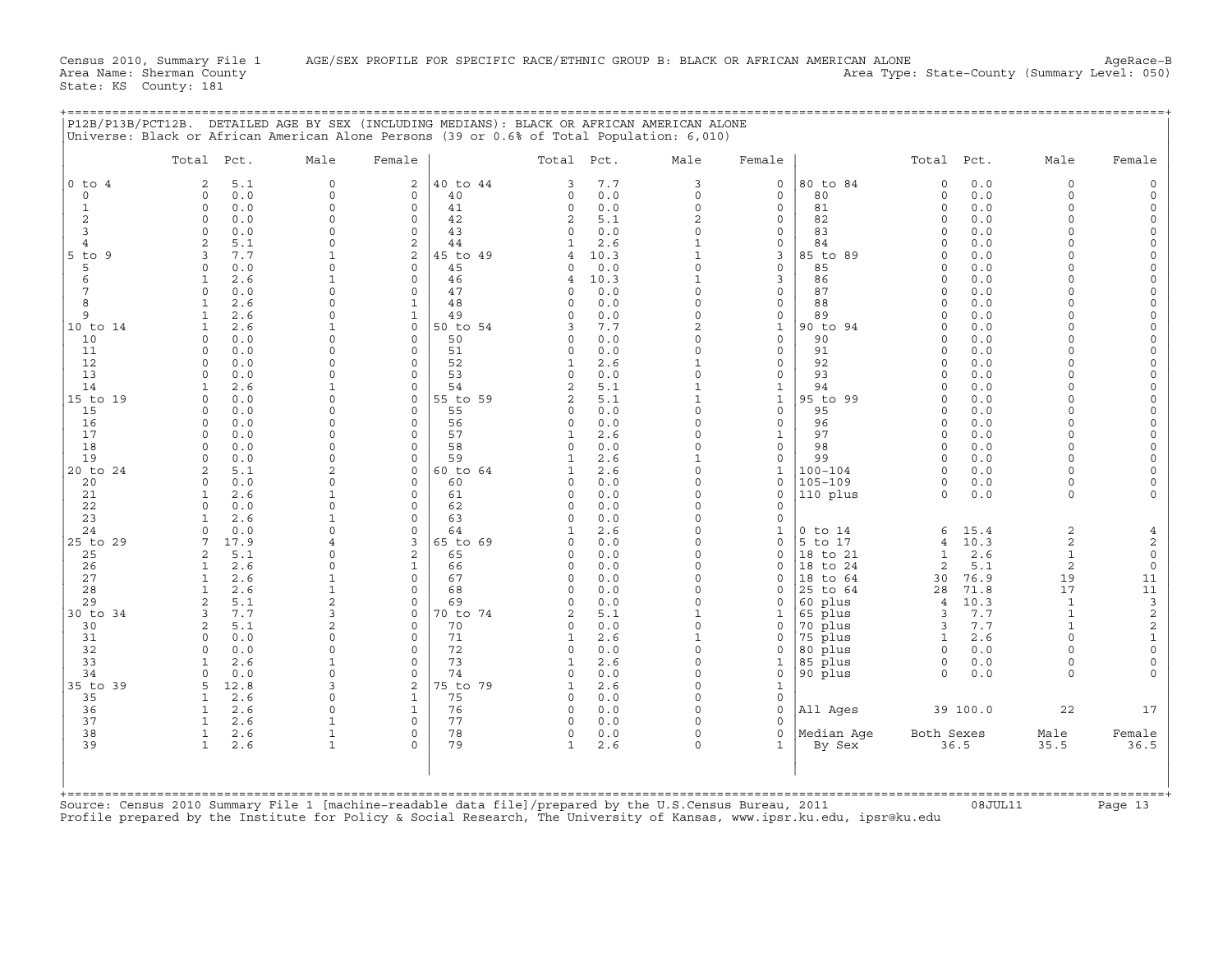|                | Total Pct.                         | Male                 | Female                                        | Total Pct.                 |            | Male                        | Female                  |                        | Total Pct.           |              | Male                 | Female                              |
|----------------|------------------------------------|----------------------|-----------------------------------------------|----------------------------|------------|-----------------------------|-------------------------|------------------------|----------------------|--------------|----------------------|-------------------------------------|
| $0$ to $4$     | 5.1<br>2                           | $\mathbf 0$          | 2<br>40 to 44                                 | 3                          | 7.7        | 3                           | 0                       | 80 to 84               | $\circ$              | 0.0          | $\circ$              | $\Omega$                            |
| $\mathbf 0$    | 0.0<br>$\Omega$                    | $\mathbf 0$          | $\mathbf 0$<br>40                             | $\mathbf 0$                | 0.0        | 0                           | $\mathbf 0$             | 80                     | $\mathbf 0$          | 0.0          | $\Omega$             |                                     |
| 1              | $\Omega$<br>0.0<br>$\Omega$        | $\Omega$<br>$\Omega$ | $\mathbf 0$<br>41                             | $\mathbf 0$                | 0.0        | $\circ$                     | $\circ$                 | 81                     | $\circ$<br>$\Omega$  | 0.0          | $\Omega$<br>$\Omega$ | $\Omega$                            |
| 2<br>3         | 0.0<br>$\Omega$<br>0.0             | $\Omega$             | $\mathbf 0$<br>42<br>$\Omega$<br>43           | $\overline{c}$<br>$\Omega$ | 5.1<br>0.0 | $\overline{c}$<br>$\Omega$  | $\mathbf 0$<br>0        | 82<br>83               | $\Omega$             | 0.0<br>0.0   | $\cap$               | $\Omega$<br>$\Omega$                |
| $\overline{4}$ | 5.1<br>$\mathfrak{D}$              | $\Omega$             | $\overline{c}$<br>44                          | 1                          | 2.6        | $\mathbf{1}$                | $\mathbf 0$             | 84                     | $\Omega$             | 0.0          | $\cap$               | $\Omega$                            |
| $5$ to<br>9    | 3<br>7.7                           | $\mathbf{1}$         | 2<br>45 to 49                                 | 4                          | 10.3       | $\mathbf{1}$                | 3                       | 85 to 89               | $\Omega$             | 0.0          | $\Omega$             | $\Omega$                            |
| 5              | 0.0<br>$\circ$                     | $\Omega$             | 45<br>0                                       | 0                          | 0.0        | $\Omega$                    | 0                       | 85                     | $\Omega$             | 0.0          | $\Omega$             | $\Omega$                            |
| 6              | 2.6<br>$\mathbf{1}$                |                      | $\Omega$<br>46                                | 4                          | 10.3       | $\mathbf{1}$                | 3                       | 86                     | $\Omega$             | 0.0          | $\Omega$             |                                     |
| 7              | $\Omega$<br>0.0                    | $\Omega$             | $\circ$<br>47                                 | $\Omega$                   | 0.0        | $\mathbf 0$                 | 0                       | 87                     | $\Omega$             | 0.0          | $\Omega$             | $\Omega$                            |
| 8              | 2.6<br>-1                          | $\Omega$             | 48<br>1                                       | $\Omega$                   | 0.0        | $\mathbf 0$                 | 0                       | 88                     | $\Omega$             | 0.0          | $\cap$               | $\Omega$                            |
| 9<br>10 to 14  | 2.6<br>$\mathbf{1}$<br>2.6<br>1    | $\Omega$             | $\mathbf{1}$<br>49<br>$\mathbf 0$<br>50 to 54 | $\Omega$<br>3              | 0.0<br>7.7 | $\Omega$<br>$\overline{2}$  | $\circ$<br>$\mathbf{1}$ | 89<br>90 to 94         | $\Omega$<br>$\Omega$ | 0.0<br>0.0   | $\Omega$<br>$\Omega$ | $\Omega$<br>$\Omega$                |
| 10             | 0.0<br>$\Omega$                    | $\Omega$             | 50<br>$\mathbf 0$                             | $\circ$                    | 0.0        | $\Omega$                    | $\mathbf 0$             | 90                     | $\Omega$             | 0.0          | $\Omega$             | $\Omega$                            |
| 11             | 0.0<br>$\cap$                      | $\Omega$             | 0<br>51                                       | $\Omega$                   | 0.0        | $\Omega$                    | 0                       | 91                     | $\Omega$             | 0.0          | $\cap$               | $\Omega$                            |
| 12             | 0.0<br>$\cap$                      | $\Omega$             | $\Omega$<br>52                                | 1                          | 2.6        | $\mathbf{1}$                | $\mathbf 0$             | 92                     | $\cap$               | 0.0          | $\Omega$             | $\Omega$                            |
| 13             | 0.0<br>$\circ$                     | $\Omega$             | 53<br>$\mathbf 0$                             | 0                          | 0.0        | $\mathbf 0$                 | 0                       | 93                     | $\Omega$             | 0.0          | $\Omega$             | $\Omega$                            |
| 14             | 2.6<br>-1                          |                      | 54<br>$\mathbf 0$                             | 2                          | 5.1        | $\mathbf{1}$                | 1                       | 94                     | $\Omega$             | 0.0          | $\cap$               | $\Omega$                            |
| 15 to 19       | $\Omega$<br>0.0                    | $\Omega$             | 55 to 59<br>$\Omega$                          | 2                          | 5.1        | $\mathbf{1}$                | $\mathbf{1}$            | 95 to 99               | $\Omega$             | 0.0          | $\Omega$             |                                     |
| 15             | 0.0<br>$\Omega$                    | $\Omega$             | 55<br>$\Omega$                                | $\Omega$                   | 0.0        | $\Omega$                    | 0                       | 95                     | $\Omega$             | 0.0          | $\Omega$             | $\Omega$                            |
| 16<br>17       | 0.0<br>$\Omega$<br>0.0<br>$\Omega$ | $\cap$<br>$\Omega$   | $\Omega$<br>56<br>$\mathbf 0$<br>57           | $\Omega$<br>1              | 0.0<br>2.6 | $\Omega$<br>$\Omega$        | 0<br>$\mathbf{1}$       | 96<br>97               | $\Omega$<br>$\Omega$ | 0.0<br>$0.0$ | $\cap$<br>$\Omega$   | $\Omega$<br>$\Omega$                |
| 18             | 0.0<br>$\Omega$                    | $\Omega$             | 58<br>$\Omega$                                | $\Omega$                   | 0.0        | $\Omega$                    | $\circ$                 | 98                     | $\Omega$             | 0.0          | $\Omega$             | $\Omega$                            |
| 19             | $\Omega$<br>0.0                    | $\Omega$             | $\mathbf 0$<br>59                             | 1                          | 2.6        | 1                           | 0                       | 99                     | $\Omega$             | 0.0          | $\Omega$             |                                     |
| 20 to 24       | 5.1                                |                      | $\mathbf 0$<br>60 to 64                       | 1                          | 2.6        | $\Omega$                    | $\mathbf{1}$            | $100 - 104$            | $\Omega$             | 0.0          | $\Omega$             | $\Omega$                            |
| 20             | 0.0<br>$\Omega$                    | $\Omega$             | $\Omega$<br>60                                | $\Omega$                   | 0.0        | $\Omega$                    | $\mathbf 0$             | $105 - 109$            | $\Omega$             | 0.0          | $\Omega$             | $\Omega$                            |
| 21             | $\mathbf{1}$<br>2.6                |                      | $\mathbf 0$<br>61                             | 0                          | 0.0        | $\Omega$                    | 0                       | 110 plus               | $\Omega$             | 0.0          | $\Omega$             |                                     |
| 22             | $\Omega$<br>0.0                    | $\Omega$             | 62<br>$\Omega$                                | $\circ$                    | 0.0        | $\Omega$                    | $\mathbf 0$             |                        |                      |              |                      |                                     |
| 23             | 2.6<br>$\mathbf{1}$                |                      | $\Omega$<br>63                                | $\Omega$                   | 0.0        | $\Omega$                    | $\Omega$                |                        |                      |              |                      |                                     |
| 24<br>25 to 29 | $\Omega$<br>0.0<br>17.9<br>7       | $\Omega$             | $\circ$<br>64<br>3<br>65 to 69                | 1<br>$\Omega$              | 2.6<br>0.0 | $\mathbf 0$<br>$\Omega$     | 1<br>0                  | $0$ to $14$<br>5 to 17 | 6<br>4               | 15.4<br>10.3 | 2<br>$\overline{2}$  | 4<br>$\overline{c}$                 |
| 25             | $\mathfrak{D}$<br>5.1              | $\Omega$             | 2<br>65                                       | $\Omega$                   | 0.0        | $\Omega$                    | $\mathbf 0$             | 18 to 21               | $\mathbf{1}$         | 2.6          | $\mathbf{1}$         | $\mathsf{O}\xspace$                 |
| 26             | 2.6<br>1                           |                      | $\mathbf{1}$<br>66                            | $\circ$                    | 0.0        | $\Omega$                    | 0                       | 18 to 24               | $\mathbf{2}$         | 5.1          | $\overline{2}$       | $\mathsf{O}\xspace$                 |
| 27             | <sup>1</sup><br>2.6                |                      | $\Omega$<br>67                                | $\Omega$                   | 0.0        | $\Omega$                    | $\Omega$                | 18 to 64               | 30                   | 76.9         | 19                   | 11                                  |
| 28             | $\mathbf{1}$<br>2.6                |                      | 68<br>$\Omega$                                | $\Omega$                   | 0.0        | $\Omega$                    | 0                       | 25 to 64               | 28                   | 71.8         | 17                   | $11$                                |
| 29             | 2<br>5.1                           | $\overline{a}$       | $\Omega$<br>69                                | $\Omega$                   | 0.0        | $\Omega$                    | 0                       | 60 plus                | $\overline{4}$       | 10.3         | $\mathbf{1}$         | $\mathbf{3}$                        |
| 30 to 34       | 3<br>7.7                           | 3                    | $\mathbf 0$<br>70 to 74                       | $\mathfrak{D}$             | 5.1        | $\mathbf{1}$                | 1                       | 65 plus                | 3                    | 7.7          | $\mathbf{1}$         | $\sqrt{2}$                          |
| 30             | 5.1<br>2                           | $\mathbf{2}$         | $\Omega$<br>70                                | 0                          | 0.0        | $\circ$                     | 0                       | 70 plus                | 3                    | 7.7          | $\mathbf{1}$         | $\sqrt{2}$                          |
| 31<br>32       | 0.0<br>$\Omega$<br>$\Omega$<br>0.0 | $\Omega$<br>$\Omega$ | $\circ$<br>71<br>72<br>$\mathbf 0$            | 1<br>0                     | 2.6<br>0.0 | $\mathbf{1}$<br>$\mathbf 0$ | 0<br>0                  | 75 plus<br>80 plus     | $\mathbf{1}$<br>0    | 2.6<br>0.0   | $\Omega$<br>$\Omega$ | $\mathbf{1}$<br>$\mathsf{O}\xspace$ |
| 33             | $\mathbf{1}$<br>2.6                | $\mathbf{1}$         | 73<br>$\Omega$                                | $\mathbf{1}$               | 2.6        | $\Omega$                    | $\mathbf{1}$            | 85 plus                | $\circ$              | 0.0          | $\Omega$             | $\circ$                             |
| 34             | 0.0<br>$\Omega$                    | $\Omega$             | $\circ$<br>74                                 | 0                          | 0.0        | $\Omega$                    | 0                       | 90 plus                | $\Omega$             | 0.0          | $\Omega$             | $\Omega$                            |
| 35 to 39       | 12.8<br>5                          | 3                    | 2<br>75 to 79                                 | 1                          | 2.6        | $\Omega$                    | $\mathbf{1}$            |                        |                      |              |                      |                                     |
| 35             | 2.6<br><sup>1</sup>                | $\Omega$             | $\mathbf{1}$<br>75                            | $\Omega$                   | 0.0        | $\Omega$                    | $\mathbf 0$             |                        |                      |              |                      |                                     |
| 36             | $\mathbf{1}$<br>2.6                | $\Omega$             | 76<br>$\mathbf{1}$                            | 0                          | 0.0        | $\Omega$                    | 0                       | All Ages               |                      | 39 100.0     | 22                   | 17                                  |
| 37             | 2.6<br>1                           |                      | $\mathbf 0$<br>77                             | $\Omega$                   | 0.0        | $\Omega$                    | 0                       |                        |                      |              |                      |                                     |
| 38             | 1<br>2.6                           |                      | 78<br>0                                       | $\circ$                    | 0.0        | $\Omega$                    | 0                       | Median Aqe             | Both Sexes           |              | Male                 | Female                              |
| 39             | $\mathbf{1}$<br>2.6                | $\mathbf{1}$         | 79<br>$\Omega$                                | $\mathbf{1}$               | 2.6        | $\Omega$                    | 1                       | By Sex                 |                      | 36.5         | 35.5                 | 36.5                                |
|                |                                    |                      |                                               |                            |            |                             |                         |                        |                      |              |                      |                                     |

+===================================================================================================================================================+

Source: Census 2010 Summary File 1 [machine−readable data file]/prepared by the U.S.Census Bureau, 2011 08JUL11 Page 13 Profile prepared by the Institute for Policy & Social Research, The University of Kansas, www.ipsr.ku.edu, ipsr@ku.edu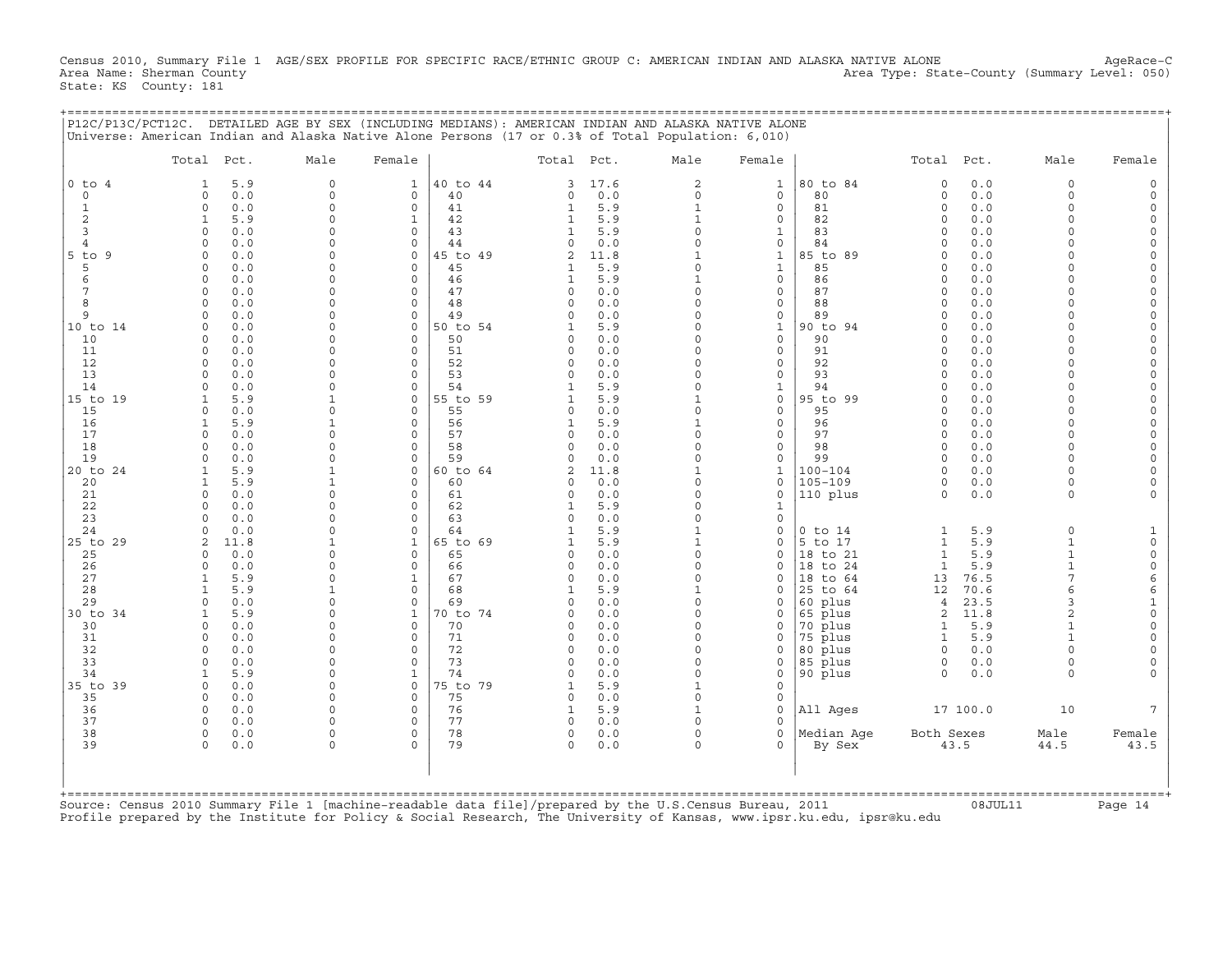Census 2010, Summary File 1 AGE/SEX PROFILE FOR SPECIFIC RACE/ETHNIC GROUP C: AMERICAN INDIAN AND ALASKA NATIVE ALONE AgeRace-C<br>Area Name: Sherman County (summary Level: 050) Area Type: State-County (Summary Level: 050) State: KS County: 181

+===================================================================================================================================================+

|                | Total Pct.                            | Male                 | Female                   |                | Total Pct.           |            | Male                     | Female                       |                      | Total Pct.                   |            | Male                         | Female               |
|----------------|---------------------------------------|----------------------|--------------------------|----------------|----------------------|------------|--------------------------|------------------------------|----------------------|------------------------------|------------|------------------------------|----------------------|
| $0$ to $4$     | 5.9<br>1                              | $\mathbf 0$          | $\mathbf{1}$             | 40 to 44       | 3                    | 17.6       | $\overline{a}$           | $\mathbf{1}$                 | 80 to 84             | $\mathbf 0$                  | 0.0        | $\Omega$                     |                      |
| $\circ$        | 0.0<br>$\mathbf 0$                    | $\Omega$             | $\Omega$                 | 40             | $\Omega$             | 0.0        | $\Omega$                 | $\circ$                      | 80                   | $\mathbf 0$                  | 0.0        | $\Omega$                     |                      |
| $\mathbf{1}$   | $\mathbf 0$<br>0.0                    | $\Omega$             | $\mathbf 0$              | 41             | $\mathbf{1}$         | 5.9        | $\mathbf{1}$             | $\circ$                      | 81                   | $\circ$                      | 0.0        | $\Omega$                     |                      |
| 2<br>3         | 5.9<br>1<br>0.0<br>$\mathbf 0$        | $\Omega$<br>$\Omega$ | $\mathbf 1$<br>$\Omega$  | 42<br>43       |                      | 5.9<br>5.9 | $\mathbf{1}$<br>$\Omega$ | 0<br>1                       | 82<br>83             | $\Omega$<br>$\Omega$         | 0.0<br>0.0 | $\Omega$<br>$\Omega$         | $\Omega$<br>$\Omega$ |
| $\overline{4}$ | 0.0<br>$\Omega$                       | U                    | $\Omega$                 | 44             | $\cap$               | 0.0        |                          | 0                            | 84                   | $\Omega$                     | 0.0        |                              | $\Omega$             |
| $5$ to<br>9    | $\Omega$<br>0.0                       | U                    | $\Omega$                 | 5 to 49        |                      | 11.8       |                          | $\mathbf{1}$                 | 85 to 89             | $\cap$                       | 0.0        |                              | $\Omega$             |
| 5              | $\mathbf 0$<br>0.0                    | $\Omega$             | $\Omega$                 | 45             |                      | 5.9        | $\Omega$                 | $\mathbf{1}$                 | 85                   | $\Omega$                     | 0.0        | $\Omega$                     | $\Omega$             |
| 6              | $\Omega$<br>0.0                       | U                    | $\Omega$                 | 46             |                      | 5.9        |                          | $\mathbf{0}$                 | 86                   | $\cap$                       | 0.0        | $\cap$                       | $\Omega$             |
|                | 0.0<br>$\mathbf 0$                    | $\cap$               | $\mathbf 0$              | 47             | $\Omega$             | 0.0        | $\Omega$                 | $\circ$                      | 87                   | $\Omega$                     | 0.0        | $\Omega$                     | $\overline{0}$       |
| 8              | 0.0<br>$\Omega$                       | $\Omega$             | $\Omega$                 | 48             | $\Omega$             | 0.0        | $\Omega$                 | 0                            | 88                   | $\Omega$                     | 0.0        |                              | $\Omega$             |
| 9              | 0.0<br>$\mathbf 0$                    | $\Omega$             | $\mathbf 0$              | 49             | $\Omega$             | 0.0        | $\Omega$                 | 0                            | 89                   | $\Omega$                     | 0.0        | $\Omega$<br>$\Omega$         |                      |
| 10 to 14<br>10 | 0.0<br>$\mathbf 0$<br>0.0<br>$\Omega$ | $\Omega$             | $\Omega$<br>$\Omega$     | 50 to 54<br>50 |                      | 5.9<br>0.0 | $\Omega$<br>$\Omega$     | $\mathbf{1}$<br>$\mathbf{0}$ | 90 to 94<br>90       | $\Omega$<br>$\cap$           | 0.0<br>0.0 |                              | $\Omega$             |
| 11             | $\Omega$<br>0.0                       |                      | $\Omega$                 | 51             | $\Omega$             | 0.0        | $\Omega$                 | $\circ$                      | 91                   | $\Omega$                     | 0.0        |                              |                      |
| 12             | $\Omega$<br>0.0                       |                      | $\Omega$                 | 52             |                      | 0.0        | $\Omega$                 | $\mathbf{0}$                 | 92                   | $\Omega$                     | 0.0        | $\Omega$                     |                      |
| 13             | 0.0<br>$\Omega$                       |                      | $\Omega$                 | 53             | $\Omega$             | 0.0        |                          | $\mathbf 0$                  | 93                   | $\Omega$                     | 0.0        |                              | $\Omega$             |
| 14             | 0.0<br>$\Omega$                       |                      | $\Omega$                 | 54             |                      | 5.9        | $\Omega$                 | $\mathbf 1$                  | 94                   |                              | 0.0        |                              |                      |
| 15 to 19       | 5.9<br>1                              | -1                   | $\mathbf 0$              | 55 to 59       |                      | 5.9        | $\mathbf{1}$             | 0                            | 95 to 99             | $\circ$                      | 0.0        | $\Omega$                     | $\Omega$             |
| 15             | 0.0<br>$\Omega$                       | $\Omega$             | $\Omega$                 | 55             | $\Omega$             | 0.0        | $\Omega$                 | $\mathbf 0$                  | 95                   | $\Omega$                     | 0.0        | $\Omega$                     | $\Omega$             |
| 16             | 5.9<br>$\mathbf{1}$                   |                      | $\Omega$                 | 56             |                      | 5.9        |                          | 0                            | 96                   | $\Omega$                     | 0.0        | $\Omega$                     | $\Omega$             |
| 17<br>18       | $\Omega$<br>0.0<br>$\mathbf 0$<br>0.0 | $\Omega$<br>$\Omega$ | $\Omega$<br>$\Omega$     | 57<br>58       | $\Omega$<br>$\Omega$ | 0.0<br>0.0 | $\Omega$<br>$\Omega$     | $\mathbf{0}$<br>$\mathbf{0}$ | 97<br>98             | $\Omega$<br>$\Omega$         | 0.0<br>0.0 | $\Omega$<br>$\Omega$         | $\Omega$<br>$\Omega$ |
| 19             | 0.0<br>$\Omega$                       | $\Omega$             | $\Omega$                 | 59             | $\Omega$             | 0.0        | $\Omega$                 | $\mathbf{0}$                 | 99                   | $\Omega$                     | 0.0        | $\Omega$                     | $\Omega$             |
| 20 to 24       | 5.9<br>$\mathbf{1}$                   |                      | $\mathbf 0$              | 60 to 64       | $\mathfrak{D}$       | 11.8       |                          | $\mathbf{1}$                 | $100 - 104$          | $\Omega$                     | 0.0        | $\Omega$                     |                      |
| 20             | 5.9<br>1                              |                      | $\Omega$                 | 60             |                      | 0.0        | $\Omega$                 | 0                            | $105 - 109$          | 0                            | 0.0        | $\Omega$                     |                      |
| 21             | $\mathbf 0$<br>0.0                    | $\Omega$             | $\Omega$                 | 61             | $\Omega$             | 0.0        | $\Omega$                 | 0                            | 110 plus             | $\Omega$                     | 0.0        | $\Omega$                     |                      |
| 22             | 0.0<br>$\Omega$                       |                      | $\Omega$                 | 62             |                      | 5.9        |                          | 1                            |                      |                              |            |                              |                      |
| 23             | $\Omega$<br>0.0                       | U                    | $\Omega$                 | 63             | $\cap$               | 0.0        | $\Omega$                 | $\Omega$                     |                      |                              |            |                              |                      |
| 24             | $\Omega$<br>0.0                       | $\Omega$             | $\Omega$                 | 64             | 1                    | 5.9        | $\mathbf{1}$             | $\mathbf 0$                  | $0$ to $14$          | $\mathbf{1}$                 | 5.9        | $\Omega$                     | 1                    |
| 25 to 29       | 2<br>11.8<br>$\Omega$<br>0.0          | $\cap$               | $\mathbf{1}$<br>$\Omega$ | 65 to 69<br>65 | $\Omega$             | 5.9<br>0.0 | $\mathbf{1}$<br>$\Omega$ | $\Omega$<br>$\mathbf 0$      | 5 to 17              | $\mathbf{1}$<br>$\mathbf{1}$ | 5.9<br>5.9 | $\mathbf{1}$<br>$\mathbf{1}$ | $\Omega$<br>$\circ$  |
| 25<br>26       | $\mathbf 0$<br>0.0                    | $\Omega$             | $\mathbf 0$              | 66             | $\Omega$             | 0.0        | $\Omega$                 | 0                            | 18 to 21<br>18 to 24 | $\mathbf{1}$                 | 5.9        | $\mathbf{1}$                 | $\mathsf O$          |
| 27             | 5.9<br>1                              | $\Omega$             | $\mathbf{1}$             | 67             | $\circ$              | 0.0        | $\Omega$                 | 0                            | 18 to 64             | 13                           | 76.5       | 7                            | $\epsilon$           |
| 28             | 5.9<br>$\mathbf{1}$                   |                      | $\mathbf 0$              | 68             |                      | 5.9        |                          | 0                            | 25 to 64             | 12                           | 70.6       |                              | 6                    |
| 29             | $\Omega$<br>0.0                       | U                    | $\Omega$                 | 69             |                      | 0.0        | $\Omega$                 | 0                            | 60 plus              | $\overline{4}$               | 23.5       |                              |                      |
| 30 to 34       | 5.9<br>$\mathbf{1}$                   |                      | $\mathbf{1}$             | 0 to 74        | $\Omega$             | 0.0        | $\Omega$                 | 0                            | 65 plus              | 2                            | 11.8       | $\overline{a}$               | $\Omega$             |
| 30             | $\Omega$<br>0.0                       |                      | $\Omega$                 | 70             |                      | 0.0        | $\Omega$                 | 0                            | 70 plus              | $\mathbf{1}$                 | 5.9        |                              | $\Omega$             |
| 31             | 0.0<br>$\Omega$                       |                      | $\Omega$                 | 71             | $\cap$               | 0.0        |                          | 0                            | 75 plus              | $\mathbf{1}$                 | 5.9        |                              | $\Omega$             |
| 32             | 0.0<br>$\Omega$<br>$\Omega$           | $\Omega$<br>$\Omega$ | $\Omega$<br>$\mathbf 0$  | 72<br>73       | $\Omega$<br>$\Omega$ | 0.0        | $\Omega$<br>$\Omega$     | $\Omega$                     | 80 plus              | $\Omega$                     | 0.0        | $\Omega$                     | $\Omega$             |
| 33<br>34       | 0.0<br>5.9<br>1                       | $\Omega$             | $\mathbf{1}$             | 74             | $\cap$               | 0.0<br>0.0 | $\Omega$                 | 0<br>0                       | 85 plus<br>90 plus   | 0<br>$\Omega$                | 0.0<br>0.0 | $\Omega$                     |                      |
| 35 to 39       | 0.0<br>$\Omega$                       | $\Omega$             | $\mathbf 0$              | 75 to 79       |                      | 5.9        | $\mathbf{1}$             | $\mathbf 0$                  |                      |                              |            |                              |                      |
| 35             | 0.0<br>$\Omega$                       | $\cap$               | $\Omega$                 | 75             | $\Omega$             | 0.0        | $\Omega$                 | $\mathbf 0$                  |                      |                              |            |                              |                      |
| 36             | $\mathbf 0$<br>0.0                    | $\Omega$             | $\Omega$                 | 76             | 1                    | 5.9        | $\mathbf{1}$             | $\mathbf 0$                  | All Ages             |                              | 17 100.0   | 10                           |                      |
| 37             | 0.0<br>$\Omega$                       | U                    | $\Omega$                 | 77             | $\cap$               | 0.0        | $\Omega$                 | $\Omega$                     |                      |                              |            |                              |                      |
| 38             | $\circ$<br>0.0                        | $\Omega$             | $\mathbf 0$              | 78             | $\mathsf{O}$         | 0.0        | $\Omega$                 | $\mathbf{0}$                 | Median Aqe           | Both Sexes                   |            | Male                         | Female               |
| 39             | $\Omega$<br>0.0                       | $\Omega$             | $\Omega$                 | 79             | $\Omega$             | 0.0        | $\Omega$                 | 0                            | By Sex               |                              | 43.5       | 44.5                         | 43.5                 |
|                |                                       |                      |                          |                |                      |            |                          |                              |                      |                              |            |                              |                      |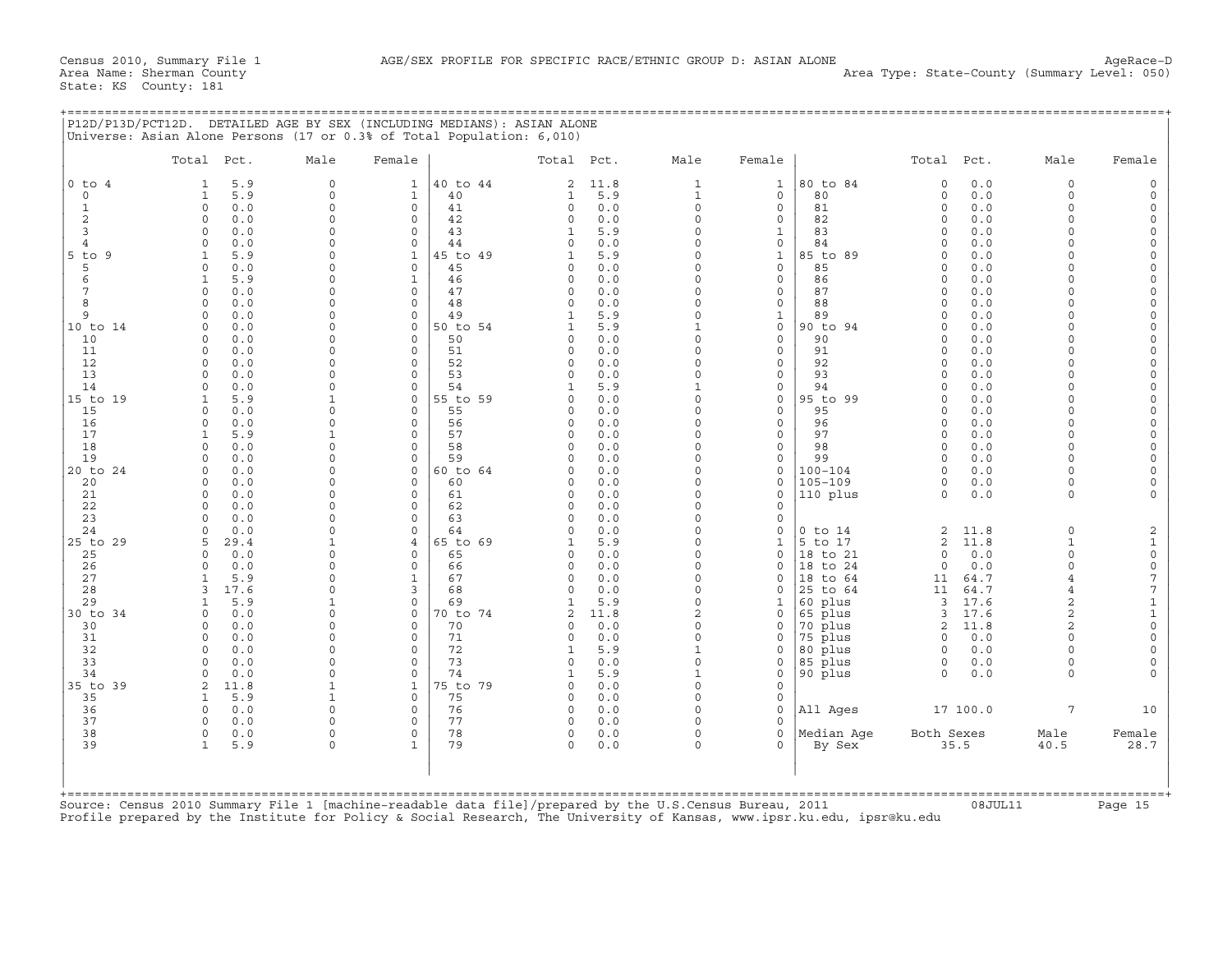|                   | Total Pct.                         | Male                 | Female                     |                | Total Pct.                 |             | Male                       | Female                       |                    | Total Pct.           |              | Male                 | Female                   |
|-------------------|------------------------------------|----------------------|----------------------------|----------------|----------------------------|-------------|----------------------------|------------------------------|--------------------|----------------------|--------------|----------------------|--------------------------|
| $0$ to $4$        | 5.9<br>1                           | $\mathbf 0$          | 1                          | 40 to 44       | 2                          | 11.8        | $\mathbf{1}$               | $\mathbf{1}$                 | 80 to 84           | 0                    | 0.0          | $\circ$              | 0                        |
| $\mathbf 0$       | 5.9<br>$\mathbf{1}$                | $\mathbf 0$          | $\mathbf{1}$               | 40             | $\mathbf{1}$               | 5.9         | $\mathbf{1}$               | $\mathbf{0}$                 | 80                 | $\circ$              | 0.0          | $\circ$              | $\circ$                  |
| $\mathbf{1}$<br>2 | $\Omega$<br>0.0<br>0.0<br>$\Omega$ | $\Omega$<br>$\Omega$ | $\Omega$<br>$\mathbf 0$    | 41<br>42       | $\Omega$                   | 0.0<br>0.0  | $\Omega$<br>$\Omega$       | $\mathbf{0}$<br>$\mathbf{0}$ | 81<br>82           | $\Omega$<br>$\circ$  | 0.0<br>0.0   | $\Omega$<br>$\Omega$ | $\mathsf{O}$<br>$\Omega$ |
| 3                 | 0.0<br>$\cap$                      | $\cap$               | $\Omega$                   | 43             | $\circ$                    | 5.9         | $\Omega$                   | 1                            | 83                 | $\Omega$             | 0.0          | $\Omega$             | 0                        |
| $\overline{4}$    | 0.0<br>$\Omega$                    | $\Omega$             | $\mathbf 0$                | 44             | $\Omega$                   | 0.0         | $\Omega$                   | $\mathbf{0}$                 | 84                 | $\Omega$             | 0.0          | $\Omega$             | $\Omega$                 |
| $5$ to $9$        | 5.9                                | $\cap$               | $\mathbf{1}$               | 45 to 49       |                            | 5.9         | $\Omega$                   | $\mathbf{1}$                 | 85 to 89           | $\Omega$             | 0.0          | $\cap$               | $\mathsf{O}$             |
| 5                 | 0.0<br>$\Omega$                    | $\Omega$             | $\mathbf 0$                | 45             | 0                          | 0.0         | $\Omega$                   | $\mathbf{0}$                 | 85                 | $\circ$              | 0.0          | $\Omega$             | $\mathbf 0$              |
| 6                 | 5.9<br>$\mathbf{1}$                | $\cap$               | $\mathbf{1}$               | 46             | $\Omega$                   | 0.0         | $\Omega$                   | $\Omega$                     | 86                 | $\Omega$             | 0.0          | $\cap$               | $\mathsf{O}$             |
| 7                 | 0.0<br>$\Omega$                    | $\Omega$             | $\Omega$                   | 47             | $\Omega$                   | 0.0         | $\Omega$                   | $\mathbf{0}$                 | 87                 | $\Omega$             | 0.0          | $\Omega$             | $\mathbf 0$              |
| 8                 | 0.0<br>$\Omega$                    | $\cap$               | $\Omega$                   | 48             | $\Omega$                   | 0.0         | $\Omega$                   | $\Omega$                     | 88                 | $\Omega$             | 0.0          | $\cap$               | 0                        |
| 9<br>10 to 14     | 0.0<br>$\Omega$<br>0.0<br>$\cap$   | $\Omega$<br>$\Omega$ | $\mathbf 0$<br>$\Omega$    | 49<br>50 to 54 | $\mathbf{1}$               | 5.9<br>5.9  | $\Omega$                   | $\mathbf{1}$<br>$\mathbf{0}$ | 89<br>90 to 94     | $\Omega$<br>$\Omega$ | 0.0<br>0.0   | $\Omega$<br>$\cap$   | 0<br>0                   |
| 10                | 0.0<br>$\Omega$                    | $\Omega$             | $\Omega$                   | 50             | $\Omega$                   | 0.0         | $\Omega$                   | $\mathbf{0}$                 | 90                 | $\Omega$             | 0.0          | $\Omega$             | $\mathbf 0$              |
| 11                | 0.0<br>$\Omega$                    | $\cap$               | $\Omega$                   | 51             | $\Omega$                   | 0.0         | $\Omega$                   | $\Omega$                     | 91                 | $\Omega$             | 0.0          | $\cap$               | 0                        |
| 12                | 0.0<br>$\Omega$                    | $\Omega$             | $\mathbf 0$                | 52             | $\circ$                    | $0.0$       | $\Omega$                   | $\mathbf{0}$                 | 92                 | $\circ$              | 0.0          | $\Omega$             | 0                        |
| 13                | 0.0<br>$\cap$                      | $\Omega$             | $\Omega$                   | 53             | $\Omega$                   | 0.0         | $\Omega$                   | $\Omega$                     | 93                 | $\Omega$             | 0.0          | $\cap$               | 0                        |
| 14                | 0.0<br>$\cap$                      | $\Omega$             | $\mathbf 0$                | 54             |                            | 5.9         | $\mathbf{1}$               | $\mathbf{0}$                 | 94                 | $\Omega$             | 0.0          | $\Omega$             | $\mathbf 0$              |
| 15 to 19          | 5.9                                |                      | $\Omega$                   | 55 to 59       | $\Omega$                   | 0.0         | $\Omega$                   | $\Omega$                     | 95 to 99           | $\Omega$             | 0.0          | $\cap$               | 0                        |
| 15<br>16          | 0.0<br>$\Omega$<br>0.0<br>$\cap$   | $\cap$<br>$\cap$     | $\mathbf 0$<br>$\Omega$    | 55<br>56       | $\mathbf 0$<br>$\Omega$    | 0.0<br>0.0  | $\Omega$<br>$\Omega$       | $\mathbf{0}$<br>$\Omega$     | 95<br>96           | 0<br>$\Omega$        | 0.0<br>0.0   | $\Omega$<br>$\cap$   | 0<br>0                   |
| 17                | 5.9<br>$\mathbf{1}$                |                      | $\mathbf 0$                | 57             | 0                          | 0.0         | $\Omega$                   | $\mathbf{0}$                 | 97                 | $\circ$              | 0.0          | $\Omega$             | 0                        |
| 18                | 0.0<br>$\Omega$                    | $\cap$               | $\Omega$                   | 58             | $\Omega$                   | 0.0         | $\Omega$                   | $\Omega$                     | 98                 | $\Omega$             | 0.0          | $\cap$               | 0                        |
| 19                | 0.0<br>$\Omega$                    | $\cap$               | $\mathbf 0$                | 59             | $\Omega$                   | 0.0         | $\Omega$                   | $\circ$                      | 99                 | 0                    | 0.0          | $\Omega$             | 0                        |
| 20 to 24          | 0.0                                | $\cap$               | $\Omega$                   | 60 to 64       | $\Omega$                   | 0.0         | $\Omega$                   | $\Omega$                     | $100 - 104$        | $\Omega$             | 0.0          | $\cap$               | 0                        |
| 20                | 0.0<br>$\Omega$                    | $\cap$               | $\Omega$                   | 60             | $\Omega$                   | 0.0         | $\Omega$                   | $\mathbf{0}$                 | $105 - 109$        | 0                    | 0.0          | $\Omega$             | 0                        |
| 21                | 0.0<br>$\cap$                      | $\cap$               | $\Omega$                   | 61             | $\Omega$                   | 0.0         | $\Omega$                   | $\Omega$                     | 110 plus           | $\Omega$             | 0.0          | $\Omega$             | $\Omega$                 |
| 22                | 0.0<br>$\Omega$                    | $\Omega$<br>$\cap$   | $\mathbf 0$                | 62             | $\mathbf 0$                | 0.0         | $\Omega$                   | $\mathbf 0$                  |                    |                      |              |                      |                          |
| 23<br>24          | 0.0<br>0.0<br>$\cap$               | $\cap$               | $\mathbf 0$<br>$\mathbf 0$ | 63<br>64       | $\Omega$<br>$\Omega$       | 0.0<br>0.0  | $\Omega$<br>$\Omega$       | $\mathbf{0}$<br>$\mathbf 0$  | $0$ to $14$        | $\overline{a}$       | 11.8         | 0                    | 2                        |
| 25 to 29          | 29.4                               |                      | $\overline{4}$             | 65 to 69       |                            | 5.9         | $\Omega$                   | $\mathbf{1}$                 | 5 to 17            | $\overline{a}$       | 11.8         | $\mathbf{1}$         | $\mathbf 1$              |
| 25                | 0.0<br>$\Omega$                    | $\cap$               | $\Omega$                   | 65             | $\Omega$                   | 0.0         | $\Omega$                   | 0                            | 18 to 21           | 0                    | 0.0          | $\Omega$             | 0                        |
| 26                | 0.0<br>$\cap$                      | $\cap$               | $\mathbf 0$                | 66             | $\Omega$                   | 0.0         | $\Omega$                   | $\mathbf 0$                  | 18 to 24           | 0                    | 0.0          | $\Omega$             | $\mathsf{O}\xspace$      |
| 27                | 5.9<br>$\mathbf{1}$                | $\cap$               | $\mathbf{1}$               | 67             | $\Omega$                   | 0.0         | $\Omega$                   | $\Omega$                     | 18 to 64           | 11                   | 64.7         | $\overline{4}$       | 7                        |
| 28                | 17.6<br>3                          | $\cap$               | 3                          | 68             | $\Omega$                   | 0.0         | $\Omega$                   | $\Omega$                     | 25 to 64           | 11                   | 64.7         | $\overline{4}$       | 7                        |
| 29                | 5.9<br>1                           |                      | $\mathbf 0$                | 69             | 1                          | 5.9         | $\Omega$                   | 1                            | 60 plus            | $\overline{3}$       | 17.6         | $\overline{a}$       | $1\,$                    |
| 30 to 34<br>30    | 0.0<br>$\cap$<br>0.0<br>$\Omega$   | $\cap$<br>$\cap$     | $\mathbf 0$<br>$\Omega$    | 70 to 74<br>70 | $\overline{2}$<br>$\Omega$ | 11.8<br>0.0 | $\overline{a}$<br>$\Omega$ | $\mathbf 0$<br>0             | 65 plus<br>70 plus | 3<br>$\overline{2}$  | 17.6<br>11.8 | 2<br>2               | $\mathbf 1$<br>0         |
| 31                | 0.0<br>$\Omega$                    | $\cap$               | $\Omega$                   | 71             | $\Omega$                   | 0.0         | $\Omega$                   | $\Omega$                     | 75 plus            | $\circ$              | 0.0          | $\cap$               | 0                        |
| 32                | 0.0<br>$\Omega$                    | $\Omega$             | $\Omega$                   | 72             | 1                          | 5.9         | $\mathbf{1}$               | $\mathbf 0$                  | 80 plus            | $\circ$              | 0.0          | $\Omega$             | 0                        |
| 33                | 0.0<br>$\Omega$                    | $\Omega$             | $\Omega$                   | 73             | $\Omega$                   | 0.0         | $\Omega$                   | $\mathbf 0$                  | 85 plus            | 0                    | 0.0          | $\Omega$             | 0                        |
| 34                | 0.0<br>$\Omega$                    | $\cap$               | $\Omega$                   | 74             | -1                         | 5.9         | $\mathbf{1}$               | $\mathbf 0$                  | 90 plus            | $\Omega$             | 0.0          | $\cap$               | $\Omega$                 |
| 35 to 39          | 11.8<br>$\overline{2}$             |                      | $\mathbf{1}$               | 75 to 79       | $\Omega$                   | 0.0         | $\Omega$                   | $\Omega$                     |                    |                      |              |                      |                          |
| 35                | 5.9<br>$\mathbf{1}$                | $\mathbf{1}$         | $\Omega$                   | 75             | $\Omega$                   | 0.0         | $\Omega$                   | $\mathbf 0$                  |                    |                      |              |                      |                          |
| 36                | $\Omega$<br>0.0                    | $\Omega$             | $\Omega$                   | 76             | $\Omega$                   | 0.0         | $\Omega$                   | $\Omega$                     | All Ages           |                      | 17 100.0     | $7\overline{ }$      | 10                       |
| 37<br>38          | 0.0<br>$\Omega$<br>$\Omega$<br>0.0 | $\cap$<br>$\Omega$   | $\Omega$<br>$\Omega$       | 77<br>78       | $\Omega$<br>$\Omega$       | 0.0<br>0.0  | $\Omega$<br>$\Omega$       | $\Omega$<br>$\cap$           | Median Aqe         | Both Sexes           |              | Male                 | Female                   |
| 39                | $\mathbf{1}$<br>5.9                | $\Omega$             | $\mathbf{1}$               | 79             | $\Omega$                   | 0.0         | $\Omega$                   | $\Omega$                     | By Sex             |                      | 35.5         | 40.5                 | 28.7                     |
|                   |                                    |                      |                            |                |                            |             |                            |                              |                    |                      |              |                      |                          |
|                   |                                    |                      |                            |                |                            |             |                            |                              |                    |                      |              |                      |                          |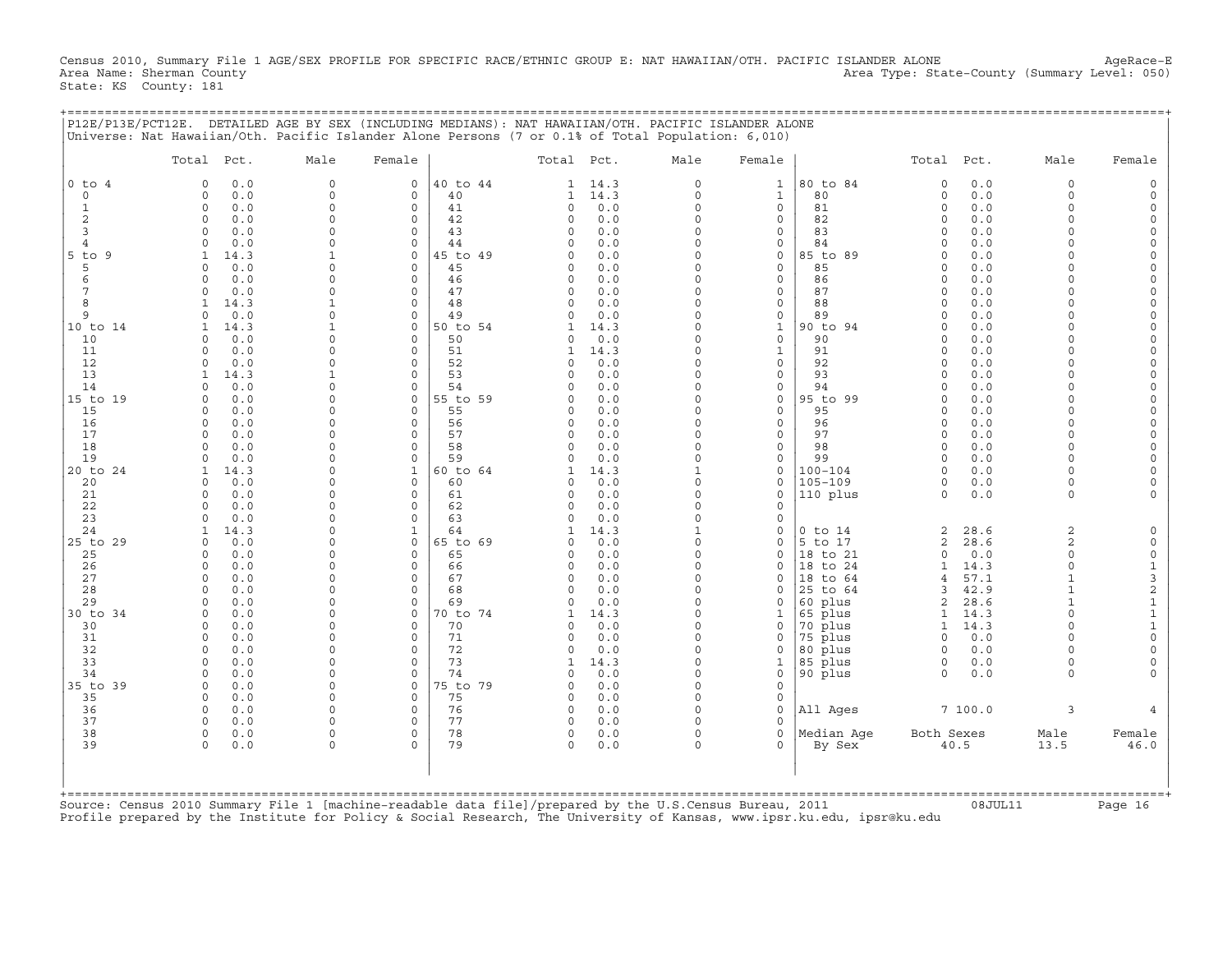Census 2010, Summary File 1 AGE/SEX PROFILE FOR SPECIFIC RACE/ETHNIC GROUP E: NAT HAWAIIAN/OTH. PACIFIC ISLANDER ALONE AgeRace-E<br>Area Name: Sherman County (evel: 050) Area Type: State-County (Summary Level: 050) State: KS County: 181

+===================================================================================================================================================+

|P12E/P13E/PCT12E. DETAILED AGE BY SEX (INCLUDING MEDIANS): NAT HAWAIIAN/OTH. PACIFIC ISLANDER ALONE | |Universe: Nat Hawaiian/Oth. Pacific Islander Alone Persons (7 or 0.1% of Total Population: 6,010) | | | | Total Pct. Male Female | Total Pct. Male Female | Total Pct. Male Female | | | | | |0 to 4 0 0.0 0 0 |40 to 44 1 14.3 0 1 |80 to 84 0 0.0 0 0 | | 0 0 0.0 0 0 | 40 1 14.3 0 1 | 80 0 0.0 0 0 | | 1 0 0.0 0 0 | 41 0 0.0 0 0 | 81 0 0.0 0 0 | | 2 0 0.0 0 0 | 42 0 0.0 0 0 | 82 0 0.0 0 0 | | 3 0 0.0 0 0 | 43 0 0.0 0 0 | 83 0 0.0 0 0 | | 4 0 0.0 0 0 | 44 0 0.0 0 0 | 84 0 0.0 0 0 | |5 to 9 1 14.3 1 0 |45 to 49 0 0.0 0 0 |85 to 89 0 0.0 0 0 | | 5 0 0.0 0 0 | 45 0 0.0 0 0 | 85 0 0.0 0 0 | | 6 0 0.0 0 0 | 46 0 0.0 0 0 | 86 0 0.0 0 0 | | 7 0 0.0 0 0 | 47 0 0.0 0 0 | 87 0 0.0 0 0 | | 8 1 14.3 1 0 | 48 0 0.0 0 0 | 88 0 0.0 0 0 | | 9 0 0.0 0 0 | 49 0 0.0 0 0 | 89 0 0.0 0 0 | |10 to 14 1 14.3 1 0 |50 to 54 1 14.3 0 1 |90 to 94 0 0.0 0 0 | | 10 0 0.0 0 0 | 50 0 0.0 0 0 | 90 0 0.0 0 0 | | 11 0 0.0 0 0 | 51 1 14.3 0 1 | 91 0 0.0 0 0 | | 12 0 0.0 0 0 | 52 0 0.0 0 0 | 92 0 0.0 0 0 | | 13 1 14.3 1 0 | 53 0 0.0 0 0 | 93 0 0.0 0 0 | | 14 0 0.0 0 0 | 54 0 0.0 0 0 | 94 0 0.0 0 0 | |15 to 19 0 0.0 0 0 |55 to 59 0 0.0 0 0 |95 to 99 0 0.0 0 0 | | 15 0 0.0 0 0 | 55 0 0.0 0 0 | 95 0 0.0 0 0 | | 16 0 0.0 0 0 | 56 0 0.0 0 0 | 96 0 0.0 0 0 | | 17 0 0.0 0 0 | 57 0 0.0 0 0 | 97 0 0.0 0 0 | | 18 0 0.0 0 0 | 58 0 0.0 0 0 | 98 0 0.0 0 0 | | 19 0 0.0 0 0 | 59 0 0.0 0 0 | 99 0 0.0 0 0 | |20 to 24 1 14.3 0 1 |60 to 64 1 14.3 1 0 |100−104 0 0.0 0 0 | | 20 0 0.0 0 0 | 60 0 0.0 0 0 |105−109 0 0.0 0 0 | | 21 0 0.0 0 0 | 61 0 0.0 0 0 |110 plus 0 0.0 0 0 | | 22 0 0.0 0 0 | 62 0 0.0 0 0 | | | 23 0 0.0 0 0 | 63 0 0.0 0 0 | | | 24 1 14.3 0 1 | 64 1 14.3 1 0 |0 to 14 2 28.6 2 0 | |25 to 29 0 0.0 0 0 |65 to 69 0 0.0 0 0 |5 to 17 2 28.6 2 0 | | 25 0 0.0 0 0 | 65 0 0.0 0 0 |18 to 21 0 0.0 0 0 | | 26 0 0.0 0 0 | 66 0 0.0 0 0 |18 to 24 1 14.3 0 1 | | 27 0 0.0 0 0 | 67 0 0.0 0 0 |18 to 64 4 57.1 1 3 | | 28 0 0.0 0 0 | 68 0 0.0 0 0 |25 to 64 3 42.9 1 2 | | 29 0 0.0 0 0 | 69 0 0.0 0 0 |60 plus 2 28.6 1 1 | |30 to 34 0 0.0 0 0 |70 to 74 1 14.3 0 1 |65 plus 1 14.3 0 1 | | 30 0 0.0 0 0 | 70 0 0.0 0 0 |70 plus 1 14.3 0 1 | | 31 0 0.0 0 0 | 71 0 0.0 0 0 |75 plus 0 0.0 0 0 | | 32 0 0.0 0 0 | 72 0 0.0 0 0 |80 plus 0 0.0 0 0 | | 33 0 0.0 0 0 | 73 1 14.3 0 1 |85 plus 0 0.0 0 0 | | 34 0 0.0 0 0 | 74 0 0.0 0 0 |90 plus 0 0.0 0 0 | |35 to 39 0 0.0 0 0 |75 to 79 0 0.0 0 0 | | | 35 0 0.0 0 0 | 75 0 0.0 0 0 | | | 36 0 0.0 0 0 | 76 0 0.0 0 0 |All Ages 7 100.0 3 4 | | 37 0 0.0 0 0 | 77 0 0.0 0 0 | | | 38 0 0.0 0 0 | 78 0 0.0 0 0 |Median Age Both Sexes Male Female | | 39 0 0.0 0 0 | 79 0 0.0 0 0 | By Sex 40.5 13.5 46.0 | | | | | | | | | | | +===================================================================================================================================================+Source: Census 2010 Summary File 1 [machine−readable data file]/prepared by the U.S.Census Bureau, 2011 08JUL11 Page 16

Profile prepared by the Institute for Policy & Social Research, The University of Kansas, www.ipsr.ku.edu, ipsr@ku.edu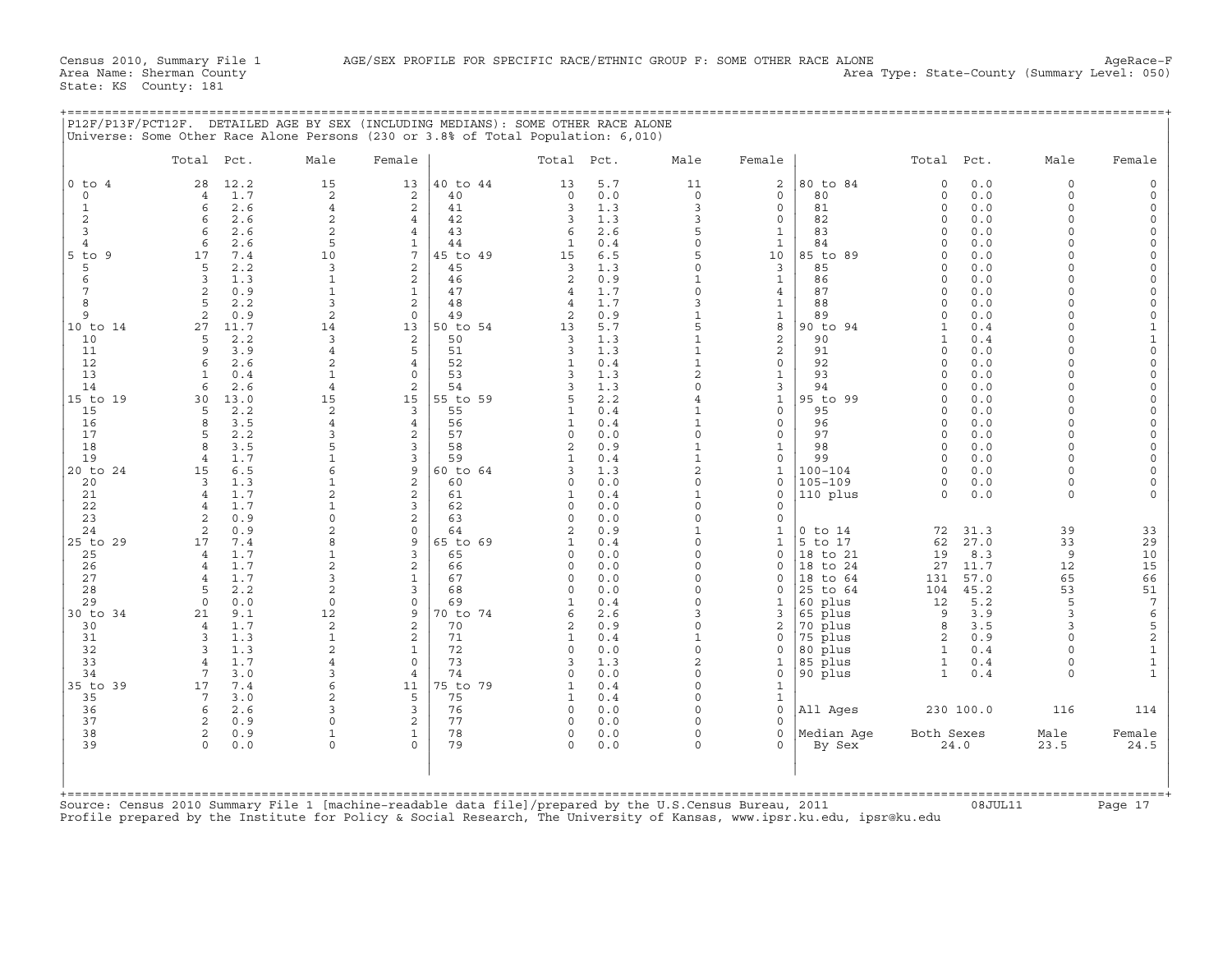+===================================================================================================================================================+

State: KS County: 181

Census 2010, Summary File 1 AGE/SEX PROFILE FOR SPECIFIC RACE/ETHNIC GROUP F: SOME OTHER RACE ALONE Area Type: State-County (Summary Level: 050)<br>Area Name: Sherman County Area Type: State-County (Summary Level: 050)

|                              | Total Pct.                                     | Male                           | Female                         |                | Total Pct.               |            | Male                     | Female                  |                    | Total Pct.           |            | Male                 | Female                                    |
|------------------------------|------------------------------------------------|--------------------------------|--------------------------------|----------------|--------------------------|------------|--------------------------|-------------------------|--------------------|----------------------|------------|----------------------|-------------------------------------------|
| $0$ to $4$                   | 28<br>12.2                                     | 15                             | 13                             | 40 to 44       | 13                       | 5.7        | 11                       | $\overline{2}$          | 80 to 84           | $\circ$              | 0.0        | $\circ$              | $\mathbf 0$                               |
| $\Omega$                     | 1.7<br>$\overline{4}$                          | 2                              | 2                              | 40             | $\Omega$                 | 0.0        | $\circ$                  | $\Omega$                | 80                 | $\Omega$             | 0.0        | $\Omega$             | $\Omega$                                  |
| $\mathbf{1}$                 | 2.6<br>6                                       | $\overline{4}$                 | $\overline{a}$                 | 41             | 3                        | 1.3        | 3                        | $\Omega$                | 81                 | $\Omega$             | 0.0        | $\Omega$             | $\mathsf{O}\xspace$                       |
| $\mathbf 2$                  | 2.6<br>6                                       | $\overline{c}$                 | $\overline{4}$                 | 42             | 3                        | 1.3        | 3                        | $\circ$                 | 82                 | $\Omega$             | 0.0        | $\Omega$             | $\mathbf 0$                               |
| 3                            | 2.6<br>6                                       | 2                              | 4                              | 43             | 6                        | 2.6        | 5<br>$\circ$             | $\mathbf{1}$            | 83                 | $\Omega$<br>$\Omega$ | 0.0<br>0.0 | $\Omega$<br>$\Omega$ | $\mathbf 0$<br>$\mathbf 0$                |
| $\overline{4}$<br>$5$ to $9$ | 2.6<br>6<br>17<br>7.4                          | 5<br>10                        | $\mathbf{1}$<br>7              | 44<br>45 to 49 | 1<br>15                  | 0.4<br>6.5 | 5                        | $\mathbf{1}$<br>10      | 84<br>85 to 89     | $\cap$               | 0.0        | $\cap$               | $\mathbf 0$                               |
| 5                            | 2.2<br>5                                       | 3                              | $\overline{2}$                 | 45             | 3                        | 1.3        | $\circ$                  | $\overline{3}$          | 85                 | $\Omega$             | 0.0        | $\Omega$             | $\mathbf 0$                               |
| 6                            | 3<br>1.3                                       | $\mathbf 1$                    | $\overline{a}$                 | 46             | 2                        | 0.9        | $\mathbf{1}$             | $\mathbf{1}$            | 86                 | $\Omega$             | 0.0        | $\Omega$             | $\mathsf{O}\xspace$                       |
| 7                            | $\overline{2}$<br>0.9                          | $\mathbf{1}$                   | $\mathbf{1}$                   | 47             | $\overline{4}$           | 1.7        | $\circ$                  | $\overline{4}$          | 87                 | $\Omega$             | 0.0        | $\Omega$             | $\mathbf 0$                               |
| 8                            | $\sqrt{2}$<br>2.2                              | 3                              | $\overline{a}$                 | 48             | $\overline{4}$           | 1.7        | 3                        | $\mathbf{1}$            | 88                 | $\Omega$             | 0.0        | $\Omega$             | $\mathsf{O}\xspace$                       |
| 9                            | 2<br>0.9                                       | $\overline{\mathbf{c}}$        | $\Omega$                       | 49             | $\overline{c}$           | 0.9        | $1\,$                    | $\mathbf{1}$            | 89                 | $\Omega$             | 0.0        | $\Omega$             | $\mathbf 0$                               |
| 10 to 14                     | 27<br>11.7                                     | 14                             | 13                             | 50 to 54       | 13                       | 5.7        | 5                        | 8                       | 90 to 94           | $\mathbf{1}$         | 0.4        | $\Omega$             | $\mathbf 1$                               |
| 10                           | 2.2<br>5                                       | 3                              | $\mathbf{2}$                   | 50             | 3                        | 1.3        | $\mathbf{1}$             | $\overline{c}$          | 90                 | $\mathbf{1}$         | 0.4        | $\Omega$             | $\begin{smallmatrix}1\0\end{smallmatrix}$ |
| 11                           | 9<br>3.9                                       | $\overline{4}$                 | 5                              | 51             | 3                        | 1.3        | $\mathbf{1}$             | $\overline{c}$          | 91                 | $\Omega$             | 0.0        | $\Omega$             |                                           |
| 12<br>13                     | 2.6<br>6<br>$\mathbf{1}$                       | 2<br>$\mathbf{1}$              | $\overline{4}$<br>$\Omega$     | 52<br>53       | $\mathbf{1}$<br>3        | 0.4<br>1.3 | $1\,$<br>$\overline{c}$  | $\circ$<br>$\mathbf{1}$ | 92<br>93           | $\Omega$<br>$\Omega$ | 0.0<br>0.0 | $\Omega$<br>$\Omega$ | $\mathbf 0$<br>$\mathbf 0$                |
| 14                           | 0.4<br>$\epsilon$<br>2.6                       | $\overline{4}$                 | 2                              | 54             | ς                        | 1.3        | $\Omega$                 | 3                       | 94                 | $\cap$               | 0.0        | $\Omega$             | $\mathbf 0$                               |
| 15 to 19                     | 30<br>13.0                                     | 15                             | 15                             | 55 to 59       | 5                        | 2.2        | $\overline{4}$           | $\mathbf{1}$            | 95 to 99           | $\Omega$             | 0.0        | $\Omega$             | $\mathbf 0$                               |
| 15                           | 2.2<br>5                                       | 2                              | 3                              | 55             | $\mathbf{1}$             | 0.4        | $\mathbf{1}$             | $\circ$                 | 95                 | $\cap$               | 0.0        | $\Omega$             | $\mathsf{O}\xspace$                       |
| 16                           | 8<br>3.5                                       | $\overline{4}$                 | $\overline{4}$                 | 56             | $\mathbf{1}$             | 0.4        | $\mathbf{1}$             | $\circ$                 | 96                 | $\Omega$             | 0.0        | $\Omega$             | $\mathbf 0$                               |
| 17                           | 5<br>2.2                                       | 3                              | 2                              | 57             | 0                        | 0.0        | $\circ$                  | $\mathbf{0}$            | 97                 | $\Omega$             | 0.0        | $\Omega$             | $\mathsf{O}\xspace$                       |
| 18                           | 3.5<br>8                                       | 5                              | 3                              | 58             | $\overline{a}$           | 0.9        | $\mathbf{1}$             | $\mathbf{1}$            | 98                 | $\Omega$             | 0.0        | $\Omega$             | $\mathsf{O}$                              |
| 19                           | 1.7<br>$\overline{4}$                          | $\mathbf{1}$                   | 3                              | 59             | $\mathbf{1}$             | 0.4        | $\mathbf{1}$             | $\mathbf{0}$            | 99                 | $\Omega$             | 0.0        | $\Omega$             | $\mathsf{O}\xspace$                       |
| 20 to 24                     | 6.5<br>15                                      | 6                              | 9                              | 60 to 64       | ς                        | 1.3        | 2                        | $\mathbf{1}$            | $100 - 104$        | $\Omega$             | 0.0        | $\Omega$             | $\mathbf 0$                               |
| 20                           | 1.3<br>3                                       | $\mathbf{1}$                   | $\overline{2}$                 | 60             | $\Omega$                 | 0.0        | $\circ$                  | $\mathbf 0$             | $105 - 109$        | $\Omega$             | 0.0        | $\Omega$             | $\mathbf 0$                               |
| 21                           | 1.7<br>$\overline{4}$<br>1.7<br>$\overline{4}$ | $\overline{c}$<br>$\mathbf{1}$ | $\overline{a}$<br>3            | 61<br>62       | $\mathbf{1}$<br>$\Omega$ | 0.4<br>0.0 | $\mathbf{1}$<br>$\Omega$ | $\Omega$<br>$\mathbf 0$ | 110 plus           | $\Omega$             | 0.0        | $\Omega$             | $\Omega$                                  |
| 22<br>23                     | 2<br>0.9                                       | $\Omega$                       | $\overline{a}$                 | 63             | $\Omega$                 | 0.0        | $\circ$                  | $\circ$                 |                    |                      |            |                      |                                           |
| 24                           | 2<br>0.9                                       | $\overline{2}$                 | $\Omega$                       | 64             | 2                        | 0.9        | $\mathbf{1}$             | 1                       | $0$ to $14$        | 72                   | 31.3       | 39                   | 33                                        |
| 25 to 29                     | 17<br>7.4                                      | 8                              | 9                              | 65 to 69       | 1                        | 0.4        | $\circ$                  | $\mathbf{1}$            | 5 to 17            | 62                   | 27.0       | 33                   | 29                                        |
| 25                           | 1.7<br>$\overline{4}$                          | $\mathbf{1}$                   | 3                              | 65             | 0                        | 0.0        | $\circ$                  | $\mathbf{0}$            | 18 to 21           | 19                   | 8.3        | 9                    | 10                                        |
| 26                           | 1.7<br>$\overline{4}$                          | $\overline{a}$                 | $\overline{a}$                 | 66             | $\Omega$                 | 0.0        | $\Omega$                 | $\Omega$                | 18 to 24           | 27                   | 11.7       | 12                   | 15                                        |
| 27                           | 1.7<br>$\overline{4}$                          | 3                              | $\mathbf{1}$                   | 67             | $\Omega$                 | 0.0        | $\Omega$                 | $\mathbf 0$             | 18 to 64           | 131                  | 57.0       | 65                   | 66                                        |
| 28                           | 2.2<br>5                                       | $\overline{c}$                 | 3                              | 68             | $\Omega$                 | 0.0        | $\Omega$                 | $\Omega$                | 25 to 64           | 104                  | 45.2       | 53                   | 51                                        |
| 29                           | $\Omega$<br>0.0                                | $\Omega$                       | $\Omega$                       | 69             | $\mathbf{1}$             | 0.4        | $\Omega$                 | $\mathbf{1}$            | 60 plus            | 12                   | 5.2        | 5                    | $\overline{7}$                            |
| 30 to 34                     | 9.1<br>21                                      | 12                             | 9                              | 70 to 74       | 6                        | 2.6        | 3                        | 3                       | 65 plus            | 9                    | 3.9        | 3                    |                                           |
| 30                           | 1.7<br>$\overline{4}$                          | $\overline{c}$                 | 2                              | 70             | $\mathbf{2}$             | 0.9        | $\circ$                  | $\overline{\mathbf{c}}$ | 70 plus            | 8                    | 3.5        | 3<br>$\Omega$        |                                           |
| 31<br>32                     | 1.3<br>3<br>3<br>1.3                           | $\mathbf{1}$<br>$\overline{c}$ | $\overline{a}$<br>$\mathbf{1}$ | 71<br>72       | 1<br>$\Omega$            | 0.4<br>0.0 | $\mathbf{1}$<br>$\circ$  | 0<br>$\mathbf 0$        | 75 plus<br>80 plus | 2<br>1               | 0.9<br>0.4 | $\cap$               |                                           |
| 33                           | 1.7<br>$\overline{4}$                          | 4                              | $\circ$                        | 73             | 3                        | 1.3        | 2                        | $\mathbf{1}$            | 85 plus            | $\mathbf{1}$         | 0.4        | $\Omega$             | 65211                                     |
| 34                           | 3.0<br>7                                       | 3                              | $\overline{4}$                 | 74             | $\Omega$                 | 0.0        | $\circ$                  | $\circ$                 | 90 plus            | $\mathbf{1}$         | 0.4        | $\cap$               | $\mathbf{1}$                              |
| 35 to 39                     | 7.4<br>17                                      | 6                              | 11                             | 75 to 79       | $\mathbf{1}$             | 0.4        | $\circ$                  | $\mathbf{1}$            |                    |                      |            |                      |                                           |
| 35                           | 3.0<br>7                                       | $\overline{a}$                 | 5                              | 75             | $\mathbf{1}$             | 0.4        | $\Omega$                 | $\mathbf{1}$            |                    |                      |            |                      |                                           |
| 36                           | 2.6<br>6                                       | 3                              | $\overline{3}$                 | 76             | $\Omega$                 | 0.0        | $\Omega$                 | $\mathbf{0}$            | All Ages           |                      | 230 100.0  | 116                  | 114                                       |
| 37                           | 2<br>0.9                                       | $\Omega$                       | $\overline{c}$                 | 77             | $\Omega$                 | 0.0        | $\Omega$                 | $\mathbf 0$             |                    |                      |            |                      |                                           |
| 38                           | 2<br>0.9                                       | 1                              | $\mathbf{1}$                   | 78             | 0                        | 0.0        | $\circ$                  | $\mathbf{0}$            | Median Aqe         | Both Sexes           |            | Male                 | Female                                    |
| 39                           | $\Omega$<br>0.0                                | $\Omega$                       | $\Omega$                       | 79             | $\Omega$                 | 0.0        | $\Omega$                 | $\Omega$                | By Sex             |                      | 24.0       | 23.5                 | 24.5                                      |
|                              |                                                |                                |                                |                |                          |            |                          |                         |                    |                      |            |                      |                                           |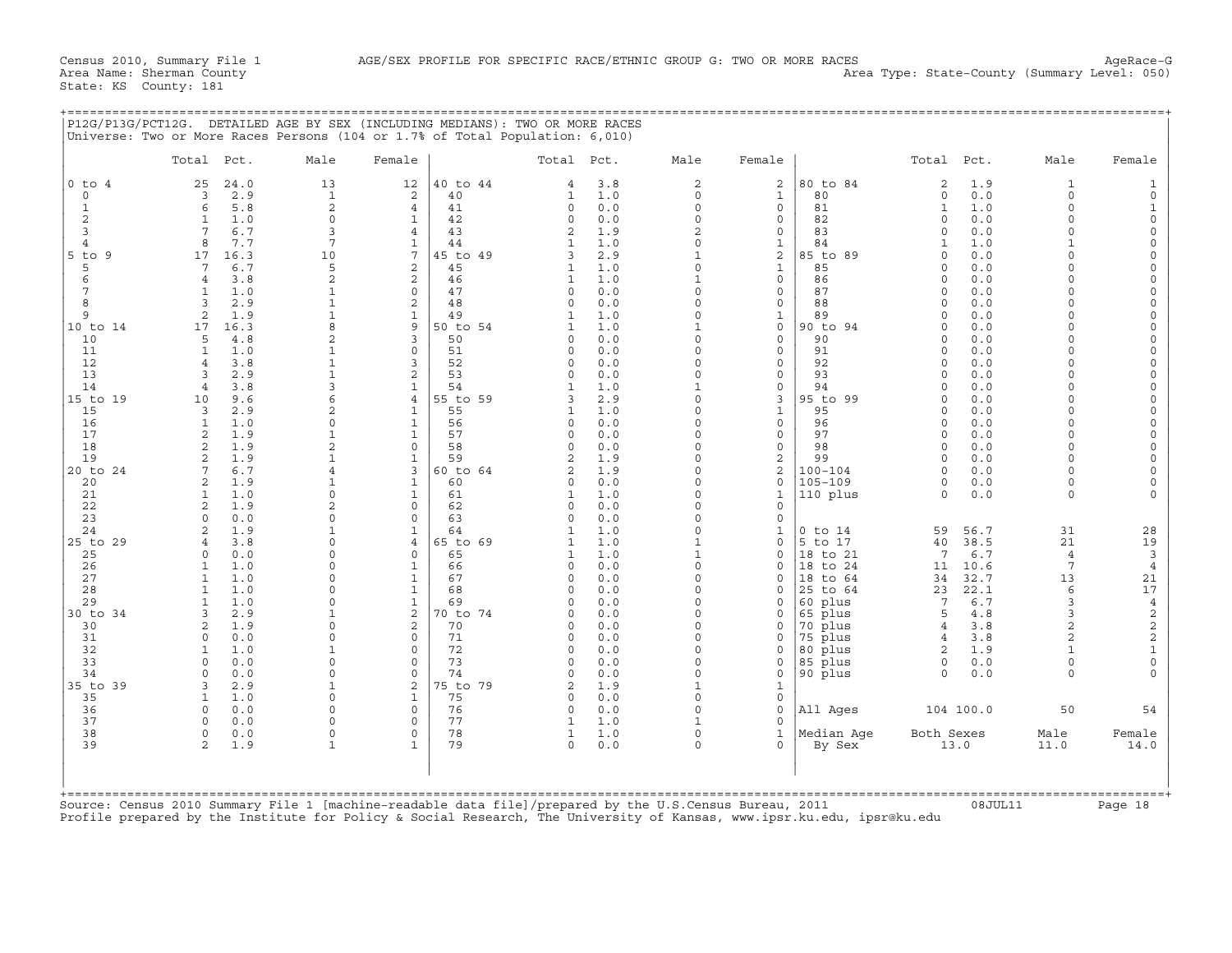+===================================================================================================================================================+

State: KS County: 181

| Total Pct.<br>Male<br>Female<br>Total Pct.<br>Male<br>Female<br>Total Pct.<br>Male<br>$0$ to $4$<br>40 to 44<br>$\overline{c}$<br>80 to 84<br>24.0<br>13<br>12<br>3.8<br>2<br>1.9<br>$\mathbf{1}$<br>25<br>2<br>4<br>$\overline{3}$<br>2.9<br>$\mathbf{1}$<br>2<br>40<br>$1.0$<br>$\mathbf{1}$<br>80<br>$\circ$<br>0.0<br>$\circ$<br>$\mathbf 0$<br>$\mathbf{1}$<br>$\circ$<br>$\mathbf 2$<br>5.8<br>$\circ$<br>$\circ$<br>81<br>1.0<br>$\circ$<br>$\mathbf{1}$<br>6<br>41<br>$\Omega$<br>0.0<br>$\mathbf{1}$<br>4<br>$\Omega$<br>2<br>$\mathbf{1}$<br>1.0<br>42<br>82<br>$\Omega$<br>0.0<br>$\Omega$<br>$\mathbf{1}$<br>$\Omega$<br>0.0<br>$\Omega$<br>0<br>3<br>7<br>6.7<br>3<br>$\overline{4}$<br>43<br>$\overline{2}$<br>83<br>0.0<br>$\Omega$<br>$\overline{a}$<br>1.9<br>0<br>$\Omega$<br>$7\phantom{.0}$<br>8<br>7.7<br>$\mathbf{1}$<br>$\mathbf{1}$<br>1.0<br>$\Omega$<br>$\mathbf{1}$<br>84<br>1.0<br>$\mathbf{1}$<br>$\overline{4}$<br>44<br>$\mathbf{1}$<br>$\overline{7}$<br>$\overline{a}$<br>$5$ to $9$<br>16.3<br>10<br>45 to 49<br>85 to 89<br>0.0<br>$\mathbf 0$<br>17<br>3<br>2.9<br>$\mathbf{1}$<br>$\Omega$<br>5<br>2<br>$\Omega$<br>5<br>$7\overline{ }$<br>6.7<br>45<br>$\mathbf{1}$<br>1.0<br>$\mathbf{1}$<br>85<br>$\Omega$<br>0.0<br>$\Omega$<br>$\overline{c}$<br>6<br>$\overline{c}$<br>3.8<br>46<br>$\mathbf{1}$<br>$1\,$<br>$\circ$<br>86<br>0.0<br>$\mathbf 0$<br>$\overline{4}$<br>1.0<br>$\Omega$<br>7<br>$\mathbf{1}$<br>1.0<br>$\mathbf{1}$<br>$\mathsf{O}\xspace$<br>47<br>$\circ$<br>0.0<br>$\mathbf 0$<br>0<br>87<br>$\Omega$<br>0.0<br>$\Omega$<br>8<br>3<br>2<br>2.9<br>$\mathbf{1}$<br>48<br>$\circ$<br>0.0<br>$\mathbf 0$<br>0<br>88<br>$\circ$<br>0.0<br>$\Omega$<br>$\mathbf 1$<br>2<br>1.9<br>$\mathbf{1}$<br>$\mathbf 0$<br>$\Omega$<br>9<br>49<br>$\mathbf{1}$<br>1.0<br>$\mathbf{1}$<br>89<br>$\Omega$<br>0.0<br>8<br>$\overline{9}$<br>50 to 54<br>90 to 94<br>10 to 14<br>17<br>16.3<br>$\mathbf{1}$<br>1.0<br>0<br>$\Omega$<br>0.0<br>$\Omega$<br>1<br>$\mathbf{3}$<br>$\overline{c}$<br>$\Omega$<br>$\Omega$<br>10<br>5<br>4.8<br>50<br>$\Omega$<br>0.0<br>0<br>90<br>$\Omega$<br>0.0<br>1.0<br>$\mathsf{O}\xspace$<br>91<br>$\Omega$<br>11<br>$\mathbf{1}$<br>$\mathbf{1}$<br>51<br>$\Omega$<br>0.0<br>$\Omega$<br>0<br>$\Omega$<br>0.0<br>$\overline{4}$<br>$\mathbf{1}$<br>3<br>0.0<br>12<br>3.8<br>52<br>$\circ$<br>0.0<br>$\Omega$<br>0<br>92<br>$\Omega$<br>$\Omega$<br>$\mathbf{1}$<br>$\overline{c}$<br>13<br>3<br>2.9<br>53<br>$\Omega$<br>0<br>93<br>0.0<br>$\Omega$<br>$\Omega$<br>0.0<br>$\Omega$<br>$\mathbf{3}$<br>14<br>3.8<br>$\mathbf{1}$<br>54<br>94<br>$\Omega$<br>$\overline{4}$<br>$\mathbf{1}$<br>1.0<br>$\mathbf{1}$<br>0<br>$\Omega$<br>0.0<br>6<br>$\overline{4}$<br>15 to 19<br>10<br>9.6<br>55 to 59<br>2.9<br>$\Omega$<br>3<br>95 to 99<br>0.0<br>$\Omega$<br>3<br>$\Omega$<br>$\overline{c}$<br>15<br>2.9<br>$\mathbf{1}$<br>55<br>$\mathbf 0$<br>$\mathbf{1}$<br>95<br>0.0<br>$\Omega$<br>3<br>$\mathbf{1}$<br>1.0<br>$\circ$ |                                                                                                                                                                                                                                                                                                                                                                                                              |
|----------------------------------------------------------------------------------------------------------------------------------------------------------------------------------------------------------------------------------------------------------------------------------------------------------------------------------------------------------------------------------------------------------------------------------------------------------------------------------------------------------------------------------------------------------------------------------------------------------------------------------------------------------------------------------------------------------------------------------------------------------------------------------------------------------------------------------------------------------------------------------------------------------------------------------------------------------------------------------------------------------------------------------------------------------------------------------------------------------------------------------------------------------------------------------------------------------------------------------------------------------------------------------------------------------------------------------------------------------------------------------------------------------------------------------------------------------------------------------------------------------------------------------------------------------------------------------------------------------------------------------------------------------------------------------------------------------------------------------------------------------------------------------------------------------------------------------------------------------------------------------------------------------------------------------------------------------------------------------------------------------------------------------------------------------------------------------------------------------------------------------------------------------------------------------------------------------------------------------------------------------------------------------------------------------------------------------------------------------------------------------------------------------------------------------------------------------------------------------------------------------------------------------------------------------------------------------------------------------------------------------------------------------------------------------------------------------------------------------------------------------------------------------------------------------------------------------------------------------------------------------------------------------------------------------------------------------------------------------------------------------------|--------------------------------------------------------------------------------------------------------------------------------------------------------------------------------------------------------------------------------------------------------------------------------------------------------------------------------------------------------------------------------------------------------------|
|                                                                                                                                                                                                                                                                                                                                                                                                                                                                                                                                                                                                                                                                                                                                                                                                                                                                                                                                                                                                                                                                                                                                                                                                                                                                                                                                                                                                                                                                                                                                                                                                                                                                                                                                                                                                                                                                                                                                                                                                                                                                                                                                                                                                                                                                                                                                                                                                                                                                                                                                                                                                                                                                                                                                                                                                                                                                                                                                                                                                                | Female                                                                                                                                                                                                                                                                                                                                                                                                       |
| $\mathbf 0$<br>16<br>$\mathbf{1}$<br>1.0<br>$\mathbf{1}$<br>56<br>$\mathbf 0$<br>0<br>96<br>$\Omega$<br>0.0<br>$\mathbf 0$<br>$\circ$<br>0.0<br>$\overline{c}$<br>$1\,$<br>17<br>1.9<br>$\mathbf{1}$<br>57<br>0<br>97<br>0.0<br>$\Omega$<br>$\circ$<br>0.0<br>$\mathbf 0$<br>$\Omega$                                                                                                                                                                                                                                                                                                                                                                                                                                                                                                                                                                                                                                                                                                                                                                                                                                                                                                                                                                                                                                                                                                                                                                                                                                                                                                                                                                                                                                                                                                                                                                                                                                                                                                                                                                                                                                                                                                                                                                                                                                                                                                                                                                                                                                                                                                                                                                                                                                                                                                                                                                                                                                                                                                                          | $\mathbf{1}$<br>$\mathsf{O}\xspace$<br>$\mathbf{1}$<br>$\mathsf{O}$<br>$\mathsf{O}\xspace$<br>$\mathsf O$<br>$\mathsf{O}\xspace$<br>$\mathsf{O}\xspace$<br>$\mathsf{O}$<br>$\mathsf{O}\xspace$<br>0<br>$\mathsf{O}$<br>$\mathsf{O}$<br>$\mathsf{O}\xspace$<br>$\mathsf{O}$<br>$\mathsf{O}\xspace$<br>$\mathsf{O}\xspace$<br>$\mathsf O$<br>$\mathsf O$<br>$\mathsf{O}\xspace$<br>$\mathsf O$<br>$\mathsf{O}$ |
| $\overline{c}$<br>$\overline{a}$<br>$\mathsf{O}\xspace$<br>58<br>98<br>18<br>1.9<br>$\Omega$<br>0.0<br>$\mathbf 0$<br>0<br>0.0<br>$\Omega$<br>$\Omega$<br>19<br>$\mathbf{1}$<br>$\mathbf{1}$<br>$\overline{\mathbf{c}}$<br>1.9<br>59<br>2<br>$\Omega$<br>2<br>99<br>$\Omega$<br>$\Omega$<br>1.9<br>0.0<br>$\overline{3}$<br>7<br>6.7<br>$\overline{4}$<br>2<br>$100 - 104$<br>0.0<br>20 to 24<br>60 to 64<br>2<br>1.9<br>$\Omega$<br>$\Omega$<br>$\Omega$<br>$\mathbf{1}$<br>$\mathbf{1}$<br>$105 - 109$<br>20<br>$\overline{a}$<br>1.9<br>60<br>$\Omega$<br>$\circ$<br>0.0<br>$\circ$<br>0<br>0.0<br>0<br>$\mathbf 0$<br>$\mathbf{1}$<br>21<br>$\mathbf{1}$<br>1.0<br>61<br>$\mathbf{1}$<br>1.0<br>$\mathbf 0$<br>$\mathbf{1}$<br>110 plus<br>$\circ$<br>0.0<br>$\circ$<br>$\overline{a}$<br>1.9<br>$\overline{2}$<br>$\mathbf{0}$<br>22<br>62<br>$\Omega$<br>0.0<br>$\Omega$<br>$\mathbf{0}$<br>$\mathbf 0$<br>23<br>$\circ$<br>0.0<br>$\mathsf{O}\xspace$<br>63<br>$\Omega$<br>$\Omega$<br>0.0<br>0                                                                                                                                                                                                                                                                                                                                                                                                                                                                                                                                                                                                                                                                                                                                                                                                                                                                                                                                                                                                                                                                                                                                                                                                                                                                                                                                                                                                                                                                                                                                                                                                                                                                                                                                                                                                                                                                                                                                                                                                         | $\mathsf{O}\xspace$<br>$\mathsf{O}$<br>$\mathsf{O}$<br>0<br>0                                                                                                                                                                                                                                                                                                                                                |
| 24<br>$\overline{a}$<br>$\mathbf{1}$<br>$\mathbf{1}$<br>1.9<br>64<br>$\mathbf{1}$<br>1.0<br>$\mathbf 0$<br>$\mathbf{1}$<br>$0$ to $14$<br>59<br>56.7<br>31<br>3.8<br>$\Omega$<br>38.5<br>21<br>25 to 29<br>$\overline{4}$<br>65 to 69<br>$\mathbf{1}$<br>1.0<br>$\mathsf{O}$<br>5 to 17<br>40<br>4<br>$\mathbf{1}$<br>$\Omega$<br>$\mathbf{0}$<br>$\mathbf{1}$<br>6.7<br>25<br>0.0<br>65<br>1.0<br>18 to 21<br>7<br>$\overline{4}$<br>0<br>1<br>$\Omega$<br>7<br>26<br>1.0<br>$\Omega$<br>$\mathbf{1}$<br>66<br>$\circ$<br>18 to 24<br>10.6<br>$\mathbf{1}$<br>$\Omega$<br>0.0<br>$\Omega$<br>11<br>27<br>$\mathbf{1}$<br>1.0<br>$\circ$<br>$\mathbf{1}$<br>67<br>0.0<br>$\Omega$<br>18 to 64<br>32.7<br>13<br>$\circ$<br>$\Omega$<br>34<br>$\mathbf 0$<br>$\mathbf{1}$<br>6<br>28<br>$\mathbf{1}$<br>1.0<br>68<br>$\mathbf 0$<br>25 to 64<br>23<br>22.1<br>$\circ$<br>0.0<br>0<br>29<br>$\mathbf{1}$<br>1.0<br>$\mathsf O$<br>$1\,$<br>69<br>60 plus<br>$7\phantom{.0}$<br>6.7<br>$\mathsf 3$<br>$\circ$<br>0.0<br>$\mathbf 0$<br>0<br>$\overline{c}$<br>3<br>2.9<br>$1\,$<br>70 to 74<br>65 plus<br>5<br>4.8<br>$\overline{3}$<br>30 to 34<br>0.0<br>$\Omega$<br>$\Omega$<br>0<br>$\overline{c}$<br>$\mathbf 0$<br>2<br>30<br>$\overline{\mathbf{c}}$<br>1.9<br>70<br>$\mathbf 0$<br>70 plus<br>$\circ$<br>0.0<br>0<br>4<br>3.8<br>$\mathbf 0$<br>75 plus<br>2<br>31<br>$\circ$<br>0.0<br>$\circ$<br>71<br>$\circ$<br>0.0<br>$\mathbf 0$<br>3.8<br>0<br>$\overline{4}$<br>32<br>1.0<br>$\mathbf{1}$<br>$\mathbf{0}$<br>80 plus<br>$\overline{c}$<br>$\mathbf{1}$<br>72<br>0.0<br>$\Omega$<br>0<br>1.9<br>$\mathbf{1}$<br>$\Omega$<br>$\mathbf 0$<br>$\mathsf{O}\xspace$<br>$\mathsf O$<br>33<br>$\circ$<br>0.0<br>73<br>$\mathbf 0$<br>85 plus<br>$\circ$<br>0.0<br>0<br>0.0<br>0<br>34<br>0.0<br>$\mathsf{O}$<br>$\mathsf O$<br>74<br>90 plus<br>$\circ$<br>$\Omega$<br>0.0<br>$\mathbf 0$<br>0<br>$\circ$<br>0.0<br>$\circ$<br>2<br>75 to 79<br>35 to 39<br>2.9<br>$\mathbf{1}$<br>3<br>2<br>1.9<br>$\mathbf{1}$<br>$\mathbf 1$                                                                                                                                                                                                                                                                                                                                                                                                                                                                                                                                                                                                                                                                                                                                                                                                                                                                                                                                                                            | 28<br>19<br>$\mathbf{3}$<br>$\overline{4}$<br>21<br>17<br>$\,4$<br>$\sqrt{2}$<br>$\overline{c}$<br>$\overline{c}$<br>$\mathbf 1$<br>$\mathsf{O}\xspace$<br>$\mathbf 0$                                                                                                                                                                                                                                       |
| $\Omega$<br>35<br>$\mathbf{1}$<br>$\mathbf{1}$<br>$\mathbf 0$<br>1.0<br>75<br>$\circ$<br>0.0<br>0<br>36<br>$\circ$<br>$\Omega$<br>$\mathbf{0}$<br>76<br>All Ages<br>104 100.0<br>50<br>0.0<br>$\circ$<br>0.0<br>$\mathbf 0$<br>$\mathbf{0}$<br>0<br>0.0<br>$\Omega$<br>$\mathbf 0$<br>77<br>1.0<br>37<br>$\mathbf{1}$<br>$\mathbf{1}$<br>$\Omega$<br>38<br>$\mathbf 0$<br>$\mathsf O$<br>78<br>1.0<br>$\mathbf 0$<br>Median Age<br>Both Sexes<br>$\circ$<br>0.0<br>$\mathbf{1}$<br>$\mathbf{1}$<br>Male<br>39<br>$\overline{a}$<br>79<br>1.9<br>$\mathbf{1}$<br>$\mathbf{1}$<br>$\circ$<br>0.0<br>$\mathbf 0$<br>13.0<br>By Sex<br>11.0<br>$\Omega$                                                                                                                                                                                                                                                                                                                                                                                                                                                                                                                                                                                                                                                                                                                                                                                                                                                                                                                                                                                                                                                                                                                                                                                                                                                                                                                                                                                                                                                                                                                                                                                                                                                                                                                                                                                                                                                                                                                                                                                                                                                                                                                                                                                                                                                                                                                                                            | 54<br>Female<br>14.0                                                                                                                                                                                                                                                                                                                                                                                         |

+===================================================================================================================================================+ Source: Census 2010 Summary File 1 [machine−readable data file]/prepared by the U.S.Census Bureau, 2011 08JUL11 Page 18 Profile prepared by the Institute for Policy & Social Research, The University of Kansas, www.ipsr.ku.edu, ipsr@ku.edu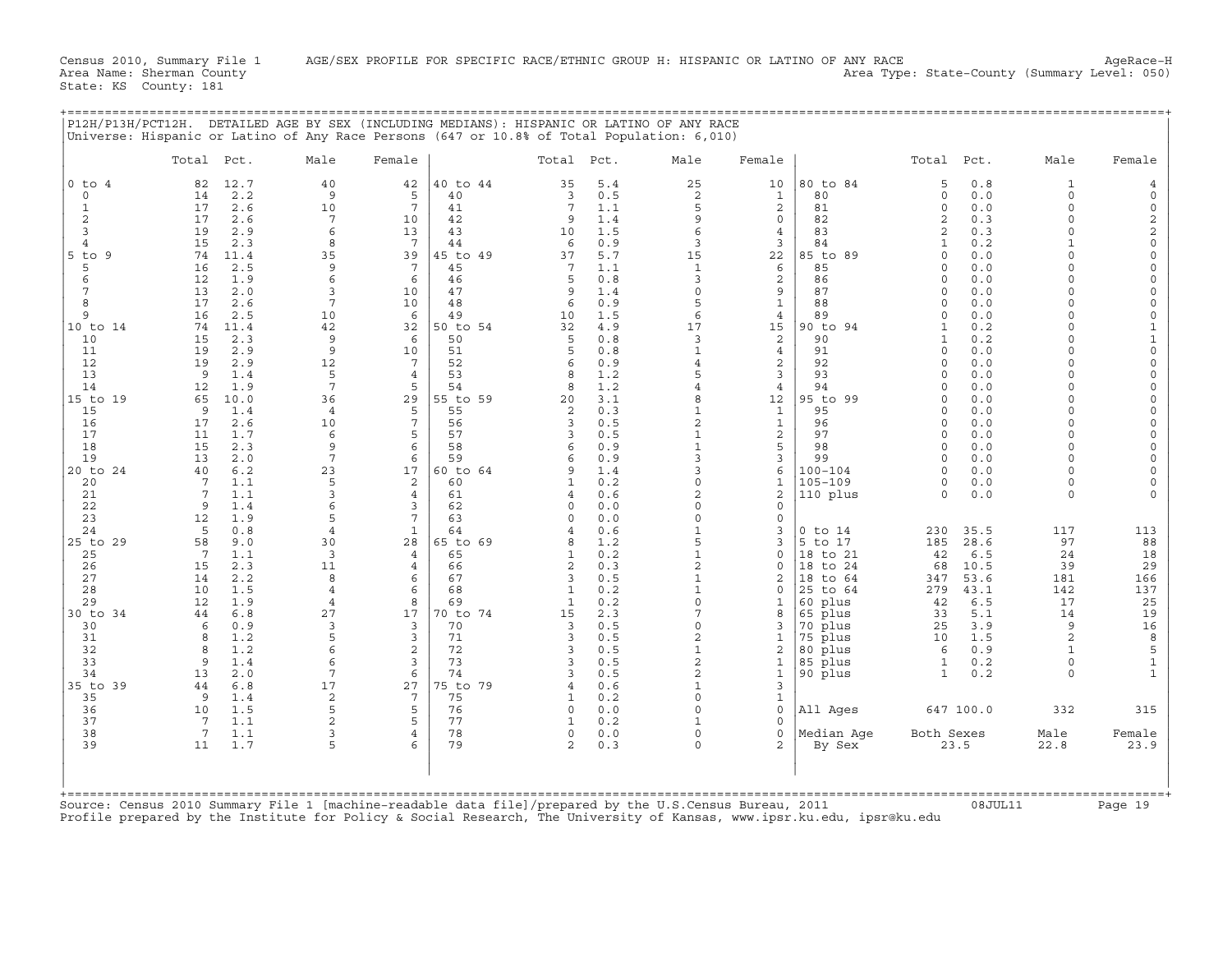Census 2010, Summary File 1 AGE/SEX PROFILE FOR SPECIFIC RACE/ETHNIC GROUP H: HISPANIC OR LATINO OF ANY RACE<br>Area Name: Sherman County (summary Level: 050) Area Type: State-County (Summary Level: 050)

State: KS County: 181

|                              |                       |             | P12H/P13H/PCT12H. DETAILED AGE BY SEX (INCLUDING MEDIANS): HISPANIC OR LATINO OF ANY RACE<br>Universe: Hispanic or Latino of Any Race Persons (647 or 10.8% of Total Population: 6,010) |                      |                |                             |            |                              |                      |                            |                        |              |                          |                                    |
|------------------------------|-----------------------|-------------|-----------------------------------------------------------------------------------------------------------------------------------------------------------------------------------------|----------------------|----------------|-----------------------------|------------|------------------------------|----------------------|----------------------------|------------------------|--------------|--------------------------|------------------------------------|
|                              | Total Pct.            |             | Male                                                                                                                                                                                    | Female               |                | Total Pct.                  |            | Male                         | Female               |                            | Total Pct.             |              | Male                     | Female                             |
| $0$ to $4$                   | 82                    | 12.7        | 40                                                                                                                                                                                      | 42                   | 40 to 44       | 35                          | 5.4        | 25                           | 10                   | 80 to 84                   | 5                      | 0.8          | 1                        | 4                                  |
| $\circ$<br>$\mathbf{1}$      | 14<br>17              | 2.2<br>2.6  | 9<br>10                                                                                                                                                                                 | 5<br>$7\phantom{.0}$ | 40<br>41       | 3<br>7                      | 0.5<br>1.1 | 2<br>5                       | 1<br>$\overline{a}$  | 80<br>81                   | $\mathbf 0$<br>$\circ$ | 0.0<br>0.0   | $\circ$<br>$\circ$       | $\mathsf{O}$<br>$\mathsf{O}$       |
| 2                            | 17                    | 2.6         | $7\phantom{.0}$                                                                                                                                                                         | 10                   | 42             | 9                           | 1.4        | 9                            | $\mathsf{O}$         | 82                         | 2                      | 0.3          | $\Omega$                 | $\mathbf 2$                        |
| 3                            | 19                    | 2.9         | 6                                                                                                                                                                                       | 13                   | 43             | 10                          | 1.5        | 6                            | 4                    | 83                         | 2                      | 0.3          | $\Omega$                 | $\mathbf 2$                        |
| $\overline{4}$<br>$5$ to $9$ | 15<br>74              | 2.3<br>11.4 | 8<br>35                                                                                                                                                                                 | $7^{\circ}$<br>39    | 44<br>45 to 49 | 6<br>37                     | 0.9<br>5.7 | 3<br>15                      | 3<br>22              | 84<br>85 to 89             | 1<br>$\circ$           | 0.2<br>0.0   | $\mathbf{1}$<br>$\Omega$ | $\mathsf{O}\xspace$<br>$\mathbf 0$ |
| 5                            | 16                    | 2.5         | 9                                                                                                                                                                                       | 7                    | 45             | 7                           | 1.1        | $\mathbf{1}$                 | 6                    | 85                         | 0                      | 0.0          | $\Omega$                 | $\mathbf 0$                        |
| 6                            | 12                    | 1.9         | 6                                                                                                                                                                                       | 6                    | 46             | 5                           | 0.8        | 3                            | 2                    | 86                         | $\circ$                | 0.0          | $\Omega$                 | 0                                  |
| 7                            | 13                    | 2.0         | 3                                                                                                                                                                                       | 10                   | 47             | 9                           | 1.4        | $\circ$                      | 9                    | 87                         | $\circ$                | 0.0          | $\Omega$                 | $\mathbf 0$                        |
| 8<br>9                       | 17<br>16              | 2.6<br>2.5  | 7<br>10                                                                                                                                                                                 | 10<br>6              | 48<br>49       | 6<br>10                     | 0.9<br>1.5 | 5<br>6                       | $\mathbf{1}$<br>4    | 88<br>89                   | $\circ$<br>$\Omega$    | 0.0<br>0.0   | $\Omega$<br>$\Omega$     | 0<br>$\mathbf 0$                   |
| 10 to 14                     | 74                    | 11.4        | 42                                                                                                                                                                                      | 32                   | 50 to 54       | 32                          | 4.9        | 17                           | 15                   | 90 to 94                   | 1                      | 0.2          | $\Omega$                 | $\mathbf{1}$                       |
| 10                           | 15                    | 2.3         | 9                                                                                                                                                                                       | 6                    | 50             | 5                           | 0.8        | 3                            | 2                    | 90                         | 1                      | 0.2          | $\Omega$                 | $1\,$                              |
| 11                           | 19                    | 2.9         | 9                                                                                                                                                                                       | 10                   | 51             | 5                           | 0.8        | $\mathbf{1}$                 | $\overline{4}$       | 91                         | $\Omega$               | 0.0          | $\Omega$                 | $\mathsf{O}\xspace$                |
| 12<br>13                     | 19<br>9               | 2.9<br>1.4  | 12<br>5                                                                                                                                                                                 | 7<br>4               | 52<br>53       | 6<br>8                      | 0.9<br>1.2 | $\overline{4}$<br>5          | 2<br>3               | 92<br>93                   | $\Omega$<br>0          | 0.0<br>0.0   | $\Omega$<br>$\Omega$     | 0<br>$\mathbf 0$                   |
| 14                           | 12                    | 1.9         | $7\phantom{.0}$                                                                                                                                                                         | 5                    | 54             | 8                           | 1.2        | $\overline{4}$               | 4                    | 94                         | $\Omega$               | 0.0          | $\Omega$                 | $\mathbf 0$                        |
| 15 to 19                     | 65                    | 10.0        | 36                                                                                                                                                                                      | 29                   | 55 to 59       | 20                          | 3.1        | 8                            | 12                   | 95 to 99                   | $\Omega$               | 0.0          | $\Omega$                 | $\mathbf 0$                        |
| 15                           | 9                     | 1.4         | $\overline{4}$                                                                                                                                                                          | 5<br>7               | 55             | 2                           | 0.3        | $\mathbf{1}$                 | 1                    | 95                         | $\Omega$               | 0.0          | $\Omega$<br>$\Omega$     | $\mathsf{O}\xspace$                |
| 16<br>17                     | 17<br>11              | 2.6<br>1.7  | 10<br>6                                                                                                                                                                                 | 5                    | 56<br>57       | 3<br>3                      | 0.5<br>0.5 | $\mathbf{2}$<br>$\mathbf{1}$ | $\mathbf{1}$<br>2    | 96<br>97                   | $\Omega$<br>$\Omega$   | 0.0<br>0.0   | $\Omega$                 | $\mathbf 0$<br>$\mathbf 0$         |
| 18                           | 15                    | 2.3         | 9                                                                                                                                                                                       | 6                    | 58             | 6                           | 0.9        |                              | 5                    | 98                         | $\Omega$               | 0.0          | $\Omega$                 | $\mathbf 0$                        |
| 19                           | 13                    | 2.0         | $7\phantom{.0}$                                                                                                                                                                         | 6                    | 59             | 6                           | 0.9        | 3                            | 3                    | 99                         | 0                      | 0.0          | $\Omega$                 | $\mathbf 0$                        |
| 20 to 24                     | 40<br>$7\phantom{.0}$ | 6.2<br>1.1  | 23<br>5                                                                                                                                                                                 | 17<br>2              | 60 to 64<br>60 | 9<br>1                      | 1.4<br>0.2 | 3<br>$\Omega$                | 6<br>$\mathbf{1}$    | $100 - 104$<br>$105 - 109$ | 0<br>0                 | 0.0<br>0.0   | $\Omega$<br>$\Omega$     | $\mathbf 0$<br>$\mathbf 0$         |
| 20<br>21                     | $7\phantom{.0}$       | 1.1         | 3                                                                                                                                                                                       | 4                    | 61             | 4                           | 0.6        | 2                            | 2                    | 110 plus                   | 0                      | 0.0          | $\Omega$                 | $\Omega$                           |
| 22                           | 9                     | 1.4         | 6                                                                                                                                                                                       | 3                    | 62             | $\Omega$                    | 0.0        | 0                            | 0                    |                            |                        |              |                          |                                    |
| 23                           | 12                    | 1.9         | 5                                                                                                                                                                                       | 7                    | 63             | $\Omega$                    | 0.0        | $\Omega$                     | 0                    |                            |                        |              |                          |                                    |
| 24                           | 5                     | 0.8<br>9.0  | 4<br>30                                                                                                                                                                                 | $\mathbf{1}$<br>28   | 64<br>65 to 69 | 4<br>8                      | 0.6<br>1.2 | $\mathbf{1}$<br>5            | 3                    | $0$ to $14$<br>5 to 17     | 230<br>185             | 35.5<br>28.6 | 117<br>97                | 113                                |
| 25 to 29<br>25               | 58<br>7               | 1.1         | 3                                                                                                                                                                                       | 4                    | 65             | $\mathbf{1}$                | 0.2        | $\mathbf{1}$                 | 3<br>0               | 18 to 21                   | 42                     | 6.5          | 24                       | 88<br>18                           |
| 26                           | 15                    | 2.3         | 11                                                                                                                                                                                      | 4                    | 66             | $\overline{2}$              | 0.3        | $\overline{2}$               | 0                    | 18 to 24                   | 68                     | 10.5         | 39                       | 29                                 |
| 27                           | 14                    | 2.2         | 8                                                                                                                                                                                       | 6                    | 67             | 3                           | 0.5        |                              | 2                    | 18 to 64                   | 347                    | 53.6         | 181                      | 166                                |
| 28<br>29                     | 10<br>12              | 1.5<br>1.9  | $\overline{4}$<br>$\overline{4}$                                                                                                                                                        | 6<br>8               | 68<br>69       | $\mathbf{1}$<br>1           | 0.2<br>0.2 | $\mathbf{1}$<br>$\Omega$     | 0                    | 25 to 64<br>60 plus        | 279<br>42              | 43.1<br>6.5  | 142<br>17                | 137<br>25                          |
| 30 to 34                     | 44                    | 6.8         | 27                                                                                                                                                                                      | 17                   | 70 to 74       | 15                          | 2.3        | 7                            | 8                    | 65 plus                    | 33                     | 5.1          | 14                       | 19                                 |
| 30                           | 6                     | 0.9         | 3                                                                                                                                                                                       | 3                    | 70             | 3                           | 0.5        | $\Omega$                     |                      | 70 plus                    | 25                     | 3.9          | 9                        | 16                                 |
| 31                           | 8                     | 1.2         | 5                                                                                                                                                                                       | 3                    | 71             | 3                           | 0.5        | $\overline{2}$               |                      | 75 plus                    | 10                     | 1.5          | 2                        | 8                                  |
| 32<br>33                     | 8<br>9                | 1.2<br>1.4  | 6<br>6                                                                                                                                                                                  | 2<br>3               | 72<br>73       | 3<br>3                      | 0.5<br>0.5 | $\mathbf{1}$<br>2            | 2<br>1               | 80 plus<br>85 plus         | 6<br>$\mathbf{1}$      | 0.9<br>0.2   | 1<br>$\circ$             | 5<br>$\mathbf{1}$                  |
| 34                           | 13                    | 2.0         | $7\phantom{.0}$                                                                                                                                                                         | 6                    | 74             | 3                           | 0.5        | 2                            | 1                    | 90 plus                    | $\mathbf{1}$           | 0.2          | $\Omega$                 | $\mathbf{1}$                       |
| 35 to 39                     | 44                    | 6.8         | 17                                                                                                                                                                                      | 27                   | 75 to 79       | 4                           | 0.6        | $\mathbf{1}$                 | 3                    |                            |                        |              |                          |                                    |
| 35                           | 9                     | 1.4         | $\overline{c}$                                                                                                                                                                          | $7\phantom{.0}$      | 75             | $\mathbf{1}$                | 0.2        | $\Omega$                     | $\mathbf{1}$         |                            |                        |              |                          |                                    |
| 36<br>37                     | 10<br>7               | 1.5<br>1.1  | 5<br>$\overline{c}$                                                                                                                                                                     | 5<br>5               | 76<br>77       | $\mathbf 0$<br>$\mathbf{1}$ | 0.0<br>0.2 | $\Omega$<br>$\mathbf{1}$     | $\Omega$<br>$\Omega$ | All Ages                   |                        | 647 100.0    | 332                      | 315                                |
| 38                           | $7\phantom{.0}$       | 1.1         | 3                                                                                                                                                                                       | 4                    | 78             | 0                           | 0.0        | 0                            | 0                    | Median Age                 | Both Sexes             |              | Male                     | Female                             |
| 39                           | 11                    | 1.7         | 5                                                                                                                                                                                       | 6                    | 79             | $\overline{a}$              | 0.3        | $\Omega$                     | 2                    | By Sex                     |                        | 23.5         | 22.8                     | 23.9                               |
|                              |                       |             | $\mathsf{Im}\, \neg \, \neg \, \mathsf{h}$                                                                                                                                              |                      | $\ddot{a}$     |                             |            |                              |                      | 2011                       |                        |              |                          |                                    |

Source: Census 2010 Summary File 1 [machine−readable data file]/prepared by the U.S.Census Bureau, 2011 08JUL11 Page 19 Profile prepared by the Institute for Policy & Social Research, The University of Kansas, www.ipsr.ku.edu, ipsr@ku.edu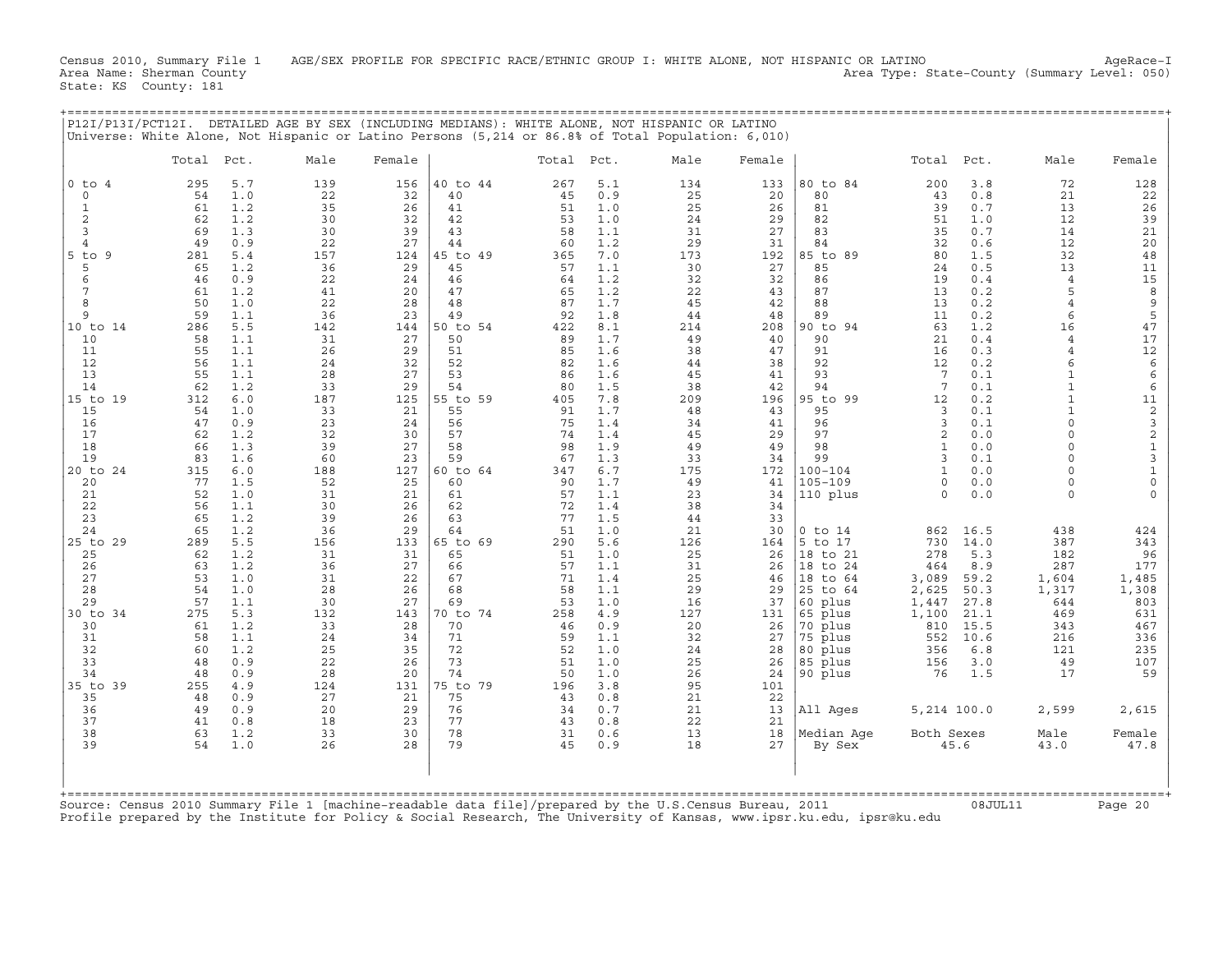Census 2010, Summary File 1 AGE/SEX PROFILE FOR SPECIFIC RACE/ETHNIC GROUP I: WHITE ALONE, NOT HISPANIC OR LATINO AgeRace-I<br>Area Name: Sherman County (summary Level: 050) Area Name: Sherman County Area Type: State-County (Summary Level: 050) State: KS County: 181

|               |            |                      | P12I/P13I/PCT12I. DETAILED AGE BY SEX (INCLUDING MEDIANS): WHITE ALONE, NOT HISPANIC OR LATINO    |        |              |            |         |                   |        |                   |            |         |      |        |
|---------------|------------|----------------------|---------------------------------------------------------------------------------------------------|--------|--------------|------------|---------|-------------------|--------|-------------------|------------|---------|------|--------|
|               |            |                      | Universe: White Alone, Not Hispanic or Latino Persons (5,214 or 86.8% of Total Population: 6,010) |        |              |            |         |                   |        |                   |            |         |      |        |
|               | Total Pct. |                      | Male                                                                                              | Female |              | Total Pct. |         | Male              | Female |                   | Total Pct. |         | Male | Female |
| $ 0 \t{to} 4$ |            | 295 5.7<br>_ _ _ _ _ | 139<br>---                                                                                        |        | 156 40 to 44 |            | 267 5.1 | 134<br>$\sim$ $-$ |        | 133 80 to 84<br>. |            | 200 3.8 |      | 128    |

|                                                                                                         | Total     | Pct.       | Male      | Female    |                | Total Pct. |            | Male      | Female    |                    | Total                | Pct.         | Male                       | Female                                     |
|---------------------------------------------------------------------------------------------------------|-----------|------------|-----------|-----------|----------------|------------|------------|-----------|-----------|--------------------|----------------------|--------------|----------------------------|--------------------------------------------|
| $0$ to $4$                                                                                              | 295       | 5.7        | 139       | 156       | 40 to 44       | 267        | 5.1        | 134       | 133       | 80 to 84           | 200                  | 3.8          | 72                         | 128                                        |
| $\Omega$                                                                                                | 54        | 1.0        | 22        | 32        | 40             | 45         | 0.9        | 25        | 20        | 80                 | 43                   | 0.8          | 21                         | 22                                         |
| $\mathbf 1$                                                                                             | 61        | 1.2        | 35        | 26        | 41             | 51         | 1.0        | 25        | 26        | 81                 | 39                   | 0.7          | 13                         | 26                                         |
| 2                                                                                                       | 62        | 1.2        | 30        | 32        | 42             | 53         | 1.0        | 24        | 29        | 82                 | 51                   | 1.0          | 12                         | 39                                         |
| 3                                                                                                       | 69        | 1.3        | 30        | 39        | 43             | 58         | 1.1        | 31        | 27        | 83                 | 35                   | 0.7          | 14                         | 21                                         |
| $\overline{4}$                                                                                          | 49        | 0.9        | 22        | 27        | 44             | 60         | 1.2        | 29        | 31        | 84                 | 32                   | 0.6          | 12                         | 20                                         |
| $5$ to<br>-9<br>5                                                                                       | 281<br>65 | 5.4<br>1.2 | 157<br>36 | 124<br>29 | 45 to 49<br>45 | 365<br>57  | 7.0<br>1.1 | 173<br>30 | 192<br>27 | 85 to 89<br>85     | 80<br>24             | 1.5<br>0.5   | 32<br>13                   | 48<br>11                                   |
| 6                                                                                                       | 46        | 0.9        | 22        | 24        | 46             | 64         | 1.2        | 32        | 32        | 86                 | 19                   | 0.4          | $\overline{4}$             | 15                                         |
| 7                                                                                                       | 61        | 1.2        | 41        | 20        | 47             | 65         | 1.2        | 22        | 43        | 87                 | 13                   | 0.2          | 5                          | $\,8\,$                                    |
| 8                                                                                                       | 50        | 1.0        | 22        | 28        | 48             | 87         | 1.7        | 45        | 42        | 88                 | 13                   | 0.2          | $\overline{4}$             | $\mathsf 9$                                |
| 9                                                                                                       | 59        | 1.1        | 36        | 23        | 49             | 92         | 1.8        | 44        | 48        | 89                 | 11                   | 0.2          | 6                          | 5                                          |
| 10 to 14                                                                                                | 286       | 5.5        | 142       | 144       | 50 to 54       | 422        | 8.1        | 214       | 208       | 90 to 94           | 63                   | 1.2          | 16                         | 47                                         |
| 10                                                                                                      | 58        | 1.1        | 31        | 27        | 50             | 89         | 1.7        | 49        | 40        | 90                 | 21                   | 0.4          | $\overline{4}$             | 17                                         |
| 11                                                                                                      | 55        | 1.1        | 26        | 29        | 51             | 85         | 1.6        | 38        | 47        | 91                 | 16                   | 0.3          | $\overline{4}$             | 12                                         |
| 12<br>13                                                                                                | 56<br>55  | 1.1<br>1.1 | 24<br>28  | 32<br>27  | 52<br>53       | 82<br>86   | 1.6<br>1.6 | 44<br>45  | 38<br>41  | 92<br>93           | 12<br>7              | 0.2<br>0.1   | $\epsilon$<br>$\mathbf{1}$ | $\epsilon$<br>$\epsilon$                   |
| 14                                                                                                      | 62        | 1.2        | 33        | 29        | 54             | 80         | 1.5        | 38        | 42        | 94                 | $\overline{7}$       | 0.1          | $\mathbf{1}$               | 6                                          |
| 15 to 19                                                                                                | 312       | 6.0        | 187       | 125       | 55 to 59       | 405        | 7.8        | 209       | 196       | 95 to 99           | 12                   | 0.2          | $\mathbf{1}$               | 11                                         |
| 15                                                                                                      | 54        | 1.0        | 33        | 21        | 55             | 91         | 1.7        | 48        | 43        | 95                 | 3                    | 0.1          |                            |                                            |
| 16                                                                                                      | 47        | 0.9        | 23        | 24        | 56             | 75         | 1.4        | 34        | 41        | 96                 | 3                    | 0.1          | $\Omega$                   | $\begin{array}{c} 2 \\ 3 \\ 2 \end{array}$ |
| 17                                                                                                      | 62        | 1.2        | 32        | 30        | 57             | 74         | 1.4        | 45        | 29        | 97                 | $\overline{2}$       | 0.0          | $\cap$                     |                                            |
| 18                                                                                                      | 66        | 1.3        | 39        | 27        | 58             | 98         | 1.9        | 49        | 49        | 98                 | $\mathbf{1}$         | 0.0          | $\Omega$                   | $\mathbf 1$                                |
| 19                                                                                                      | 83        | 1.6        | 60        | 23        | 59             | 67         | 1.3        | 33        | 34        | 99                 | 3                    | 0.1          | $\Omega$                   | $\mathsf 3$                                |
| 20 to 24                                                                                                | 315       | 6.0        | 188       | 127       | 60 to 64       | 347        | 6.7        | 175       | 172       | $100 - 104$        | $\mathbf{1}$         | 0.0          | $\Omega$                   | $\mathbf 1$                                |
| 20                                                                                                      | 77<br>52  | 1.5<br>1.0 | 52<br>31  | 25        | 60<br>61       | 90<br>57   | 1.7<br>1.1 | 49        | 41<br>34  | $105 - 109$        | $\Omega$<br>$\Omega$ | 0.0<br>0.0   | $\Omega$<br>$\Omega$       | $\mathsf{O}\xspace$<br>$\Omega$            |
| 21<br>22                                                                                                | 56        | 1.1        | 30        | 21<br>26  | 62             | 72         | 1.4        | 23<br>38  | 34        | 110 plus           |                      |              |                            |                                            |
| 23                                                                                                      | 65        | 1.2        | 39        | 26        | 63             | 77         | 1.5        | 44        | 33        |                    |                      |              |                            |                                            |
| 24                                                                                                      | 65        | 1.2        | 36        | 29        | 64             | 51         | 1.0        | 21        | 30        | $0$ to $14$        | 862                  | 16.5         | 438                        | 424                                        |
| 25 to 29                                                                                                | 289       | 5.5        | 156       | 133       | 65 to 69       | 290        | 5.6        | 126       | 164       | 5 to 17            | 730                  | 14.0         | 387                        | 343                                        |
| 25                                                                                                      | 62        | 1.2        | 31        | 31        | 65             | 51         | 1.0        | 25        | 26        | 18 to 21           | 278                  | 5.3          | 182                        | 96                                         |
| 26                                                                                                      | 63        | 1.2        | 36        | 27        | 66             | 57         | 1.1        | 31        | 26        | 18 to 24           | 464                  | 8.9          | 287                        | 177                                        |
| 27                                                                                                      | 53        | 1.0        | 31        | 22        | 67             | 71         | 1.4        | 25        | 46        | 18 to 64           | 3,089                | 59.2         | 1,604                      | 1,485                                      |
| 28<br>29                                                                                                | 54<br>57  | 1.0<br>1.1 | 28<br>30  | 26<br>27  | 68<br>69       | 58<br>53   | 1.1<br>1.0 | 29<br>16  | 29<br>37  | 25 to 64           | 2,625                | 50.3<br>27.8 | 1,317<br>644               | 1,308<br>803                               |
| 30 to 34                                                                                                | 275       | 5.3        | 132       | 143       | 70 to 74       | 258        | 4.9        | 127       | 131       | 60 plus<br>65 plus | 1,447<br>1,100       | 21.1         | 469                        | 631                                        |
| 30                                                                                                      | 61        | 1.2        | 33        | 28        | 70             | 46         | 0.9        | 20        | 26        | 70 plus            | 810                  | 15.5         | 343                        | 467                                        |
| 31                                                                                                      | 58        | 1.1        | 24        | 34        | 71             | 59         | 1.1        | 32        | 27        | 75 plus            | 552                  | 10.6         | 216                        | 336                                        |
| 32                                                                                                      | 60        | 1.2        | 25        | 35        | 72             | 52         | 1.0        | 24        | 28        | 80 plus            | 356                  | 6.8          | 121                        | 235                                        |
| 33                                                                                                      | 48        | 0.9        | 22        | 26        | 73             | 51         | 1.0        | 25        | 26        | 85 plus            | 156                  | 3.0          | 49                         | 107                                        |
| 34                                                                                                      | 48        | 0.9        | 28        | 20        | 74             | 50         | 1.0        | 26        | 24        | 90 plus            | 76                   | 1.5          | 17                         | 59                                         |
| 35 to 39                                                                                                | 255       | 4.9        | 124       | 131       | 75 to 79       | 196        | 3.8        | 95        | 101       |                    |                      |              |                            |                                            |
| 35                                                                                                      | 48        | 0.9        | 27        | 21        | 75             | 43         | 0.8        | 21        | 22        |                    |                      |              |                            |                                            |
| 36<br>37                                                                                                | 49<br>41  | 0.9<br>0.8 | 20<br>18  | 29<br>23  | 76<br>77       | 34<br>43   | 0.7<br>0.8 | 21<br>22  | 13<br>21  | All Ages           | 5,214 100.0          |              | 2,599                      | 2,615                                      |
| 38                                                                                                      | 63        | 1.2        | 33        | 30        | 78             | 31         | 0.6        | 13        | 18        | Median Aqe         | Both Sexes           |              | Male                       | Female                                     |
| 39                                                                                                      | 54        | 1.0        | 26        | 28        | 79             | 45         | 0.9        | 18        | 27        | By Sex             |                      | 45.6         | 43.0                       | 47.8                                       |
|                                                                                                         |           |            |           |           |                |            |            |           |           |                    |                      |              |                            |                                            |
| Source: Census 2010 Summary File 1 [machine-readable data file]/prepared by the U.S.Census Bureau, 2011 |           |            |           |           |                |            |            |           |           |                    |                      | 08JUL11      |                            | :=========+<br>Page 20                     |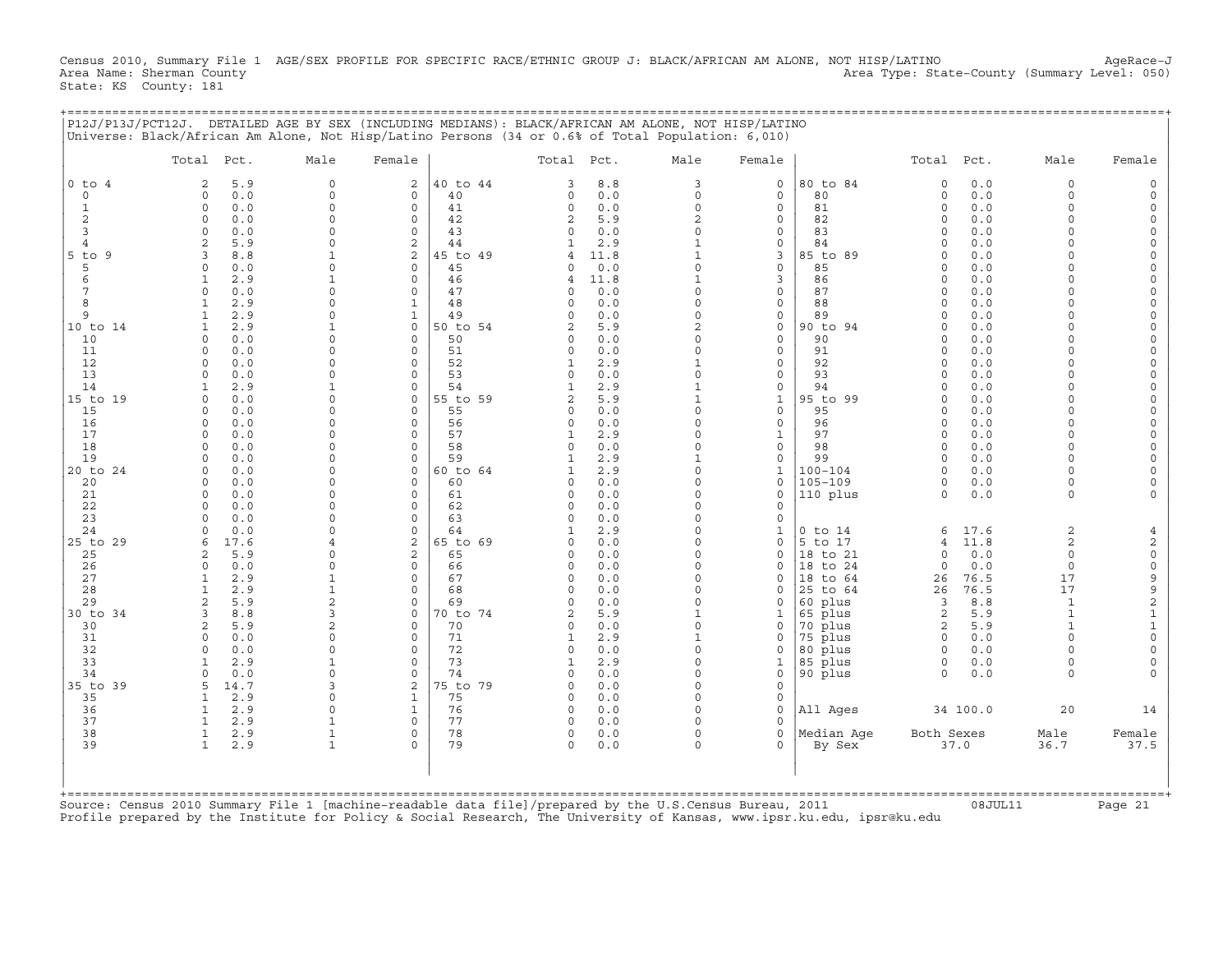Census 2010, Summary File 1 AGE/SEX PROFILE FOR SPECIFIC RACE/ETHNIC GROUP J: BLACK/AFRICAN AM ALONE, NOT HISP/LATINO AgeRace-J<br>Area Name: Sherman County (summary Level: 050) Area Type: State-County (Summary Level: 050) State: KS County: 181

+===================================================================================================================================================+

|            | Total Pct.                         | Male              | Female                        |                | Total Pct.     |            | Male                     | Female                      |                            | Total Pct.           |             | Male                 | Female                        |
|------------|------------------------------------|-------------------|-------------------------------|----------------|----------------|------------|--------------------------|-----------------------------|----------------------------|----------------------|-------------|----------------------|-------------------------------|
| $0$ to $4$ | 5.9<br>2                           | $\mathbf 0$       | $\overline{\mathbf{c}}$       | 40 to 44       | 3              | 8.8        | 3                        | $\mathbf 0$                 | 80 to 84                   | $\mathbf 0$          | 0.0         | $\mathbf 0$          | $\Omega$                      |
| $\circ$    | 0.0<br>0                           | 0                 | 0                             | 40             | 0              | 0.0        | 0                        | $\mathsf{O}$                | 80                         | 0                    | $0.0$       | $\Omega$             |                               |
| 1          | $\mathbf 0$<br>0.0                 | 0                 | $\mathbf 0$                   | 41             | 0              | 0.0        | 0                        | $\mathsf{O}$                | 81                         | $\circ$              | 0.0         | $\Omega$             | $\Omega$                      |
| 2          | $\mathbf 0$<br>0.0                 | $\Omega$          | $\mathbf 0$                   | 42             | $\overline{2}$ | 5.9        | 2                        | $\mathbf 0$                 | 82                         | $\Omega$             | 0.0         | $\Omega$<br>$\Omega$ | $\Omega$                      |
| 3<br>4     | 0.0<br>$\Omega$<br>5.9<br>2        | 0<br>$\Omega$     | $\mathbf 0$<br>$\overline{c}$ | 43<br>44       | $\Omega$<br>1  | 0.0<br>2.9 | $\Omega$<br>1            | $\mathbf 0$<br>$\mathbf 0$  | 83<br>84                   | $\Omega$<br>$\Omega$ | 0.0<br>0.0  |                      | $\Omega$<br>$\Omega$          |
| $5$ to $9$ | 3<br>8.8                           | $\mathbf{1}$      | $\mathbf{2}$                  | 45 to 49       | 4              | 11.8       | $\mathbf{1}$             | 3                           | 85 to 89                   | $\Omega$             | 0.0         |                      |                               |
| 5          | 0.0<br>$\Omega$                    | $\Omega$          | $\mathbf 0$                   | 45             | $\Omega$       | 0.0        | $\circ$                  | $\mathbf 0$                 | 85                         | $\Omega$             | 0.0         | $\cap$               | $\Omega$                      |
| 6          | 2.9<br>1                           | 1                 | 0                             | 46             | 4              | 11.8       | $\mathbf{1}$             | 3                           | 86                         | $\Omega$             | 0.0         | U                    | $\Omega$                      |
| 7          | 0.0<br>$\Omega$                    | $\Omega$          | $\mathbf 0$                   | 47             | $\Omega$       | 0.0        | $\Omega$                 | $\mathsf{O}$                | 87                         | $\Omega$             | 0.0         | $\cap$               | $\Omega$                      |
| 8          | 2.9<br>1                           | 0                 | $\mathbf{1}$                  | 48             | 0              | 0.0        | 0                        | $\mathsf{O}$                | 88                         | $\Omega$             | 0.0         | $\cap$               | 0                             |
| 9          | 2.9                                | $\Omega$          | 1                             | 49             | O.             | 0.0        | $\Omega$                 | $\mathbf 0$                 | 89                         | $\Omega$             | 0.0         |                      | $\Omega$                      |
| 10 to 14   | 2.9<br>$\mathbf{1}$                | 1                 | $\Omega$                      | 50 to 54       | 2              | 5.9        | $\overline{a}$           | $\mathbf 0$                 | 90 to 94                   | $\Omega$             | 0.0         |                      |                               |
| 10         | $\Omega$<br>0.0                    | $\Omega$          | $\Omega$                      | 50             | 0              | 0.0        | $\Omega$                 | $\mathbf 0$                 | 90                         | $\Omega$             | 0.0         |                      | $\Omega$                      |
| 11<br>12   | $\Omega$<br>0.0<br>0.0<br>$\Omega$ | $\Omega$<br>0     | $\mathbf 0$<br>$\mathbf 0$    | 51<br>52       | 0<br>1         | 0.0<br>2.9 | $\Omega$<br>$\mathbf{1}$ | $\mathbf 0$<br>$\mathsf{O}$ | 91<br>92                   | $\Omega$<br>$\Omega$ | 0.0<br>0.0  | $\cap$<br>U          | $\Omega$<br>$\Omega$          |
| 13         | 0.0<br>$\Omega$                    | $\Omega$          | $\Omega$                      | 53             | $\Omega$       | 0.0        | $\Omega$                 | $\mathbf 0$                 | 93                         | $\Omega$             | 0.0         | $\cap$               | $\Omega$                      |
| 14         | 2.9<br>1                           | $\mathbf{1}$      | $\mathbf 0$                   | 54             | 1              | 2.9        | $\mathbf{1}$             | $\mathsf{O}$                | 94                         | $\Omega$             | 0.0         | $\cap$               | $\Omega$                      |
| 15 to 19   | 0<br>0.0                           | 0                 | $\mathbf 0$                   | 55 to 59       | 2              | 5.9        | 1                        | $\mathbf{1}$                | 95 to 99                   | $\Omega$             | 0.0         |                      | $\Omega$                      |
| 15         | 0<br>0.0                           | $\Omega$          | $\mathbf 0$                   | 55             | $\Omega$       | 0.0        | $\Omega$                 | $\mathbf 0$                 | 95                         | $\Omega$             | 0.0         |                      | $\Omega$                      |
| 16         | $\Omega$<br>0.0                    | $\Omega$          | $\circ$                       | 56             | $\Omega$       | 0.0        | $\Omega$                 | $\mathbf 0$                 | 96                         | $\Omega$             | 0.0         | $\Omega$             | $\Omega$                      |
| 17         | $\Omega$<br>0.0                    | $\Omega$          | $\Omega$                      | 57             | $\mathbf{1}$   | 2.9        | $\Omega$                 | $\mathbf{1}$                | 97                         | $\Omega$             | 0.0         | $\Omega$             | $\Omega$                      |
| 18         | 0.0<br>$\Omega$                    | $\Omega$          | $\mathbf 0$                   | 58             | $\Omega$       | 0.0        | $\Omega$                 | $\mathbf 0$                 | 98                         | $\Omega$             | 0.0         | $\Omega$             | $\Omega$                      |
| 19         | 0.0<br>$\Omega$                    | $\Omega$          | $\Omega$                      | 59             | 1              | 2.9        | $\mathbf{1}$             | $\mathbf 0$                 | 99                         | $\Omega$             | 0.0         | $\cap$               |                               |
| 20 to 24   | 0.0<br>$\circ$<br>$\Omega$         | 0<br>0            | $\mathbf{0}$<br>$\mathbf 0$   | 60 to 64<br>60 | 1<br>0         | 2.9        | $\circ$<br>$\Omega$      | $\mathbf{1}$                | $100 - 104$<br>$105 - 109$ | $\Omega$<br>$\Omega$ | 0.0<br>0.0  | $\Omega$<br>$\Omega$ | $\Omega$                      |
| 20<br>21   | 0.0<br>0.0<br>$\Omega$             | $\Omega$          | $\mathbf 0$                   | 61             | $\Omega$       | 0.0<br>0.0 | $\Omega$                 | 0<br>$\mathbf 0$            | 110 plus                   | $\Omega$             | 0.0         | $\Omega$             |                               |
| 22         | $\Omega$<br>0.0                    | 0                 | 0                             | 62             | 0              | 0.0        | 0                        | $\mathsf{O}$                |                            |                      |             |                      |                               |
| 23         | $\cap$<br>0.0                      | $\Omega$          | $\Omega$                      | 63             | $\Omega$       | 0.0        | $\Omega$                 | $\mathbf 0$                 |                            |                      |             |                      |                               |
| 24         | 0.0<br>$\Omega$                    | $\Omega$          | $\Omega$                      | 64             | 1              | 2.9        | $\Omega$                 | $\mathbf{1}$                | $0$ to $14$                | 6                    | 17.6        | 2                    | 4                             |
| 25 to 29   | 17.6<br>6                          | 4                 | $\overline{2}$                | 65 to 69       | $\Omega$       | 0.0        | $\Omega$                 | $\Omega$                    | 5 to 17                    | 4                    | 11.8        | 2                    | $\sqrt{2}$                    |
| 25         | 5.9<br>2                           | $\Omega$          | $\overline{2}$                | 65             | $\Omega$       | 0.0        | $\circ$                  | $\mathbf 0$                 | 18 to 21                   | $\circ$              | 0.0         | $\Omega$             | $\mathsf{O}\xspace$           |
| 26         | 0.0<br>$\Omega$                    | 0                 | 0                             | 66             | $\Omega$       | 0.0        | $\Omega$                 | $\Omega$                    | 18 to 24                   | $\Omega$             | 0.0         | $\Omega$             | $\mathsf{O}\xspace$           |
| 27         | 2.9<br>$\mathbf{1}$                | $\mathbf{1}$      | $\mathbf 0$                   | 67             | $\Omega$       | 0.0        | $\Omega$                 | $\Omega$                    | 18 to 64                   | 26                   | 76.5        | 17                   | 9                             |
| 28<br>29   | 2.9<br>$\mathbf{1}$<br>2<br>5.9    | $\mathbf{1}$<br>2 | $\Omega$<br>0                 | 68<br>69       | 0<br>0         | 0.0<br>0.0 | 0<br>0                   | 0                           | 25 to 64                   | 26                   | 76.5<br>8.8 | 17                   | $\mathsf 9$<br>$\overline{a}$ |
| 30 to 34   | 8.8<br>3                           | 3                 | 0                             | 70 to 74       | 2              | 5.9        | $\mathbf{1}$             | 0<br>1                      | 60 plus<br>65 plus         | 3<br>2               | 5.9         | 1<br>$\mathbf{1}$    | $\mathbf{1}$                  |
| 30         | 5.9<br>2                           | $\overline{2}$    | $\Omega$                      | 70             | $\Omega$       | 0.0        | $\circ$                  | $\mathbf 0$                 | 70 plus                    | 2                    | 5.9         | $\mathbf{1}$         | $\mathbf{1}$                  |
| 31         | $\Omega$<br>0.0                    | 0                 | $\circ$                       | 71             | $\mathbf{1}$   | 2.9        | $\mathbf{1}$             | $\mathbf 0$                 | 75 plus                    | $\Omega$             | 0.0         | $\Omega$             | $\mathsf{O}\xspace$           |
| 32         | 0.0<br>$\Omega$                    | $\Omega$          | $\mathbf 0$                   | 72             | $\Omega$       | 0.0        | $\Omega$                 | $\mathbf 0$                 | 80 plus                    | $\Omega$             | 0.0         | $\cap$               | $\Omega$                      |
| 33         | 2.9<br>$\mathbf{1}$                | $\mathbf{1}$      | $\Omega$                      | 73             | 1              | 2.9        | $\Omega$                 | 1                           | 85 plus                    | $\Omega$             | 0.0         | $\Omega$             |                               |
| 34         | 0.0<br>$\Omega$                    | $\Omega$          | $\Omega$                      | 74             | 0              | 0.0        | 0                        | $\mathsf{O}$                | 90 plus                    | $\Omega$             | 0.0         | $\Omega$             |                               |
| 35 to 39   | 5<br>14.7                          | 3                 | 2                             | 75 to 79       | $\Omega$       | 0.0        | $\Omega$                 | $\mathbf 0$                 |                            |                      |             |                      |                               |
| 35         | 2.9<br>1                           | $\Omega$          | $\mathbf{1}$                  | 75             | $\Omega$       | 0.0        | $\Omega$                 | 0                           |                            |                      |             |                      |                               |
| 36<br>37   | 2.9<br>1<br>2.9<br>$\mathbf{1}$    | 0<br>$\mathbf{1}$ | $\mathbf{1}$<br>$\Omega$      | 76<br>77       | 0<br>$\Omega$  | 0.0        | $\Omega$<br>$\Omega$     | $\mathbf 0$<br>$\Omega$     | All Ages                   |                      | 34 100.0    | 20                   | 14                            |
| 38         | 2.9<br>1                           | $\mathbf 1$       | $\mathbf 0$                   | 78             | 0              | 0.0<br>0.0 | $\Omega$                 | $\mathbf 0$                 | Median Age                 | Both Sexes           |             | Male                 | Female                        |
| 39         | $\mathbf{1}$<br>2.9                | $\mathbf{1}$      | $\Omega$                      | 79             | $\Omega$       | 0.0        | $\Omega$                 | $\cap$                      | By Sex                     |                      | 37.0        | 36.7                 | 37.5                          |
|            |                                    |                   |                               |                |                |            |                          |                             |                            |                      |             |                      |                               |
|            |                                    |                   |                               |                |                |            |                          |                             |                            |                      |             |                      |                               |

Profile prepared by the Institute for Policy & Social Research, The University of Kansas, www.ipsr.ku.edu, ipsr@ku.edu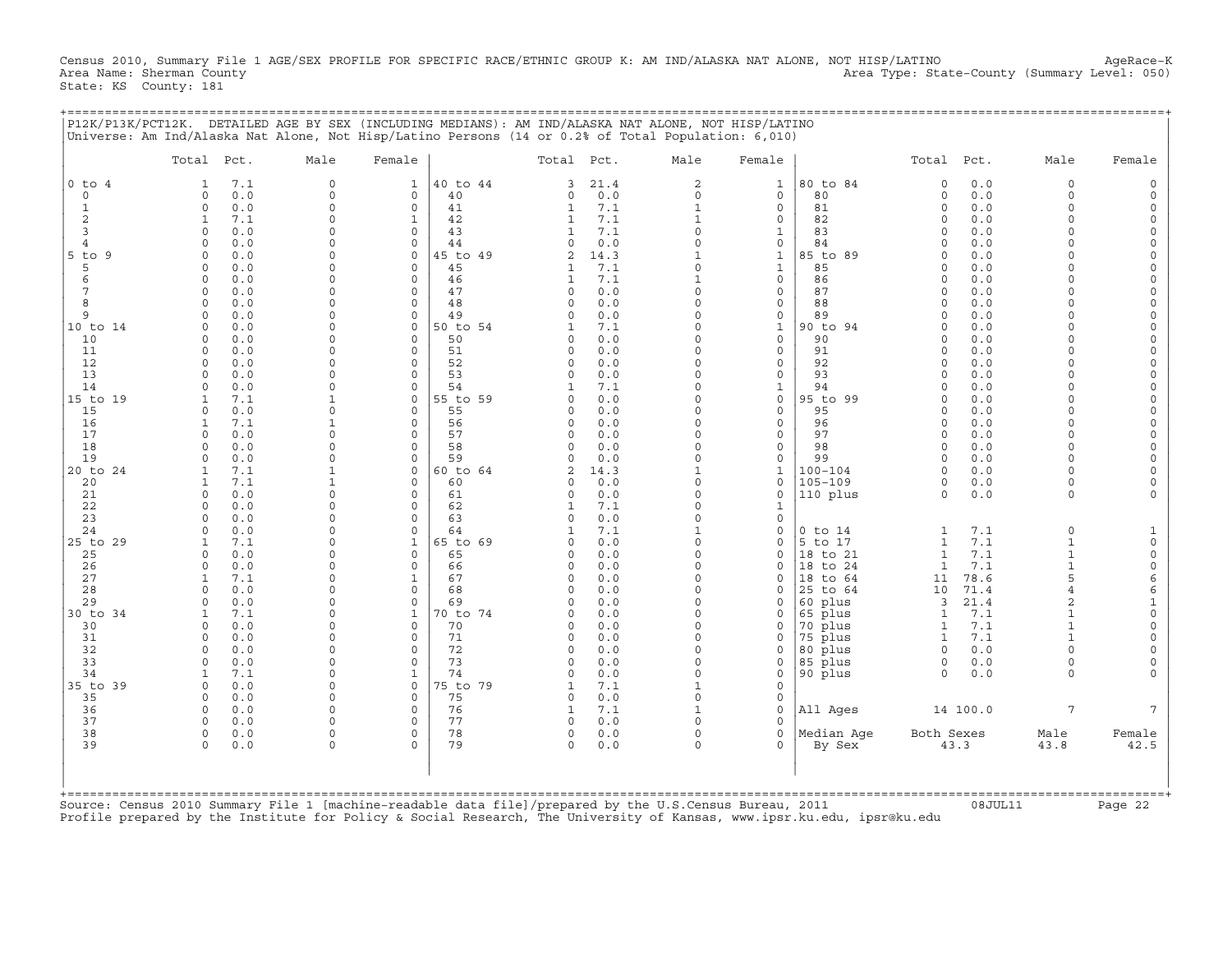Census 2010, Summary File 1 AGE/SEX PROFILE FOR SPECIFIC RACE/ETHNIC GROUP K: AM IND/ALASKA NAT ALONE, NOT HISP/LATINO AgeRace-K<br>Area Name: Sherman County (summary Level: 050) Area Type: State-County (Summary Level: 050 Area Type: State-County (Summary Level: 050) State: KS County: 181

| $0$ to $4$<br>$\circ$<br>1<br>2<br>3<br>$\overline{4}$<br>$5$ to $9$ | Total Pct.<br>7.1<br>1<br>0.0<br>$\circ$<br>0.0<br>$\Omega$<br>7.1<br>$\mathbf{1}$<br>0.0<br>$\Omega$<br>0.0<br>$\Omega$ | Male<br>$\Omega$<br>$\circ$<br>$\Omega$<br>$\Omega$ | Female<br>1<br>$\mathbf 0$ | 40 to 44       | Total Pct.           |             | Male                    | Female                       |                     | Total Pct.                   |            |                              |                                            |
|----------------------------------------------------------------------|--------------------------------------------------------------------------------------------------------------------------|-----------------------------------------------------|----------------------------|----------------|----------------------|-------------|-------------------------|------------------------------|---------------------|------------------------------|------------|------------------------------|--------------------------------------------|
|                                                                      |                                                                                                                          |                                                     |                            |                |                      |             |                         |                              |                     |                              |            | Male                         | Female                                     |
|                                                                      |                                                                                                                          |                                                     |                            |                | 3                    | 21.4        | 2                       | $\mathbf{1}$                 | 80 to 84            | $\Omega$                     | 0.0        | $\circ$                      | $\mathsf{O}$                               |
|                                                                      |                                                                                                                          |                                                     |                            | 40<br>41       | $\circ$<br>1         | 0.0<br>7.1  | $\circ$<br>$\mathbf{1}$ | $\mathbf{0}$<br>$\mathbf{0}$ | 80<br>81            | $\circ$                      | 0.0<br>0.0 | $\circ$<br>$\Omega$          | $\mathsf O$<br>$\mathsf{O}\xspace$         |
|                                                                      |                                                                                                                          |                                                     | $\Omega$<br>$\mathbf{1}$   | 42             | $\mathbf{1}$         | 7.1         | $\mathbf{1}$            | $\mathbf 0$                  | 82                  | $\mathbf 0$<br>$\circ$       | 0.0        | $\Omega$                     | $\mathsf O$                                |
|                                                                      |                                                                                                                          | $\Omega$                                            | $\Omega$                   | 43             |                      | 7.1         | $\Omega$                | 1                            | 83                  | $\Omega$                     | 0.0        | $\Omega$                     | $\mathsf{O}\xspace$                        |
|                                                                      |                                                                                                                          | $\Omega$                                            | $\mathbf 0$                | 44             | $\Omega$             | 0.0         | $\Omega$                | $\mathbf 0$                  | 84                  | $\Omega$                     | 0.0        | $\Omega$                     | $\mathsf{O}\xspace$                        |
|                                                                      | 0.0<br>$\Omega$                                                                                                          | $\Omega$                                            | $\Omega$                   | 45 to 49       | 2                    | 14.3        |                         | 1                            | 85 to 89            | $\Omega$                     | 0.0        | $\Omega$                     | $\mathsf{O}\xspace$                        |
| 5                                                                    | 0.0<br>$\Omega$                                                                                                          | $\Omega$                                            | $\mathbf 0$                | 45             |                      | 7.1         | $\Omega$                | $\mathbf{1}$                 | 85                  | $\Omega$                     | 0.0        | $\Omega$                     | $\mathsf{O}$                               |
| 6<br>7                                                               | 0.0<br>$\Omega$<br>0.0<br>$\Omega$                                                                                       | $\Omega$<br>$\Omega$                                | $\Omega$<br>$\Omega$       | 46<br>47       | 1<br>$\Omega$        | 7.1<br>0.0  | $\Omega$                | $\mathbf{0}$<br>$\mathbf 0$  | 86<br>87            | $\Omega$<br>$\Omega$         | 0.0<br>0.0 | $\Omega$<br>$\Omega$         | $\mathsf{O}\xspace$<br>$\mathsf{O}\xspace$ |
| 8                                                                    | 0.0<br>$\cap$                                                                                                            | $\Omega$                                            | $\Omega$                   | 48             | $\Omega$             | 0.0         | $\Omega$                | $\mathbf 0$                  | 88                  | $\Omega$                     | 0.0        | $\Omega$                     | $\mathsf{O}\xspace$                        |
| 9                                                                    | 0.0<br>$\Omega$                                                                                                          | $\Omega$                                            | $\mathbf 0$                | 49             | $\Omega$             | 0.0         | $\Omega$                | $\mathbf 0$                  | 89                  | $\Omega$                     | 0.0        | $\Omega$                     | $\mathbb O$                                |
| 10 to 14                                                             | 0.0<br>$\Omega$                                                                                                          | $\Omega$                                            | $\Omega$                   | 50 to 54       |                      | 7.1         | $\Omega$                | $\mathbf{1}$                 | 90 to 94            | $\Omega$                     | 0.0        | $\Omega$                     | $\mathsf{O}\xspace$                        |
| 10                                                                   | 0.0<br>$\Omega$                                                                                                          | $\Omega$                                            | $\Omega$                   | 50             | $\Omega$             | 0.0         | $\Omega$                | $\mathbf{0}$                 | 90                  | $\Omega$                     | 0.0        | $\Omega$                     | $\mathsf{O}\xspace$                        |
| 11                                                                   | 0.0<br>$\Omega$                                                                                                          | $\Omega$                                            | $\Omega$                   | 51             | $\Omega$             | 0.0         | $\Omega$                | $\Omega$                     | 91                  | $\Omega$                     | 0.0        | $\Omega$                     | $\mathsf{O}\xspace$                        |
| 12<br>13                                                             | $\Omega$<br>0.0<br>0.0<br>$\cap$                                                                                         | $\Omega$<br>$\Omega$                                | $\mathbf 0$<br>$\Omega$    | 52<br>53       | $\Omega$<br>$\Omega$ | 0.0<br>0.0  | $\Omega$<br>$\Omega$    | $\mathbf{0}$<br>$\mathbf 0$  | 92<br>93            | $\Omega$<br>$\Omega$         | 0.0<br>0.0 | $\Omega$<br>$\Omega$         | $\mathsf{O}$<br>$\mathsf{O}\xspace$        |
| 14                                                                   | 0.0<br>$\Omega$                                                                                                          | $\Omega$                                            | $\Omega$                   | 54             |                      | 7.1         | $\Omega$                | $\mathbf{1}$                 | 94                  | $\Omega$                     | 0.0        | $\Omega$                     | $\mathsf{O}\xspace$                        |
| 15 to 19                                                             | 7.1<br>$\mathbf{1}$                                                                                                      |                                                     | $\Omega$                   | 55 to 59       | $\Omega$             | 0.0         | $\cap$                  | $\Omega$                     | 95 to 99            | $\Omega$                     | 0.0        | $\Omega$                     | $\mathsf{O}\xspace$                        |
| 15                                                                   | 0.0<br>$\Omega$                                                                                                          | $\Omega$                                            | $\mathbf 0$                | 55             | $\circ$              | 0.0         | $\Omega$                | $\mathbf{0}$                 | 95                  | 0                            | 0.0        | $\Omega$                     | $\mathsf{O}$                               |
| 16                                                                   | 7.1<br>$\mathbf{1}$                                                                                                      |                                                     | $\Omega$                   | 56             | $\Omega$             | 0.0         | $\Omega$                | $\mathbf 0$                  | 96                  | $\Omega$                     | 0.0        | $\Omega$                     | $\mathsf{O}\xspace$                        |
| 17                                                                   | 0.0<br>$\Omega$                                                                                                          | $\Omega$                                            | $\Omega$                   | 57             | $\Omega$             | 0.0         | $\Omega$                | $\mathbf{0}$                 | 97                  | $\Omega$                     | 0.0        | $\Omega$                     | 0                                          |
| 18<br>19                                                             | 0.0<br>$\cap$<br>0.0<br>$\Omega$                                                                                         | $\Omega$<br>$\Omega$                                | $\Omega$<br>$\Omega$       | 58<br>59       | $\cap$<br>$\Omega$   | 0.0         | $\cap$<br>$\Omega$      | $\Omega$<br>$\mathbf{0}$     | 98<br>99            | $\Omega$                     | 0.0<br>0.0 | $\Omega$<br>$\Omega$         | $\mathsf{O}\xspace$                        |
| 20 to 24                                                             | 7.1<br>$\mathbf{1}$                                                                                                      |                                                     | $\Omega$                   | 60 to 64       | $\overline{2}$       | 0.0<br>14.3 |                         | $\mathbf{1}$                 | $100 - 104$         | 0<br>$\Omega$                | 0.0        | $\Omega$                     | $\mathsf{O}$<br>$\mathsf{O}\xspace$        |
| 20                                                                   | 7.1<br>$\mathbf{1}$                                                                                                      |                                                     | $\Omega$                   | 60             | $\Omega$             | 0.0         | $\Omega$                | $\mathbf 0$                  | $105 - 109$         | 0                            | 0.0        | $\Omega$                     | $\mathbf 0$                                |
| 21                                                                   | 0.0<br>$\cap$                                                                                                            | $\Omega$                                            | $\Omega$                   | 61             | $\Omega$             | 0.0         | $\Omega$                | $\Omega$                     | 110 plus            | $\Omega$                     | 0.0        | $\Omega$                     | $\Omega$                                   |
| 22                                                                   | 0.0<br>$\Omega$                                                                                                          | $\Omega$                                            | $\Omega$                   | 62             | 1                    | 7.1         | $\Omega$                | 1                            |                     |                              |            |                              |                                            |
| 23                                                                   | 0.0<br>$\cap$                                                                                                            | $\Omega$                                            | $\Omega$                   | 63             | $\Omega$             | 0.0         | $\Omega$                | $\circ$                      |                     |                              |            |                              |                                            |
| 24                                                                   | 0.0<br>$\Omega$                                                                                                          | $\Omega$<br>$\Omega$                                | $\Omega$                   | 64             | 1<br>$\cap$          | 7.1         | 1<br>$\Omega$           | $\mathbf 0$                  | $0$ to $14$         | 1                            | 7.1        | $\circ$                      | 1                                          |
| 25 to 29<br>25                                                       | 7.1<br>$\mathbf{1}$<br>0.0<br>$\Omega$                                                                                   | $\Omega$                                            | $\mathbf 1$<br>$\mathbf 0$ | 65 to 69<br>65 | $\Omega$             | 0.0<br>0.0  | $\Omega$                | $\Omega$<br>0                | 5 to 17<br>18 to 21 | $\mathbf{1}$<br>$\mathbf{1}$ | 7.1<br>7.1 | $\mathbf{1}$<br>$\mathbf{1}$ | $\mathsf{O}\xspace$<br>$\mathsf O$         |
| 26                                                                   | 0.0<br>$\Omega$                                                                                                          | $\Omega$                                            | $\mathbf 0$                | 66             | $\Omega$             | 0.0         | $\Omega$                | $\Omega$                     | 18 to 24            | $\mathbf{1}$                 | 7.1        | $\mathbf{1}$                 | $\mathsf{O}\xspace$                        |
| 27                                                                   | 7.1<br>$\mathbf{1}$                                                                                                      | $\Omega$                                            | $\mathbf{1}$               | 67             | $\Omega$             | 0.0         | $\cap$                  | $\Omega$                     | 18 to 64            | 11                           | 78.6       | 5                            | 6                                          |
| 28                                                                   | 0.0<br>$\cap$                                                                                                            | $\Omega$                                            | $\Omega$                   | 68             | $\Omega$             | 0.0         | $\Omega$                | $\Omega$                     | 25 to 64            | 10                           | 71.4       | 4                            | 6                                          |
| 29                                                                   | 0.0<br>$\Omega$                                                                                                          | $\Omega$                                            | $\Omega$                   | 69             | $\Omega$             | 0.0         | $\Omega$                | 0                            | 60 plus             | 3                            | 21.4       | $\overline{a}$               | $\mathbf{1}$                               |
| 30 to 34                                                             | 7.1<br>$\mathbf{1}$                                                                                                      | $\Omega$                                            | $\mathbf 1$                | 70 to 74       |                      | 0.0         | $\Omega$<br>$\Omega$    | $\Omega$                     | 65 plus             | $\mathbf{1}$                 | 7.1        | $\mathbf{1}$                 | $\mathsf{O}\xspace$                        |
| 30<br>31                                                             | 0.0<br>$\Omega$<br>0.0<br>$\Omega$                                                                                       | $\Omega$<br>$\Omega$                                | $\Omega$<br>$\Omega$       | 70<br>71       | $\Omega$<br>$\Omega$ | 0.0<br>0.0  | $\Omega$                | $\mathbf 0$<br>$\Omega$      | 70 plus<br>75 plus  | 1<br>$\mathbf{1}$            | 7.1<br>7.1 |                              | $\mathsf{O}\xspace$<br>$\mathsf{O}\xspace$ |
| 32                                                                   | 0.0<br>$\Omega$                                                                                                          | $\Omega$                                            | $\Omega$                   | 72             | $\Omega$             | 0.0         | $\Omega$                | 0                            | 80 plus             | $\circ$                      | 0.0        | $\Omega$                     | $\mathsf{O}\xspace$                        |
| 33                                                                   | $\Omega$<br>0.0                                                                                                          | $\Omega$                                            | $\Omega$                   | 73             | $\Omega$             | 0.0         | $\cap$                  | $\Omega$                     | 85 plus             | $\circ$                      | 0.0        | $\Omega$                     | $\mathbf 0$                                |
| 34                                                                   | 7.1<br>$\mathbf{1}$                                                                                                      | $\Omega$                                            | $\mathbf{1}$               | 74             | $\cap$               | 0.0         | $\Omega$                | $\mathbf 0$                  | 90 plus             | $\Omega$                     | 0.0        | $\Omega$                     | $\Omega$                                   |
| 35 to 39                                                             | 0.0<br>$\Omega$                                                                                                          | $\Omega$                                            | $\Omega$                   | 75 to 79       | 1                    | 7.1         |                         | $\Omega$                     |                     |                              |            |                              |                                            |
| 35                                                                   | $\Omega$<br>0.0                                                                                                          | $\Omega$                                            | $\Omega$                   | 75             | $\Omega$             | 0.0         | $\Omega$                | $\mathbf 0$                  |                     |                              |            |                              |                                            |
| 36<br>37                                                             | $\Omega$<br>0.0<br>0.0<br>$\Omega$                                                                                       | $\Omega$<br>$\Omega$                                | $\Omega$<br>$\Omega$       | 76<br>77       | 1<br>$\Omega$        | 7.1<br>0.0  | $\cap$                  | $\Omega$<br>$\Omega$         | All Ages            |                              | 14 100.0   | $7\overline{ }$              | $7\phantom{.0}$                            |
| 38                                                                   | $\Omega$<br>0.0                                                                                                          | $\Omega$                                            | $\Omega$                   | 78             | $\Omega$             | 0.0         | $\cap$                  | $\Omega$                     | Median Aqe          | Both Sexes                   |            | Male                         | Female                                     |
| 39                                                                   | 0.0<br>$\Omega$                                                                                                          | $\Omega$                                            | $\Omega$                   | 79             | $\Omega$             | 0.0         | $\cap$                  | $\Omega$                     | By Sex              |                              | 43.3       | 43.8                         | 42.5                                       |
|                                                                      |                                                                                                                          |                                                     |                            |                |                      |             |                         |                              |                     |                              |            |                              |                                            |
|                                                                      | Source: Census 2010 Summary File 1 [machine-readable data file]/prepared by the U.S.Census Bureau, 2011                  |                                                     |                            |                |                      |             |                         |                              |                     |                              | 08JUL11    |                              | Page 22                                    |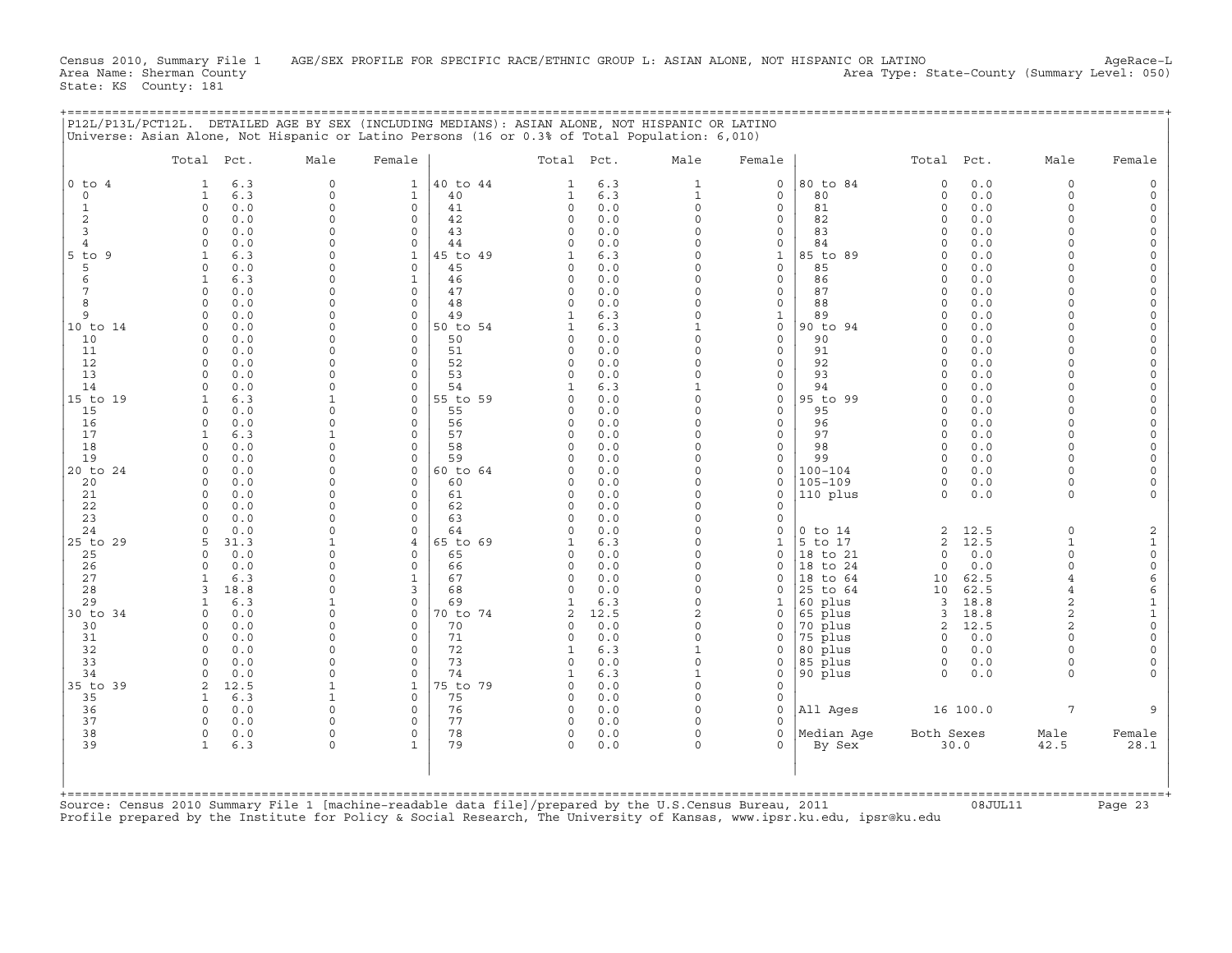Census 2010, Summary File 1 AGE/SEX PROFILE FOR SPECIFIC RACE/ETHNIC GROUP L: ASIAN ALONE, NOT HISPANIC OR LATINO AgeRace-L<br>Area Name: Sherman County (summary Level: 050) Area Type: State-County (Summary Level: 050) State: KS County: 181

+===================================================================================================================================================+

|                     | Total Pct.           |             | Male                     | Female                     |                | Total Pct.           |            | Male                 | Female                       |                      | Total Pct.           |             | Male                     | Female                      |
|---------------------|----------------------|-------------|--------------------------|----------------------------|----------------|----------------------|------------|----------------------|------------------------------|----------------------|----------------------|-------------|--------------------------|-----------------------------|
| $0$ to $4$          | 1                    | 6.3         | $\Omega$                 | $\mathbf{1}$               | 40 to 44       | 1                    | 6.3        | 1                    | $\circ$                      | 80 to 84             | $\mathbf 0$          | 0.0         | $\Omega$                 |                             |
| $\Omega$            | 1                    | 6.3         | $\Omega$                 | $\mathbf{1}$               | 40             | 1                    | 6.3        | $\mathbf{1}$         | $\mathbf 0$                  | 80                   | $\mathbf 0$          | 0.0         | $\Omega$                 |                             |
| $\mathbf{1}$        | $\circ$              | 0.0         | $\Omega$                 | $\mathbf 0$                | 41             | $\mathbf 0$          | 0.0        | $\Omega$             | $\mathsf{O}$                 | 81                   | $\circ$              | 0.0         | $\Omega$                 |                             |
| $\overline{c}$      | $\mathbf 0$          | 0.0         | $\Omega$                 | 0                          | 42             | $\Omega$             | 0.0        | $\Omega$             | 0                            | 82                   | $\Omega$             | 0.0         | $\Omega$                 | $\Omega$                    |
| 3<br>$\overline{4}$ | $\Omega$<br>$\Omega$ | 0.0<br>0.0  | $\Omega$<br>$\Omega$     | $\Omega$<br>$\mathbf 0$    | 43<br>44       | $\Omega$<br>$\Omega$ | 0.0<br>0.0 | $\Omega$             | 0<br>0                       | 83<br>84             | $\Omega$<br>$\Omega$ | 0.0<br>0.0  | $\Omega$<br>$\Omega$     | $\Omega$<br>$\Omega$        |
| $5$ to<br>9         | 1                    | 6.3         | $\Omega$                 | $\mathbf{1}$               | 45 to 49       | $\mathbf{1}$         | 6.3        | $\Omega$             | $\mathbf{1}$                 | 85 to 89             | $\Omega$             | 0.0         | $\Omega$                 | $\Omega$                    |
| 5                   | $\Omega$             | 0.0         | $\Omega$                 | $\circ$                    | 45             | $\Omega$             | 0.0        | $\Omega$             | $\circ$                      | 85                   | $\Omega$             | 0.0         | $\Omega$                 | $\Omega$                    |
| 6                   | $\mathbf{1}$         | 6.3         | $\Omega$                 | $\mathbf{1}$               | 46             | $\Omega$             | 0.0        | $\Omega$             | $\mathbf{0}$                 | 86                   | $\Omega$             | 0.0         | $\Omega$                 | $\Omega$                    |
| $\overline{7}$      | $\circ$              | 0.0         | $\Omega$                 | $\circ$                    | 47             | $\circ$              | 0.0        | $\Omega$             | $\circ$                      | 87                   | $\Omega$             | 0.0         | $\Omega$                 | $\Omega$                    |
| 8                   | $\mathbf 0$          | 0.0         | $\Omega$                 | $\mathbf 0$                | 48             | $\Omega$             | 0.0        | $\Omega$             | 0                            | 88                   | $\Omega$             | 0.0         | $\Omega$                 | $\Omega$                    |
| 9                   | $\mathbf 0$          | 0.0         | $\Omega$                 | $\mathbf 0$                | 49             | 1                    | 6.3        | $\Omega$             | $\mathbf{1}$                 | 89                   | 0                    | 0.0         | $\Omega$                 | $\Omega$                    |
| 10 to 14            | $\mathbf 0$          | 0.0         | $\Omega$                 | $\mathbf 0$                | 50 to 54       |                      | 6.3        |                      | $\mathsf{O}$                 | 90 to 94             | $\Omega$             | 0.0         | $\Omega$<br>$\Omega$     | $\Omega$                    |
| 10<br>11            | $\Omega$<br>$\Omega$ | 0.0<br>0.0  | $\Omega$<br>$\Omega$     | $\Omega$<br>$\Omega$       | 50<br>51       | $\Omega$<br>$\Omega$ | 0.0<br>0.0 |                      | 0<br>$\circ$                 | 90<br>91             | $\Omega$<br>$\Omega$ | 0.0<br>0.0  | $\Omega$                 |                             |
| 12                  | $\Omega$             | 0.0         | $\Omega$                 | $\Omega$                   | 52             | $\Omega$             | 0.0        | $\Omega$             | $\mathbf{0}$                 | 92                   | $\Omega$             | 0.0         | $\Omega$                 |                             |
| 13                  | $\Omega$             | 0.0         | $\Omega$                 | $\Omega$                   | 53             | $\Omega$             | 0.0        |                      | $\circ$                      | 93                   | $\cap$               | 0.0         |                          | $\Omega$                    |
| 14                  | $\Omega$             | 0.0         | $\Omega$                 | $\Omega$                   | 54             |                      | 6.3        |                      | $\Omega$                     | 94                   | $\Omega$             | 0.0         | $\Omega$                 | $\Omega$                    |
| 15 to 19            | 1                    | 6.3         | $\mathbf{1}$             | $\mathbf 0$                | 55 to 59       | 0                    | 0.0        | $\Omega$             | 0                            | 95 to 99             | $\circ$              | 0.0         | $\Omega$                 | $\Omega$                    |
| 15                  | $\Omega$             | 0.0         | $\Omega$                 | $\Omega$                   | 55             | $\Omega$             | 0.0        | $\Omega$             | 0                            | 95                   | $\Omega$             | 0.0         | $\Omega$                 | $\Omega$                    |
| 16                  | $\mathbf 0$          | 0.0         | $\Omega$                 | $\mathbf 0$                | 56             | 0                    | 0.0        |                      | $\mathsf{O}$                 | 96                   | $\Omega$             | 0.0         | $\Omega$                 | $\Omega$                    |
| 17                  | $\mathbf{1}$         | 6.3         | $\mathbf{1}$<br>$\Omega$ | $\Omega$                   | 57             | $\Omega$             | 0.0        | $\Omega$<br>$\Omega$ | $\mathbf{0}$                 | 97                   | $\Omega$             | 0.0         | $\Omega$<br>$\Omega$     |                             |
| 18<br>19            | $\Omega$<br>$\Omega$ | 0.0<br>0.0  | $\Omega$                 | $\Omega$<br>$\Omega$       | 58<br>59       | $\Omega$<br>$\Omega$ | 0.0<br>0.0 | $\Omega$             | $\mathbf{0}$<br>$\mathbf{0}$ | 98<br>99             | $\Omega$<br>$\Omega$ | 0.0<br>0.0  | $\Omega$                 | $\Omega$                    |
| 20 to 24            | $\circ$              | 0.0         | $\Omega$                 | $\mathbf 0$                | 60 to 64       |                      | 0.0        | $\Omega$             | $\circ$                      | $100 - 104$          | $\Omega$             | 0.0         | $\Omega$                 |                             |
| 20                  | $\mathbf 0$          | 0.0         | $\Omega$                 | $\Omega$                   | 60             | $\Omega$             | 0.0        | $\Omega$             | 0                            | $105 - 109$          | 0                    | 0.0         | $\Omega$                 |                             |
| 21                  | $\Omega$             | 0.0         | $\Omega$                 | $\Omega$                   | 61             | $\Omega$             | 0.0        | $\Omega$             | $\circ$                      | 110 plus             | $\circ$              | 0.0         | $\Omega$                 |                             |
| 22                  | $\Omega$             | 0.0         | $\Omega$                 | 0                          | 62             | $\Omega$             | 0.0        |                      | 0                            |                      |                      |             |                          |                             |
| 23                  | $\Omega$             | 0.0         | $\Omega$                 | $\Omega$                   | 63             | $\Omega$             | 0.0        | $\Omega$             | $\circ$                      |                      |                      |             |                          |                             |
| 24                  | $\Omega$             | 0.0         | $\Omega$                 | $\mathbf 0$                | 64             | $\Omega$             | 0.0        | $\Omega$             | 0                            | $0$ to $14$          | 2                    | 12.5        | $\Omega$                 | 2                           |
| 25 to 29            | 5<br>$\Omega$        | 31.3<br>0.0 | $\mathbf{1}$<br>$\Omega$ | $\overline{4}$<br>$\Omega$ | 65 to 69<br>65 | $\Omega$             | 6.3<br>0.0 | $\Omega$<br>$\Omega$ | $\mathbf{1}$<br>$\circ$      | 5 to 17              | 2<br>$\circ$         | 12.5<br>0.0 | $\mathbf{1}$<br>$\Omega$ | $\mathbf{1}$<br>$\mathbf 0$ |
| 25<br>26            | $\circ$              | 0.0         | $\Omega$                 | $\mathbf 0$                | 66             | $\Omega$             | 0.0        | $\Omega$             | $\Omega$                     | 18 to 21<br>18 to 24 | $\circ$              | 0.0         | $\Omega$                 | $\mathsf{O}\xspace$         |
| 27                  | 1                    | 6.3         | $\Omega$                 | $\mathbf{1}$               | 67             | 0                    | 0.0        | $\Omega$             | 0                            | 18 to 64             | 10                   | 62.5        | $\overline{4}$           | $\epsilon$                  |
| 28                  | 3                    | 18.8        | $\Omega$                 | 3                          | 68             | $\Omega$             | 0.0        | $\Omega$             | 0                            | 25<br>to 64          | 10                   | 62.5        |                          | 6                           |
| 29                  | 1                    | 6.3         | $\mathbf{1}$             | $\mathbf 0$                | 69             |                      | 6.3        | $\Omega$             | 1                            | 60 plus              | $\overline{3}$       | 18.8        | $\overline{a}$           | $\mathbf{1}$                |
| 30 to 34            | $\Omega$             | 0.0         | $\Omega$                 | $\Omega$                   | 70 to 74       | 2                    | 12.5       | $\overline{2}$       | $\Omega$                     | 65 plus              | 3                    | 18.8        | $\overline{2}$           | $\mathbf{1}$                |
| 30                  | $\Omega$             | 0.0         | $\Omega$                 | $\Omega$                   | 70             |                      | 0.0        | $\Omega$             | 0                            | 70 plus              | 2                    | 12.5        | $\overline{a}$           | $\Omega$                    |
| 31                  | $\Omega$             | 0.0         | $\Omega$                 | $\Omega$                   | 71             | $\Omega$             | $0.0$      | $\Omega$             | $\Omega$                     | 75 plus              | $\Omega$             | 0.0         |                          | $\Omega$                    |
| 32                  | $\Omega$<br>$\Omega$ | 0.0         | $\Omega$<br>$\Omega$     | $\Omega$<br>$\mathbf 0$    | 72<br>73       | 1                    | 6.3        | $\Omega$             | $\Omega$                     | 80 plus              | $\Omega$             | $0.0$       | $\Omega$<br>$\Omega$     | $\Omega$<br>$\Omega$        |
| 33<br>34            | $\mathbf 0$          | 0.0<br>0.0  | $\Omega$                 | $\mathbf 0$                | 74             | 0<br>1               | 0.0<br>6.3 | $\mathbf{1}$         | 0<br>0                       | 85 plus<br>90 plus   | 0<br>$\Omega$        | 0.0<br>0.0  | $\Omega$                 |                             |
| 35 to 39            | $\overline{2}$       | 12.5        | $\mathbf{1}$             | $\mathbf{1}$               | 75 to 79       | $\Omega$             | 0.0        | $\Omega$             | $\mathbf 0$                  |                      |                      |             |                          |                             |
| 35                  | $\mathbf{1}$         | 6.3         | $\mathbf{1}$             | $\Omega$                   | 75             | $\Omega$             | 0.0        | $\Omega$             | $\mathbf 0$                  |                      |                      |             |                          |                             |
| 36                  | $\Omega$             | 0.0         | $\Omega$                 | $\mathbf 0$                | 76             | $\Omega$             | 0.0        | $\Omega$             | $\mathbf 0$                  | All Ages             |                      | 16 100.0    | 7                        |                             |
| 37                  | $\Omega$             | 0.0         | $\Omega$                 | $\Omega$                   | 77             | $\Omega$             | 0.0        |                      | $\Omega$                     |                      |                      |             |                          |                             |
| 38                  | $\circ$              | 0.0         | $\Omega$                 | $\mathbf 0$                | 78             | 0                    | 0.0        | $\Omega$             | $\circ$                      | Median Aqe           | Both Sexes           |             | Male                     | Female                      |
| 39                  | $\mathbf{1}$         | 6.3         | $\Omega$                 | $\mathbf{1}$               | 79             | $\Omega$             | 0.0        | $\Omega$             | 0                            | By Sex               |                      | 30.0        | 42.5                     | 28.1                        |
| +===========        |                      |             |                          |                            |                |                      |            |                      |                              |                      |                      |             |                          |                             |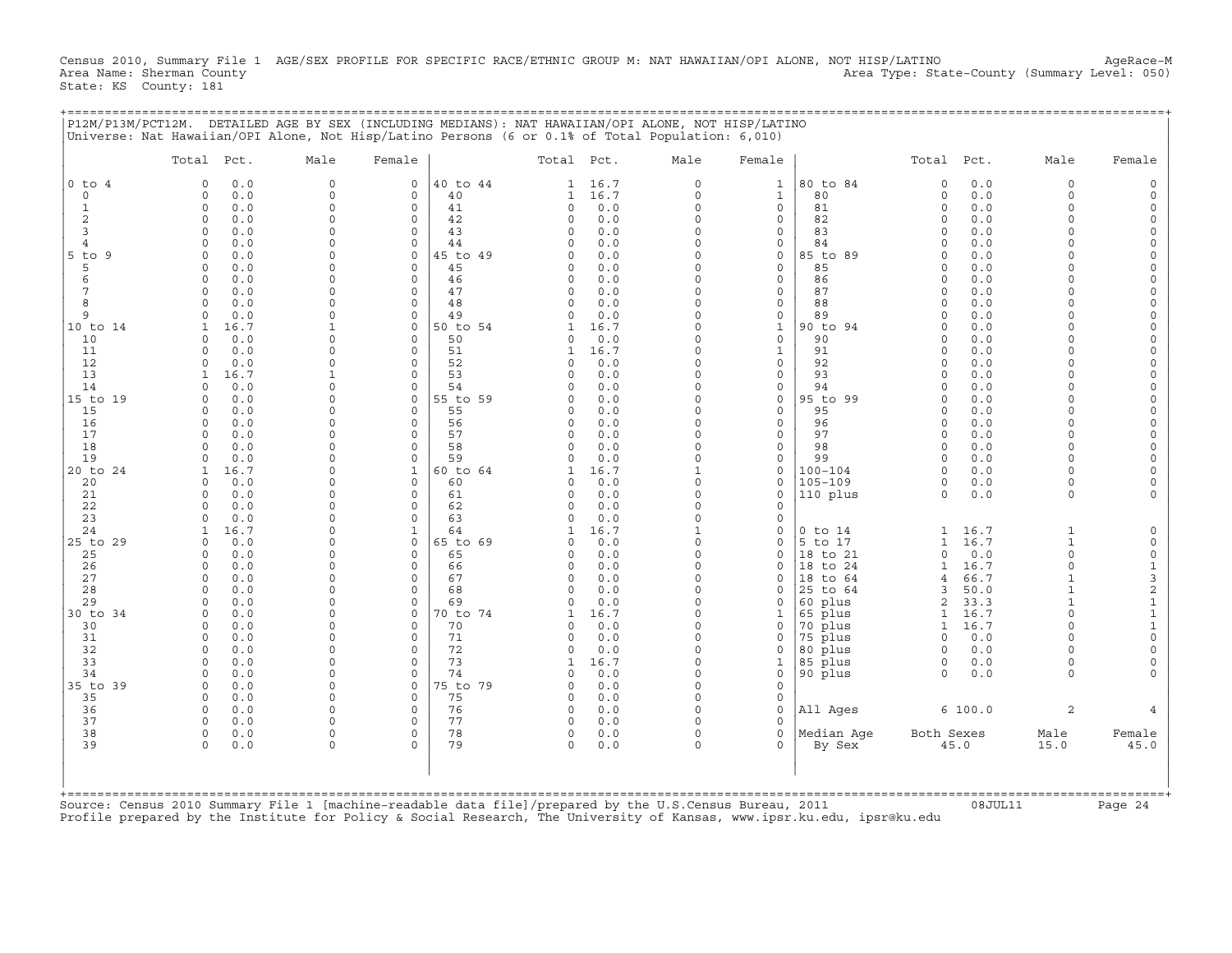Census 2010, Summary File 1 AGE/SEX PROFILE FOR SPECIFIC RACE/ETHNIC GROUP M: NAT HAWAIIAN/OPI ALONE, NOT HISP/LATINO AgeRace-M<br>Area Name: Sherman County (summary Level: 050) Area Type: State-County (Summary Level: 050) State: KS County: 181

+===================================================================================================================================================+

| $\circ$<br>$0$ to $4$<br>0.0<br>0<br>40 to 44<br>16.7<br>$\circ$<br>$\mathbf{1}$<br>80 to 84<br>0.0<br>$\Omega$<br>$\Omega$<br>$\mathbf{1}$<br>$\mathbf 0$<br>0.0<br>$\mathbf 0$<br>40<br>16.7<br>0<br>80<br>0<br>0.0<br>$\Omega$<br>0<br>$\mathbf 0$<br>0<br>1<br>1<br>$\circ$<br>0<br>$\circ$<br>0<br>81<br>$\circ$<br>0.0<br>1<br>$\Omega$<br>0.0<br>$\circ$<br>41<br>0.0<br>$\Omega$<br>2<br>$\Omega$<br>42<br>$\circ$<br>$\mathbf{0}$<br>0.0<br>$\Omega$<br>$\Omega$<br>0.0<br>$\circ$<br>$\Omega$<br>0.0<br>82<br>$\Omega$<br>3<br>0.0<br>$\Omega$<br>$\circ$<br>43<br>0.0<br>$\Omega$<br>$\mathbf 0$<br>83<br>$\Omega$<br>0.0<br>$\Omega$<br>$\Omega$<br>$\Omega$<br>0.0<br>0.0<br>0.0<br>$\Omega$<br>$\Omega$<br>44<br>$\Omega$<br>$\mathbf 0$<br>84<br>$\Omega$<br>$\overline{4}$<br>$\Omega$<br>$\Omega$<br>$5$ to $9$<br>0.0<br>$\Omega$<br>$\mathbf 0$<br>45 to 49<br>0.0<br>$\Omega$<br>0<br>85 to 89<br>0.0<br>$\Omega$<br>$\Omega$<br>$\Omega$<br>5<br>0.0<br>$\Omega$<br>$\circ$<br>45<br>0.0<br>$\Omega$<br>$\mathbf 0$<br>85<br>0.0<br>$\Omega$<br>$\Omega$<br>$\Omega$<br>$\cap$<br>$\circ$<br>46<br>0.0<br>0<br>0.0<br>6<br>$\Omega$<br>0.0<br>$\Omega$<br>$\Omega$<br>$\Omega$<br>86<br>$\Omega$<br>U<br>7<br>0.0<br>$\Omega$<br>$\circ$<br>47<br>0.0<br>$\Omega$<br>0<br>87<br>0.0<br>$\Omega$<br>$\Omega$<br>$\Omega$<br>$\cap$<br>8<br>$\mathsf O$<br>48<br>0.0<br>0<br>0<br>88<br>0.0<br>$\Omega$<br>0.0<br>$\mathbf 0$<br>0<br>$\Omega$<br>$\cap$<br>9<br>49<br>$\Omega$<br>89<br>0.0<br>0.0<br>$\Omega$<br>$\Omega$<br>0.0<br>0<br>$\Omega$<br><sup>0</sup><br>16.7<br>50 to 54<br>16.7<br>90 to 94<br>0.0<br>$\Omega$<br>$\Omega$<br>$\mathbf{1}$<br>$\Omega$<br>1<br>$\mathbf{1}$<br>$\cap$<br>10<br>0.0<br>$\Omega$<br>$\circ$<br>50<br>0.0<br>$\Omega$<br>0<br>90<br>$\Omega$<br>0.0<br>$\Omega$<br>$\Omega$<br>$\Omega$<br>11<br>0.0<br>$\Omega$<br>$\circ$<br>51<br>16.7<br>$\Omega$<br>$\mathbf{1}$<br>91<br>$\Omega$<br>0.0<br>$\Omega$<br>1<br>$\cap$<br>12<br>0.0<br>$\Omega$<br>52<br>0.0<br>$\Omega$<br>0<br>92<br>$\Omega$<br>0.0<br>$\Omega$<br>$\Omega$<br>$\Omega$<br>$\cap$<br>13<br>93<br>16.7<br>$\Omega$<br>53<br>0.0<br>$\Omega$<br>$\mathbf{0}$<br>$\Omega$<br>0.0<br>1<br>$\Omega$<br>$\cap$<br>0.0<br>$\mathsf O$<br>54<br>0.0<br>$\Omega$<br>0<br>94<br>0.0<br>14<br>$\Omega$<br>$\Omega$<br>$\cap$<br>0<br>0<br>0.0<br>55 to 59<br>$\Omega$<br>0<br>95 to 99<br>0.0<br>$\Omega$<br>0<br>0.0<br>$\Omega$<br>$\Omega$<br><sup>0</sup><br>0<br>55<br>0.0<br>0<br>95<br>0.0<br>15<br>0.0<br>$\Omega$<br>0<br>$\Omega$<br>$\Omega$<br>$\cap$<br><sup>0</sup><br>0<br>$\circ$<br>16<br>0.0<br>$\Omega$<br>$\circ$<br>56<br>0.0<br>$\Omega$<br>96<br>$\Omega$<br>0.0<br>$\Omega$<br>$\Omega$<br>0<br>17<br>57<br>0.0<br>$\Omega$<br>$\Omega$<br>$\Omega$<br>0.0<br>$\Omega$<br>$\mathbf{0}$<br>97<br>$\Omega$<br>0.0<br>$\Omega$<br>$\Omega$<br>18<br>58<br>98<br>0.0<br>0.0<br>$\Omega$<br>$\Omega$<br>$\Omega$<br>0.0<br>$\Omega$<br>$\mathbf{0}$<br>$\Omega$<br>$\Omega$<br>$\cap$<br>19<br>0.0<br>$\Omega$<br>$\Omega$<br>59<br>0.0<br>$\Omega$<br>$\mathbf{0}$<br>99<br>$\Omega$<br>0.0<br>$\cap$<br>$\Omega$<br>$\Omega$<br>$100 - 104$<br>16.7<br>$\Omega$<br>$\mathbf{1}$<br>60 to 64<br>16.7<br>$\mathbf{1}$<br>0<br>$\Omega$<br>0.0<br>$\Omega$<br>$\mathbf{1}$<br>1<br>$105 - 109$<br>20<br>60<br>$\Omega$<br>$\Omega$<br>0.0<br>$\Omega$<br>0<br>0.0<br>0<br>$\mathbf 0$<br>0.0<br><sup>0</sup><br>0<br>0.0<br>0.0<br>$\Omega$<br>$\mathbf 0$<br>110 plus<br>$\Omega$<br>0.0<br>21<br>$\Omega$<br>$\Omega$<br>$\circ$<br>61<br>$\Omega$<br>$\Omega$<br>0<br>22<br>0.0<br>$\mathbf 0$<br>0<br>62<br>0<br>0.0<br>0<br>$\Omega$<br>23<br>63<br>$\Omega$<br>0.0<br>$\Omega$<br>$\Omega$<br>$\Omega$<br>0.0<br>0<br>$\cap$<br>16.7<br>24<br>$\Omega$<br>$\mathbf{1}$<br>64<br>16.7<br>$\mathbf{1}$<br>0<br>$0$ to $14$<br>16.7<br>$\mathbf{1}$<br>$\mathbf{1}$<br>1<br>1<br>$\mathbf 0$<br>65 to 69<br>$\Omega$<br>5 to 17<br>16.7<br>$\Omega$<br>0.0<br>$\Omega$<br>$\Omega$<br>0.0<br>$\mathbf 0$<br>$\mathbf{1}$<br>$\mathbf{1}$<br>$\circ$<br>$\Omega$<br>0.0<br>$\Omega$<br>$\mathbf 0$<br>65<br>0.0<br>$\mathbf 0$<br>18 to 21<br>$\Omega$<br>0.0<br>25<br>$\Omega$<br>0<br>26<br>0.0<br>0.0<br>$\Omega$<br>18 to 24<br>16.7<br>$\Omega$<br>$\Omega$<br>$\Omega$<br>$\Omega$<br>66<br>$\Omega$<br>0<br>1<br>27<br>0.0<br>67<br>$\Omega$<br>18 to 64<br>66.7<br>$\Omega$<br>$\Omega$<br>$\circ$<br>$\Omega$<br>0.0<br>$\Omega$<br>4<br>$\mathbf{1}$<br>28<br>$\mathbf 0$<br>$\mathsf O$<br>68<br>0.0<br>0<br>50.0<br>$\Omega$<br>0.0<br>$\Omega$<br>0<br>25 to 64<br>3<br>$\mathbf{1}$<br>29<br>69<br>$\Omega$<br>60 plus<br>2<br>33.3<br>$\cap$<br>0.0<br>$\Omega$<br>$\Omega$<br>$\Omega$<br>0.0<br>0<br>$\mathbf{1}$<br>0.0<br>70 to 74<br>16.7<br>$\Omega$<br>65 plus<br>$\mathbf{1}$<br>16.7<br>$\Omega$<br>$\Omega$<br>0<br>1<br>$\Omega$<br>$\mathbf{1}$<br>$\Omega$<br>16.7<br>0.0<br>$\Omega$<br>$\Omega$<br>70<br>$\Omega$<br>0.0<br>$\mathbf 0$<br>70 plus<br>$\mathbf{1}$<br>$\cap$<br>30<br>$\Omega$<br>71<br>$\Omega$<br>75 plus<br>31<br>$\Omega$<br>0.0<br>$\Omega$<br>$\Omega$<br>$\Omega$<br>0.0<br>$\mathbf 0$<br>$\Omega$<br>0.0<br>$\Omega$<br>32<br>$\Omega$<br>$\circ$<br>72<br>$\Omega$<br>80 plus<br>$\Omega$<br>0.0<br>$\Omega$<br>0.0<br>$\Omega$<br>0.0<br>0<br>$\cap$<br>33<br>0.0<br>$\Omega$<br>$\Omega$<br>73<br>16.7<br>$\Omega$<br>85 plus<br>0.0<br>$\Omega$<br>1<br>$\Omega$<br>$\Omega$<br>1<br>34<br>0.0<br>$\mathbf 0$<br>$\circ$<br>74<br>0.0<br>0<br>0<br>90 plus<br>$\Omega$<br>0.0<br>$\Omega$<br>$\Omega$<br>$\Omega$<br>$\circ$<br>75 to 79<br>$0.0$<br>$\Omega$<br>$\mathbf{0}$<br>$\Omega$<br>0.0<br>$\Omega$<br>$\Omega$<br>75<br>35<br>0.0<br>$\Omega$<br>0<br>0.0<br>$\Omega$<br>$\mathbf 0$<br>$\Omega$<br>0<br>36<br>$\mathbf 0$<br>76<br>All Ages<br>6 100.0<br>2<br>$\mathbf 0$<br>0.0<br>$\circ$<br>0<br>0.0<br>$\Omega$<br>0<br>37<br>77<br>$0.0$<br>$\Omega$<br>$\Omega$<br>0.0<br>$\Omega$<br>$\Omega$<br>$\circ$<br>$\Omega$<br>38<br>78<br>Median Age<br>$\circ$<br>$\mathbf 0$<br>$\mathbf 0$<br>Both Sexes<br>Male<br>$\mathbf 0$<br>0.0<br>$\Omega$<br>0.0<br>$\Omega$<br>39<br>$\Omega$<br>0.0<br>$\Omega$<br>$\cap$<br>79<br>$\Omega$<br>0.0<br>$\Omega$<br>$\Omega$<br>By Sex<br>45.0<br>15.0 | Total Pct. | Male | Female | Total Pct. | Male | Female | Total Pct. | Male | Female                                |
|---------------------------------------------------------------------------------------------------------------------------------------------------------------------------------------------------------------------------------------------------------------------------------------------------------------------------------------------------------------------------------------------------------------------------------------------------------------------------------------------------------------------------------------------------------------------------------------------------------------------------------------------------------------------------------------------------------------------------------------------------------------------------------------------------------------------------------------------------------------------------------------------------------------------------------------------------------------------------------------------------------------------------------------------------------------------------------------------------------------------------------------------------------------------------------------------------------------------------------------------------------------------------------------------------------------------------------------------------------------------------------------------------------------------------------------------------------------------------------------------------------------------------------------------------------------------------------------------------------------------------------------------------------------------------------------------------------------------------------------------------------------------------------------------------------------------------------------------------------------------------------------------------------------------------------------------------------------------------------------------------------------------------------------------------------------------------------------------------------------------------------------------------------------------------------------------------------------------------------------------------------------------------------------------------------------------------------------------------------------------------------------------------------------------------------------------------------------------------------------------------------------------------------------------------------------------------------------------------------------------------------------------------------------------------------------------------------------------------------------------------------------------------------------------------------------------------------------------------------------------------------------------------------------------------------------------------------------------------------------------------------------------------------------------------------------------------------------------------------------------------------------------------------------------------------------------------------------------------------------------------------------------------------------------------------------------------------------------------------------------------------------------------------------------------------------------------------------------------------------------------------------------------------------------------------------------------------------------------------------------------------------------------------------------------------------------------------------------------------------------------------------------------------------------------------------------------------------------------------------------------------------------------------------------------------------------------------------------------------------------------------------------------------------------------------------------------------------------------------------------------------------------------------------------------------------------------------------------------------------------------------------------------------------------------------------------------------------------------------------------------------------------------------------------------------------------------------------------------------------------------------------------------------------------------------------------------------------------------------------------------------------------------------------------------------------------------------------------------------------------------------------------------------------------------------------------------------------------------------------------------------------------------------------------------------------------------------------------------------------------------------------------------------------------------------------------------------------------------------------------------------------------------------------------------------------------------------------------------------------------------------------------------------------------------------------------------------------------------------------------------------------------------------------------------------------------------------------------------------------------------------------------------------------------------------------------------------------------------------------------------------------------------------------------------------------------------------------------------------------------------------------------------------------------------------------------------------------------------------------------------------------------------------------------------------------------------------------------------------------------------------------------------------------------------------------------------------------------------------------------------------------------------------------------------------------------------------------------------------------------------------------------------------------------------------------------------|------------|------|--------|------------|------|--------|------------|------|---------------------------------------|
|                                                                                                                                                                                                                                                                                                                                                                                                                                                                                                                                                                                                                                                                                                                                                                                                                                                                                                                                                                                                                                                                                                                                                                                                                                                                                                                                                                                                                                                                                                                                                                                                                                                                                                                                                                                                                                                                                                                                                                                                                                                                                                                                                                                                                                                                                                                                                                                                                                                                                                                                                                                                                                                                                                                                                                                                                                                                                                                                                                                                                                                                                                                                                                                                                                                                                                                                                                                                                                                                                                                                                                                                                                                                                                                                                                                                                                                                                                                                                                                                                                                                                                                                                                                                                                                                                                                                                                                                                                                                                                                                                                                                                                                                                                                                                                                                                                                                                                                                                                                                                                                                                                                                                                                                                                                                                                                                                                                                                                                                                                                                                                                                                                                                                                                                                                                                                                                                                                                                                                                                                                                                                                                                                                                                                                                                                                                           |            |      |        |            |      |        |            |      | $\Omega$                              |
|                                                                                                                                                                                                                                                                                                                                                                                                                                                                                                                                                                                                                                                                                                                                                                                                                                                                                                                                                                                                                                                                                                                                                                                                                                                                                                                                                                                                                                                                                                                                                                                                                                                                                                                                                                                                                                                                                                                                                                                                                                                                                                                                                                                                                                                                                                                                                                                                                                                                                                                                                                                                                                                                                                                                                                                                                                                                                                                                                                                                                                                                                                                                                                                                                                                                                                                                                                                                                                                                                                                                                                                                                                                                                                                                                                                                                                                                                                                                                                                                                                                                                                                                                                                                                                                                                                                                                                                                                                                                                                                                                                                                                                                                                                                                                                                                                                                                                                                                                                                                                                                                                                                                                                                                                                                                                                                                                                                                                                                                                                                                                                                                                                                                                                                                                                                                                                                                                                                                                                                                                                                                                                                                                                                                                                                                                                                           |            |      |        |            |      |        |            |      |                                       |
|                                                                                                                                                                                                                                                                                                                                                                                                                                                                                                                                                                                                                                                                                                                                                                                                                                                                                                                                                                                                                                                                                                                                                                                                                                                                                                                                                                                                                                                                                                                                                                                                                                                                                                                                                                                                                                                                                                                                                                                                                                                                                                                                                                                                                                                                                                                                                                                                                                                                                                                                                                                                                                                                                                                                                                                                                                                                                                                                                                                                                                                                                                                                                                                                                                                                                                                                                                                                                                                                                                                                                                                                                                                                                                                                                                                                                                                                                                                                                                                                                                                                                                                                                                                                                                                                                                                                                                                                                                                                                                                                                                                                                                                                                                                                                                                                                                                                                                                                                                                                                                                                                                                                                                                                                                                                                                                                                                                                                                                                                                                                                                                                                                                                                                                                                                                                                                                                                                                                                                                                                                                                                                                                                                                                                                                                                                                           |            |      |        |            |      |        |            |      | $\Omega$                              |
|                                                                                                                                                                                                                                                                                                                                                                                                                                                                                                                                                                                                                                                                                                                                                                                                                                                                                                                                                                                                                                                                                                                                                                                                                                                                                                                                                                                                                                                                                                                                                                                                                                                                                                                                                                                                                                                                                                                                                                                                                                                                                                                                                                                                                                                                                                                                                                                                                                                                                                                                                                                                                                                                                                                                                                                                                                                                                                                                                                                                                                                                                                                                                                                                                                                                                                                                                                                                                                                                                                                                                                                                                                                                                                                                                                                                                                                                                                                                                                                                                                                                                                                                                                                                                                                                                                                                                                                                                                                                                                                                                                                                                                                                                                                                                                                                                                                                                                                                                                                                                                                                                                                                                                                                                                                                                                                                                                                                                                                                                                                                                                                                                                                                                                                                                                                                                                                                                                                                                                                                                                                                                                                                                                                                                                                                                                                           |            |      |        |            |      |        |            |      | $\Omega$                              |
|                                                                                                                                                                                                                                                                                                                                                                                                                                                                                                                                                                                                                                                                                                                                                                                                                                                                                                                                                                                                                                                                                                                                                                                                                                                                                                                                                                                                                                                                                                                                                                                                                                                                                                                                                                                                                                                                                                                                                                                                                                                                                                                                                                                                                                                                                                                                                                                                                                                                                                                                                                                                                                                                                                                                                                                                                                                                                                                                                                                                                                                                                                                                                                                                                                                                                                                                                                                                                                                                                                                                                                                                                                                                                                                                                                                                                                                                                                                                                                                                                                                                                                                                                                                                                                                                                                                                                                                                                                                                                                                                                                                                                                                                                                                                                                                                                                                                                                                                                                                                                                                                                                                                                                                                                                                                                                                                                                                                                                                                                                                                                                                                                                                                                                                                                                                                                                                                                                                                                                                                                                                                                                                                                                                                                                                                                                                           |            |      |        |            |      |        |            |      | $\Omega$<br>$\Omega$                  |
|                                                                                                                                                                                                                                                                                                                                                                                                                                                                                                                                                                                                                                                                                                                                                                                                                                                                                                                                                                                                                                                                                                                                                                                                                                                                                                                                                                                                                                                                                                                                                                                                                                                                                                                                                                                                                                                                                                                                                                                                                                                                                                                                                                                                                                                                                                                                                                                                                                                                                                                                                                                                                                                                                                                                                                                                                                                                                                                                                                                                                                                                                                                                                                                                                                                                                                                                                                                                                                                                                                                                                                                                                                                                                                                                                                                                                                                                                                                                                                                                                                                                                                                                                                                                                                                                                                                                                                                                                                                                                                                                                                                                                                                                                                                                                                                                                                                                                                                                                                                                                                                                                                                                                                                                                                                                                                                                                                                                                                                                                                                                                                                                                                                                                                                                                                                                                                                                                                                                                                                                                                                                                                                                                                                                                                                                                                                           |            |      |        |            |      |        |            |      |                                       |
|                                                                                                                                                                                                                                                                                                                                                                                                                                                                                                                                                                                                                                                                                                                                                                                                                                                                                                                                                                                                                                                                                                                                                                                                                                                                                                                                                                                                                                                                                                                                                                                                                                                                                                                                                                                                                                                                                                                                                                                                                                                                                                                                                                                                                                                                                                                                                                                                                                                                                                                                                                                                                                                                                                                                                                                                                                                                                                                                                                                                                                                                                                                                                                                                                                                                                                                                                                                                                                                                                                                                                                                                                                                                                                                                                                                                                                                                                                                                                                                                                                                                                                                                                                                                                                                                                                                                                                                                                                                                                                                                                                                                                                                                                                                                                                                                                                                                                                                                                                                                                                                                                                                                                                                                                                                                                                                                                                                                                                                                                                                                                                                                                                                                                                                                                                                                                                                                                                                                                                                                                                                                                                                                                                                                                                                                                                                           |            |      |        |            |      |        |            |      | $\Omega$                              |
|                                                                                                                                                                                                                                                                                                                                                                                                                                                                                                                                                                                                                                                                                                                                                                                                                                                                                                                                                                                                                                                                                                                                                                                                                                                                                                                                                                                                                                                                                                                                                                                                                                                                                                                                                                                                                                                                                                                                                                                                                                                                                                                                                                                                                                                                                                                                                                                                                                                                                                                                                                                                                                                                                                                                                                                                                                                                                                                                                                                                                                                                                                                                                                                                                                                                                                                                                                                                                                                                                                                                                                                                                                                                                                                                                                                                                                                                                                                                                                                                                                                                                                                                                                                                                                                                                                                                                                                                                                                                                                                                                                                                                                                                                                                                                                                                                                                                                                                                                                                                                                                                                                                                                                                                                                                                                                                                                                                                                                                                                                                                                                                                                                                                                                                                                                                                                                                                                                                                                                                                                                                                                                                                                                                                                                                                                                                           |            |      |        |            |      |        |            |      | $\Omega$                              |
| 10 to 14                                                                                                                                                                                                                                                                                                                                                                                                                                                                                                                                                                                                                                                                                                                                                                                                                                                                                                                                                                                                                                                                                                                                                                                                                                                                                                                                                                                                                                                                                                                                                                                                                                                                                                                                                                                                                                                                                                                                                                                                                                                                                                                                                                                                                                                                                                                                                                                                                                                                                                                                                                                                                                                                                                                                                                                                                                                                                                                                                                                                                                                                                                                                                                                                                                                                                                                                                                                                                                                                                                                                                                                                                                                                                                                                                                                                                                                                                                                                                                                                                                                                                                                                                                                                                                                                                                                                                                                                                                                                                                                                                                                                                                                                                                                                                                                                                                                                                                                                                                                                                                                                                                                                                                                                                                                                                                                                                                                                                                                                                                                                                                                                                                                                                                                                                                                                                                                                                                                                                                                                                                                                                                                                                                                                                                                                                                                  |            |      |        |            |      |        |            |      |                                       |
|                                                                                                                                                                                                                                                                                                                                                                                                                                                                                                                                                                                                                                                                                                                                                                                                                                                                                                                                                                                                                                                                                                                                                                                                                                                                                                                                                                                                                                                                                                                                                                                                                                                                                                                                                                                                                                                                                                                                                                                                                                                                                                                                                                                                                                                                                                                                                                                                                                                                                                                                                                                                                                                                                                                                                                                                                                                                                                                                                                                                                                                                                                                                                                                                                                                                                                                                                                                                                                                                                                                                                                                                                                                                                                                                                                                                                                                                                                                                                                                                                                                                                                                                                                                                                                                                                                                                                                                                                                                                                                                                                                                                                                                                                                                                                                                                                                                                                                                                                                                                                                                                                                                                                                                                                                                                                                                                                                                                                                                                                                                                                                                                                                                                                                                                                                                                                                                                                                                                                                                                                                                                                                                                                                                                                                                                                                                           |            |      |        |            |      |        |            |      | 0                                     |
|                                                                                                                                                                                                                                                                                                                                                                                                                                                                                                                                                                                                                                                                                                                                                                                                                                                                                                                                                                                                                                                                                                                                                                                                                                                                                                                                                                                                                                                                                                                                                                                                                                                                                                                                                                                                                                                                                                                                                                                                                                                                                                                                                                                                                                                                                                                                                                                                                                                                                                                                                                                                                                                                                                                                                                                                                                                                                                                                                                                                                                                                                                                                                                                                                                                                                                                                                                                                                                                                                                                                                                                                                                                                                                                                                                                                                                                                                                                                                                                                                                                                                                                                                                                                                                                                                                                                                                                                                                                                                                                                                                                                                                                                                                                                                                                                                                                                                                                                                                                                                                                                                                                                                                                                                                                                                                                                                                                                                                                                                                                                                                                                                                                                                                                                                                                                                                                                                                                                                                                                                                                                                                                                                                                                                                                                                                                           |            |      |        |            |      |        |            |      | $\Omega$                              |
|                                                                                                                                                                                                                                                                                                                                                                                                                                                                                                                                                                                                                                                                                                                                                                                                                                                                                                                                                                                                                                                                                                                                                                                                                                                                                                                                                                                                                                                                                                                                                                                                                                                                                                                                                                                                                                                                                                                                                                                                                                                                                                                                                                                                                                                                                                                                                                                                                                                                                                                                                                                                                                                                                                                                                                                                                                                                                                                                                                                                                                                                                                                                                                                                                                                                                                                                                                                                                                                                                                                                                                                                                                                                                                                                                                                                                                                                                                                                                                                                                                                                                                                                                                                                                                                                                                                                                                                                                                                                                                                                                                                                                                                                                                                                                                                                                                                                                                                                                                                                                                                                                                                                                                                                                                                                                                                                                                                                                                                                                                                                                                                                                                                                                                                                                                                                                                                                                                                                                                                                                                                                                                                                                                                                                                                                                                                           |            |      |        |            |      |        |            |      |                                       |
|                                                                                                                                                                                                                                                                                                                                                                                                                                                                                                                                                                                                                                                                                                                                                                                                                                                                                                                                                                                                                                                                                                                                                                                                                                                                                                                                                                                                                                                                                                                                                                                                                                                                                                                                                                                                                                                                                                                                                                                                                                                                                                                                                                                                                                                                                                                                                                                                                                                                                                                                                                                                                                                                                                                                                                                                                                                                                                                                                                                                                                                                                                                                                                                                                                                                                                                                                                                                                                                                                                                                                                                                                                                                                                                                                                                                                                                                                                                                                                                                                                                                                                                                                                                                                                                                                                                                                                                                                                                                                                                                                                                                                                                                                                                                                                                                                                                                                                                                                                                                                                                                                                                                                                                                                                                                                                                                                                                                                                                                                                                                                                                                                                                                                                                                                                                                                                                                                                                                                                                                                                                                                                                                                                                                                                                                                                                           |            |      |        |            |      |        |            |      | $\Omega$                              |
|                                                                                                                                                                                                                                                                                                                                                                                                                                                                                                                                                                                                                                                                                                                                                                                                                                                                                                                                                                                                                                                                                                                                                                                                                                                                                                                                                                                                                                                                                                                                                                                                                                                                                                                                                                                                                                                                                                                                                                                                                                                                                                                                                                                                                                                                                                                                                                                                                                                                                                                                                                                                                                                                                                                                                                                                                                                                                                                                                                                                                                                                                                                                                                                                                                                                                                                                                                                                                                                                                                                                                                                                                                                                                                                                                                                                                                                                                                                                                                                                                                                                                                                                                                                                                                                                                                                                                                                                                                                                                                                                                                                                                                                                                                                                                                                                                                                                                                                                                                                                                                                                                                                                                                                                                                                                                                                                                                                                                                                                                                                                                                                                                                                                                                                                                                                                                                                                                                                                                                                                                                                                                                                                                                                                                                                                                                                           |            |      |        |            |      |        |            |      | $\Omega$<br>$\Omega$                  |
|                                                                                                                                                                                                                                                                                                                                                                                                                                                                                                                                                                                                                                                                                                                                                                                                                                                                                                                                                                                                                                                                                                                                                                                                                                                                                                                                                                                                                                                                                                                                                                                                                                                                                                                                                                                                                                                                                                                                                                                                                                                                                                                                                                                                                                                                                                                                                                                                                                                                                                                                                                                                                                                                                                                                                                                                                                                                                                                                                                                                                                                                                                                                                                                                                                                                                                                                                                                                                                                                                                                                                                                                                                                                                                                                                                                                                                                                                                                                                                                                                                                                                                                                                                                                                                                                                                                                                                                                                                                                                                                                                                                                                                                                                                                                                                                                                                                                                                                                                                                                                                                                                                                                                                                                                                                                                                                                                                                                                                                                                                                                                                                                                                                                                                                                                                                                                                                                                                                                                                                                                                                                                                                                                                                                                                                                                                                           |            |      |        |            |      |        |            |      | $\Omega$                              |
| 15 to 19                                                                                                                                                                                                                                                                                                                                                                                                                                                                                                                                                                                                                                                                                                                                                                                                                                                                                                                                                                                                                                                                                                                                                                                                                                                                                                                                                                                                                                                                                                                                                                                                                                                                                                                                                                                                                                                                                                                                                                                                                                                                                                                                                                                                                                                                                                                                                                                                                                                                                                                                                                                                                                                                                                                                                                                                                                                                                                                                                                                                                                                                                                                                                                                                                                                                                                                                                                                                                                                                                                                                                                                                                                                                                                                                                                                                                                                                                                                                                                                                                                                                                                                                                                                                                                                                                                                                                                                                                                                                                                                                                                                                                                                                                                                                                                                                                                                                                                                                                                                                                                                                                                                                                                                                                                                                                                                                                                                                                                                                                                                                                                                                                                                                                                                                                                                                                                                                                                                                                                                                                                                                                                                                                                                                                                                                                                                  |            |      |        |            |      |        |            |      | $\mathbf 0$                           |
|                                                                                                                                                                                                                                                                                                                                                                                                                                                                                                                                                                                                                                                                                                                                                                                                                                                                                                                                                                                                                                                                                                                                                                                                                                                                                                                                                                                                                                                                                                                                                                                                                                                                                                                                                                                                                                                                                                                                                                                                                                                                                                                                                                                                                                                                                                                                                                                                                                                                                                                                                                                                                                                                                                                                                                                                                                                                                                                                                                                                                                                                                                                                                                                                                                                                                                                                                                                                                                                                                                                                                                                                                                                                                                                                                                                                                                                                                                                                                                                                                                                                                                                                                                                                                                                                                                                                                                                                                                                                                                                                                                                                                                                                                                                                                                                                                                                                                                                                                                                                                                                                                                                                                                                                                                                                                                                                                                                                                                                                                                                                                                                                                                                                                                                                                                                                                                                                                                                                                                                                                                                                                                                                                                                                                                                                                                                           |            |      |        |            |      |        |            |      | $\Omega$                              |
| 20 to 24                                                                                                                                                                                                                                                                                                                                                                                                                                                                                                                                                                                                                                                                                                                                                                                                                                                                                                                                                                                                                                                                                                                                                                                                                                                                                                                                                                                                                                                                                                                                                                                                                                                                                                                                                                                                                                                                                                                                                                                                                                                                                                                                                                                                                                                                                                                                                                                                                                                                                                                                                                                                                                                                                                                                                                                                                                                                                                                                                                                                                                                                                                                                                                                                                                                                                                                                                                                                                                                                                                                                                                                                                                                                                                                                                                                                                                                                                                                                                                                                                                                                                                                                                                                                                                                                                                                                                                                                                                                                                                                                                                                                                                                                                                                                                                                                                                                                                                                                                                                                                                                                                                                                                                                                                                                                                                                                                                                                                                                                                                                                                                                                                                                                                                                                                                                                                                                                                                                                                                                                                                                                                                                                                                                                                                                                                                                  |            |      |        |            |      |        |            |      |                                       |
|                                                                                                                                                                                                                                                                                                                                                                                                                                                                                                                                                                                                                                                                                                                                                                                                                                                                                                                                                                                                                                                                                                                                                                                                                                                                                                                                                                                                                                                                                                                                                                                                                                                                                                                                                                                                                                                                                                                                                                                                                                                                                                                                                                                                                                                                                                                                                                                                                                                                                                                                                                                                                                                                                                                                                                                                                                                                                                                                                                                                                                                                                                                                                                                                                                                                                                                                                                                                                                                                                                                                                                                                                                                                                                                                                                                                                                                                                                                                                                                                                                                                                                                                                                                                                                                                                                                                                                                                                                                                                                                                                                                                                                                                                                                                                                                                                                                                                                                                                                                                                                                                                                                                                                                                                                                                                                                                                                                                                                                                                                                                                                                                                                                                                                                                                                                                                                                                                                                                                                                                                                                                                                                                                                                                                                                                                                                           |            |      |        |            |      |        |            |      | $\Omega$                              |
|                                                                                                                                                                                                                                                                                                                                                                                                                                                                                                                                                                                                                                                                                                                                                                                                                                                                                                                                                                                                                                                                                                                                                                                                                                                                                                                                                                                                                                                                                                                                                                                                                                                                                                                                                                                                                                                                                                                                                                                                                                                                                                                                                                                                                                                                                                                                                                                                                                                                                                                                                                                                                                                                                                                                                                                                                                                                                                                                                                                                                                                                                                                                                                                                                                                                                                                                                                                                                                                                                                                                                                                                                                                                                                                                                                                                                                                                                                                                                                                                                                                                                                                                                                                                                                                                                                                                                                                                                                                                                                                                                                                                                                                                                                                                                                                                                                                                                                                                                                                                                                                                                                                                                                                                                                                                                                                                                                                                                                                                                                                                                                                                                                                                                                                                                                                                                                                                                                                                                                                                                                                                                                                                                                                                                                                                                                                           |            |      |        |            |      |        |            |      | $\Omega$                              |
|                                                                                                                                                                                                                                                                                                                                                                                                                                                                                                                                                                                                                                                                                                                                                                                                                                                                                                                                                                                                                                                                                                                                                                                                                                                                                                                                                                                                                                                                                                                                                                                                                                                                                                                                                                                                                                                                                                                                                                                                                                                                                                                                                                                                                                                                                                                                                                                                                                                                                                                                                                                                                                                                                                                                                                                                                                                                                                                                                                                                                                                                                                                                                                                                                                                                                                                                                                                                                                                                                                                                                                                                                                                                                                                                                                                                                                                                                                                                                                                                                                                                                                                                                                                                                                                                                                                                                                                                                                                                                                                                                                                                                                                                                                                                                                                                                                                                                                                                                                                                                                                                                                                                                                                                                                                                                                                                                                                                                                                                                                                                                                                                                                                                                                                                                                                                                                                                                                                                                                                                                                                                                                                                                                                                                                                                                                                           |            |      |        |            |      |        |            |      | $\Omega$                              |
| 25 to 29<br>30 to 34<br>35 to 39                                                                                                                                                                                                                                                                                                                                                                                                                                                                                                                                                                                                                                                                                                                                                                                                                                                                                                                                                                                                                                                                                                                                                                                                                                                                                                                                                                                                                                                                                                                                                                                                                                                                                                                                                                                                                                                                                                                                                                                                                                                                                                                                                                                                                                                                                                                                                                                                                                                                                                                                                                                                                                                                                                                                                                                                                                                                                                                                                                                                                                                                                                                                                                                                                                                                                                                                                                                                                                                                                                                                                                                                                                                                                                                                                                                                                                                                                                                                                                                                                                                                                                                                                                                                                                                                                                                                                                                                                                                                                                                                                                                                                                                                                                                                                                                                                                                                                                                                                                                                                                                                                                                                                                                                                                                                                                                                                                                                                                                                                                                                                                                                                                                                                                                                                                                                                                                                                                                                                                                                                                                                                                                                                                                                                                                                                          |            |      |        |            |      |        |            |      | $\Omega$                              |
|                                                                                                                                                                                                                                                                                                                                                                                                                                                                                                                                                                                                                                                                                                                                                                                                                                                                                                                                                                                                                                                                                                                                                                                                                                                                                                                                                                                                                                                                                                                                                                                                                                                                                                                                                                                                                                                                                                                                                                                                                                                                                                                                                                                                                                                                                                                                                                                                                                                                                                                                                                                                                                                                                                                                                                                                                                                                                                                                                                                                                                                                                                                                                                                                                                                                                                                                                                                                                                                                                                                                                                                                                                                                                                                                                                                                                                                                                                                                                                                                                                                                                                                                                                                                                                                                                                                                                                                                                                                                                                                                                                                                                                                                                                                                                                                                                                                                                                                                                                                                                                                                                                                                                                                                                                                                                                                                                                                                                                                                                                                                                                                                                                                                                                                                                                                                                                                                                                                                                                                                                                                                                                                                                                                                                                                                                                                           |            |      |        |            |      |        |            |      | $\Omega$                              |
|                                                                                                                                                                                                                                                                                                                                                                                                                                                                                                                                                                                                                                                                                                                                                                                                                                                                                                                                                                                                                                                                                                                                                                                                                                                                                                                                                                                                                                                                                                                                                                                                                                                                                                                                                                                                                                                                                                                                                                                                                                                                                                                                                                                                                                                                                                                                                                                                                                                                                                                                                                                                                                                                                                                                                                                                                                                                                                                                                                                                                                                                                                                                                                                                                                                                                                                                                                                                                                                                                                                                                                                                                                                                                                                                                                                                                                                                                                                                                                                                                                                                                                                                                                                                                                                                                                                                                                                                                                                                                                                                                                                                                                                                                                                                                                                                                                                                                                                                                                                                                                                                                                                                                                                                                                                                                                                                                                                                                                                                                                                                                                                                                                                                                                                                                                                                                                                                                                                                                                                                                                                                                                                                                                                                                                                                                                                           |            |      |        |            |      |        |            |      |                                       |
|                                                                                                                                                                                                                                                                                                                                                                                                                                                                                                                                                                                                                                                                                                                                                                                                                                                                                                                                                                                                                                                                                                                                                                                                                                                                                                                                                                                                                                                                                                                                                                                                                                                                                                                                                                                                                                                                                                                                                                                                                                                                                                                                                                                                                                                                                                                                                                                                                                                                                                                                                                                                                                                                                                                                                                                                                                                                                                                                                                                                                                                                                                                                                                                                                                                                                                                                                                                                                                                                                                                                                                                                                                                                                                                                                                                                                                                                                                                                                                                                                                                                                                                                                                                                                                                                                                                                                                                                                                                                                                                                                                                                                                                                                                                                                                                                                                                                                                                                                                                                                                                                                                                                                                                                                                                                                                                                                                                                                                                                                                                                                                                                                                                                                                                                                                                                                                                                                                                                                                                                                                                                                                                                                                                                                                                                                                                           |            |      |        |            |      |        |            |      |                                       |
|                                                                                                                                                                                                                                                                                                                                                                                                                                                                                                                                                                                                                                                                                                                                                                                                                                                                                                                                                                                                                                                                                                                                                                                                                                                                                                                                                                                                                                                                                                                                                                                                                                                                                                                                                                                                                                                                                                                                                                                                                                                                                                                                                                                                                                                                                                                                                                                                                                                                                                                                                                                                                                                                                                                                                                                                                                                                                                                                                                                                                                                                                                                                                                                                                                                                                                                                                                                                                                                                                                                                                                                                                                                                                                                                                                                                                                                                                                                                                                                                                                                                                                                                                                                                                                                                                                                                                                                                                                                                                                                                                                                                                                                                                                                                                                                                                                                                                                                                                                                                                                                                                                                                                                                                                                                                                                                                                                                                                                                                                                                                                                                                                                                                                                                                                                                                                                                                                                                                                                                                                                                                                                                                                                                                                                                                                                                           |            |      |        |            |      |        |            |      |                                       |
|                                                                                                                                                                                                                                                                                                                                                                                                                                                                                                                                                                                                                                                                                                                                                                                                                                                                                                                                                                                                                                                                                                                                                                                                                                                                                                                                                                                                                                                                                                                                                                                                                                                                                                                                                                                                                                                                                                                                                                                                                                                                                                                                                                                                                                                                                                                                                                                                                                                                                                                                                                                                                                                                                                                                                                                                                                                                                                                                                                                                                                                                                                                                                                                                                                                                                                                                                                                                                                                                                                                                                                                                                                                                                                                                                                                                                                                                                                                                                                                                                                                                                                                                                                                                                                                                                                                                                                                                                                                                                                                                                                                                                                                                                                                                                                                                                                                                                                                                                                                                                                                                                                                                                                                                                                                                                                                                                                                                                                                                                                                                                                                                                                                                                                                                                                                                                                                                                                                                                                                                                                                                                                                                                                                                                                                                                                                           |            |      |        |            |      |        |            |      | $\circ$                               |
|                                                                                                                                                                                                                                                                                                                                                                                                                                                                                                                                                                                                                                                                                                                                                                                                                                                                                                                                                                                                                                                                                                                                                                                                                                                                                                                                                                                                                                                                                                                                                                                                                                                                                                                                                                                                                                                                                                                                                                                                                                                                                                                                                                                                                                                                                                                                                                                                                                                                                                                                                                                                                                                                                                                                                                                                                                                                                                                                                                                                                                                                                                                                                                                                                                                                                                                                                                                                                                                                                                                                                                                                                                                                                                                                                                                                                                                                                                                                                                                                                                                                                                                                                                                                                                                                                                                                                                                                                                                                                                                                                                                                                                                                                                                                                                                                                                                                                                                                                                                                                                                                                                                                                                                                                                                                                                                                                                                                                                                                                                                                                                                                                                                                                                                                                                                                                                                                                                                                                                                                                                                                                                                                                                                                                                                                                                                           |            |      |        |            |      |        |            |      | $\circ$                               |
|                                                                                                                                                                                                                                                                                                                                                                                                                                                                                                                                                                                                                                                                                                                                                                                                                                                                                                                                                                                                                                                                                                                                                                                                                                                                                                                                                                                                                                                                                                                                                                                                                                                                                                                                                                                                                                                                                                                                                                                                                                                                                                                                                                                                                                                                                                                                                                                                                                                                                                                                                                                                                                                                                                                                                                                                                                                                                                                                                                                                                                                                                                                                                                                                                                                                                                                                                                                                                                                                                                                                                                                                                                                                                                                                                                                                                                                                                                                                                                                                                                                                                                                                                                                                                                                                                                                                                                                                                                                                                                                                                                                                                                                                                                                                                                                                                                                                                                                                                                                                                                                                                                                                                                                                                                                                                                                                                                                                                                                                                                                                                                                                                                                                                                                                                                                                                                                                                                                                                                                                                                                                                                                                                                                                                                                                                                                           |            |      |        |            |      |        |            |      | $\mathsf{O}\xspace$                   |
|                                                                                                                                                                                                                                                                                                                                                                                                                                                                                                                                                                                                                                                                                                                                                                                                                                                                                                                                                                                                                                                                                                                                                                                                                                                                                                                                                                                                                                                                                                                                                                                                                                                                                                                                                                                                                                                                                                                                                                                                                                                                                                                                                                                                                                                                                                                                                                                                                                                                                                                                                                                                                                                                                                                                                                                                                                                                                                                                                                                                                                                                                                                                                                                                                                                                                                                                                                                                                                                                                                                                                                                                                                                                                                                                                                                                                                                                                                                                                                                                                                                                                                                                                                                                                                                                                                                                                                                                                                                                                                                                                                                                                                                                                                                                                                                                                                                                                                                                                                                                                                                                                                                                                                                                                                                                                                                                                                                                                                                                                                                                                                                                                                                                                                                                                                                                                                                                                                                                                                                                                                                                                                                                                                                                                                                                                                                           |            |      |        |            |      |        |            |      | $\mathbf 1$                           |
|                                                                                                                                                                                                                                                                                                                                                                                                                                                                                                                                                                                                                                                                                                                                                                                                                                                                                                                                                                                                                                                                                                                                                                                                                                                                                                                                                                                                                                                                                                                                                                                                                                                                                                                                                                                                                                                                                                                                                                                                                                                                                                                                                                                                                                                                                                                                                                                                                                                                                                                                                                                                                                                                                                                                                                                                                                                                                                                                                                                                                                                                                                                                                                                                                                                                                                                                                                                                                                                                                                                                                                                                                                                                                                                                                                                                                                                                                                                                                                                                                                                                                                                                                                                                                                                                                                                                                                                                                                                                                                                                                                                                                                                                                                                                                                                                                                                                                                                                                                                                                                                                                                                                                                                                                                                                                                                                                                                                                                                                                                                                                                                                                                                                                                                                                                                                                                                                                                                                                                                                                                                                                                                                                                                                                                                                                                                           |            |      |        |            |      |        |            |      | $\ensuremath{\mathsf{3}}$             |
|                                                                                                                                                                                                                                                                                                                                                                                                                                                                                                                                                                                                                                                                                                                                                                                                                                                                                                                                                                                                                                                                                                                                                                                                                                                                                                                                                                                                                                                                                                                                                                                                                                                                                                                                                                                                                                                                                                                                                                                                                                                                                                                                                                                                                                                                                                                                                                                                                                                                                                                                                                                                                                                                                                                                                                                                                                                                                                                                                                                                                                                                                                                                                                                                                                                                                                                                                                                                                                                                                                                                                                                                                                                                                                                                                                                                                                                                                                                                                                                                                                                                                                                                                                                                                                                                                                                                                                                                                                                                                                                                                                                                                                                                                                                                                                                                                                                                                                                                                                                                                                                                                                                                                                                                                                                                                                                                                                                                                                                                                                                                                                                                                                                                                                                                                                                                                                                                                                                                                                                                                                                                                                                                                                                                                                                                                                                           |            |      |        |            |      |        |            |      | $\begin{array}{c} 2 \\ 1 \end{array}$ |
|                                                                                                                                                                                                                                                                                                                                                                                                                                                                                                                                                                                                                                                                                                                                                                                                                                                                                                                                                                                                                                                                                                                                                                                                                                                                                                                                                                                                                                                                                                                                                                                                                                                                                                                                                                                                                                                                                                                                                                                                                                                                                                                                                                                                                                                                                                                                                                                                                                                                                                                                                                                                                                                                                                                                                                                                                                                                                                                                                                                                                                                                                                                                                                                                                                                                                                                                                                                                                                                                                                                                                                                                                                                                                                                                                                                                                                                                                                                                                                                                                                                                                                                                                                                                                                                                                                                                                                                                                                                                                                                                                                                                                                                                                                                                                                                                                                                                                                                                                                                                                                                                                                                                                                                                                                                                                                                                                                                                                                                                                                                                                                                                                                                                                                                                                                                                                                                                                                                                                                                                                                                                                                                                                                                                                                                                                                                           |            |      |        |            |      |        |            |      | $\mathbf{1}$                          |
|                                                                                                                                                                                                                                                                                                                                                                                                                                                                                                                                                                                                                                                                                                                                                                                                                                                                                                                                                                                                                                                                                                                                                                                                                                                                                                                                                                                                                                                                                                                                                                                                                                                                                                                                                                                                                                                                                                                                                                                                                                                                                                                                                                                                                                                                                                                                                                                                                                                                                                                                                                                                                                                                                                                                                                                                                                                                                                                                                                                                                                                                                                                                                                                                                                                                                                                                                                                                                                                                                                                                                                                                                                                                                                                                                                                                                                                                                                                                                                                                                                                                                                                                                                                                                                                                                                                                                                                                                                                                                                                                                                                                                                                                                                                                                                                                                                                                                                                                                                                                                                                                                                                                                                                                                                                                                                                                                                                                                                                                                                                                                                                                                                                                                                                                                                                                                                                                                                                                                                                                                                                                                                                                                                                                                                                                                                                           |            |      |        |            |      |        |            |      | $\mathbf{1}$                          |
|                                                                                                                                                                                                                                                                                                                                                                                                                                                                                                                                                                                                                                                                                                                                                                                                                                                                                                                                                                                                                                                                                                                                                                                                                                                                                                                                                                                                                                                                                                                                                                                                                                                                                                                                                                                                                                                                                                                                                                                                                                                                                                                                                                                                                                                                                                                                                                                                                                                                                                                                                                                                                                                                                                                                                                                                                                                                                                                                                                                                                                                                                                                                                                                                                                                                                                                                                                                                                                                                                                                                                                                                                                                                                                                                                                                                                                                                                                                                                                                                                                                                                                                                                                                                                                                                                                                                                                                                                                                                                                                                                                                                                                                                                                                                                                                                                                                                                                                                                                                                                                                                                                                                                                                                                                                                                                                                                                                                                                                                                                                                                                                                                                                                                                                                                                                                                                                                                                                                                                                                                                                                                                                                                                                                                                                                                                                           |            |      |        |            |      |        |            |      | $\Omega$                              |
|                                                                                                                                                                                                                                                                                                                                                                                                                                                                                                                                                                                                                                                                                                                                                                                                                                                                                                                                                                                                                                                                                                                                                                                                                                                                                                                                                                                                                                                                                                                                                                                                                                                                                                                                                                                                                                                                                                                                                                                                                                                                                                                                                                                                                                                                                                                                                                                                                                                                                                                                                                                                                                                                                                                                                                                                                                                                                                                                                                                                                                                                                                                                                                                                                                                                                                                                                                                                                                                                                                                                                                                                                                                                                                                                                                                                                                                                                                                                                                                                                                                                                                                                                                                                                                                                                                                                                                                                                                                                                                                                                                                                                                                                                                                                                                                                                                                                                                                                                                                                                                                                                                                                                                                                                                                                                                                                                                                                                                                                                                                                                                                                                                                                                                                                                                                                                                                                                                                                                                                                                                                                                                                                                                                                                                                                                                                           |            |      |        |            |      |        |            |      | $\Omega$                              |
|                                                                                                                                                                                                                                                                                                                                                                                                                                                                                                                                                                                                                                                                                                                                                                                                                                                                                                                                                                                                                                                                                                                                                                                                                                                                                                                                                                                                                                                                                                                                                                                                                                                                                                                                                                                                                                                                                                                                                                                                                                                                                                                                                                                                                                                                                                                                                                                                                                                                                                                                                                                                                                                                                                                                                                                                                                                                                                                                                                                                                                                                                                                                                                                                                                                                                                                                                                                                                                                                                                                                                                                                                                                                                                                                                                                                                                                                                                                                                                                                                                                                                                                                                                                                                                                                                                                                                                                                                                                                                                                                                                                                                                                                                                                                                                                                                                                                                                                                                                                                                                                                                                                                                                                                                                                                                                                                                                                                                                                                                                                                                                                                                                                                                                                                                                                                                                                                                                                                                                                                                                                                                                                                                                                                                                                                                                                           |            |      |        |            |      |        |            |      |                                       |
|                                                                                                                                                                                                                                                                                                                                                                                                                                                                                                                                                                                                                                                                                                                                                                                                                                                                                                                                                                                                                                                                                                                                                                                                                                                                                                                                                                                                                                                                                                                                                                                                                                                                                                                                                                                                                                                                                                                                                                                                                                                                                                                                                                                                                                                                                                                                                                                                                                                                                                                                                                                                                                                                                                                                                                                                                                                                                                                                                                                                                                                                                                                                                                                                                                                                                                                                                                                                                                                                                                                                                                                                                                                                                                                                                                                                                                                                                                                                                                                                                                                                                                                                                                                                                                                                                                                                                                                                                                                                                                                                                                                                                                                                                                                                                                                                                                                                                                                                                                                                                                                                                                                                                                                                                                                                                                                                                                                                                                                                                                                                                                                                                                                                                                                                                                                                                                                                                                                                                                                                                                                                                                                                                                                                                                                                                                                           |            |      |        |            |      |        |            |      |                                       |
|                                                                                                                                                                                                                                                                                                                                                                                                                                                                                                                                                                                                                                                                                                                                                                                                                                                                                                                                                                                                                                                                                                                                                                                                                                                                                                                                                                                                                                                                                                                                                                                                                                                                                                                                                                                                                                                                                                                                                                                                                                                                                                                                                                                                                                                                                                                                                                                                                                                                                                                                                                                                                                                                                                                                                                                                                                                                                                                                                                                                                                                                                                                                                                                                                                                                                                                                                                                                                                                                                                                                                                                                                                                                                                                                                                                                                                                                                                                                                                                                                                                                                                                                                                                                                                                                                                                                                                                                                                                                                                                                                                                                                                                                                                                                                                                                                                                                                                                                                                                                                                                                                                                                                                                                                                                                                                                                                                                                                                                                                                                                                                                                                                                                                                                                                                                                                                                                                                                                                                                                                                                                                                                                                                                                                                                                                                                           |            |      |        |            |      |        |            |      |                                       |
|                                                                                                                                                                                                                                                                                                                                                                                                                                                                                                                                                                                                                                                                                                                                                                                                                                                                                                                                                                                                                                                                                                                                                                                                                                                                                                                                                                                                                                                                                                                                                                                                                                                                                                                                                                                                                                                                                                                                                                                                                                                                                                                                                                                                                                                                                                                                                                                                                                                                                                                                                                                                                                                                                                                                                                                                                                                                                                                                                                                                                                                                                                                                                                                                                                                                                                                                                                                                                                                                                                                                                                                                                                                                                                                                                                                                                                                                                                                                                                                                                                                                                                                                                                                                                                                                                                                                                                                                                                                                                                                                                                                                                                                                                                                                                                                                                                                                                                                                                                                                                                                                                                                                                                                                                                                                                                                                                                                                                                                                                                                                                                                                                                                                                                                                                                                                                                                                                                                                                                                                                                                                                                                                                                                                                                                                                                                           |            |      |        |            |      |        |            |      |                                       |
|                                                                                                                                                                                                                                                                                                                                                                                                                                                                                                                                                                                                                                                                                                                                                                                                                                                                                                                                                                                                                                                                                                                                                                                                                                                                                                                                                                                                                                                                                                                                                                                                                                                                                                                                                                                                                                                                                                                                                                                                                                                                                                                                                                                                                                                                                                                                                                                                                                                                                                                                                                                                                                                                                                                                                                                                                                                                                                                                                                                                                                                                                                                                                                                                                                                                                                                                                                                                                                                                                                                                                                                                                                                                                                                                                                                                                                                                                                                                                                                                                                                                                                                                                                                                                                                                                                                                                                                                                                                                                                                                                                                                                                                                                                                                                                                                                                                                                                                                                                                                                                                                                                                                                                                                                                                                                                                                                                                                                                                                                                                                                                                                                                                                                                                                                                                                                                                                                                                                                                                                                                                                                                                                                                                                                                                                                                                           |            |      |        |            |      |        |            |      |                                       |
|                                                                                                                                                                                                                                                                                                                                                                                                                                                                                                                                                                                                                                                                                                                                                                                                                                                                                                                                                                                                                                                                                                                                                                                                                                                                                                                                                                                                                                                                                                                                                                                                                                                                                                                                                                                                                                                                                                                                                                                                                                                                                                                                                                                                                                                                                                                                                                                                                                                                                                                                                                                                                                                                                                                                                                                                                                                                                                                                                                                                                                                                                                                                                                                                                                                                                                                                                                                                                                                                                                                                                                                                                                                                                                                                                                                                                                                                                                                                                                                                                                                                                                                                                                                                                                                                                                                                                                                                                                                                                                                                                                                                                                                                                                                                                                                                                                                                                                                                                                                                                                                                                                                                                                                                                                                                                                                                                                                                                                                                                                                                                                                                                                                                                                                                                                                                                                                                                                                                                                                                                                                                                                                                                                                                                                                                                                                           |            |      |        |            |      |        |            |      | Female                                |
|                                                                                                                                                                                                                                                                                                                                                                                                                                                                                                                                                                                                                                                                                                                                                                                                                                                                                                                                                                                                                                                                                                                                                                                                                                                                                                                                                                                                                                                                                                                                                                                                                                                                                                                                                                                                                                                                                                                                                                                                                                                                                                                                                                                                                                                                                                                                                                                                                                                                                                                                                                                                                                                                                                                                                                                                                                                                                                                                                                                                                                                                                                                                                                                                                                                                                                                                                                                                                                                                                                                                                                                                                                                                                                                                                                                                                                                                                                                                                                                                                                                                                                                                                                                                                                                                                                                                                                                                                                                                                                                                                                                                                                                                                                                                                                                                                                                                                                                                                                                                                                                                                                                                                                                                                                                                                                                                                                                                                                                                                                                                                                                                                                                                                                                                                                                                                                                                                                                                                                                                                                                                                                                                                                                                                                                                                                                           |            |      |        |            |      |        |            |      | 45.0                                  |
|                                                                                                                                                                                                                                                                                                                                                                                                                                                                                                                                                                                                                                                                                                                                                                                                                                                                                                                                                                                                                                                                                                                                                                                                                                                                                                                                                                                                                                                                                                                                                                                                                                                                                                                                                                                                                                                                                                                                                                                                                                                                                                                                                                                                                                                                                                                                                                                                                                                                                                                                                                                                                                                                                                                                                                                                                                                                                                                                                                                                                                                                                                                                                                                                                                                                                                                                                                                                                                                                                                                                                                                                                                                                                                                                                                                                                                                                                                                                                                                                                                                                                                                                                                                                                                                                                                                                                                                                                                                                                                                                                                                                                                                                                                                                                                                                                                                                                                                                                                                                                                                                                                                                                                                                                                                                                                                                                                                                                                                                                                                                                                                                                                                                                                                                                                                                                                                                                                                                                                                                                                                                                                                                                                                                                                                                                                                           |            |      |        |            |      |        |            |      |                                       |

Profile prepared by the Institute for Policy & Social Research, The University of Kansas, www.ipsr.ku.edu, ipsr@ku.edu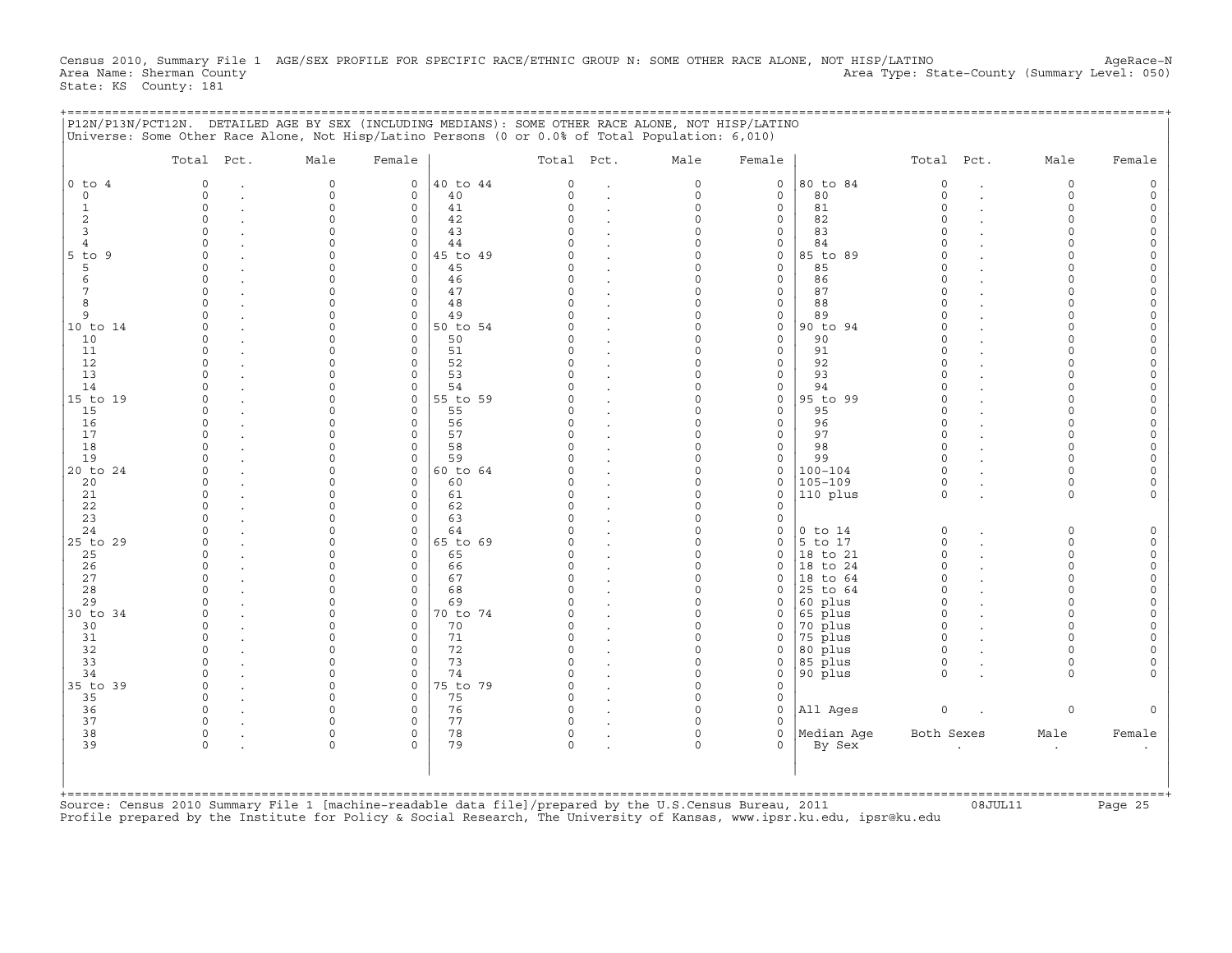Census 2010, Summary File 1 AGE/SEX PROFILE FOR SPECIFIC RACE/ETHNIC GROUP N: SOME OTHER RACE ALONE, NOT HISP/LATINO AgeRace-N<br>Area Name: Sherman County (summary Level: 050) Area Type: State-County (Summary Level: 050) Area Type: State-County (Summary Level: 050) State: KS County: 181

+===================================================================================================================================================+

|                | Total Pct. | Male     | Female                  |          | Total Pct. | Male                 | Female                   |             | Total Pct.           | Male                 | Female |
|----------------|------------|----------|-------------------------|----------|------------|----------------------|--------------------------|-------------|----------------------|----------------------|--------|
| $0$ to $4$     | $\Omega$   | $\circ$  | $\mathbf 0$             | 40 to 44 | $\Omega$   | $\Omega$             | $\mathbf 0$              | 80 to 84    | $\circ$              | $\circ$              |        |
| $\circ$        | $\Omega$   | $\Omega$ | $\mathbf 0$             | 40       | $\Omega$   | $\circ$              | $\mathbf{0}$             | 80          | $\Omega$             | $\Omega$             |        |
| $\mathbf{1}$   | $\Omega$   | $\Omega$ | $\mathbf 0$             | 41       |            | $\Omega$             | 0                        | 81          | $\Omega$             | $\Omega$             |        |
| $\overline{2}$ | $\Omega$   | $\Omega$ | $\mathbf 0$             | 42       |            | $\Omega$             | 0                        | 82          | $\cap$               | $\Omega$             |        |
| 3              | $\Omega$   |          | 0                       | 43       |            | $\Omega$             | 0                        | 83          | $\cap$               | $\cap$               |        |
| $\overline{4}$ | $\cap$     |          | $\mathbf 0$             | 44       |            | $\Omega$             | 0                        | 84          |                      |                      |        |
| $5$ to<br>9    | $\cap$     |          | $\Omega$                | 45 to 49 |            | $\Omega$             | 0                        | 85 to 89    |                      |                      |        |
| 5              | $\cap$     | $\cap$   | $\mathbf 0$             | 45       |            | $\Omega$             | 0                        | 85          | $\Omega$             | $\cap$               |        |
| 6              | $\cap$     |          | $\Omega$                | 46       |            | $\Omega$             | 0                        | 86          | $\Omega$             | $\cap$               |        |
|                | $\Omega$   | $\cap$   | $\mathbf 0$             | 47       |            | $\Omega$             | 0                        | 87          |                      | $\Omega$             |        |
| 8              |            |          | $\mathbf 0$             | 48       |            | $\Omega$             | 0                        | 88          | $\cap$               |                      |        |
| 9              |            | O        | $\mathbf 0$             | 49       |            | $\Omega$             | 0                        | 89          | $\Omega$<br>$\Omega$ | $\Omega$<br>$\Omega$ |        |
| 10 to 14       |            | $\cap$   | $\mathbf 0$             | 50 to 54 |            | $\Omega$<br>$\Omega$ | 0                        | 90 to 94    |                      |                      |        |
| 10             |            |          | $\Omega$<br>$\Omega$    | 50<br>51 |            | $\Omega$             | 0<br>$\mathbf 0$         | 90<br>91    | $\Omega$             |                      |        |
| 11<br>12       |            |          | $\Omega$                | 52       |            | $\Omega$             | 0                        | 92          | $\Omega$             |                      |        |
| 13             |            |          | $\Omega$                | 53       |            | $\Omega$             | 0                        | 93          |                      |                      |        |
| 14             |            |          | $\mathbf 0$             | 54       |            | $\Omega$             | 0                        | 94          |                      |                      |        |
| 15 to 19       | n          |          | 0                       | 55 to 59 |            | $\Omega$             | 0                        | 95 to 99    | $\Omega$             | $\cap$               |        |
| 15             |            |          | $\circ$                 | 55       |            | $\Omega$             | $\mathbf{0}$             | 95          | $\cap$               | $\cap$               |        |
| 16             | $\cap$     |          | $\circ$                 | 56       |            | $\Omega$             | $\mathbf{0}$             | 96          | $\Omega$             | $\Omega$             |        |
| 17             | $\cap$     |          | $\Omega$                | 57       |            | $\Omega$             | $\mathbf{0}$             | 97          | $\cap$               | $\Omega$             |        |
| 18             |            | $\cap$   | $\mathbf 0$             | 58       |            | $\Omega$             | $\circ$                  | 98          | $\Omega$             | $\Omega$             |        |
| 19             |            | $\cap$   | $\mathbf 0$             | 59       |            | $\Omega$             | 0                        | 99          | $\cap$               | $\Omega$             |        |
| 20 to 24       |            |          | $\mathbf 0$             | 60 to 64 |            | $\Omega$             | $\mathbf{0}$             | $100 - 104$ | $\Omega$             | $\Omega$             |        |
| 20             |            |          | $\Omega$                | 60       |            | $\Omega$             | 0                        | $105 - 109$ | $\Omega$             | $\Omega$             |        |
| 21             | $\Omega$   |          | $\mathbf 0$             | 61       |            | $\Omega$             | $\mathbf 0$              | 110 plus    | $\Omega$             | $\Omega$             |        |
| 22             |            |          | $\Omega$                | 62       |            | $\Omega$             | 0                        |             |                      |                      |        |
| 23             |            |          | $\Omega$                | 63       |            | $\Omega$             | 0                        |             |                      |                      |        |
| 24             |            | $\cap$   | $\circ$                 | 64       |            | $\Omega$             | 0                        | $0$ to $14$ | $\Omega$             | $\Omega$             |        |
| 25 to 29       |            | $\cap$   | $\mathbf 0$             | 65 to 69 |            | $\Omega$             | 0                        | 5 to 17     | $\Omega$             | $\Omega$             |        |
| 25             | $\cap$     | $\cap$   | $\Omega$                | 65       |            | $\Omega$             | $\mathbf{0}$             | 18 to 21    | $\cap$               | $\Omega$             |        |
| 26             | $\Omega$   |          | $\mathbf 0$             | 66       |            | $\Omega$             | 0                        | 18 to 24    | $\Omega$             | $\Omega$             |        |
| 27             | $\Omega$   | O        | 0                       | 67       |            | 0                    | 0                        | 18 to 64    | $\Omega$             | $\Omega$             |        |
| 28             |            |          | $\mathbf 0$             | 68       |            | $\Omega$             | $\Omega$                 | 25 to 64    | $\Omega$             | $\Omega$             |        |
| 29             |            |          | $\mathbf 0$             | 69       |            | $\Omega$             | 0                        | 60 plus     | $\cap$               | $\Omega$             |        |
| 30 to 34       |            |          | $\Omega$                | 70 to 74 |            | $\Omega$             | $\Omega$                 | 65 plus     | $\Omega$             |                      |        |
| 30             |            |          | $\Omega$                | 70       |            | $\Omega$             | $\Omega$                 | 70 plus     | $\Omega$             |                      |        |
| 31             | $\cap$     |          | $\Omega$                | 71       |            | $\Omega$             | 0                        | 75 plus     | $\Omega$             |                      |        |
| 32             |            |          | $\circ$                 | 72       |            | $\Omega$             | 0                        | 80 plus     | $\Omega$             |                      |        |
| 33             |            |          | $\Omega$                | 73       |            | 0                    | 0                        | 85 plus     | $\Omega$             | $\Omega$             |        |
| 34             | $\Omega$   | $\cap$   | $\mathbf 0$             | 74       |            | $\Omega$             | 0                        | 90 plus     | $\cap$               | $\cap$               |        |
| 35 to 39       | $\Omega$   | $\cap$   | $\mathbf 0$             | 75 to 79 |            | $\Omega$             | 0                        |             |                      |                      |        |
| 35             | $\Omega$   | $\cap$   | $\Omega$                | 75       |            | $\Omega$             | 0                        |             |                      |                      |        |
| 36             | $\Omega$   | $\cap$   | $\mathbf 0$             | 76       |            | $\Omega$             | $\mathbf{0}$             | All Ages    | $\circ$              | $\circ$              |        |
| 37<br>38       | $\circ$    | $\Omega$ | $\Omega$<br>$\mathbf 0$ | 77<br>78 | $\Omega$   | $\Omega$             | $\Omega$<br>$\mathbf{0}$ | Median Age  | Both Sexes           | Male                 |        |
| 39             | $\Omega$   | $\cap$   | $\Omega$                | 79       |            | $\Omega$             | 0                        | By Sex      |                      |                      | Female |
|                |            |          |                         |          |            |                      |                          |             |                      |                      |        |
|                |            |          |                         |          |            |                      |                          |             |                      |                      |        |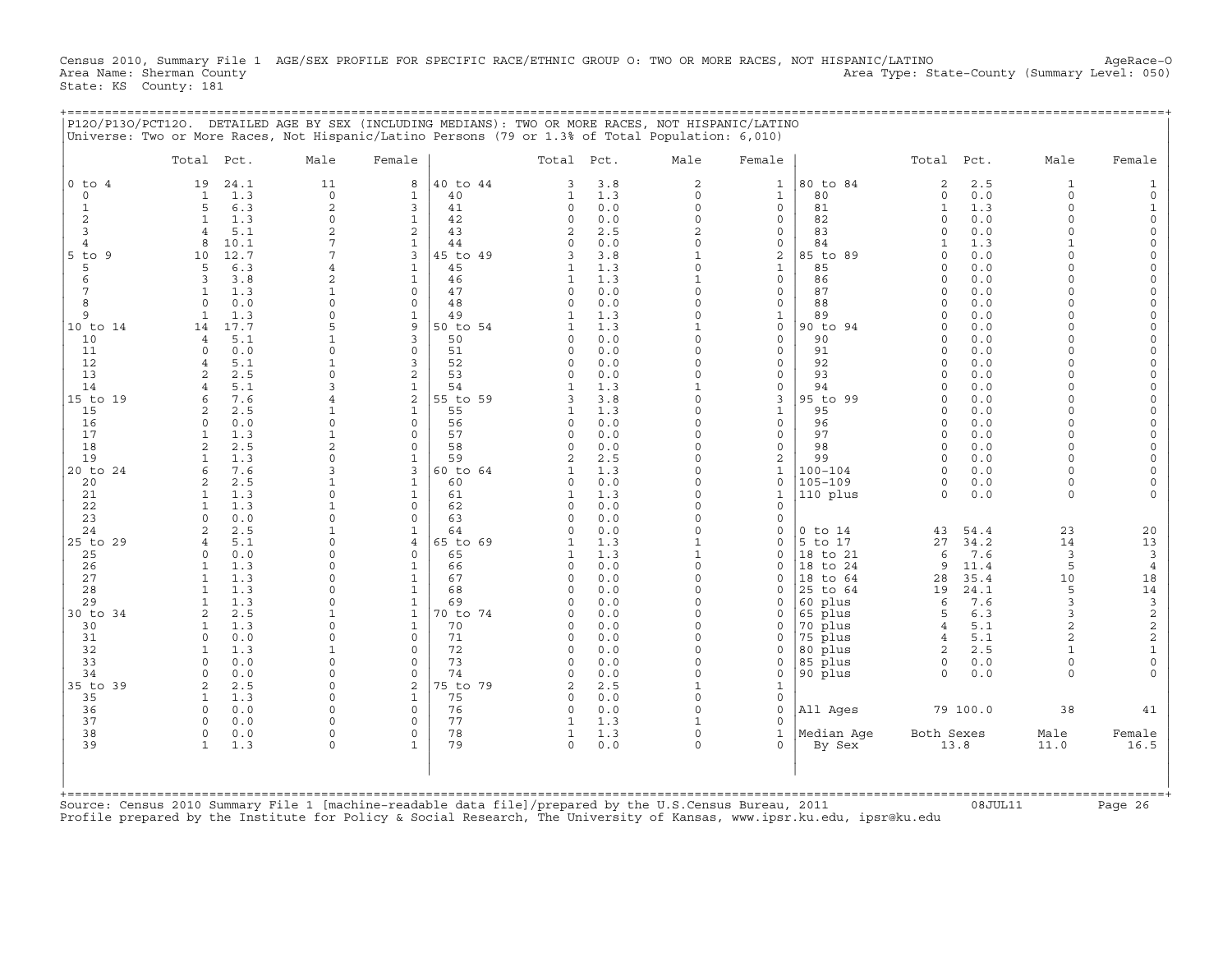Census 2010, Summary File 1 AGE/SEX PROFILE FOR SPECIFIC RACE/ETHNIC GROUP O: TWO OR MORE RACES, NOT HISPANIC/LATINO AgeRace-O<br>Area Name: Sherman County (summary Level: 050) Area Type: State-County (Summary Level: 050) Area Type: State-County (Summary Level: 050) State: KS County: 181

+===================================================================================================================================================+

|                               | Total Pct.                       |              | Male                     | Female                       |                | Total Pct.           |            | Male                       | Female                   |                    | Total Pct.               |            | Male                | Female               |
|-------------------------------|----------------------------------|--------------|--------------------------|------------------------------|----------------|----------------------|------------|----------------------------|--------------------------|--------------------|--------------------------|------------|---------------------|----------------------|
| $0$ to<br>$\overline{4}$      | 19                               | 24.1         | 11                       | 8                            | 40 to 44       | 3                    | 3.8        | $\overline{a}$             | $\mathbf{1}$             | 80 to 84           | $\mathbf{2}$             | 2.5        | $\mathbf{1}$        |                      |
| $\circ$                       | $\mathbf{1}$                     | 1.3          | $\Omega$                 | 1                            | 40             | 1                    | 1.3        | $\Omega$                   | $\mathbf{1}$             | 80                 | $\circ$                  | 0.0        | $\Omega$            |                      |
| $\mathbf{1}$                  | 5                                | 6.3          | $\overline{c}$           | 3                            | 41             | $\circ$              | 0.0        | $\Omega$                   | $\mathbf{0}$             | 81                 | $\mathbf{1}$             | 1.3        | $\Omega$            |                      |
| $\overline{c}$                | $\mathbf{1}$                     | 1.3          | $\circ$                  | $\mathbf{1}$                 | 42             | $\Omega$             | 0.0        | $\Omega$                   | 0                        | 82                 | $\Omega$                 | 0.0        | $\Omega$            | $\Omega$             |
| 3                             | $\overline{4}$                   | 5.1          | $\overline{c}$<br>7      | 2                            | 43             | 2<br>$\Omega$        | 2.5        | $\overline{2}$<br>$\Omega$ | 0                        | 83                 | $\Omega$<br>$\mathbf{1}$ | 0.0        | $\Omega$            | $\Omega$<br>$\Omega$ |
| $\overline{4}$<br>$5$ to<br>9 | 8<br>10                          | 10.1<br>12.7 |                          | $\mathbf{1}$<br>3            | 44<br>15 to 49 | 3                    | 0.0<br>3.8 | 1                          | 0<br>2                   | 84<br>85 to 89     | $\cap$                   | 1.3<br>0.0 |                     | $\Omega$             |
| 5                             | 5                                | 6.3          | 4                        | $\mathbf{1}$                 | 45             | $\mathbf{1}$         | 1.3        | $\Omega$                   | $\mathbf{1}$             | 85                 | $\Omega$                 | 0.0        | $\Omega$            | $\Omega$             |
| 6                             | 3                                | 3.8          |                          | $\mathbf{1}$                 | 46             |                      | 1.3        | 1                          | 0                        | 86                 | $\cap$                   | 0.0        | $\cap$              | $\Omega$             |
| $\overline{7}$                | $\mathbf{1}$                     | 1.3          | $\mathbf{1}$             | $\mathbf 0$                  | 47             | $\Omega$             | 0.0        | $\Omega$                   | 0                        | 87                 | $\Omega$                 | 0.0        | $\Omega$            |                      |
| 8                             | $\Omega$                         | 0.0          | $\Omega$                 | $\Omega$                     | 48             | $\Omega$             | 0.0        | $\Omega$                   | 0                        | 88                 | $\Omega$                 | 0.0        |                     |                      |
| 9                             | $\mathbf{1}$                     | 1.3          | $\Omega$                 | $\mathbf{1}$                 | 49             | 1                    | 1.3        | $\Omega$                   | $\mathbf{1}$             | 89                 | $\Omega$                 | 0.0        | $\Omega$            |                      |
| 10 to 14                      | 14                               | 17.7         |                          | 9                            | 50 to 54       | $\mathbf{1}$         | 1.3        |                            | $\circ$                  | 90 to 94           | $\Omega$                 | 0.0        | $\Omega$            | $\Omega$             |
| 10                            | $\overline{4}$                   | 5.1          |                          | 3                            | 50             | $\Omega$             | 0.0        | $\Omega$                   | 0                        | 90                 | $\Omega$                 | 0.0        |                     |                      |
| 11                            | $\Omega$                         | 0.0          | $\Omega$                 | $\Omega$                     | 51             | $\Omega$             | 0.0        | $\Omega$                   | $\mathbf{0}$             | 91                 | $\Omega$<br>$\cap$       | 0.0        | $\Omega$            |                      |
| 12<br>13                      | $\overline{4}$<br>$\overline{a}$ | 5.1<br>2.5   | $\mathbf{1}$<br>$\Omega$ | 3<br>$\overline{2}$          | 52<br>53       | $\Omega$<br>$\cap$   | 0.0<br>0.0 | $\Omega$<br>O              | 0<br>0                   | 92<br>93           | $\Omega$                 | 0.0<br>0.0 |                     | $\Omega$             |
| 14                            | $\overline{4}$                   | 5.1          | 3                        | $\mathbf{1}$                 | 54             |                      | 1.3        |                            | 0                        | 94                 |                          | 0.0        |                     |                      |
| 15 to 19                      | 6                                | 7.6          |                          | 2                            | 55 to 59       | 3                    | 3.8        | 0                          | 3                        | 95 to 99           | $\Omega$                 | 0.0        | $\cap$              | $\Omega$             |
| 15                            | 2                                | 2.5          | 1                        | $\mathbf{1}$                 | 55             |                      | 1.3        | $\Omega$                   | $\mathbf{1}$             | 95                 | $\Omega$                 | 0.0        | $\Omega$            | $\Omega$             |
| 16                            | $\Omega$                         | 0.0          | $\Omega$                 | $\mathbf 0$                  | 56             | $\Omega$             | 0.0        | $\Omega$                   | 0                        | 96                 | $\Omega$                 | 0.0        | $\Omega$            |                      |
| 17                            | $\mathbf{1}$                     | 1.3          | $\mathbf{1}$             | $\Omega$                     | 57             | $\Omega$             | 0.0        | $\Omega$                   | $\mathbf{0}$             | 97                 | $\cap$                   | 0.0        | $\Omega$            | $\Omega$             |
| 18                            | $\overline{a}$                   | 2.5          | $\overline{a}$           | $\Omega$                     | 58             | $\Omega$             | 0.0        | $\Omega$                   | 0                        | 98                 | $\Omega$                 | 0.0        | $\Omega$            |                      |
| 19                            | $\mathbf{1}$                     | 1.3          | $\Omega$                 | $\mathbf{1}$                 | 59             | 2                    | 2.5        | $\Omega$                   | 2                        | 99                 | $\Omega$                 | 0.0        | $\Omega$            | $\Omega$             |
| 20 to 24                      | 6                                | 7.6          | 3                        | 3                            | 60 to 64       |                      | 1.3        | $\Omega$                   | $\mathbf{1}$             | $100 - 104$        | $\Omega$                 | 0.0        | $\Omega$            |                      |
| 20                            | $\overline{2}$                   | 2.5          | $\mathbf{1}$             | $\mathbf{1}$                 | 60             | $\Omega$             | 0.0        | $\Omega$                   | $\Omega$                 | $105 - 109$        | $\Omega$                 | 0.0        | $\Omega$            |                      |
| 21<br>22                      | 1<br>$\mathbf{1}$                | 1.3<br>1.3   | $\Omega$                 | $\mathbf{1}$<br>$\mathbf 0$  | 61<br>62       | 1<br>$\Omega$        | 1.3<br>0.0 | $\Omega$<br>$\Omega$       | $\mathbf{1}$<br>$\Omega$ | 110 plus           | $\Omega$                 | 0.0        | $\Omega$            |                      |
| 23                            | $\cap$                           | 0.0          | $\Omega$                 | $\Omega$                     | 63             | $\Omega$             | 0.0        | $\Omega$                   | $\Omega$                 |                    |                          |            |                     |                      |
| 24                            | $\overline{a}$                   | 2.5          | $\mathbf{1}$             | $\mathbf{1}$                 | 64             | $\Omega$             | 0.0        | $\Omega$                   | $\Omega$                 | $0$ to $14$        | 43                       | 54.4       | 23                  | 20                   |
| 25 to 29                      | $\overline{4}$                   | 5.1          | $\Omega$                 | $\overline{4}$               | 65 to 69       | 1                    | 1.3        | $\mathbf{1}$               | $\Omega$                 | 5 to 17            | 27                       | 34.2       | 14                  | 13                   |
| 25                            | $\Omega$                         | 0.0          | $\Omega$                 | $\Omega$                     | 65             | 1                    | 1.3        | $\mathbf{1}$               | $\Omega$                 | 18 to 21           | 6                        | 7.6        | $\overline{3}$      | 3                    |
| 26                            | 1                                | 1.3          | $\Omega$                 | $\mathbf{1}$                 | 66             | $\Omega$             | 0.0        | $\Omega$                   | $\Omega$                 | 18 to 24           | 9                        | 11.4       | 5                   | $\bf{4}$             |
| 27                            | 1                                | 1.3          | $\Omega$                 | $\mathbf{1}$                 | 67             | 0                    | 0.0        | 0                          | $\Omega$                 | 18 to 64           | 28                       | 35.4       | 10                  | 18                   |
| 28                            | $\mathbf{1}$                     | 1.3          | $\Omega$                 | $\mathbf{1}$                 | 68             | $\Omega$             | 0.0        | $\Omega$                   | $\Omega$                 | 25 to 64           | 19                       | 24.1       | 5                   | 14                   |
| 29                            | $\mathbf{1}$                     | 1.3          | $\Omega$                 | $\mathbf{1}$                 | 69             |                      | 0.0        | $\Omega$                   | $\Omega$                 | 60 plus            | 6                        | 7.6        | 3                   | $\mathsf 3$          |
| 30 to 34                      | $\overline{2}$                   | 2.5<br>1.3   | 1<br>$\Omega$            | $\mathbf{1}$<br>$\mathbf{1}$ | 0 to 74<br>70  | $\Omega$<br>$\Omega$ | 0.0<br>0.0 | $\Omega$<br>$\Omega$       | $\Omega$<br>$\Omega$     | 65 plus            | 5                        | 6.3<br>5.1 | 3<br>$\overline{a}$ | $\frac{2}{2}$        |
| 30<br>31                      | 1<br>$\Omega$                    | 0.0          | $\Omega$                 | $\Omega$                     | 71             | $\Omega$             | 0.0        | $\Omega$                   | $\Omega$                 | 70 plus<br>75 plus | 4<br>4                   | 5.1        | $\overline{a}$      | $\overline{c}$       |
| 32                            | $\mathbf{1}$                     | 1.3          | $\mathbf{1}$             | $\Omega$                     | 72             | $\Omega$             | 0.0        | $\Omega$                   | $\Omega$                 | 80 plus            | $\overline{2}$           | 2.5        |                     | $\mathbf 1$          |
| 33                            | $\Omega$                         | 0.0          | $\Omega$                 | $\Omega$                     | 73             | $\Omega$             | 0.0        | 0                          | 0                        | 85 plus            | $\circ$                  | 0.0        | $\Omega$            | $\mathbf 0$          |
| 34                            | $\Omega$                         | 0.0          | $\Omega$                 | $\Omega$                     | 74             | $\Omega$             | 0.0        | $\Omega$                   | $\Omega$                 | 90 plus            | $\Omega$                 | 0.0        | $\Omega$            |                      |
| 35 to 39                      | $\overline{c}$                   | 2.5          | $\Omega$                 | $\overline{2}$               | 75 to 79       | 2                    | 2.5        | 1                          | $\mathbf 1$              |                    |                          |            |                     |                      |
| 35                            | $\mathbf{1}$                     | 1.3          | $\Omega$                 | $\mathbf{1}$                 | 75             | $\Omega$             | 0.0        | $\Omega$                   | 0                        |                    |                          |            |                     |                      |
| 36                            | $\Omega$                         | 0.0          | $\Omega$                 | $\mathbf 0$                  | 76             | 0                    | 0.0        | $\Omega$                   | $\Omega$                 | All Ages           |                          | 79 100.0   | 38                  | 41                   |
| 37                            | $\Omega$                         | 0.0          | $\Omega$                 | $\Omega$                     | 77             |                      | 1.3        |                            | $\Omega$                 |                    |                          |            |                     |                      |
| 38<br>39                      | $\circ$<br>$\mathbf{1}$          | 0.0          | $\mathbf 0$<br>$\Omega$  | $\mathbf 0$<br>$\mathbf{1}$  | 78<br>79       | 1<br>$\Omega$        | 1.3        | $\Omega$<br>$\Omega$       | $\mathbf{1}$             | Median Aqe         | Both Sexes               | 13.8       | Male                | Female               |
|                               |                                  | 1.3          |                          |                              |                |                      | 0.0        |                            | 0                        | By Sex             |                          |            | 11.0                | 16.5                 |
|                               |                                  |              |                          |                              |                |                      |            |                            |                          |                    |                          |            |                     |                      |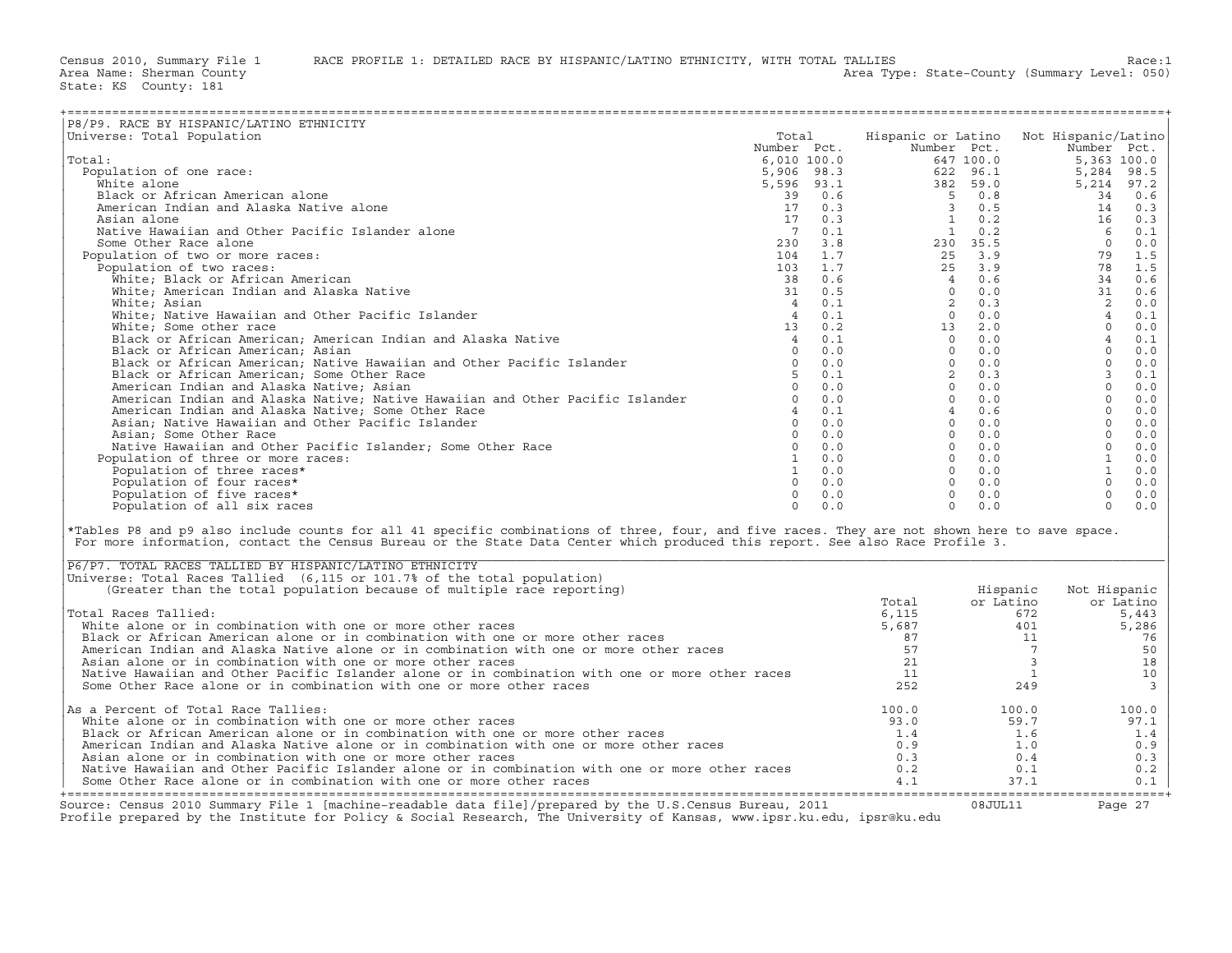| P8/P9. RACE BY HISPANIC/LATINO ETHNICITY<br>Universe: Total Population<br>Hispanic or Latino Not Hispanic/Latino<br>Total<br>Total:<br>Population of one race:<br>White alone<br>Black or African American alone<br>American Indian and Alaska Native alone<br>Asian alone<br>Native Hawaiian and Other Pacific Islander alone<br>Some Other Race alone<br>Population of two or more races:<br>Population of two races:<br>White; Black or African American<br>White; American Indian and Alaska Native<br>White; Asian<br>White; Native Hawaiian and Other Pacific Islander<br>White; Some other race<br>Black or African American; American Indian and Alaska Native<br>Black or African American; Asian<br>Black or African American; Native Hawaiian and Other Pacific Islander<br>Black or African American; Some Other Race<br>American Indian and Alaska Native; Asian<br>American Indian and Alaska Native; Native Hawaiian and Other Pacific Islander<br>American Indian and Alaska Native; Some Other Race<br>Asian; Native Hawaiian and Other Pacific Islander<br>Asian; Some Other Race<br>Native Hawaiian and Other Pacific Islander; Some Other Race<br>Population of three or more races:<br>Population of three races*<br>Population of four races*<br>Population of five races*<br>$\Omega$<br>0.0<br>Population of all six races<br>$\Omega$<br>0.0<br>$\Omega$<br>0.0<br>*Tables P8 and p9 also include counts for all 41 specific combinations of three, four, and five races. They are not shown here to save space.<br>For more information, contact the Census Bureau or the State Data Center which produced this report. See also Race Profile 3.<br>P6/P7. TOTAL RACES TALLIED BY HISPANIC/LATINO ETHNICITY<br>Universe: Total Races Tallied (6,115 or 101.7% of the total population)<br>(Greater than the total population because of multiple race reporting)<br>Hispanic<br>Not Hispanic<br>or Latino<br>Total<br>or Latino<br>Total Races Tallied:<br>6,115<br>672<br>5,443<br>White alone or in combination with one or more other races<br>5,687<br>401<br>5,286<br>Black or African American alone or in combination with one or more other races<br>87<br>76<br>11<br>$\overline{7}$<br>American Indian and Alaska Native alone or in combination with one or more other races<br>57<br>50<br>Asian alone or in combination with one or more other races<br>21<br>$\overline{\mathbf{3}}$<br>18<br>Native Hawaiian and Other Pacific Islander alone or in combination with one or more other races<br>11<br><b>1</b><br>10<br>252<br>3<br>Some Other Race alone or in combination with one or more other races<br>249<br>As a Percent of Total Race Tallies:<br>100.0<br>100.0<br>100.0<br>White alone or in combination with one or more other races<br>93.0<br>59.7<br>97.1<br>Black or African American alone or in combination with one or more other races<br>1.4<br>1.6<br>1.4<br>American Indian and Alaska Native alone or in combination with one or more other races<br>0.9<br>1.0<br>0.9<br>Asian alone or in combination with one or more other races<br>0.3<br>0.4<br>0.3<br>Native Hawaiian and Other Pacific Islander alone or in combination with one or more other races<br>0.2<br>0.1<br>0.2<br>Some Other Race alone or in combination with one or more other races<br>4.1<br>37.1<br>0.1 |  |  |  |  |
|-------------------------------------------------------------------------------------------------------------------------------------------------------------------------------------------------------------------------------------------------------------------------------------------------------------------------------------------------------------------------------------------------------------------------------------------------------------------------------------------------------------------------------------------------------------------------------------------------------------------------------------------------------------------------------------------------------------------------------------------------------------------------------------------------------------------------------------------------------------------------------------------------------------------------------------------------------------------------------------------------------------------------------------------------------------------------------------------------------------------------------------------------------------------------------------------------------------------------------------------------------------------------------------------------------------------------------------------------------------------------------------------------------------------------------------------------------------------------------------------------------------------------------------------------------------------------------------------------------------------------------------------------------------------------------------------------------------------------------------------------------------------------------------------------------------------------------------------------------------------------------------------------------------------------------------------------------------------------------------------------------------------------------------------------------------------------------------------------------------------------------------------------------------------------------------------------------------------------------------------------------------------------------------------------------------------------------------------------------------------------------------------------------------------------------------------------------------------------------------------------------------------------------------------------------------------------------------------------------------------------------------------------------------------------------------------------------------------------------------------------------------------------------------------------------------------------------------------------------------------------------------------------------------------------------------------------------------------------------------------------------------------------------------------------------------------------------------------------------------------------------------------------------------------------------------------------------------------------------------------------------------------------------------------------------------------------------------------------|--|--|--|--|
|                                                                                                                                                                                                                                                                                                                                                                                                                                                                                                                                                                                                                                                                                                                                                                                                                                                                                                                                                                                                                                                                                                                                                                                                                                                                                                                                                                                                                                                                                                                                                                                                                                                                                                                                                                                                                                                                                                                                                                                                                                                                                                                                                                                                                                                                                                                                                                                                                                                                                                                                                                                                                                                                                                                                                                                                                                                                                                                                                                                                                                                                                                                                                                                                                                                                                                                                                 |  |  |  |  |
|                                                                                                                                                                                                                                                                                                                                                                                                                                                                                                                                                                                                                                                                                                                                                                                                                                                                                                                                                                                                                                                                                                                                                                                                                                                                                                                                                                                                                                                                                                                                                                                                                                                                                                                                                                                                                                                                                                                                                                                                                                                                                                                                                                                                                                                                                                                                                                                                                                                                                                                                                                                                                                                                                                                                                                                                                                                                                                                                                                                                                                                                                                                                                                                                                                                                                                                                                 |  |  |  |  |
|                                                                                                                                                                                                                                                                                                                                                                                                                                                                                                                                                                                                                                                                                                                                                                                                                                                                                                                                                                                                                                                                                                                                                                                                                                                                                                                                                                                                                                                                                                                                                                                                                                                                                                                                                                                                                                                                                                                                                                                                                                                                                                                                                                                                                                                                                                                                                                                                                                                                                                                                                                                                                                                                                                                                                                                                                                                                                                                                                                                                                                                                                                                                                                                                                                                                                                                                                 |  |  |  |  |
|                                                                                                                                                                                                                                                                                                                                                                                                                                                                                                                                                                                                                                                                                                                                                                                                                                                                                                                                                                                                                                                                                                                                                                                                                                                                                                                                                                                                                                                                                                                                                                                                                                                                                                                                                                                                                                                                                                                                                                                                                                                                                                                                                                                                                                                                                                                                                                                                                                                                                                                                                                                                                                                                                                                                                                                                                                                                                                                                                                                                                                                                                                                                                                                                                                                                                                                                                 |  |  |  |  |
|                                                                                                                                                                                                                                                                                                                                                                                                                                                                                                                                                                                                                                                                                                                                                                                                                                                                                                                                                                                                                                                                                                                                                                                                                                                                                                                                                                                                                                                                                                                                                                                                                                                                                                                                                                                                                                                                                                                                                                                                                                                                                                                                                                                                                                                                                                                                                                                                                                                                                                                                                                                                                                                                                                                                                                                                                                                                                                                                                                                                                                                                                                                                                                                                                                                                                                                                                 |  |  |  |  |
|                                                                                                                                                                                                                                                                                                                                                                                                                                                                                                                                                                                                                                                                                                                                                                                                                                                                                                                                                                                                                                                                                                                                                                                                                                                                                                                                                                                                                                                                                                                                                                                                                                                                                                                                                                                                                                                                                                                                                                                                                                                                                                                                                                                                                                                                                                                                                                                                                                                                                                                                                                                                                                                                                                                                                                                                                                                                                                                                                                                                                                                                                                                                                                                                                                                                                                                                                 |  |  |  |  |
|                                                                                                                                                                                                                                                                                                                                                                                                                                                                                                                                                                                                                                                                                                                                                                                                                                                                                                                                                                                                                                                                                                                                                                                                                                                                                                                                                                                                                                                                                                                                                                                                                                                                                                                                                                                                                                                                                                                                                                                                                                                                                                                                                                                                                                                                                                                                                                                                                                                                                                                                                                                                                                                                                                                                                                                                                                                                                                                                                                                                                                                                                                                                                                                                                                                                                                                                                 |  |  |  |  |
|                                                                                                                                                                                                                                                                                                                                                                                                                                                                                                                                                                                                                                                                                                                                                                                                                                                                                                                                                                                                                                                                                                                                                                                                                                                                                                                                                                                                                                                                                                                                                                                                                                                                                                                                                                                                                                                                                                                                                                                                                                                                                                                                                                                                                                                                                                                                                                                                                                                                                                                                                                                                                                                                                                                                                                                                                                                                                                                                                                                                                                                                                                                                                                                                                                                                                                                                                 |  |  |  |  |
|                                                                                                                                                                                                                                                                                                                                                                                                                                                                                                                                                                                                                                                                                                                                                                                                                                                                                                                                                                                                                                                                                                                                                                                                                                                                                                                                                                                                                                                                                                                                                                                                                                                                                                                                                                                                                                                                                                                                                                                                                                                                                                                                                                                                                                                                                                                                                                                                                                                                                                                                                                                                                                                                                                                                                                                                                                                                                                                                                                                                                                                                                                                                                                                                                                                                                                                                                 |  |  |  |  |
|                                                                                                                                                                                                                                                                                                                                                                                                                                                                                                                                                                                                                                                                                                                                                                                                                                                                                                                                                                                                                                                                                                                                                                                                                                                                                                                                                                                                                                                                                                                                                                                                                                                                                                                                                                                                                                                                                                                                                                                                                                                                                                                                                                                                                                                                                                                                                                                                                                                                                                                                                                                                                                                                                                                                                                                                                                                                                                                                                                                                                                                                                                                                                                                                                                                                                                                                                 |  |  |  |  |
|                                                                                                                                                                                                                                                                                                                                                                                                                                                                                                                                                                                                                                                                                                                                                                                                                                                                                                                                                                                                                                                                                                                                                                                                                                                                                                                                                                                                                                                                                                                                                                                                                                                                                                                                                                                                                                                                                                                                                                                                                                                                                                                                                                                                                                                                                                                                                                                                                                                                                                                                                                                                                                                                                                                                                                                                                                                                                                                                                                                                                                                                                                                                                                                                                                                                                                                                                 |  |  |  |  |
|                                                                                                                                                                                                                                                                                                                                                                                                                                                                                                                                                                                                                                                                                                                                                                                                                                                                                                                                                                                                                                                                                                                                                                                                                                                                                                                                                                                                                                                                                                                                                                                                                                                                                                                                                                                                                                                                                                                                                                                                                                                                                                                                                                                                                                                                                                                                                                                                                                                                                                                                                                                                                                                                                                                                                                                                                                                                                                                                                                                                                                                                                                                                                                                                                                                                                                                                                 |  |  |  |  |
|                                                                                                                                                                                                                                                                                                                                                                                                                                                                                                                                                                                                                                                                                                                                                                                                                                                                                                                                                                                                                                                                                                                                                                                                                                                                                                                                                                                                                                                                                                                                                                                                                                                                                                                                                                                                                                                                                                                                                                                                                                                                                                                                                                                                                                                                                                                                                                                                                                                                                                                                                                                                                                                                                                                                                                                                                                                                                                                                                                                                                                                                                                                                                                                                                                                                                                                                                 |  |  |  |  |
|                                                                                                                                                                                                                                                                                                                                                                                                                                                                                                                                                                                                                                                                                                                                                                                                                                                                                                                                                                                                                                                                                                                                                                                                                                                                                                                                                                                                                                                                                                                                                                                                                                                                                                                                                                                                                                                                                                                                                                                                                                                                                                                                                                                                                                                                                                                                                                                                                                                                                                                                                                                                                                                                                                                                                                                                                                                                                                                                                                                                                                                                                                                                                                                                                                                                                                                                                 |  |  |  |  |
|                                                                                                                                                                                                                                                                                                                                                                                                                                                                                                                                                                                                                                                                                                                                                                                                                                                                                                                                                                                                                                                                                                                                                                                                                                                                                                                                                                                                                                                                                                                                                                                                                                                                                                                                                                                                                                                                                                                                                                                                                                                                                                                                                                                                                                                                                                                                                                                                                                                                                                                                                                                                                                                                                                                                                                                                                                                                                                                                                                                                                                                                                                                                                                                                                                                                                                                                                 |  |  |  |  |
|                                                                                                                                                                                                                                                                                                                                                                                                                                                                                                                                                                                                                                                                                                                                                                                                                                                                                                                                                                                                                                                                                                                                                                                                                                                                                                                                                                                                                                                                                                                                                                                                                                                                                                                                                                                                                                                                                                                                                                                                                                                                                                                                                                                                                                                                                                                                                                                                                                                                                                                                                                                                                                                                                                                                                                                                                                                                                                                                                                                                                                                                                                                                                                                                                                                                                                                                                 |  |  |  |  |
|                                                                                                                                                                                                                                                                                                                                                                                                                                                                                                                                                                                                                                                                                                                                                                                                                                                                                                                                                                                                                                                                                                                                                                                                                                                                                                                                                                                                                                                                                                                                                                                                                                                                                                                                                                                                                                                                                                                                                                                                                                                                                                                                                                                                                                                                                                                                                                                                                                                                                                                                                                                                                                                                                                                                                                                                                                                                                                                                                                                                                                                                                                                                                                                                                                                                                                                                                 |  |  |  |  |
|                                                                                                                                                                                                                                                                                                                                                                                                                                                                                                                                                                                                                                                                                                                                                                                                                                                                                                                                                                                                                                                                                                                                                                                                                                                                                                                                                                                                                                                                                                                                                                                                                                                                                                                                                                                                                                                                                                                                                                                                                                                                                                                                                                                                                                                                                                                                                                                                                                                                                                                                                                                                                                                                                                                                                                                                                                                                                                                                                                                                                                                                                                                                                                                                                                                                                                                                                 |  |  |  |  |
|                                                                                                                                                                                                                                                                                                                                                                                                                                                                                                                                                                                                                                                                                                                                                                                                                                                                                                                                                                                                                                                                                                                                                                                                                                                                                                                                                                                                                                                                                                                                                                                                                                                                                                                                                                                                                                                                                                                                                                                                                                                                                                                                                                                                                                                                                                                                                                                                                                                                                                                                                                                                                                                                                                                                                                                                                                                                                                                                                                                                                                                                                                                                                                                                                                                                                                                                                 |  |  |  |  |
|                                                                                                                                                                                                                                                                                                                                                                                                                                                                                                                                                                                                                                                                                                                                                                                                                                                                                                                                                                                                                                                                                                                                                                                                                                                                                                                                                                                                                                                                                                                                                                                                                                                                                                                                                                                                                                                                                                                                                                                                                                                                                                                                                                                                                                                                                                                                                                                                                                                                                                                                                                                                                                                                                                                                                                                                                                                                                                                                                                                                                                                                                                                                                                                                                                                                                                                                                 |  |  |  |  |
|                                                                                                                                                                                                                                                                                                                                                                                                                                                                                                                                                                                                                                                                                                                                                                                                                                                                                                                                                                                                                                                                                                                                                                                                                                                                                                                                                                                                                                                                                                                                                                                                                                                                                                                                                                                                                                                                                                                                                                                                                                                                                                                                                                                                                                                                                                                                                                                                                                                                                                                                                                                                                                                                                                                                                                                                                                                                                                                                                                                                                                                                                                                                                                                                                                                                                                                                                 |  |  |  |  |
|                                                                                                                                                                                                                                                                                                                                                                                                                                                                                                                                                                                                                                                                                                                                                                                                                                                                                                                                                                                                                                                                                                                                                                                                                                                                                                                                                                                                                                                                                                                                                                                                                                                                                                                                                                                                                                                                                                                                                                                                                                                                                                                                                                                                                                                                                                                                                                                                                                                                                                                                                                                                                                                                                                                                                                                                                                                                                                                                                                                                                                                                                                                                                                                                                                                                                                                                                 |  |  |  |  |
|                                                                                                                                                                                                                                                                                                                                                                                                                                                                                                                                                                                                                                                                                                                                                                                                                                                                                                                                                                                                                                                                                                                                                                                                                                                                                                                                                                                                                                                                                                                                                                                                                                                                                                                                                                                                                                                                                                                                                                                                                                                                                                                                                                                                                                                                                                                                                                                                                                                                                                                                                                                                                                                                                                                                                                                                                                                                                                                                                                                                                                                                                                                                                                                                                                                                                                                                                 |  |  |  |  |
|                                                                                                                                                                                                                                                                                                                                                                                                                                                                                                                                                                                                                                                                                                                                                                                                                                                                                                                                                                                                                                                                                                                                                                                                                                                                                                                                                                                                                                                                                                                                                                                                                                                                                                                                                                                                                                                                                                                                                                                                                                                                                                                                                                                                                                                                                                                                                                                                                                                                                                                                                                                                                                                                                                                                                                                                                                                                                                                                                                                                                                                                                                                                                                                                                                                                                                                                                 |  |  |  |  |
|                                                                                                                                                                                                                                                                                                                                                                                                                                                                                                                                                                                                                                                                                                                                                                                                                                                                                                                                                                                                                                                                                                                                                                                                                                                                                                                                                                                                                                                                                                                                                                                                                                                                                                                                                                                                                                                                                                                                                                                                                                                                                                                                                                                                                                                                                                                                                                                                                                                                                                                                                                                                                                                                                                                                                                                                                                                                                                                                                                                                                                                                                                                                                                                                                                                                                                                                                 |  |  |  |  |
|                                                                                                                                                                                                                                                                                                                                                                                                                                                                                                                                                                                                                                                                                                                                                                                                                                                                                                                                                                                                                                                                                                                                                                                                                                                                                                                                                                                                                                                                                                                                                                                                                                                                                                                                                                                                                                                                                                                                                                                                                                                                                                                                                                                                                                                                                                                                                                                                                                                                                                                                                                                                                                                                                                                                                                                                                                                                                                                                                                                                                                                                                                                                                                                                                                                                                                                                                 |  |  |  |  |
|                                                                                                                                                                                                                                                                                                                                                                                                                                                                                                                                                                                                                                                                                                                                                                                                                                                                                                                                                                                                                                                                                                                                                                                                                                                                                                                                                                                                                                                                                                                                                                                                                                                                                                                                                                                                                                                                                                                                                                                                                                                                                                                                                                                                                                                                                                                                                                                                                                                                                                                                                                                                                                                                                                                                                                                                                                                                                                                                                                                                                                                                                                                                                                                                                                                                                                                                                 |  |  |  |  |
|                                                                                                                                                                                                                                                                                                                                                                                                                                                                                                                                                                                                                                                                                                                                                                                                                                                                                                                                                                                                                                                                                                                                                                                                                                                                                                                                                                                                                                                                                                                                                                                                                                                                                                                                                                                                                                                                                                                                                                                                                                                                                                                                                                                                                                                                                                                                                                                                                                                                                                                                                                                                                                                                                                                                                                                                                                                                                                                                                                                                                                                                                                                                                                                                                                                                                                                                                 |  |  |  |  |
|                                                                                                                                                                                                                                                                                                                                                                                                                                                                                                                                                                                                                                                                                                                                                                                                                                                                                                                                                                                                                                                                                                                                                                                                                                                                                                                                                                                                                                                                                                                                                                                                                                                                                                                                                                                                                                                                                                                                                                                                                                                                                                                                                                                                                                                                                                                                                                                                                                                                                                                                                                                                                                                                                                                                                                                                                                                                                                                                                                                                                                                                                                                                                                                                                                                                                                                                                 |  |  |  |  |
|                                                                                                                                                                                                                                                                                                                                                                                                                                                                                                                                                                                                                                                                                                                                                                                                                                                                                                                                                                                                                                                                                                                                                                                                                                                                                                                                                                                                                                                                                                                                                                                                                                                                                                                                                                                                                                                                                                                                                                                                                                                                                                                                                                                                                                                                                                                                                                                                                                                                                                                                                                                                                                                                                                                                                                                                                                                                                                                                                                                                                                                                                                                                                                                                                                                                                                                                                 |  |  |  |  |
|                                                                                                                                                                                                                                                                                                                                                                                                                                                                                                                                                                                                                                                                                                                                                                                                                                                                                                                                                                                                                                                                                                                                                                                                                                                                                                                                                                                                                                                                                                                                                                                                                                                                                                                                                                                                                                                                                                                                                                                                                                                                                                                                                                                                                                                                                                                                                                                                                                                                                                                                                                                                                                                                                                                                                                                                                                                                                                                                                                                                                                                                                                                                                                                                                                                                                                                                                 |  |  |  |  |
|                                                                                                                                                                                                                                                                                                                                                                                                                                                                                                                                                                                                                                                                                                                                                                                                                                                                                                                                                                                                                                                                                                                                                                                                                                                                                                                                                                                                                                                                                                                                                                                                                                                                                                                                                                                                                                                                                                                                                                                                                                                                                                                                                                                                                                                                                                                                                                                                                                                                                                                                                                                                                                                                                                                                                                                                                                                                                                                                                                                                                                                                                                                                                                                                                                                                                                                                                 |  |  |  |  |
|                                                                                                                                                                                                                                                                                                                                                                                                                                                                                                                                                                                                                                                                                                                                                                                                                                                                                                                                                                                                                                                                                                                                                                                                                                                                                                                                                                                                                                                                                                                                                                                                                                                                                                                                                                                                                                                                                                                                                                                                                                                                                                                                                                                                                                                                                                                                                                                                                                                                                                                                                                                                                                                                                                                                                                                                                                                                                                                                                                                                                                                                                                                                                                                                                                                                                                                                                 |  |  |  |  |
|                                                                                                                                                                                                                                                                                                                                                                                                                                                                                                                                                                                                                                                                                                                                                                                                                                                                                                                                                                                                                                                                                                                                                                                                                                                                                                                                                                                                                                                                                                                                                                                                                                                                                                                                                                                                                                                                                                                                                                                                                                                                                                                                                                                                                                                                                                                                                                                                                                                                                                                                                                                                                                                                                                                                                                                                                                                                                                                                                                                                                                                                                                                                                                                                                                                                                                                                                 |  |  |  |  |
|                                                                                                                                                                                                                                                                                                                                                                                                                                                                                                                                                                                                                                                                                                                                                                                                                                                                                                                                                                                                                                                                                                                                                                                                                                                                                                                                                                                                                                                                                                                                                                                                                                                                                                                                                                                                                                                                                                                                                                                                                                                                                                                                                                                                                                                                                                                                                                                                                                                                                                                                                                                                                                                                                                                                                                                                                                                                                                                                                                                                                                                                                                                                                                                                                                                                                                                                                 |  |  |  |  |
|                                                                                                                                                                                                                                                                                                                                                                                                                                                                                                                                                                                                                                                                                                                                                                                                                                                                                                                                                                                                                                                                                                                                                                                                                                                                                                                                                                                                                                                                                                                                                                                                                                                                                                                                                                                                                                                                                                                                                                                                                                                                                                                                                                                                                                                                                                                                                                                                                                                                                                                                                                                                                                                                                                                                                                                                                                                                                                                                                                                                                                                                                                                                                                                                                                                                                                                                                 |  |  |  |  |
|                                                                                                                                                                                                                                                                                                                                                                                                                                                                                                                                                                                                                                                                                                                                                                                                                                                                                                                                                                                                                                                                                                                                                                                                                                                                                                                                                                                                                                                                                                                                                                                                                                                                                                                                                                                                                                                                                                                                                                                                                                                                                                                                                                                                                                                                                                                                                                                                                                                                                                                                                                                                                                                                                                                                                                                                                                                                                                                                                                                                                                                                                                                                                                                                                                                                                                                                                 |  |  |  |  |
|                                                                                                                                                                                                                                                                                                                                                                                                                                                                                                                                                                                                                                                                                                                                                                                                                                                                                                                                                                                                                                                                                                                                                                                                                                                                                                                                                                                                                                                                                                                                                                                                                                                                                                                                                                                                                                                                                                                                                                                                                                                                                                                                                                                                                                                                                                                                                                                                                                                                                                                                                                                                                                                                                                                                                                                                                                                                                                                                                                                                                                                                                                                                                                                                                                                                                                                                                 |  |  |  |  |
|                                                                                                                                                                                                                                                                                                                                                                                                                                                                                                                                                                                                                                                                                                                                                                                                                                                                                                                                                                                                                                                                                                                                                                                                                                                                                                                                                                                                                                                                                                                                                                                                                                                                                                                                                                                                                                                                                                                                                                                                                                                                                                                                                                                                                                                                                                                                                                                                                                                                                                                                                                                                                                                                                                                                                                                                                                                                                                                                                                                                                                                                                                                                                                                                                                                                                                                                                 |  |  |  |  |
|                                                                                                                                                                                                                                                                                                                                                                                                                                                                                                                                                                                                                                                                                                                                                                                                                                                                                                                                                                                                                                                                                                                                                                                                                                                                                                                                                                                                                                                                                                                                                                                                                                                                                                                                                                                                                                                                                                                                                                                                                                                                                                                                                                                                                                                                                                                                                                                                                                                                                                                                                                                                                                                                                                                                                                                                                                                                                                                                                                                                                                                                                                                                                                                                                                                                                                                                                 |  |  |  |  |
|                                                                                                                                                                                                                                                                                                                                                                                                                                                                                                                                                                                                                                                                                                                                                                                                                                                                                                                                                                                                                                                                                                                                                                                                                                                                                                                                                                                                                                                                                                                                                                                                                                                                                                                                                                                                                                                                                                                                                                                                                                                                                                                                                                                                                                                                                                                                                                                                                                                                                                                                                                                                                                                                                                                                                                                                                                                                                                                                                                                                                                                                                                                                                                                                                                                                                                                                                 |  |  |  |  |
|                                                                                                                                                                                                                                                                                                                                                                                                                                                                                                                                                                                                                                                                                                                                                                                                                                                                                                                                                                                                                                                                                                                                                                                                                                                                                                                                                                                                                                                                                                                                                                                                                                                                                                                                                                                                                                                                                                                                                                                                                                                                                                                                                                                                                                                                                                                                                                                                                                                                                                                                                                                                                                                                                                                                                                                                                                                                                                                                                                                                                                                                                                                                                                                                                                                                                                                                                 |  |  |  |  |
|                                                                                                                                                                                                                                                                                                                                                                                                                                                                                                                                                                                                                                                                                                                                                                                                                                                                                                                                                                                                                                                                                                                                                                                                                                                                                                                                                                                                                                                                                                                                                                                                                                                                                                                                                                                                                                                                                                                                                                                                                                                                                                                                                                                                                                                                                                                                                                                                                                                                                                                                                                                                                                                                                                                                                                                                                                                                                                                                                                                                                                                                                                                                                                                                                                                                                                                                                 |  |  |  |  |
|                                                                                                                                                                                                                                                                                                                                                                                                                                                                                                                                                                                                                                                                                                                                                                                                                                                                                                                                                                                                                                                                                                                                                                                                                                                                                                                                                                                                                                                                                                                                                                                                                                                                                                                                                                                                                                                                                                                                                                                                                                                                                                                                                                                                                                                                                                                                                                                                                                                                                                                                                                                                                                                                                                                                                                                                                                                                                                                                                                                                                                                                                                                                                                                                                                                                                                                                                 |  |  |  |  |
|                                                                                                                                                                                                                                                                                                                                                                                                                                                                                                                                                                                                                                                                                                                                                                                                                                                                                                                                                                                                                                                                                                                                                                                                                                                                                                                                                                                                                                                                                                                                                                                                                                                                                                                                                                                                                                                                                                                                                                                                                                                                                                                                                                                                                                                                                                                                                                                                                                                                                                                                                                                                                                                                                                                                                                                                                                                                                                                                                                                                                                                                                                                                                                                                                                                                                                                                                 |  |  |  |  |
|                                                                                                                                                                                                                                                                                                                                                                                                                                                                                                                                                                                                                                                                                                                                                                                                                                                                                                                                                                                                                                                                                                                                                                                                                                                                                                                                                                                                                                                                                                                                                                                                                                                                                                                                                                                                                                                                                                                                                                                                                                                                                                                                                                                                                                                                                                                                                                                                                                                                                                                                                                                                                                                                                                                                                                                                                                                                                                                                                                                                                                                                                                                                                                                                                                                                                                                                                 |  |  |  |  |
|                                                                                                                                                                                                                                                                                                                                                                                                                                                                                                                                                                                                                                                                                                                                                                                                                                                                                                                                                                                                                                                                                                                                                                                                                                                                                                                                                                                                                                                                                                                                                                                                                                                                                                                                                                                                                                                                                                                                                                                                                                                                                                                                                                                                                                                                                                                                                                                                                                                                                                                                                                                                                                                                                                                                                                                                                                                                                                                                                                                                                                                                                                                                                                                                                                                                                                                                                 |  |  |  |  |
|                                                                                                                                                                                                                                                                                                                                                                                                                                                                                                                                                                                                                                                                                                                                                                                                                                                                                                                                                                                                                                                                                                                                                                                                                                                                                                                                                                                                                                                                                                                                                                                                                                                                                                                                                                                                                                                                                                                                                                                                                                                                                                                                                                                                                                                                                                                                                                                                                                                                                                                                                                                                                                                                                                                                                                                                                                                                                                                                                                                                                                                                                                                                                                                                                                                                                                                                                 |  |  |  |  |
|                                                                                                                                                                                                                                                                                                                                                                                                                                                                                                                                                                                                                                                                                                                                                                                                                                                                                                                                                                                                                                                                                                                                                                                                                                                                                                                                                                                                                                                                                                                                                                                                                                                                                                                                                                                                                                                                                                                                                                                                                                                                                                                                                                                                                                                                                                                                                                                                                                                                                                                                                                                                                                                                                                                                                                                                                                                                                                                                                                                                                                                                                                                                                                                                                                                                                                                                                 |  |  |  |  |
|                                                                                                                                                                                                                                                                                                                                                                                                                                                                                                                                                                                                                                                                                                                                                                                                                                                                                                                                                                                                                                                                                                                                                                                                                                                                                                                                                                                                                                                                                                                                                                                                                                                                                                                                                                                                                                                                                                                                                                                                                                                                                                                                                                                                                                                                                                                                                                                                                                                                                                                                                                                                                                                                                                                                                                                                                                                                                                                                                                                                                                                                                                                                                                                                                                                                                                                                                 |  |  |  |  |
|                                                                                                                                                                                                                                                                                                                                                                                                                                                                                                                                                                                                                                                                                                                                                                                                                                                                                                                                                                                                                                                                                                                                                                                                                                                                                                                                                                                                                                                                                                                                                                                                                                                                                                                                                                                                                                                                                                                                                                                                                                                                                                                                                                                                                                                                                                                                                                                                                                                                                                                                                                                                                                                                                                                                                                                                                                                                                                                                                                                                                                                                                                                                                                                                                                                                                                                                                 |  |  |  |  |
|                                                                                                                                                                                                                                                                                                                                                                                                                                                                                                                                                                                                                                                                                                                                                                                                                                                                                                                                                                                                                                                                                                                                                                                                                                                                                                                                                                                                                                                                                                                                                                                                                                                                                                                                                                                                                                                                                                                                                                                                                                                                                                                                                                                                                                                                                                                                                                                                                                                                                                                                                                                                                                                                                                                                                                                                                                                                                                                                                                                                                                                                                                                                                                                                                                                                                                                                                 |  |  |  |  |
|                                                                                                                                                                                                                                                                                                                                                                                                                                                                                                                                                                                                                                                                                                                                                                                                                                                                                                                                                                                                                                                                                                                                                                                                                                                                                                                                                                                                                                                                                                                                                                                                                                                                                                                                                                                                                                                                                                                                                                                                                                                                                                                                                                                                                                                                                                                                                                                                                                                                                                                                                                                                                                                                                                                                                                                                                                                                                                                                                                                                                                                                                                                                                                                                                                                                                                                                                 |  |  |  |  |
|                                                                                                                                                                                                                                                                                                                                                                                                                                                                                                                                                                                                                                                                                                                                                                                                                                                                                                                                                                                                                                                                                                                                                                                                                                                                                                                                                                                                                                                                                                                                                                                                                                                                                                                                                                                                                                                                                                                                                                                                                                                                                                                                                                                                                                                                                                                                                                                                                                                                                                                                                                                                                                                                                                                                                                                                                                                                                                                                                                                                                                                                                                                                                                                                                                                                                                                                                 |  |  |  |  |

| P6/P7. TOTAL RACES TALLIED BY HISPANIC/LATINO ETHNICITY                                                                                                                                                                           |       |           |              |
|-----------------------------------------------------------------------------------------------------------------------------------------------------------------------------------------------------------------------------------|-------|-----------|--------------|
| Universe: Total Races Tallied (6,115 or 101.7% of the total population)                                                                                                                                                           |       |           |              |
| (Greater than the total population because of multiple race reporting)                                                                                                                                                            |       | Hispanic  | Not Hispanic |
|                                                                                                                                                                                                                                   | Total | or Latino | or Latino    |
| Total Races Tallied:                                                                                                                                                                                                              | 6,115 | 672       | 5,443        |
| White alone or in combination with one or more other races                                                                                                                                                                        | 5,687 | 401       | 5,286        |
| Black or African American alone or in combination with one or more other races                                                                                                                                                    | 87    |           | 76           |
| American Indian and Alaska Native alone or in combination with one or more other races                                                                                                                                            | 57    |           | 50           |
| Asian alone or in combination with one or more other races                                                                                                                                                                        |       |           | 18           |
| Native Hawaiian and Other Pacific Islander alone or in combination with one or more other races                                                                                                                                   |       |           | 10           |
| Some Other Race alone or in combination with one or more other races                                                                                                                                                              | 252   | 249       |              |
| As a Percent of Total Race Tallies:                                                                                                                                                                                               | 100.0 | 100.0     | 100.0        |
| White alone or in combination with one or more other races                                                                                                                                                                        | 93.0  | 59.7      | 97.1         |
| Black or African American alone or in combination with one or more other races                                                                                                                                                    | 1.4   | 1.6       | 1.4          |
| American Indian and Alaska Native alone or in combination with one or more other races                                                                                                                                            | 0.9   | 1.0       | 0.9          |
| Asian alone or in combination with one or more other races                                                                                                                                                                        | 0.3   | 0.4       | 0.3          |
| Native Hawaiian and Other Pacific Islander alone or in combination with one or more other races                                                                                                                                   | 0.2   | 0.1       | 0.2          |
| Some Other Race alone or in combination with one or more other races                                                                                                                                                              | 4.1   | 37.1      | 0.1          |
| Source: Census 2010 Summary File 1 [machine-readable data file]/prepared by the U.S.Census Bureau, 2011<br>Profile prepared by the Institute for Policy & Social Research, The University of Kansas, www.ipsr.ku.edu, ipsr@ku.edu |       | 08JUL11   | Page 27      |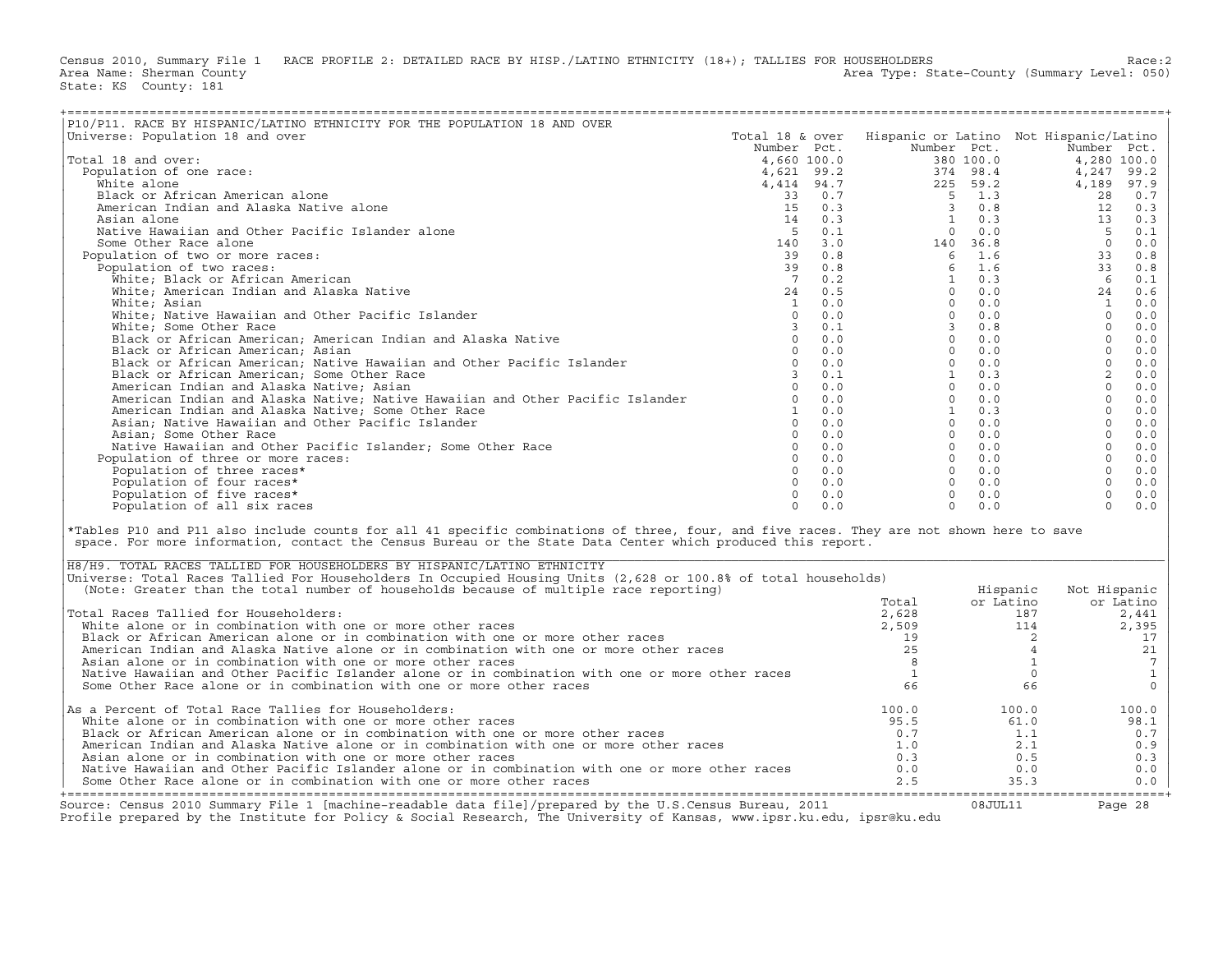Census 2010, Summary File 1 RACE PROFILE 2: DETAILED RACE BY HISP./LATINO ETHNICITY (18+); TALLIES FOR HOUSEHOLDERS<br>Area Name: Sherman County (summary Level: 050) Area Type: State-County (Summary Level: 050) State: KS County: 181

| P10/P11. RACE BY HISPANIC/LATINO ETHNICITY FOR THE POPULATION 18 AND OVER                                                                                                                                                                                                                                                                                                                                                                                                                                                                                                                                                                                                                                                                                                                                                                                                                                                                                                     |  |              |           |                            |                     |
|-------------------------------------------------------------------------------------------------------------------------------------------------------------------------------------------------------------------------------------------------------------------------------------------------------------------------------------------------------------------------------------------------------------------------------------------------------------------------------------------------------------------------------------------------------------------------------------------------------------------------------------------------------------------------------------------------------------------------------------------------------------------------------------------------------------------------------------------------------------------------------------------------------------------------------------------------------------------------------|--|--------------|-----------|----------------------------|---------------------|
| Universe: Population 18 and over                                                                                                                                                                                                                                                                                                                                                                                                                                                                                                                                                                                                                                                                                                                                                                                                                                                                                                                                              |  |              |           |                            |                     |
|                                                                                                                                                                                                                                                                                                                                                                                                                                                                                                                                                                                                                                                                                                                                                                                                                                                                                                                                                                               |  |              |           |                            |                     |
| Total 18 and over:                                                                                                                                                                                                                                                                                                                                                                                                                                                                                                                                                                                                                                                                                                                                                                                                                                                                                                                                                            |  |              |           |                            |                     |
| Population of one race:                                                                                                                                                                                                                                                                                                                                                                                                                                                                                                                                                                                                                                                                                                                                                                                                                                                                                                                                                       |  |              |           |                            |                     |
|                                                                                                                                                                                                                                                                                                                                                                                                                                                                                                                                                                                                                                                                                                                                                                                                                                                                                                                                                                               |  |              |           |                            |                     |
|                                                                                                                                                                                                                                                                                                                                                                                                                                                                                                                                                                                                                                                                                                                                                                                                                                                                                                                                                                               |  |              |           |                            |                     |
|                                                                                                                                                                                                                                                                                                                                                                                                                                                                                                                                                                                                                                                                                                                                                                                                                                                                                                                                                                               |  |              |           |                            |                     |
|                                                                                                                                                                                                                                                                                                                                                                                                                                                                                                                                                                                                                                                                                                                                                                                                                                                                                                                                                                               |  |              |           |                            |                     |
|                                                                                                                                                                                                                                                                                                                                                                                                                                                                                                                                                                                                                                                                                                                                                                                                                                                                                                                                                                               |  |              |           |                            |                     |
|                                                                                                                                                                                                                                                                                                                                                                                                                                                                                                                                                                                                                                                                                                                                                                                                                                                                                                                                                                               |  |              |           |                            |                     |
|                                                                                                                                                                                                                                                                                                                                                                                                                                                                                                                                                                                                                                                                                                                                                                                                                                                                                                                                                                               |  |              |           |                            |                     |
| Population of two or more races:                                                                                                                                                                                                                                                                                                                                                                                                                                                                                                                                                                                                                                                                                                                                                                                                                                                                                                                                              |  |              |           |                            |                     |
|                                                                                                                                                                                                                                                                                                                                                                                                                                                                                                                                                                                                                                                                                                                                                                                                                                                                                                                                                                               |  |              |           |                            |                     |
|                                                                                                                                                                                                                                                                                                                                                                                                                                                                                                                                                                                                                                                                                                                                                                                                                                                                                                                                                                               |  |              |           |                            |                     |
|                                                                                                                                                                                                                                                                                                                                                                                                                                                                                                                                                                                                                                                                                                                                                                                                                                                                                                                                                                               |  |              |           |                            |                     |
|                                                                                                                                                                                                                                                                                                                                                                                                                                                                                                                                                                                                                                                                                                                                                                                                                                                                                                                                                                               |  |              |           |                            |                     |
|                                                                                                                                                                                                                                                                                                                                                                                                                                                                                                                                                                                                                                                                                                                                                                                                                                                                                                                                                                               |  |              |           |                            |                     |
|                                                                                                                                                                                                                                                                                                                                                                                                                                                                                                                                                                                                                                                                                                                                                                                                                                                                                                                                                                               |  |              |           |                            |                     |
|                                                                                                                                                                                                                                                                                                                                                                                                                                                                                                                                                                                                                                                                                                                                                                                                                                                                                                                                                                               |  |              |           |                            |                     |
|                                                                                                                                                                                                                                                                                                                                                                                                                                                                                                                                                                                                                                                                                                                                                                                                                                                                                                                                                                               |  |              |           |                            |                     |
|                                                                                                                                                                                                                                                                                                                                                                                                                                                                                                                                                                                                                                                                                                                                                                                                                                                                                                                                                                               |  |              |           |                            |                     |
|                                                                                                                                                                                                                                                                                                                                                                                                                                                                                                                                                                                                                                                                                                                                                                                                                                                                                                                                                                               |  |              |           |                            |                     |
|                                                                                                                                                                                                                                                                                                                                                                                                                                                                                                                                                                                                                                                                                                                                                                                                                                                                                                                                                                               |  |              |           |                            |                     |
|                                                                                                                                                                                                                                                                                                                                                                                                                                                                                                                                                                                                                                                                                                                                                                                                                                                                                                                                                                               |  |              |           |                            |                     |
|                                                                                                                                                                                                                                                                                                                                                                                                                                                                                                                                                                                                                                                                                                                                                                                                                                                                                                                                                                               |  |              |           |                            |                     |
|                                                                                                                                                                                                                                                                                                                                                                                                                                                                                                                                                                                                                                                                                                                                                                                                                                                                                                                                                                               |  |              |           |                            |                     |
|                                                                                                                                                                                                                                                                                                                                                                                                                                                                                                                                                                                                                                                                                                                                                                                                                                                                                                                                                                               |  |              |           |                            |                     |
|                                                                                                                                                                                                                                                                                                                                                                                                                                                                                                                                                                                                                                                                                                                                                                                                                                                                                                                                                                               |  |              |           |                            |                     |
|                                                                                                                                                                                                                                                                                                                                                                                                                                                                                                                                                                                                                                                                                                                                                                                                                                                                                                                                                                               |  |              |           |                            |                     |
|                                                                                                                                                                                                                                                                                                                                                                                                                                                                                                                                                                                                                                                                                                                                                                                                                                                                                                                                                                               |  |              |           |                            |                     |
|                                                                                                                                                                                                                                                                                                                                                                                                                                                                                                                                                                                                                                                                                                                                                                                                                                                                                                                                                                               |  |              |           |                            |                     |
|                                                                                                                                                                                                                                                                                                                                                                                                                                                                                                                                                                                                                                                                                                                                                                                                                                                                                                                                                                               |  |              |           |                            |                     |
|                                                                                                                                                                                                                                                                                                                                                                                                                                                                                                                                                                                                                                                                                                                                                                                                                                                                                                                                                                               |  |              |           |                            |                     |
|                                                                                                                                                                                                                                                                                                                                                                                                                                                                                                                                                                                                                                                                                                                                                                                                                                                                                                                                                                               |  |              |           |                            |                     |
|                                                                                                                                                                                                                                                                                                                                                                                                                                                                                                                                                                                                                                                                                                                                                                                                                                                                                                                                                                               |  |              |           |                            |                     |
| $\begin{tabular}{l c c c c c c} \hline & $m$ is symmetric, $m$ is symmetric, $m$ is symmetric, $m$ is symmetric, $m$ is symmetric, $m$ is symmetric, $m$ is symmetric, $m$ is symmetric, $m$ is symmetric, $m$ is symmetric, $m$ is symmetric, $m$ is symmetric, $m$ is symmetric, $m$ is symmetric, $m$ is symmetric, $m$ is symmetric, $m$ is symmetric, $m$ is symmetric, $m$ is symmetric, $m$ is symmetric, $m$ is symmetric, $m$ is symmetric, $m$ is positive, $m$ is positive, $m$ is positive, $m$ is positive, $m$ is positive, $m$ is positive, $m$ is positive, $m$ is positive, $m$ is positive, $m$ is positive, $m$ is$<br>*Tables P10 and P11 also include counts for all 41 specific combinations of three, four, and five races. They are not shown here to save<br>space. For more information, contact the Census Bureau or the State Data Center which produced this report.<br>H8/H9. TOTAL RACES TALLIED FOR HOUSEHOLDERS BY HISPANIC/LATINO ETHNICITY |  |              |           |                            |                     |
| Universe: Total Races Tallied For Householders In Occupied Housing Units (2,628 or 100.8% of total households)                                                                                                                                                                                                                                                                                                                                                                                                                                                                                                                                                                                                                                                                                                                                                                                                                                                                |  |              |           |                            |                     |
| (Note: Greater than the total number of households because of multiple race reporting)                                                                                                                                                                                                                                                                                                                                                                                                                                                                                                                                                                                                                                                                                                                                                                                                                                                                                        |  |              | Hispanic  | Not Hispanic               |                     |
|                                                                                                                                                                                                                                                                                                                                                                                                                                                                                                                                                                                                                                                                                                                                                                                                                                                                                                                                                                               |  | Total        | or Latino |                            | or Latino           |
| Total Races Tallied for Householders:                                                                                                                                                                                                                                                                                                                                                                                                                                                                                                                                                                                                                                                                                                                                                                                                                                                                                                                                         |  | 2,628        |           | 187                        | 2,441               |
| White alone or in combination with one or more other races                                                                                                                                                                                                                                                                                                                                                                                                                                                                                                                                                                                                                                                                                                                                                                                                                                                                                                                    |  | 2,509        |           | 114                        | 2,395               |
| Black or African American alone or in combination with one or more other races                                                                                                                                                                                                                                                                                                                                                                                                                                                                                                                                                                                                                                                                                                                                                                                                                                                                                                |  | 19           |           | $\overline{\phantom{0}}$ 2 | 17                  |
| American Indian and Alaska Native alone or in combination with one or more other races                                                                                                                                                                                                                                                                                                                                                                                                                                                                                                                                                                                                                                                                                                                                                                                                                                                                                        |  | 25           |           | $\overline{4}$             |                     |
|                                                                                                                                                                                                                                                                                                                                                                                                                                                                                                                                                                                                                                                                                                                                                                                                                                                                                                                                                                               |  |              |           |                            | $21\,$              |
| Asian alone or in combination with one or more other races                                                                                                                                                                                                                                                                                                                                                                                                                                                                                                                                                                                                                                                                                                                                                                                                                                                                                                                    |  | 8            |           | $\mathbf{1}$               | $7\phantom{.0}$     |
| Native Hawaiian and Other Pacific Islander alone or in combination with one or more other races                                                                                                                                                                                                                                                                                                                                                                                                                                                                                                                                                                                                                                                                                                                                                                                                                                                                               |  | $\mathbf{1}$ |           | $\circ$                    | $\mathbf{1}$        |
| Some Other Race alone or in combination with one or more other races                                                                                                                                                                                                                                                                                                                                                                                                                                                                                                                                                                                                                                                                                                                                                                                                                                                                                                          |  | 66           |           | 66                         | $\mathsf{O}\xspace$ |
| As a Percent of Total Race Tallies for Householders:                                                                                                                                                                                                                                                                                                                                                                                                                                                                                                                                                                                                                                                                                                                                                                                                                                                                                                                          |  | 100.0        | 100.0     |                            | 100.0               |
| White alone or in combination with one or more other races                                                                                                                                                                                                                                                                                                                                                                                                                                                                                                                                                                                                                                                                                                                                                                                                                                                                                                                    |  | 95.5         | 61.0      |                            | 98.1                |
| Black or African American alone or in combination with one or more other races                                                                                                                                                                                                                                                                                                                                                                                                                                                                                                                                                                                                                                                                                                                                                                                                                                                                                                |  | 0.7          | 1.1       |                            | 0.7                 |
|                                                                                                                                                                                                                                                                                                                                                                                                                                                                                                                                                                                                                                                                                                                                                                                                                                                                                                                                                                               |  | 1.0          |           | 2.1                        |                     |
| American Indian and Alaska Native alone or in combination with one or more other races                                                                                                                                                                                                                                                                                                                                                                                                                                                                                                                                                                                                                                                                                                                                                                                                                                                                                        |  |              |           |                            | 0.9                 |
| Asian alone or in combination with one or more other races                                                                                                                                                                                                                                                                                                                                                                                                                                                                                                                                                                                                                                                                                                                                                                                                                                                                                                                    |  | 0.3          |           | 0.5                        | 0.3                 |
| Native Hawaiian and Other Pacific Islander alone or in combination with one or more other races                                                                                                                                                                                                                                                                                                                                                                                                                                                                                                                                                                                                                                                                                                                                                                                                                                                                               |  | 0.0          | 0.0       |                            | 0.0                 |
| Some Other Race alone or in combination with one or more other races                                                                                                                                                                                                                                                                                                                                                                                                                                                                                                                                                                                                                                                                                                                                                                                                                                                                                                          |  | 2.5          | 35.3      |                            | 0.0                 |

| H8/H9. TOTAL RACES TALLIED FOR HOUSEHOLDERS BY HISPANIC/LATINO ETHNICITY                                                                                                                                                                                                                                                                                                                                                                  |               |                          |                          |
|-------------------------------------------------------------------------------------------------------------------------------------------------------------------------------------------------------------------------------------------------------------------------------------------------------------------------------------------------------------------------------------------------------------------------------------------|---------------|--------------------------|--------------------------|
| Universe: Total Races Tallied For Householders In Occupied Housing Units (2,628 or 100.8% of total households)                                                                                                                                                                                                                                                                                                                            |               |                          |                          |
| (Note: Greater than the total number of households because of multiple race reporting)                                                                                                                                                                                                                                                                                                                                                    |               | Hispanic                 | Not Hispanic             |
|                                                                                                                                                                                                                                                                                                                                                                                                                                           | Total         | or Latino                | or Latino                |
| Total Races Tallied for Householders:                                                                                                                                                                                                                                                                                                                                                                                                     | 2,628         | 187                      | 2,441                    |
| White alone or in combination with one or more other races                                                                                                                                                                                                                                                                                                                                                                                | 2,509         | 114                      | 2,395                    |
| Black or African American alone or in combination with one or more other races                                                                                                                                                                                                                                                                                                                                                            |               |                          |                          |
| American Indian and Alaska Native alone or in combination with one or more other races                                                                                                                                                                                                                                                                                                                                                    |               |                          |                          |
| Asian alone or in combination with one or more other races                                                                                                                                                                                                                                                                                                                                                                                |               |                          |                          |
| Native Hawaiian and Other Pacific Islander alone or in combination with one or more other races                                                                                                                                                                                                                                                                                                                                           |               |                          |                          |
| Some Other Race alone or in combination with one or more other races                                                                                                                                                                                                                                                                                                                                                                      | 66            | 66                       |                          |
|                                                                                                                                                                                                                                                                                                                                                                                                                                           |               |                          |                          |
|                                                                                                                                                                                                                                                                                                                                                                                                                                           |               |                          |                          |
|                                                                                                                                                                                                                                                                                                                                                                                                                                           |               |                          |                          |
|                                                                                                                                                                                                                                                                                                                                                                                                                                           | 0.7           | 1.1                      | 0.7                      |
| American Indian and Alaska Native alone or in combination with one or more other races                                                                                                                                                                                                                                                                                                                                                    | 1.0           | 2.1                      | 0.9                      |
| Asian alone or in combination with one or more other races                                                                                                                                                                                                                                                                                                                                                                                | 0.3           | 0.5                      | 0.3                      |
| Native Hawaiian and Other Pacific Islander alone or in combination with one or more other races                                                                                                                                                                                                                                                                                                                                           | 0.0           | 0.0                      | 0.0                      |
| Some Other Race alone or in combination with one or more other races                                                                                                                                                                                                                                                                                                                                                                      | 2.5           | 35.3                     | $0.0$                    |
|                                                                                                                                                                                                                                                                                                                                                                                                                                           |               |                          |                          |
|                                                                                                                                                                                                                                                                                                                                                                                                                                           |               |                          |                          |
| As a Percent of Total Race Tallies for Householders:<br>White alone or in combination with one or more other races<br>Black or African American alone or in combination with one or more other races<br>Source: Census 2010 Summary File 1 [machine-readable data file]/prepared by the U.S.Census Bureau, 2011<br>Profile prepared by the Institute for Policy & Social Research, The University of Kansas, www.ipsr.ku.edu, ipsr@ku.edu | 100.0<br>95.5 | 100.0<br>61.0<br>08JUL11 | 100.0<br>98.1<br>Page 28 |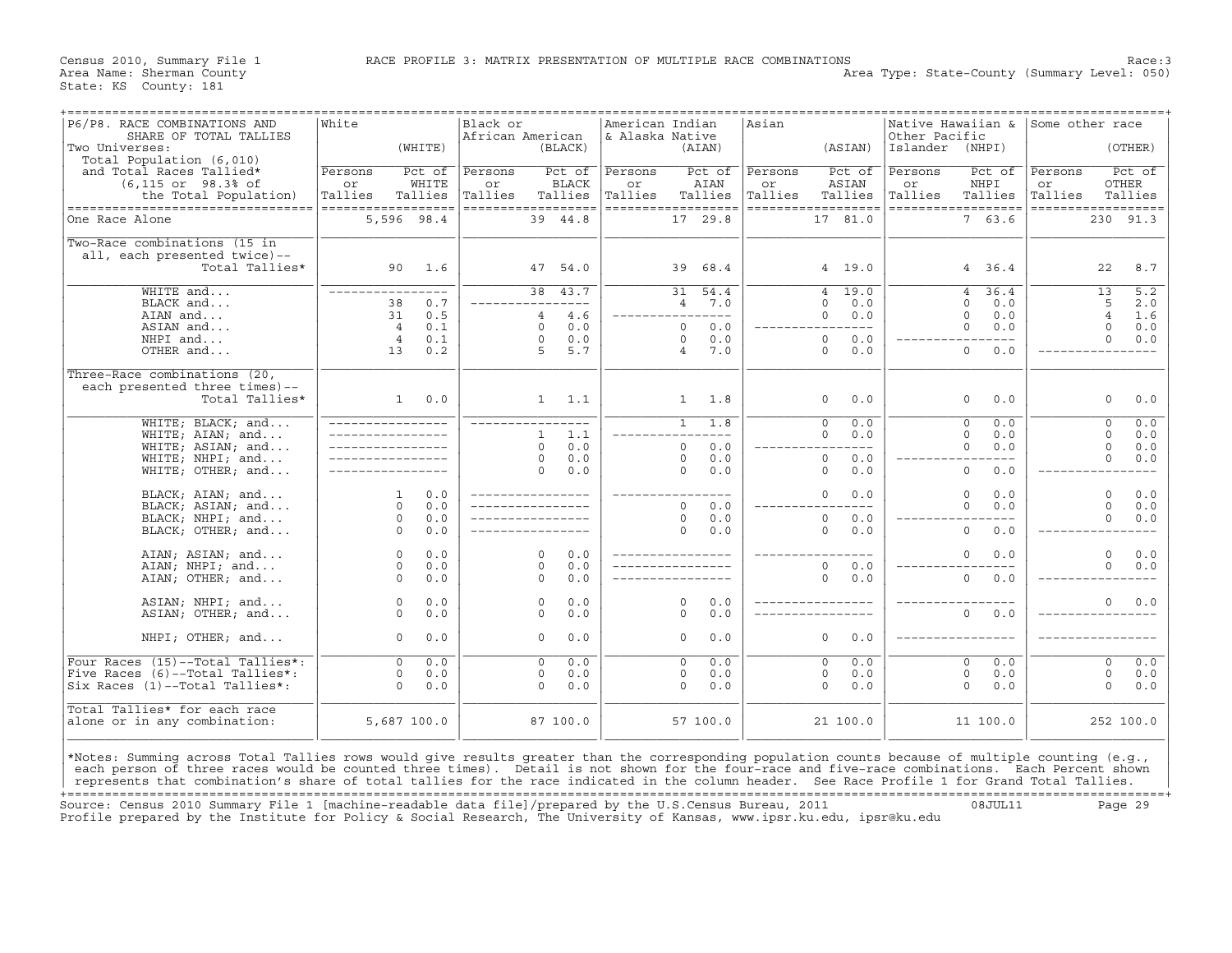| P6/P8. RACE COMBINATIONS AND<br>SHARE OF TOTAL TALLIES<br>Two Universes:<br>Total Population (6,010)                                                                                                                                                                                                                                                                                                                                                 | White                                           | (WHITE)                    | Black or<br>African American | (BLACK)                                                                                              | American Indian<br>& Alaska Native             |                                                 | ---------------<br>(AIAN)           | Asian                    | (ASIAN)                                                                                  | Other Pacific<br>Islander | Native Hawaiian $\&$ Some other race<br>(NHPI)                                                |                          | (OTHER)                                                                       |
|------------------------------------------------------------------------------------------------------------------------------------------------------------------------------------------------------------------------------------------------------------------------------------------------------------------------------------------------------------------------------------------------------------------------------------------------------|-------------------------------------------------|----------------------------|------------------------------|------------------------------------------------------------------------------------------------------|------------------------------------------------|-------------------------------------------------|-------------------------------------|--------------------------|------------------------------------------------------------------------------------------|---------------------------|-----------------------------------------------------------------------------------------------|--------------------------|-------------------------------------------------------------------------------|
| and Total Races Tallied*<br>(6,115 or 98.3% of<br>the Total Population)<br>-----------------------------------                                                                                                                                                                                                                                                                                                                                       | Persons<br>or<br>Tallies<br>------------------  | Pct of<br>WHITE<br>Tallies | Persons<br>or<br>Tallies     | Pct of<br><b>BLACK</b><br>Tallies<br>==================                                              | Persons<br>or<br>Tallies<br>------------------ |                                                 | Pct of<br>AIAN<br>Tallies           | Persons<br>or<br>Tallies | Pct of<br>ASIAN<br>Tallies<br>==================                                         | Persons<br>or<br>Tallies  | Pct of<br>NHPI<br>Tallies<br>------------------                                               | Persons<br>or<br>Tallies | Pct of<br>OTHER<br>Tallies<br>------------------                              |
| One Race Alone                                                                                                                                                                                                                                                                                                                                                                                                                                       | 5,596 98.4                                      |                            |                              | 39 44.8                                                                                              |                                                |                                                 | 17 29.8                             |                          | 17 81.0                                                                                  |                           | 7 63.6                                                                                        |                          | 230 91.3                                                                      |
| Two-Race combinations (15 in<br>all, each presented twice)--<br>Total Tallies*                                                                                                                                                                                                                                                                                                                                                                       | 90                                              | 1.6                        |                              | 47 54.0                                                                                              |                                                | 39                                              | 68.4                                |                          | 4 19.0                                                                                   |                           | 4 36.4                                                                                        |                          | 22<br>8.7                                                                     |
| WHITE and<br>BLACK and<br>AIAN and<br>ASIAN and                                                                                                                                                                                                                                                                                                                                                                                                      | _________________<br>38<br>31<br>$\overline{4}$ | 0.7<br>0.5<br>0.1          |                              | 38 43.7<br>$---$<br>4.6<br>$\overline{4}$<br>0.0<br>$\circ$                                          |                                                | 31<br>$\overline{4}$<br>$\Omega$                | 54.4<br>7.0<br>$\frac{1}{2}$<br>0.0 |                          | 19.0<br>$\overline{4}$<br>$\Omega$<br>0.0<br>$\Omega$<br>0.0<br>$\frac{1}{2}$            |                           | 36.4<br>$\overline{4}$<br>$\Omega$<br>0.0<br>$\Omega$<br>0.0<br>$\mathbf 0$<br>0.0            |                          | $\overline{5.2}$<br>13<br>5<br>2.0<br>$\overline{4}$<br>1.6<br>$\circ$<br>0.0 |
| NHPI and<br>OTHER and                                                                                                                                                                                                                                                                                                                                                                                                                                | $\overline{4}$<br>13                            | 0.1<br>0.2                 |                              | 0.0<br>$\Omega$<br>5.7<br>5                                                                          |                                                | $\Omega$<br>$\overline{4}$                      | 0.0<br>7.0                          |                          | 0.0<br>$\Omega$<br>0<br>0.0                                                              |                           | $\mathbf{0}$<br>0.0                                                                           |                          | $\Omega$<br>0.0                                                               |
| Three-Race combinations (20,<br>each presented three times)--<br>Total Tallies*                                                                                                                                                                                                                                                                                                                                                                      | $\mathbf{1}$                                    | 0.0                        |                              | 1.1<br>$\mathbf{1}$                                                                                  |                                                | $\mathbf{1}$                                    | 1.8                                 |                          | 0.0<br>0                                                                                 |                           | 0<br>0.0                                                                                      |                          | $\circ$<br>0.0                                                                |
| WHITE; BLACK; and<br>WHITE; AIAN; and<br>WHITE; ASIAN; and<br>WHITE; NHPI; and<br>WHITE; OTHER; and                                                                                                                                                                                                                                                                                                                                                  |                                                 |                            |                              | -----------------<br>1.1<br>$\mathbf{1}$<br>0.0<br>$\Omega$<br>0.0<br>$\mathbf 0$<br>0.0<br>$\Omega$ |                                                | $\mathbf{1}$<br>$\Omega$<br>$\Omega$<br>$\circ$ | 1.8<br>$- - -$<br>0.0<br>0.0<br>0.0 |                          | $\overline{0}$<br>0.0<br>0.0<br>$\mathbf 0$<br>$---$<br>0.0<br>$\circ$<br>$\circ$<br>0.0 |                           | $\overline{0}$<br>0.0<br>$\Omega$<br>0.0<br>$\Omega$<br>0.0<br>$- - -$<br>$\mathbf{0}$<br>0.0 |                          | $\overline{0}$<br>0.0<br>$\Omega$<br>0.0<br>$\circ$<br>0.0<br>$\circ$<br>0.0  |
| BLACK; AIAN; and<br>BLACK; ASIAN; and<br>BLACK; NHPI; and<br>BLACK; OTHER; and                                                                                                                                                                                                                                                                                                                                                                       | $\mathbf{1}$<br>$\Omega$<br>$\circ$<br>$\Omega$ | 0.0<br>0.0<br>0.0<br>0.0   | ______________               |                                                                                                      |                                                | $\Omega$<br>$\Omega$<br>$\Omega$                | 0.0<br>0.0<br>0.0                   |                          | 0.0<br>0<br>0.0<br>$\circ$<br>$\Omega$<br>0.0                                            |                           | 0<br>0.0<br>$\Omega$<br>0.0<br>$\mathbf{0}$<br>0.0                                            |                          | $\circ$<br>0.0<br>$\Omega$<br>0.0<br>$\Omega$<br>0.0                          |
| AIAN; ASIAN; and<br>AIAN; NHPI; and<br>AIAN; OTHER; and                                                                                                                                                                                                                                                                                                                                                                                              | $\circ$<br>$\circ$<br>$\Omega$                  | 0.0<br>0.0<br>0.0          |                              | $\Omega$<br>0.0<br>$\Omega$<br>0.0<br>$\Omega$<br>0.0                                                |                                                |                                                 |                                     |                          | $\circ$<br>0.0<br>$\circ$<br>0.0                                                         |                           | $\Omega$<br>0.0<br>$\mathbf{0}$<br>0.0                                                        |                          | $\circ$<br>0.0<br>$\circ$<br>0.0                                              |
| ASIAN; NHPI; and<br>ASIAN; OTHER; and                                                                                                                                                                                                                                                                                                                                                                                                                | $\circ$<br>$\circ$                              | 0.0<br>0.0                 |                              | 0.0<br>$\Omega$<br>0.0<br>$\mathbf 0$                                                                |                                                | $\Omega$<br>$\Omega$                            | 0.0<br>0.0                          |                          |                                                                                          |                           | $\mathbf 0$<br>0.0                                                                            |                          | $\Omega$<br>0.0                                                               |
| NHPI; OTHER; and                                                                                                                                                                                                                                                                                                                                                                                                                                     | $\circ$                                         | 0.0                        |                              | $\mathbf 0$<br>0.0                                                                                   |                                                | 0                                               | 0.0                                 |                          | $\circ$<br>0.0                                                                           |                           |                                                                                               |                          |                                                                               |
| Four Races (15)--Total Tallies*:<br>Five Races (6)--Total Tallies*:<br>Six Races (1)--Total Tallies*:                                                                                                                                                                                                                                                                                                                                                | $\overline{0}$<br>$\Omega$<br>$\Omega$          | 0.0<br>0.0<br>0.0          |                              | $\overline{\circ}$<br>0.0<br>0.0<br>$\circ$<br>$\circ$<br>0.0                                        |                                                | $\overline{0}$<br>$\Omega$<br>$\Omega$          | 0.0<br>0.0<br>0.0                   |                          | 0.0<br>$\overline{0}$<br>$\circ$<br>0.0<br>$\circ$<br>0.0                                |                           | $\overline{0}$<br>0.0<br>$\mathbf 0$<br>0.0<br>$\mathbf 0$<br>0.0                             |                          | $\overline{\mathfrak{o}}$<br>0.0<br>$\mathbf 0$<br>0.0<br>$\circ$<br>0.0      |
| Total Tallies* for each race<br>alone or in any combination:                                                                                                                                                                                                                                                                                                                                                                                         | 5,687 100.0                                     |                            |                              | 87 100.0                                                                                             |                                                |                                                 | 57 100.0                            |                          | 21 100.0                                                                                 |                           | 11 100.0                                                                                      |                          | 252 100.0                                                                     |
| *Notes: Summing across Total Tallies rows would give results greater than the corresponding population counts because of multiple counting (e.g.,<br>each person of three races would be counted three times). Detail is not shown for the four-race and five-race combinations. Each Percent shown<br>represents that combination's share of total tallies for the race indicated in the column header. See Race Profile 1 for Grand Total Tallies. |                                                 |                            |                              |                                                                                                      |                                                |                                                 |                                     |                          |                                                                                          |                           |                                                                                               |                          |                                                                               |

+===================================================================================================================================================+ Source: Census 2010 Summary File 1 [machine−readable data file]/prepared by the U.S.Census Bureau, 2011 08JUL11 Page 29 Profile prepared by the Institute for Policy & Social Research, The University of Kansas, www.ipsr.ku.edu, ipsr@ku.edu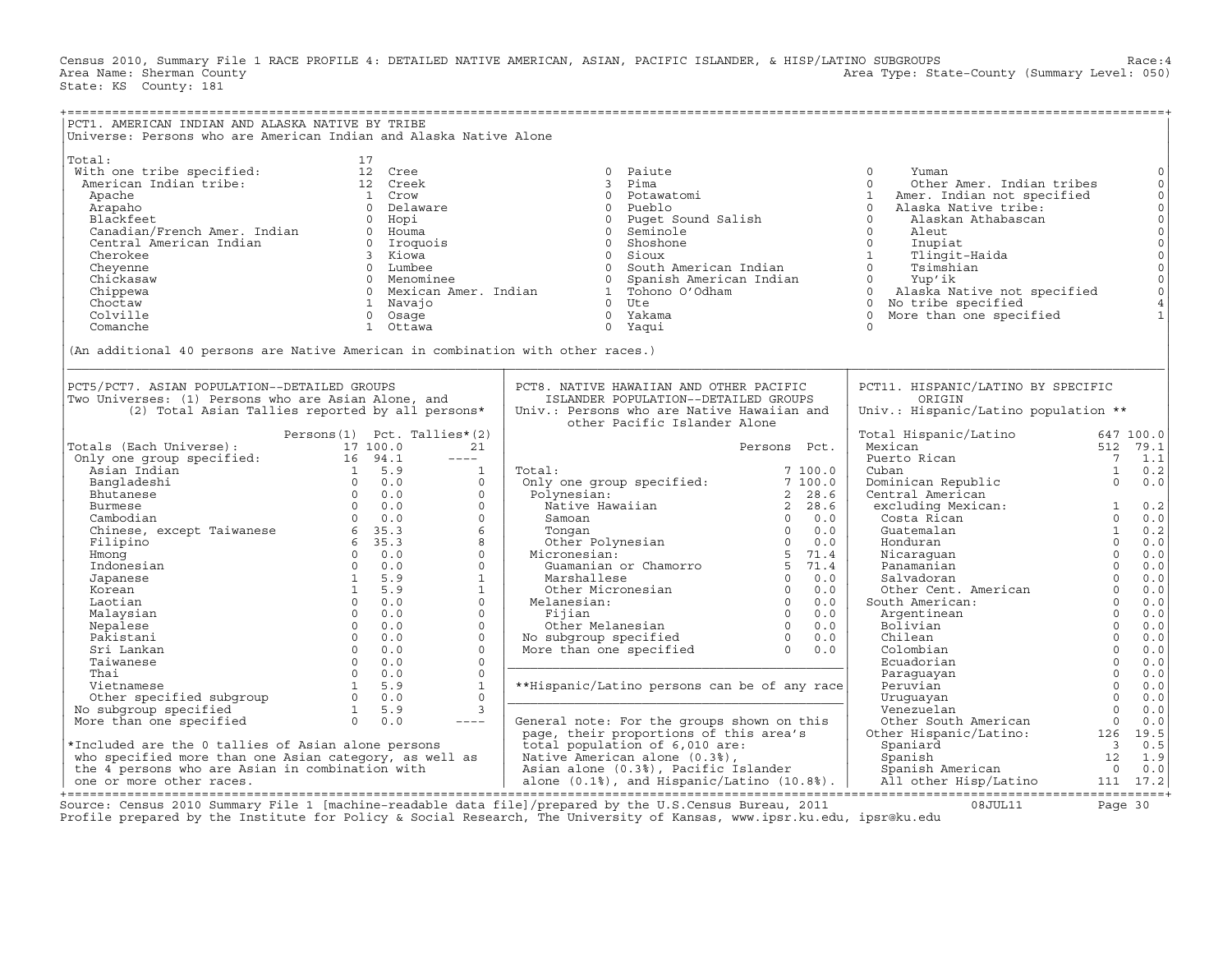Census 2010, Summary File 1 RACE PROFILE 4: DETAILED NATIVE AMERICAN, ASIAN, PACIFIC ISLANDER, & HISP/LATINO SUBGROUPS Race:4<br>Area Name: Sherman County (summary Level: 050) Area Type: State-County (Summary Level: 050) State: KS County: 181

| PCT1. AMERICAN INDIAN AND ALASKA NATIVE BY TRIBE                                                                                                                                                                                                                                                                                                                                                                                                                                                     |                                   |            |                              |                                                                                                                           |                                      |                                                                                                                                                                                                                                                                            |                                                                                                                                                                                                                                                                             |                            |                                                                                                                                                                                                         |
|------------------------------------------------------------------------------------------------------------------------------------------------------------------------------------------------------------------------------------------------------------------------------------------------------------------------------------------------------------------------------------------------------------------------------------------------------------------------------------------------------|-----------------------------------|------------|------------------------------|---------------------------------------------------------------------------------------------------------------------------|--------------------------------------|----------------------------------------------------------------------------------------------------------------------------------------------------------------------------------------------------------------------------------------------------------------------------|-----------------------------------------------------------------------------------------------------------------------------------------------------------------------------------------------------------------------------------------------------------------------------|----------------------------|---------------------------------------------------------------------------------------------------------------------------------------------------------------------------------------------------------|
| Universe: Persons who are American Indian and Alaska Native Alone                                                                                                                                                                                                                                                                                                                                                                                                                                    |                                   |            |                              |                                                                                                                           |                                      |                                                                                                                                                                                                                                                                            |                                                                                                                                                                                                                                                                             |                            |                                                                                                                                                                                                         |
| Total:<br>vith one tribe specified:<br>Mith one tribe specified:<br>American Indian tribe: 12 Creek<br>Apache<br>Arapaho<br>Arapaho<br>Palckfeet<br>Central American Indian<br>Central American Indian<br>Central American Indian<br>Chicksaw and Chicksaw and O Menominee<br>Chicksaw and O Menominee<br>Chicksaw and O Menominee<br>Chicksaw and O Menominee<br>Chicksaw a<br>(An additional 40 persons are Native American in combination with other races.)                                      | 17<br>1 Crow<br>0 Delaware        |            |                              | $\Omega$                                                                                                                  | Paiute<br>3 Pima                     | 0 Potawatomi<br>0 Pueblo<br>0 Puget Sound Salish                                                                                                                                                                                                                           | $\Omega$<br>Yuman<br>Other Amer. Indian tribes<br>$\Omega$<br>1<br>Amer. Indian not specified<br>$\Omega$<br>Alaska Native tribe:<br>Alaskan Athabascan<br>Tlingit-Haida<br>Tsimshian<br>0 Alaska Native not specified<br>0 No tribe specified<br>0 More than one specified |                            | $\circ$<br>$\circ$<br>$\mathbb O$<br>$\mathsf{O}\xspace$<br>$\circ$<br>$\circ$<br>$\mathsf{O}$<br>$\mathsf{O}\xspace$<br>$\mathsf{O}\xspace$<br>$\mathsf{O}\xspace$<br>$\circ$<br>$\,4$<br>$\mathbf{1}$ |
| PCT5/PCT7. ASIAN POPULATION--DETAILED GROUPS<br>Two Universes: (1) Persons who are Asian Alone, and<br>(2) Total Asian Tallies reported by all persons*                                                                                                                                                                                                                                                                                                                                              |                                   |            |                              | PCT8. NATIVE HAWAIIAN AND OTHER PACIFIC<br>Univ.: Persons who are Native Hawaiian and                                     | ISLANDER POPULATION--DETAILED GROUPS |                                                                                                                                                                                                                                                                            | PCT11. HISPANIC/LATINO BY SPECIFIC<br>ORIGIN<br>Univ.: Hispanic/Latino population **                                                                                                                                                                                        |                            |                                                                                                                                                                                                         |
|                                                                                                                                                                                                                                                                                                                                                                                                                                                                                                      | Persons $(1)$ Pct. Tallies* $(2)$ |            |                              |                                                                                                                           | other Pacific Islander Alone         |                                                                                                                                                                                                                                                                            | Total Hispanic/Latino                                                                                                                                                                                                                                                       |                            | 647 100.0                                                                                                                                                                                               |
| Totals (Each Universe):<br>Totals (Each Universe):<br>Only one group specified:<br>17 100.0<br>Asian Indian<br>16 94.1<br>Asian Indian<br>16 94.1<br>16 94.1<br>16 94.1<br>16 94.1<br>16 94.1<br>16 94.1<br>16 94.1<br>16 94.1<br>16 94.1<br>16 94.1<br>16 94.1<br>16 94.1<br>16 94.1<br>16 94.                                                                                                                                                                                                      | 17 100.0                          |            | 21                           |                                                                                                                           |                                      | Persons Pct.                                                                                                                                                                                                                                                               | Mexican                                                                                                                                                                                                                                                                     |                            | 512 79.1                                                                                                                                                                                                |
|                                                                                                                                                                                                                                                                                                                                                                                                                                                                                                      |                                   |            | $\frac{1}{2}$                |                                                                                                                           |                                      |                                                                                                                                                                                                                                                                            | Puerto Rican                                                                                                                                                                                                                                                                | $\overline{7}$             | 1.1                                                                                                                                                                                                     |
|                                                                                                                                                                                                                                                                                                                                                                                                                                                                                                      |                                   |            | $\mathbf{1}$                 | Total:                                                                                                                    |                                      | 7100.0                                                                                                                                                                                                                                                                     | Cuban                                                                                                                                                                                                                                                                       | <sup>1</sup>               | 0.2                                                                                                                                                                                                     |
|                                                                                                                                                                                                                                                                                                                                                                                                                                                                                                      |                                   |            | $\Omega$                     | Total:<br>Only one group specified: 7 100.0<br>Polynesian: 2 28.6<br>Native Hawaiian 2 28.6<br>2 28.6<br>2 28.6<br>2 28.6 |                                      |                                                                                                                                                                                                                                                                            | Dominican Republic                                                                                                                                                                                                                                                          | $\Omega$                   | 0.0                                                                                                                                                                                                     |
|                                                                                                                                                                                                                                                                                                                                                                                                                                                                                                      |                                   |            | $\Omega$                     |                                                                                                                           |                                      |                                                                                                                                                                                                                                                                            | Central American                                                                                                                                                                                                                                                            |                            |                                                                                                                                                                                                         |
|                                                                                                                                                                                                                                                                                                                                                                                                                                                                                                      |                                   |            | $\mathbf{0}$                 |                                                                                                                           |                                      |                                                                                                                                                                                                                                                                            | excluding Mexican:                                                                                                                                                                                                                                                          | $\frac{1}{2}$              | 0.2                                                                                                                                                                                                     |
|                                                                                                                                                                                                                                                                                                                                                                                                                                                                                                      |                                   |            | $\Omega$                     |                                                                                                                           |                                      |                                                                                                                                                                                                                                                                            | Costa Rican                                                                                                                                                                                                                                                                 | $\Omega$                   | 0.0                                                                                                                                                                                                     |
|                                                                                                                                                                                                                                                                                                                                                                                                                                                                                                      |                                   |            | 6                            |                                                                                                                           |                                      |                                                                                                                                                                                                                                                                            | Guatemalan                                                                                                                                                                                                                                                                  | $\mathbf{1}$               | 0.2                                                                                                                                                                                                     |
|                                                                                                                                                                                                                                                                                                                                                                                                                                                                                                      |                                   |            | 8                            |                                                                                                                           |                                      |                                                                                                                                                                                                                                                                            | Honduran                                                                                                                                                                                                                                                                    | $\Omega$                   | 0.0                                                                                                                                                                                                     |
|                                                                                                                                                                                                                                                                                                                                                                                                                                                                                                      |                                   |            | $\Omega$                     |                                                                                                                           |                                      | Native Hawaiian<br>Samoan<br>O 0.0<br>Omgan<br>O 0.0<br>O 0.0<br>O 0.0<br>Micronesian:<br>Guamanian or Chamorro<br>S 71.4<br>Marshallese<br>O 0.0<br>O 0.0<br>Melanesian:<br>Fijian<br>O 0.0<br>Melanesian:<br>Fijian<br>O 0.0<br>O 0.0<br>Melanesian:<br>O 0.0<br>Melanes | nonananan<br>Panamanian<br>Salvadoran<br>Other Cent. American                                                                                                                                                                                                               | $\Omega$                   | 0.0                                                                                                                                                                                                     |
|                                                                                                                                                                                                                                                                                                                                                                                                                                                                                                      |                                   |            | $\Omega$                     |                                                                                                                           |                                      |                                                                                                                                                                                                                                                                            |                                                                                                                                                                                                                                                                             | $\Omega$                   | 0.0                                                                                                                                                                                                     |
|                                                                                                                                                                                                                                                                                                                                                                                                                                                                                                      |                                   |            | $\mathbf{1}$                 |                                                                                                                           |                                      |                                                                                                                                                                                                                                                                            |                                                                                                                                                                                                                                                                             | $\Omega$                   | 0.0                                                                                                                                                                                                     |
| Korean                                                                                                                                                                                                                                                                                                                                                                                                                                                                                               |                                   | 1 5.9      | $\mathbf{1}$                 |                                                                                                                           |                                      |                                                                                                                                                                                                                                                                            |                                                                                                                                                                                                                                                                             | $\Omega$                   | 0.0                                                                                                                                                                                                     |
| Laotian                                                                                                                                                                                                                                                                                                                                                                                                                                                                                              | $0 \qquad 0.0$                    |            | $\Omega$                     |                                                                                                                           |                                      |                                                                                                                                                                                                                                                                            | South American:                                                                                                                                                                                                                                                             | $\Omega$                   | 0.0                                                                                                                                                                                                     |
| Malaysian                                                                                                                                                                                                                                                                                                                                                                                                                                                                                            |                                   | $0 \t 0.0$ | $\Omega$                     |                                                                                                                           |                                      |                                                                                                                                                                                                                                                                            | Argentinean                                                                                                                                                                                                                                                                 | $\Omega$                   | 0.0                                                                                                                                                                                                     |
| Nepalese                                                                                                                                                                                                                                                                                                                                                                                                                                                                                             | $0 \qquad 0.0$                    |            | $\Omega$                     |                                                                                                                           |                                      |                                                                                                                                                                                                                                                                            | Bolivian                                                                                                                                                                                                                                                                    | $\overline{0}$<br>$\Omega$ | 0.0                                                                                                                                                                                                     |
| Pakistani                                                                                                                                                                                                                                                                                                                                                                                                                                                                                            | $0 \t 0.0$                        |            | $\Omega$                     |                                                                                                                           |                                      |                                                                                                                                                                                                                                                                            | Chilean                                                                                                                                                                                                                                                                     | $\Omega$                   | 0.0                                                                                                                                                                                                     |
|                                                                                                                                                                                                                                                                                                                                                                                                                                                                                                      |                                   |            | $\mathbf{0}$<br>$\mathbf{0}$ |                                                                                                                           |                                      |                                                                                                                                                                                                                                                                            | Colombian                                                                                                                                                                                                                                                                   | $\Omega$                   | 0.0<br>0.0                                                                                                                                                                                              |
|                                                                                                                                                                                                                                                                                                                                                                                                                                                                                                      |                                   |            | $\Omega$                     |                                                                                                                           |                                      |                                                                                                                                                                                                                                                                            | Ecuadorian                                                                                                                                                                                                                                                                  | $\Omega$                   | 0.0                                                                                                                                                                                                     |
|                                                                                                                                                                                                                                                                                                                                                                                                                                                                                                      |                                   |            | 1                            | **Hispanic/Latino persons can be of any race                                                                              |                                      |                                                                                                                                                                                                                                                                            | Paraguayan<br>Peruvian                                                                                                                                                                                                                                                      | $\Omega$                   | 0.0                                                                                                                                                                                                     |
|                                                                                                                                                                                                                                                                                                                                                                                                                                                                                                      |                                   |            | $\Omega$                     |                                                                                                                           |                                      |                                                                                                                                                                                                                                                                            | Uruquayan                                                                                                                                                                                                                                                                   | $\Omega$                   | 0.0                                                                                                                                                                                                     |
| No subgroup specified                                                                                                                                                                                                                                                                                                                                                                                                                                                                                |                                   |            | $\mathbf{3}$                 |                                                                                                                           |                                      |                                                                                                                                                                                                                                                                            | Venezuelan                                                                                                                                                                                                                                                                  | $\Omega$                   | 0.0                                                                                                                                                                                                     |
| $\begin{tabular}{llllll} \multicolumn{4}{c}{\textbf{Pakistan}} & & & 0 & 0.0 \\ \multicolumn{4}{c}{\textbf{Sri Lanka}} & & 0 & 0.0 \\ \multicolumn{4}{c}{\textbf{Taiwanese}} & & 0 & 0.0 \\ \multicolumn{4}{c}{\textbf{Vietnamese}} & & 0 & 0.0 \\ \multicolumn{4}{c}{\textbf{Vietnamese}} & & 1 & 5.9 \\ \multicolumn{4}{c}{\textbf{Other specified}} & & 1 & 5.9 \\ \multicolumn{4}{c}{\textbf{Oore than one specified}} & & 1 & 5.9 \\ \multicolumn{4}{c}{\textbf{Ore$<br>More than one specified |                                   |            | $\qquad \qquad - - -$        | General note: For the groups shown on this                                                                                |                                      |                                                                                                                                                                                                                                                                            |                                                                                                                                                                                                                                                                             |                            |                                                                                                                                                                                                         |
|                                                                                                                                                                                                                                                                                                                                                                                                                                                                                                      |                                   |            |                              | page, their proportions of this area's                                                                                    |                                      |                                                                                                                                                                                                                                                                            | 0.0<br>Other South American<br>Other Hispanic/Latino: 126 19.5<br>Spaniard<br>3 0.5                                                                                                                                                                                         |                            |                                                                                                                                                                                                         |
| *Included are the 0 tallies of Asian alone persons                                                                                                                                                                                                                                                                                                                                                                                                                                                   |                                   |            |                              | total population of 6,010 are:                                                                                            |                                      |                                                                                                                                                                                                                                                                            |                                                                                                                                                                                                                                                                             |                            |                                                                                                                                                                                                         |
| who specified more than one Asian category, as well as                                                                                                                                                                                                                                                                                                                                                                                                                                               |                                   |            |                              |                                                                                                                           |                                      |                                                                                                                                                                                                                                                                            |                                                                                                                                                                                                                                                                             |                            |                                                                                                                                                                                                         |
| the 4 persons who are Asian in combination with                                                                                                                                                                                                                                                                                                                                                                                                                                                      |                                   |            |                              |                                                                                                                           |                                      | AND AMELICAN alone (0.3%),<br>Asian alone (0.3%), Pacific Islander<br>alone (0.1%), and Hispanic/Latino (10.8%).                                                                                                                                                           | Spaniard 3 0.5<br>Spanish Merican 12 1.9<br>Spanish American 0 0.0<br>All other Hisp/Latino 111 17.2                                                                                                                                                                        |                            |                                                                                                                                                                                                         |
| one or more other races.                                                                                                                                                                                                                                                                                                                                                                                                                                                                             |                                   |            |                              |                                                                                                                           |                                      |                                                                                                                                                                                                                                                                            |                                                                                                                                                                                                                                                                             |                            |                                                                                                                                                                                                         |
|                                                                                                                                                                                                                                                                                                                                                                                                                                                                                                      |                                   |            |                              |                                                                                                                           |                                      |                                                                                                                                                                                                                                                                            |                                                                                                                                                                                                                                                                             |                            |                                                                                                                                                                                                         |

+===================================================================================================================================================+Source: Census 2010 Summary File 1 [machine−readable data file]/prepared by the U.S.Census Bureau, 2011 08JUL11 Page 30 Profile prepared by the Institute for Policy & Social Research, The University of Kansas, www.ipsr.ku.edu, ipsr@ku.edu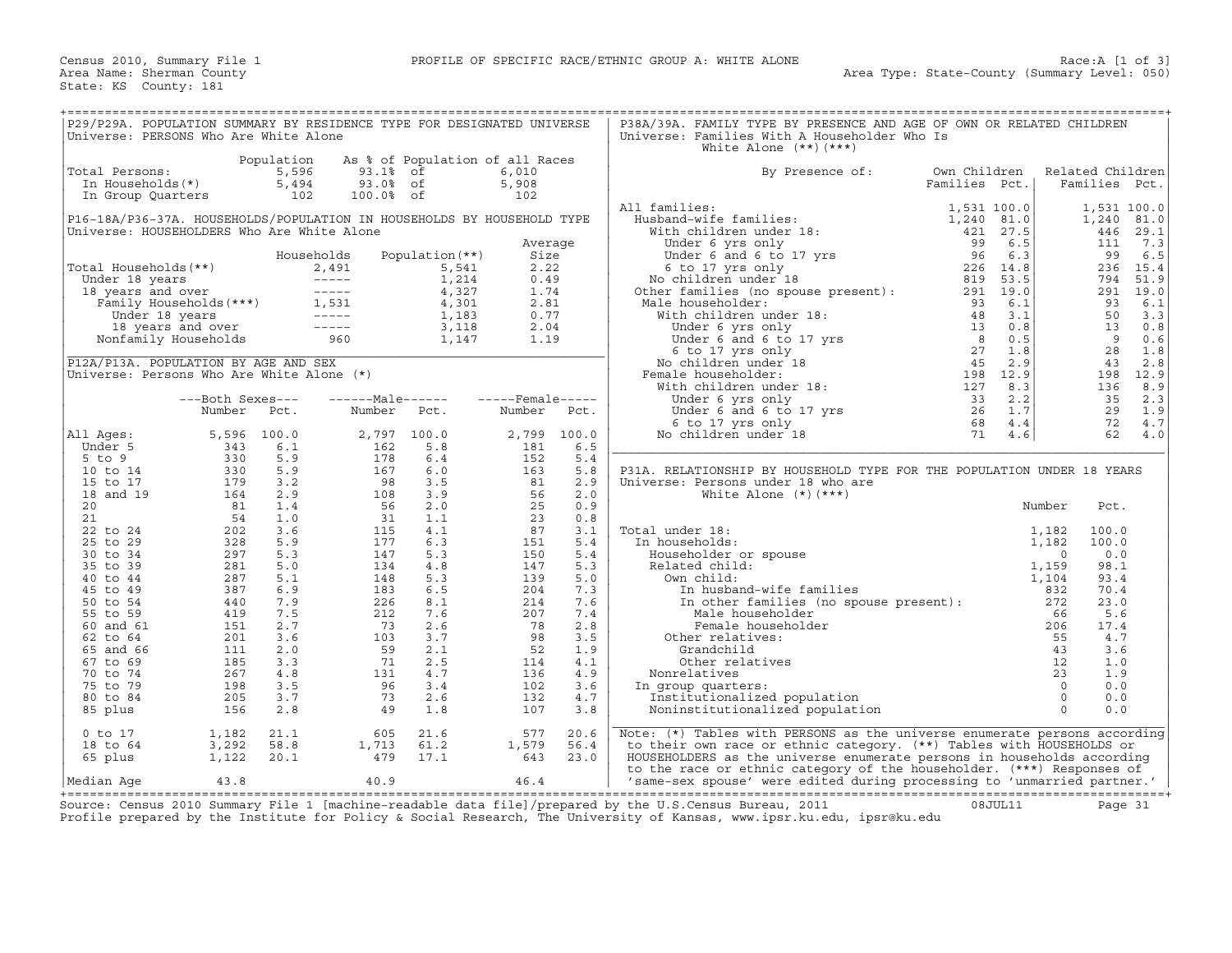| P29/P29A. POPULATION SUMMARY BY RESIDENCE TYPE FOR DESIGNATED UNIVERSE<br>Universe: PERSONS Who Are White Alone      |                            |                                     |                                                                                                                                                                                                                                                              |                                 |                              |                      | P38A/39A. FAMILY TYPE BY PRESENCE AND AGE OF OWN OR RELATED CHILDREN<br>Universe: Families With A Householder Who Is<br>White Alone $(**)$ $(***)$                                                                                                                                                                                                                                                                                                                                                                            |                               |                                              |                                   |                          |
|----------------------------------------------------------------------------------------------------------------------|----------------------------|-------------------------------------|--------------------------------------------------------------------------------------------------------------------------------------------------------------------------------------------------------------------------------------------------------------|---------------------------------|------------------------------|----------------------|-------------------------------------------------------------------------------------------------------------------------------------------------------------------------------------------------------------------------------------------------------------------------------------------------------------------------------------------------------------------------------------------------------------------------------------------------------------------------------------------------------------------------------|-------------------------------|----------------------------------------------|-----------------------------------|--------------------------|
| Total Persons:<br>In Households(*)<br>In Group Quarters                                                              |                            | Population<br>5,596<br>5,494<br>102 | 93.1% of<br>93.0% of<br>100.0% of                                                                                                                                                                                                                            | As % of Population of all Races | 6,010<br>5,908<br>102        |                      | By Presence of:                                                                                                                                                                                                                                                                                                                                                                                                                                                                                                               | Own Children<br>Families Pct. |                                              | Related Children<br>Families Pct. |                          |
| P16-18A/P36-37A. HOUSEHOLDS/POPULATION IN HOUSEHOLDS BY HOUSEHOLD TYPE<br>Universe: HOUSEHOLDERS Who Are White Alone |                            |                                     |                                                                                                                                                                                                                                                              |                                 |                              |                      | All families:                                                                                                                                                                                                                                                                                                                                                                                                                                                                                                                 | 1,531 100.0                   |                                              | 1,531 100.0<br>1,240 81.0<br>446  | 29.1                     |
| Total Households (**)                                                                                                |                            |                                     | Households                                                                                                                                                                                                                                                   | Population $(**)$               | Average<br>Size<br>2.22      |                      | 11 families:<br>Husband-wife families:<br>With children under 18:<br>Under 6 yrs only<br>Under 6 and 6 to 17 yrs<br>6 to 17 yrs<br>About 18:<br>29 6.5<br>Under 6 and 6 to 17 yrs<br>26 6.3<br>6 6.3<br>6 6 6.3<br>26 14.8<br>No children under 18<br>29 5                                                                                                                                                                                                                                                                    |                               |                                              | 111<br>99                         | 7.3<br>6.5<br>236 15.4   |
| Under 18 years<br>18 years and over                                                                                  |                            |                                     |                                                                                                                                                                                                                                                              |                                 | 0.49<br>1.74<br>2.81         |                      | Male householder:                                                                                                                                                                                                                                                                                                                                                                                                                                                                                                             | 93<br>6.1                     |                                              | 794<br>93                         | 51.9<br>291 19.0<br>6.1  |
|                                                                                                                      |                            |                                     | al Households (**)<br>mder 18 years (**)<br>8 years and over (**)<br>Tamily Households (***)<br>1,214<br>1,5,541<br>8 years and over (**)<br>1,5,541<br>4,327<br>4,327<br>1,214<br>1,133<br>18 years and over (**)<br>1,183<br>18 years and over (**)<br>1,1 |                                 | 0.77<br>2.04<br>1.19         |                      |                                                                                                                                                                                                                                                                                                                                                                                                                                                                                                                               |                               |                                              | 50<br>13<br>9<br>28               | 3.3<br>0.8<br>0.6<br>1.8 |
| P12A/P13A. POPULATION BY AGE AND SEX<br>Universe: Persons Who Are White Alone (*)                                    |                            |                                     |                                                                                                                                                                                                                                                              |                                 |                              |                      | ale householder:<br>With children under 18:<br>Under 6 yrs only<br>Under 6 and 6 to 17 yrs<br>6 to 17 yrs all<br>6 to 17 yrs all<br>27 1.8<br>No children under 18:<br>With children under 18:<br>With children under 18:<br>Under 6 yrs only<br>Und<br>Female householder:                                                                                                                                                                                                                                                   |                               |                                              | 43<br>136                         | 2.8<br>198 12.9<br>8.9   |
|                                                                                                                      | ---Both Sexes---<br>Number | Pct.                                | ------Male------<br>Number                                                                                                                                                                                                                                   | Pct.                            | $---$ Female -----<br>Number | Pct.                 | vnaer 6 yrs only 33<br>Under 6 and 6 to 17 yrs 26<br>6 to 17 yrs only 68<br>5 children under 18 71                                                                                                                                                                                                                                                                                                                                                                                                                            | 33<br>2.2<br>1.7<br>4.4       |                                              | 35<br>29<br>72                    | 2.3<br>1.9<br>4.7        |
| All Ages:<br>Under 5<br>$5$ to $9$                                                                                   | 5,596<br>343<br>330        | 100.0<br>6.1<br>5.9                 | 2,797 100.0<br>162<br>178                                                                                                                                                                                                                                    | 5.8<br>6.4                      | 2,799 100.0<br>181<br>152    | 6.5<br>5.4           | No children under 18                                                                                                                                                                                                                                                                                                                                                                                                                                                                                                          | 4.6                           |                                              | 62                                | 4.0                      |
| 10 to 14<br>15 to 17<br>18 and 19                                                                                    | 330<br>179<br>164          | 5.9<br>3.2<br>2.9                   | 167<br>98<br>108                                                                                                                                                                                                                                             | 6.0<br>3.5<br>3.9               | 163<br>81<br>56              | 5.8<br>2.9<br>2.0    | P31A. RELATIONSHIP BY HOUSEHOLD TYPE FOR THE POPULATION UNDER 18 YEARS<br>Universe: Persons under 18 who are<br>White Alone $(*)$ $(***)$                                                                                                                                                                                                                                                                                                                                                                                     |                               |                                              |                                   |                          |
| 20<br>21<br>22 to 24                                                                                                 | 81<br>54<br>202            | 1.4<br>1.0<br>3.6                   | 56<br>31<br>115                                                                                                                                                                                                                                              | 2.0<br>1.1<br>4.1               | 25<br>23<br>87               | 0.9<br>0.8<br>3.1    | Total under 18:                                                                                                                                                                                                                                                                                                                                                                                                                                                                                                               |                               | Number<br>1,182                              | Pct.<br>100.0                     |                          |
| 25 to 29<br>30 to 34<br>35 to 39                                                                                     | 328<br>297<br>281          | 5.9<br>5.3<br>5.0                   | 177<br>147<br>134                                                                                                                                                                                                                                            | 6.3<br>5.3<br>4.8               | 151<br>150<br>147            | 5.4<br>5.4<br>5.3    | In households:<br>Householder or spouse<br>Related child:                                                                                                                                                                                                                                                                                                                                                                                                                                                                     |                               | 1,182<br>$\Omega$<br>1,159                   | 100.0<br>0.0<br>98.1              |                          |
| 40 to 44<br>45 to 49<br>50 to 54                                                                                     | 287<br>387<br>440          | 5.1<br>6.9<br>7.9                   | 148<br>183<br>226                                                                                                                                                                                                                                            | 5.3<br>6.5<br>8.1               | 139<br>204<br>214            | 5.0<br>7.3<br>7.6    | Own child:<br>In husband-wife families<br>In other families (no spouse present):<br>Mole householder                                                                                                                                                                                                                                                                                                                                                                                                                          |                               | 1,104<br>832<br>272                          | 93.4<br>70.4<br>23.0              |                          |
| 55 to 59<br>60 and 61<br>62 to 64                                                                                    | 419<br>151<br>201          | 7.5<br>2.7<br>3.6                   | 212<br>73<br>103                                                                                                                                                                                                                                             | 7.6<br>2.6<br>3.7               | 207<br>78<br>98              | 7.4<br>2.8<br>3.5    | Male householder<br>$\begin{align*}\n\begin{bmatrix}\n\text{SVD} \\ \text{SVD} \\ \text{CVD} \\ \text{CVD} \\ \text{CVD} \\ \text{CVD} \\ \text{CVD} \\ \text{CVD} \\ \text{CVD} \\ \text{CVD} \\ \text{CVD} \\ \text{CVD} \\ \text{CVD} \\ \text{CVD} \\ \text{CVD} \\ \text{CVD} \\ \text{CVD} \\ \text{CVD} \\ \text{CVD} \\ \text{CVD} \\ \text{CVD} \\ \text{CVD} \\ \text{CVD} \\ \text{CVD} \\ \text{CVD} \\ \text{CVD} \\ \text{CVD} \\ \text{CVD} \\ \text{CVD} \\ \text{$<br>Female householder<br>Other relatives: |                               | 66<br>206<br>55                              | 5.6<br>17.4<br>4.7                |                          |
| 65 and 66<br>67 to 69<br>70 to 74                                                                                    | 111<br>185<br>267          | 2.0<br>3.3<br>$4.8$                 | 59<br>71<br>131                                                                                                                                                                                                                                              | 2.1<br>2.5<br>4.7               | 52<br>114<br>136             | 1.9<br>4.1<br>4.9    | Grandchild<br>Other relatives<br>Nonrelatives                                                                                                                                                                                                                                                                                                                                                                                                                                                                                 |                               | 43<br>12<br>23                               | 3.6<br>1.0<br>1.9                 |                          |
| 75 to 79<br>80 to 84<br>85 plus                                                                                      | 198<br>205<br>156          | 3.5<br>3.7<br>2.8                   | 96<br>73<br>49                                                                                                                                                                                                                                               | 3.4<br>2.6<br>1.8               | 102<br>132<br>107            | 3.6<br>4.7<br>3.8    | In group quarters:<br>Institutionalized population<br>Noninstitutionalized population                                                                                                                                                                                                                                                                                                                                                                                                                                         |                               | $\overline{0}$<br>$\overline{0}$<br>$\Omega$ | 0.0<br>0.0<br>0.0                 |                          |
| $0$ to $17$<br>18 to 64<br>65 plus                                                                                   | 1,182<br>3,292<br>1,122    | 21.1<br>58.8<br>20.1                | 605<br>1,713<br>479                                                                                                                                                                                                                                          | 21.6<br>61.2<br>17.1            | 577<br>1,579<br>643          | 20.6<br>56.4<br>23.0 | Note: (*) Tables with PERSONS as the universe enumerate persons according<br>to their own race or ethnic category. (**) Tables with HOUSEHOLDS or<br>HOUSEHOLDERS as the universe enumerate persons in households according                                                                                                                                                                                                                                                                                                   |                               |                                              |                                   |                          |
| Median Aqe                                                                                                           | 43.8                       |                                     | 40.9                                                                                                                                                                                                                                                         |                                 | 46.4                         |                      | to the race or ethnic category of the householder. (***) Responses of<br>'same-sex spouse' were edited during processing to 'unmarried partner.'                                                                                                                                                                                                                                                                                                                                                                              |                               |                                              |                                   |                          |

+===================================================================================================================================================+Source: Census 2010 Summary File 1 [machine−readable data file]/prepared by the U.S.Census Bureau, 2011 08JUL11 Page 31 Profile prepared by the Institute for Policy & Social Research, The University of Kansas, www.ipsr.ku.edu, ipsr@ku.edu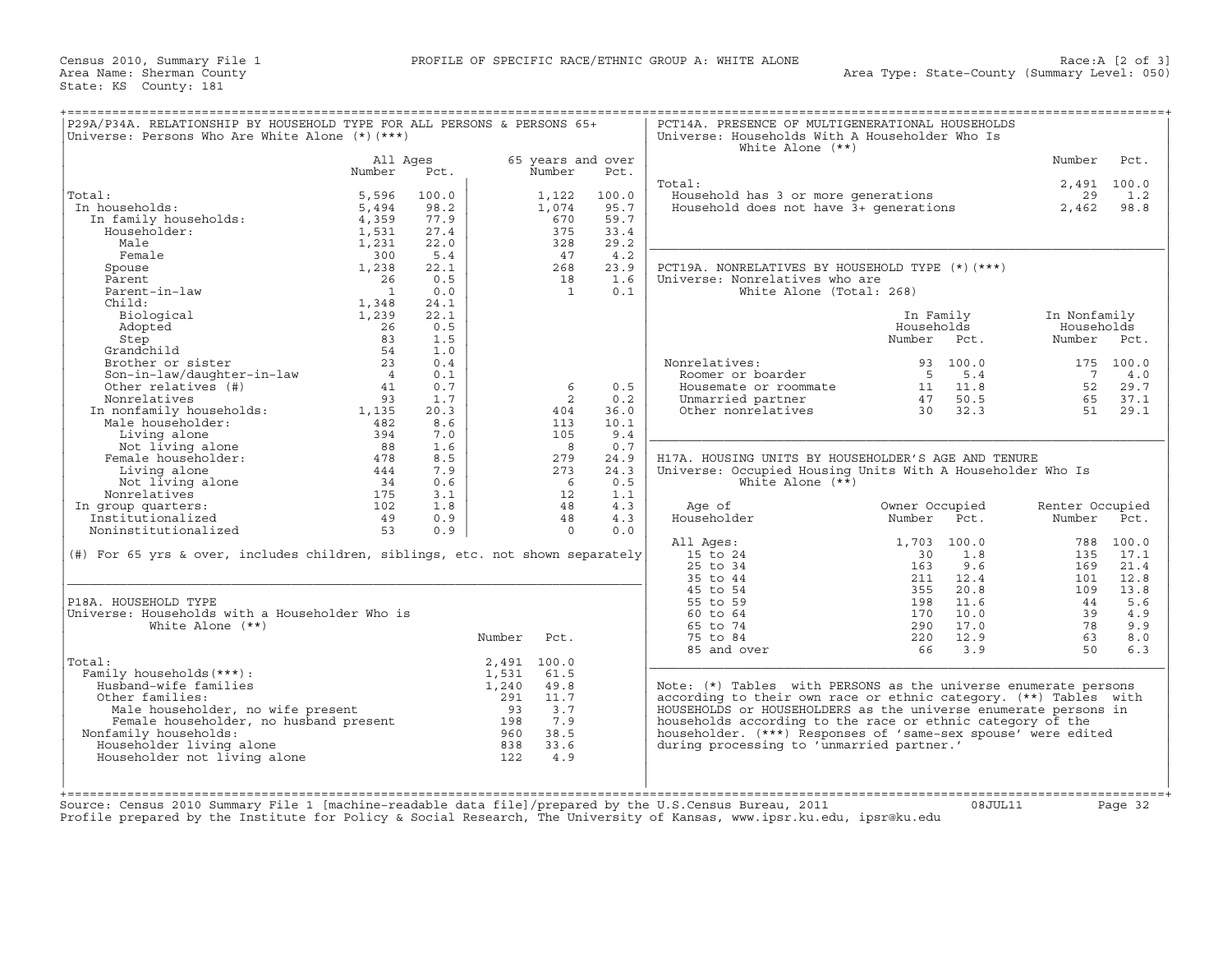Census 2010, Summary File 1 **PROFILE OF SPECIFIC RACE/ETHNIC GROUP A: WHITE ALONE** Area Name: Sherman County State: KS County: 181

| P29A/P34A. RELATIONSHIP BY HOUSEHOLD TYPE FOR ALL PERSONS & PERSONS 65+<br>Universe: Persons Who Are White Alone (*) (***)                                                                                                                         |                |            |                  |                   |            | PCT14A. PRESENCE OF MULTIGENERATIONAL HOUSEHOLDS<br>Universe: Households With A Householder Who Is<br>White Alone $(**)$ |                                                           |                                                        |                                |                    |
|----------------------------------------------------------------------------------------------------------------------------------------------------------------------------------------------------------------------------------------------------|----------------|------------|------------------|-------------------|------------|--------------------------------------------------------------------------------------------------------------------------|-----------------------------------------------------------|--------------------------------------------------------|--------------------------------|--------------------|
|                                                                                                                                                                                                                                                    | All Ages       |            |                  | 65 years and over |            |                                                                                                                          |                                                           |                                                        | Number                         | Pct.               |
|                                                                                                                                                                                                                                                    | Number         | Pct.       |                  | Number            | Pct.       |                                                                                                                          |                                                           |                                                        |                                |                    |
| Total:                                                                                                                                                                                                                                             | 5,596          | 100.0      |                  |                   | 100.0      | Total:                                                                                                                   |                                                           |                                                        | 29                             | 2,491 100.0<br>1.2 |
| In households:                                                                                                                                                                                                                                     | 5,494          | 98.2       |                  | 1,122<br>1,074    | 95.7       | <br>Household has 3 or more generations<br>Household does not have 3+ generations                                        |                                                           |                                                        | 2,462                          | 98.8               |
|                                                                                                                                                                                                                                                    | 4,359          | 77.9       |                  | 670               | 59.7       |                                                                                                                          |                                                           |                                                        |                                |                    |
| n households:<br>In family households:<br>Householder:<br>Householder:                                                                                                                                                                             | 1,531          | 27.4       |                  | 375               | 33.4       |                                                                                                                          |                                                           |                                                        |                                |                    |
| Male                                                                                                                                                                                                                                               | 1,231          | 22.0       |                  | 328               | 29.2       |                                                                                                                          |                                                           |                                                        |                                |                    |
| Female                                                                                                                                                                                                                                             | 300            | 5.4        |                  | 47                | 4.2        |                                                                                                                          |                                                           |                                                        |                                |                    |
| Spouse                                                                                                                                                                                                                                             | 1,238          | 22.1       |                  | 268               | 23.9       | PCT19A. NONRELATIVES BY HOUSEHOLD TYPE (*)(***)                                                                          |                                                           |                                                        |                                |                    |
| Parent                                                                                                                                                                                                                                             | 26             | 0.5        |                  | 18                | 1.6        | Universe: Nonrelatives who are                                                                                           |                                                           |                                                        |                                |                    |
| Parent-in-law                                                                                                                                                                                                                                      | $\overline{1}$ | 0.0        |                  | $\overline{1}$    | 0.1        | White Alone (Total: 268)                                                                                                 |                                                           |                                                        |                                |                    |
| Child:                                                                                                                                                                                                                                             | 1,348          | 24.1       |                  |                   |            |                                                                                                                          |                                                           |                                                        |                                |                    |
| Biological                                                                                                                                                                                                                                         | 1,239          | 22.1       |                  |                   |            |                                                                                                                          | In Family                                                 |                                                        | In Nonfamily                   |                    |
| Biological<br>Adopted 20<br>Step 83<br>Grandchild 54<br>Brother or sister 23<br>Son-in-law/daughter-in-law 4<br>Ather relatives (#) 41<br>93                                                                                                       |                | 0.5        |                  |                   |            |                                                                                                                          | Households                                                |                                                        | Households                     |                    |
|                                                                                                                                                                                                                                                    |                | 1.5        |                  |                   |            |                                                                                                                          | Number Pct.                                               |                                                        | Number Pct.                    |                    |
|                                                                                                                                                                                                                                                    |                | 1.0        |                  |                   |            |                                                                                                                          |                                                           |                                                        |                                |                    |
|                                                                                                                                                                                                                                                    |                | 0.4        |                  |                   |            | Nonrelatives:                                                                                                            |                                                           | 93 100.0                                               |                                | 175 100.0          |
|                                                                                                                                                                                                                                                    |                | 0.1        |                  |                   |            | Roomer or boarder                                                                                                        |                                                           | 5 5.4                                                  | $\overline{7}$                 | 4.0                |
|                                                                                                                                                                                                                                                    |                | 0.7        |                  | 6                 | 0.5        | Housemate or roommate                                                                                                    |                                                           | $\begin{array}{cc} 11 & 11.8 \\ 47 & 50.5 \end{array}$ | 52                             | 29.7               |
|                                                                                                                                                                                                                                                    |                | 1.7        |                  | 2                 | 0.2        | Unmarried partner $47$ 50.5<br>Other nonrelatives 30 32.3                                                                |                                                           |                                                        | 65                             | 37.1               |
|                                                                                                                                                                                                                                                    |                | 20.3       |                  | 404               | 36.0       |                                                                                                                          |                                                           |                                                        | 51                             | 29.1               |
|                                                                                                                                                                                                                                                    |                | 8.6        |                  | 113               | 10.1       |                                                                                                                          |                                                           |                                                        |                                |                    |
|                                                                                                                                                                                                                                                    |                | 7.0        |                  | 105               | 9.4        |                                                                                                                          |                                                           |                                                        |                                |                    |
| other relatives (#)<br>Nonrelatives (#)<br>Nonrelatives 93<br>In nonfamily households: 1,135<br>Male householder: 482<br>Living alone 88<br>Female householder: 478<br>Living alone 444<br>Not living alone 444<br>Not living alone 34<br>Nonrelat |                | 1.6        |                  | $\overline{8}$    | 0.7        |                                                                                                                          |                                                           |                                                        |                                |                    |
|                                                                                                                                                                                                                                                    |                | 8.5        |                  | 279               | 24.9       | H17A, HOUSING UNITS BY HOUSEHOLDER'S AGE AND TENURE                                                                      |                                                           |                                                        |                                |                    |
|                                                                                                                                                                                                                                                    |                | 7.9        |                  | 273               | 24.3       | Universe: Occupied Housing Units With A Householder Who Is                                                               |                                                           |                                                        |                                |                    |
|                                                                                                                                                                                                                                                    |                | 0.6        |                  | 6                 | 0.5<br>1.1 | White Alone $(**)$                                                                                                       |                                                           |                                                        |                                |                    |
|                                                                                                                                                                                                                                                    | 102            | 3.1<br>1.8 |                  | 12<br>48          | 4.3        | Age of                                                                                                                   | Owner Occupied                                            |                                                        |                                |                    |
| In group quarters:<br>Institutionalized                                                                                                                                                                                                            | 49             | 0.9        |                  | 48                | 4.3        | Householder                                                                                                              | Number                                                    | Pct.                                                   | Renter Occupied<br>Number Pct. |                    |
| Noninstitutionalized                                                                                                                                                                                                                               | 53             | 0.9        |                  | $\Omega$          | 0.0        |                                                                                                                          |                                                           |                                                        |                                |                    |
|                                                                                                                                                                                                                                                    |                |            |                  |                   |            | All Ages:                                                                                                                | 1,703 100.0                                               |                                                        |                                | 788 100.0          |
| (#) For 65 yrs & over, includes children, siblings, etc. not shown separately                                                                                                                                                                      |                |            |                  |                   |            | 15 to 24                                                                                                                 | 30                                                        | 1.8                                                    |                                | 135 17.1           |
|                                                                                                                                                                                                                                                    |                |            |                  |                   |            | $25$ to $34$                                                                                                             | 163                                                       | 9.6                                                    | 169                            | 21.4               |
|                                                                                                                                                                                                                                                    |                |            |                  |                   |            | 35 to 44                                                                                                                 | 211                                                       | 12.4                                                   | 101                            | 12.8               |
|                                                                                                                                                                                                                                                    |                |            |                  |                   |            | 45 to 54                                                                                                                 | 355                                                       | 20.8                                                   | 109                            | 13.8               |
| P18A. HOUSEHOLD TYPE                                                                                                                                                                                                                               |                |            |                  |                   |            | 55 to 59                                                                                                                 | 198                                                       | 11.6                                                   | 44                             | 5.6                |
| Universe: Households with a Householder Who is                                                                                                                                                                                                     |                |            |                  |                   |            | 60 to 64                                                                                                                 |                                                           | 10.0                                                   | 39                             | 4.9                |
| White Alone $(**)$                                                                                                                                                                                                                                 |                |            |                  |                   |            | 65 to 74                                                                                                                 |                                                           | 17.0                                                   | 78                             | 9.9                |
|                                                                                                                                                                                                                                                    |                |            | Number           | Pct.              |            | 75 to 84                                                                                                                 | $\begin{array}{c} 1 / 2 \\ 290 \\ 290 \end{array}$<br>220 | 12.9                                                   | 63                             | 8.0                |
|                                                                                                                                                                                                                                                    |                |            |                  |                   |            | 85 and over                                                                                                              | 66 3.9                                                    |                                                        | 50                             | 6.3                |
| Total:                                                                                                                                                                                                                                             |                |            | 2,491 100.0      |                   |            |                                                                                                                          |                                                           |                                                        |                                |                    |
| Family households (***) :                                                                                                                                                                                                                          |                |            | 1,531            | 61.5              |            |                                                                                                                          |                                                           |                                                        |                                |                    |
| Husband-wife families                                                                                                                                                                                                                              |                |            | 1,240            | 49.8              |            | Note: (*) Tables with PERSONS as the universe enumerate persons                                                          |                                                           |                                                        |                                |                    |
| Other families:                                                                                                                                                                                                                                    |                |            | $291 \quad 11.7$ |                   |            | according to their own race or ethnic category. (**) Tables with                                                         |                                                           |                                                        |                                |                    |
|                                                                                                                                                                                                                                                    |                |            |                  |                   |            | HOUSEHOLDS or HOUSEHOLDERS as the universe enumerate persons in                                                          |                                                           |                                                        |                                |                    |
| % ther families:<br>Male householder, no wife present and the suseholder of the set of the set of the set of the set of the set of the set of the set of the set of the set of the set of the set of the set of the set of the                     |                |            |                  |                   |            | households according to the race or ethnic category of the                                                               |                                                           |                                                        |                                |                    |
| Nonfamily households:                                                                                                                                                                                                                              |                |            |                  |                   |            | householder. (***) Responses of 'same-sex spouse' were edited                                                            |                                                           |                                                        |                                |                    |
| Householder living alone                                                                                                                                                                                                                           |                |            |                  |                   |            | during processing to 'unmarried partner.'                                                                                |                                                           |                                                        |                                |                    |
| Householder not living alone                                                                                                                                                                                                                       |                |            |                  |                   |            |                                                                                                                          |                                                           |                                                        |                                |                    |
|                                                                                                                                                                                                                                                    |                |            |                  |                   |            |                                                                                                                          |                                                           |                                                        |                                |                    |
|                                                                                                                                                                                                                                                    |                |            |                  |                   |            |                                                                                                                          |                                                           |                                                        |                                |                    |
| Source: Census 2010 Summary File 1 [machine-readable data file]/prepared by the U.S.Census Bureau, 2011                                                                                                                                            |                |            |                  |                   |            |                                                                                                                          |                                                           | 08JUL11                                                |                                | Page 32            |
| Profile prepared by the Institute for Policy & Social Research, The University of Kansas, www.ipsr.ku.edu, ipsr@ku.edu                                                                                                                             |                |            |                  |                   |            |                                                                                                                          |                                                           |                                                        |                                |                    |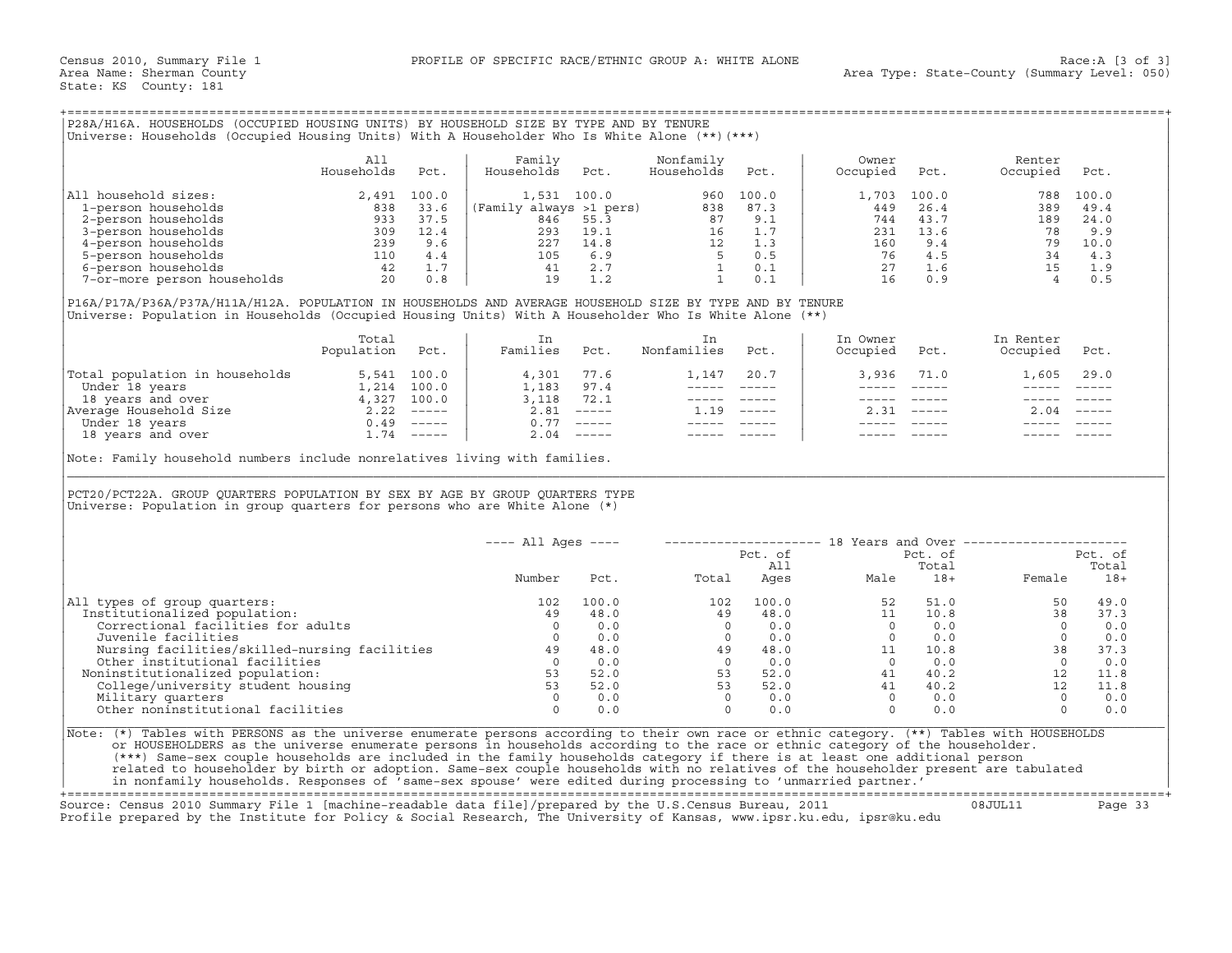|  |  |  | P28A/H16A. HOUSEHOLDS (OCCUPIED HOUSING UNITS) BY HOUSEHOLD SIZE BY TYPE AND BY TENURE         |
|--|--|--|------------------------------------------------------------------------------------------------|
|  |  |  | (Universe: Households (Occupied Housing Units) With A Householder Who Is White Alone (**)(***) |

|                             | All<br>Households | Pct.  | Family<br>Households    | Pct. | Nonfamily<br>Households | Pct.  | Owner<br>Occupied | Pct.  | Renter<br>Occupied | Pct.  |
|-----------------------------|-------------------|-------|-------------------------|------|-------------------------|-------|-------------------|-------|--------------------|-------|
| All household sizes:        | 2,491             | 100.0 | 1,531 100.0             |      | 960                     | 100.0 | 1,703             | 100.0 | 788                | 100.0 |
| 1-person households         | 838               | 33.6  | (Family always >1 pers) |      | 838                     | 87.3  | 449               | 26.4  | 389                | 49.4  |
| 2-person households         | 933               | 37.5  | 846                     | 55.3 | 87                      | 9.1   | 744               | 43.7  | 189                | 24.0  |
| 3-person households         | 309               | 12.4  | 293                     | 19.1 | 16                      | 1.7   | 231               | 13.6  | 78                 | 9.9   |
| 4-person households         | 239               | 9.6   | 227                     | 14.8 | 12                      | 1.3   | 160               | 9.4   | 79                 | 10.0  |
| 5-person households         | 110               | 4.4   | 105                     | 6.9  |                         | 0.5   | 76                | 4.5   | 34                 | 4.3   |
| 6-person households         | 42                | 1.7   | 41                      | 2.7  |                         | 0.1   | 27                | 1.6   | 15                 |       |
| 7-or-more person households | 20                | 0.8   | 19                      |      |                         | 0.1   | 16                | 0.9   |                    |       |

|                                | Total<br>Population | Pct.        | Families | Pct.                      | Nonfamilies | Pct.     | In Owner<br>Occupied | Pct. | In Renter<br>Occupied | Pct.                      |
|--------------------------------|---------------------|-------------|----------|---------------------------|-------------|----------|----------------------|------|-----------------------|---------------------------|
| Total population in households |                     | 5,541 100.0 | 4,301    | 77.6                      | 1,147       | 20.7     | 3,936                | 71.0 | 1,605                 | 29.0                      |
| Under 18 years                 | 1,214               | 100.0       | 1,183    | 97.4                      |             |          |                      |      |                       |                           |
| 18 years and over              | 4,327               | 100.0       | 3,118    | 72.1                      |             |          |                      |      |                       |                           |
| Average Household Size         | 2.22                | $------$    | 2.81     | $\qquad \qquad - - - - -$ | 1.19        | $------$ | 2.31                 |      | 2.04                  | $\qquad \qquad - - - - -$ |
| Under 18 years                 | 0.49                | $------$    | 0.77     | $\qquad \qquad - - - - -$ |             |          |                      |      |                       |                           |
| 18 years and over              | .74                 | $------$    | 2.04     | $------$                  |             |          |                      |      |                       |                           |

| P28A/H16A. HOUSEHOLDS (OCCUPIED HOUSING UNITS) BY HOUSEHOLD SIZE BY TYPE AND BY TENURE<br>Universe: Households (Occupied Housing Units) With A Householder Who Is White Alone (**) (***)                                                                                                                                                                                                                                                                                                                                                                                                                                                                         |                          |      |                                                                      |                |                         |                                                                                                              |                                                                                                                                                                                                                                                                                                                                                                                                                                                                            |                    |                                                                               |                     |
|------------------------------------------------------------------------------------------------------------------------------------------------------------------------------------------------------------------------------------------------------------------------------------------------------------------------------------------------------------------------------------------------------------------------------------------------------------------------------------------------------------------------------------------------------------------------------------------------------------------------------------------------------------------|--------------------------|------|----------------------------------------------------------------------|----------------|-------------------------|--------------------------------------------------------------------------------------------------------------|----------------------------------------------------------------------------------------------------------------------------------------------------------------------------------------------------------------------------------------------------------------------------------------------------------------------------------------------------------------------------------------------------------------------------------------------------------------------------|--------------------|-------------------------------------------------------------------------------|---------------------|
|                                                                                                                                                                                                                                                                                                                                                                                                                                                                                                                                                                                                                                                                  | All<br>Households        | Pct. | Family<br>Households                                                 | Pct.           | Nonfamily<br>Households | Pct.                                                                                                         | Owner<br>Occupied                                                                                                                                                                                                                                                                                                                                                                                                                                                          | Pct.               | Renter<br>Occupied                                                            | Pct.                |
| All household sizes:                                                                                                                                                                                                                                                                                                                                                                                                                                                                                                                                                                                                                                             |                          |      |                                                                      |                |                         |                                                                                                              | 1,703                                                                                                                                                                                                                                                                                                                                                                                                                                                                      | 100.0              |                                                                               | 788 100.0           |
|                                                                                                                                                                                                                                                                                                                                                                                                                                                                                                                                                                                                                                                                  |                          |      |                                                                      |                |                         |                                                                                                              | 449                                                                                                                                                                                                                                                                                                                                                                                                                                                                        | 26.4               |                                                                               | 389 49.4            |
|                                                                                                                                                                                                                                                                                                                                                                                                                                                                                                                                                                                                                                                                  |                          |      |                                                                      |                |                         |                                                                                                              | 744                                                                                                                                                                                                                                                                                                                                                                                                                                                                        | 43.7               | 189                                                                           | 24.0                |
|                                                                                                                                                                                                                                                                                                                                                                                                                                                                                                                                                                                                                                                                  |                          |      |                                                                      |                |                         |                                                                                                              | 231                                                                                                                                                                                                                                                                                                                                                                                                                                                                        | 13.6               | 78                                                                            | 9.9                 |
|                                                                                                                                                                                                                                                                                                                                                                                                                                                                                                                                                                                                                                                                  |                          |      |                                                                      |                |                         |                                                                                                              | 160                                                                                                                                                                                                                                                                                                                                                                                                                                                                        | 9.4                |                                                                               |                     |
|                                                                                                                                                                                                                                                                                                                                                                                                                                                                                                                                                                                                                                                                  |                          |      |                                                                      |                |                         |                                                                                                              |                                                                                                                                                                                                                                                                                                                                                                                                                                                                            | $76$ 4.5<br>27 1.6 |                                                                               |                     |
|                                                                                                                                                                                                                                                                                                                                                                                                                                                                                                                                                                                                                                                                  |                          |      |                                                                      |                |                         |                                                                                                              |                                                                                                                                                                                                                                                                                                                                                                                                                                                                            |                    |                                                                               |                     |
|                                                                                                                                                                                                                                                                                                                                                                                                                                                                                                                                                                                                                                                                  |                          |      |                                                                      |                |                         |                                                                                                              |                                                                                                                                                                                                                                                                                                                                                                                                                                                                            | 16 0.9             | $\begin{array}{ccc} 79 & 10.0 \\ 34 & 4.3 \\ 15 & 1.9 \\ 4 & 0.5 \end{array}$ |                     |
| P16A/P17A/P36A/P37A/H11A/H12A. POPULATION IN HOUSEHOLDS AND AVERAGE HOUSEHOLD SIZE BY TYPE AND BY TENURE<br>Universe: Population in Households (Occupied Housing Units) With A Householder Who Is White Alone (**)                                                                                                                                                                                                                                                                                                                                                                                                                                               |                          |      |                                                                      |                |                         |                                                                                                              |                                                                                                                                                                                                                                                                                                                                                                                                                                                                            |                    |                                                                               |                     |
|                                                                                                                                                                                                                                                                                                                                                                                                                                                                                                                                                                                                                                                                  | Total<br>Population Pct. |      | In<br>Families Pct.                                                  |                | In<br>Nonfamilies Pct.  |                                                                                                              | In Owner<br>Occupied Pct.                                                                                                                                                                                                                                                                                                                                                                                                                                                  |                    | In Renter<br>Occupied Pct.                                                    |                     |
| Total population in households 5,541 100.0<br>Under 18 years 1,214 100.0<br>18 years and over 4,327 100.0<br>Nerage Household Size 2.22 -----<br>Under 18 years and over 1.74 -----<br>18 years and over 1.74 -----                                                                                                                                                                                                                                                                                                                                                                                                                                              |                          |      | $4,301$ 77.6<br>$1,183$ 97.4<br>$3,118$ 72.1<br>$2,81$ -----         |                |                         | 1,147 20.7                                                                                                   |                                                                                                                                                                                                                                                                                                                                                                                                                                                                            | 3,936 71.0         | 1,605 29.0                                                                    |                     |
|                                                                                                                                                                                                                                                                                                                                                                                                                                                                                                                                                                                                                                                                  |                          |      |                                                                      |                |                         |                                                                                                              | $\frac{1}{2} \left( \frac{1}{2} \right) \left( \frac{1}{2} \right) \left( \frac{1}{2} \right) \left( \frac{1}{2} \right) \left( \frac{1}{2} \right) \left( \frac{1}{2} \right) \left( \frac{1}{2} \right) \left( \frac{1}{2} \right) \left( \frac{1}{2} \right) \left( \frac{1}{2} \right) \left( \frac{1}{2} \right) \left( \frac{1}{2} \right) \left( \frac{1}{2} \right) \left( \frac{1}{2} \right) \left( \frac{1}{2} \right) \left( \frac{1}{2} \right) \left( \frac$ | $\frac{1}{2}$      | $\frac{1}{2}$                                                                 |                     |
|                                                                                                                                                                                                                                                                                                                                                                                                                                                                                                                                                                                                                                                                  |                          |      |                                                                      |                |                         | $\begin{array}{cccccc} - & - & - & - & - & - & - \\ & - & - & - & - & - \\ & & - & - & - & - \\ \end{array}$ |                                                                                                                                                                                                                                                                                                                                                                                                                                                                            | ----- ----- -      |                                                                               |                     |
|                                                                                                                                                                                                                                                                                                                                                                                                                                                                                                                                                                                                                                                                  |                          |      |                                                                      |                | $1.19$ -----            |                                                                                                              |                                                                                                                                                                                                                                                                                                                                                                                                                                                                            | $2.31$ -----       | $2.04$ -----                                                                  |                     |
|                                                                                                                                                                                                                                                                                                                                                                                                                                                                                                                                                                                                                                                                  |                          |      |                                                                      | $0.77$ -----   |                         |                                                                                                              |                                                                                                                                                                                                                                                                                                                                                                                                                                                                            | ______________     |                                                                               |                     |
|                                                                                                                                                                                                                                                                                                                                                                                                                                                                                                                                                                                                                                                                  |                          |      |                                                                      | $2.04$ -----   |                         |                                                                                                              |                                                                                                                                                                                                                                                                                                                                                                                                                                                                            | ----- -----        |                                                                               |                     |
| PCT20/PCT22A. GROUP QUARTERS POPULATION BY SEX BY AGE BY GROUP QUARTERS TYPE<br>Universe: Population in group quarters for persons who are White Alone $(*)$                                                                                                                                                                                                                                                                                                                                                                                                                                                                                                     |                          |      |                                                                      |                |                         |                                                                                                              |                                                                                                                                                                                                                                                                                                                                                                                                                                                                            |                    |                                                                               |                     |
|                                                                                                                                                                                                                                                                                                                                                                                                                                                                                                                                                                                                                                                                  |                          |      | $---$ All Ages $---$                                                 |                |                         |                                                                                                              |                                                                                                                                                                                                                                                                                                                                                                                                                                                                            |                    | -------------------- 18 Years and Over ----------------------                 |                     |
|                                                                                                                                                                                                                                                                                                                                                                                                                                                                                                                                                                                                                                                                  |                          |      |                                                                      |                |                         | Pct. of                                                                                                      |                                                                                                                                                                                                                                                                                                                                                                                                                                                                            | Pct. of            |                                                                               | Pct. of             |
|                                                                                                                                                                                                                                                                                                                                                                                                                                                                                                                                                                                                                                                                  |                          |      | Number                                                               | Pct.           | Total                   | All                                                                                                          |                                                                                                                                                                                                                                                                                                                                                                                                                                                                            | Total              |                                                                               | Total<br>Female 18+ |
| All types of group quarters:                                                                                                                                                                                                                                                                                                                                                                                                                                                                                                                                                                                                                                     |                          |      | 102                                                                  | 100.0          |                         |                                                                                                              |                                                                                                                                                                                                                                                                                                                                                                                                                                                                            |                    | 50                                                                            | 49.0                |
| Institutionalized population:                                                                                                                                                                                                                                                                                                                                                                                                                                                                                                                                                                                                                                    |                          |      | 49                                                                   | 48.0           |                         |                                                                                                              |                                                                                                                                                                                                                                                                                                                                                                                                                                                                            |                    | $51.0$<br>$10.8$<br>38                                                        | 37.3                |
| Correctional facilities for adults                                                                                                                                                                                                                                                                                                                                                                                                                                                                                                                                                                                                                               |                          |      | $\overline{0}$                                                       | 0.0            |                         |                                                                                                              |                                                                                                                                                                                                                                                                                                                                                                                                                                                                            |                    | $\begin{array}{ccc} 0 & 0.0 \\ 0 & 0.0 \\ 38 & 37.3 \\ 0 & 0.0 \end{array}$   |                     |
| Juvenile facilities                                                                                                                                                                                                                                                                                                                                                                                                                                                                                                                                                                                                                                              |                          |      | $\overline{0}$                                                       | 0.0            |                         |                                                                                                              |                                                                                                                                                                                                                                                                                                                                                                                                                                                                            |                    |                                                                               |                     |
| Nursing facilities/skilled-nursing facilities 49                                                                                                                                                                                                                                                                                                                                                                                                                                                                                                                                                                                                                 |                          |      |                                                                      | 48.0           |                         |                                                                                                              |                                                                                                                                                                                                                                                                                                                                                                                                                                                                            |                    |                                                                               |                     |
| Other institutional facilities                                                                                                                                                                                                                                                                                                                                                                                                                                                                                                                                                                                                                                   |                          |      |                                                                      | $0 \qquad 0.0$ |                         |                                                                                                              |                                                                                                                                                                                                                                                                                                                                                                                                                                                                            |                    |                                                                               |                     |
| Noninstitutionalized population:                                                                                                                                                                                                                                                                                                                                                                                                                                                                                                                                                                                                                                 |                          |      |                                                                      | 52.0           |                         |                                                                                                              |                                                                                                                                                                                                                                                                                                                                                                                                                                                                            |                    | 12                                                                            | 11.8                |
| College/university student housing                                                                                                                                                                                                                                                                                                                                                                                                                                                                                                                                                                                                                               |                          |      |                                                                      | 52.0           |                         |                                                                                                              |                                                                                                                                                                                                                                                                                                                                                                                                                                                                            |                    | 12                                                                            | 11.8                |
| Military quarters                                                                                                                                                                                                                                                                                                                                                                                                                                                                                                                                                                                                                                                |                          |      | $\begin{array}{c}\n 53 \\  \hline\n 53 \\  \hline\n 0\n \end{array}$ | 0.0            |                         |                                                                                                              |                                                                                                                                                                                                                                                                                                                                                                                                                                                                            |                    | $\overline{0}$                                                                | 0.0                 |
| Other noninstitutional facilities                                                                                                                                                                                                                                                                                                                                                                                                                                                                                                                                                                                                                                |                          |      | $\bigcap$                                                            | 0.0            |                         |                                                                                                              | $\begin{array}{cccccccc} 1 & 02 & 100.0 & & & & 52 & 51.0 \\ 0 & & 49 & 48.0 & & & 11 & 10.8 \\ 0 & & 0 & 0.0 & & 0 & 0.0 \\ 1 & & 0 & 0.0 & & 0 & 0.0 \\ 49 & 48.0 & & 11 & 10.8 \\ 0 & 0.0 & & 0 & 0.0 \\ 53 & 52.0 & & 41 & 40.2 \\ 53 & 52.0 & & 41 & 40.2 \\ 0 & 0.0 & & 0 & 0.0 \\ 0 & 0.0 & & & 0 & 0.0 \\ \end$                                                                                                                                                    |                    | $\Omega$                                                                      | 0.0                 |
| Note: (*) Tables with PERSONS as the universe enumerate persons according to their own race or ethnic category. (**) Tables with HOUSEHOLDS<br>or HOUSEHOLDERS as the universe enumerate persons in households according to the race or ethnic category of the householder.<br>(***) Same-sex couple households are included in the family households category if there is at least one additional person<br>related to householder by birth or adoption. Same-sex couple households with no relatives of the householder present are tabulated<br>in nonfamily households. Responses of 'same-sex spouse' were edited during processing to 'unmarried partner.' |                          |      |                                                                      |                |                         |                                                                                                              |                                                                                                                                                                                                                                                                                                                                                                                                                                                                            |                    |                                                                               |                     |

+===================================================================================================================================================+ Source: Census 2010 Summary File 1 [machine−readable data file]/prepared by the U.S.Census Bureau, 2011 08JUL11 Page 33 Profile prepared by the Institute for Policy & Social Research, The University of Kansas, www.ipsr.ku.edu, ipsr@ku.edu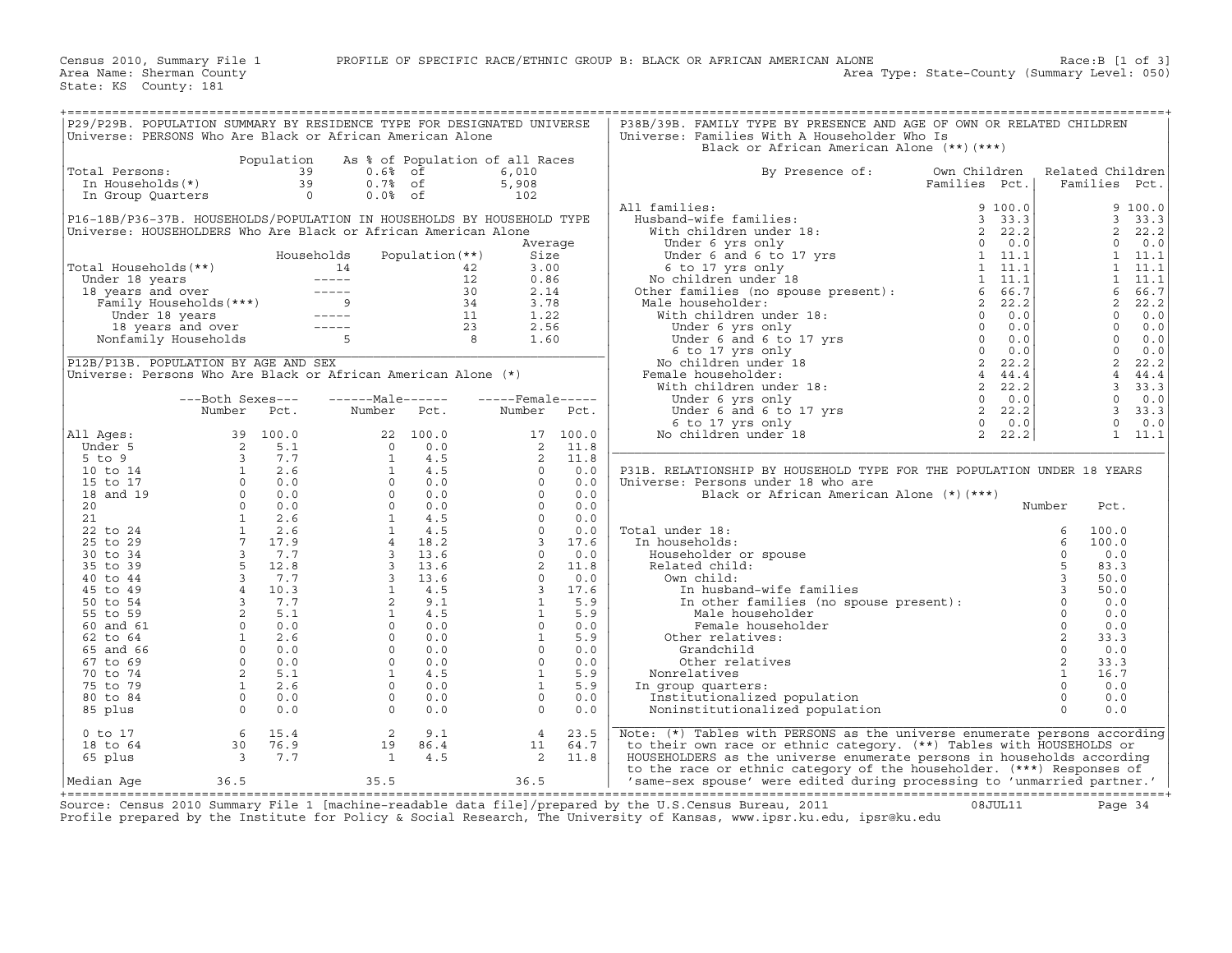|                       | P29/P29B. POPULATION SUMMARY BY RESIDENCE TYPE FOR DESIGNATED UNIVERSE<br>Universe: PERSONS Who Are Black or African American Alone                                                                                                                                       |            |                          |                   |                                                                                                                                                                                                                                                                         |                        | P38B/39B. FAMILY TYPE BY PRESENCE AND AGE OF OWN OR RELATED CHILDREN<br>Universe: Families With A Householder Who Is<br>Black or African American Alone (**)(***)                                                                  |                   |                                    |  |
|-----------------------|---------------------------------------------------------------------------------------------------------------------------------------------------------------------------------------------------------------------------------------------------------------------------|------------|--------------------------|-------------------|-------------------------------------------------------------------------------------------------------------------------------------------------------------------------------------------------------------------------------------------------------------------------|------------------------|------------------------------------------------------------------------------------------------------------------------------------------------------------------------------------------------------------------------------------|-------------------|------------------------------------|--|
|                       |                                                                                                                                                                                                                                                                           | Population |                          |                   | As % of Population of all Races                                                                                                                                                                                                                                         |                        |                                                                                                                                                                                                                                    |                   |                                    |  |
| Total Persons:        |                                                                                                                                                                                                                                                                           | 39         | $0.6%$ of                |                   | 6,010                                                                                                                                                                                                                                                                   |                        | Own Children<br>By Presence of:                                                                                                                                                                                                    |                   | Related Children                   |  |
|                       |                                                                                                                                                                                                                                                                           |            | $0.7%$ of                |                   | 5,908                                                                                                                                                                                                                                                                   |                        | Families Pct.                                                                                                                                                                                                                      |                   | Families Pct.                      |  |
|                       |                                                                                                                                                                                                                                                                           |            | $0.0%$ of                |                   | 102                                                                                                                                                                                                                                                                     |                        | All families:                                                                                                                                                                                                                      |                   | 9100.0                             |  |
|                       | P16-18B/P36-37B. HOUSEHOLDS/POPULATION IN HOUSEHOLDS BY HOUSEHOLD TYPE                                                                                                                                                                                                    |            |                          |                   |                                                                                                                                                                                                                                                                         |                        |                                                                                                                                                                                                                                    |                   | 3, 33.3                            |  |
|                       | Universe: HOUSEHOLDERS Who Are Black or African American Alone                                                                                                                                                                                                            |            |                          |                   |                                                                                                                                                                                                                                                                         |                        |                                                                                                                                                                                                                                    |                   | $\overline{2}$<br>22.2             |  |
|                       |                                                                                                                                                                                                                                                                           |            |                          |                   |                                                                                                                                                                                                                                                                         | Average                |                                                                                                                                                                                                                                    |                   | $\Omega$<br>0.0                    |  |
|                       |                                                                                                                                                                                                                                                                           |            | Households               | Population $(**)$ |                                                                                                                                                                                                                                                                         | Size                   |                                                                                                                                                                                                                                    |                   | $1 \quad 11.1$                     |  |
| Total Households (**) |                                                                                                                                                                                                                                                                           |            |                          |                   |                                                                                                                                                                                                                                                                         | 3.00                   |                                                                                                                                                                                                                                    |                   | 1<br>11.1                          |  |
|                       |                                                                                                                                                                                                                                                                           |            |                          |                   |                                                                                                                                                                                                                                                                         | 0.86                   |                                                                                                                                                                                                                                    |                   | 1<br>11.1                          |  |
|                       |                                                                                                                                                                                                                                                                           |            |                          |                   |                                                                                                                                                                                                                                                                         | 2.14                   |                                                                                                                                                                                                                                    |                   | 6<br>66.7                          |  |
|                       |                                                                                                                                                                                                                                                                           |            |                          |                   |                                                                                                                                                                                                                                                                         | 3.78                   |                                                                                                                                                                                                                                    |                   | $\overline{a}$<br>22.2             |  |
|                       |                                                                                                                                                                                                                                                                           |            |                          |                   |                                                                                                                                                                                                                                                                         | 1.22                   |                                                                                                                                                                                                                                    |                   | $\Omega$<br>0.0                    |  |
|                       |                                                                                                                                                                                                                                                                           |            |                          |                   |                                                                                                                                                                                                                                                                         | 2.56                   |                                                                                                                                                                                                                                    |                   | $\Omega$<br>0.0                    |  |
|                       |                                                                                                                                                                                                                                                                           |            |                          |                   |                                                                                                                                                                                                                                                                         | 1.60                   |                                                                                                                                                                                                                                    |                   | $\bigcap$<br>0.0                   |  |
|                       | P12B/P13B. POPULATION BY AGE AND SEX                                                                                                                                                                                                                                      |            |                          |                   |                                                                                                                                                                                                                                                                         |                        |                                                                                                                                                                                                                                    |                   | $\overline{0}$<br>0.0<br>2<br>22.2 |  |
|                       | Universe: Persons Who Are Black or African American Alone (*)                                                                                                                                                                                                             |            |                          |                   |                                                                                                                                                                                                                                                                         |                        |                                                                                                                                                                                                                                    |                   | $\overline{4}$<br>44.4             |  |
|                       |                                                                                                                                                                                                                                                                           |            |                          |                   |                                                                                                                                                                                                                                                                         |                        |                                                                                                                                                                                                                                    |                   | 3, 33.3                            |  |
|                       | ---Both Sexes---                                                                                                                                                                                                                                                          |            | $---Male----$            |                   | $---$ Female -----                                                                                                                                                                                                                                                      |                        | $\begin{bmatrix} 0 & 0 & 0 \end{bmatrix}$<br>Under 6 yrs only                                                                                                                                                                      |                   | $\Omega$<br>0.0                    |  |
|                       | Number                                                                                                                                                                                                                                                                    | Pct.       | Number Pct.              |                   | Number                                                                                                                                                                                                                                                                  | Pct.                   |                                                                                                                                                                                                                                    |                   | 3, 33.3                            |  |
|                       |                                                                                                                                                                                                                                                                           |            |                          |                   |                                                                                                                                                                                                                                                                         |                        | Under 6 yrs only 0 0.0<br>Under 6 and 6 to 17 yrs 2 22.2<br>6 to 17 yrs only 0 0.0<br>0 children under 18 2 22.2                                                                                                                   |                   | $\circ$<br>0.0                     |  |
| All Ages:             |                                                                                                                                                                                                                                                                           |            |                          |                   |                                                                                                                                                                                                                                                                         | 17 100.0               | No children under 18                                                                                                                                                                                                               |                   | $1 \quad 11.1$                     |  |
| Under 5               |                                                                                                                                                                                                                                                                           |            |                          |                   |                                                                                                                                                                                                                                                                         |                        |                                                                                                                                                                                                                                    |                   |                                    |  |
| $5$ to $9$            |                                                                                                                                                                                                                                                                           |            |                          |                   |                                                                                                                                                                                                                                                                         |                        |                                                                                                                                                                                                                                    |                   |                                    |  |
| 10 to 14              |                                                                                                                                                                                                                                                                           |            |                          |                   |                                                                                                                                                                                                                                                                         |                        | P31B. RELATIONSHIP BY HOUSEHOLD TYPE FOR THE POPULATION UNDER 18 YEARS                                                                                                                                                             |                   |                                    |  |
| 15 to 17              |                                                                                                                                                                                                                                                                           |            |                          |                   |                                                                                                                                                                                                                                                                         |                        | Universe: Persons under 18 who are                                                                                                                                                                                                 |                   |                                    |  |
| 18 and 19             |                                                                                                                                                                                                                                                                           |            |                          |                   |                                                                                                                                                                                                                                                                         |                        | Black or African American Alone (*) (***)                                                                                                                                                                                          |                   |                                    |  |
| 20<br>21              |                                                                                                                                                                                                                                                                           |            |                          |                   |                                                                                                                                                                                                                                                                         |                        |                                                                                                                                                                                                                                    |                   | Pct.                               |  |
| 22 to 24              |                                                                                                                                                                                                                                                                           |            |                          |                   |                                                                                                                                                                                                                                                                         |                        | Total under 18:                                                                                                                                                                                                                    |                   | 100.0                              |  |
| 25 to 29              |                                                                                                                                                                                                                                                                           |            |                          |                   |                                                                                                                                                                                                                                                                         |                        | In households:                                                                                                                                                                                                                     |                   | 100.0                              |  |
| 30 to 34              |                                                                                                                                                                                                                                                                           |            |                          |                   |                                                                                                                                                                                                                                                                         |                        | Householder or spouse                                                                                                                                                                                                              |                   | 0.0                                |  |
| 35 to 39              |                                                                                                                                                                                                                                                                           |            |                          |                   |                                                                                                                                                                                                                                                                         |                        | Related child:                                                                                                                                                                                                                     |                   | 83.3                               |  |
| 40 to 44              |                                                                                                                                                                                                                                                                           |            |                          |                   |                                                                                                                                                                                                                                                                         |                        | Own child:                                                                                                                                                                                                                         |                   | 50.0                               |  |
| 45 to 49              |                                                                                                                                                                                                                                                                           |            |                          |                   |                                                                                                                                                                                                                                                                         |                        |                                                                                                                                                                                                                                    |                   | 50.0                               |  |
| 50 to 54              |                                                                                                                                                                                                                                                                           |            |                          |                   |                                                                                                                                                                                                                                                                         |                        | Black or<br>.der 18:<br>.seholds: 6<br>seholder or spouse 0<br>.ated child: 5<br>2 m child: 5<br>In husband-wife families 3<br>In other families (no spouse present): 0<br>Male_householder 0<br>Nale_householder 0<br>2<br>2<br>C |                   | 0.0                                |  |
| 55 to 59              |                                                                                                                                                                                                                                                                           |            |                          |                   |                                                                                                                                                                                                                                                                         |                        |                                                                                                                                                                                                                                    |                   | 0.0                                |  |
| 60 and 61             |                                                                                                                                                                                                                                                                           |            |                          |                   |                                                                                                                                                                                                                                                                         |                        |                                                                                                                                                                                                                                    |                   | 0.0                                |  |
| 62 to 64              |                                                                                                                                                                                                                                                                           |            |                          |                   |                                                                                                                                                                                                                                                                         |                        | Other relatives:                                                                                                                                                                                                                   |                   | 33.3                               |  |
| 65 and 66             |                                                                                                                                                                                                                                                                           |            |                          |                   |                                                                                                                                                                                                                                                                         |                        | Grandchild                                                                                                                                                                                                                         | $\circ$           | 0.0                                |  |
| 67 to 69              |                                                                                                                                                                                                                                                                           |            |                          |                   |                                                                                                                                                                                                                                                                         |                        | Other relatives                                                                                                                                                                                                                    | 2<br>$\mathbf{1}$ | 33.3<br>16.7                       |  |
| 70 to 74<br>75 to 79  |                                                                                                                                                                                                                                                                           |            |                          |                   |                                                                                                                                                                                                                                                                         |                        | Nonrelatives                                                                                                                                                                                                                       | $\Omega$          | 0.0                                |  |
| 80 to 84              |                                                                                                                                                                                                                                                                           |            |                          |                   | $\begin{array}{cccc} 17&100.0\\ 2&11.8\\ 2&11.8\\ 0&0.0\\ 0&0.0\\ 0&0.0\\ 0&0.0\\ 0&0.0\\ 0&0.0\\ 0&0.0\\ 0&0.0\\ 0&0.0\\ 3&17.6\\ 0&0.0\\ 2&11.8\\ 0&0.0\\ 3&17.6\\ 0&0.0\\ 3&17.6\\ 1&5.9\\ 0&0.0\\ 0&0.0\\ 0&0.0\\ 0&0.0\\ 0&0.0\\ 0&0.0\\ 0&0.0\\ 0&0.0\\ 0&0.0\\ $ | $\circ$<br>0.0         | In group quarters:<br>Institutionalized population                                                                                                                                                                                 | $\circ$           | 0.0                                |  |
| 85 plus               |                                                                                                                                                                                                                                                                           |            |                          |                   |                                                                                                                                                                                                                                                                         | 0.0<br>$\Omega$        | Noninstitutionalized population                                                                                                                                                                                                    | $\Omega$          | 0.0                                |  |
|                       | NUINDER PCC.<br>39 100.0<br>2 5.1 0 0.0<br>3 7.7 1 4.5<br>0 0.0 0 0.0<br>0 0.0 0 0.0<br>0 0.0 0 0.0<br>1 2.6 1 4.5<br>0 0.0 0 0.0<br>0 0.0<br>1 2.6 1 4.5<br>1 4.5<br>1 4.5<br>7 7.7 4 18.2<br>3 7.7<br>3 13.6<br>5 12.8 1 4.5<br>3 7.7<br>3 13.6<br>5 12.9<br>3 13.6<br> |            |                          |                   |                                                                                                                                                                                                                                                                         |                        |                                                                                                                                                                                                                                    |                   |                                    |  |
| $0$ to $17$           | 6                                                                                                                                                                                                                                                                         | 15.4       | 2                        | 9.1               |                                                                                                                                                                                                                                                                         | $\overline{4}$<br>23.5 | Note: (*) Tables with PERSONS as the universe enumerate persons according                                                                                                                                                          |                   |                                    |  |
| 18 to 64              | 30                                                                                                                                                                                                                                                                        | 76.9       | 19                       | 86.4              |                                                                                                                                                                                                                                                                         | 11<br>64.7             | to their own race or ethnic category. (**) Tables with HOUSEHOLDS or                                                                                                                                                               |                   |                                    |  |
| 65 plus               | $\begin{array}{c} 30 \\ 3 \end{array}$                                                                                                                                                                                                                                    | 7.7        | $\overline{\phantom{a}}$ | 4.5               |                                                                                                                                                                                                                                                                         | $2^{\circ}$<br>11.8    | HOUSEHOLDERS as the universe enumerate persons in households according                                                                                                                                                             |                   |                                    |  |
|                       |                                                                                                                                                                                                                                                                           |            |                          |                   |                                                                                                                                                                                                                                                                         |                        | to the race or ethnic category of the householder. (***) Responses of                                                                                                                                                              |                   |                                    |  |
| Median Aqe            | 36.5                                                                                                                                                                                                                                                                      |            | 35.5                     |                   | 36.5                                                                                                                                                                                                                                                                    |                        | 'same-sex spouse' were edited during processing to 'unmarried partner.'                                                                                                                                                            |                   |                                    |  |

+===================================================================================================================================================+Source: Census 2010 Summary File 1 [machine−readable data file]/prepared by the U.S.Census Bureau, 2011 08JUL11 Page 34 Profile prepared by the Institute for Policy & Social Research, The University of Kansas, www.ipsr.ku.edu, ipsr@ku.edu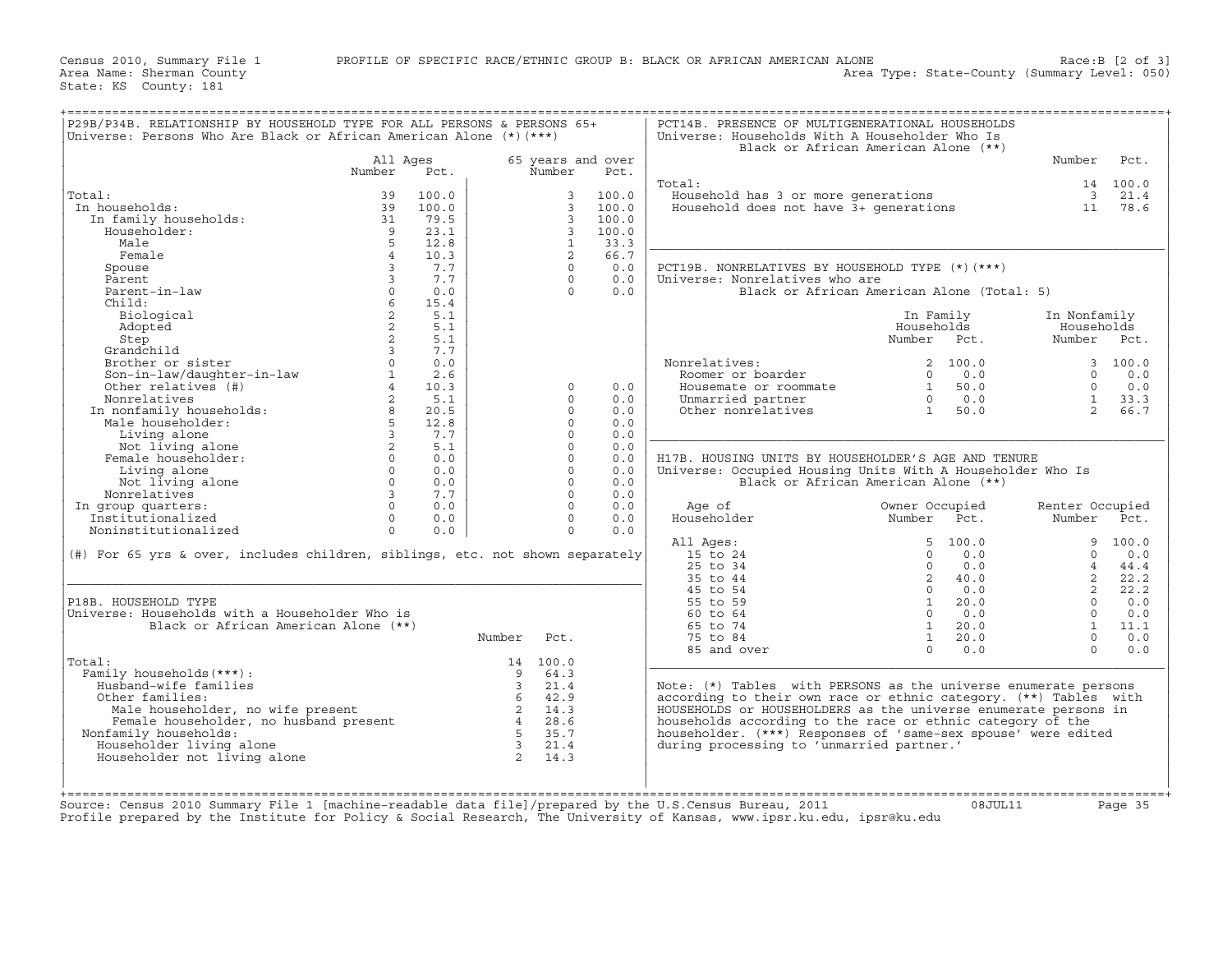|                                                                               |                 |       |                         |                     |       | Black or African American Alone (**)                              |                |            |                 |                    |
|-------------------------------------------------------------------------------|-----------------|-------|-------------------------|---------------------|-------|-------------------------------------------------------------------|----------------|------------|-----------------|--------------------|
|                                                                               | All Ages        |       |                         | 65 years and over   |       |                                                                   |                |            | Number          | Pct.               |
|                                                                               | Number          | Pct.  |                         | Number              | Pct.  | Total:                                                            |                |            |                 |                    |
|                                                                               | 39              | 100.0 |                         |                     | 100.0 |                                                                   |                |            |                 | 14 100.0<br>3 21.4 |
| Total:<br>In households:                                                      | 39              | 100.0 |                         | 3<br>$\overline{3}$ | 100.0 | Household has 3 or more generations                               |                |            | 11              |                    |
|                                                                               |                 |       |                         |                     |       | Household does not have 3+ generations                            |                |            |                 | 78.6               |
| In family households:                                                         | 31              | 79.5  |                         | $\mathbf{3}$        | 100.0 |                                                                   |                |            |                 |                    |
| Householder:                                                                  | $\overline{9}$  | 23.1  |                         | $\overline{3}$      | 100.0 |                                                                   |                |            |                 |                    |
| Male                                                                          | 5               | 12.8  |                         | $\mathbf{1}$        | 33.3  |                                                                   |                |            |                 |                    |
| Female                                                                        | $\overline{4}$  | 10.3  |                         | 2                   | 66.7  |                                                                   |                |            |                 |                    |
| Spouse                                                                        | $\overline{3}$  | 7.7   |                         | $\Omega$            | 0.0   | PCT19B. NONRELATIVES BY HOUSEHOLD TYPE (*) (***)                  |                |            |                 |                    |
| Parent.                                                                       | $\overline{3}$  | 7.7   |                         | $\Omega$            | 0.0   | Universe: Nonrelatives who are                                    |                |            |                 |                    |
| Parent-in-law                                                                 | $\circ$         | 0.0   |                         | $\Omega$            | 0.0   | Black or African American Alone (Total: 5)                        |                |            |                 |                    |
| Child:                                                                        | $6^{\circ}$     | 15.4  |                         |                     |       |                                                                   |                |            |                 |                    |
| Biological                                                                    | $\overline{a}$  | 5.1   |                         |                     |       |                                                                   | In Family      |            | In Nonfamily    |                    |
| Adopted                                                                       | 2               | 5.1   |                         |                     |       |                                                                   | Households     |            | Households      |                    |
| Step                                                                          | $\overline{a}$  | 5.1   |                         |                     |       |                                                                   | Number Pct.    |            | Number Pct.     |                    |
| Grandchild                                                                    | $\mathbf{3}$    | 7.7   |                         |                     |       |                                                                   |                |            |                 |                    |
| Brother or sister                                                             | $\Omega$        | 0.0   |                         |                     |       | Nonrelatives:                                                     |                | 2, 100.0   |                 | 3, 100.0           |
| Son-in-law/daughter-in-law<br>Other relatives (#)                             | $\mathbf{1}$    | 2.6   |                         |                     |       | Roomer or boarder                                                 | $\Omega$       | 0.0        | $\Omega$        | 0.0                |
| Other relatives (#)                                                           | $4\overline{ }$ | 10.3  |                         | $\Omega$            | 0.0   | Housemate or roommate                                             | 1              | 50.0       | $\circ$         | 0.0                |
| Nonrelatives                                                                  | $\overline{2}$  | 5.1   |                         | $\Omega$            | 0.0   | Unmarried partner                                                 |                | $0 \t 0.0$ | $\mathbf{1}$    | 33.3               |
| In nonfamily households:<br>Male householder:                                 | 8               | 20.5  |                         | $\Omega$            | 0.0   | Other nonrelatives                                                | $\overline{1}$ | 50.0       | $2^{\circ}$     | 66.7               |
|                                                                               | 5               | 12.8  |                         | $\Omega$            | 0.0   |                                                                   |                |            |                 |                    |
| Living alone                                                                  | $\overline{3}$  | 7.7   |                         | $\Omega$            | 0.0   |                                                                   |                |            |                 |                    |
| Not living alone                                                              | 2               | 5.1   |                         | $\Omega$            | 0.0   |                                                                   |                |            |                 |                    |
| Female householder:                                                           | $\Omega$        | 0.0   |                         | $\Omega$            | 0.0   | H17B. HOUSING UNITS BY HOUSEHOLDER'S AGE AND TENURE               |                |            |                 |                    |
| Living alone                                                                  | $\Omega$        | 0.0   |                         | $\Omega$            | 0.0   | Universe: Occupied Housing Units With A Householder Who Is        |                |            |                 |                    |
| Not living alone                                                              | $\Omega$        | 0.0   |                         | $\Omega$            | 0.0   | Black or African American Alone (**)                              |                |            |                 |                    |
| Nonrelatives                                                                  | $\overline{3}$  | 7.7   |                         | $\Omega$            | 0.0   |                                                                   |                |            |                 |                    |
| In group quarters:                                                            | $\Omega$        | 0.0   |                         | $\Omega$            | 0.0   | Age of                                                            | Owner Occupied |            | Renter Occupied |                    |
| Institutionalized                                                             | $\Omega$        | 0.0   |                         | $\Omega$            | 0.0   | Householder                                                       | Number Pct.    |            | Number Pct.     |                    |
| Noninstitutionalized                                                          | $\Omega$        | 0.0   |                         | $\Omega$            | 0.0   |                                                                   |                |            |                 |                    |
|                                                                               |                 |       |                         |                     |       | All Ages:                                                         |                | 5 100.0    |                 | 9 100.0            |
|                                                                               |                 |       |                         |                     |       |                                                                   |                |            | $\Omega$        | 0.0                |
|                                                                               |                 |       |                         |                     |       |                                                                   |                |            |                 |                    |
| (#) For 65 yrs & over, includes children, siblings, etc. not shown separately |                 |       |                         |                     |       | 15 to 24                                                          | $\Omega$       | 0.0        |                 |                    |
|                                                                               |                 |       |                         |                     |       | 25 to 34                                                          | $\Omega$       | 0.0        | $\overline{4}$  | 44.4               |
|                                                                               |                 |       |                         |                     |       | 35 to 44                                                          |                | 2, 40.0    | $2^{\circ}$     | 22.2               |
|                                                                               |                 |       |                         |                     |       | 45 to 54                                                          | $\Omega$       | 0.0        | $\overline{2}$  | 22.2               |
| P18B. HOUSEHOLD TYPE                                                          |                 |       |                         |                     |       | 55 to 59                                                          | $\mathbf{1}$   | 20.0       | $\Omega$        | 0.0                |
| Universe: Households with a Householder Who is                                |                 |       |                         |                     |       | $60 \text{ to } 64$                                               | $\Omega$       | 0.0        | $\Omega$        | 0.0                |
| Black or African American Alone (**)                                          |                 |       |                         |                     |       | 65 to 74                                                          | $\mathbf{1}$   | 20.0       |                 | $1 \quad 11.1$     |
|                                                                               |                 |       | Number                  | Pct.                |       | 75 to 84                                                          | $\mathbf{1}$   | 20.0       | $\Omega$        | 0.0                |
|                                                                               |                 |       |                         |                     |       | 85 and over                                                       | $\Omega$       | 0.0        | $\Omega$        | 0.0                |
| Total:                                                                        |                 |       |                         | 14 100.0            |       |                                                                   |                |            |                 |                    |
| Family households (***) :                                                     |                 |       | 9                       | 64.3                |       |                                                                   |                |            |                 |                    |
| Husband-wife families                                                         |                 |       | $\overline{\mathbf{3}}$ | 21.4                |       | Note: $(*)$ Tables with PERSONS as the universe enumerate persons |                |            |                 |                    |
| Other families:                                                               |                 |       | 6 <sup>6</sup>          | 42.9                |       | according to their own race or ethnic category. (**) Tables with  |                |            |                 |                    |
| Male householder, no wife present                                             |                 |       | $\overline{2}$          | 14.3                |       | HOUSEHOLDS or HOUSEHOLDERS as the universe enumerate persons in   |                |            |                 |                    |
| Female householder, no husband present                                        |                 |       | $\overline{4}$          | 28.6                |       | households according to the race or ethnic category of the        |                |            |                 |                    |
| Nonfamily households:                                                         |                 |       |                         | 5 35.7              |       | householder. (***) Responses of 'same-sex spouse' were edited     |                |            |                 |                    |
| Householder living alone                                                      |                 |       | $\overline{\mathbf{3}}$ | 21.4                |       | during processing to 'unmarried partner.'                         |                |            |                 |                    |
| Householder not living alone                                                  |                 |       | $\overline{a}$          | 14.3                |       |                                                                   |                |            |                 |                    |
|                                                                               |                 |       |                         |                     |       |                                                                   |                |            |                 |                    |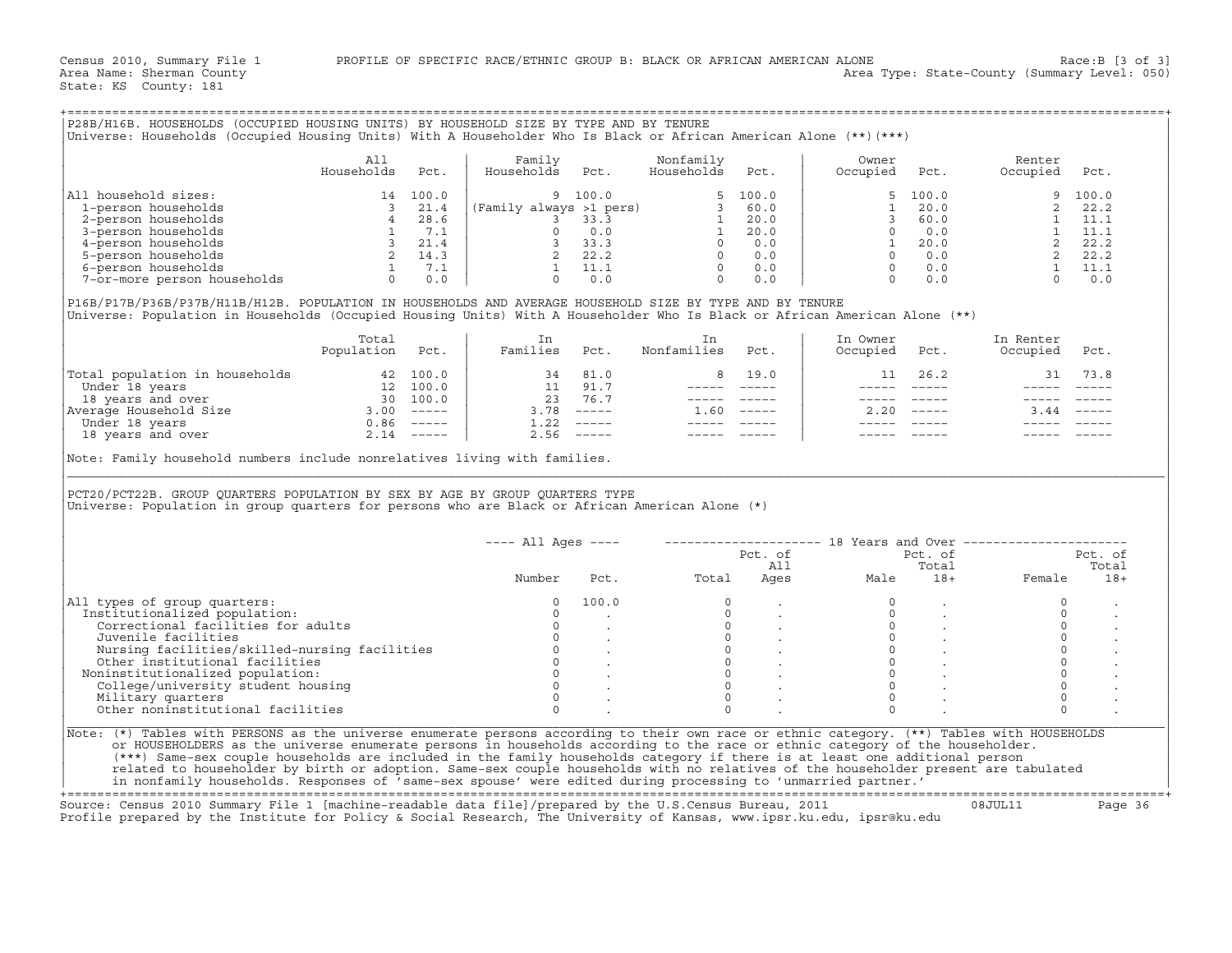|                                                                                                                                                                                                                                                                                                                                                                                                                                                                                           | All<br>Households Pct.   | Family<br>Households Pct. | Nonfamily<br>Households Pct.                                                |                                                                       | Owner<br>Occupied Pct.               |                                                                                                                                                                                                                                                                                                                                                                                                                                                                                          | Renter<br>Occupied Pct.                                                                                                                                                                                                        |         |
|-------------------------------------------------------------------------------------------------------------------------------------------------------------------------------------------------------------------------------------------------------------------------------------------------------------------------------------------------------------------------------------------------------------------------------------------------------------------------------------------|--------------------------|---------------------------|-----------------------------------------------------------------------------|-----------------------------------------------------------------------|--------------------------------------|------------------------------------------------------------------------------------------------------------------------------------------------------------------------------------------------------------------------------------------------------------------------------------------------------------------------------------------------------------------------------------------------------------------------------------------------------------------------------------------|--------------------------------------------------------------------------------------------------------------------------------------------------------------------------------------------------------------------------------|---------|
| All household sizes:                                                                                                                                                                                                                                                                                                                                                                                                                                                                      |                          |                           |                                                                             |                                                                       |                                      |                                                                                                                                                                                                                                                                                                                                                                                                                                                                                          |                                                                                                                                                                                                                                |         |
|                                                                                                                                                                                                                                                                                                                                                                                                                                                                                           |                          |                           |                                                                             |                                                                       |                                      |                                                                                                                                                                                                                                                                                                                                                                                                                                                                                          |                                                                                                                                                                                                                                |         |
|                                                                                                                                                                                                                                                                                                                                                                                                                                                                                           |                          |                           |                                                                             |                                                                       |                                      |                                                                                                                                                                                                                                                                                                                                                                                                                                                                                          |                                                                                                                                                                                                                                |         |
|                                                                                                                                                                                                                                                                                                                                                                                                                                                                                           |                          |                           |                                                                             |                                                                       |                                      |                                                                                                                                                                                                                                                                                                                                                                                                                                                                                          |                                                                                                                                                                                                                                |         |
|                                                                                                                                                                                                                                                                                                                                                                                                                                                                                           |                          |                           |                                                                             |                                                                       |                                      |                                                                                                                                                                                                                                                                                                                                                                                                                                                                                          |                                                                                                                                                                                                                                |         |
|                                                                                                                                                                                                                                                                                                                                                                                                                                                                                           |                          |                           |                                                                             |                                                                       |                                      |                                                                                                                                                                                                                                                                                                                                                                                                                                                                                          |                                                                                                                                                                                                                                |         |
|                                                                                                                                                                                                                                                                                                                                                                                                                                                                                           |                          |                           |                                                                             |                                                                       |                                      |                                                                                                                                                                                                                                                                                                                                                                                                                                                                                          |                                                                                                                                                                                                                                |         |
|                                                                                                                                                                                                                                                                                                                                                                                                                                                                                           | Total<br>Population Pct. | In<br>Families Pct.       | In<br>Nonfamilies Pct.                                                      | $\begin{array}{cccc} & 8 & 19.0 \\ - & & & \\ - & & & \\ \end{array}$ | In Owner<br>Occupied Pct.<br>11 26.2 |                                                                                                                                                                                                                                                                                                                                                                                                                                                                                          | In Renter<br>Occupied Pct.                                                                                                                                                                                                     | 31 73.8 |
|                                                                                                                                                                                                                                                                                                                                                                                                                                                                                           |                          |                           |                                                                             |                                                                       |                                      |                                                                                                                                                                                                                                                                                                                                                                                                                                                                                          |                                                                                                                                                                                                                                |         |
|                                                                                                                                                                                                                                                                                                                                                                                                                                                                                           |                          |                           |                                                                             |                                                                       |                                      |                                                                                                                                                                                                                                                                                                                                                                                                                                                                                          |                                                                                                                                                                                                                                |         |
|                                                                                                                                                                                                                                                                                                                                                                                                                                                                                           |                          |                           |                                                                             |                                                                       |                                      | $\begin{array}{cccccc} - & - & - & - & - & - \\ & - & - & - & - \\ & & - & - & - \\ & & - & - & - \\ & & - & - & - \\ & & - & - & - \\ & & - & - & - \\ & & - & - & - \\ & & - & - & - \\ & & - & - & - \\ & & - & - & - \\ & & - & - & - \\ & & - & - & - \\ & & - & - & - \\ & & - & - & - \\ & & - & - & - \\ & & - & - & - \\ & & - & - & - \\ & & - & - & - \\ & & - & - & - \\ & & - & - & - \\ & & - & - & - \\ & & - & - & - \\ & & - & - & - \\ & & - & - & - \\ & & - & - & -$ |                                                                                                                                                                                                                                |         |
|                                                                                                                                                                                                                                                                                                                                                                                                                                                                                           |                          |                           | $1.60$ -----                                                                |                                                                       |                                      | $2.20$ -----                                                                                                                                                                                                                                                                                                                                                                                                                                                                             | $3.44$ -----                                                                                                                                                                                                                   |         |
| $\begin{tabular}{ l l l l l } \hline \texttt{Total population in households} & & & 42 & 100.0 & & 34 & 81.0 \\ \hline \texttt{Under 18 years} & & 12 & 100.0 & & 11 & 91.7 \\ \texttt{18 years and over} & & 30 & 100.0 & & 23 & 76.7 \\ \texttt{Nverage Household Size} & & 3.00 & ----- & 3.78 & ----- \\ \hline \texttt{Under 18 years and over} & & 2.14 & ----- & 2.56 & ----- \\ \hline \end{tabular}$<br>Note: Family household numbers include nonrelatives living with families. |                          |                           | _______________                                                             |                                                                       |                                      |                                                                                                                                                                                                                                                                                                                                                                                                                                                                                          |                                                                                                                                                                                                                                |         |
|                                                                                                                                                                                                                                                                                                                                                                                                                                                                                           |                          |                           |                                                                             |                                                                       |                                      |                                                                                                                                                                                                                                                                                                                                                                                                                                                                                          |                                                                                                                                                                                                                                |         |
| PCT20/PCT22B. GROUP OUARTERS POPULATION BY SEX BY AGE BY GROUP OUARTERS TYPE<br>Universe: Population in group quarters for persons who are Black or African American Alone (*)                                                                                                                                                                                                                                                                                                            |                          |                           |                                                                             |                                                                       |                                      |                                                                                                                                                                                                                                                                                                                                                                                                                                                                                          |                                                                                                                                                                                                                                |         |
|                                                                                                                                                                                                                                                                                                                                                                                                                                                                                           |                          |                           |                                                                             |                                                                       |                                      |                                                                                                                                                                                                                                                                                                                                                                                                                                                                                          | ---- All Ages ----    --------------------    18 Years and Over ----------------                                                                                                                                               |         |
|                                                                                                                                                                                                                                                                                                                                                                                                                                                                                           |                          |                           |                                                                             |                                                                       |                                      |                                                                                                                                                                                                                                                                                                                                                                                                                                                                                          |                                                                                                                                                                                                                                |         |
|                                                                                                                                                                                                                                                                                                                                                                                                                                                                                           |                          |                           |                                                                             |                                                                       |                                      |                                                                                                                                                                                                                                                                                                                                                                                                                                                                                          | Pct. of Pet. of Pet. of Pet. of Pet. of Pet. of Pet. of All Total Total Pet. of Pet. of Pet. of Pet. of All Total Pet. of Pet. of Pet. of Pet. of Pet. of Pet. of Pet. of Pet. of Pet. of Pet. of Pet. of Pet. of Pet. of Pet. |         |
|                                                                                                                                                                                                                                                                                                                                                                                                                                                                                           |                          |                           |                                                                             |                                                                       | $\circ$                              |                                                                                                                                                                                                                                                                                                                                                                                                                                                                                          | $\circ$                                                                                                                                                                                                                        |         |
|                                                                                                                                                                                                                                                                                                                                                                                                                                                                                           |                          |                           | $\begin{matrix} 100.0 & & & & 0 \\ & & & & & 0 \\ & & & & & 0 \end{matrix}$ |                                                                       | $\Omega$                             |                                                                                                                                                                                                                                                                                                                                                                                                                                                                                          | $\Omega$                                                                                                                                                                                                                       |         |
|                                                                                                                                                                                                                                                                                                                                                                                                                                                                                           |                          |                           |                                                                             |                                                                       |                                      |                                                                                                                                                                                                                                                                                                                                                                                                                                                                                          | $\circ$                                                                                                                                                                                                                        |         |
|                                                                                                                                                                                                                                                                                                                                                                                                                                                                                           |                          |                           |                                                                             |                                                                       |                                      |                                                                                                                                                                                                                                                                                                                                                                                                                                                                                          | $\circ$                                                                                                                                                                                                                        |         |
|                                                                                                                                                                                                                                                                                                                                                                                                                                                                                           |                          |                           |                                                                             |                                                                       |                                      |                                                                                                                                                                                                                                                                                                                                                                                                                                                                                          | $\circ$                                                                                                                                                                                                                        |         |
|                                                                                                                                                                                                                                                                                                                                                                                                                                                                                           |                          |                           |                                                                             |                                                                       |                                      |                                                                                                                                                                                                                                                                                                                                                                                                                                                                                          | $\circ$                                                                                                                                                                                                                        |         |
|                                                                                                                                                                                                                                                                                                                                                                                                                                                                                           |                          |                           |                                                                             |                                                                       |                                      |                                                                                                                                                                                                                                                                                                                                                                                                                                                                                          | $\circ$                                                                                                                                                                                                                        |         |
|                                                                                                                                                                                                                                                                                                                                                                                                                                                                                           |                          |                           |                                                                             |                                                                       |                                      |                                                                                                                                                                                                                                                                                                                                                                                                                                                                                          | $\circ$                                                                                                                                                                                                                        |         |
| All types of group quarters:<br>Institutionalized population:<br>cypes of group quarters:<br>stitutionalized population:<br>Correctional facilities for adults<br>Juvenile facilities<br>Nursing facilities<br>Other institutional facilities<br>Other institutional facilities<br>(Cher institutional facili<br>Noninstitutionalized population:<br>Other noninstitutional facilities                                                                                                    |                          | $\Omega$                  | $\Omega$                                                                    |                                                                       | $\Omega$                             |                                                                                                                                                                                                                                                                                                                                                                                                                                                                                          | $\circ$<br>$\Omega$                                                                                                                                                                                                            |         |

+===================================================================================================================================================+ Source: Census 2010 Summary File 1 [machine−readable data file]/prepared by the U.S.Census Bureau, 2011 08JUL11 Page 36

Profile prepared by the Institute for Policy & Social Research, The University of Kansas, www.ipsr.ku.edu, ipsr@ku.edu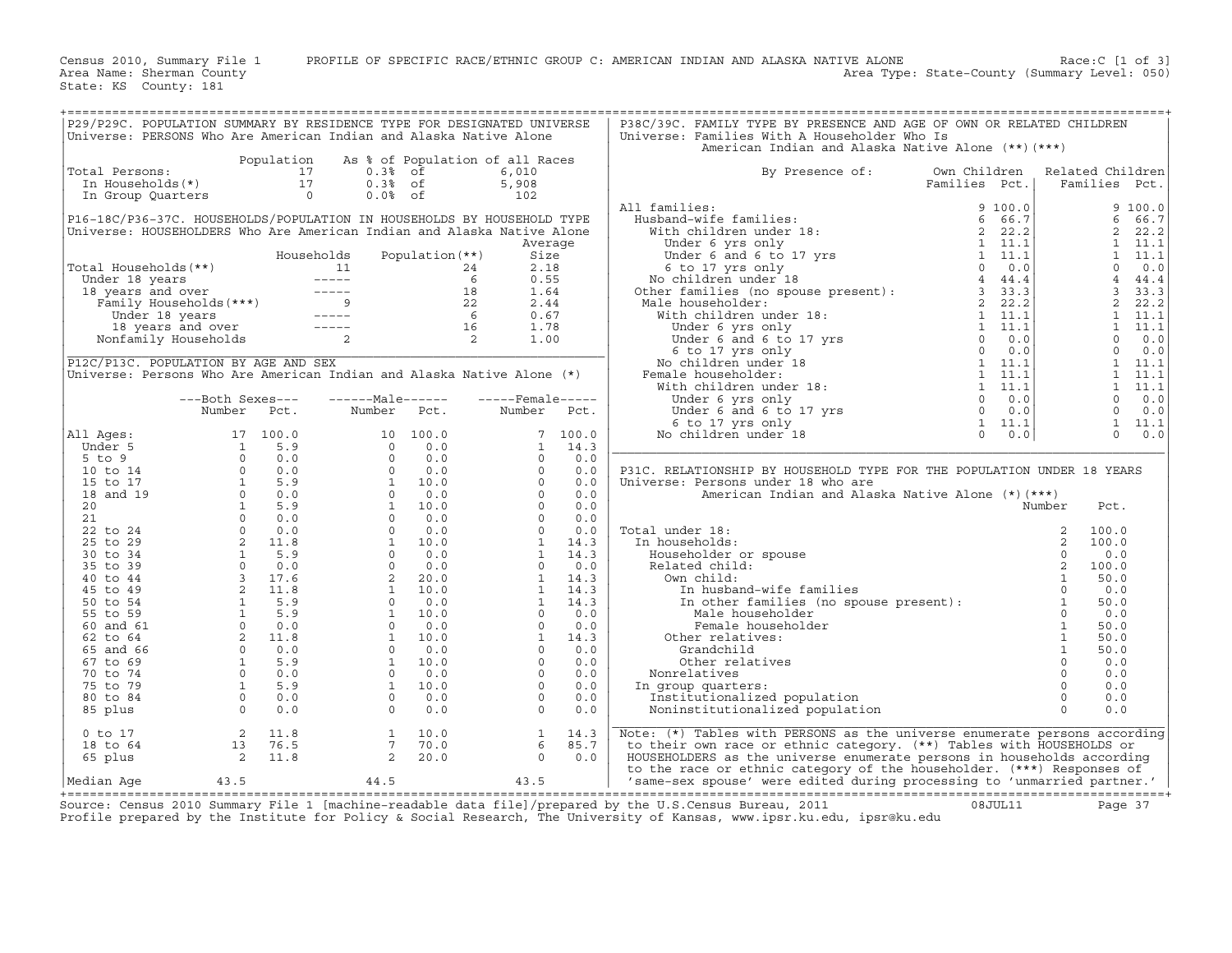Census 2010, Summary File 1 PROFILE OF SPECIFIC RACE/ETHNIC GROUP C: AMERICAN INDIAN AND ALASKA NATIVE ALONE Race:C [1 of 3]<br>Area Name: Sherman County Level: 050) Area Type: State-County (Summary Level: 050) Area Type: State-County (Summary Level: 050)

State: KS County: 181

| P29/P29C. POPULATION SUMMARY BY RESIDENCE TYPE FOR DESIGNATED UNIVERSE<br>Universe: PERSONS Who Are American Indian and Alaska Native Alone                                                                                                        |  |                                                          |         | P38C/39C. FAMILY TYPE BY PRESENCE AND AGE OF OWN OR RELATED CHILDREN<br>Universe: Families With A Householder Who Is                                                                                                                                                                                                                                                                                                                                               |               |                  |
|----------------------------------------------------------------------------------------------------------------------------------------------------------------------------------------------------------------------------------------------------|--|----------------------------------------------------------|---------|--------------------------------------------------------------------------------------------------------------------------------------------------------------------------------------------------------------------------------------------------------------------------------------------------------------------------------------------------------------------------------------------------------------------------------------------------------------------|---------------|------------------|
|                                                                                                                                                                                                                                                    |  |                                                          |         | American Indian and Alaska Native Alone (**) (***)                                                                                                                                                                                                                                                                                                                                                                                                                 |               |                  |
|                                                                                                                                                                                                                                                    |  |                                                          |         |                                                                                                                                                                                                                                                                                                                                                                                                                                                                    |               |                  |
| Total Persons:                                                                                                                                                                                                                                     |  |                                                          |         | By Presence of:                                                                                                                                                                                                                                                                                                                                                                                                                                                    | Own Children  | Related Children |
|                                                                                                                                                                                                                                                    |  |                                                          |         | $\begin{tabular}{l c c c c c} \hline & \multicolumn{3}{c}{\textbf{A}} & \multicolumn{3}{c}{\textbf{B}} & \multicolumn{3}{c}{\textbf{B}} & \multicolumn{3}{c}{\textbf{B}} & \multicolumn{3}{c}{\textbf{B}} & \multicolumn{3}{c}{\textbf{B}} & \multicolumn{3}{c}{\textbf{B}} & \multicolumn{3}{c}{\textbf{B}} & \multicolumn{3}{c}{\textbf{B}} & \multicolumn{3}{c}{\textbf{B}} & \multicolumn{3}{c}{\textbf{B}} & \multicolumn{3}{c}{\textbf{B}} & \multicolumn{3$ | Families Pct. | Families Pct.    |
|                                                                                                                                                                                                                                                    |  |                                                          |         | All families:                                                                                                                                                                                                                                                                                                                                                                                                                                                      |               |                  |
| P16-18C/P36-37C. HOUSEHOLDS/POPULATION IN HOUSEHOLDS BY HOUSEHOLD TYPE                                                                                                                                                                             |  |                                                          |         |                                                                                                                                                                                                                                                                                                                                                                                                                                                                    |               |                  |
| Universe: HOUSEHOLDERS Who Are American Indian and Alaska Native Alone                                                                                                                                                                             |  |                                                          |         |                                                                                                                                                                                                                                                                                                                                                                                                                                                                    |               |                  |
|                                                                                                                                                                                                                                                    |  |                                                          | Average |                                                                                                                                                                                                                                                                                                                                                                                                                                                                    |               |                  |
|                                                                                                                                                                                                                                                    |  |                                                          |         |                                                                                                                                                                                                                                                                                                                                                                                                                                                                    |               |                  |
| Total Households (**)<br>Total Households (**)<br>Under 18 years<br>10 ----- 6 0.55<br>18 years and over 5 ----- 18 1.64<br>Tamily Households (***)<br>18 1.64<br>18 1.64<br>18 1.44<br>18 years and over 5 ----- 6 0.67<br>18 years 18 years 5 -- |  |                                                          |         |                                                                                                                                                                                                                                                                                                                                                                                                                                                                    |               |                  |
|                                                                                                                                                                                                                                                    |  |                                                          |         |                                                                                                                                                                                                                                                                                                                                                                                                                                                                    |               |                  |
|                                                                                                                                                                                                                                                    |  |                                                          |         |                                                                                                                                                                                                                                                                                                                                                                                                                                                                    |               |                  |
|                                                                                                                                                                                                                                                    |  |                                                          |         |                                                                                                                                                                                                                                                                                                                                                                                                                                                                    |               |                  |
|                                                                                                                                                                                                                                                    |  |                                                          |         |                                                                                                                                                                                                                                                                                                                                                                                                                                                                    |               |                  |
|                                                                                                                                                                                                                                                    |  |                                                          |         |                                                                                                                                                                                                                                                                                                                                                                                                                                                                    |               |                  |
|                                                                                                                                                                                                                                                    |  |                                                          |         |                                                                                                                                                                                                                                                                                                                                                                                                                                                                    |               |                  |
| P12C/P13C. POPULATION BY AGE AND SEX                                                                                                                                                                                                               |  |                                                          |         |                                                                                                                                                                                                                                                                                                                                                                                                                                                                    |               |                  |
| Universe: Persons Who Are American Indian and Alaska Native Alone (*)                                                                                                                                                                              |  |                                                          |         |                                                                                                                                                                                                                                                                                                                                                                                                                                                                    |               |                  |
|                                                                                                                                                                                                                                                    |  | ---Both Sexes---    ------Male------    -----Female----- |         |                                                                                                                                                                                                                                                                                                                                                                                                                                                                    |               |                  |
|                                                                                                                                                                                                                                                    |  | Number Pct. Number Pct. Number Pct.                      |         |                                                                                                                                                                                                                                                                                                                                                                                                                                                                    |               |                  |
|                                                                                                                                                                                                                                                    |  |                                                          |         |                                                                                                                                                                                                                                                                                                                                                                                                                                                                    |               |                  |
|                                                                                                                                                                                                                                                    |  |                                                          |         |                                                                                                                                                                                                                                                                                                                                                                                                                                                                    |               |                  |
|                                                                                                                                                                                                                                                    |  |                                                          |         |                                                                                                                                                                                                                                                                                                                                                                                                                                                                    |               |                  |
|                                                                                                                                                                                                                                                    |  |                                                          |         |                                                                                                                                                                                                                                                                                                                                                                                                                                                                    |               |                  |
|                                                                                                                                                                                                                                                    |  |                                                          |         | P31C. RELATIONSHIP BY HOUSEHOLD TYPE FOR THE POPULATION UNDER 18 YEARS<br>Universe: Persons under 18 who are                                                                                                                                                                                                                                                                                                                                                       |               |                  |
|                                                                                                                                                                                                                                                    |  |                                                          |         |                                                                                                                                                                                                                                                                                                                                                                                                                                                                    |               |                  |
|                                                                                                                                                                                                                                                    |  |                                                          |         |                                                                                                                                                                                                                                                                                                                                                                                                                                                                    |               |                  |
|                                                                                                                                                                                                                                                    |  |                                                          |         |                                                                                                                                                                                                                                                                                                                                                                                                                                                                    |               |                  |
|                                                                                                                                                                                                                                                    |  |                                                          |         |                                                                                                                                                                                                                                                                                                                                                                                                                                                                    |               |                  |
|                                                                                                                                                                                                                                                    |  |                                                          |         |                                                                                                                                                                                                                                                                                                                                                                                                                                                                    |               |                  |
|                                                                                                                                                                                                                                                    |  |                                                          |         |                                                                                                                                                                                                                                                                                                                                                                                                                                                                    |               |                  |
|                                                                                                                                                                                                                                                    |  |                                                          |         |                                                                                                                                                                                                                                                                                                                                                                                                                                                                    |               |                  |
|                                                                                                                                                                                                                                                    |  |                                                          |         |                                                                                                                                                                                                                                                                                                                                                                                                                                                                    |               |                  |
|                                                                                                                                                                                                                                                    |  |                                                          |         | Male<br>Female house<br>Other relatives:<br>Grandchild<br>Aler relative                                                                                                                                                                                                                                                                                                                                                                                            |               |                  |
|                                                                                                                                                                                                                                                    |  |                                                          |         |                                                                                                                                                                                                                                                                                                                                                                                                                                                                    |               |                  |
|                                                                                                                                                                                                                                                    |  |                                                          |         |                                                                                                                                                                                                                                                                                                                                                                                                                                                                    |               |                  |
|                                                                                                                                                                                                                                                    |  |                                                          |         |                                                                                                                                                                                                                                                                                                                                                                                                                                                                    |               |                  |
|                                                                                                                                                                                                                                                    |  |                                                          |         |                                                                                                                                                                                                                                                                                                                                                                                                                                                                    |               |                  |
|                                                                                                                                                                                                                                                    |  |                                                          |         |                                                                                                                                                                                                                                                                                                                                                                                                                                                                    |               |                  |
|                                                                                                                                                                                                                                                    |  |                                                          |         |                                                                                                                                                                                                                                                                                                                                                                                                                                                                    |               |                  |
|                                                                                                                                                                                                                                                    |  |                                                          |         |                                                                                                                                                                                                                                                                                                                                                                                                                                                                    |               |                  |
|                                                                                                                                                                                                                                                    |  |                                                          |         |                                                                                                                                                                                                                                                                                                                                                                                                                                                                    |               |                  |
|                                                                                                                                                                                                                                                    |  |                                                          |         | XEMINITED:<br>THE PETSONS UNDER THE PETSONS UNITS ARE RETING A MONOCONDIC CONDUCTOR CONTROLL AND CONDUCTOR CONDUCTOR CONDUCTION (NOTICE A SUBSERIES ON THE PARAMETRON CONDUCTION (CONDUCTION CONDUCTION CONDUCTION (CONDUCTION C                                                                                                                                                                                                                                   |               |                  |
|                                                                                                                                                                                                                                                    |  |                                                          |         | Note: (*) Tables with PERSONS as the universe enumerate persons according                                                                                                                                                                                                                                                                                                                                                                                          |               |                  |
|                                                                                                                                                                                                                                                    |  |                                                          |         | to their own race or ethnic category. (**) Tables with HOUSEHOLDS or                                                                                                                                                                                                                                                                                                                                                                                               |               |                  |
|                                                                                                                                                                                                                                                    |  |                                                          |         | HOUSEHOLDERS as the universe enumerate persons in households according                                                                                                                                                                                                                                                                                                                                                                                             |               |                  |
| 1 0 17 2 11.8 1 10.0 1 14.3<br>18 to 64 13 76.5 7 70.0 6 85.7<br>65 plus 2 11.8 2 20.0 0 0.0<br>Median Age 43.5 44.5 43.5                                                                                                                          |  |                                                          |         | to the race or ethnic category of the householder. (***) Responses of<br>'same-sex spouse' were edited during processing to 'unmarried partner.'                                                                                                                                                                                                                                                                                                                   |               |                  |
|                                                                                                                                                                                                                                                    |  |                                                          |         |                                                                                                                                                                                                                                                                                                                                                                                                                                                                    |               |                  |

+===================================================================================================================================================+Source: Census 2010 Summary File 1 [machine−readable data file]/prepared by the U.S.Census Bureau, 2011 08JUL11 Page 37 Profile prepared by the Institute for Policy & Social Research, The University of Kansas, www.ipsr.ku.edu, ipsr@ku.edu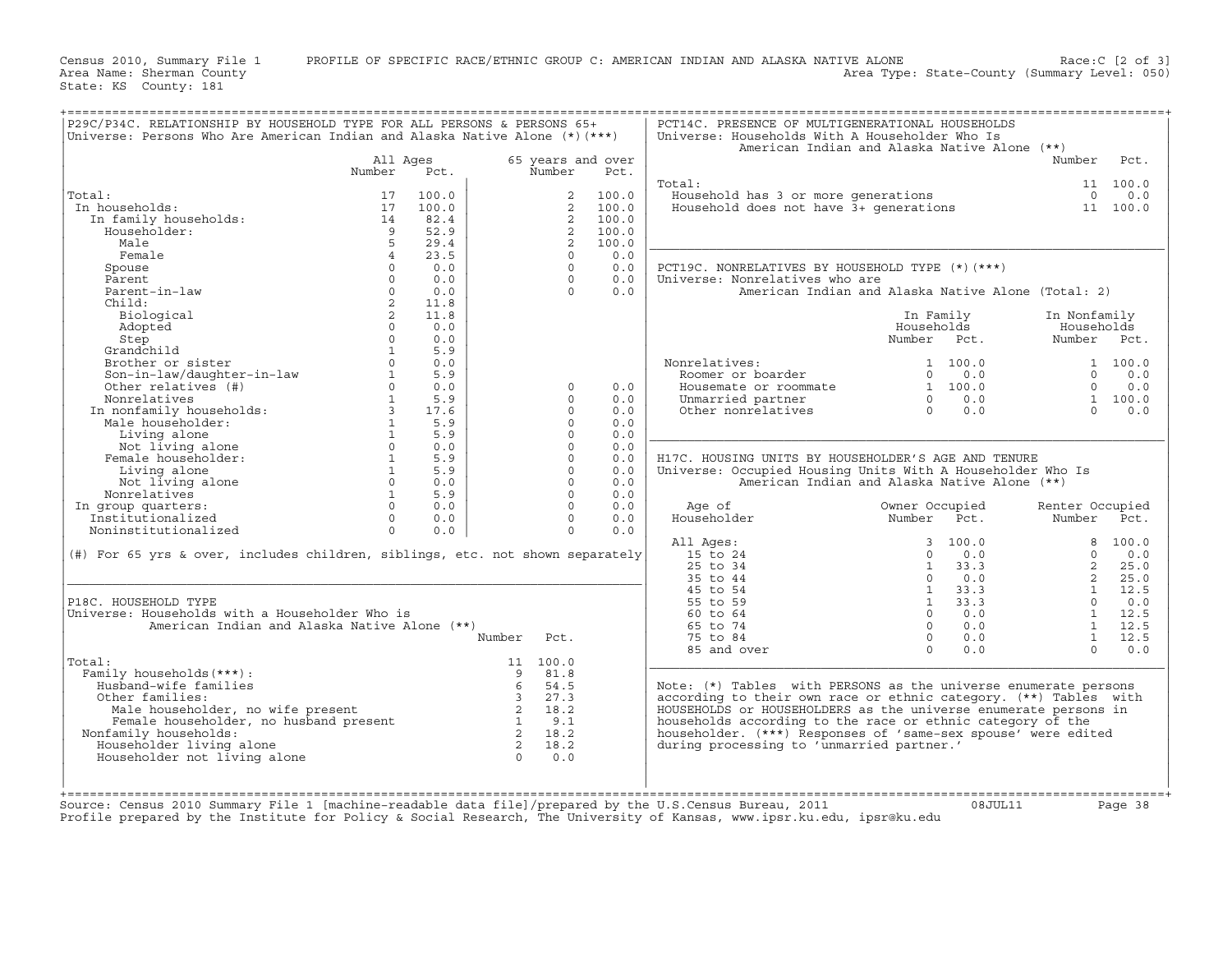Census 2010, Summary File 1 PROFILE OF SPECIFIC RACE/ETHNIC GROUP C: AMERICAN INDIAN AND ALASKA NATIVE ALONE Race:C [2 of 3]<br>Area Name: Sherman County Level: 050) Area Type: State-County (Summary Level: 050)

State: KS County: 181

| P29C/P34C. RELATIONSHIP BY HOUSEHOLD TYPE FOR ALL PERSONS & PERSONS 65+<br>Universe: Persons Who Are American Indian and Alaska Native Alone (*)(***) |                |       |                |                |                   | PCT14C. PRESENCE OF MULTIGENERATIONAL HOUSEHOLDS<br>Universe: Households With A Householder Who Is |                |       |                 |          |
|-------------------------------------------------------------------------------------------------------------------------------------------------------|----------------|-------|----------------|----------------|-------------------|----------------------------------------------------------------------------------------------------|----------------|-------|-----------------|----------|
|                                                                                                                                                       |                |       |                |                |                   | American Indian and Alaska Native Alone (**)                                                       |                |       |                 |          |
|                                                                                                                                                       | All Ages       |       |                |                | 65 years and over |                                                                                                    |                |       | Number          | Pct.     |
|                                                                                                                                                       | Number         | Pct.  |                | Number         | Pct.              |                                                                                                    |                |       |                 |          |
|                                                                                                                                                       |                |       |                |                |                   | Total:                                                                                             |                |       |                 | 11 100.0 |
| Total:                                                                                                                                                | 17             | 100.0 |                | 2              | 100.0             | Household has 3 or more generations                                                                |                |       | $\Omega$        | 0.0      |
| In households:                                                                                                                                        | 17             | 100.0 |                | 2              | 100.0             | Household does not have $3+$ qenerations                                                           |                |       |                 | 11 100.0 |
| In family households:                                                                                                                                 | 14             | 82.4  |                | $\overline{2}$ | 100.0             |                                                                                                    |                |       |                 |          |
| Householder:                                                                                                                                          | $\overline{q}$ | 52.9  |                | $\overline{2}$ | 100.0             |                                                                                                    |                |       |                 |          |
| Male                                                                                                                                                  | 5              | 29.4  |                | $\overline{2}$ | 100.0             |                                                                                                    |                |       |                 |          |
| Female                                                                                                                                                | $\overline{4}$ | 23.5  |                | $\circ$        | 0.0               |                                                                                                    |                |       |                 |          |
|                                                                                                                                                       | $\Omega$       | 0.0   |                | $\Omega$       | 0.0               |                                                                                                    |                |       |                 |          |
| Spouse<br>Parent                                                                                                                                      | $\Omega$       | 0.0   |                | $\Omega$       | 0.0               | PCT19C. NONRELATIVES BY HOUSEHOLD TYPE (*) (***)                                                   |                |       |                 |          |
|                                                                                                                                                       |                |       |                |                |                   | Universe: Nonrelatives who are                                                                     |                |       |                 |          |
| Parent-in-law                                                                                                                                         | $\Omega$       | 0.0   |                | $\Omega$       | 0.0               | American Indian and Alaska Native Alone (Total: 2)                                                 |                |       |                 |          |
| Child:                                                                                                                                                | $\overline{2}$ | 11.8  |                |                |                   |                                                                                                    |                |       |                 |          |
| Biological                                                                                                                                            | 2              | 11.8  |                |                |                   |                                                                                                    | In Family      |       | In Nonfamily    |          |
| Adopted                                                                                                                                               | $\Omega$       | 0.0   |                |                |                   |                                                                                                    | Households     |       | Households      |          |
| Step                                                                                                                                                  | $\Omega$       | 0.0   |                |                |                   |                                                                                                    | Number Pct.    |       | Number Pct.     |          |
| Grandchild                                                                                                                                            | $\mathbf{1}$   | 5.9   |                |                |                   |                                                                                                    |                |       |                 |          |
| Brother or sister                                                                                                                                     | $\Omega$       | 0.0   |                |                |                   | Nonrelatives:                                                                                      | 1 100.0        |       |                 | 1 100.0  |
| Son-in-law/daughter-in-law                                                                                                                            | $\mathbf{1}$   | 5.9   |                |                |                   | Roomer or boarder                                                                                  | $\Omega$       | 0.0   | $\Omega$        | 0.0      |
| Other relatives (#)                                                                                                                                   | $\Omega$       | 0.0   |                | $\Omega$       | 0.0               | Housemate or roommate                                                                              | 1, 100, 0      |       | $\Omega$        | 0.0      |
| Nonrelatives                                                                                                                                          | $\mathbf{1}$   | 5.9   |                | $\Omega$       | 0.0               | Unmarried partner                                                                                  | $\Omega$       | 0.0   |                 | 1 100.0  |
| In nonfamily households:                                                                                                                              | $\overline{3}$ | 17.6  |                | $\Omega$       | 0.0               | Other nonrelatives                                                                                 | $\Omega$       | 0.0   | $\Omega$        | 0.0      |
| Male householder:                                                                                                                                     | $\mathbf{1}$   | 5.9   |                | $\Omega$       | 0.0               |                                                                                                    |                |       |                 |          |
| Living alone                                                                                                                                          | $\mathbf{1}$   | 5.9   |                | $\Omega$       | 0.0               |                                                                                                    |                |       |                 |          |
| Not living alone                                                                                                                                      | $\circ$        | 0.0   |                | $\Omega$       | 0.0               |                                                                                                    |                |       |                 |          |
| Female householder:                                                                                                                                   | $\mathbf{1}$   | 5.9   |                | $\Omega$       | 0.0               | H17C. HOUSING UNITS BY HOUSEHOLDER'S AGE AND TENURE                                                |                |       |                 |          |
| Living alone                                                                                                                                          | $\mathbf{1}$   | 5.9   |                | $\Omega$       | 0.0               | Universe: Occupied Housing Units With A Householder Who Is                                         |                |       |                 |          |
| Not living alone                                                                                                                                      | $\Omega$       | 0.0   |                | $\Omega$       | 0.0               | American Indian and Alaska Native Alone (**)                                                       |                |       |                 |          |
|                                                                                                                                                       | $\mathbf{1}$   | 5.9   |                | $\Omega$       |                   |                                                                                                    |                |       |                 |          |
| Nonrelatives                                                                                                                                          | $\Omega$       |       |                | $\Omega$       | 0.0               |                                                                                                    |                |       |                 |          |
| In group quarters:                                                                                                                                    |                | 0.0   |                |                | 0.0               | Age of                                                                                             | Owner Occupied |       | Renter Occupied |          |
| Institutionalized                                                                                                                                     | $\Omega$       | 0.0   |                | $\Omega$       | 0.0               | Householder                                                                                        | Number Pct.    |       | Number          | Pct.     |
| Noninstitutionalized                                                                                                                                  | $\Omega$       | 0.0   |                | $\Omega$       | 0.0               |                                                                                                    |                |       |                 |          |
|                                                                                                                                                       |                |       |                |                |                   | All Ages:                                                                                          | 3              | 100.0 | 8               | 100.0    |
| (#) For 65 yrs & over, includes children, siblings, etc. not shown separately                                                                         |                |       |                |                |                   | 15 to 24                                                                                           | $\Omega$       | 0.0   | $\Omega$        | 0.0      |
|                                                                                                                                                       |                |       |                |                |                   | $25$ to $34$                                                                                       | $\mathbf{1}$   | 33.3  | $\overline{2}$  | 25.0     |
|                                                                                                                                                       |                |       |                |                |                   | 35 to 44                                                                                           | $\Omega$       | 0.0   | $\overline{2}$  | 25.0     |
|                                                                                                                                                       |                |       |                |                |                   | 45 to 54                                                                                           | $\mathbf{1}$   | 33.3  | $\mathbf{1}$    | 12.5     |
| P18C. HOUSEHOLD TYPE                                                                                                                                  |                |       |                |                |                   | 55 to 59                                                                                           | $\mathbf{1}$   | 33.3  | $\Omega$        | 0.0      |
| Universe: Households with a Householder Who is                                                                                                        |                |       |                |                |                   | 60 to 64                                                                                           | $\Omega$       | 0.0   | $\mathbf{1}$    | 12.5     |
| American Indian and Alaska Native Alone (**)                                                                                                          |                |       |                |                |                   | 65 to 74                                                                                           | $\Omega$       | 0.0   | $\mathbf{1}$    | 12.5     |
|                                                                                                                                                       |                |       | Number         | Pct.           |                   | 75 to 84                                                                                           | $\circ$        | 0.0   | $\mathbf{1}$    | 12.5     |
|                                                                                                                                                       |                |       |                |                |                   | 85 and over                                                                                        | $\Omega$       | 0.0   | $\Omega$        | 0.0      |
| Total:                                                                                                                                                |                |       | 11             | 100.0          |                   |                                                                                                    |                |       |                 |          |
| Family households (***) :                                                                                                                             |                |       | 9              | 81.8           |                   |                                                                                                    |                |       |                 |          |
| Husband-wife families                                                                                                                                 |                |       | 6              | 54.5           |                   | Note: (*) Tables with PERSONS as the universe enumerate persons                                    |                |       |                 |          |
| Other families:                                                                                                                                       |                |       | $\overline{3}$ | 27.3           |                   | according to their own race or ethnic category. (**) Tables with                                   |                |       |                 |          |
| Male householder, no wife present                                                                                                                     |                |       | 2              | 18.2           |                   | HOUSEHOLDS or HOUSEHOLDERS as the universe enumerate persons in                                    |                |       |                 |          |
| Female householder, no husband present                                                                                                                |                |       | $\overline{1}$ | 9.1            |                   | households according to the race or ethnic category of the                                         |                |       |                 |          |
| Nonfamily households:                                                                                                                                 |                |       | $\overline{2}$ | 18.2           |                   | householder. (***) Responses of 'same-sex spouse' were edited                                      |                |       |                 |          |
| Householder living alone                                                                                                                              |                |       | 2              | 18.2           |                   | during processing to 'unmarried partner.'                                                          |                |       |                 |          |
| Householder not living alone                                                                                                                          |                |       | $\Omega$       | 0.0            |                   |                                                                                                    |                |       |                 |          |
|                                                                                                                                                       |                |       |                |                |                   |                                                                                                    |                |       |                 |          |
|                                                                                                                                                       |                |       |                |                |                   |                                                                                                    |                |       |                 |          |
|                                                                                                                                                       |                |       |                |                |                   |                                                                                                    |                |       |                 |          |

+===================================================================================================================================================+

+===================================================================================================================================================+ Source: Census 2010 Summary File 1 [machine−readable data file]/prepared by the U.S.Census Bureau, 2011 08JUL11 Page 38 Profile prepared by the Institute for Policy & Social Research, The University of Kansas, www.ipsr.ku.edu, ipsr@ku.edu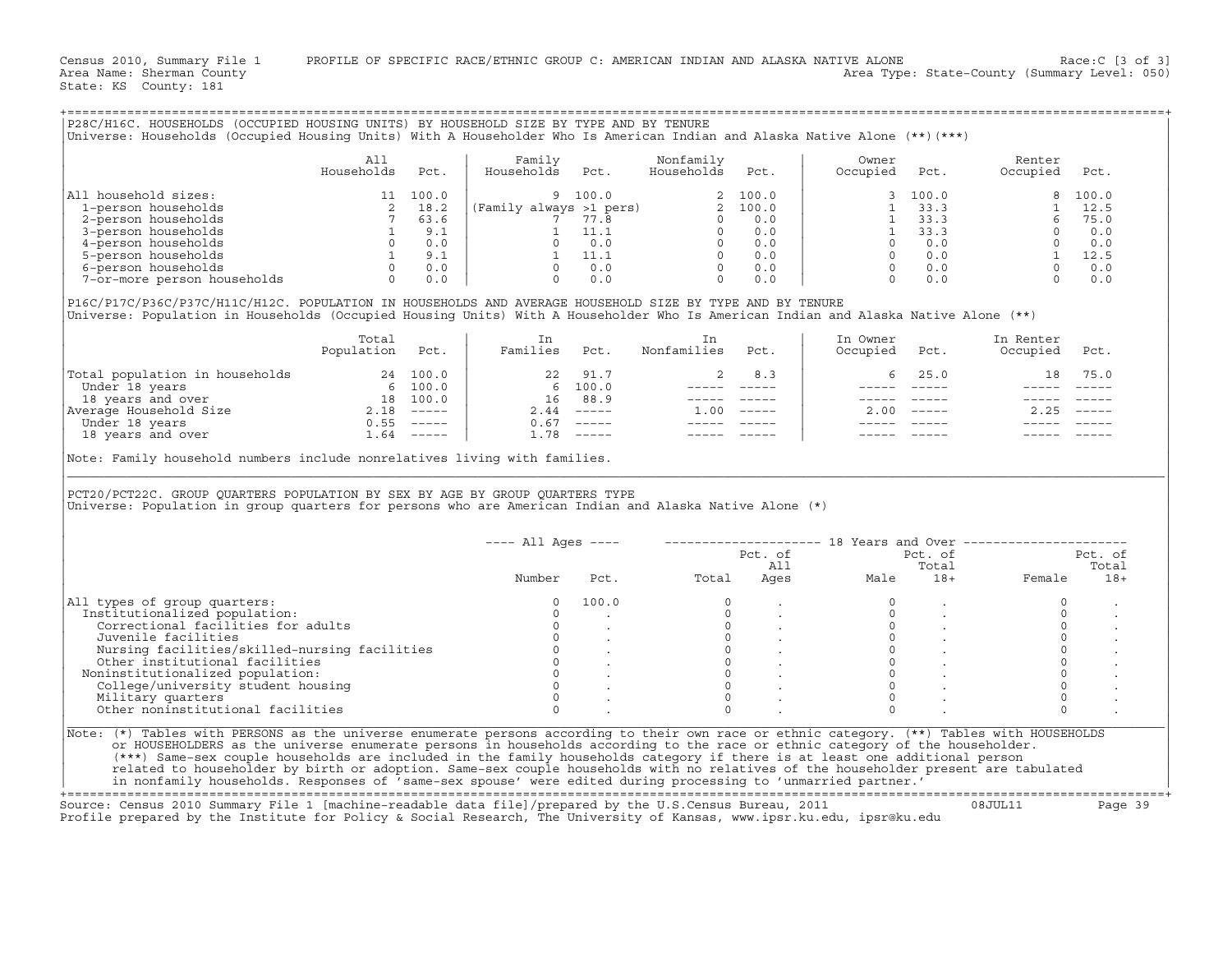Census 2010, Summary File 1 PROFILE OF SPECIFIC RACE/ETHNIC GROUP C: AMERICAN INDIAN AND ALASKA NATIVE ALONE Race:C [3 of 3]<br>Area Name: Sherman County Level: 050) Area Type: State-County (Summary Level: 050)

State: KS County: 181

| P28C/H16C. HOUSEHOLDS (OCCUPIED HOUSING UNITS) BY HOUSEHOLD SIZE BY TYPE AND BY TENURE<br>Universe: Households (Occupied Housing Units) With A Householder Who Is American Indian and Alaska Native Alone (**)(***)                                                                                                                                                                                                                                                                                                                                                                                                                                              |                                                                  |                                                                         |                                                                                                                                        |                                                                               |                                                                     |                     |                                                                                                                    |                                                                                                                      |                                                                                                                          |                                       |
|------------------------------------------------------------------------------------------------------------------------------------------------------------------------------------------------------------------------------------------------------------------------------------------------------------------------------------------------------------------------------------------------------------------------------------------------------------------------------------------------------------------------------------------------------------------------------------------------------------------------------------------------------------------|------------------------------------------------------------------|-------------------------------------------------------------------------|----------------------------------------------------------------------------------------------------------------------------------------|-------------------------------------------------------------------------------|---------------------------------------------------------------------|---------------------|--------------------------------------------------------------------------------------------------------------------|----------------------------------------------------------------------------------------------------------------------|--------------------------------------------------------------------------------------------------------------------------|---------------------------------------|
|                                                                                                                                                                                                                                                                                                                                                                                                                                                                                                                                                                                                                                                                  | All<br>Households                                                | Pct.                                                                    | Family<br>Households                                                                                                                   | Pct.                                                                          | Nonfamily<br>Households                                             | Pct.                | Owner<br>Occupied                                                                                                  | Pct.                                                                                                                 | Renter<br>Occupied                                                                                                       | Pct.                                  |
| All household sizes:<br>1-person households<br>2-person households<br>3-person households<br>4-person households<br>5-person households<br>6-person households<br>7-or-more person households 0 0.0<br>P16C/P17C/P36C/P37C/H11C/H12C. POPULATION IN HOUSEHOLDS AND AVERAGE HOUSEHOLD SIZE BY TYPE AND BY TENURE                                                                                                                                                                                                                                                                                                                                                  | $\begin{array}{ccc} 2 & 18.2 \\ 7 & 63.6 \\ 1 & 9.1 \end{array}$ | 11 100.0<br>$\begin{bmatrix} 0 & 0.0 \ 1 & 9.1 \ 0 & 0.0 \end{bmatrix}$ | Hous<br>9 100.0<br>(Family always >1 pers)<br>7 77.8<br>0 0.0<br>1 11.1<br>0 0.0<br>0 0.0<br>0 0.0<br>0 0.0<br>0 0.0<br>0 0.0<br>0 0.0 | $0 \t 0.0$                                                                    | $\Omega$                                                            | 0.0                 | $\overline{0}$                                                                                                     | 100.0<br>$1 \quad 33.3$<br>$1 \quad 33.3$<br>$1 \quad 33.3$<br>$0 \qquad 0.0$<br>$0 \qquad 0.0$<br>$0 \t 0.0$<br>0.0 | 8<br>6<br>$\begin{bmatrix} 0 & 0.0 \ 1 & 12.5 \ 0 & 0.0 \ 0 & 0.0 \end{bmatrix}$                                         | 100.0<br>1 12.5<br>75.0<br>$0 \t 0.0$ |
| Universe: Population in Households (Occupied Housing Units) With A Householder Who Is American Indian and Alaska Native Alone (**)                                                                                                                                                                                                                                                                                                                                                                                                                                                                                                                               |                                                                  |                                                                         |                                                                                                                                        |                                                                               |                                                                     |                     |                                                                                                                    |                                                                                                                      |                                                                                                                          |                                       |
|                                                                                                                                                                                                                                                                                                                                                                                                                                                                                                                                                                                                                                                                  | Total<br>Population                                              | Pct.                                                                    | In<br>Families Pct.                                                                                                                    |                                                                               | In<br>Nonfamilies                                                   | Pct.                | In Owner<br>Occupied                                                                                               | Pct.                                                                                                                 | In Renter<br>Occupied                                                                                                    | Pct.                                  |
| Total population in households<br>Under 18 years and over the service of the service of the service of the service of the service of the service of the service of the service of the service of the service of the service of t                                                                                                                                                                                                                                                                                                                                                                                                                                 |                                                                  |                                                                         |                                                                                                                                        | 22 91.7<br>6 100.0<br>16 88.9<br>$2.44$ -----<br>$0.67$ -----<br>$1.78$ ----- | 2                                                                   | 8.3<br>$1.00$ ----- | 6                                                                                                                  | 25.0<br>$2.00 - - - - -$                                                                                             | 18<br>$2.25$ $---$                                                                                                       | 75.0                                  |
| PCT20/PCT22C. GROUP QUARTERS POPULATION BY SEX BY AGE BY GROUP QUARTERS TYPE<br>Universe: Population in group quarters for persons who are American Indian and Alaska Native Alone (*)                                                                                                                                                                                                                                                                                                                                                                                                                                                                           |                                                                  |                                                                         |                                                                                                                                        |                                                                               |                                                                     |                     |                                                                                                                    |                                                                                                                      |                                                                                                                          |                                       |
|                                                                                                                                                                                                                                                                                                                                                                                                                                                                                                                                                                                                                                                                  |                                                                  |                                                                         | ---- All Ages ----                                                                                                                     |                                                                               |                                                                     |                     | -------------------- 18 Years and Over ----------------------                                                      |                                                                                                                      |                                                                                                                          |                                       |
|                                                                                                                                                                                                                                                                                                                                                                                                                                                                                                                                                                                                                                                                  |                                                                  |                                                                         | Number                                                                                                                                 |                                                                               | Pct.<br>Total                                                       | Pct. of<br>All      | Ages<br>Male                                                                                                       | Pct. of<br>Total<br>$18+$                                                                                            | Female                                                                                                                   | Pct. of<br>Total<br>$18+$             |
| All types of group quarters:<br>Institutionalized population:<br>Correctional facilities for adults<br>Juvenile facilities<br>Nursing facilities/skilled-nursing facilities<br>Other institutional facilities<br>Noninstitutionalized population:<br>College/university student housing<br>Military quarters<br>Other noninstitutional facilities                                                                                                                                                                                                                                                                                                                |                                                                  |                                                                         | $\circ$<br>$\Omega$<br>$\Omega$<br>$\Omega$<br>$\Omega$<br>$\Omega$                                                                    | 100.0                                                                         | $\circ$<br>$\Omega$<br>$\overline{0}$<br>$\overline{0}$<br>$\Omega$ | $\sim$              | $\mathbf{0}$<br>$\Omega$<br>$\Omega$<br>$\Omega$<br>$\overline{0}$<br>$\Omega$<br>$\Omega$<br>$\Omega$<br>$\Omega$ | $\sim$<br>$\begin{matrix} 0 & & \cdot \\ 0 & & \cdot \end{matrix}$                                                   | $\mathbf 0$<br>$\circ$<br>$\circ$<br>$\circ$<br>$\mathbb O$<br>$\circ$<br>$\circ$<br>$\mathbf 0$<br>$\Omega$<br>$\Omega$ |                                       |
| Note: (*) Tables with PERSONS as the universe enumerate persons according to their own race or ethnic category. (**) Tables with HOUSEHOLDS<br>or HOUSEHOLDERS as the universe enumerate persons in households according to the race or ethnic category of the householder.<br>(***) Same-sex couple households are included in the family households category if there is at least one additional person<br>related to householder by birth or adoption. Same-sex couple households with no relatives of the householder present are tabulated<br>in nonfamily households. Responses of 'same-sex spouse' were edited during processing to 'unmarried partner.' |                                                                  |                                                                         |                                                                                                                                        |                                                                               |                                                                     |                     |                                                                                                                    |                                                                                                                      |                                                                                                                          |                                       |

+===================================================================================================================================================+

+===================================================================================================================================================+ Source: Census 2010 Summary File 1 [machine−readable data file]/prepared by the U.S.Census Bureau, 2011 08JUL11 Page 39 Profile prepared by the Institute for Policy & Social Research, The University of Kansas, www.ipsr.ku.edu, ipsr@ku.edu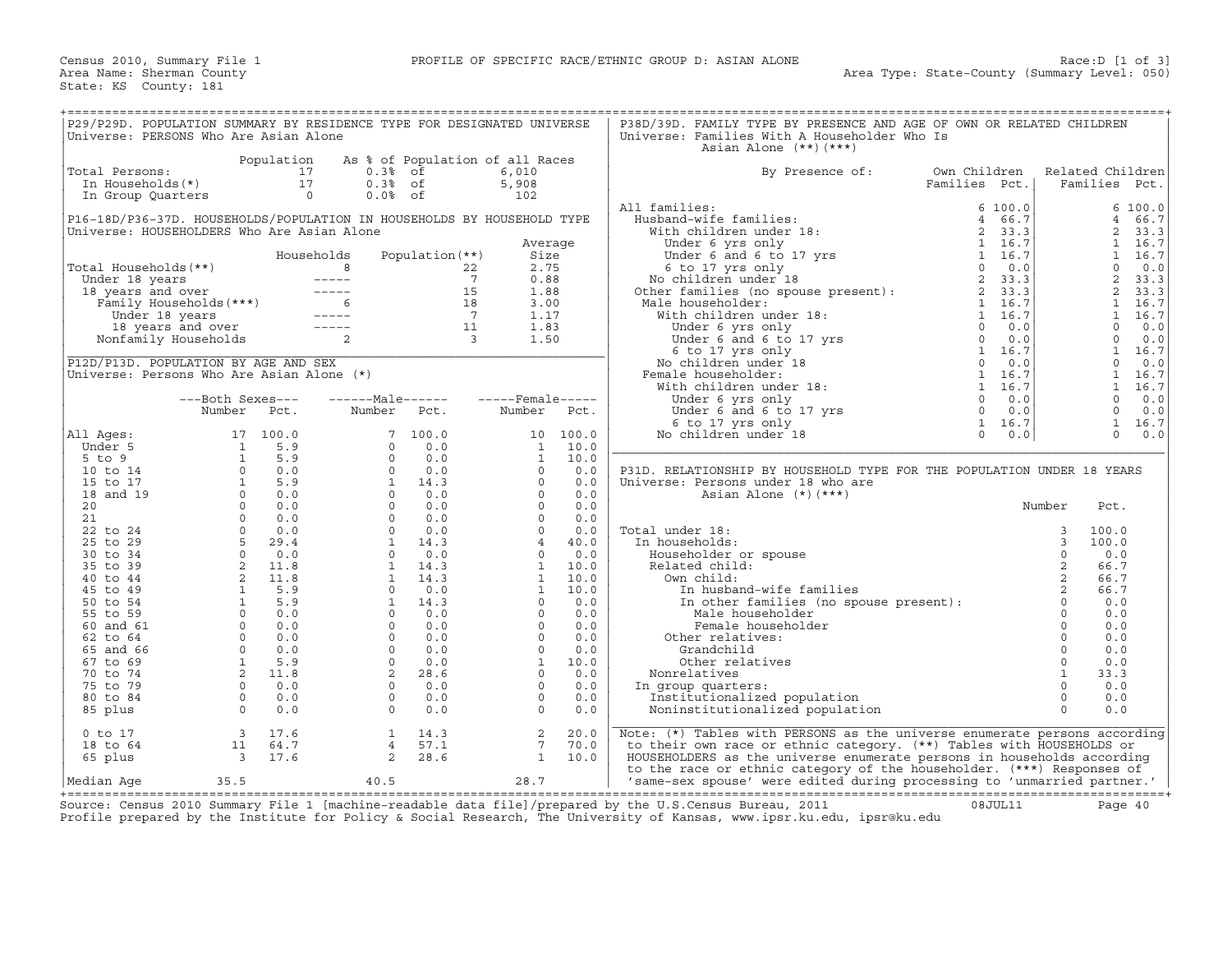| P29/P29D. POPULATION SUMMARY BY RESIDENCE TYPE FOR DESIGNATED UNIVERSE<br>Universe: PERSONS Who Are Asian Alone |                         |                        |                                                                                                                                                                                                                                                                                                                                                                                              |                          |                                                   |               | P38D/39D. FAMILY TYPE BY PRESENCE AND AGE OF OWN OR RELATED CHILDREN<br>Universe: Families With A Householder Who Is |                               |         |                              |             |
|-----------------------------------------------------------------------------------------------------------------|-------------------------|------------------------|----------------------------------------------------------------------------------------------------------------------------------------------------------------------------------------------------------------------------------------------------------------------------------------------------------------------------------------------------------------------------------------------|--------------------------|---------------------------------------------------|---------------|----------------------------------------------------------------------------------------------------------------------|-------------------------------|---------|------------------------------|-------------|
|                                                                                                                 |                         |                        |                                                                                                                                                                                                                                                                                                                                                                                              |                          |                                                   |               | Asian Alone $(**)$ $(***)$                                                                                           |                               |         |                              |             |
| Total Persons:<br>In Households(*)                                                                              |                         | Population<br>17<br>17 | 0.3%<br>$0.3%$ of                                                                                                                                                                                                                                                                                                                                                                            | of                       | As % of Population of all Races<br>6.010<br>5,908 |               | By Presence of:                                                                                                      | Own Children<br>Families Pct. |         | Related Children<br>Families | Pct.        |
| In Group Quarters                                                                                               |                         | $\circ$                | $0.0%$ of                                                                                                                                                                                                                                                                                                                                                                                    |                          | 102                                               |               |                                                                                                                      |                               |         |                              |             |
|                                                                                                                 |                         |                        |                                                                                                                                                                                                                                                                                                                                                                                              |                          |                                                   |               | All families:                                                                                                        |                               | 6 100.0 |                              | 6 100.0     |
| P16-18D/P36-37D. HOUSEHOLDS/POPULATION IN HOUSEHOLDS BY HOUSEHOLD TYPE                                          |                         |                        |                                                                                                                                                                                                                                                                                                                                                                                              |                          |                                                   |               | Husband-wife families:                                                                                               | $4^{\circ}$                   | 66.7    | $\overline{4}$               | 66.7        |
| Universe: HOUSEHOLDERS Who Are Asian Alone                                                                      |                         |                        |                                                                                                                                                                                                                                                                                                                                                                                              |                          |                                                   |               | With children under 18:                                                                                              | 2                             | 33.3    | 2                            | 33.3        |
|                                                                                                                 |                         |                        |                                                                                                                                                                                                                                                                                                                                                                                              |                          | Average                                           |               | Under 6 yrs only                                                                                                     |                               | 1 16.7  | $\mathbf{1}$                 | 16.7        |
|                                                                                                                 |                         |                        | Households                                                                                                                                                                                                                                                                                                                                                                                   | Population (**)          | Size                                              |               | Under $6$ and $6$ to $17$ yrs                                                                                        |                               | 1 16.7  | $\mathbf{1}$                 | 16.7        |
| Total Households (**)                                                                                           |                         |                        | 8                                                                                                                                                                                                                                                                                                                                                                                            |                          | 2.75<br>22                                        |               | 6 to 17 yrs only                                                                                                     | $\Omega$                      | 0.0     | $\Omega$                     | 0.0         |
| Under 18 years                                                                                                  |                         |                        | $------$                                                                                                                                                                                                                                                                                                                                                                                     |                          | $7\overline{ }$<br>0.88                           |               | No children under 18                                                                                                 | 2                             | 33.3    | 2                            | 33.3        |
| 18 years and over                                                                                               |                         |                        | $------$                                                                                                                                                                                                                                                                                                                                                                                     | 15                       | 1.88                                              |               | Other families (no spouse present) :                                                                                 |                               | 2, 33.3 | 2                            | 33.3        |
|                                                                                                                 | Family Households (***) |                        | 6                                                                                                                                                                                                                                                                                                                                                                                            | 18                       | 3.00                                              |               | Male householder:                                                                                                    |                               | 1 16.7  | $\mathbf{1}$                 | 16.7        |
| Under 18 years                                                                                                  |                         |                        | $\frac{1}{2} \frac{1}{2} \frac{1}{2} \frac{1}{2} \frac{1}{2} \frac{1}{2} \frac{1}{2} \frac{1}{2} \frac{1}{2} \frac{1}{2} \frac{1}{2} \frac{1}{2} \frac{1}{2} \frac{1}{2} \frac{1}{2} \frac{1}{2} \frac{1}{2} \frac{1}{2} \frac{1}{2} \frac{1}{2} \frac{1}{2} \frac{1}{2} \frac{1}{2} \frac{1}{2} \frac{1}{2} \frac{1}{2} \frac{1}{2} \frac{1}{2} \frac{1}{2} \frac{1}{2} \frac{1}{2} \frac{$ | $\overline{7}$           | 1.17                                              |               | With children under 18:                                                                                              |                               | 1 16.7  | $\mathbf{1}$                 | 16.7        |
|                                                                                                                 | 18 years and over       |                        | $\frac{1}{2} \frac{1}{2} \frac{1}{2} \frac{1}{2} \frac{1}{2} \frac{1}{2} \frac{1}{2} \frac{1}{2} \frac{1}{2} \frac{1}{2} \frac{1}{2} \frac{1}{2} \frac{1}{2} \frac{1}{2} \frac{1}{2} \frac{1}{2} \frac{1}{2} \frac{1}{2} \frac{1}{2} \frac{1}{2} \frac{1}{2} \frac{1}{2} \frac{1}{2} \frac{1}{2} \frac{1}{2} \frac{1}{2} \frac{1}{2} \frac{1}{2} \frac{1}{2} \frac{1}{2} \frac{1}{2} \frac{$ | 11                       | 1.83                                              |               | Under 6 yrs only                                                                                                     | $\Omega$                      | 0.0     | $\Omega$                     | 0.0         |
|                                                                                                                 | Nonfamily Households    |                        | 2                                                                                                                                                                                                                                                                                                                                                                                            | $\overline{\phantom{a}}$ | 1.50                                              |               | Under 6 and 6 to 17 yrs                                                                                              | $\overline{0}$                | 0.0     | $\Omega$                     | 0.0         |
|                                                                                                                 |                         |                        |                                                                                                                                                                                                                                                                                                                                                                                              |                          |                                                   |               | 6 to 17 yrs only                                                                                                     |                               | 1 16.7  | $\mathbf{1}$                 | 16.7        |
| P12D/P13D. POPULATION BY AGE AND SEX                                                                            |                         |                        |                                                                                                                                                                                                                                                                                                                                                                                              |                          |                                                   |               | No children under 18                                                                                                 | $\overline{0}$                | 0.0     | $\mathbf 0$                  | 0.0         |
| Universe: Persons Who Are Asian Alone (*)                                                                       |                         |                        |                                                                                                                                                                                                                                                                                                                                                                                              |                          |                                                   |               | Female householder:                                                                                                  |                               | 1 16.7  | $\mathbf{1}$                 | 16.7        |
|                                                                                                                 |                         |                        |                                                                                                                                                                                                                                                                                                                                                                                              |                          |                                                   |               | With children under 18:                                                                                              |                               | 1 16.7  | $\mathbf{1}$                 | 16.7        |
|                                                                                                                 | ---Both Sexes---        |                        | $----Maxe----$                                                                                                                                                                                                                                                                                                                                                                               |                          | $---$ Female -----                                |               | Under 6 yrs only                                                                                                     | $\circ$                       | 0.0     | $\mathbf 0$                  | 0.0         |
|                                                                                                                 | Number                  | Pct.                   | Number                                                                                                                                                                                                                                                                                                                                                                                       | Pct.                     | Number                                            | Pct.          | Under 6 and 6 to 17 yrs                                                                                              | $\circ$<br>$\mathbf{1}$       | 0.0     | $\mathbf 0$<br>$\mathbf{1}$  | 0.0         |
|                                                                                                                 |                         |                        |                                                                                                                                                                                                                                                                                                                                                                                              | 100.0                    |                                                   |               | 6 to 17 yrs only                                                                                                     | $\circ$                       | 16.7    | $\Omega$                     | 16.7<br>0.0 |
| All Ages:<br>Under 5                                                                                            | 17<br>$\mathbf{1}$      | 100.0<br>5.9           | 7                                                                                                                                                                                                                                                                                                                                                                                            | 0.0                      | 10<br>$\mathbf{1}$                                | 100.0<br>10.0 | No children under 18                                                                                                 |                               | 0.0     |                              |             |
| $5$ to $9$                                                                                                      | $\mathbf{1}$            | 5.9                    | $\circ$<br>$\circ$                                                                                                                                                                                                                                                                                                                                                                           | 0.0                      | $\mathbf{1}$                                      | 10.0          |                                                                                                                      |                               |         |                              |             |
| 10 to 14                                                                                                        | $\circ$                 | 0.0                    | $\Omega$                                                                                                                                                                                                                                                                                                                                                                                     | 0.0                      | $\Omega$                                          | 0.0           | P31D. RELATIONSHIP BY HOUSEHOLD TYPE FOR THE POPULATION UNDER 18 YEARS                                               |                               |         |                              |             |
| 15 to 17                                                                                                        | 1                       | 5.9                    | $\mathbf{1}$                                                                                                                                                                                                                                                                                                                                                                                 | 14.3                     | $\Omega$                                          | 0.0           | Universe: Persons under 18 who are                                                                                   |                               |         |                              |             |
| 18 and 19                                                                                                       | $\Omega$                | 0.0                    | $\Omega$                                                                                                                                                                                                                                                                                                                                                                                     | 0.0                      | $\Omega$                                          | 0.0           | Asian Alone $(*)$ $(***)$                                                                                            |                               |         |                              |             |
| 20                                                                                                              | $\Omega$                | 0.0                    | $\Omega$                                                                                                                                                                                                                                                                                                                                                                                     | 0.0                      | $\Omega$                                          | 0.0           |                                                                                                                      |                               |         | Number<br>Pct.               |             |
| 21                                                                                                              | $\Omega$                | 0.0                    | $\Omega$                                                                                                                                                                                                                                                                                                                                                                                     | 0.0                      | $\Omega$                                          | 0.0           |                                                                                                                      |                               |         |                              |             |
| 22 to 24                                                                                                        | $\Omega$                | 0.0                    | $\Omega$                                                                                                                                                                                                                                                                                                                                                                                     | 0.0                      | $\circ$                                           | 0.0           | Total under 18:                                                                                                      |                               |         | 3<br>100.0                   |             |
| 25 to 29                                                                                                        | 5                       | 29.4                   | <sup>1</sup>                                                                                                                                                                                                                                                                                                                                                                                 | 14.3                     | $\overline{4}$                                    | 40.0          | In households:                                                                                                       |                               |         | 3<br>100.0                   |             |
| 30 to 34                                                                                                        | $\circ$                 | 0.0                    | $\circ$                                                                                                                                                                                                                                                                                                                                                                                      | 0.0                      | $\circ$                                           | 0.0           | Householder or spouse                                                                                                |                               |         | 0.0                          |             |
| 35 to 39                                                                                                        | $\overline{a}$          | 11.8                   | $\mathbf{1}$                                                                                                                                                                                                                                                                                                                                                                                 | 14.3                     | $\mathbf{1}$                                      | 10.0          | Related child:                                                                                                       |                               |         | $\sqrt{2}$<br>66.7           |             |
| 40 to 44                                                                                                        | 2                       | 11.8                   | $\mathbf{1}$                                                                                                                                                                                                                                                                                                                                                                                 | 14.3                     | $\mathbf{1}$                                      | 10.0          | Own child:                                                                                                           |                               |         | 2<br>66.7                    |             |
| 45 to 49                                                                                                        | $\mathbf{1}$            | 5.9                    | $\Omega$                                                                                                                                                                                                                                                                                                                                                                                     | 0.0                      | $\mathbf{1}$                                      | 10.0          | In husband-wife families                                                                                             |                               |         | 66.7                         |             |
| 50 to 54                                                                                                        | $\mathbf{1}$            | 5.9                    | $\mathbf{1}$                                                                                                                                                                                                                                                                                                                                                                                 | 14.3                     | $\Omega$                                          | 0.0           | In other families (no spouse present):                                                                               |                               |         | $\mathsf{O}$<br>0.0          |             |
| 55 to 59                                                                                                        | $\circ$                 | 0.0                    | $\circ$                                                                                                                                                                                                                                                                                                                                                                                      | 0.0                      | $\circ$                                           | 0.0           | Male householder                                                                                                     |                               |         | $\circ$<br>0.0               |             |
| 60 and 61                                                                                                       | $\Omega$                | 0.0                    | $\Omega$                                                                                                                                                                                                                                                                                                                                                                                     | 0.0                      | $\Omega$                                          | 0.0           | Female householder                                                                                                   |                               |         | $\mathbf 0$<br>0.0           |             |
| 62 to 64                                                                                                        | $\Omega$                | 0.0                    | $\Omega$                                                                                                                                                                                                                                                                                                                                                                                     | 0.0                      | $\circ$                                           | 0.0           | Other relatives:                                                                                                     |                               |         | 0.0                          |             |
| 65 and 66                                                                                                       | $\circ$                 | 0.0                    | $\circ$                                                                                                                                                                                                                                                                                                                                                                                      | 0.0                      | $\circ$                                           | 0.0           | Grandchild                                                                                                           |                               |         | $\mathbb O$<br>0.0           |             |
| 67 to 69                                                                                                        | $\mathbf{1}$            | 5.9                    | $\Omega$                                                                                                                                                                                                                                                                                                                                                                                     | 0.0                      | $\mathbf{1}$                                      | 10.0          | Other relatives                                                                                                      |                               |         | $\mathbf 0$<br>0.0           |             |
| 70 to 74                                                                                                        | 2                       | 11.8                   | 2                                                                                                                                                                                                                                                                                                                                                                                            | 28.6                     | $\circ$                                           | $0.0$         | Nonrelatives                                                                                                         |                               |         | $\mathbf{1}$<br>33.3         |             |
| 75 to 79                                                                                                        | $\circ$                 | 0.0                    | $\circ$                                                                                                                                                                                                                                                                                                                                                                                      | 0.0                      | $\circ$                                           | 0.0           | In group quarters:                                                                                                   |                               |         | $\circ$<br>0.0               |             |
| 80 to 84                                                                                                        | $\circ$                 | 0.0                    | $\Omega$                                                                                                                                                                                                                                                                                                                                                                                     | 0.0                      | $\Omega$                                          | 0.0           | Institutionalized population                                                                                         |                               |         | 0.0<br>$\circ$               |             |
| 85 plus                                                                                                         | $\circ$                 | 0.0                    | $\circ$                                                                                                                                                                                                                                                                                                                                                                                      | 0.0                      | $\Omega$                                          | 0.0           | Noninstitutionalized population                                                                                      |                               |         | $\Omega$<br>0.0              |             |
| $0$ to $17$                                                                                                     | $\overline{3}$          | 17.6                   | $\mathbf{1}$                                                                                                                                                                                                                                                                                                                                                                                 | 14.3                     | 2                                                 | 20.0          | Note: (*) Tables with PERSONS as the universe enumerate persons according                                            |                               |         |                              |             |
| 18 to 64                                                                                                        | 11                      | 64.7                   | $\overline{4}$                                                                                                                                                                                                                                                                                                                                                                               | 57.1                     | 7                                                 | 70.0          | to their own race or ethnic category. (**) Tables with HOUSEHOLDS or                                                 |                               |         |                              |             |
| 65 plus                                                                                                         | 3                       | 17.6                   | 2                                                                                                                                                                                                                                                                                                                                                                                            | 28.6                     | $\mathbf{1}$                                      | 10.0          | HOUSEHOLDERS as the universe enumerate persons in households according                                               |                               |         |                              |             |
|                                                                                                                 |                         |                        |                                                                                                                                                                                                                                                                                                                                                                                              |                          |                                                   |               | to the race or ethnic category of the householder. (***) Responses of                                                |                               |         |                              |             |
| Median Aqe                                                                                                      | 35.5                    |                        | 40.5                                                                                                                                                                                                                                                                                                                                                                                         |                          | 28.7                                              |               | 'same-sex spouse' were edited during processing to 'unmarried partner.'                                              |                               |         |                              |             |

+===================================================================================================================================================+ Source: Census 2010 Summary File 1 [machine−readable data file]/prepared by the U.S.Census Bureau, 2011 08JUL11 Page 40 Profile prepared by the Institute for Policy & Social Research, The University of Kansas, www.ipsr.ku.edu, ipsr@ku.edu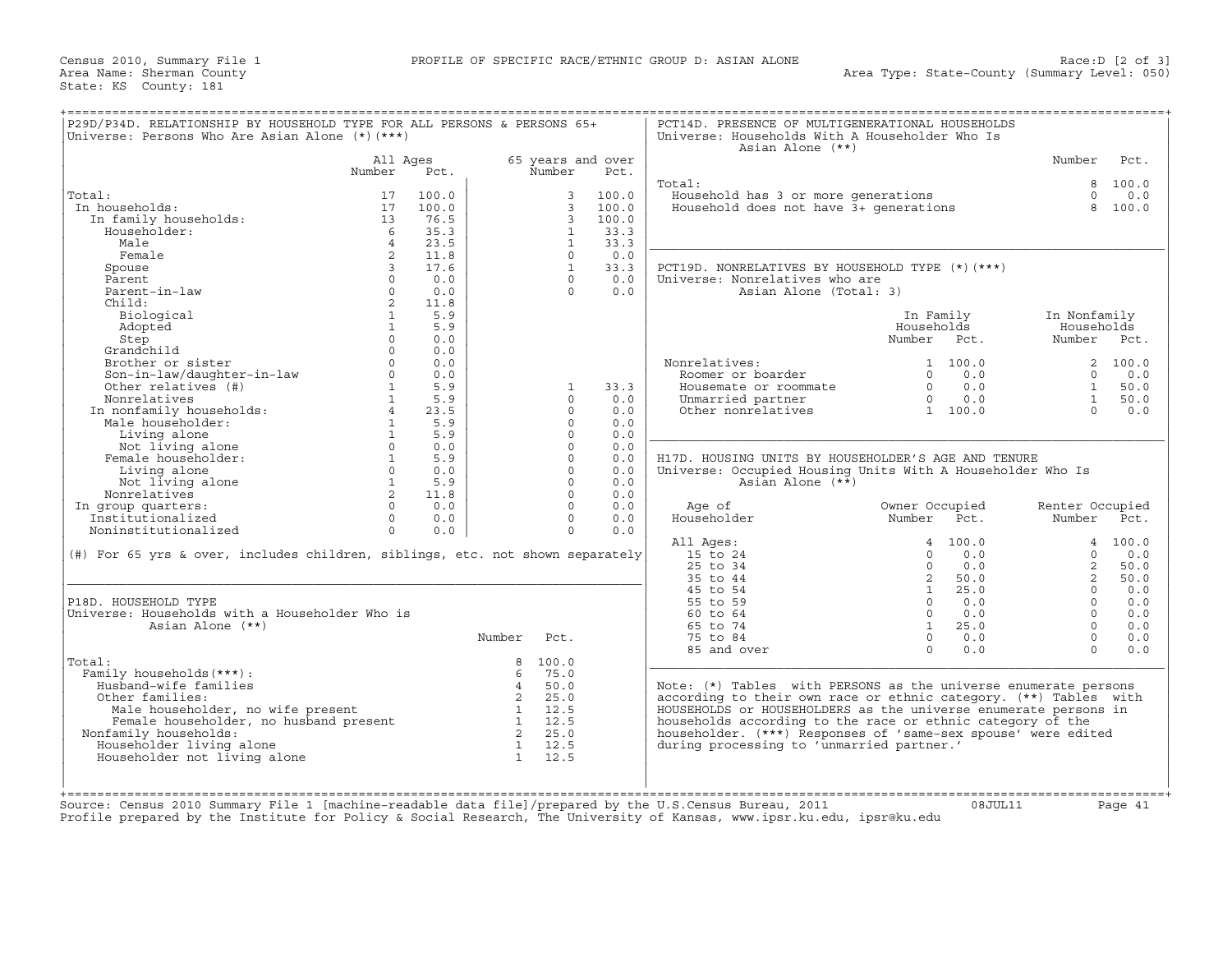| 65 years and over<br>Number<br>All Ages<br>Number<br>Number<br>Pct.<br>Pct.<br>Total:<br>8 100.0<br>Household has 3 or more generations<br>Household does not have 3+ generations<br>$0 \t 0.0$<br>Total:<br>100.0<br>3<br>100.0<br>17<br>$\overline{3}$<br>In households:<br>17<br>100.0<br>100.0<br>8 100.0<br>In family households:<br>13<br>76.5<br>$\mathbf{3}$<br>100.0<br>Householder:<br>-6<br>35.3<br>$\mathbf{1}$<br>33.3<br>$\overline{4}$<br>23.5<br>$\mathbf{1}$<br>33.3<br>Male<br>2<br>Female<br>11.8<br>$\Omega$<br>0.0<br>$\overline{3}$<br>17.6<br>$\mathbf{1}$<br>PCT19D. NONRELATIVES BY HOUSEHOLD TYPE (*) (***)<br>Spouse<br>33.3<br>Parent<br>0.0<br>0.0<br>Universe: Nonrelatives who are<br>$\Omega$<br>$\Omega$<br>Parent-in-law<br>$\circ$<br>0.0<br>$\Omega$<br>0.0<br>Asian Alone (Total: 3)<br>2<br>11.8<br>Child:<br>$\mathbf{1}$<br>5.9<br>Biological<br>In Family<br>In Nonfamily<br>$\mathbf{1}$<br>5.9<br>Households<br>Households<br>Adopted<br>$\Omega$<br>0.0<br>Step<br>Number Pct.<br>Number Pct.<br>Grandchild<br>$\Omega$<br>0.0<br>Brother or sister<br>$\Omega$<br>0.0<br>Nonrelatives:<br>2 100.0<br>1, 100.0<br>Son-in-law/daughter-in-law<br>Other relatives (#)<br>$\circ$<br>0.0<br>$0 \t 0.0$<br>$0 \t 0.0$<br>Roomer or boarder<br>$1 \quad \blacksquare$<br>5.9<br>0.0<br>33.3<br>$\Omega$<br>1<br>Housemate or roommate<br>1<br>Nonrelatives<br>1<br>5.9<br>$\Omega$<br>0.0<br>$0 \t 0.0$<br>1<br>Unmarried partner<br>Nonrelatives<br>In nonfamily households:<br>Male householder:<br>Living alone<br>Not living alone<br>Female householder:<br>$4\overline{ }$<br>23.5<br>$\Omega$<br>0.0<br>Other nonrelatives<br>1 100.0<br>$\Omega$<br>1<br>5.9<br>$\Omega$<br>0.0<br>1<br>$\Omega$<br>5.9<br>0.0<br>$\Omega$<br>0.0<br>$\Omega$<br>0.0<br>Female householder:<br>$1 \quad 5.9$<br>$\Omega$<br>0.0<br>H17D. HOUSING UNITS BY HOUSEHOLDER'S AGE AND TENURE<br>$\Omega$<br>$\Omega$<br>Living alone<br>0.0<br>0.0<br>Universe: Occupied Housing Units With A Householder Who Is<br>1 5.9<br>$\Omega$<br>Not living alone<br>0.0<br>Asian Alone (**)<br>$2^{\circ}$<br>Nonrelatives<br>11.8<br>$\Omega$<br>0.0<br>$\Omega$<br>In group quarters:<br>$\Omega$<br>0.0<br>0.0<br>Age of<br>Owner Occupied<br>Renter Occupied<br>Householder<br>Institutionalized<br>Number Pct.<br>$\Omega$<br>0.0<br>$\Omega$<br>0.0<br>Number Pct.<br>Noninstitutionalized<br>$\circ$<br>$\circ$<br>0.0<br>0.0<br>All Ages:<br>4 100.0<br>4 100.0<br>(#) For 65 yrs & over, includes children, siblings, etc. not shown separately<br>15 to 24<br>0.0<br>$\Omega$<br>0.0<br>$\Omega$<br>25 to 34<br>$\Omega$<br>0.0<br>$\overline{a}$<br>50.0<br>35 to 44<br>$2^{\circ}$<br>50.0<br>$2^{\circ}$<br>50.0<br>25.0<br>45 to 54<br>$\mathbf{1}$<br>$\Omega$<br>0.0<br>55 to 59<br>P18D. HOUSEHOLD TYPE<br>0.0<br>0.0<br>$\Omega$<br>$\Omega$<br>60 to 64<br>0.0<br>Universe: Households with a Householder Who is<br>$\Omega$<br>$\Omega$<br>25.0<br>Asian Alone (**)<br>65 to 74<br>$\mathbf{1}$<br>$\Omega$<br>75 to 84<br>0.0<br>Number<br>Pct.<br>$\Omega$<br>$\Omega$<br>$\Omega$<br>0.0<br>85 and over<br>$\Omega$<br>Total:<br>8<br>100.0<br>Family households (***) :<br>75.0<br>6<br>Husband-wife families<br>50.0<br>$\overline{4}$<br>Note: (*) Tables with PERSONS as the universe enumerate persons<br>$\overline{\phantom{a}}$ 2<br>25.0<br>according to their own race or ethnic category. (**) Tables with<br>Other families:<br>Male householder, no wife present 1 12.5<br>Female householder, no husband present 1 12.5<br>1 12.5<br>HOUSEHOLDS or HOUSEHOLDERS as the universe enumerate persons in<br>Male householder, no wife present<br>households according to the race or ethnic category of the<br>2 25.0<br>Nonfamily households:<br>householder. (***) Responses of 'same-sex spouse' were edited<br>Householder living alone<br>1 12.5<br>during processing to 'unmarried partner.'<br>$\mathbf{1}$<br>Householder not living alone<br>12.5<br>Source: Census 2010 Summary File 1 [machine-readable data file]/prepared by the U.S.Census Bureau, 2011<br>08JUL11<br>Page 41 | P29D/P34D. RELATIONSHIP BY HOUSEHOLD TYPE FOR ALL PERSONS & PERSONS 65+<br>Universe: Persons Who Are Asian Alone (*) (***) |  |  | PCT14D. PRESENCE OF MULTIGENERATIONAL HOUSEHOLDS<br>Universe: Households With A Householder Who Is<br>Asian Alone (**) |  |      |
|------------------------------------------------------------------------------------------------------------------------------------------------------------------------------------------------------------------------------------------------------------------------------------------------------------------------------------------------------------------------------------------------------------------------------------------------------------------------------------------------------------------------------------------------------------------------------------------------------------------------------------------------------------------------------------------------------------------------------------------------------------------------------------------------------------------------------------------------------------------------------------------------------------------------------------------------------------------------------------------------------------------------------------------------------------------------------------------------------------------------------------------------------------------------------------------------------------------------------------------------------------------------------------------------------------------------------------------------------------------------------------------------------------------------------------------------------------------------------------------------------------------------------------------------------------------------------------------------------------------------------------------------------------------------------------------------------------------------------------------------------------------------------------------------------------------------------------------------------------------------------------------------------------------------------------------------------------------------------------------------------------------------------------------------------------------------------------------------------------------------------------------------------------------------------------------------------------------------------------------------------------------------------------------------------------------------------------------------------------------------------------------------------------------------------------------------------------------------------------------------------------------------------------------------------------------------------------------------------------------------------------------------------------------------------------------------------------------------------------------------------------------------------------------------------------------------------------------------------------------------------------------------------------------------------------------------------------------------------------------------------------------------------------------------------------------------------------------------------------------------------------------------------------------------------------------------------------------------------------------------------------------------------------------------------------------------------------------------------------------------------------------------------------------------------------------------------------------------------------------------------------------------------------------------------------------------------------------------------------------------------------------------------------------------------------------------------------------------------------------------------------------------------------------------------------------------------------------------------------------------------------------------------------------------------------------------------------------------------------------------------------------------------------------------------------------------------------------------------------------------------------------------|----------------------------------------------------------------------------------------------------------------------------|--|--|------------------------------------------------------------------------------------------------------------------------|--|------|
|                                                                                                                                                                                                                                                                                                                                                                                                                                                                                                                                                                                                                                                                                                                                                                                                                                                                                                                                                                                                                                                                                                                                                                                                                                                                                                                                                                                                                                                                                                                                                                                                                                                                                                                                                                                                                                                                                                                                                                                                                                                                                                                                                                                                                                                                                                                                                                                                                                                                                                                                                                                                                                                                                                                                                                                                                                                                                                                                                                                                                                                                                                                                                                                                                                                                                                                                                                                                                                                                                                                                                                                                                                                                                                                                                                                                                                                                                                                                                                                                                                                                                                                                                |                                                                                                                            |  |  |                                                                                                                        |  | Pct. |
|                                                                                                                                                                                                                                                                                                                                                                                                                                                                                                                                                                                                                                                                                                                                                                                                                                                                                                                                                                                                                                                                                                                                                                                                                                                                                                                                                                                                                                                                                                                                                                                                                                                                                                                                                                                                                                                                                                                                                                                                                                                                                                                                                                                                                                                                                                                                                                                                                                                                                                                                                                                                                                                                                                                                                                                                                                                                                                                                                                                                                                                                                                                                                                                                                                                                                                                                                                                                                                                                                                                                                                                                                                                                                                                                                                                                                                                                                                                                                                                                                                                                                                                                                |                                                                                                                            |  |  |                                                                                                                        |  |      |
|                                                                                                                                                                                                                                                                                                                                                                                                                                                                                                                                                                                                                                                                                                                                                                                                                                                                                                                                                                                                                                                                                                                                                                                                                                                                                                                                                                                                                                                                                                                                                                                                                                                                                                                                                                                                                                                                                                                                                                                                                                                                                                                                                                                                                                                                                                                                                                                                                                                                                                                                                                                                                                                                                                                                                                                                                                                                                                                                                                                                                                                                                                                                                                                                                                                                                                                                                                                                                                                                                                                                                                                                                                                                                                                                                                                                                                                                                                                                                                                                                                                                                                                                                |                                                                                                                            |  |  |                                                                                                                        |  |      |
|                                                                                                                                                                                                                                                                                                                                                                                                                                                                                                                                                                                                                                                                                                                                                                                                                                                                                                                                                                                                                                                                                                                                                                                                                                                                                                                                                                                                                                                                                                                                                                                                                                                                                                                                                                                                                                                                                                                                                                                                                                                                                                                                                                                                                                                                                                                                                                                                                                                                                                                                                                                                                                                                                                                                                                                                                                                                                                                                                                                                                                                                                                                                                                                                                                                                                                                                                                                                                                                                                                                                                                                                                                                                                                                                                                                                                                                                                                                                                                                                                                                                                                                                                |                                                                                                                            |  |  |                                                                                                                        |  |      |
|                                                                                                                                                                                                                                                                                                                                                                                                                                                                                                                                                                                                                                                                                                                                                                                                                                                                                                                                                                                                                                                                                                                                                                                                                                                                                                                                                                                                                                                                                                                                                                                                                                                                                                                                                                                                                                                                                                                                                                                                                                                                                                                                                                                                                                                                                                                                                                                                                                                                                                                                                                                                                                                                                                                                                                                                                                                                                                                                                                                                                                                                                                                                                                                                                                                                                                                                                                                                                                                                                                                                                                                                                                                                                                                                                                                                                                                                                                                                                                                                                                                                                                                                                |                                                                                                                            |  |  |                                                                                                                        |  |      |
|                                                                                                                                                                                                                                                                                                                                                                                                                                                                                                                                                                                                                                                                                                                                                                                                                                                                                                                                                                                                                                                                                                                                                                                                                                                                                                                                                                                                                                                                                                                                                                                                                                                                                                                                                                                                                                                                                                                                                                                                                                                                                                                                                                                                                                                                                                                                                                                                                                                                                                                                                                                                                                                                                                                                                                                                                                                                                                                                                                                                                                                                                                                                                                                                                                                                                                                                                                                                                                                                                                                                                                                                                                                                                                                                                                                                                                                                                                                                                                                                                                                                                                                                                |                                                                                                                            |  |  |                                                                                                                        |  |      |
|                                                                                                                                                                                                                                                                                                                                                                                                                                                                                                                                                                                                                                                                                                                                                                                                                                                                                                                                                                                                                                                                                                                                                                                                                                                                                                                                                                                                                                                                                                                                                                                                                                                                                                                                                                                                                                                                                                                                                                                                                                                                                                                                                                                                                                                                                                                                                                                                                                                                                                                                                                                                                                                                                                                                                                                                                                                                                                                                                                                                                                                                                                                                                                                                                                                                                                                                                                                                                                                                                                                                                                                                                                                                                                                                                                                                                                                                                                                                                                                                                                                                                                                                                |                                                                                                                            |  |  |                                                                                                                        |  |      |
|                                                                                                                                                                                                                                                                                                                                                                                                                                                                                                                                                                                                                                                                                                                                                                                                                                                                                                                                                                                                                                                                                                                                                                                                                                                                                                                                                                                                                                                                                                                                                                                                                                                                                                                                                                                                                                                                                                                                                                                                                                                                                                                                                                                                                                                                                                                                                                                                                                                                                                                                                                                                                                                                                                                                                                                                                                                                                                                                                                                                                                                                                                                                                                                                                                                                                                                                                                                                                                                                                                                                                                                                                                                                                                                                                                                                                                                                                                                                                                                                                                                                                                                                                |                                                                                                                            |  |  |                                                                                                                        |  |      |
|                                                                                                                                                                                                                                                                                                                                                                                                                                                                                                                                                                                                                                                                                                                                                                                                                                                                                                                                                                                                                                                                                                                                                                                                                                                                                                                                                                                                                                                                                                                                                                                                                                                                                                                                                                                                                                                                                                                                                                                                                                                                                                                                                                                                                                                                                                                                                                                                                                                                                                                                                                                                                                                                                                                                                                                                                                                                                                                                                                                                                                                                                                                                                                                                                                                                                                                                                                                                                                                                                                                                                                                                                                                                                                                                                                                                                                                                                                                                                                                                                                                                                                                                                |                                                                                                                            |  |  |                                                                                                                        |  |      |
|                                                                                                                                                                                                                                                                                                                                                                                                                                                                                                                                                                                                                                                                                                                                                                                                                                                                                                                                                                                                                                                                                                                                                                                                                                                                                                                                                                                                                                                                                                                                                                                                                                                                                                                                                                                                                                                                                                                                                                                                                                                                                                                                                                                                                                                                                                                                                                                                                                                                                                                                                                                                                                                                                                                                                                                                                                                                                                                                                                                                                                                                                                                                                                                                                                                                                                                                                                                                                                                                                                                                                                                                                                                                                                                                                                                                                                                                                                                                                                                                                                                                                                                                                |                                                                                                                            |  |  |                                                                                                                        |  |      |
|                                                                                                                                                                                                                                                                                                                                                                                                                                                                                                                                                                                                                                                                                                                                                                                                                                                                                                                                                                                                                                                                                                                                                                                                                                                                                                                                                                                                                                                                                                                                                                                                                                                                                                                                                                                                                                                                                                                                                                                                                                                                                                                                                                                                                                                                                                                                                                                                                                                                                                                                                                                                                                                                                                                                                                                                                                                                                                                                                                                                                                                                                                                                                                                                                                                                                                                                                                                                                                                                                                                                                                                                                                                                                                                                                                                                                                                                                                                                                                                                                                                                                                                                                |                                                                                                                            |  |  |                                                                                                                        |  |      |
|                                                                                                                                                                                                                                                                                                                                                                                                                                                                                                                                                                                                                                                                                                                                                                                                                                                                                                                                                                                                                                                                                                                                                                                                                                                                                                                                                                                                                                                                                                                                                                                                                                                                                                                                                                                                                                                                                                                                                                                                                                                                                                                                                                                                                                                                                                                                                                                                                                                                                                                                                                                                                                                                                                                                                                                                                                                                                                                                                                                                                                                                                                                                                                                                                                                                                                                                                                                                                                                                                                                                                                                                                                                                                                                                                                                                                                                                                                                                                                                                                                                                                                                                                |                                                                                                                            |  |  |                                                                                                                        |  |      |
|                                                                                                                                                                                                                                                                                                                                                                                                                                                                                                                                                                                                                                                                                                                                                                                                                                                                                                                                                                                                                                                                                                                                                                                                                                                                                                                                                                                                                                                                                                                                                                                                                                                                                                                                                                                                                                                                                                                                                                                                                                                                                                                                                                                                                                                                                                                                                                                                                                                                                                                                                                                                                                                                                                                                                                                                                                                                                                                                                                                                                                                                                                                                                                                                                                                                                                                                                                                                                                                                                                                                                                                                                                                                                                                                                                                                                                                                                                                                                                                                                                                                                                                                                |                                                                                                                            |  |  |                                                                                                                        |  |      |
|                                                                                                                                                                                                                                                                                                                                                                                                                                                                                                                                                                                                                                                                                                                                                                                                                                                                                                                                                                                                                                                                                                                                                                                                                                                                                                                                                                                                                                                                                                                                                                                                                                                                                                                                                                                                                                                                                                                                                                                                                                                                                                                                                                                                                                                                                                                                                                                                                                                                                                                                                                                                                                                                                                                                                                                                                                                                                                                                                                                                                                                                                                                                                                                                                                                                                                                                                                                                                                                                                                                                                                                                                                                                                                                                                                                                                                                                                                                                                                                                                                                                                                                                                |                                                                                                                            |  |  |                                                                                                                        |  |      |
|                                                                                                                                                                                                                                                                                                                                                                                                                                                                                                                                                                                                                                                                                                                                                                                                                                                                                                                                                                                                                                                                                                                                                                                                                                                                                                                                                                                                                                                                                                                                                                                                                                                                                                                                                                                                                                                                                                                                                                                                                                                                                                                                                                                                                                                                                                                                                                                                                                                                                                                                                                                                                                                                                                                                                                                                                                                                                                                                                                                                                                                                                                                                                                                                                                                                                                                                                                                                                                                                                                                                                                                                                                                                                                                                                                                                                                                                                                                                                                                                                                                                                                                                                |                                                                                                                            |  |  |                                                                                                                        |  |      |
|                                                                                                                                                                                                                                                                                                                                                                                                                                                                                                                                                                                                                                                                                                                                                                                                                                                                                                                                                                                                                                                                                                                                                                                                                                                                                                                                                                                                                                                                                                                                                                                                                                                                                                                                                                                                                                                                                                                                                                                                                                                                                                                                                                                                                                                                                                                                                                                                                                                                                                                                                                                                                                                                                                                                                                                                                                                                                                                                                                                                                                                                                                                                                                                                                                                                                                                                                                                                                                                                                                                                                                                                                                                                                                                                                                                                                                                                                                                                                                                                                                                                                                                                                |                                                                                                                            |  |  |                                                                                                                        |  |      |
|                                                                                                                                                                                                                                                                                                                                                                                                                                                                                                                                                                                                                                                                                                                                                                                                                                                                                                                                                                                                                                                                                                                                                                                                                                                                                                                                                                                                                                                                                                                                                                                                                                                                                                                                                                                                                                                                                                                                                                                                                                                                                                                                                                                                                                                                                                                                                                                                                                                                                                                                                                                                                                                                                                                                                                                                                                                                                                                                                                                                                                                                                                                                                                                                                                                                                                                                                                                                                                                                                                                                                                                                                                                                                                                                                                                                                                                                                                                                                                                                                                                                                                                                                |                                                                                                                            |  |  |                                                                                                                        |  |      |
|                                                                                                                                                                                                                                                                                                                                                                                                                                                                                                                                                                                                                                                                                                                                                                                                                                                                                                                                                                                                                                                                                                                                                                                                                                                                                                                                                                                                                                                                                                                                                                                                                                                                                                                                                                                                                                                                                                                                                                                                                                                                                                                                                                                                                                                                                                                                                                                                                                                                                                                                                                                                                                                                                                                                                                                                                                                                                                                                                                                                                                                                                                                                                                                                                                                                                                                                                                                                                                                                                                                                                                                                                                                                                                                                                                                                                                                                                                                                                                                                                                                                                                                                                |                                                                                                                            |  |  |                                                                                                                        |  |      |
|                                                                                                                                                                                                                                                                                                                                                                                                                                                                                                                                                                                                                                                                                                                                                                                                                                                                                                                                                                                                                                                                                                                                                                                                                                                                                                                                                                                                                                                                                                                                                                                                                                                                                                                                                                                                                                                                                                                                                                                                                                                                                                                                                                                                                                                                                                                                                                                                                                                                                                                                                                                                                                                                                                                                                                                                                                                                                                                                                                                                                                                                                                                                                                                                                                                                                                                                                                                                                                                                                                                                                                                                                                                                                                                                                                                                                                                                                                                                                                                                                                                                                                                                                |                                                                                                                            |  |  |                                                                                                                        |  |      |
|                                                                                                                                                                                                                                                                                                                                                                                                                                                                                                                                                                                                                                                                                                                                                                                                                                                                                                                                                                                                                                                                                                                                                                                                                                                                                                                                                                                                                                                                                                                                                                                                                                                                                                                                                                                                                                                                                                                                                                                                                                                                                                                                                                                                                                                                                                                                                                                                                                                                                                                                                                                                                                                                                                                                                                                                                                                                                                                                                                                                                                                                                                                                                                                                                                                                                                                                                                                                                                                                                                                                                                                                                                                                                                                                                                                                                                                                                                                                                                                                                                                                                                                                                |                                                                                                                            |  |  |                                                                                                                        |  |      |
|                                                                                                                                                                                                                                                                                                                                                                                                                                                                                                                                                                                                                                                                                                                                                                                                                                                                                                                                                                                                                                                                                                                                                                                                                                                                                                                                                                                                                                                                                                                                                                                                                                                                                                                                                                                                                                                                                                                                                                                                                                                                                                                                                                                                                                                                                                                                                                                                                                                                                                                                                                                                                                                                                                                                                                                                                                                                                                                                                                                                                                                                                                                                                                                                                                                                                                                                                                                                                                                                                                                                                                                                                                                                                                                                                                                                                                                                                                                                                                                                                                                                                                                                                |                                                                                                                            |  |  |                                                                                                                        |  | 50.0 |
|                                                                                                                                                                                                                                                                                                                                                                                                                                                                                                                                                                                                                                                                                                                                                                                                                                                                                                                                                                                                                                                                                                                                                                                                                                                                                                                                                                                                                                                                                                                                                                                                                                                                                                                                                                                                                                                                                                                                                                                                                                                                                                                                                                                                                                                                                                                                                                                                                                                                                                                                                                                                                                                                                                                                                                                                                                                                                                                                                                                                                                                                                                                                                                                                                                                                                                                                                                                                                                                                                                                                                                                                                                                                                                                                                                                                                                                                                                                                                                                                                                                                                                                                                |                                                                                                                            |  |  |                                                                                                                        |  | 50.0 |
|                                                                                                                                                                                                                                                                                                                                                                                                                                                                                                                                                                                                                                                                                                                                                                                                                                                                                                                                                                                                                                                                                                                                                                                                                                                                                                                                                                                                                                                                                                                                                                                                                                                                                                                                                                                                                                                                                                                                                                                                                                                                                                                                                                                                                                                                                                                                                                                                                                                                                                                                                                                                                                                                                                                                                                                                                                                                                                                                                                                                                                                                                                                                                                                                                                                                                                                                                                                                                                                                                                                                                                                                                                                                                                                                                                                                                                                                                                                                                                                                                                                                                                                                                |                                                                                                                            |  |  |                                                                                                                        |  | 0.0  |
|                                                                                                                                                                                                                                                                                                                                                                                                                                                                                                                                                                                                                                                                                                                                                                                                                                                                                                                                                                                                                                                                                                                                                                                                                                                                                                                                                                                                                                                                                                                                                                                                                                                                                                                                                                                                                                                                                                                                                                                                                                                                                                                                                                                                                                                                                                                                                                                                                                                                                                                                                                                                                                                                                                                                                                                                                                                                                                                                                                                                                                                                                                                                                                                                                                                                                                                                                                                                                                                                                                                                                                                                                                                                                                                                                                                                                                                                                                                                                                                                                                                                                                                                                |                                                                                                                            |  |  |                                                                                                                        |  |      |
|                                                                                                                                                                                                                                                                                                                                                                                                                                                                                                                                                                                                                                                                                                                                                                                                                                                                                                                                                                                                                                                                                                                                                                                                                                                                                                                                                                                                                                                                                                                                                                                                                                                                                                                                                                                                                                                                                                                                                                                                                                                                                                                                                                                                                                                                                                                                                                                                                                                                                                                                                                                                                                                                                                                                                                                                                                                                                                                                                                                                                                                                                                                                                                                                                                                                                                                                                                                                                                                                                                                                                                                                                                                                                                                                                                                                                                                                                                                                                                                                                                                                                                                                                |                                                                                                                            |  |  |                                                                                                                        |  |      |
|                                                                                                                                                                                                                                                                                                                                                                                                                                                                                                                                                                                                                                                                                                                                                                                                                                                                                                                                                                                                                                                                                                                                                                                                                                                                                                                                                                                                                                                                                                                                                                                                                                                                                                                                                                                                                                                                                                                                                                                                                                                                                                                                                                                                                                                                                                                                                                                                                                                                                                                                                                                                                                                                                                                                                                                                                                                                                                                                                                                                                                                                                                                                                                                                                                                                                                                                                                                                                                                                                                                                                                                                                                                                                                                                                                                                                                                                                                                                                                                                                                                                                                                                                |                                                                                                                            |  |  |                                                                                                                        |  |      |
|                                                                                                                                                                                                                                                                                                                                                                                                                                                                                                                                                                                                                                                                                                                                                                                                                                                                                                                                                                                                                                                                                                                                                                                                                                                                                                                                                                                                                                                                                                                                                                                                                                                                                                                                                                                                                                                                                                                                                                                                                                                                                                                                                                                                                                                                                                                                                                                                                                                                                                                                                                                                                                                                                                                                                                                                                                                                                                                                                                                                                                                                                                                                                                                                                                                                                                                                                                                                                                                                                                                                                                                                                                                                                                                                                                                                                                                                                                                                                                                                                                                                                                                                                |                                                                                                                            |  |  |                                                                                                                        |  |      |
|                                                                                                                                                                                                                                                                                                                                                                                                                                                                                                                                                                                                                                                                                                                                                                                                                                                                                                                                                                                                                                                                                                                                                                                                                                                                                                                                                                                                                                                                                                                                                                                                                                                                                                                                                                                                                                                                                                                                                                                                                                                                                                                                                                                                                                                                                                                                                                                                                                                                                                                                                                                                                                                                                                                                                                                                                                                                                                                                                                                                                                                                                                                                                                                                                                                                                                                                                                                                                                                                                                                                                                                                                                                                                                                                                                                                                                                                                                                                                                                                                                                                                                                                                |                                                                                                                            |  |  |                                                                                                                        |  |      |
|                                                                                                                                                                                                                                                                                                                                                                                                                                                                                                                                                                                                                                                                                                                                                                                                                                                                                                                                                                                                                                                                                                                                                                                                                                                                                                                                                                                                                                                                                                                                                                                                                                                                                                                                                                                                                                                                                                                                                                                                                                                                                                                                                                                                                                                                                                                                                                                                                                                                                                                                                                                                                                                                                                                                                                                                                                                                                                                                                                                                                                                                                                                                                                                                                                                                                                                                                                                                                                                                                                                                                                                                                                                                                                                                                                                                                                                                                                                                                                                                                                                                                                                                                |                                                                                                                            |  |  |                                                                                                                        |  |      |
|                                                                                                                                                                                                                                                                                                                                                                                                                                                                                                                                                                                                                                                                                                                                                                                                                                                                                                                                                                                                                                                                                                                                                                                                                                                                                                                                                                                                                                                                                                                                                                                                                                                                                                                                                                                                                                                                                                                                                                                                                                                                                                                                                                                                                                                                                                                                                                                                                                                                                                                                                                                                                                                                                                                                                                                                                                                                                                                                                                                                                                                                                                                                                                                                                                                                                                                                                                                                                                                                                                                                                                                                                                                                                                                                                                                                                                                                                                                                                                                                                                                                                                                                                |                                                                                                                            |  |  |                                                                                                                        |  |      |
|                                                                                                                                                                                                                                                                                                                                                                                                                                                                                                                                                                                                                                                                                                                                                                                                                                                                                                                                                                                                                                                                                                                                                                                                                                                                                                                                                                                                                                                                                                                                                                                                                                                                                                                                                                                                                                                                                                                                                                                                                                                                                                                                                                                                                                                                                                                                                                                                                                                                                                                                                                                                                                                                                                                                                                                                                                                                                                                                                                                                                                                                                                                                                                                                                                                                                                                                                                                                                                                                                                                                                                                                                                                                                                                                                                                                                                                                                                                                                                                                                                                                                                                                                |                                                                                                                            |  |  |                                                                                                                        |  |      |
|                                                                                                                                                                                                                                                                                                                                                                                                                                                                                                                                                                                                                                                                                                                                                                                                                                                                                                                                                                                                                                                                                                                                                                                                                                                                                                                                                                                                                                                                                                                                                                                                                                                                                                                                                                                                                                                                                                                                                                                                                                                                                                                                                                                                                                                                                                                                                                                                                                                                                                                                                                                                                                                                                                                                                                                                                                                                                                                                                                                                                                                                                                                                                                                                                                                                                                                                                                                                                                                                                                                                                                                                                                                                                                                                                                                                                                                                                                                                                                                                                                                                                                                                                |                                                                                                                            |  |  |                                                                                                                        |  |      |
|                                                                                                                                                                                                                                                                                                                                                                                                                                                                                                                                                                                                                                                                                                                                                                                                                                                                                                                                                                                                                                                                                                                                                                                                                                                                                                                                                                                                                                                                                                                                                                                                                                                                                                                                                                                                                                                                                                                                                                                                                                                                                                                                                                                                                                                                                                                                                                                                                                                                                                                                                                                                                                                                                                                                                                                                                                                                                                                                                                                                                                                                                                                                                                                                                                                                                                                                                                                                                                                                                                                                                                                                                                                                                                                                                                                                                                                                                                                                                                                                                                                                                                                                                |                                                                                                                            |  |  |                                                                                                                        |  |      |
|                                                                                                                                                                                                                                                                                                                                                                                                                                                                                                                                                                                                                                                                                                                                                                                                                                                                                                                                                                                                                                                                                                                                                                                                                                                                                                                                                                                                                                                                                                                                                                                                                                                                                                                                                                                                                                                                                                                                                                                                                                                                                                                                                                                                                                                                                                                                                                                                                                                                                                                                                                                                                                                                                                                                                                                                                                                                                                                                                                                                                                                                                                                                                                                                                                                                                                                                                                                                                                                                                                                                                                                                                                                                                                                                                                                                                                                                                                                                                                                                                                                                                                                                                |                                                                                                                            |  |  |                                                                                                                        |  |      |
|                                                                                                                                                                                                                                                                                                                                                                                                                                                                                                                                                                                                                                                                                                                                                                                                                                                                                                                                                                                                                                                                                                                                                                                                                                                                                                                                                                                                                                                                                                                                                                                                                                                                                                                                                                                                                                                                                                                                                                                                                                                                                                                                                                                                                                                                                                                                                                                                                                                                                                                                                                                                                                                                                                                                                                                                                                                                                                                                                                                                                                                                                                                                                                                                                                                                                                                                                                                                                                                                                                                                                                                                                                                                                                                                                                                                                                                                                                                                                                                                                                                                                                                                                |                                                                                                                            |  |  |                                                                                                                        |  |      |
|                                                                                                                                                                                                                                                                                                                                                                                                                                                                                                                                                                                                                                                                                                                                                                                                                                                                                                                                                                                                                                                                                                                                                                                                                                                                                                                                                                                                                                                                                                                                                                                                                                                                                                                                                                                                                                                                                                                                                                                                                                                                                                                                                                                                                                                                                                                                                                                                                                                                                                                                                                                                                                                                                                                                                                                                                                                                                                                                                                                                                                                                                                                                                                                                                                                                                                                                                                                                                                                                                                                                                                                                                                                                                                                                                                                                                                                                                                                                                                                                                                                                                                                                                |                                                                                                                            |  |  |                                                                                                                        |  |      |
|                                                                                                                                                                                                                                                                                                                                                                                                                                                                                                                                                                                                                                                                                                                                                                                                                                                                                                                                                                                                                                                                                                                                                                                                                                                                                                                                                                                                                                                                                                                                                                                                                                                                                                                                                                                                                                                                                                                                                                                                                                                                                                                                                                                                                                                                                                                                                                                                                                                                                                                                                                                                                                                                                                                                                                                                                                                                                                                                                                                                                                                                                                                                                                                                                                                                                                                                                                                                                                                                                                                                                                                                                                                                                                                                                                                                                                                                                                                                                                                                                                                                                                                                                |                                                                                                                            |  |  |                                                                                                                        |  |      |
|                                                                                                                                                                                                                                                                                                                                                                                                                                                                                                                                                                                                                                                                                                                                                                                                                                                                                                                                                                                                                                                                                                                                                                                                                                                                                                                                                                                                                                                                                                                                                                                                                                                                                                                                                                                                                                                                                                                                                                                                                                                                                                                                                                                                                                                                                                                                                                                                                                                                                                                                                                                                                                                                                                                                                                                                                                                                                                                                                                                                                                                                                                                                                                                                                                                                                                                                                                                                                                                                                                                                                                                                                                                                                                                                                                                                                                                                                                                                                                                                                                                                                                                                                |                                                                                                                            |  |  |                                                                                                                        |  |      |
|                                                                                                                                                                                                                                                                                                                                                                                                                                                                                                                                                                                                                                                                                                                                                                                                                                                                                                                                                                                                                                                                                                                                                                                                                                                                                                                                                                                                                                                                                                                                                                                                                                                                                                                                                                                                                                                                                                                                                                                                                                                                                                                                                                                                                                                                                                                                                                                                                                                                                                                                                                                                                                                                                                                                                                                                                                                                                                                                                                                                                                                                                                                                                                                                                                                                                                                                                                                                                                                                                                                                                                                                                                                                                                                                                                                                                                                                                                                                                                                                                                                                                                                                                |                                                                                                                            |  |  |                                                                                                                        |  |      |
|                                                                                                                                                                                                                                                                                                                                                                                                                                                                                                                                                                                                                                                                                                                                                                                                                                                                                                                                                                                                                                                                                                                                                                                                                                                                                                                                                                                                                                                                                                                                                                                                                                                                                                                                                                                                                                                                                                                                                                                                                                                                                                                                                                                                                                                                                                                                                                                                                                                                                                                                                                                                                                                                                                                                                                                                                                                                                                                                                                                                                                                                                                                                                                                                                                                                                                                                                                                                                                                                                                                                                                                                                                                                                                                                                                                                                                                                                                                                                                                                                                                                                                                                                |                                                                                                                            |  |  |                                                                                                                        |  |      |
|                                                                                                                                                                                                                                                                                                                                                                                                                                                                                                                                                                                                                                                                                                                                                                                                                                                                                                                                                                                                                                                                                                                                                                                                                                                                                                                                                                                                                                                                                                                                                                                                                                                                                                                                                                                                                                                                                                                                                                                                                                                                                                                                                                                                                                                                                                                                                                                                                                                                                                                                                                                                                                                                                                                                                                                                                                                                                                                                                                                                                                                                                                                                                                                                                                                                                                                                                                                                                                                                                                                                                                                                                                                                                                                                                                                                                                                                                                                                                                                                                                                                                                                                                |                                                                                                                            |  |  |                                                                                                                        |  | 0.0  |
|                                                                                                                                                                                                                                                                                                                                                                                                                                                                                                                                                                                                                                                                                                                                                                                                                                                                                                                                                                                                                                                                                                                                                                                                                                                                                                                                                                                                                                                                                                                                                                                                                                                                                                                                                                                                                                                                                                                                                                                                                                                                                                                                                                                                                                                                                                                                                                                                                                                                                                                                                                                                                                                                                                                                                                                                                                                                                                                                                                                                                                                                                                                                                                                                                                                                                                                                                                                                                                                                                                                                                                                                                                                                                                                                                                                                                                                                                                                                                                                                                                                                                                                                                |                                                                                                                            |  |  |                                                                                                                        |  | 0.0  |
|                                                                                                                                                                                                                                                                                                                                                                                                                                                                                                                                                                                                                                                                                                                                                                                                                                                                                                                                                                                                                                                                                                                                                                                                                                                                                                                                                                                                                                                                                                                                                                                                                                                                                                                                                                                                                                                                                                                                                                                                                                                                                                                                                                                                                                                                                                                                                                                                                                                                                                                                                                                                                                                                                                                                                                                                                                                                                                                                                                                                                                                                                                                                                                                                                                                                                                                                                                                                                                                                                                                                                                                                                                                                                                                                                                                                                                                                                                                                                                                                                                                                                                                                                |                                                                                                                            |  |  |                                                                                                                        |  | 0.0  |
|                                                                                                                                                                                                                                                                                                                                                                                                                                                                                                                                                                                                                                                                                                                                                                                                                                                                                                                                                                                                                                                                                                                                                                                                                                                                                                                                                                                                                                                                                                                                                                                                                                                                                                                                                                                                                                                                                                                                                                                                                                                                                                                                                                                                                                                                                                                                                                                                                                                                                                                                                                                                                                                                                                                                                                                                                                                                                                                                                                                                                                                                                                                                                                                                                                                                                                                                                                                                                                                                                                                                                                                                                                                                                                                                                                                                                                                                                                                                                                                                                                                                                                                                                |                                                                                                                            |  |  |                                                                                                                        |  | 0.0  |
|                                                                                                                                                                                                                                                                                                                                                                                                                                                                                                                                                                                                                                                                                                                                                                                                                                                                                                                                                                                                                                                                                                                                                                                                                                                                                                                                                                                                                                                                                                                                                                                                                                                                                                                                                                                                                                                                                                                                                                                                                                                                                                                                                                                                                                                                                                                                                                                                                                                                                                                                                                                                                                                                                                                                                                                                                                                                                                                                                                                                                                                                                                                                                                                                                                                                                                                                                                                                                                                                                                                                                                                                                                                                                                                                                                                                                                                                                                                                                                                                                                                                                                                                                |                                                                                                                            |  |  |                                                                                                                        |  |      |
|                                                                                                                                                                                                                                                                                                                                                                                                                                                                                                                                                                                                                                                                                                                                                                                                                                                                                                                                                                                                                                                                                                                                                                                                                                                                                                                                                                                                                                                                                                                                                                                                                                                                                                                                                                                                                                                                                                                                                                                                                                                                                                                                                                                                                                                                                                                                                                                                                                                                                                                                                                                                                                                                                                                                                                                                                                                                                                                                                                                                                                                                                                                                                                                                                                                                                                                                                                                                                                                                                                                                                                                                                                                                                                                                                                                                                                                                                                                                                                                                                                                                                                                                                |                                                                                                                            |  |  |                                                                                                                        |  |      |
|                                                                                                                                                                                                                                                                                                                                                                                                                                                                                                                                                                                                                                                                                                                                                                                                                                                                                                                                                                                                                                                                                                                                                                                                                                                                                                                                                                                                                                                                                                                                                                                                                                                                                                                                                                                                                                                                                                                                                                                                                                                                                                                                                                                                                                                                                                                                                                                                                                                                                                                                                                                                                                                                                                                                                                                                                                                                                                                                                                                                                                                                                                                                                                                                                                                                                                                                                                                                                                                                                                                                                                                                                                                                                                                                                                                                                                                                                                                                                                                                                                                                                                                                                |                                                                                                                            |  |  |                                                                                                                        |  |      |
|                                                                                                                                                                                                                                                                                                                                                                                                                                                                                                                                                                                                                                                                                                                                                                                                                                                                                                                                                                                                                                                                                                                                                                                                                                                                                                                                                                                                                                                                                                                                                                                                                                                                                                                                                                                                                                                                                                                                                                                                                                                                                                                                                                                                                                                                                                                                                                                                                                                                                                                                                                                                                                                                                                                                                                                                                                                                                                                                                                                                                                                                                                                                                                                                                                                                                                                                                                                                                                                                                                                                                                                                                                                                                                                                                                                                                                                                                                                                                                                                                                                                                                                                                |                                                                                                                            |  |  |                                                                                                                        |  |      |
|                                                                                                                                                                                                                                                                                                                                                                                                                                                                                                                                                                                                                                                                                                                                                                                                                                                                                                                                                                                                                                                                                                                                                                                                                                                                                                                                                                                                                                                                                                                                                                                                                                                                                                                                                                                                                                                                                                                                                                                                                                                                                                                                                                                                                                                                                                                                                                                                                                                                                                                                                                                                                                                                                                                                                                                                                                                                                                                                                                                                                                                                                                                                                                                                                                                                                                                                                                                                                                                                                                                                                                                                                                                                                                                                                                                                                                                                                                                                                                                                                                                                                                                                                |                                                                                                                            |  |  |                                                                                                                        |  |      |
|                                                                                                                                                                                                                                                                                                                                                                                                                                                                                                                                                                                                                                                                                                                                                                                                                                                                                                                                                                                                                                                                                                                                                                                                                                                                                                                                                                                                                                                                                                                                                                                                                                                                                                                                                                                                                                                                                                                                                                                                                                                                                                                                                                                                                                                                                                                                                                                                                                                                                                                                                                                                                                                                                                                                                                                                                                                                                                                                                                                                                                                                                                                                                                                                                                                                                                                                                                                                                                                                                                                                                                                                                                                                                                                                                                                                                                                                                                                                                                                                                                                                                                                                                |                                                                                                                            |  |  |                                                                                                                        |  |      |
|                                                                                                                                                                                                                                                                                                                                                                                                                                                                                                                                                                                                                                                                                                                                                                                                                                                                                                                                                                                                                                                                                                                                                                                                                                                                                                                                                                                                                                                                                                                                                                                                                                                                                                                                                                                                                                                                                                                                                                                                                                                                                                                                                                                                                                                                                                                                                                                                                                                                                                                                                                                                                                                                                                                                                                                                                                                                                                                                                                                                                                                                                                                                                                                                                                                                                                                                                                                                                                                                                                                                                                                                                                                                                                                                                                                                                                                                                                                                                                                                                                                                                                                                                |                                                                                                                            |  |  |                                                                                                                        |  |      |
|                                                                                                                                                                                                                                                                                                                                                                                                                                                                                                                                                                                                                                                                                                                                                                                                                                                                                                                                                                                                                                                                                                                                                                                                                                                                                                                                                                                                                                                                                                                                                                                                                                                                                                                                                                                                                                                                                                                                                                                                                                                                                                                                                                                                                                                                                                                                                                                                                                                                                                                                                                                                                                                                                                                                                                                                                                                                                                                                                                                                                                                                                                                                                                                                                                                                                                                                                                                                                                                                                                                                                                                                                                                                                                                                                                                                                                                                                                                                                                                                                                                                                                                                                |                                                                                                                            |  |  |                                                                                                                        |  |      |
|                                                                                                                                                                                                                                                                                                                                                                                                                                                                                                                                                                                                                                                                                                                                                                                                                                                                                                                                                                                                                                                                                                                                                                                                                                                                                                                                                                                                                                                                                                                                                                                                                                                                                                                                                                                                                                                                                                                                                                                                                                                                                                                                                                                                                                                                                                                                                                                                                                                                                                                                                                                                                                                                                                                                                                                                                                                                                                                                                                                                                                                                                                                                                                                                                                                                                                                                                                                                                                                                                                                                                                                                                                                                                                                                                                                                                                                                                                                                                                                                                                                                                                                                                |                                                                                                                            |  |  |                                                                                                                        |  |      |
|                                                                                                                                                                                                                                                                                                                                                                                                                                                                                                                                                                                                                                                                                                                                                                                                                                                                                                                                                                                                                                                                                                                                                                                                                                                                                                                                                                                                                                                                                                                                                                                                                                                                                                                                                                                                                                                                                                                                                                                                                                                                                                                                                                                                                                                                                                                                                                                                                                                                                                                                                                                                                                                                                                                                                                                                                                                                                                                                                                                                                                                                                                                                                                                                                                                                                                                                                                                                                                                                                                                                                                                                                                                                                                                                                                                                                                                                                                                                                                                                                                                                                                                                                |                                                                                                                            |  |  |                                                                                                                        |  |      |
|                                                                                                                                                                                                                                                                                                                                                                                                                                                                                                                                                                                                                                                                                                                                                                                                                                                                                                                                                                                                                                                                                                                                                                                                                                                                                                                                                                                                                                                                                                                                                                                                                                                                                                                                                                                                                                                                                                                                                                                                                                                                                                                                                                                                                                                                                                                                                                                                                                                                                                                                                                                                                                                                                                                                                                                                                                                                                                                                                                                                                                                                                                                                                                                                                                                                                                                                                                                                                                                                                                                                                                                                                                                                                                                                                                                                                                                                                                                                                                                                                                                                                                                                                |                                                                                                                            |  |  |                                                                                                                        |  |      |
|                                                                                                                                                                                                                                                                                                                                                                                                                                                                                                                                                                                                                                                                                                                                                                                                                                                                                                                                                                                                                                                                                                                                                                                                                                                                                                                                                                                                                                                                                                                                                                                                                                                                                                                                                                                                                                                                                                                                                                                                                                                                                                                                                                                                                                                                                                                                                                                                                                                                                                                                                                                                                                                                                                                                                                                                                                                                                                                                                                                                                                                                                                                                                                                                                                                                                                                                                                                                                                                                                                                                                                                                                                                                                                                                                                                                                                                                                                                                                                                                                                                                                                                                                |                                                                                                                            |  |  |                                                                                                                        |  |      |
|                                                                                                                                                                                                                                                                                                                                                                                                                                                                                                                                                                                                                                                                                                                                                                                                                                                                                                                                                                                                                                                                                                                                                                                                                                                                                                                                                                                                                                                                                                                                                                                                                                                                                                                                                                                                                                                                                                                                                                                                                                                                                                                                                                                                                                                                                                                                                                                                                                                                                                                                                                                                                                                                                                                                                                                                                                                                                                                                                                                                                                                                                                                                                                                                                                                                                                                                                                                                                                                                                                                                                                                                                                                                                                                                                                                                                                                                                                                                                                                                                                                                                                                                                |                                                                                                                            |  |  |                                                                                                                        |  |      |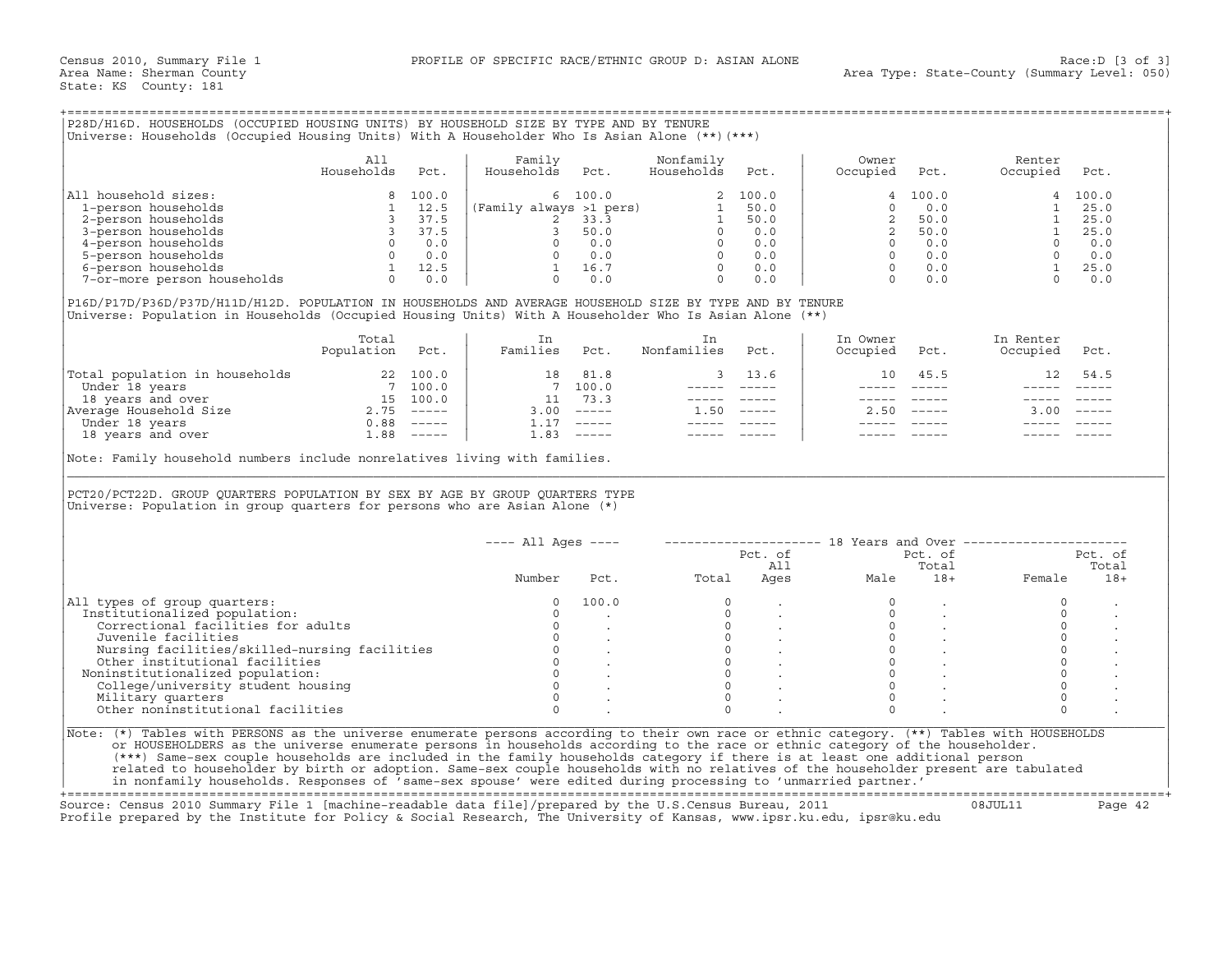|  | P28D/H16D. HOUSEHOLDS (OCCUPIED HOUSING UNITS) BY HOUSEHOLD SIZE BY TYPE AND BY TENURE         |  |  |  |  |
|--|------------------------------------------------------------------------------------------------|--|--|--|--|
|  |                                                                                                |  |  |  |  |
|  | Universe: Households (Occupied Housing Units) With A Householder Who Is Asian Alone (**) (***) |  |  |  |  |
|  |                                                                                                |  |  |  |  |

|                             | All<br>Households | Pct.  | Family<br>Households    | Pct.    | Nonfamily<br>Households | Pct.  | Owner<br>Occupied | Pct.    | Renter<br>Occupied | Pct.    |
|-----------------------------|-------------------|-------|-------------------------|---------|-------------------------|-------|-------------------|---------|--------------------|---------|
| All household sizes:        |                   | 100.0 |                         | 6 100.0 |                         | 100.0 |                   | 4 100.0 |                    | 4 100.0 |
| 1-person households         |                   | 12.5  | (Family always >1 pers) |         |                         | 50.0  |                   | 0.0     |                    | 25.0    |
| 2-person households         |                   | 37.5  |                         | 33.3    |                         | 50.0  |                   | 50.0    |                    | 25.0    |
| 3-person households         |                   | 37.5  |                         | 50.0    |                         | 0.0   |                   | 50.0    |                    | 25.0    |
| 4-person households         |                   | 0.0   |                         | 0.0     |                         | 0.0   |                   | 0.0     |                    | 0.0     |
| 5-person households         |                   | 0.0   |                         | 0.0     |                         | 0.0   |                   | 0.0     |                    | 0.0     |
| 6-person households         |                   | 12.5  |                         | 16.7    |                         | 0.0   |                   | 0.0     |                    | 25.0    |
| 7-or-more person households |                   | 0.0   |                         | 0.0     |                         | 0.0   |                   | 0.0     |                    | 0.0     |

|                                | Total<br>Population | Pct.     | Families | Pct.                      | Nonfamilies | Pct.          | In Owner<br>Occupied | Pct.                      | In Renter<br>Occupied | Pct.                      |
|--------------------------------|---------------------|----------|----------|---------------------------|-------------|---------------|----------------------|---------------------------|-----------------------|---------------------------|
| Total population in households | 22                  | 100.0    | 18       | 81.8                      |             | 13.6          | 10                   | 45.5                      |                       | 54.5                      |
| Under 18 years                 |                     | 100.0    |          | 100.0                     |             |               |                      |                           |                       |                           |
| 18 years and over              | 15                  | 100.0    |          | 73.3                      |             |               |                      |                           |                       |                           |
| Average Household Size         | 2.75                | $------$ | 3.00     | $\qquad \qquad - - - - -$ | 50 G        | $- - - - - -$ | 2.50                 | $\qquad \qquad - - - - -$ | 3.00                  | $\qquad \qquad - - - - -$ |
| Under 18 years                 | 0.88                | $------$ |          | $\qquad \qquad - - - - -$ |             |               |                      |                           |                       |                           |
| 18 years and over              | 88                  | $------$ | . . 83   | $------$                  |             |               |                      |                           |                       |                           |

| All<br>Family<br>Nonfamily<br>Owner<br>Renter<br>Households<br>Households<br>Households<br>Pct.<br>Pct.<br>Occupied<br>Occupied<br>Pct.<br>Pct.<br>Pct.<br>All household sizes:<br>100.0<br>100.0<br>$\begin{array}{c cccc} 8 & 100.0 & & 6 & 100.0 & & 2 & 100.0 \\ 1 & 12.5 & & & & & & & & 1 \\ 3 & 37.5 & & & & & & 2 & 33.3 & & 1 & 50.0 \\ 3 & 37.5 & & & 2 & 33.3 & & 1 & 50.0 \\ 0 & 0.0 & & 0 & 0.0 & & 0 & 0.0 & & 0 & 0.0 \\ 0 & 0.0 & & & & & 0 & 0.0 & & 0 & 0.0 \\ 1 & 12.5 & & & 1 & 16.7 & & 0 & 0.0 \\ 0 & $<br>$\overline{4}$<br>4<br>0.0<br>$1 \t 25.0$<br>1-person households<br>$\Omega$<br>$\overline{2}$<br>50.0<br>2-person households<br>$2^{\circ}$<br>3-person households<br>50.0<br>$\overline{0}$<br>4-person households<br>0.0<br>$0 \qquad 0.0$<br>5-person households<br>5-person households<br>7-or-more person households<br>7-or-more person households<br>0 0.0<br>$0 \t 0.0$<br>0.0<br>P16D/P17D/P36D/P37D/H11D/H12D. POPULATION IN HOUSEHOLDS AND AVERAGE HOUSEHOLD SIZE BY TYPE AND BY TENURE<br>Universe: Population in Households (Occupied Housing Units) With A Householder Who Is Asian Alone (**)<br>Total<br>In Owner<br>In Renter<br>In<br>In<br>Population Pct.<br>Families Pct.<br>Nonfamilies<br>Pct.<br>Occupied<br>Occupied<br>Pct.<br>Pct.<br>$\begin{tabular}{ l l } \hline \texttt{Total population in households} & 22 & 100.0 \\ \hline \texttt{Under 18 years} & 7 & 100.0 \\ \texttt{18 years and over} & 15 & 100.0 \\ \texttt{Average Household Size} & 2.75 & --- \\ \hline \texttt{Under 18 years and over} & 0.88 & --- \\ \hline \texttt{18 years and over} & 1.88 & --- \\ \hline \end{tabular}$<br>18 81.8<br>3 13.6<br>10 45.5<br>12<br>54.5<br>7, 100.0<br>$\frac{1}{2} \frac{1}{2} \frac{1}{2} \frac{1}{2} \frac{1}{2} \frac{1}{2} \frac{1}{2} \frac{1}{2} \frac{1}{2} \frac{1}{2} \frac{1}{2} \frac{1}{2} \frac{1}{2} \frac{1}{2} \frac{1}{2} \frac{1}{2} \frac{1}{2} \frac{1}{2} \frac{1}{2} \frac{1}{2} \frac{1}{2} \frac{1}{2} \frac{1}{2} \frac{1}{2} \frac{1}{2} \frac{1}{2} \frac{1}{2} \frac{1}{2} \frac{1}{2} \frac{1}{2} \frac{1}{2} \frac{$<br>11 73.3<br>______________<br>$3.00$ -----<br>$1.50$ -----<br>$2.50 - - - - -$<br>$3.00$ -----<br>$1.17$ -----<br>$\begin{array}{cccccc} - & - & - & - & - & - & - \\ & - & - & - & - & - \\ & & - & - & - & - \end{array}$<br>$1.83$ -----<br>----- -----<br>Note: Family household numbers include nonrelatives living with families.<br>PCT20/PCT22D. GROUP QUARTERS POPULATION BY SEX BY AGE BY GROUP QUARTERS TYPE<br>Universe: Population in group quarters for persons who are Asian Alone $(*)$<br>$---$ All Ages $---$<br>-------------------- 18 Years and Over ----------------------<br>Pct. of<br>Pct. of<br>Total<br>All<br>Ages<br>Number<br>Total<br>Pct.<br>Male<br>$18+$<br>Female<br>All types of group quarters:<br>100.0<br>$\circ$<br>$\circ$<br>$\mathbf 0$<br>$\circ$<br>Institutionalized population:<br>$\Omega$<br>$\Omega$<br>$\Omega$<br>$\circ$<br>$\circ$<br>Correctional facilities for adults<br>$\circ$<br>$0 \qquad \qquad$<br>$\begin{matrix} 0 & \cdots & \cdots & \cdots \end{matrix}$<br>$\circ$<br>Juvenile facilities<br>$\circ$<br>$\circ$<br>$\Omega$<br>Nursing facilities/skilled-nursing facilities<br>$\begin{matrix}0&\cdot\end{matrix}$<br>$\circ$<br>$\circ$<br>Other institutional facilities<br>$\Omega$<br>$\mathsf{O}\xspace$<br>Noninstitutionalized population:<br>$\Omega$<br>$\Omega$<br>$\Omega$<br>$\Omega$<br>College/university student housing | Universe: Households (Occupied Housing Units) With A Householder Who Is Asian Alone (**) (***) |  |          |          |          |         |                |
|----------------------------------------------------------------------------------------------------------------------------------------------------------------------------------------------------------------------------------------------------------------------------------------------------------------------------------------------------------------------------------------------------------------------------------------------------------------------------------------------------------------------------------------------------------------------------------------------------------------------------------------------------------------------------------------------------------------------------------------------------------------------------------------------------------------------------------------------------------------------------------------------------------------------------------------------------------------------------------------------------------------------------------------------------------------------------------------------------------------------------------------------------------------------------------------------------------------------------------------------------------------------------------------------------------------------------------------------------------------------------------------------------------------------------------------------------------------------------------------------------------------------------------------------------------------------------------------------------------------------------------------------------------------------------------------------------------------------------------------------------------------------------------------------------------------------------------------------------------------------------------------------------------------------------------------------------------------------------------------------------------------------------------------------------------------------------------------------------------------------------------------------------------------------------------------------------------------------------------------------------------------------------------------------------------------------------------------------------------------------------------------------------------------------------------------------------------------------------------------------------------------------------------------------------------------------------------------------------------------------------------------------------------------------------------------------------------------------------------------------------------------------------------------------------------------------------------------------------------------------------------------------------------------------------------------------------------------------------------------------------------------------------------------------------------------------------------------------------------------------------------------------------------------------------------------------------------------------------------------------------------------------------------------------------------------------------------------------------------------------------------------------------------------------------------------------------------------------------------------------------------------------------------------------|------------------------------------------------------------------------------------------------|--|----------|----------|----------|---------|----------------|
|                                                                                                                                                                                                                                                                                                                                                                                                                                                                                                                                                                                                                                                                                                                                                                                                                                                                                                                                                                                                                                                                                                                                                                                                                                                                                                                                                                                                                                                                                                                                                                                                                                                                                                                                                                                                                                                                                                                                                                                                                                                                                                                                                                                                                                                                                                                                                                                                                                                                                                                                                                                                                                                                                                                                                                                                                                                                                                                                                                                                                                                                                                                                                                                                                                                                                                                                                                                                                                                                                                                                              |                                                                                                |  |          |          |          |         |                |
|                                                                                                                                                                                                                                                                                                                                                                                                                                                                                                                                                                                                                                                                                                                                                                                                                                                                                                                                                                                                                                                                                                                                                                                                                                                                                                                                                                                                                                                                                                                                                                                                                                                                                                                                                                                                                                                                                                                                                                                                                                                                                                                                                                                                                                                                                                                                                                                                                                                                                                                                                                                                                                                                                                                                                                                                                                                                                                                                                                                                                                                                                                                                                                                                                                                                                                                                                                                                                                                                                                                                              |                                                                                                |  |          |          |          |         |                |
|                                                                                                                                                                                                                                                                                                                                                                                                                                                                                                                                                                                                                                                                                                                                                                                                                                                                                                                                                                                                                                                                                                                                                                                                                                                                                                                                                                                                                                                                                                                                                                                                                                                                                                                                                                                                                                                                                                                                                                                                                                                                                                                                                                                                                                                                                                                                                                                                                                                                                                                                                                                                                                                                                                                                                                                                                                                                                                                                                                                                                                                                                                                                                                                                                                                                                                                                                                                                                                                                                                                                              |                                                                                                |  |          |          |          |         |                |
|                                                                                                                                                                                                                                                                                                                                                                                                                                                                                                                                                                                                                                                                                                                                                                                                                                                                                                                                                                                                                                                                                                                                                                                                                                                                                                                                                                                                                                                                                                                                                                                                                                                                                                                                                                                                                                                                                                                                                                                                                                                                                                                                                                                                                                                                                                                                                                                                                                                                                                                                                                                                                                                                                                                                                                                                                                                                                                                                                                                                                                                                                                                                                                                                                                                                                                                                                                                                                                                                                                                                              |                                                                                                |  |          |          |          |         |                |
|                                                                                                                                                                                                                                                                                                                                                                                                                                                                                                                                                                                                                                                                                                                                                                                                                                                                                                                                                                                                                                                                                                                                                                                                                                                                                                                                                                                                                                                                                                                                                                                                                                                                                                                                                                                                                                                                                                                                                                                                                                                                                                                                                                                                                                                                                                                                                                                                                                                                                                                                                                                                                                                                                                                                                                                                                                                                                                                                                                                                                                                                                                                                                                                                                                                                                                                                                                                                                                                                                                                                              |                                                                                                |  |          |          |          |         |                |
|                                                                                                                                                                                                                                                                                                                                                                                                                                                                                                                                                                                                                                                                                                                                                                                                                                                                                                                                                                                                                                                                                                                                                                                                                                                                                                                                                                                                                                                                                                                                                                                                                                                                                                                                                                                                                                                                                                                                                                                                                                                                                                                                                                                                                                                                                                                                                                                                                                                                                                                                                                                                                                                                                                                                                                                                                                                                                                                                                                                                                                                                                                                                                                                                                                                                                                                                                                                                                                                                                                                                              |                                                                                                |  |          |          |          |         |                |
|                                                                                                                                                                                                                                                                                                                                                                                                                                                                                                                                                                                                                                                                                                                                                                                                                                                                                                                                                                                                                                                                                                                                                                                                                                                                                                                                                                                                                                                                                                                                                                                                                                                                                                                                                                                                                                                                                                                                                                                                                                                                                                                                                                                                                                                                                                                                                                                                                                                                                                                                                                                                                                                                                                                                                                                                                                                                                                                                                                                                                                                                                                                                                                                                                                                                                                                                                                                                                                                                                                                                              |                                                                                                |  |          |          |          |         |                |
|                                                                                                                                                                                                                                                                                                                                                                                                                                                                                                                                                                                                                                                                                                                                                                                                                                                                                                                                                                                                                                                                                                                                                                                                                                                                                                                                                                                                                                                                                                                                                                                                                                                                                                                                                                                                                                                                                                                                                                                                                                                                                                                                                                                                                                                                                                                                                                                                                                                                                                                                                                                                                                                                                                                                                                                                                                                                                                                                                                                                                                                                                                                                                                                                                                                                                                                                                                                                                                                                                                                                              |                                                                                                |  |          |          |          |         |                |
|                                                                                                                                                                                                                                                                                                                                                                                                                                                                                                                                                                                                                                                                                                                                                                                                                                                                                                                                                                                                                                                                                                                                                                                                                                                                                                                                                                                                                                                                                                                                                                                                                                                                                                                                                                                                                                                                                                                                                                                                                                                                                                                                                                                                                                                                                                                                                                                                                                                                                                                                                                                                                                                                                                                                                                                                                                                                                                                                                                                                                                                                                                                                                                                                                                                                                                                                                                                                                                                                                                                                              |                                                                                                |  |          |          |          |         |                |
|                                                                                                                                                                                                                                                                                                                                                                                                                                                                                                                                                                                                                                                                                                                                                                                                                                                                                                                                                                                                                                                                                                                                                                                                                                                                                                                                                                                                                                                                                                                                                                                                                                                                                                                                                                                                                                                                                                                                                                                                                                                                                                                                                                                                                                                                                                                                                                                                                                                                                                                                                                                                                                                                                                                                                                                                                                                                                                                                                                                                                                                                                                                                                                                                                                                                                                                                                                                                                                                                                                                                              |                                                                                                |  |          |          |          |         |                |
|                                                                                                                                                                                                                                                                                                                                                                                                                                                                                                                                                                                                                                                                                                                                                                                                                                                                                                                                                                                                                                                                                                                                                                                                                                                                                                                                                                                                                                                                                                                                                                                                                                                                                                                                                                                                                                                                                                                                                                                                                                                                                                                                                                                                                                                                                                                                                                                                                                                                                                                                                                                                                                                                                                                                                                                                                                                                                                                                                                                                                                                                                                                                                                                                                                                                                                                                                                                                                                                                                                                                              |                                                                                                |  |          |          |          |         |                |
|                                                                                                                                                                                                                                                                                                                                                                                                                                                                                                                                                                                                                                                                                                                                                                                                                                                                                                                                                                                                                                                                                                                                                                                                                                                                                                                                                                                                                                                                                                                                                                                                                                                                                                                                                                                                                                                                                                                                                                                                                                                                                                                                                                                                                                                                                                                                                                                                                                                                                                                                                                                                                                                                                                                                                                                                                                                                                                                                                                                                                                                                                                                                                                                                                                                                                                                                                                                                                                                                                                                                              |                                                                                                |  |          |          |          |         |                |
|                                                                                                                                                                                                                                                                                                                                                                                                                                                                                                                                                                                                                                                                                                                                                                                                                                                                                                                                                                                                                                                                                                                                                                                                                                                                                                                                                                                                                                                                                                                                                                                                                                                                                                                                                                                                                                                                                                                                                                                                                                                                                                                                                                                                                                                                                                                                                                                                                                                                                                                                                                                                                                                                                                                                                                                                                                                                                                                                                                                                                                                                                                                                                                                                                                                                                                                                                                                                                                                                                                                                              |                                                                                                |  |          |          |          |         |                |
|                                                                                                                                                                                                                                                                                                                                                                                                                                                                                                                                                                                                                                                                                                                                                                                                                                                                                                                                                                                                                                                                                                                                                                                                                                                                                                                                                                                                                                                                                                                                                                                                                                                                                                                                                                                                                                                                                                                                                                                                                                                                                                                                                                                                                                                                                                                                                                                                                                                                                                                                                                                                                                                                                                                                                                                                                                                                                                                                                                                                                                                                                                                                                                                                                                                                                                                                                                                                                                                                                                                                              |                                                                                                |  |          |          |          |         |                |
|                                                                                                                                                                                                                                                                                                                                                                                                                                                                                                                                                                                                                                                                                                                                                                                                                                                                                                                                                                                                                                                                                                                                                                                                                                                                                                                                                                                                                                                                                                                                                                                                                                                                                                                                                                                                                                                                                                                                                                                                                                                                                                                                                                                                                                                                                                                                                                                                                                                                                                                                                                                                                                                                                                                                                                                                                                                                                                                                                                                                                                                                                                                                                                                                                                                                                                                                                                                                                                                                                                                                              |                                                                                                |  |          |          |          |         |                |
|                                                                                                                                                                                                                                                                                                                                                                                                                                                                                                                                                                                                                                                                                                                                                                                                                                                                                                                                                                                                                                                                                                                                                                                                                                                                                                                                                                                                                                                                                                                                                                                                                                                                                                                                                                                                                                                                                                                                                                                                                                                                                                                                                                                                                                                                                                                                                                                                                                                                                                                                                                                                                                                                                                                                                                                                                                                                                                                                                                                                                                                                                                                                                                                                                                                                                                                                                                                                                                                                                                                                              |                                                                                                |  |          |          |          |         |                |
|                                                                                                                                                                                                                                                                                                                                                                                                                                                                                                                                                                                                                                                                                                                                                                                                                                                                                                                                                                                                                                                                                                                                                                                                                                                                                                                                                                                                                                                                                                                                                                                                                                                                                                                                                                                                                                                                                                                                                                                                                                                                                                                                                                                                                                                                                                                                                                                                                                                                                                                                                                                                                                                                                                                                                                                                                                                                                                                                                                                                                                                                                                                                                                                                                                                                                                                                                                                                                                                                                                                                              |                                                                                                |  |          |          |          |         |                |
|                                                                                                                                                                                                                                                                                                                                                                                                                                                                                                                                                                                                                                                                                                                                                                                                                                                                                                                                                                                                                                                                                                                                                                                                                                                                                                                                                                                                                                                                                                                                                                                                                                                                                                                                                                                                                                                                                                                                                                                                                                                                                                                                                                                                                                                                                                                                                                                                                                                                                                                                                                                                                                                                                                                                                                                                                                                                                                                                                                                                                                                                                                                                                                                                                                                                                                                                                                                                                                                                                                                                              |                                                                                                |  |          |          |          |         |                |
|                                                                                                                                                                                                                                                                                                                                                                                                                                                                                                                                                                                                                                                                                                                                                                                                                                                                                                                                                                                                                                                                                                                                                                                                                                                                                                                                                                                                                                                                                                                                                                                                                                                                                                                                                                                                                                                                                                                                                                                                                                                                                                                                                                                                                                                                                                                                                                                                                                                                                                                                                                                                                                                                                                                                                                                                                                                                                                                                                                                                                                                                                                                                                                                                                                                                                                                                                                                                                                                                                                                                              |                                                                                                |  |          |          |          |         |                |
|                                                                                                                                                                                                                                                                                                                                                                                                                                                                                                                                                                                                                                                                                                                                                                                                                                                                                                                                                                                                                                                                                                                                                                                                                                                                                                                                                                                                                                                                                                                                                                                                                                                                                                                                                                                                                                                                                                                                                                                                                                                                                                                                                                                                                                                                                                                                                                                                                                                                                                                                                                                                                                                                                                                                                                                                                                                                                                                                                                                                                                                                                                                                                                                                                                                                                                                                                                                                                                                                                                                                              |                                                                                                |  |          |          |          |         |                |
|                                                                                                                                                                                                                                                                                                                                                                                                                                                                                                                                                                                                                                                                                                                                                                                                                                                                                                                                                                                                                                                                                                                                                                                                                                                                                                                                                                                                                                                                                                                                                                                                                                                                                                                                                                                                                                                                                                                                                                                                                                                                                                                                                                                                                                                                                                                                                                                                                                                                                                                                                                                                                                                                                                                                                                                                                                                                                                                                                                                                                                                                                                                                                                                                                                                                                                                                                                                                                                                                                                                                              |                                                                                                |  |          |          |          |         |                |
|                                                                                                                                                                                                                                                                                                                                                                                                                                                                                                                                                                                                                                                                                                                                                                                                                                                                                                                                                                                                                                                                                                                                                                                                                                                                                                                                                                                                                                                                                                                                                                                                                                                                                                                                                                                                                                                                                                                                                                                                                                                                                                                                                                                                                                                                                                                                                                                                                                                                                                                                                                                                                                                                                                                                                                                                                                                                                                                                                                                                                                                                                                                                                                                                                                                                                                                                                                                                                                                                                                                                              |                                                                                                |  |          |          |          |         | Pct. of        |
|                                                                                                                                                                                                                                                                                                                                                                                                                                                                                                                                                                                                                                                                                                                                                                                                                                                                                                                                                                                                                                                                                                                                                                                                                                                                                                                                                                                                                                                                                                                                                                                                                                                                                                                                                                                                                                                                                                                                                                                                                                                                                                                                                                                                                                                                                                                                                                                                                                                                                                                                                                                                                                                                                                                                                                                                                                                                                                                                                                                                                                                                                                                                                                                                                                                                                                                                                                                                                                                                                                                                              |                                                                                                |  |          |          |          |         | Total<br>$18+$ |
|                                                                                                                                                                                                                                                                                                                                                                                                                                                                                                                                                                                                                                                                                                                                                                                                                                                                                                                                                                                                                                                                                                                                                                                                                                                                                                                                                                                                                                                                                                                                                                                                                                                                                                                                                                                                                                                                                                                                                                                                                                                                                                                                                                                                                                                                                                                                                                                                                                                                                                                                                                                                                                                                                                                                                                                                                                                                                                                                                                                                                                                                                                                                                                                                                                                                                                                                                                                                                                                                                                                                              |                                                                                                |  |          |          |          |         |                |
|                                                                                                                                                                                                                                                                                                                                                                                                                                                                                                                                                                                                                                                                                                                                                                                                                                                                                                                                                                                                                                                                                                                                                                                                                                                                                                                                                                                                                                                                                                                                                                                                                                                                                                                                                                                                                                                                                                                                                                                                                                                                                                                                                                                                                                                                                                                                                                                                                                                                                                                                                                                                                                                                                                                                                                                                                                                                                                                                                                                                                                                                                                                                                                                                                                                                                                                                                                                                                                                                                                                                              |                                                                                                |  |          |          |          |         |                |
|                                                                                                                                                                                                                                                                                                                                                                                                                                                                                                                                                                                                                                                                                                                                                                                                                                                                                                                                                                                                                                                                                                                                                                                                                                                                                                                                                                                                                                                                                                                                                                                                                                                                                                                                                                                                                                                                                                                                                                                                                                                                                                                                                                                                                                                                                                                                                                                                                                                                                                                                                                                                                                                                                                                                                                                                                                                                                                                                                                                                                                                                                                                                                                                                                                                                                                                                                                                                                                                                                                                                              |                                                                                                |  |          |          |          |         |                |
|                                                                                                                                                                                                                                                                                                                                                                                                                                                                                                                                                                                                                                                                                                                                                                                                                                                                                                                                                                                                                                                                                                                                                                                                                                                                                                                                                                                                                                                                                                                                                                                                                                                                                                                                                                                                                                                                                                                                                                                                                                                                                                                                                                                                                                                                                                                                                                                                                                                                                                                                                                                                                                                                                                                                                                                                                                                                                                                                                                                                                                                                                                                                                                                                                                                                                                                                                                                                                                                                                                                                              |                                                                                                |  |          |          |          |         |                |
|                                                                                                                                                                                                                                                                                                                                                                                                                                                                                                                                                                                                                                                                                                                                                                                                                                                                                                                                                                                                                                                                                                                                                                                                                                                                                                                                                                                                                                                                                                                                                                                                                                                                                                                                                                                                                                                                                                                                                                                                                                                                                                                                                                                                                                                                                                                                                                                                                                                                                                                                                                                                                                                                                                                                                                                                                                                                                                                                                                                                                                                                                                                                                                                                                                                                                                                                                                                                                                                                                                                                              |                                                                                                |  |          |          |          |         |                |
|                                                                                                                                                                                                                                                                                                                                                                                                                                                                                                                                                                                                                                                                                                                                                                                                                                                                                                                                                                                                                                                                                                                                                                                                                                                                                                                                                                                                                                                                                                                                                                                                                                                                                                                                                                                                                                                                                                                                                                                                                                                                                                                                                                                                                                                                                                                                                                                                                                                                                                                                                                                                                                                                                                                                                                                                                                                                                                                                                                                                                                                                                                                                                                                                                                                                                                                                                                                                                                                                                                                                              |                                                                                                |  |          |          |          |         |                |
|                                                                                                                                                                                                                                                                                                                                                                                                                                                                                                                                                                                                                                                                                                                                                                                                                                                                                                                                                                                                                                                                                                                                                                                                                                                                                                                                                                                                                                                                                                                                                                                                                                                                                                                                                                                                                                                                                                                                                                                                                                                                                                                                                                                                                                                                                                                                                                                                                                                                                                                                                                                                                                                                                                                                                                                                                                                                                                                                                                                                                                                                                                                                                                                                                                                                                                                                                                                                                                                                                                                                              |                                                                                                |  |          |          |          |         |                |
|                                                                                                                                                                                                                                                                                                                                                                                                                                                                                                                                                                                                                                                                                                                                                                                                                                                                                                                                                                                                                                                                                                                                                                                                                                                                                                                                                                                                                                                                                                                                                                                                                                                                                                                                                                                                                                                                                                                                                                                                                                                                                                                                                                                                                                                                                                                                                                                                                                                                                                                                                                                                                                                                                                                                                                                                                                                                                                                                                                                                                                                                                                                                                                                                                                                                                                                                                                                                                                                                                                                                              |                                                                                                |  |          |          |          |         |                |
| Other noninstitutional facilities<br>$\Omega$<br>$\Omega$<br>$\cap$<br>$\Omega$                                                                                                                                                                                                                                                                                                                                                                                                                                                                                                                                                                                                                                                                                                                                                                                                                                                                                                                                                                                                                                                                                                                                                                                                                                                                                                                                                                                                                                                                                                                                                                                                                                                                                                                                                                                                                                                                                                                                                                                                                                                                                                                                                                                                                                                                                                                                                                                                                                                                                                                                                                                                                                                                                                                                                                                                                                                                                                                                                                                                                                                                                                                                                                                                                                                                                                                                                                                                                                                              |                                                                                                |  |          |          |          |         |                |
|                                                                                                                                                                                                                                                                                                                                                                                                                                                                                                                                                                                                                                                                                                                                                                                                                                                                                                                                                                                                                                                                                                                                                                                                                                                                                                                                                                                                                                                                                                                                                                                                                                                                                                                                                                                                                                                                                                                                                                                                                                                                                                                                                                                                                                                                                                                                                                                                                                                                                                                                                                                                                                                                                                                                                                                                                                                                                                                                                                                                                                                                                                                                                                                                                                                                                                                                                                                                                                                                                                                                              | Military quarters                                                                              |  | $\Omega$ | $\Omega$ | $\Omega$ | $\circ$ |                |

+===================================================================================================================================================+ Source: Census 2010 Summary File 1 [machine−readable data file]/prepared by the U.S.Census Bureau, 2011 08JUL11 Page 42

Profile prepared by the Institute for Policy & Social Research, The University of Kansas, www.ipsr.ku.edu, ipsr@ku.edu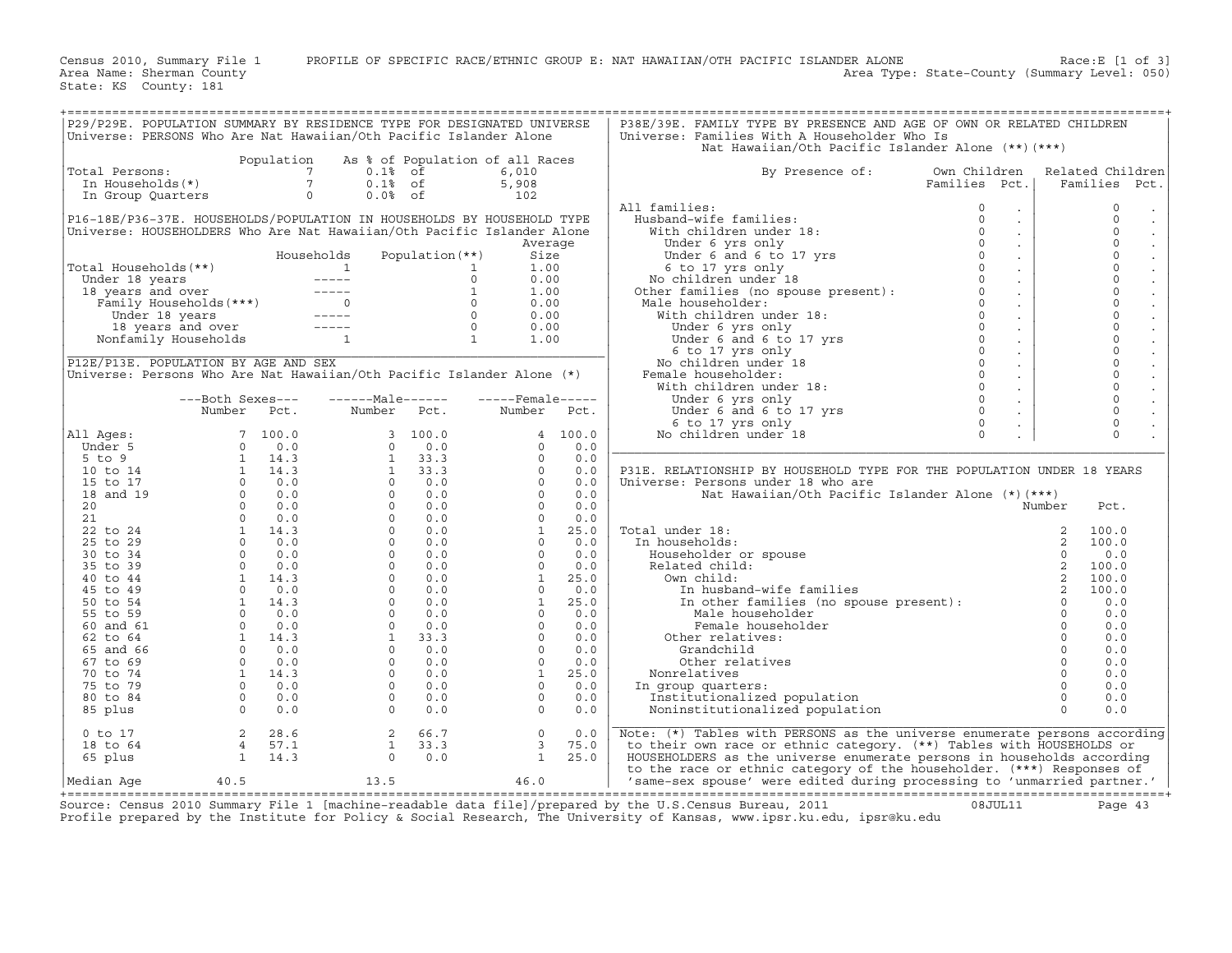Census 2010, Summary File 1 PROFILE OF SPECIFIC RACE/ETHNIC GROUP E: NAT HAWAIIAN/OTH PACIFIC ISLANDER ALONE Race:E [1 of 3]<br>Area Name: Sherman County Level: 050) Area Type: State-County (Summary Level: 050)

State: KS County: 181

Area Type: State-County (Summary Level: 050)

| P29/P29E. POPULATION SUMMARY BY RESIDENCE TYPE FOR DESIGNATED UNIVERSE |                                                      |                                            |                                 |                 |                                                                                                                                                                                                                                                                                                                                  |       | P38E/39E. FAMILY TYPE BY PRESENCE AND AGE OF OWN OR RELATED CHILDREN                                                                                                                                                                               |               |                             |          |                                             |
|------------------------------------------------------------------------|------------------------------------------------------|--------------------------------------------|---------------------------------|-----------------|----------------------------------------------------------------------------------------------------------------------------------------------------------------------------------------------------------------------------------------------------------------------------------------------------------------------------------|-------|----------------------------------------------------------------------------------------------------------------------------------------------------------------------------------------------------------------------------------------------------|---------------|-----------------------------|----------|---------------------------------------------|
| Universe: PERSONS Who Are Nat Hawaiian/Oth Pacific Islander Alone      |                                                      |                                            |                                 |                 |                                                                                                                                                                                                                                                                                                                                  |       | Universe: Families With A Householder Who Is                                                                                                                                                                                                       |               |                             |          |                                             |
|                                                                        |                                                      |                                            |                                 |                 |                                                                                                                                                                                                                                                                                                                                  |       | Nat Hawaiian/Oth Pacific Islander Alone (**) (***)                                                                                                                                                                                                 |               |                             |          |                                             |
|                                                                        |                                                      | Population                                 | As % of Population of all Races |                 |                                                                                                                                                                                                                                                                                                                                  |       |                                                                                                                                                                                                                                                    |               |                             |          |                                             |
| Total Persons:                                                         |                                                      |                                            | $0.1$ % of                      |                 | 6,010                                                                                                                                                                                                                                                                                                                            |       | By Presence of:                                                                                                                                                                                                                                    | Own Children  |                             |          | Related Children                            |
| In Households(*)                                                       |                                                      |                                            | $0.1$ % of                      |                 | 5,908                                                                                                                                                                                                                                                                                                                            |       |                                                                                                                                                                                                                                                    | Families Pct. |                             |          | Families Pct.                               |
| In Group Quarters                                                      |                                                      | $\begin{array}{c} 7 \\ 7 \\ 0 \end{array}$ | $0.0%$ of                       |                 | 102                                                                                                                                                                                                                                                                                                                              |       |                                                                                                                                                                                                                                                    |               |                             |          |                                             |
|                                                                        |                                                      |                                            |                                 |                 |                                                                                                                                                                                                                                                                                                                                  |       | All families:                                                                                                                                                                                                                                      | $\circ$       | $\bullet$                   |          | $\Omega$<br>$\sim$                          |
| P16-18E/P36-37E. HOUSEHOLDS/POPULATION IN HOUSEHOLDS BY HOUSEHOLD TYPE |                                                      |                                            |                                 |                 |                                                                                                                                                                                                                                                                                                                                  |       |                                                                                                                                                                                                                                                    |               |                             |          | $\mathbf 0$                                 |
| Universe: HOUSEHOLDERS Who Are Nat Hawaiian/Oth Pacific Islander Alone |                                                      |                                            |                                 |                 |                                                                                                                                                                                                                                                                                                                                  |       |                                                                                                                                                                                                                                                    |               | $\bullet$<br>$\sim$         |          | $\bullet$<br>$\Omega$<br>$\mathcal{L}$      |
|                                                                        |                                                      |                                            |                                 |                 |                                                                                                                                                                                                                                                                                                                                  |       |                                                                                                                                                                                                                                                    |               |                             |          | $\mathbf 0$                                 |
|                                                                        |                                                      |                                            |                                 |                 | Average                                                                                                                                                                                                                                                                                                                          |       |                                                                                                                                                                                                                                                    |               | $\mathcal{L}^{\mathcal{L}}$ |          | $\Box$                                      |
|                                                                        |                                                      |                                            | Households                      | Population (**) | Size                                                                                                                                                                                                                                                                                                                             |       |                                                                                                                                                                                                                                                    |               | $\sim$                      |          | $\mathsf{O}$<br>$\ddot{\phantom{1}}$        |
| Total Households(**)                                                   |                                                      |                                            |                                 |                 | 1.00                                                                                                                                                                                                                                                                                                                             |       | 11 families:<br>Husband-wife families: 0<br>With children under 18: 0<br>Under 6 yrs only 0<br>Under 6 and 6 to 17 yrs 0<br>6 to 17 yrs 0<br>No children under 18 0<br>Other families (no spouse present): 0<br>Male householder: 0<br>Odale hou   |               | $\sim$                      |          | $\Omega$<br>$\mathcal{L}$                   |
|                                                                        |                                                      |                                            |                                 |                 | 0.00                                                                                                                                                                                                                                                                                                                             |       |                                                                                                                                                                                                                                                    |               | $\sim$                      |          | $\circ$<br>$\ddot{\phantom{a}}$             |
|                                                                        |                                                      |                                            |                                 |                 | 1.00                                                                                                                                                                                                                                                                                                                             |       |                                                                                                                                                                                                                                                    |               | $\sim$                      |          | $\circ$<br>$\bullet$                        |
|                                                                        |                                                      |                                            |                                 |                 | 0.00                                                                                                                                                                                                                                                                                                                             |       | Male householder:                                                                                                                                                                                                                                  |               | $\mathcal{L}^{\pm}$         |          | $\circ$                                     |
|                                                                        |                                                      |                                            |                                 |                 | 0.00                                                                                                                                                                                                                                                                                                                             |       |                                                                                                                                                                                                                                                    |               | $\sim$                      |          | $\circ$<br>$\ddot{\phantom{a}}$             |
|                                                                        |                                                      |                                            |                                 |                 | 0.00                                                                                                                                                                                                                                                                                                                             |       |                                                                                                                                                                                                                                                    |               | $\sim$                      |          | $\circ$<br>$\ddot{\phantom{a}}$             |
|                                                                        |                                                      |                                            |                                 |                 | 1.00                                                                                                                                                                                                                                                                                                                             |       |                                                                                                                                                                                                                                                    |               | $\sim$                      |          | $\mathsf{O}\xspace$<br>$\ddot{\phantom{a}}$ |
|                                                                        |                                                      |                                            |                                 |                 |                                                                                                                                                                                                                                                                                                                                  |       |                                                                                                                                                                                                                                                    |               | $\sim$                      |          | $\mathbf 0$                                 |
| P12E/P13E. POPULATION BY AGE AND SEX                                   |                                                      |                                            |                                 |                 |                                                                                                                                                                                                                                                                                                                                  |       |                                                                                                                                                                                                                                                    |               | $\sim$                      |          | $\mathbf 0$                                 |
| Universe: Persons Who Are Nat Hawaiian/Oth Pacific Islander Alone (*)  |                                                      |                                            |                                 |                 |                                                                                                                                                                                                                                                                                                                                  |       | Female householder:                                                                                                                                                                                                                                |               | $\sim$                      |          | $\mathsf{O}$                                |
|                                                                        |                                                      |                                            |                                 |                 |                                                                                                                                                                                                                                                                                                                                  |       |                                                                                                                                                                                                                                                    |               | $\sim$                      |          | $\ddot{\cdot}$<br>$\mathsf{O}\xspace$       |
|                                                                        |                                                      |                                            |                                 |                 |                                                                                                                                                                                                                                                                                                                                  |       |                                                                                                                                                                                                                                                    |               |                             |          | $\circ$                                     |
|                                                                        | ---Both Sexes---                                     |                                            | $---Male----$                   |                 | $---$ Female -----                                                                                                                                                                                                                                                                                                               |       |                                                                                                                                                                                                                                                    |               | $\sim$                      |          | $\ddot{\phantom{a}}$                        |
|                                                                        | Number Pct.                                          |                                            | Number Pct.                     |                 | Number                                                                                                                                                                                                                                                                                                                           | Pct.  |                                                                                                                                                                                                                                                    |               |                             |          | $\circ$<br>$\ddot{\phantom{0}}$             |
|                                                                        |                                                      |                                            |                                 |                 |                                                                                                                                                                                                                                                                                                                                  |       |                                                                                                                                                                                                                                                    |               | $\mathbb{Z}^{\mathbb{Z}}$   |          | $\circ$                                     |
| All Ages:                                                              |                                                      |                                            |                                 |                 | $4\overline{ }$                                                                                                                                                                                                                                                                                                                  | 100.0 |                                                                                                                                                                                                                                                    |               |                             |          | $\Omega$                                    |
| Under 5                                                                |                                                      |                                            |                                 |                 | $\Omega$                                                                                                                                                                                                                                                                                                                         | 0.0   |                                                                                                                                                                                                                                                    |               |                             |          |                                             |
| $5$ to $9$                                                             |                                                      |                                            |                                 |                 |                                                                                                                                                                                                                                                                                                                                  |       |                                                                                                                                                                                                                                                    |               |                             |          |                                             |
| 10 to 14                                                               |                                                      |                                            |                                 |                 |                                                                                                                                                                                                                                                                                                                                  |       | P31E. RELATIONSHIP BY HOUSEHOLD TYPE FOR THE POPULATION UNDER 18 YEARS                                                                                                                                                                             |               |                             |          |                                             |
| 15 to 17                                                               |                                                      |                                            |                                 |                 |                                                                                                                                                                                                                                                                                                                                  |       | Universe: Persons under 18 who are                                                                                                                                                                                                                 |               |                             |          |                                             |
| 18 and 19                                                              |                                                      |                                            |                                 |                 |                                                                                                                                                                                                                                                                                                                                  |       | Nat Hawaiian/Oth Pacific Islander Alone (*) (***)                                                                                                                                                                                                  |               |                             |          |                                             |
| 20                                                                     |                                                      |                                            |                                 |                 |                                                                                                                                                                                                                                                                                                                                  |       |                                                                                                                                                                                                                                                    |               |                             |          | Pct.                                        |
| 21                                                                     |                                                      |                                            |                                 |                 |                                                                                                                                                                                                                                                                                                                                  |       |                                                                                                                                                                                                                                                    |               |                             |          |                                             |
| 22 to 24                                                               |                                                      |                                            |                                 |                 |                                                                                                                                                                                                                                                                                                                                  |       | Total under 18:                                                                                                                                                                                                                                    |               |                             |          | 100.0                                       |
| 25 to 29                                                               |                                                      |                                            |                                 |                 |                                                                                                                                                                                                                                                                                                                                  |       | In households:                                                                                                                                                                                                                                     |               |                             |          | 100.0                                       |
|                                                                        |                                                      |                                            |                                 |                 |                                                                                                                                                                                                                                                                                                                                  |       |                                                                                                                                                                                                                                                    |               |                             |          | 0.0                                         |
| 30 to 34                                                               |                                                      |                                            |                                 |                 |                                                                                                                                                                                                                                                                                                                                  |       | Householder or spouse                                                                                                                                                                                                                              |               |                             |          |                                             |
| 35 to 39                                                               |                                                      |                                            |                                 |                 |                                                                                                                                                                                                                                                                                                                                  |       | Related child:                                                                                                                                                                                                                                     |               |                             |          | 100.0                                       |
| 40 to 44                                                               |                                                      |                                            |                                 |                 |                                                                                                                                                                                                                                                                                                                                  |       | Own child:                                                                                                                                                                                                                                         |               |                             |          | 100.0                                       |
| 45 to 49                                                               |                                                      |                                            |                                 |                 |                                                                                                                                                                                                                                                                                                                                  |       |                                                                                                                                                                                                                                                    |               |                             |          | 100.0                                       |
| 50 to 54                                                               |                                                      |                                            |                                 |                 |                                                                                                                                                                                                                                                                                                                                  |       |                                                                                                                                                                                                                                                    |               |                             |          | 0.0                                         |
| 55 to 59                                                               |                                                      |                                            |                                 |                 |                                                                                                                                                                                                                                                                                                                                  |       | Nat nawwww.<br>er 18:<br>:eholds:<br>abolder or spouse<br>ed child:<br>m child:<br>In husband-wife families<br>In other families (no spouse present):<br>Male householder<br>Male householder<br>composed in the compose of the composed of the co |               |                             |          | 0.0                                         |
| 60 and 61                                                              |                                                      |                                            |                                 |                 |                                                                                                                                                                                                                                                                                                                                  |       |                                                                                                                                                                                                                                                    |               |                             |          | 0.0                                         |
| 62 to 64                                                               |                                                      |                                            |                                 |                 |                                                                                                                                                                                                                                                                                                                                  |       | Other relatives:                                                                                                                                                                                                                                   |               |                             |          | 0.0                                         |
| 65 and 66                                                              |                                                      |                                            |                                 |                 |                                                                                                                                                                                                                                                                                                                                  |       | Grandchild                                                                                                                                                                                                                                         |               |                             | $\Omega$ | 0.0                                         |
| 67 to 69                                                               |                                                      |                                            |                                 |                 |                                                                                                                                                                                                                                                                                                                                  |       | Other relatives                                                                                                                                                                                                                                    |               |                             | $\circ$  | 0.0                                         |
| 70 to 74                                                               |                                                      |                                            |                                 |                 |                                                                                                                                                                                                                                                                                                                                  |       | Nonrelatives                                                                                                                                                                                                                                       |               |                             | $\Omega$ | 0.0                                         |
| 75 to 79                                                               |                                                      |                                            |                                 |                 |                                                                                                                                                                                                                                                                                                                                  |       | In group quarters:                                                                                                                                                                                                                                 |               |                             | $\Omega$ | 0.0                                         |
| 80 to 84                                                               |                                                      |                                            |                                 |                 |                                                                                                                                                                                                                                                                                                                                  |       | Institutionalized population                                                                                                                                                                                                                       |               |                             | $\Omega$ | 0.0                                         |
|                                                                        |                                                      |                                            |                                 |                 |                                                                                                                                                                                                                                                                                                                                  |       |                                                                                                                                                                                                                                                    |               |                             | $\Omega$ | 0.0                                         |
| 85 plus                                                                |                                                      |                                            |                                 |                 | $\footnotesize \begin{array}{cccc} 4 & 100.0 \\ 0 & 0.0 \\ 0 & 0.0 \\ 0 & 0.0 \\ 0 & 0.0 \\ 0 & 0.0 \\ 0 & 0.0 \\ 0 & 0.0 \\ 0 & 0.0 \\ 1 & 25.0 \\ 0 & 0.0 \\ 0 & 0.0 \\ 1 & 25.0 \\ 0 & 0.0 \\ 1 & 25.0 \\ 0 & 0.0 \\ 0 & 0.0 \\ 0 & 0.0 \\ 0 & 0.0 \\ 0 & 0.0 \\ 0 & 0.0 \\ 0 & 0.0 \\ 0 & 0.0 \\ 0 & 0.0 \\ 0 & 0.0 \\ 0 & $ |       | Noninstitutionalized population                                                                                                                                                                                                                    |               |                             |          |                                             |
|                                                                        |                                                      |                                            |                                 |                 |                                                                                                                                                                                                                                                                                                                                  |       |                                                                                                                                                                                                                                                    |               |                             |          |                                             |
| $0$ to $17$                                                            | $2^{\circ}$                                          | 28.6                                       | 2                               | 66.7            | $\Omega$                                                                                                                                                                                                                                                                                                                         | 0.0   | Note: (*) Tables with PERSONS as the universe enumerate persons according                                                                                                                                                                          |               |                             |          |                                             |
| 18 to 64                                                               | $\begin{array}{cc} 4 & 57.1 \\ 1 & 14.3 \end{array}$ | 4 57.1                                     | $\mathbf{1}$                    | 33.3            | $\overline{3}$                                                                                                                                                                                                                                                                                                                   | 75.0  | to their own race or ethnic category. (**) Tables with HOUSEHOLDS or                                                                                                                                                                               |               |                             |          |                                             |
| 65 plus                                                                |                                                      |                                            | $\Omega$                        | 0.0             | $\mathbf{1}$                                                                                                                                                                                                                                                                                                                     | 25.0  | HOUSEHOLDERS as the universe enumerate persons in households according                                                                                                                                                                             |               |                             |          |                                             |
|                                                                        |                                                      |                                            |                                 |                 |                                                                                                                                                                                                                                                                                                                                  |       | to the race or ethnic category of the householder. (***) Responses of                                                                                                                                                                              |               |                             |          |                                             |
| Median Aqe                                                             | 40.5                                                 |                                            | 13.5                            |                 | 46.0                                                                                                                                                                                                                                                                                                                             |       | 'same-sex spouse' were edited during processing to 'unmarried partner.'                                                                                                                                                                            |               |                             |          |                                             |
|                                                                        |                                                      |                                            |                                 |                 |                                                                                                                                                                                                                                                                                                                                  |       |                                                                                                                                                                                                                                                    |               |                             |          |                                             |

+===================================================================================================================================================+Source: Census 2010 Summary File 1 [machine−readable data file]/prepared by the U.S.Census Bureau, 2011 08JUL11 Page 43 Profile prepared by the Institute for Policy & Social Research, The University of Kansas, www.ipsr.ku.edu, ipsr@ku.edu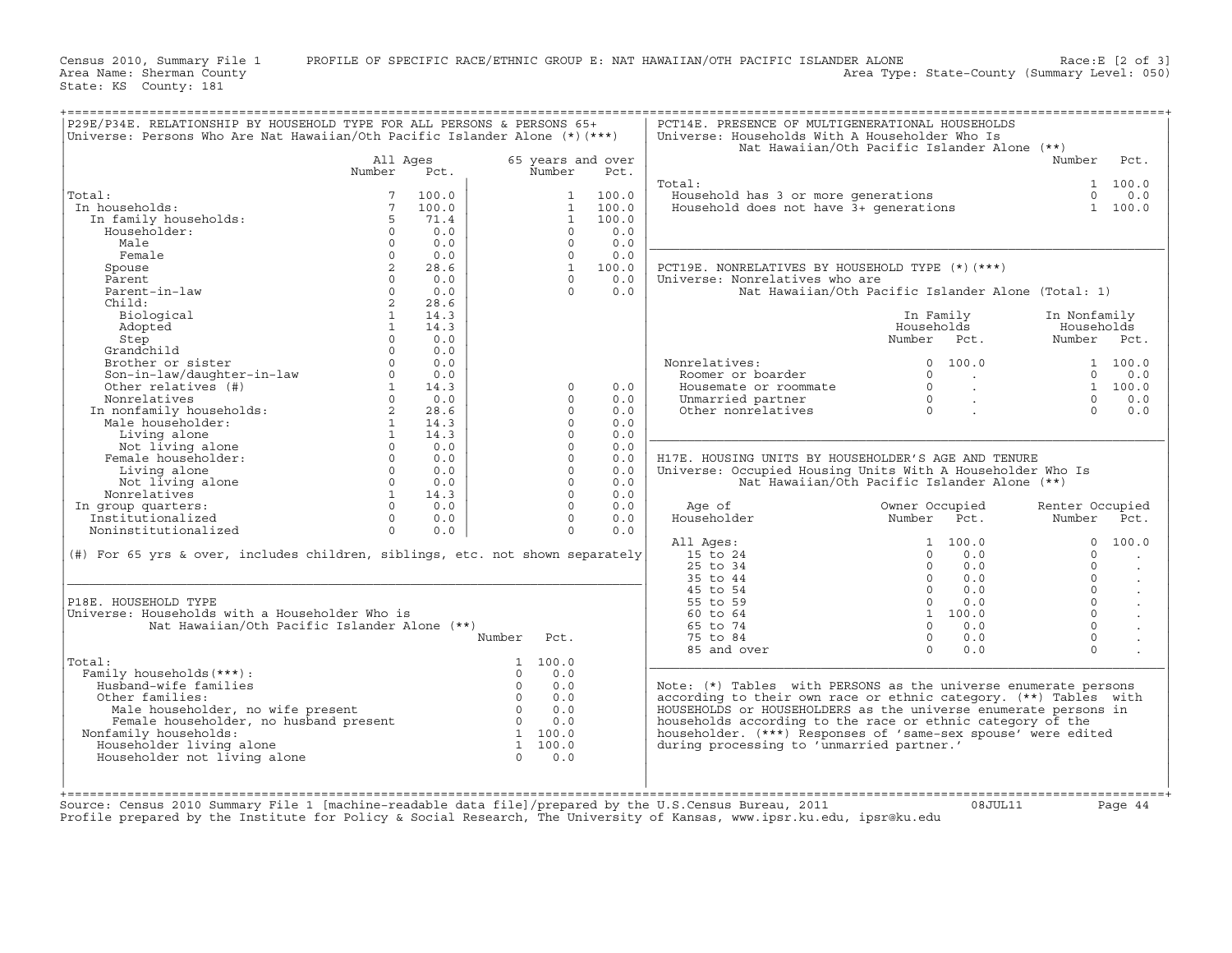Census 2010, Summary File 1 PROFILE OF SPECIFIC RACE/ETHNIC GROUP E: NAT HAWAIIAN/OTH PACIFIC ISLANDER ALONE Race:E [2 of 3]<br>Area Name: Sherman County Level: 050) Area Type: State-County (Summary Level: 050)

State: KS County: 181

| P29E/P34E. RELATIONSHIP BY HOUSEHOLD TYPE FOR ALL PERSONS & PERSONS 65+<br>Universe: Persons Who Are Nat Hawaiian/Oth Pacific Islander Alone (*)(***) |              |       |                       |                       | PCT14E. PRESENCE OF MULTIGENERATIONAL HOUSEHOLDS<br>Universe: Households With A Householder Who Is |                                                    |                 |         |
|-------------------------------------------------------------------------------------------------------------------------------------------------------|--------------|-------|-----------------------|-----------------------|----------------------------------------------------------------------------------------------------|----------------------------------------------------|-----------------|---------|
|                                                                                                                                                       |              |       |                       |                       |                                                                                                    | Nat Hawaiian/Oth Pacific Islander Alone (**)       |                 |         |
|                                                                                                                                                       | All Ages     |       |                       | 65 years and over     |                                                                                                    |                                                    | Number          | Pct.    |
|                                                                                                                                                       | Number       | Pct.  | Number                | Pct.                  |                                                                                                    |                                                    |                 |         |
|                                                                                                                                                       |              |       |                       |                       | Total:                                                                                             |                                                    |                 | 1 100.0 |
| Total:                                                                                                                                                | 7            | 100.0 |                       | $\mathbf{1}$<br>100.0 | Household has 3 or more generations                                                                |                                                    | $\Omega$        | 0.0     |
| In households:                                                                                                                                        | 7            | 100.0 |                       | 100.0<br>$\mathbf{1}$ | Household does not have $\bar{3}$ + qenerations                                                    |                                                    |                 | 1 100.0 |
| In family households:                                                                                                                                 | 5            | 71.4  |                       | $\mathbf{1}$<br>100.0 |                                                                                                    |                                                    |                 |         |
| Householder:                                                                                                                                          | $\Omega$     | 0.0   |                       | $\Omega$<br>0.0       |                                                                                                    |                                                    |                 |         |
| Male                                                                                                                                                  | $\Omega$     | 0.0   |                       | $\Omega$<br>0.0       |                                                                                                    |                                                    |                 |         |
| Female                                                                                                                                                | $\circ$      | 0.0   |                       | $\Omega$<br>0.0       |                                                                                                    |                                                    |                 |         |
|                                                                                                                                                       | 2            | 28.6  |                       | $\mathbf{1}$<br>100.0 | PCT19E. NONRELATIVES BY HOUSEHOLD TYPE (*) (***)                                                   |                                                    |                 |         |
| Spouse<br>Parent                                                                                                                                      | $\Omega$     | 0.0   |                       | $\Omega$<br>0.0       |                                                                                                    |                                                    |                 |         |
|                                                                                                                                                       |              |       |                       | $\Omega$              | Universe: Nonrelatives who are                                                                     |                                                    |                 |         |
| Parent-in-law                                                                                                                                         | $\Omega$     | 0.0   |                       | 0.0                   |                                                                                                    | Nat Hawaiian/Oth Pacific Islander Alone (Total: 1) |                 |         |
| Child:                                                                                                                                                | 2            | 28.6  |                       |                       |                                                                                                    |                                                    |                 |         |
| Biological                                                                                                                                            | $\mathbf{1}$ | 14.3  |                       |                       |                                                                                                    | In Family                                          | In Nonfamily    |         |
| Adopted                                                                                                                                               | $\mathbf{1}$ | 14.3  |                       |                       |                                                                                                    | Households                                         | Households      |         |
| Step                                                                                                                                                  | $\Omega$     | 0.0   |                       |                       |                                                                                                    | Number Pct.                                        | Number Pct.     |         |
| Grandchild                                                                                                                                            | $\Omega$     | 0.0   |                       |                       |                                                                                                    |                                                    |                 |         |
| Brother or sister                                                                                                                                     | $\Omega$     | 0.0   |                       |                       | Nonrelatives:                                                                                      | $\Omega$<br>100.0                                  |                 | 1 100.0 |
| Son-in-law/daughter-in-law                                                                                                                            | $\Omega$     | 0.0   |                       |                       | Roomer or boarder                                                                                  | $\Omega$<br>$\cdot$                                | $\Omega$        | 0.0     |
| Other relatives (#)                                                                                                                                   | $\mathbf{1}$ | 14.3  |                       | 0.0<br>$\Omega$       | Housemate or roommate                                                                              | $\Omega$<br>$\sim$                                 | $\mathbf{1}$    | 100.0   |
| Nonrelatives                                                                                                                                          | $\Omega$     | 0.0   |                       | $\Omega$<br>0.0       | Unmarried partner                                                                                  | $\Omega$<br>$\ddot{\phantom{a}}$                   | $\Omega$        | 0.0     |
| In nonfamily households:                                                                                                                              | 2            | 28.6  |                       | $\Omega$<br>0.0       | Other nonrelatives                                                                                 | $\Omega$                                           | $\Omega$        | 0.0     |
| Male householder:                                                                                                                                     | $\mathbf{1}$ | 14.3  |                       | $\Omega$<br>0.0       |                                                                                                    |                                                    |                 |         |
| Living alone                                                                                                                                          | $\mathbf{1}$ | 14.3  |                       | $\Omega$<br>0.0       |                                                                                                    |                                                    |                 |         |
| Not living alone                                                                                                                                      | $\Omega$     | 0.0   |                       | $\Omega$<br>0.0       |                                                                                                    |                                                    |                 |         |
| Female householder:                                                                                                                                   | $\Omega$     | 0.0   |                       | $\Omega$<br>0.0       | H17E. HOUSING UNITS BY HOUSEHOLDER'S AGE AND TENURE                                                |                                                    |                 |         |
| Living alone                                                                                                                                          | $\Omega$     | 0.0   |                       | $\Omega$<br>0.0       | Universe: Occupied Housing Units With A Householder Who Is                                         |                                                    |                 |         |
| Not living alone                                                                                                                                      | $\Omega$     | 0.0   |                       | $\Omega$<br>0.0       |                                                                                                    | Nat Hawaiian/Oth Pacific Islander Alone (**)       |                 |         |
| Nonrelatives                                                                                                                                          | $\mathbf{1}$ | 14.3  |                       | $\Omega$<br>0.0       |                                                                                                    |                                                    |                 |         |
| In group quarters:                                                                                                                                    | $\Omega$     | 0.0   |                       | $\Omega$<br>0.0       | Age of                                                                                             | Owner Occupied                                     | Renter Occupied |         |
| Institutionalized                                                                                                                                     | $\Omega$     | 0.0   |                       | $\Omega$<br>0.0       | Householder                                                                                        | Number Pct.                                        | Number          | Pct.    |
| Noninstitutionalized                                                                                                                                  | $\Omega$     | 0.0   |                       | $\Omega$<br>0.0       |                                                                                                    |                                                    |                 |         |
|                                                                                                                                                       |              |       |                       |                       |                                                                                                    | 100.0<br>$\mathbf{1}$                              | $\Omega$        | 100.0   |
|                                                                                                                                                       |              |       |                       |                       | All Ages:                                                                                          | $\Omega$<br>0.0                                    | $\Omega$        |         |
| (#) For 65 yrs & over, includes children, siblings, etc. not shown separately                                                                         |              |       |                       |                       | 15 to 24                                                                                           |                                                    |                 |         |
|                                                                                                                                                       |              |       |                       |                       | $25$ to $34$                                                                                       | $\Omega$<br>0.0                                    | $\Omega$        |         |
|                                                                                                                                                       |              |       |                       |                       | 35 to 44                                                                                           | $\Omega$<br>0.0                                    | $\Omega$        |         |
|                                                                                                                                                       |              |       |                       |                       | 45 to 54                                                                                           | $\Omega$<br>0.0                                    | $\Omega$        |         |
| P18E. HOUSEHOLD TYPE                                                                                                                                  |              |       |                       |                       | 55 to 59                                                                                           | $\circ$<br>0.0                                     | $\Omega$        | $\cdot$ |
| Universe: Households with a Householder Who is                                                                                                        |              |       |                       |                       | 60 to 64                                                                                           | 1 100.0                                            | $\Omega$        |         |
| Nat Hawaiian/Oth Pacific Islander Alone (**)                                                                                                          |              |       |                       |                       | 65 to 74                                                                                           | $\Omega$<br>0.0                                    | $\Omega$        |         |
|                                                                                                                                                       |              |       | Number<br>Pct.        |                       | 75 to 84                                                                                           | $\Omega$<br>0.0                                    | $\Omega$        |         |
|                                                                                                                                                       |              |       |                       |                       | 85 and over                                                                                        | $\Omega$<br>0.0                                    | $\Omega$        |         |
| Total:                                                                                                                                                |              |       | 100.0<br>1            |                       |                                                                                                    |                                                    |                 |         |
| Family households (***) :                                                                                                                             |              |       | $\Omega$<br>0.0       |                       |                                                                                                    |                                                    |                 |         |
| Husband-wife families                                                                                                                                 |              |       | $\Omega$<br>0.0       |                       | Note: (*) Tables with PERSONS as the universe enumerate persons                                    |                                                    |                 |         |
| Other families:                                                                                                                                       |              |       | $\Omega$<br>0.0       |                       | according to their own race or ethnic category. (**) Tables with                                   |                                                    |                 |         |
| Male householder, no wife present                                                                                                                     |              |       | $\Omega$<br>0.0       |                       | HOUSEHOLDS or HOUSEHOLDERS as the universe enumerate persons in                                    |                                                    |                 |         |
| Female householder, no husband present                                                                                                                |              |       | $\Omega$<br>0.0       |                       | households according to the race or ethnic category of the                                         |                                                    |                 |         |
| Nonfamily households:                                                                                                                                 |              |       | 1 100.0               |                       | householder. (***) Responses of 'same-sex spouse' were edited                                      |                                                    |                 |         |
| Householder living alone                                                                                                                              |              |       | $\mathbf{1}$<br>100.0 |                       | during processing to 'unmarried partner.'                                                          |                                                    |                 |         |
| Householder not living alone                                                                                                                          |              |       | $\Omega$<br>0.0       |                       |                                                                                                    |                                                    |                 |         |
|                                                                                                                                                       |              |       |                       |                       |                                                                                                    |                                                    |                 |         |
|                                                                                                                                                       |              |       |                       |                       |                                                                                                    |                                                    |                 |         |
|                                                                                                                                                       |              |       |                       |                       |                                                                                                    |                                                    |                 |         |

+===================================================================================================================================================+

+===================================================================================================================================================+ Source: Census 2010 Summary File 1 [machine−readable data file]/prepared by the U.S.Census Bureau, 2011 08JUL11 Page 44 Profile prepared by the Institute for Policy & Social Research, The University of Kansas, www.ipsr.ku.edu, ipsr@ku.edu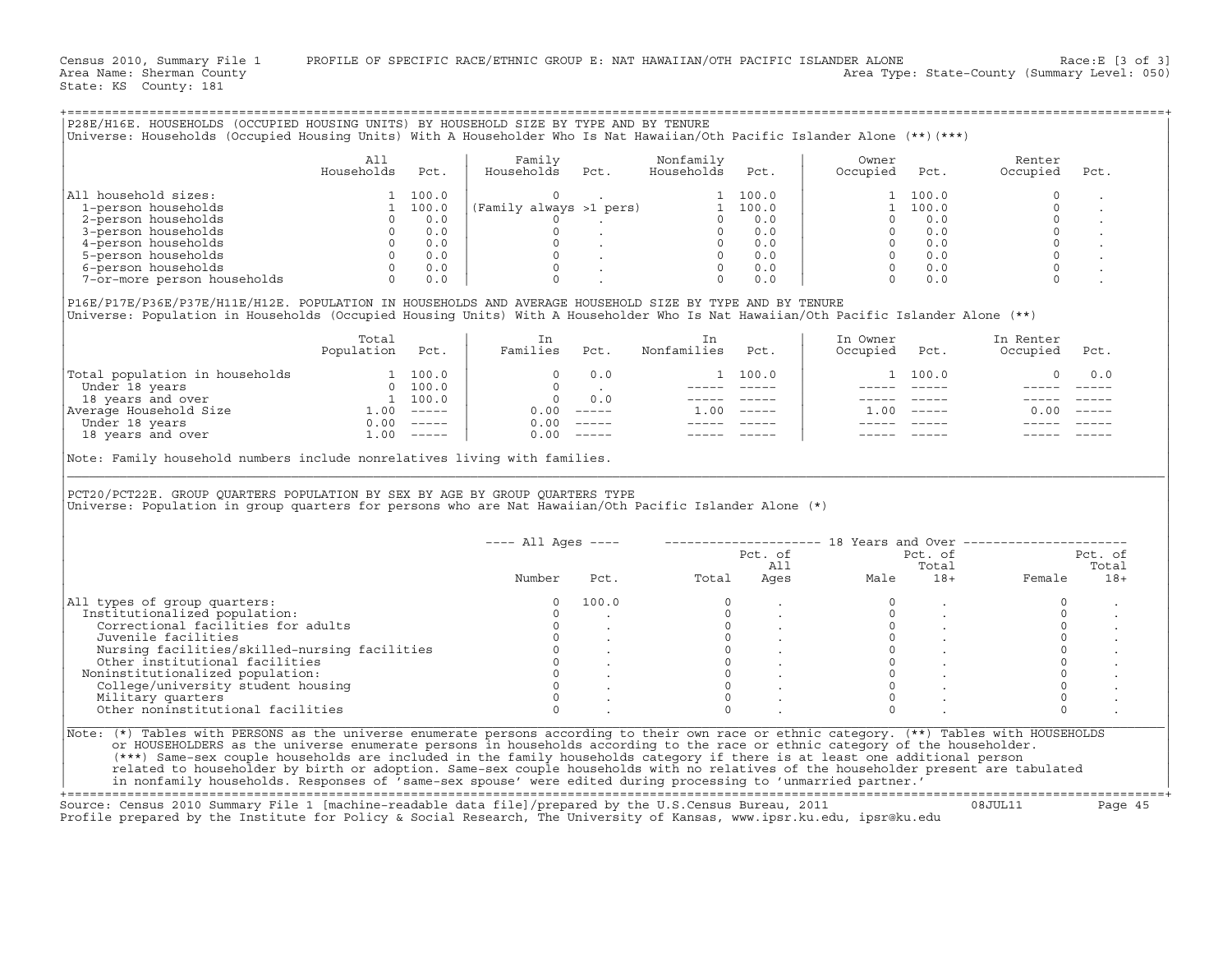|                                                                                                                                                                                                                                                                      | All                      |                       | Family                  |                                                                                                                                             | Nonfamily                                                                     |                 | Owner                            |                                                                   | Renter                |                  |
|----------------------------------------------------------------------------------------------------------------------------------------------------------------------------------------------------------------------------------------------------------------------|--------------------------|-----------------------|-------------------------|---------------------------------------------------------------------------------------------------------------------------------------------|-------------------------------------------------------------------------------|-----------------|----------------------------------|-------------------------------------------------------------------|-----------------------|------------------|
|                                                                                                                                                                                                                                                                      | Households               | Pct.                  | Households              | Pct.                                                                                                                                        | Households                                                                    | Pct.            | Occupied                         | Pct.                                                              | Occupied              | Pct.             |
| All household sizes:                                                                                                                                                                                                                                                 |                          | 1 100.0               | $\Omega$                | $\sim$ $\sim$                                                                                                                               |                                                                               | 1 100.0         |                                  | 1 100.0                                                           | $\Omega$              |                  |
| 1-person households                                                                                                                                                                                                                                                  |                          | 1 100.0               | (Family always >1 pers) |                                                                                                                                             |                                                                               | 1 100.0         |                                  | 1 100.0                                                           | $\Omega$              |                  |
| 2-person households                                                                                                                                                                                                                                                  | $\Omega$                 | 0.0                   | $\Omega$                | and the company of the                                                                                                                      |                                                                               | $0 \t 0.0$      | $\Omega$                         | 0.0                                                               | $\Omega$              |                  |
| 3-person households                                                                                                                                                                                                                                                  |                          | $\overline{0}$<br>0.0 |                         |                                                                                                                                             | $\begin{bmatrix} 0 & 0 & 0 \ 0 & 0 & 0 \ 0 & 0 & 0 \ 0 & 0 & 0 \end{bmatrix}$ |                 | $\Omega$                         | 0.0                                                               | $\Omega$              |                  |
| 4-person households                                                                                                                                                                                                                                                  |                          | $0 \t 0.0$            |                         |                                                                                                                                             |                                                                               |                 |                                  | $0 \qquad 0.0$                                                    | $\Omega$              |                  |
| 5-person households                                                                                                                                                                                                                                                  |                          | $0 \t 0.0$            |                         |                                                                                                                                             |                                                                               |                 |                                  |                                                                   |                       |                  |
| 6-person households                                                                                                                                                                                                                                                  |                          | $0 \qquad 0.0$        |                         |                                                                                                                                             | $\Omega$                                                                      | 0.0             |                                  | $\begin{bmatrix} 0 & 0 & 0 \ 0 & 0 & 0 \ 0 & 0 & 0 \end{bmatrix}$ | $\Omega$              |                  |
| 7-or-more person households                                                                                                                                                                                                                                          |                          | 0<br>0.0              |                         |                                                                                                                                             | $\Omega$                                                                      | 0.0             | $\Omega$                         | 0.0                                                               | $\Omega$              |                  |
| P16E/P17E/P36E/P37E/H11E/H12E. POPULATION IN HOUSEHOLDS AND AVERAGE HOUSEHOLD SIZE BY TYPE AND BY TENURE<br>Universe: Population in Households (Occupied Housing Units) With A Householder Who Is Nat Hawaiian/Oth Pacific Islander Alone (**)                       |                          |                       |                         |                                                                                                                                             |                                                                               |                 |                                  |                                                                   |                       |                  |
|                                                                                                                                                                                                                                                                      | Total<br>Population Pct. |                       | In<br>Families Pct.     |                                                                                                                                             | In<br>Nonfamilies                                                             | Pct.            | In Owner<br>Occupied Pct.        |                                                                   | In Renter<br>Occupied | Pct.             |
| Total population in households<br>Under 18 years<br>18 years<br>18 years<br>18 years<br>20 100.0<br>20 100.0<br>20 100.0<br>20 100.0<br>20 100.0<br>20 100.0<br>20 100.0<br>20 100.0<br>20 100.0<br>20 100.0<br>20 100.0<br>20 100.0<br>20 100.0<br>20 100.0<br>20 1 |                          |                       | $\circ$                 | 0.0                                                                                                                                         |                                                                               | 1 100.0         |                                  | 1 100.0                                                           | 0                     | 0.0              |
|                                                                                                                                                                                                                                                                      |                          |                       |                         |                                                                                                                                             |                                                                               |                 |                                  | ------ ----- -                                                    | $- - - - -$           | $\frac{1}{2}$    |
|                                                                                                                                                                                                                                                                      |                          |                       |                         |                                                                                                                                             |                                                                               | _______________ |                                  |                                                                   |                       |                  |
|                                                                                                                                                                                                                                                                      |                          |                       | $0.00$ -----            |                                                                                                                                             |                                                                               | $1.00$ -----    |                                  | $1.00$ -----                                                      |                       | $0.00 - - - - -$ |
|                                                                                                                                                                                                                                                                      |                          |                       | $0.00$ -----            |                                                                                                                                             |                                                                               |                 |                                  |                                                                   |                       |                  |
| 18 years and over 1.00 ----                                                                                                                                                                                                                                          |                          |                       | $0.00$ -----            |                                                                                                                                             |                                                                               |                 |                                  |                                                                   |                       |                  |
| Note: Family household numbers include nonrelatives living with families.<br>PCT20/PCT22E. GROUP QUARTERS POPULATION BY SEX BY AGE BY GROUP QUARTERS TYPE                                                                                                            |                          |                       |                         |                                                                                                                                             |                                                                               |                 |                                  |                                                                   |                       |                  |
|                                                                                                                                                                                                                                                                      |                          |                       |                         |                                                                                                                                             |                                                                               |                 |                                  |                                                                   |                       |                  |
| Universe: Population in group quarters for persons who are Nat Hawaiian/Oth Pacific Islander Alone (*)                                                                                                                                                               |                          |                       | $--- All Aqes ---$      |                                                                                                                                             |                                                                               |                 |                                  |                                                                   |                       |                  |
|                                                                                                                                                                                                                                                                      |                          |                       |                         |                                                                                                                                             |                                                                               | Pct. of         |                                  | Pct. of                                                           |                       | Pct. of          |
|                                                                                                                                                                                                                                                                      |                          |                       |                         |                                                                                                                                             |                                                                               | All             |                                  | Total                                                             |                       | Total            |
|                                                                                                                                                                                                                                                                      |                          |                       | Number                  | Pct.                                                                                                                                        | Total                                                                         | Ages            | Male                             | $18+$                                                             | Female                | $18+$            |
| All types of group quarters:                                                                                                                                                                                                                                         |                          |                       | $\circ$                 | 100.0                                                                                                                                       | $\mathbf{0}$                                                                  |                 | $\Omega$                         |                                                                   | $\Omega$              |                  |
| Institutionalized population:                                                                                                                                                                                                                                        |                          |                       | $\Omega$                |                                                                                                                                             | $\circ$                                                                       |                 | $\circ$                          |                                                                   | $\circ$               |                  |
| Correctional facilities for adults                                                                                                                                                                                                                                   |                          |                       | $\Omega$                |                                                                                                                                             |                                                                               |                 | $\overline{0}$                   |                                                                   | $\circ$               |                  |
| Juvenile facilities                                                                                                                                                                                                                                                  |                          |                       | $\circ$                 |                                                                                                                                             |                                                                               |                 |                                  |                                                                   | $\circ$               |                  |
| Nursing facilities/skilled-nursing facilities                                                                                                                                                                                                                        |                          |                       |                         |                                                                                                                                             |                                                                               |                 | $\begin{matrix}0\\0\end{matrix}$ |                                                                   | $\circ$               |                  |
| Other institutional facilities                                                                                                                                                                                                                                       |                          |                       |                         |                                                                                                                                             |                                                                               |                 |                                  | $\overline{0}$                                                    | $\circ$               |                  |
|                                                                                                                                                                                                                                                                      |                          |                       |                         |                                                                                                                                             | $\begin{matrix}0\\0\\0\\0\\0\\0\end{matrix}$<br>$\Omega$                      |                 | $\Omega$                         |                                                                   | $\Omega$              |                  |
| College/university student housing                                                                                                                                                                                                                                   |                          |                       |                         |                                                                                                                                             | $\Omega$                                                                      |                 | $\Omega$                         |                                                                   | $\Omega$              |                  |
| Noninstitutionalized population:<br>Military quarters                                                                                                                                                                                                                |                          |                       | $\Omega$                | $\begin{matrix} 0 & & & \cdot & & \cdot & \ 0 & & & \cdot & & \cdot & \ 0 & & & & \cdot & & \cdot \ 0 & & & & \cdot & & \cdot \end{matrix}$ | $\Omega$                                                                      |                 | $\Omega$                         |                                                                   | $\Omega$              |                  |
| Other noninstitutional facilities                                                                                                                                                                                                                                    |                          |                       | $\Omega$                |                                                                                                                                             | $\Omega$                                                                      |                 | $\Omega$                         |                                                                   | $\Omega$              |                  |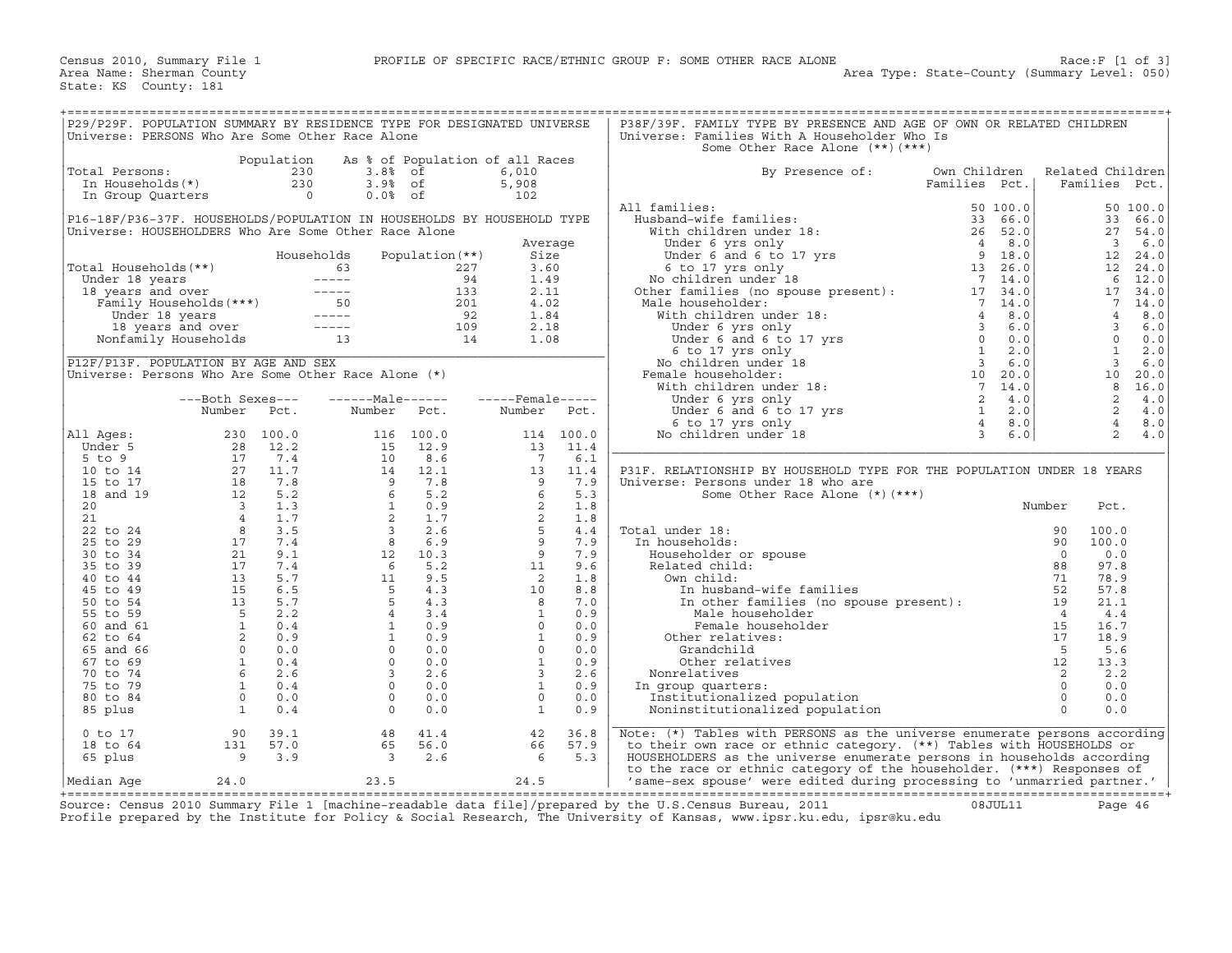| P29/P29F. POPULATION SUMMARY BY RESIDENCE TYPE FOR DESIGNATED UNIVERSE |                                                                            |                |                                                                                                                                                                                                                                                                                                                                                                                              |                   |                    |       | P38F/39F. FAMILY TYPE BY PRESENCE AND AGE OF OWN OR RELATED CHILDREN                                                                                                                                                                                     |               |                |                         |          |
|------------------------------------------------------------------------|----------------------------------------------------------------------------|----------------|----------------------------------------------------------------------------------------------------------------------------------------------------------------------------------------------------------------------------------------------------------------------------------------------------------------------------------------------------------------------------------------------|-------------------|--------------------|-------|----------------------------------------------------------------------------------------------------------------------------------------------------------------------------------------------------------------------------------------------------------|---------------|----------------|-------------------------|----------|
| Universe: PERSONS Who Are Some Other Race Alone                        |                                                                            |                |                                                                                                                                                                                                                                                                                                                                                                                              |                   |                    |       | Universe: Families With A Householder Who Is                                                                                                                                                                                                             |               |                |                         |          |
|                                                                        |                                                                            |                |                                                                                                                                                                                                                                                                                                                                                                                              |                   |                    |       | Some Other Race Alone (**) (***)                                                                                                                                                                                                                         |               |                |                         |          |
|                                                                        |                                                                            | Population     | As % of Population of all Races                                                                                                                                                                                                                                                                                                                                                              |                   |                    |       |                                                                                                                                                                                                                                                          |               |                |                         |          |
| Total Persons:                                                         |                                                                            | 230            | $3.88$ of                                                                                                                                                                                                                                                                                                                                                                                    |                   | 6,010              |       | By Presence of:                                                                                                                                                                                                                                          | Own Children  |                | Related Children        |          |
| In Households(*)                                                       |                                                                            | 230            | $3.9%$ of                                                                                                                                                                                                                                                                                                                                                                                    |                   | 5,908              |       |                                                                                                                                                                                                                                                          | Families Pct. |                | Families                | Pct.     |
|                                                                        |                                                                            | $\overline{0}$ | $0.0%$ of                                                                                                                                                                                                                                                                                                                                                                                    |                   | 102                |       |                                                                                                                                                                                                                                                          |               |                |                         |          |
| In Group Quarters                                                      |                                                                            |                |                                                                                                                                                                                                                                                                                                                                                                                              |                   |                    |       | All families:                                                                                                                                                                                                                                            |               |                |                         |          |
|                                                                        |                                                                            |                |                                                                                                                                                                                                                                                                                                                                                                                              |                   |                    |       |                                                                                                                                                                                                                                                          | 50 100.0      |                |                         | 50 100.0 |
| P16-18F/P36-37F. HOUSEHOLDS/POPULATION IN HOUSEHOLDS BY HOUSEHOLD TYPE |                                                                            |                |                                                                                                                                                                                                                                                                                                                                                                                              |                   |                    |       |                                                                                                                                                                                                                                                          |               |                | 33                      | 66.0     |
| Universe: HOUSEHOLDERS Who Are Some Other Race Alone                   |                                                                            |                |                                                                                                                                                                                                                                                                                                                                                                                              |                   |                    |       |                                                                                                                                                                                                                                                          |               |                | 27                      | 54.0     |
|                                                                        |                                                                            |                |                                                                                                                                                                                                                                                                                                                                                                                              |                   | Average            |       |                                                                                                                                                                                                                                                          |               |                | $\overline{\mathbf{3}}$ | 6.0      |
|                                                                        |                                                                            |                | Households                                                                                                                                                                                                                                                                                                                                                                                   | Population $(**)$ | Size               |       |                                                                                                                                                                                                                                                          |               |                | 12                      | 24.0     |
| Total Households (**)                                                  |                                                                            |                | 63                                                                                                                                                                                                                                                                                                                                                                                           | 227               | 3.60               |       | 11 families:<br>Husband-wife families:<br>With children under 18:<br>Under 6 yrs only<br>Under 6 and 6 to 17 yrs<br>6 to 17 yrs 18<br>(6 to 17 yrs 18<br>(6 to 17 yrs 18<br>(6 to 17 yrs 18<br>(6 to 17 yrs 18<br>(6 to 17 yrs 18<br>(7 14.0<br>26.0<br> |               |                | 12                      | 24.0     |
|                                                                        |                                                                            |                | $------$                                                                                                                                                                                                                                                                                                                                                                                     | 94                | 1.49               |       |                                                                                                                                                                                                                                                          |               |                | 6                       | 12.0     |
| Under 18 years ---<br>18 years and over ---<br>Family Households (***) |                                                                            |                | $\frac{1}{2} \frac{1}{2} \frac{1}{2} \frac{1}{2} \frac{1}{2} \frac{1}{2} \frac{1}{2} \frac{1}{2} \frac{1}{2} \frac{1}{2} \frac{1}{2} \frac{1}{2} \frac{1}{2} \frac{1}{2} \frac{1}{2} \frac{1}{2} \frac{1}{2} \frac{1}{2} \frac{1}{2} \frac{1}{2} \frac{1}{2} \frac{1}{2} \frac{1}{2} \frac{1}{2} \frac{1}{2} \frac{1}{2} \frac{1}{2} \frac{1}{2} \frac{1}{2} \frac{1}{2} \frac{1}{2} \frac{$ | 133               | 2.11               |       |                                                                                                                                                                                                                                                          |               |                | 17                      | 34.0     |
|                                                                        |                                                                            |                |                                                                                                                                                                                                                                                                                                                                                                                              | 201               | 4.02               |       | Male householder:                                                                                                                                                                                                                                        |               |                | $7\phantom{.0}$         | 14.0     |
|                                                                        |                                                                            |                | $50$<br>---                                                                                                                                                                                                                                                                                                                                                                                  | 92                | 1.84               |       | With children under 18:                                                                                                                                                                                                                                  |               |                | $\overline{4}$          | 8.0      |
|                                                                        |                                                                            |                |                                                                                                                                                                                                                                                                                                                                                                                              | 109               | 2.18               |       |                                                                                                                                                                                                                                                          |               |                | $\overline{3}$          | 6.0      |
|                                                                        | Under 18 years -----<br>18 years and over -----<br>Nonfamily Households 13 |                |                                                                                                                                                                                                                                                                                                                                                                                              | 14                | 1.08               |       |                                                                                                                                                                                                                                                          |               |                | $\Omega$                | 0.0      |
|                                                                        |                                                                            |                |                                                                                                                                                                                                                                                                                                                                                                                              |                   |                    |       |                                                                                                                                                                                                                                                          |               |                | $\mathbf{1}$            | 2.0      |
| P12F/P13F. POPULATION BY AGE AND SEX                                   |                                                                            |                |                                                                                                                                                                                                                                                                                                                                                                                              |                   |                    |       | No children under 18                                                                                                                                                                                                                                     |               |                | $\mathbf{3}$            | 6.0      |
| Universe: Persons Who Are Some Other Race Alone (*)                    |                                                                            |                |                                                                                                                                                                                                                                                                                                                                                                                              |                   |                    |       | Female householder:                                                                                                                                                                                                                                      |               |                | 10                      | 20.0     |
|                                                                        |                                                                            |                |                                                                                                                                                                                                                                                                                                                                                                                              |                   |                    |       | With children under 18:                                                                                                                                                                                                                                  |               |                | 8                       | 16.0     |
|                                                                        | ---Both Sexes---                                                           |                | $---Male----$                                                                                                                                                                                                                                                                                                                                                                                |                   | $---$ Female ----- |       |                                                                                                                                                                                                                                                          |               |                | 2                       | 4.0      |
|                                                                        |                                                                            |                |                                                                                                                                                                                                                                                                                                                                                                                              |                   |                    |       |                                                                                                                                                                                                                                                          |               |                | 2                       |          |
|                                                                        | Number                                                                     | Pct.           | Number                                                                                                                                                                                                                                                                                                                                                                                       | Pct.              | Number             | Pct.  |                                                                                                                                                                                                                                                          |               |                |                         | 4.0      |
|                                                                        |                                                                            |                |                                                                                                                                                                                                                                                                                                                                                                                              |                   |                    |       |                                                                                                                                                                                                                                                          |               |                | $\overline{4}$          | 8.0      |
| All Ages:                                                              | 230                                                                        | 100.0          | 116                                                                                                                                                                                                                                                                                                                                                                                          | 100.0             | 114                | 100.0 | No children under 18                                                                                                                                                                                                                                     |               |                | $\overline{a}$          | 4.0      |
| Under 5                                                                | $\begin{array}{c} 28 \\ 17 \end{array}$                                    | 12.2           | 15                                                                                                                                                                                                                                                                                                                                                                                           | 12.9              | 13                 | 11.4  |                                                                                                                                                                                                                                                          |               |                |                         |          |
| $5$ to $9$                                                             |                                                                            | 7.4            | 10                                                                                                                                                                                                                                                                                                                                                                                           | 8.6               | $\overline{7}$     | 6.1   |                                                                                                                                                                                                                                                          |               |                |                         |          |
| 10 to 14                                                               | $\frac{1}{27}$<br>18<br>12                                                 | 11.7           | $\begin{array}{c} 10 \\ 14 \\ 9 \\ 6 \\ 1 \\ 2 \\ 3 \\ 8 \end{array}$                                                                                                                                                                                                                                                                                                                        | 12.1              | 13                 | 11.4  | P31F. RELATIONSHIP BY HOUSEHOLD TYPE FOR THE POPULATION UNDER 18 YEARS                                                                                                                                                                                   |               |                |                         |          |
| 15 to 17                                                               |                                                                            | 7.8            |                                                                                                                                                                                                                                                                                                                                                                                              | 7.8               | 9                  | 7.9   | Universe: Persons under 18 who are                                                                                                                                                                                                                       |               |                |                         |          |
| 18 and 19                                                              |                                                                            | 5.2            |                                                                                                                                                                                                                                                                                                                                                                                              | 5.2               | 6                  | 5.3   | Some Other Race Alone $(*)$ $(***)$                                                                                                                                                                                                                      |               |                |                         |          |
| 20                                                                     |                                                                            | 1.3            |                                                                                                                                                                                                                                                                                                                                                                                              | 0.9               | 2                  | 1.8   |                                                                                                                                                                                                                                                          |               | Number         | Pct.                    |          |
| 21                                                                     |                                                                            | 1.7            |                                                                                                                                                                                                                                                                                                                                                                                              | 1.7               | 2                  | 1.8   |                                                                                                                                                                                                                                                          |               |                |                         |          |
| 22 to 24                                                               |                                                                            | 3.5            |                                                                                                                                                                                                                                                                                                                                                                                              | 2.6               | 5                  | 4.4   | Total under 18:                                                                                                                                                                                                                                          |               | 90             | 100.0                   |          |
| 25 to 29                                                               |                                                                            | 7.4            |                                                                                                                                                                                                                                                                                                                                                                                              | 6.9               | 9                  | 7.9   | In households:                                                                                                                                                                                                                                           |               | 90             | 100.0                   |          |
| 30 to 34                                                               |                                                                            | 9.1            |                                                                                                                                                                                                                                                                                                                                                                                              | 12 10.3           | 9                  | 7.9   | Householder or spouse                                                                                                                                                                                                                                    |               | $\Omega$       | 0.0                     |          |
| 35 to 39                                                               | $\begin{array}{c} 12 \\ 3 \\ 4 \\ 8 \\ 1' \end{array}$                     | 7.4            | 6                                                                                                                                                                                                                                                                                                                                                                                            | 5.2               | 11                 | 9.6   | Related child:                                                                                                                                                                                                                                           |               | 88             | 97.8                    |          |
| 40 to 44                                                               |                                                                            | 5.7            | 11                                                                                                                                                                                                                                                                                                                                                                                           | 9.5               | $\overline{2}$     | 1.8   | Own child:                                                                                                                                                                                                                                               |               | 71             | 78.9                    |          |
| 45 to 49                                                               | 15                                                                         | 6.5            |                                                                                                                                                                                                                                                                                                                                                                                              | 4.3               | 10                 | 8.8   | In husband-wife families                                                                                                                                                                                                                                 |               | 52             | 57.8                    |          |
| 50 to 54                                                               | 13                                                                         | 5.7            | $\frac{5}{5}$                                                                                                                                                                                                                                                                                                                                                                                | 4.3               | 8                  | 7.0   | In other families (no spouse present): 52<br>Male householder                                                                                                                                                                                            |               |                | 21.1                    |          |
| 55 to 59                                                               |                                                                            | 2.2            | $4\overline{ }$                                                                                                                                                                                                                                                                                                                                                                              | 3.4               | $\overline{1}$     | 0.9   |                                                                                                                                                                                                                                                          |               | $\overline{4}$ | 4.4                     |          |
|                                                                        | $\begin{array}{c} 5 \\ 1 \end{array}$                                      | 0.4            | $\mathbf{1}$                                                                                                                                                                                                                                                                                                                                                                                 | 0.9               | $\Omega$           | 0.0   | Female householder                                                                                                                                                                                                                                       |               | 15             | 16.7                    |          |
| 60 and 61                                                              | $\overline{2}$                                                             |                | $\mathbf{1}$                                                                                                                                                                                                                                                                                                                                                                                 |                   | 1                  | 0.9   |                                                                                                                                                                                                                                                          |               |                |                         |          |
| 62 to 64                                                               |                                                                            | 0.9            | $\Omega$                                                                                                                                                                                                                                                                                                                                                                                     | 0.9               | $\Omega$           |       | Other relatives:                                                                                                                                                                                                                                         |               | 17             | 18.9                    |          |
| 65 and 66                                                              |                                                                            | $0 \t 0.0$     |                                                                                                                                                                                                                                                                                                                                                                                              | 0.0               |                    | 0.0   | Grandchild                                                                                                                                                                                                                                               |               | $5^{\circ}$    | 5.6                     |          |
| 67 to 69                                                               | $\mathbf{1}$                                                               | 0.4            | $\Omega$                                                                                                                                                                                                                                                                                                                                                                                     | 0.0               | $\mathbf{1}$       | 0.9   | Other relatives                                                                                                                                                                                                                                          |               | 12             | 13.3                    |          |
| 70 to 74                                                               | $6\overline{}$                                                             | 2.6            | $3^{\circ}$                                                                                                                                                                                                                                                                                                                                                                                  | 2.6               | $\overline{3}$     | 2.6   | Nonrelatives                                                                                                                                                                                                                                             |               | 2              | 2.2                     |          |
| 75 to 79                                                               | $\mathbf{1}$                                                               | 0.4            | $\Omega$                                                                                                                                                                                                                                                                                                                                                                                     | 0.0               | $\mathbf{1}$       | 0.9   | In group quarters:                                                                                                                                                                                                                                       |               | $\Omega$       | 0.0                     |          |
| 80 to 84                                                               | $\Omega$                                                                   | 0.0            | $\Omega$                                                                                                                                                                                                                                                                                                                                                                                     | 0.0               | $\Omega$           | 0.0   | Institutionalized population                                                                                                                                                                                                                             |               | $\Omega$       | 0.0                     |          |
| 85 plus                                                                | $\overline{1}$                                                             | 0.4            | $\Omega$                                                                                                                                                                                                                                                                                                                                                                                     | 0.0               | $\mathbf{1}$       | 0.9   | Noninstitutionalized population                                                                                                                                                                                                                          |               | $\Omega$       | 0.0                     |          |
|                                                                        |                                                                            |                |                                                                                                                                                                                                                                                                                                                                                                                              |                   |                    |       |                                                                                                                                                                                                                                                          |               |                |                         |          |
| $0$ to $17$                                                            | 90                                                                         | 39.1           | 48                                                                                                                                                                                                                                                                                                                                                                                           | 41.4              | 42                 | 36.8  | Note: $(*)$ Tables with PERSONS as the universe enumerate persons according                                                                                                                                                                              |               |                |                         |          |
| 18 to 64                                                               | 131                                                                        | 57.0           | 65                                                                                                                                                                                                                                                                                                                                                                                           | 56.0              | 66                 | 57.9  | to their own race or ethnic category. (**) Tables with HOUSEHOLDS or                                                                                                                                                                                     |               |                |                         |          |
| 65 plus                                                                | $\overline{9}$                                                             | 3.9            | $\overline{\mathbf{3}}$                                                                                                                                                                                                                                                                                                                                                                      | 2.6               | 6                  | 5.3   | HOUSEHOLDERS as the universe enumerate persons in households according                                                                                                                                                                                   |               |                |                         |          |
|                                                                        |                                                                            |                |                                                                                                                                                                                                                                                                                                                                                                                              |                   |                    |       | to the race or ethnic category of the householder. (***) Responses of                                                                                                                                                                                    |               |                |                         |          |
| Median Aqe                                                             | 24.0                                                                       |                | 23.5                                                                                                                                                                                                                                                                                                                                                                                         |                   | 24.5               |       | 'same-sex spouse' were edited during processing to 'unmarried partner.'                                                                                                                                                                                  |               |                |                         |          |
|                                                                        |                                                                            |                |                                                                                                                                                                                                                                                                                                                                                                                              |                   |                    |       |                                                                                                                                                                                                                                                          |               |                |                         |          |

+===================================================================================================================================================+ Source: Census 2010 Summary File 1 [machine−readable data file]/prepared by the U.S.Census Bureau, 2011 08JUL11 Page 46 Profile prepared by the Institute for Policy & Social Research, The University of Kansas, www.ipsr.ku.edu, ipsr@ku.edu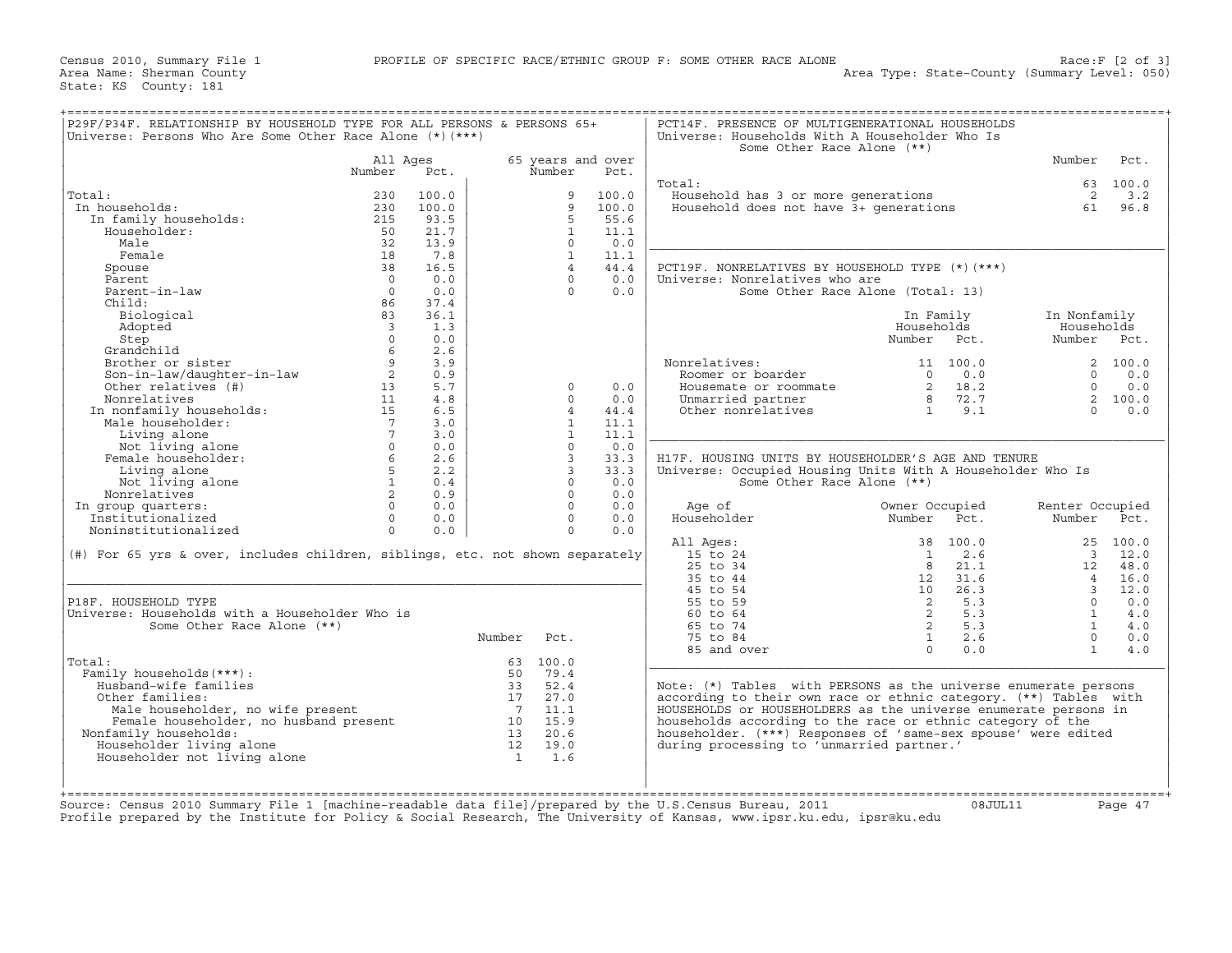| Total:<br>In households:<br>In family households:<br>Householder:<br>Male<br>Female<br>Spouse                                                                                                        | All Ages<br>Number<br>230<br>230<br>215<br>50    | Pct.<br>100.0 |             | Number                  | 65 years and over |                                                                                             |                                                                | Number                  |                   |
|------------------------------------------------------------------------------------------------------------------------------------------------------------------------------------------------------|--------------------------------------------------|---------------|-------------|-------------------------|-------------------|---------------------------------------------------------------------------------------------|----------------------------------------------------------------|-------------------------|-------------------|
|                                                                                                                                                                                                      |                                                  |               |             |                         |                   |                                                                                             |                                                                |                         | Pct.              |
|                                                                                                                                                                                                      |                                                  |               |             |                         | Pct.              |                                                                                             |                                                                |                         |                   |
|                                                                                                                                                                                                      |                                                  |               |             |                         |                   | Total:                                                                                      |                                                                |                         | 63 100.0          |
|                                                                                                                                                                                                      |                                                  |               |             | 9                       | 100.0             | Household has 3 or more generations 2 3.2<br>Household does not have 3+ generations 61 96.8 |                                                                |                         |                   |
|                                                                                                                                                                                                      |                                                  | 100.0         |             | 9                       | 100.0             |                                                                                             |                                                                |                         |                   |
|                                                                                                                                                                                                      |                                                  | 93.5          |             | 5                       | 55.6              |                                                                                             |                                                                |                         |                   |
|                                                                                                                                                                                                      |                                                  | 21.7          |             | $\mathbf{1}$            | 11.1              |                                                                                             |                                                                |                         |                   |
|                                                                                                                                                                                                      | 32                                               | 13.9          |             | $\Omega$                | 0.0               |                                                                                             |                                                                |                         |                   |
|                                                                                                                                                                                                      | 18                                               | 7.8           |             | $\mathbf{1}$            | 11.1              |                                                                                             |                                                                |                         |                   |
|                                                                                                                                                                                                      | 38                                               | 16.5          |             | $\overline{4}$          | 44.4              | PCT19F. NONRELATIVES BY HOUSEHOLD TYPE (*)(***)                                             |                                                                |                         |                   |
| Parent                                                                                                                                                                                               | $\overline{0}$                                   | 0.0           |             | $\Omega$                | 0.0               | Universe: Nonrelatives who are                                                              |                                                                |                         |                   |
| Parent-in-law                                                                                                                                                                                        | $\Omega$                                         | 0.0           |             | $\cap$                  | 0.0               |                                                                                             | Some Other Race Alone (Total: 13)                              |                         |                   |
| Child:                                                                                                                                                                                               | 86                                               | 37.4          |             |                         |                   |                                                                                             |                                                                |                         |                   |
|                                                                                                                                                                                                      |                                                  |               |             |                         |                   |                                                                                             |                                                                |                         |                   |
| Biological                                                                                                                                                                                           | 83                                               | 36.1          |             |                         |                   |                                                                                             | In Family                                                      | In Nonfamily            |                   |
| Adopted                                                                                                                                                                                              | $\overline{\mathbf{3}}$                          | 1.3           |             |                         |                   |                                                                                             | Households                                                     | Households              |                   |
| Step                                                                                                                                                                                                 | $\Omega$                                         | 0.0           |             |                         |                   |                                                                                             | Number Pct.                                                    | Number Pct.             |                   |
| Grandchild                                                                                                                                                                                           | 6                                                | 2.6           |             |                         |                   |                                                                                             |                                                                |                         |                   |
|                                                                                                                                                                                                      | $\overline{9}$                                   | 3.9           |             |                         |                   | Nonrelatives:                                                                               | 11 100.0                                                       |                         | 2 100.0           |
|                                                                                                                                                                                                      | $\overline{2}$                                   | 0.9           |             |                         |                   | Roomer or boarder                                                                           |                                                                |                         | $0 \t 0.0$        |
| Brother or sister<br>Son-in-law/daughter-in-law<br>Continues (#)                                                                                                                                     | 13                                               | 5.7           |             | $\Omega$                | 0.0               | Housemate or roommate                                                                       | $\begin{array}{c} 0 & 0.0 \\ 2 & 18.2 \\ 8 & 72.7 \end{array}$ | $\Omega$                | 0.0               |
| Nonrelatives                                                                                                                                                                                         | 11                                               | 4.8           |             | $\Omega$                | 0.0               |                                                                                             |                                                                |                         | 2 100.0           |
| Nonrelatives<br>In nonfamily households:<br>Male householder:<br>Living alone<br>Not living alone<br>Female householder:                                                                             | 15                                               | 6.5           |             | $\overline{4}$          | 44.4              | Unmarried partner<br>Other nonrelatives                                                     | 1 9.1                                                          | $\cap$                  | 0.0               |
|                                                                                                                                                                                                      | $7\overline{ }$                                  | 3.0           |             | $\mathbf{1}$            | 11.1              |                                                                                             |                                                                |                         |                   |
|                                                                                                                                                                                                      |                                                  | 3.0           |             | $\mathbf{1}$            | 11.1              |                                                                                             |                                                                |                         |                   |
|                                                                                                                                                                                                      | $\begin{matrix} 7 \\ 0 \end{matrix}$<br>$\Omega$ | 0.0           |             | $\Omega$                | 0.0               |                                                                                             |                                                                |                         |                   |
| Female householder:                                                                                                                                                                                  | $6\overline{6}$                                  | 2.6           |             | $\overline{\mathbf{3}}$ | 33.3              | H17F. HOUSING UNITS BY HOUSEHOLDER'S AGE AND TENURE                                         |                                                                |                         |                   |
| Living alone                                                                                                                                                                                         | 5 <sub>5</sub>                                   | 2.2           |             | $\overline{3}$          | 33.3              | Universe: Occupied Housing Units With A Householder Who Is                                  |                                                                |                         |                   |
| Not living alone                                                                                                                                                                                     | 1                                                | 0.4           |             | $\circ$                 | 0.0               | Some Other Race Alone (**)                                                                  |                                                                |                         |                   |
| Nonrelatives                                                                                                                                                                                         | $\overline{2}$                                   | 0.9           |             | $\Omega$                | 0.0               |                                                                                             |                                                                |                         |                   |
|                                                                                                                                                                                                      |                                                  |               |             | $\Omega$                |                   |                                                                                             |                                                                |                         |                   |
| In group quarters:                                                                                                                                                                                   | $\Omega$                                         | 0.0           |             |                         | 0.0               | Age of                                                                                      | Owner Occupied                                                 | Renter Occupied         |                   |
| Institutionalized                                                                                                                                                                                    | $\Omega$                                         | 0.0           |             | $\Omega$                | 0.0               | Householder                                                                                 | Number Pct.                                                    | Number Pct.             |                   |
| Noninstitutionalized                                                                                                                                                                                 | $\Omega$                                         | 0.0           |             | $\Omega$                | 0.0               |                                                                                             |                                                                |                         |                   |
|                                                                                                                                                                                                      |                                                  |               |             |                         |                   | All Ages:                                                                                   | 38 100.0                                                       |                         | 25 100.0          |
| (#) For 65 yrs & over, includes children, siblings, etc. not shown separately                                                                                                                        |                                                  |               |             |                         |                   | 15 to 24                                                                                    | 2.6<br>$\overline{1}$                                          |                         | 3 12.0            |
|                                                                                                                                                                                                      |                                                  |               |             |                         |                   | 25 to 34                                                                                    | 8 <sup>8</sup><br>21.1                                         |                         | 12 48.0           |
|                                                                                                                                                                                                      |                                                  |               |             |                         |                   | 35 to 44                                                                                    | $\begin{array}{cc} 0 & 21.1 \\ 12 & 31.6 \end{array}$          | $\overline{4}$          | 16.0              |
|                                                                                                                                                                                                      |                                                  |               |             |                         |                   | 45 to 54                                                                                    | 10 26.3                                                        | $\overline{\mathbf{3}}$ | 12.0              |
| P18F. HOUSEHOLD TYPE                                                                                                                                                                                 |                                                  |               |             |                         |                   | 55 to 59                                                                                    | $\frac{2}{2}$ 5.3<br>2 5.3                                     | $\overline{0}$          | 0.0               |
| Universe: Households with a Householder Who is                                                                                                                                                       |                                                  |               |             |                         |                   | $60 \text{ to } 64$                                                                         |                                                                | $\mathbf{1}$            | 4.0               |
| Some Other Race Alone (**)                                                                                                                                                                           |                                                  |               |             |                         |                   | 65 to 74                                                                                    | 2 5.3                                                          | $\sim$ 1                | 4.0               |
|                                                                                                                                                                                                      |                                                  |               | Number Pct. |                         |                   | 75 to 84                                                                                    | 1<br>2.6                                                       |                         | $\Omega$<br>$0.0$ |
|                                                                                                                                                                                                      |                                                  |               |             |                         |                   | 85 and over                                                                                 | 0.0<br>$\Omega$                                                | $\mathbf{1}$            | 4.0               |
| Total:                                                                                                                                                                                               |                                                  |               |             | 63 100.0                |                   |                                                                                             |                                                                |                         |                   |
| Family households (***) :                                                                                                                                                                            |                                                  |               | 50          | 79.4                    |                   |                                                                                             |                                                                |                         |                   |
| Husband-wife families                                                                                                                                                                                |                                                  |               |             |                         |                   | Note: (*) Tables with PERSONS as the universe enumerate persons                             |                                                                |                         |                   |
|                                                                                                                                                                                                      |                                                  |               |             |                         |                   |                                                                                             |                                                                |                         |                   |
| Other families:                                                                                                                                                                                      |                                                  |               |             |                         |                   | according to their own race or ethnic category. (**) Tables with                            |                                                                |                         |                   |
|                                                                                                                                                                                                      |                                                  |               |             |                         |                   | HOUSEHOLDS or HOUSEHOLDERS as the universe enumerate persons in                             |                                                                |                         |                   |
|                                                                                                                                                                                                      |                                                  |               |             |                         |                   | households according to the race or ethnic category of the                                  |                                                                |                         |                   |
| Nonfamily households:                                                                                                                                                                                |                                                  |               |             |                         |                   | householder. (***) Responses of 'same-sex spouse' were edited                               |                                                                |                         |                   |
| Householder living alone                                                                                                                                                                             |                                                  |               |             |                         |                   | during processing to 'unmarried partner.'                                                   |                                                                |                         |                   |
| Householder not living alone                                                                                                                                                                         |                                                  |               |             |                         |                   |                                                                                             |                                                                |                         |                   |
| male householder, no wife present<br>Female householder, no husband present<br>7 11.1<br>7 11.1<br>7 11.1<br>7 11.1<br>7 11.1<br>7 11.1<br>7 11.1<br>8 10 15.9<br>13 20.6<br>12 19.0<br>19.0<br>19.0 |                                                  |               |             |                         |                   |                                                                                             |                                                                |                         |                   |
|                                                                                                                                                                                                      |                                                  |               |             |                         |                   |                                                                                             |                                                                |                         |                   |
|                                                                                                                                                                                                      |                                                  |               |             |                         |                   |                                                                                             |                                                                |                         |                   |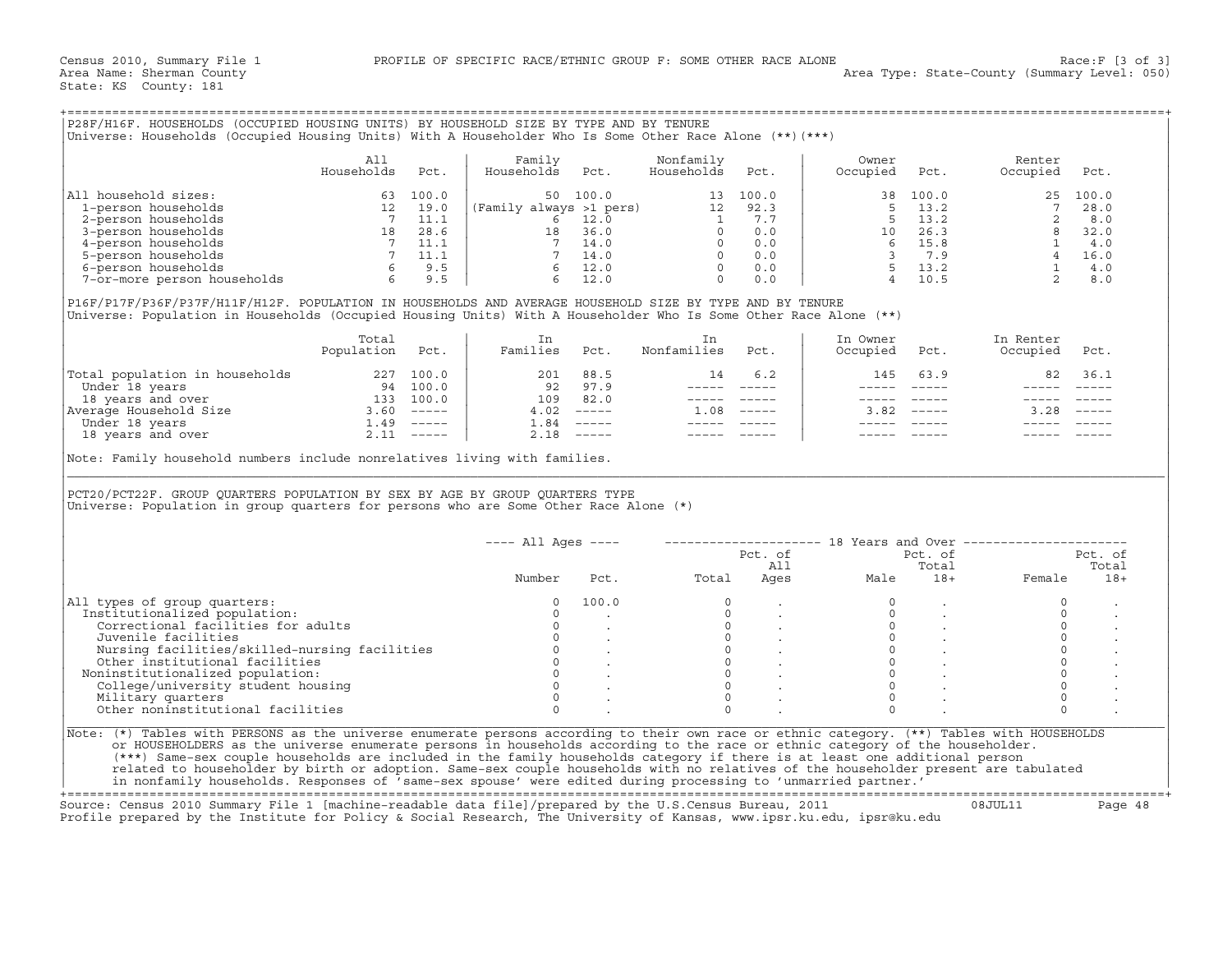| P28F/H16F. HOUSEHOLDS (OCCUPIED HOUSING UNITS) BY HOUSEHOLD SIZE BY TYPE AND BY TENURE<br>Universe: Households (Occupied Housing Units) With A Householder Who Is Some Other Race Alone (**) (***) |                   |       |                         |       |                         |       |                   |       |                    |       |
|----------------------------------------------------------------------------------------------------------------------------------------------------------------------------------------------------|-------------------|-------|-------------------------|-------|-------------------------|-------|-------------------|-------|--------------------|-------|
|                                                                                                                                                                                                    | All<br>Households | Pct.  | Family<br>Households    | Pct.  | Nonfamily<br>Households | Pct.  | Owner<br>Occupied | Pct.  | Renter<br>Occupied | Pct.  |
| All household sizes:                                                                                                                                                                               | 63                | 100.0 | 50                      | 100.0 | 13                      | 100.0 | 38                | 100.0 | 25                 | 100.0 |
| 1-person households                                                                                                                                                                                | 12                | 19.0  | (Family always >1 pers) |       | 12                      | 92.3  |                   | 13.2  |                    | 28.0  |
| 2-person households                                                                                                                                                                                |                   | 11.1  |                         | 12.0  |                         | 7.7   |                   | 13.2  |                    | 8.0   |
| 3-person households                                                                                                                                                                                | 18                | 28.6  | 18                      | 36.0  |                         | 0.0   | 10 <sup>°</sup>   | 26.3  |                    | 32.0  |
| 4-person households                                                                                                                                                                                |                   | 11.1  |                         | 14.0  |                         | 0.0   |                   | 15.8  |                    | 4.0   |
| 5-person households                                                                                                                                                                                |                   | 11.1  |                         | 14.0  |                         | 0.0   |                   | 7.9   |                    | 16.0  |
| 6-person households                                                                                                                                                                                |                   | 9.5   |                         | 12.0  |                         | 0.0   |                   | 13.2  |                    | 4.0   |
| 7-or-more person households                                                                                                                                                                        | 6                 | 9.5   |                         | 12.0  |                         | 0.0   |                   | 10.5  |                    | 8.0   |

|                                | Total<br>Population | Pct.                      | Families | Pct.                      | Nonfamilies | Pct.        | In Owner<br>Occupied | Pct.          | In Renter<br>Occupied | Pct.                      |
|--------------------------------|---------------------|---------------------------|----------|---------------------------|-------------|-------------|----------------------|---------------|-----------------------|---------------------------|
| Total population in households | 227                 | 100.0                     | 201      | 88.5                      | 14          | 6.2         | 145                  | 63.9          | 82                    | 36.1                      |
| Under 18 years                 | 94                  | 100.0                     | 92       | 97.9                      |             |             |                      |               |                       |                           |
| 18 years and over              | 133                 | 100.0                     | 109      | 82.0                      |             |             |                      |               |                       |                           |
| Average Household Size         | 3.60                | $\frac{1}{2}$             | 4.02     | $\qquad \qquad - - - - -$ | .08         | $- - - - -$ | 3.82                 | $- - - - - -$ | 3.28                  | $\qquad \qquad - - - - -$ |
| Under 18 years                 | <b>1.49</b>         | $\frac{1}{2}$             | ⊥.84     | $------$                  |             |             |                      |               |                       |                           |
| 18 years and over              |                     | $\qquad \qquad - - - - -$ | 2.18     | $\qquad \qquad - - - - -$ |             |             |                      |               |                       |                           |

| P28F/H16F. HOUSEHOLDS (OCCUPIED HOUSING UNITS) BY HOUSEHOLD SIZE BY TYPE AND BY TENURE<br>Universe: Households (Occupied Housing Units) With A Householder Who Is Some Other Race Alone (**) (***)                                                                                                                                                                                                                                                                                                                                                                                                                                                               |                          |      |                      |                                                                                              |                                                                                                                                                                                                                                                                                                                                                                                              |                        |                                                           |                                                                                                                                                                                                                                                                                                                                                                                              |                       |          |
|------------------------------------------------------------------------------------------------------------------------------------------------------------------------------------------------------------------------------------------------------------------------------------------------------------------------------------------------------------------------------------------------------------------------------------------------------------------------------------------------------------------------------------------------------------------------------------------------------------------------------------------------------------------|--------------------------|------|----------------------|----------------------------------------------------------------------------------------------|----------------------------------------------------------------------------------------------------------------------------------------------------------------------------------------------------------------------------------------------------------------------------------------------------------------------------------------------------------------------------------------------|------------------------|-----------------------------------------------------------|----------------------------------------------------------------------------------------------------------------------------------------------------------------------------------------------------------------------------------------------------------------------------------------------------------------------------------------------------------------------------------------------|-----------------------|----------|
|                                                                                                                                                                                                                                                                                                                                                                                                                                                                                                                                                                                                                                                                  | All<br>Households        | Pct. | Family<br>Households | Pct.                                                                                         | Nonfamily<br>Households                                                                                                                                                                                                                                                                                                                                                                      | Pct.                   | Owner<br>Occupied                                         | Pct.                                                                                                                                                                                                                                                                                                                                                                                         | Renter<br>Occupied    | Pct.     |
| All household sizes:                                                                                                                                                                                                                                                                                                                                                                                                                                                                                                                                                                                                                                             |                          |      |                      |                                                                                              |                                                                                                                                                                                                                                                                                                                                                                                              |                        | 38                                                        | 100.0                                                                                                                                                                                                                                                                                                                                                                                        |                       | 25 100.0 |
| 1-person households                                                                                                                                                                                                                                                                                                                                                                                                                                                                                                                                                                                                                                              |                          |      |                      |                                                                                              |                                                                                                                                                                                                                                                                                                                                                                                              |                        |                                                           |                                                                                                                                                                                                                                                                                                                                                                                              |                       |          |
| 2-person households                                                                                                                                                                                                                                                                                                                                                                                                                                                                                                                                                                                                                                              |                          |      |                      |                                                                                              |                                                                                                                                                                                                                                                                                                                                                                                              |                        |                                                           |                                                                                                                                                                                                                                                                                                                                                                                              |                       |          |
| 3-person households                                                                                                                                                                                                                                                                                                                                                                                                                                                                                                                                                                                                                                              |                          |      |                      |                                                                                              |                                                                                                                                                                                                                                                                                                                                                                                              |                        |                                                           |                                                                                                                                                                                                                                                                                                                                                                                              |                       |          |
| 4-person households                                                                                                                                                                                                                                                                                                                                                                                                                                                                                                                                                                                                                                              |                          |      |                      |                                                                                              |                                                                                                                                                                                                                                                                                                                                                                                              |                        |                                                           |                                                                                                                                                                                                                                                                                                                                                                                              |                       |          |
| 5-person households                                                                                                                                                                                                                                                                                                                                                                                                                                                                                                                                                                                                                                              |                          |      |                      |                                                                                              |                                                                                                                                                                                                                                                                                                                                                                                              |                        |                                                           |                                                                                                                                                                                                                                                                                                                                                                                              |                       |          |
| 6-person households                                                                                                                                                                                                                                                                                                                                                                                                                                                                                                                                                                                                                                              |                          |      |                      |                                                                                              |                                                                                                                                                                                                                                                                                                                                                                                              |                        |                                                           |                                                                                                                                                                                                                                                                                                                                                                                              |                       |          |
| 7-or-more person households                                                                                                                                                                                                                                                                                                                                                                                                                                                                                                                                                                                                                                      |                          |      |                      |                                                                                              |                                                                                                                                                                                                                                                                                                                                                                                              |                        |                                                           |                                                                                                                                                                                                                                                                                                                                                                                              |                       |          |
| P16F/P17F/P36F/P37F/H11F/H12F. POPULATION IN HOUSEHOLDS AND AVERAGE HOUSEHOLD SIZE BY TYPE AND BY TENURE<br>Universe: Population in Households (Occupied Housing Units) With A Householder Who Is Some Other Race Alone (**)                                                                                                                                                                                                                                                                                                                                                                                                                                     |                          |      |                      |                                                                                              |                                                                                                                                                                                                                                                                                                                                                                                              |                        |                                                           |                                                                                                                                                                                                                                                                                                                                                                                              |                       |          |
|                                                                                                                                                                                                                                                                                                                                                                                                                                                                                                                                                                                                                                                                  | Total<br>Population Pct. |      | In<br>Families Pct.  |                                                                                              | In<br>Nonfamilies                                                                                                                                                                                                                                                                                                                                                                            | Pct.                   | In Owner<br>Occupied                                      | Pct.                                                                                                                                                                                                                                                                                                                                                                                         | In Renter<br>Occupied | Pct.     |
| Total population in households 227 100.0<br>Under 18 years 94 100.0<br>18 years and over 133 100.0<br>Average Household Size 3.60 −−−−−<br>Under 18 years and over 2.11 −−−−−<br>18 years and over 2.11 −−−−−                                                                                                                                                                                                                                                                                                                                                                                                                                                    |                          |      |                      | 201 88.5                                                                                     | 14                                                                                                                                                                                                                                                                                                                                                                                           | 6.2                    | 145                                                       | 63.9                                                                                                                                                                                                                                                                                                                                                                                         |                       | 82 36.1  |
|                                                                                                                                                                                                                                                                                                                                                                                                                                                                                                                                                                                                                                                                  |                          |      |                      | 92 97.9                                                                                      |                                                                                                                                                                                                                                                                                                                                                                                              |                        |                                                           | $\frac{1}{2} \frac{1}{2} \frac{1}{2} \frac{1}{2} \frac{1}{2} \frac{1}{2} \frac{1}{2} \frac{1}{2} \frac{1}{2} \frac{1}{2} \frac{1}{2} \frac{1}{2} \frac{1}{2} \frac{1}{2} \frac{1}{2} \frac{1}{2} \frac{1}{2} \frac{1}{2} \frac{1}{2} \frac{1}{2} \frac{1}{2} \frac{1}{2} \frac{1}{2} \frac{1}{2} \frac{1}{2} \frac{1}{2} \frac{1}{2} \frac{1}{2} \frac{1}{2} \frac{1}{2} \frac{1}{2} \frac{$ |                       |          |
|                                                                                                                                                                                                                                                                                                                                                                                                                                                                                                                                                                                                                                                                  |                          |      |                      | 109 82.0                                                                                     |                                                                                                                                                                                                                                                                                                                                                                                              |                        |                                                           | $\qquad \qquad - - - - -$                                                                                                                                                                                                                                                                                                                                                                    |                       |          |
|                                                                                                                                                                                                                                                                                                                                                                                                                                                                                                                                                                                                                                                                  |                          |      |                      | $4.02$ -----                                                                                 | $1.08$ -----                                                                                                                                                                                                                                                                                                                                                                                 |                        |                                                           | $3.82$ -----                                                                                                                                                                                                                                                                                                                                                                                 | $3.28$ -----          |          |
|                                                                                                                                                                                                                                                                                                                                                                                                                                                                                                                                                                                                                                                                  |                          |      |                      | $1.84$ -----                                                                                 | $\frac{1}{2} \frac{1}{2} \frac{1}{2} \frac{1}{2} \frac{1}{2} \frac{1}{2} \frac{1}{2} \frac{1}{2} \frac{1}{2} \frac{1}{2} \frac{1}{2} \frac{1}{2} \frac{1}{2} \frac{1}{2} \frac{1}{2} \frac{1}{2} \frac{1}{2} \frac{1}{2} \frac{1}{2} \frac{1}{2} \frac{1}{2} \frac{1}{2} \frac{1}{2} \frac{1}{2} \frac{1}{2} \frac{1}{2} \frac{1}{2} \frac{1}{2} \frac{1}{2} \frac{1}{2} \frac{1}{2} \frac{$ |                        |                                                           |                                                                                                                                                                                                                                                                                                                                                                                              |                       |          |
|                                                                                                                                                                                                                                                                                                                                                                                                                                                                                                                                                                                                                                                                  |                          |      |                      | $2.18$ -----                                                                                 | $\frac{1}{2} \frac{1}{2} \frac{1}{2} \frac{1}{2} \frac{1}{2} \frac{1}{2} \frac{1}{2} \frac{1}{2} \frac{1}{2} \frac{1}{2} \frac{1}{2} \frac{1}{2} \frac{1}{2} \frac{1}{2} \frac{1}{2} \frac{1}{2} \frac{1}{2} \frac{1}{2} \frac{1}{2} \frac{1}{2} \frac{1}{2} \frac{1}{2} \frac{1}{2} \frac{1}{2} \frac{1}{2} \frac{1}{2} \frac{1}{2} \frac{1}{2} \frac{1}{2} \frac{1}{2} \frac{1}{2} \frac{$ |                        |                                                           |                                                                                                                                                                                                                                                                                                                                                                                              |                       |          |
| PCT20/PCT22F. GROUP QUARTERS POPULATION BY SEX BY AGE BY GROUP QUARTERS TYPE<br>Universe: Population in group quarters for persons who are Some Other Race Alone $(*)$                                                                                                                                                                                                                                                                                                                                                                                                                                                                                           |                          |      |                      |                                                                                              |                                                                                                                                                                                                                                                                                                                                                                                              |                        |                                                           |                                                                                                                                                                                                                                                                                                                                                                                              |                       |          |
|                                                                                                                                                                                                                                                                                                                                                                                                                                                                                                                                                                                                                                                                  |                          |      | $---$ All Ages $---$ |                                                                                              |                                                                                                                                                                                                                                                                                                                                                                                              |                        | -------------------- 18 Years and Over ------------------ |                                                                                                                                                                                                                                                                                                                                                                                              |                       |          |
|                                                                                                                                                                                                                                                                                                                                                                                                                                                                                                                                                                                                                                                                  |                          |      |                      |                                                                                              |                                                                                                                                                                                                                                                                                                                                                                                              |                        |                                                           | Pct. of                                                                                                                                                                                                                                                                                                                                                                                      |                       | Pct. of  |
|                                                                                                                                                                                                                                                                                                                                                                                                                                                                                                                                                                                                                                                                  |                          |      |                      |                                                                                              |                                                                                                                                                                                                                                                                                                                                                                                              |                        |                                                           | Total                                                                                                                                                                                                                                                                                                                                                                                        |                       | Total    |
|                                                                                                                                                                                                                                                                                                                                                                                                                                                                                                                                                                                                                                                                  |                          |      | Number               | Pct.                                                                                         | Total                                                                                                                                                                                                                                                                                                                                                                                        | Pct. of<br>All<br>Ages | Male                                                      | 18+                                                                                                                                                                                                                                                                                                                                                                                          | Female                | $18+$    |
| All types of group quarters:                                                                                                                                                                                                                                                                                                                                                                                                                                                                                                                                                                                                                                     |                          |      | 0                    | 100.0                                                                                        | $\circ$                                                                                                                                                                                                                                                                                                                                                                                      |                        |                                                           |                                                                                                                                                                                                                                                                                                                                                                                              | $\mathbf 0$           |          |
| Institutionalized population:                                                                                                                                                                                                                                                                                                                                                                                                                                                                                                                                                                                                                                    |                          |      | $\Omega$             |                                                                                              |                                                                                                                                                                                                                                                                                                                                                                                              |                        | $\mathbf 0$                                               |                                                                                                                                                                                                                                                                                                                                                                                              | $\circ$               |          |
| Correctional facilities for adults                                                                                                                                                                                                                                                                                                                                                                                                                                                                                                                                                                                                                               |                          |      | $\circ$              |                                                                                              |                                                                                                                                                                                                                                                                                                                                                                                              |                        | $\circ$                                                   |                                                                                                                                                                                                                                                                                                                                                                                              | $\circ$               |          |
| Juvenile facilities                                                                                                                                                                                                                                                                                                                                                                                                                                                                                                                                                                                                                                              |                          |      | $\Omega$             |                                                                                              |                                                                                                                                                                                                                                                                                                                                                                                              |                        | $\circ$                                                   | $\sim$ $\sim$                                                                                                                                                                                                                                                                                                                                                                                | $\mathbb O$           |          |
| Nursing facilities/skilled-nursing facilities                                                                                                                                                                                                                                                                                                                                                                                                                                                                                                                                                                                                                    |                          |      |                      |                                                                                              | $\begin{bmatrix} 0 \\ 0 \\ 0 \\ 0 \\ 0 \\ 0 \end{bmatrix}$                                                                                                                                                                                                                                                                                                                                   |                        | $\Omega$                                                  |                                                                                                                                                                                                                                                                                                                                                                                              | $\circ$               |          |
| Other institutional facilities                                                                                                                                                                                                                                                                                                                                                                                                                                                                                                                                                                                                                                   |                          |      |                      |                                                                                              |                                                                                                                                                                                                                                                                                                                                                                                              |                        | $\circ$                                                   |                                                                                                                                                                                                                                                                                                                                                                                              | $\circ$               |          |
| Noninstitutionalized population:                                                                                                                                                                                                                                                                                                                                                                                                                                                                                                                                                                                                                                 |                          |      |                      |                                                                                              | $\circ$                                                                                                                                                                                                                                                                                                                                                                                      |                        | $\circ$                                                   |                                                                                                                                                                                                                                                                                                                                                                                              | $\circ$               |          |
| College/university student housing                                                                                                                                                                                                                                                                                                                                                                                                                                                                                                                                                                                                                               |                          |      |                      |                                                                                              | $\overline{0}$                                                                                                                                                                                                                                                                                                                                                                               |                        | $\Omega$                                                  |                                                                                                                                                                                                                                                                                                                                                                                              | $\Omega$              |          |
| Military quarters                                                                                                                                                                                                                                                                                                                                                                                                                                                                                                                                                                                                                                                |                          |      |                      | $\begin{matrix} 0 & & & & \\ 0 & & & & \\ 0 & & & & \\ 0 & & & & \\ & & & & \\ \end{matrix}$ | $\Omega$                                                                                                                                                                                                                                                                                                                                                                                     |                        | $\Omega$                                                  |                                                                                                                                                                                                                                                                                                                                                                                              | $\circ$               |          |
| Other noninstitutional facilities                                                                                                                                                                                                                                                                                                                                                                                                                                                                                                                                                                                                                                |                          |      | $\Omega$             |                                                                                              | $\cap$                                                                                                                                                                                                                                                                                                                                                                                       |                        | $\Omega$                                                  |                                                                                                                                                                                                                                                                                                                                                                                              | $\Omega$              |          |
| Note: (*) Tables with PERSONS as the universe enumerate persons according to their own race or ethnic category. (**) Tables with HOUSEHOLDS<br>or HOUSEHOLDERS as the universe enumerate persons in households according to the race or ethnic category of the householder.<br>(***) Same-sex couple households are included in the family households category if there is at least one additional person<br>related to householder by birth or adoption. Same-sex couple households with no relatives of the householder present are tabulated<br>in nonfamily households. Responses of 'same-sex spouse' were edited during processing to 'unmarried partner.' |                          |      |                      |                                                                                              |                                                                                                                                                                                                                                                                                                                                                                                              |                        |                                                           |                                                                                                                                                                                                                                                                                                                                                                                              |                       |          |

+===================================================================================================================================================+ Source: Census 2010 Summary File 1 [machine−readable data file]/prepared by the U.S.Census Bureau, 2011 08JUL11 Page 48

Profile prepared by the Institute for Policy & Social Research, The University of Kansas, www.ipsr.ku.edu, ipsr@ku.edu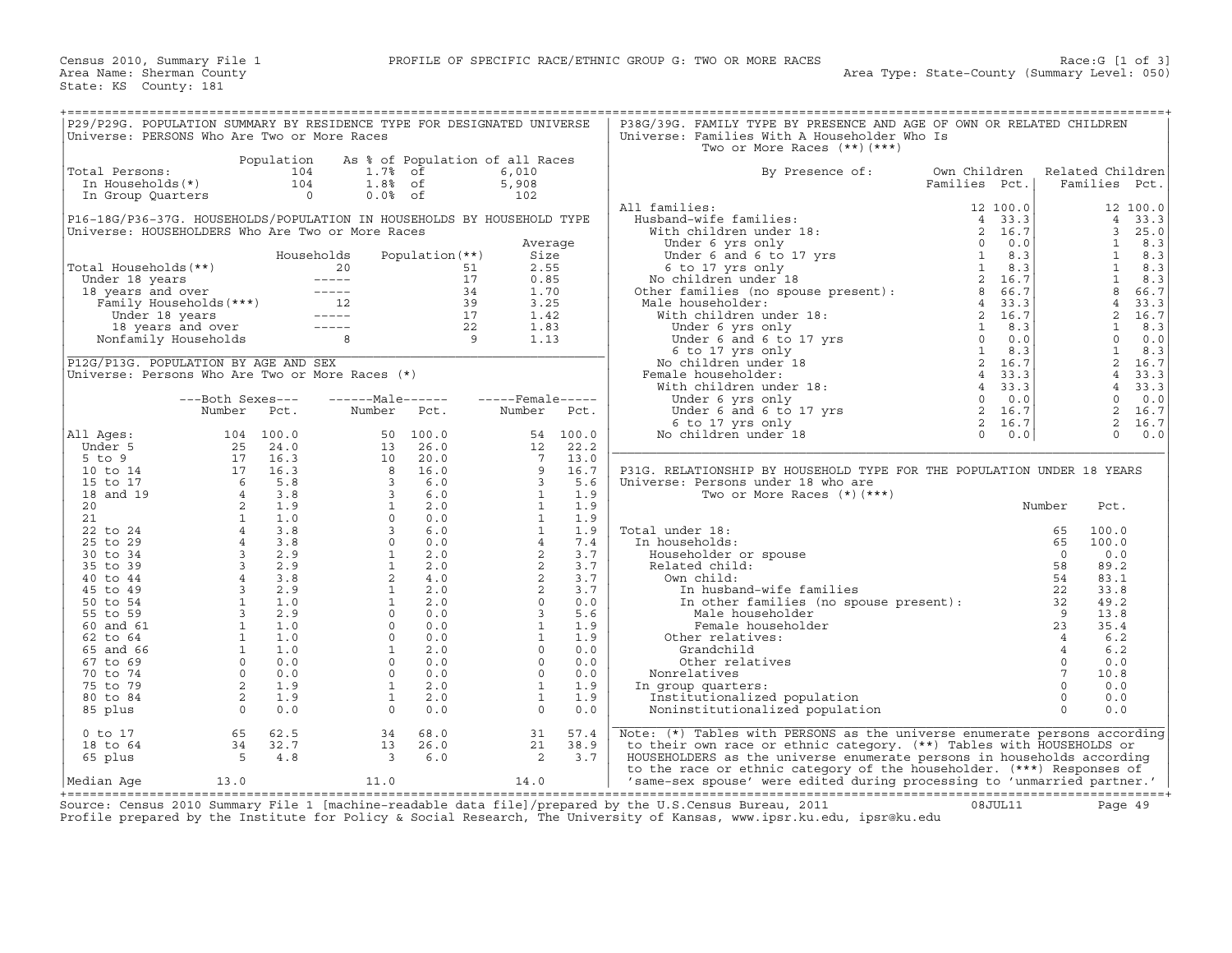| P29/P29G. POPULATION SUMMARY BY RESIDENCE TYPE FOR DESIGNATED UNIVERSE<br>P38G/39G. FAMILY TYPE BY PRESENCE AND AGE OF OWN OR RELATED CHILDREN<br>Universe: PERSONS Who Are Two or More Races<br>Universe: Families With A Householder Who Is<br>Two or More Races $(**)$ $(***)$<br>Population<br>As % of Population of all Races<br>Own Children<br>Total Persons:<br>104<br>1.7% of<br>6,010<br>By Presence of:<br>Related Children<br>In Households(*)<br>$1.8%$ of<br>104<br>5,908<br>Families Pct.<br>Families Pct.<br>$\overline{0}$<br>$0.0%$ of<br>102<br>In Group Quarters<br>All families:<br>12 100.0<br>11 families:<br>Husband-wife families:<br>With children under 18:<br>Under 6 yrs only<br>Under 6 yrs only<br>Under 6 and 6 to 17 yrs<br>6 to 17 yrs only<br>No children under 18<br>Other families (no spouse present):<br>2 16.7<br>No children u<br>P16-18G/P36-37G. HOUSEHOLDS/POPULATION IN HOUSEHOLDS BY HOUSEHOLD TYPE<br>33.3<br>$\overline{4}$<br>$\overline{3}$<br>25.0<br>Universe: HOUSEHOLDERS Who Are Two or More Races<br>$\mathbf{1}$<br>8.3<br>Average<br>Households<br>Population $(**)$<br><sup>1</sup><br>8.3<br>Size<br>$\mathbf{1}$<br>8.3<br>2.55<br>Total Households(**)<br>51<br>otal Households (**)<br>Under 18 years<br>18 years and over<br>Family Households (***)<br>Under 18 years<br>12 Under 18 years<br>12 Junder 18 years<br>12 -----<br>Nonfamily Households<br>8<br><sup>1</sup><br>17<br>0.85<br>8.3<br>8<br>66.7<br>1.70<br>$34$<br>$39$<br>$17$<br>$22$<br>$9$<br>$\overline{4}$<br>33.3<br>3.25<br>ale householder:<br>and householder:<br>With children under 18:<br>Under 6 yrs only<br>Under 6 and 6 to 17 yrs<br>6 to 17 yrs only<br>6 to 17 yrs only<br>No children under 18:<br>When the same area of the conditions of the same of the sam<br>$\overline{2}$<br>16.7<br>1.42<br>1.83<br>$\mathbf{1}$<br>8.3<br>$\Omega$<br>1.13<br>0.0<br>1<br>8.3<br>$\overline{a}$<br>P12G/P13G. POPULATION BY AGE AND SEX<br>16.7<br>Universe: Persons Who Are Two or More Races (*)<br>Female householder:<br>$\overline{4}$<br>33.3<br>4<br>33.3<br>$---Male----$<br>$---$ Female -----<br>$\Omega$<br>0.0<br>---Both Sexes---<br>2<br>Number Pct.<br>Number Pct.<br>16.7<br>Number Pct.<br>2<br>16.7<br>$\Omega$<br>0.0<br>All Ages:<br>104 100.0<br>50 100.0<br>54 100.0<br>$\begin{array}{cccc} 104 & 100.0 \\ 25 & 24.0 \\ 17 & 16.3 \\ 7 & 16.3 \\ 6 & 5.8 \\ 4 & 3.8 \\ 2 & 1.9 \\ 4 & 3.8 \\ 4 & 3.8 \\ 4 & 3.8 \\ 3 & 2.9 \\ 4 & 3.8 \\ 3 & 2.9 \\ 4 & 3.8 \\ 3 & 2.9 \\ 4 & 3.8 \\ 3 & 2.9 \\ 4 & 3.8 \\ 3 & 2.9 \\ 4 & 3.8 \\ 3 & 2.9 \\ 4 & 3.8 \\ 3 & 2.9 \\ 1 & 1.0 \\ 1 & 1.0 \\ 1 & $<br>13 26.0<br>22.2<br>Under 5<br>12<br>$\begin{array}{ccc} 13 & 2 & 10 \\ 10 & 2 & 8 \\ 8 & 1 & 3 \\ 3 & 3 & 1 \\ 3 & 1 & 0 \\ 3 & 0 & 1 \\ 1 & 2 & 1 \\ 1 & 1 & 0 \\ 0 & 0 & 0 \\ 1 & 1 & 0 \\ 0 & 0 & 0 \\ 1 & 1 & 0 \\ 0 & 0 & 0 \\ 0 & 0 & 0 \\ 0 & 0 & 0 \\ 0 & 0 & 0 \\ 0 & 0 & 0 & 0 \\ 0 & 0 & 0 & 0 \\ 0 & 0 & 0 & 0 \\ 0 & 0 & 0 & 0 \\ 0 & 0 & 0 & 0 \\ 0 & 0 &$<br>$5$ to $9$<br>20.0<br>$7^{\circ}$<br>13.0<br>9<br>16.0<br>16.7<br>P31G. RELATIONSHIP BY HOUSEHOLD TYPE FOR THE POPULATION UNDER 18 YEARS<br>10 to 14<br>6.0<br>$\overline{3}$<br>5.6<br>15 to 17<br>Universe: Persons under 18 who are<br>6.0<br>$\overline{1}$<br>18 and 19<br>1.9<br>Two or More Races $(*)$ $(***)$<br>2.0<br>$\mathbf{1}$<br>1.9<br>Number<br>20<br>Pct.<br>$\mathbf{1}$<br>0.0<br>1.9<br>21<br>6.0<br>$\mathbf{1}$<br>1.9<br>Total under 18:<br>22 to 24<br>65<br>100.0<br>7.4<br>0.0<br>$\overline{4}$<br>25 to 29<br>In households:<br>65<br>100.0<br>2.0<br>2<br>3.7<br>30 to 34<br>Householder or spouse<br>$\cap$<br>0.0<br>2.0<br>3.7<br>Related child:<br>89.2<br>35 to 39<br>$\begin{array}{c} 2 \\ 2 \\ 2 \\ 0 \\ 3 \\ 1 \end{array}$<br>58<br>3.7<br>40 to 44<br>4.0<br>Own child:<br>54<br>83.1<br>2.0<br>3.7<br>45 to 49<br>In husband-wife families<br>22<br>33.8<br>In other families (no spouse present):<br>Male_householder discussed by a male<br>2.0<br>0.0<br>50 to 54<br>49.2<br>0.0<br>5.6<br>55 to 59<br>13.8<br>1<br>1.9<br>23<br>60 and 61<br>0.0<br>Female householder<br>35.4<br>$\Omega$<br>0.0<br>$\mathbf{1}$<br>1.9<br>62 to 64<br>Other relatives:<br>$\overline{4}$<br>6.2<br>$\mathbf{1}$<br>2.0<br>$\Omega$<br>0.0<br>Grandchild<br>6.2<br>65 and 66<br>$\overline{4}$<br>$\Omega$<br>0.0<br>$\Omega$<br>0.0<br>$\overline{0}$<br>67 to 69<br>Other relatives<br>0.0<br>$7\overline{ }$<br>$\Omega$<br>0.0<br>$\Omega$<br>0.0<br>70 to 74<br>10.8<br>Nonrelatives<br>$\mathbf{1}$<br>$\mathbf{1}$<br>2.0<br>1.9<br>$\Omega$<br>0.0<br>75 to 79<br>In group quarters:<br>80 to 84<br>$\mathbf{1}$<br>2.0<br>$\mathbf{1}$<br>1.9<br>Institutionalized population<br>$\circ$<br>0.0<br>$\cap$<br>0.0<br>85 plus<br>$\overline{0}$<br>0.0<br>$\Omega$<br>0.0<br>Noninstitutionalized population<br>65<br>Note: (*) Tables with PERSONS as the universe enumerate persons according<br>$0$ to $17$<br>62.5<br>34<br>68.0<br>31<br>57.4<br>21<br>38.9<br>18 to 64<br>34<br>32.7<br>13<br>26.0<br>to their own race or ethnic category. (**) Tables with HOUSEHOLDS or<br>$\begin{array}{c} 34 \\ 5 \end{array}$<br>65 plus<br>4.8<br>$\overline{\phantom{a}}$<br>6.0<br>2<br>3.7<br>HOUSEHOLDERS as the universe enumerate persons in households according<br>to the race or ethnic category of the householder. (***) Responses of<br>11.0<br>14.0<br>13.0<br>'same-sex spouse' were edited during processing to 'unmarried partner.'<br>Median Aqe |  |  |  |  |  |  |  |
|------------------------------------------------------------------------------------------------------------------------------------------------------------------------------------------------------------------------------------------------------------------------------------------------------------------------------------------------------------------------------------------------------------------------------------------------------------------------------------------------------------------------------------------------------------------------------------------------------------------------------------------------------------------------------------------------------------------------------------------------------------------------------------------------------------------------------------------------------------------------------------------------------------------------------------------------------------------------------------------------------------------------------------------------------------------------------------------------------------------------------------------------------------------------------------------------------------------------------------------------------------------------------------------------------------------------------------------------------------------------------------------------------------------------------------------------------------------------------------------------------------------------------------------------------------------------------------------------------------------------------------------------------------------------------------------------------------------------------------------------------------------------------------------------------------------------------------------------------------------------------------------------------------------------------------------------------------------------------------------------------------------------------------------------------------------------------------------------------------------------------------------------------------------------------------------------------------------------------------------------------------------------------------------------------------------------------------------------------------------------------------------------------------------------------------------------------------------------------------------------------------------------------------------------------------------------------------------------------------------------------------------------------------------------------------------------------------------------------------------------------------------------------------------------------------------------------------------------------------------------------------------------------------------------------------------------------------------------------------------------------------------------------------------------------------------------------------------------------------------------------------------------------------------------------------------------------------------------------------------------------------------------------------------------------------------------------------------------------------------------------------------------------------------------------------------------------------------------------------------------------------------------------------------------------------------------------------------------------------------------------------------------------------------------------------------------------------------------------------------------------------------------------------------------------------------------------------------------------------------------------------------------------------------------------------------------------------------------------------------------------------------------------------------------------------------------------------------------------------------------------------------------------------------------------------------------------------------------------------------------------------------------------------------------------------------------------------------------------------------------------------------------------------------------------------------------------------------------------------------------------------------------------------------------------------------------------------------------------------------------------------------------------------------------------------------------------------------------------------------------------------------------------------------------------------------------------------------------------------------------------------------------------------------------------------------------------------------------------------------------------------------------------------------------------------------------------------------------------------------------------------------------------------------------------------------------------------------------------------------------------------------------------------------------------------------------------------------------------------------------------------------------------------------------------------------------------------------------------------------------------------------------------------------------------|--|--|--|--|--|--|--|
|                                                                                                                                                                                                                                                                                                                                                                                                                                                                                                                                                                                                                                                                                                                                                                                                                                                                                                                                                                                                                                                                                                                                                                                                                                                                                                                                                                                                                                                                                                                                                                                                                                                                                                                                                                                                                                                                                                                                                                                                                                                                                                                                                                                                                                                                                                                                                                                                                                                                                                                                                                                                                                                                                                                                                                                                                                                                                                                                                                                                                                                                                                                                                                                                                                                                                                                                                                                                                                                                                                                                                                                                                                                                                                                                                                                                                                                                                                                                                                                                                                                                                                                                                                                                                                                                                                                                                                                                                                                                                                                                                                                                                                                                                                                                                                                                                                                                                                                                                                                                                                                                                                                                                                                                                                                                                                                                                                                                                                                                                                                                                      |  |  |  |  |  |  |  |
|                                                                                                                                                                                                                                                                                                                                                                                                                                                                                                                                                                                                                                                                                                                                                                                                                                                                                                                                                                                                                                                                                                                                                                                                                                                                                                                                                                                                                                                                                                                                                                                                                                                                                                                                                                                                                                                                                                                                                                                                                                                                                                                                                                                                                                                                                                                                                                                                                                                                                                                                                                                                                                                                                                                                                                                                                                                                                                                                                                                                                                                                                                                                                                                                                                                                                                                                                                                                                                                                                                                                                                                                                                                                                                                                                                                                                                                                                                                                                                                                                                                                                                                                                                                                                                                                                                                                                                                                                                                                                                                                                                                                                                                                                                                                                                                                                                                                                                                                                                                                                                                                                                                                                                                                                                                                                                                                                                                                                                                                                                                                                      |  |  |  |  |  |  |  |
|                                                                                                                                                                                                                                                                                                                                                                                                                                                                                                                                                                                                                                                                                                                                                                                                                                                                                                                                                                                                                                                                                                                                                                                                                                                                                                                                                                                                                                                                                                                                                                                                                                                                                                                                                                                                                                                                                                                                                                                                                                                                                                                                                                                                                                                                                                                                                                                                                                                                                                                                                                                                                                                                                                                                                                                                                                                                                                                                                                                                                                                                                                                                                                                                                                                                                                                                                                                                                                                                                                                                                                                                                                                                                                                                                                                                                                                                                                                                                                                                                                                                                                                                                                                                                                                                                                                                                                                                                                                                                                                                                                                                                                                                                                                                                                                                                                                                                                                                                                                                                                                                                                                                                                                                                                                                                                                                                                                                                                                                                                                                                      |  |  |  |  |  |  |  |
|                                                                                                                                                                                                                                                                                                                                                                                                                                                                                                                                                                                                                                                                                                                                                                                                                                                                                                                                                                                                                                                                                                                                                                                                                                                                                                                                                                                                                                                                                                                                                                                                                                                                                                                                                                                                                                                                                                                                                                                                                                                                                                                                                                                                                                                                                                                                                                                                                                                                                                                                                                                                                                                                                                                                                                                                                                                                                                                                                                                                                                                                                                                                                                                                                                                                                                                                                                                                                                                                                                                                                                                                                                                                                                                                                                                                                                                                                                                                                                                                                                                                                                                                                                                                                                                                                                                                                                                                                                                                                                                                                                                                                                                                                                                                                                                                                                                                                                                                                                                                                                                                                                                                                                                                                                                                                                                                                                                                                                                                                                                                                      |  |  |  |  |  |  |  |
|                                                                                                                                                                                                                                                                                                                                                                                                                                                                                                                                                                                                                                                                                                                                                                                                                                                                                                                                                                                                                                                                                                                                                                                                                                                                                                                                                                                                                                                                                                                                                                                                                                                                                                                                                                                                                                                                                                                                                                                                                                                                                                                                                                                                                                                                                                                                                                                                                                                                                                                                                                                                                                                                                                                                                                                                                                                                                                                                                                                                                                                                                                                                                                                                                                                                                                                                                                                                                                                                                                                                                                                                                                                                                                                                                                                                                                                                                                                                                                                                                                                                                                                                                                                                                                                                                                                                                                                                                                                                                                                                                                                                                                                                                                                                                                                                                                                                                                                                                                                                                                                                                                                                                                                                                                                                                                                                                                                                                                                                                                                                                      |  |  |  |  |  |  |  |
|                                                                                                                                                                                                                                                                                                                                                                                                                                                                                                                                                                                                                                                                                                                                                                                                                                                                                                                                                                                                                                                                                                                                                                                                                                                                                                                                                                                                                                                                                                                                                                                                                                                                                                                                                                                                                                                                                                                                                                                                                                                                                                                                                                                                                                                                                                                                                                                                                                                                                                                                                                                                                                                                                                                                                                                                                                                                                                                                                                                                                                                                                                                                                                                                                                                                                                                                                                                                                                                                                                                                                                                                                                                                                                                                                                                                                                                                                                                                                                                                                                                                                                                                                                                                                                                                                                                                                                                                                                                                                                                                                                                                                                                                                                                                                                                                                                                                                                                                                                                                                                                                                                                                                                                                                                                                                                                                                                                                                                                                                                                                                      |  |  |  |  |  |  |  |
|                                                                                                                                                                                                                                                                                                                                                                                                                                                                                                                                                                                                                                                                                                                                                                                                                                                                                                                                                                                                                                                                                                                                                                                                                                                                                                                                                                                                                                                                                                                                                                                                                                                                                                                                                                                                                                                                                                                                                                                                                                                                                                                                                                                                                                                                                                                                                                                                                                                                                                                                                                                                                                                                                                                                                                                                                                                                                                                                                                                                                                                                                                                                                                                                                                                                                                                                                                                                                                                                                                                                                                                                                                                                                                                                                                                                                                                                                                                                                                                                                                                                                                                                                                                                                                                                                                                                                                                                                                                                                                                                                                                                                                                                                                                                                                                                                                                                                                                                                                                                                                                                                                                                                                                                                                                                                                                                                                                                                                                                                                                                                      |  |  |  |  |  |  |  |
|                                                                                                                                                                                                                                                                                                                                                                                                                                                                                                                                                                                                                                                                                                                                                                                                                                                                                                                                                                                                                                                                                                                                                                                                                                                                                                                                                                                                                                                                                                                                                                                                                                                                                                                                                                                                                                                                                                                                                                                                                                                                                                                                                                                                                                                                                                                                                                                                                                                                                                                                                                                                                                                                                                                                                                                                                                                                                                                                                                                                                                                                                                                                                                                                                                                                                                                                                                                                                                                                                                                                                                                                                                                                                                                                                                                                                                                                                                                                                                                                                                                                                                                                                                                                                                                                                                                                                                                                                                                                                                                                                                                                                                                                                                                                                                                                                                                                                                                                                                                                                                                                                                                                                                                                                                                                                                                                                                                                                                                                                                                                                      |  |  |  |  |  |  |  |
|                                                                                                                                                                                                                                                                                                                                                                                                                                                                                                                                                                                                                                                                                                                                                                                                                                                                                                                                                                                                                                                                                                                                                                                                                                                                                                                                                                                                                                                                                                                                                                                                                                                                                                                                                                                                                                                                                                                                                                                                                                                                                                                                                                                                                                                                                                                                                                                                                                                                                                                                                                                                                                                                                                                                                                                                                                                                                                                                                                                                                                                                                                                                                                                                                                                                                                                                                                                                                                                                                                                                                                                                                                                                                                                                                                                                                                                                                                                                                                                                                                                                                                                                                                                                                                                                                                                                                                                                                                                                                                                                                                                                                                                                                                                                                                                                                                                                                                                                                                                                                                                                                                                                                                                                                                                                                                                                                                                                                                                                                                                                                      |  |  |  |  |  |  |  |
|                                                                                                                                                                                                                                                                                                                                                                                                                                                                                                                                                                                                                                                                                                                                                                                                                                                                                                                                                                                                                                                                                                                                                                                                                                                                                                                                                                                                                                                                                                                                                                                                                                                                                                                                                                                                                                                                                                                                                                                                                                                                                                                                                                                                                                                                                                                                                                                                                                                                                                                                                                                                                                                                                                                                                                                                                                                                                                                                                                                                                                                                                                                                                                                                                                                                                                                                                                                                                                                                                                                                                                                                                                                                                                                                                                                                                                                                                                                                                                                                                                                                                                                                                                                                                                                                                                                                                                                                                                                                                                                                                                                                                                                                                                                                                                                                                                                                                                                                                                                                                                                                                                                                                                                                                                                                                                                                                                                                                                                                                                                                                      |  |  |  |  |  |  |  |
|                                                                                                                                                                                                                                                                                                                                                                                                                                                                                                                                                                                                                                                                                                                                                                                                                                                                                                                                                                                                                                                                                                                                                                                                                                                                                                                                                                                                                                                                                                                                                                                                                                                                                                                                                                                                                                                                                                                                                                                                                                                                                                                                                                                                                                                                                                                                                                                                                                                                                                                                                                                                                                                                                                                                                                                                                                                                                                                                                                                                                                                                                                                                                                                                                                                                                                                                                                                                                                                                                                                                                                                                                                                                                                                                                                                                                                                                                                                                                                                                                                                                                                                                                                                                                                                                                                                                                                                                                                                                                                                                                                                                                                                                                                                                                                                                                                                                                                                                                                                                                                                                                                                                                                                                                                                                                                                                                                                                                                                                                                                                                      |  |  |  |  |  |  |  |
|                                                                                                                                                                                                                                                                                                                                                                                                                                                                                                                                                                                                                                                                                                                                                                                                                                                                                                                                                                                                                                                                                                                                                                                                                                                                                                                                                                                                                                                                                                                                                                                                                                                                                                                                                                                                                                                                                                                                                                                                                                                                                                                                                                                                                                                                                                                                                                                                                                                                                                                                                                                                                                                                                                                                                                                                                                                                                                                                                                                                                                                                                                                                                                                                                                                                                                                                                                                                                                                                                                                                                                                                                                                                                                                                                                                                                                                                                                                                                                                                                                                                                                                                                                                                                                                                                                                                                                                                                                                                                                                                                                                                                                                                                                                                                                                                                                                                                                                                                                                                                                                                                                                                                                                                                                                                                                                                                                                                                                                                                                                                                      |  |  |  |  |  |  |  |
|                                                                                                                                                                                                                                                                                                                                                                                                                                                                                                                                                                                                                                                                                                                                                                                                                                                                                                                                                                                                                                                                                                                                                                                                                                                                                                                                                                                                                                                                                                                                                                                                                                                                                                                                                                                                                                                                                                                                                                                                                                                                                                                                                                                                                                                                                                                                                                                                                                                                                                                                                                                                                                                                                                                                                                                                                                                                                                                                                                                                                                                                                                                                                                                                                                                                                                                                                                                                                                                                                                                                                                                                                                                                                                                                                                                                                                                                                                                                                                                                                                                                                                                                                                                                                                                                                                                                                                                                                                                                                                                                                                                                                                                                                                                                                                                                                                                                                                                                                                                                                                                                                                                                                                                                                                                                                                                                                                                                                                                                                                                                                      |  |  |  |  |  |  |  |
|                                                                                                                                                                                                                                                                                                                                                                                                                                                                                                                                                                                                                                                                                                                                                                                                                                                                                                                                                                                                                                                                                                                                                                                                                                                                                                                                                                                                                                                                                                                                                                                                                                                                                                                                                                                                                                                                                                                                                                                                                                                                                                                                                                                                                                                                                                                                                                                                                                                                                                                                                                                                                                                                                                                                                                                                                                                                                                                                                                                                                                                                                                                                                                                                                                                                                                                                                                                                                                                                                                                                                                                                                                                                                                                                                                                                                                                                                                                                                                                                                                                                                                                                                                                                                                                                                                                                                                                                                                                                                                                                                                                                                                                                                                                                                                                                                                                                                                                                                                                                                                                                                                                                                                                                                                                                                                                                                                                                                                                                                                                                                      |  |  |  |  |  |  |  |
|                                                                                                                                                                                                                                                                                                                                                                                                                                                                                                                                                                                                                                                                                                                                                                                                                                                                                                                                                                                                                                                                                                                                                                                                                                                                                                                                                                                                                                                                                                                                                                                                                                                                                                                                                                                                                                                                                                                                                                                                                                                                                                                                                                                                                                                                                                                                                                                                                                                                                                                                                                                                                                                                                                                                                                                                                                                                                                                                                                                                                                                                                                                                                                                                                                                                                                                                                                                                                                                                                                                                                                                                                                                                                                                                                                                                                                                                                                                                                                                                                                                                                                                                                                                                                                                                                                                                                                                                                                                                                                                                                                                                                                                                                                                                                                                                                                                                                                                                                                                                                                                                                                                                                                                                                                                                                                                                                                                                                                                                                                                                                      |  |  |  |  |  |  |  |
|                                                                                                                                                                                                                                                                                                                                                                                                                                                                                                                                                                                                                                                                                                                                                                                                                                                                                                                                                                                                                                                                                                                                                                                                                                                                                                                                                                                                                                                                                                                                                                                                                                                                                                                                                                                                                                                                                                                                                                                                                                                                                                                                                                                                                                                                                                                                                                                                                                                                                                                                                                                                                                                                                                                                                                                                                                                                                                                                                                                                                                                                                                                                                                                                                                                                                                                                                                                                                                                                                                                                                                                                                                                                                                                                                                                                                                                                                                                                                                                                                                                                                                                                                                                                                                                                                                                                                                                                                                                                                                                                                                                                                                                                                                                                                                                                                                                                                                                                                                                                                                                                                                                                                                                                                                                                                                                                                                                                                                                                                                                                                      |  |  |  |  |  |  |  |
|                                                                                                                                                                                                                                                                                                                                                                                                                                                                                                                                                                                                                                                                                                                                                                                                                                                                                                                                                                                                                                                                                                                                                                                                                                                                                                                                                                                                                                                                                                                                                                                                                                                                                                                                                                                                                                                                                                                                                                                                                                                                                                                                                                                                                                                                                                                                                                                                                                                                                                                                                                                                                                                                                                                                                                                                                                                                                                                                                                                                                                                                                                                                                                                                                                                                                                                                                                                                                                                                                                                                                                                                                                                                                                                                                                                                                                                                                                                                                                                                                                                                                                                                                                                                                                                                                                                                                                                                                                                                                                                                                                                                                                                                                                                                                                                                                                                                                                                                                                                                                                                                                                                                                                                                                                                                                                                                                                                                                                                                                                                                                      |  |  |  |  |  |  |  |
|                                                                                                                                                                                                                                                                                                                                                                                                                                                                                                                                                                                                                                                                                                                                                                                                                                                                                                                                                                                                                                                                                                                                                                                                                                                                                                                                                                                                                                                                                                                                                                                                                                                                                                                                                                                                                                                                                                                                                                                                                                                                                                                                                                                                                                                                                                                                                                                                                                                                                                                                                                                                                                                                                                                                                                                                                                                                                                                                                                                                                                                                                                                                                                                                                                                                                                                                                                                                                                                                                                                                                                                                                                                                                                                                                                                                                                                                                                                                                                                                                                                                                                                                                                                                                                                                                                                                                                                                                                                                                                                                                                                                                                                                                                                                                                                                                                                                                                                                                                                                                                                                                                                                                                                                                                                                                                                                                                                                                                                                                                                                                      |  |  |  |  |  |  |  |
|                                                                                                                                                                                                                                                                                                                                                                                                                                                                                                                                                                                                                                                                                                                                                                                                                                                                                                                                                                                                                                                                                                                                                                                                                                                                                                                                                                                                                                                                                                                                                                                                                                                                                                                                                                                                                                                                                                                                                                                                                                                                                                                                                                                                                                                                                                                                                                                                                                                                                                                                                                                                                                                                                                                                                                                                                                                                                                                                                                                                                                                                                                                                                                                                                                                                                                                                                                                                                                                                                                                                                                                                                                                                                                                                                                                                                                                                                                                                                                                                                                                                                                                                                                                                                                                                                                                                                                                                                                                                                                                                                                                                                                                                                                                                                                                                                                                                                                                                                                                                                                                                                                                                                                                                                                                                                                                                                                                                                                                                                                                                                      |  |  |  |  |  |  |  |
|                                                                                                                                                                                                                                                                                                                                                                                                                                                                                                                                                                                                                                                                                                                                                                                                                                                                                                                                                                                                                                                                                                                                                                                                                                                                                                                                                                                                                                                                                                                                                                                                                                                                                                                                                                                                                                                                                                                                                                                                                                                                                                                                                                                                                                                                                                                                                                                                                                                                                                                                                                                                                                                                                                                                                                                                                                                                                                                                                                                                                                                                                                                                                                                                                                                                                                                                                                                                                                                                                                                                                                                                                                                                                                                                                                                                                                                                                                                                                                                                                                                                                                                                                                                                                                                                                                                                                                                                                                                                                                                                                                                                                                                                                                                                                                                                                                                                                                                                                                                                                                                                                                                                                                                                                                                                                                                                                                                                                                                                                                                                                      |  |  |  |  |  |  |  |
|                                                                                                                                                                                                                                                                                                                                                                                                                                                                                                                                                                                                                                                                                                                                                                                                                                                                                                                                                                                                                                                                                                                                                                                                                                                                                                                                                                                                                                                                                                                                                                                                                                                                                                                                                                                                                                                                                                                                                                                                                                                                                                                                                                                                                                                                                                                                                                                                                                                                                                                                                                                                                                                                                                                                                                                                                                                                                                                                                                                                                                                                                                                                                                                                                                                                                                                                                                                                                                                                                                                                                                                                                                                                                                                                                                                                                                                                                                                                                                                                                                                                                                                                                                                                                                                                                                                                                                                                                                                                                                                                                                                                                                                                                                                                                                                                                                                                                                                                                                                                                                                                                                                                                                                                                                                                                                                                                                                                                                                                                                                                                      |  |  |  |  |  |  |  |
|                                                                                                                                                                                                                                                                                                                                                                                                                                                                                                                                                                                                                                                                                                                                                                                                                                                                                                                                                                                                                                                                                                                                                                                                                                                                                                                                                                                                                                                                                                                                                                                                                                                                                                                                                                                                                                                                                                                                                                                                                                                                                                                                                                                                                                                                                                                                                                                                                                                                                                                                                                                                                                                                                                                                                                                                                                                                                                                                                                                                                                                                                                                                                                                                                                                                                                                                                                                                                                                                                                                                                                                                                                                                                                                                                                                                                                                                                                                                                                                                                                                                                                                                                                                                                                                                                                                                                                                                                                                                                                                                                                                                                                                                                                                                                                                                                                                                                                                                                                                                                                                                                                                                                                                                                                                                                                                                                                                                                                                                                                                                                      |  |  |  |  |  |  |  |
|                                                                                                                                                                                                                                                                                                                                                                                                                                                                                                                                                                                                                                                                                                                                                                                                                                                                                                                                                                                                                                                                                                                                                                                                                                                                                                                                                                                                                                                                                                                                                                                                                                                                                                                                                                                                                                                                                                                                                                                                                                                                                                                                                                                                                                                                                                                                                                                                                                                                                                                                                                                                                                                                                                                                                                                                                                                                                                                                                                                                                                                                                                                                                                                                                                                                                                                                                                                                                                                                                                                                                                                                                                                                                                                                                                                                                                                                                                                                                                                                                                                                                                                                                                                                                                                                                                                                                                                                                                                                                                                                                                                                                                                                                                                                                                                                                                                                                                                                                                                                                                                                                                                                                                                                                                                                                                                                                                                                                                                                                                                                                      |  |  |  |  |  |  |  |
|                                                                                                                                                                                                                                                                                                                                                                                                                                                                                                                                                                                                                                                                                                                                                                                                                                                                                                                                                                                                                                                                                                                                                                                                                                                                                                                                                                                                                                                                                                                                                                                                                                                                                                                                                                                                                                                                                                                                                                                                                                                                                                                                                                                                                                                                                                                                                                                                                                                                                                                                                                                                                                                                                                                                                                                                                                                                                                                                                                                                                                                                                                                                                                                                                                                                                                                                                                                                                                                                                                                                                                                                                                                                                                                                                                                                                                                                                                                                                                                                                                                                                                                                                                                                                                                                                                                                                                                                                                                                                                                                                                                                                                                                                                                                                                                                                                                                                                                                                                                                                                                                                                                                                                                                                                                                                                                                                                                                                                                                                                                                                      |  |  |  |  |  |  |  |
|                                                                                                                                                                                                                                                                                                                                                                                                                                                                                                                                                                                                                                                                                                                                                                                                                                                                                                                                                                                                                                                                                                                                                                                                                                                                                                                                                                                                                                                                                                                                                                                                                                                                                                                                                                                                                                                                                                                                                                                                                                                                                                                                                                                                                                                                                                                                                                                                                                                                                                                                                                                                                                                                                                                                                                                                                                                                                                                                                                                                                                                                                                                                                                                                                                                                                                                                                                                                                                                                                                                                                                                                                                                                                                                                                                                                                                                                                                                                                                                                                                                                                                                                                                                                                                                                                                                                                                                                                                                                                                                                                                                                                                                                                                                                                                                                                                                                                                                                                                                                                                                                                                                                                                                                                                                                                                                                                                                                                                                                                                                                                      |  |  |  |  |  |  |  |
|                                                                                                                                                                                                                                                                                                                                                                                                                                                                                                                                                                                                                                                                                                                                                                                                                                                                                                                                                                                                                                                                                                                                                                                                                                                                                                                                                                                                                                                                                                                                                                                                                                                                                                                                                                                                                                                                                                                                                                                                                                                                                                                                                                                                                                                                                                                                                                                                                                                                                                                                                                                                                                                                                                                                                                                                                                                                                                                                                                                                                                                                                                                                                                                                                                                                                                                                                                                                                                                                                                                                                                                                                                                                                                                                                                                                                                                                                                                                                                                                                                                                                                                                                                                                                                                                                                                                                                                                                                                                                                                                                                                                                                                                                                                                                                                                                                                                                                                                                                                                                                                                                                                                                                                                                                                                                                                                                                                                                                                                                                                                                      |  |  |  |  |  |  |  |
|                                                                                                                                                                                                                                                                                                                                                                                                                                                                                                                                                                                                                                                                                                                                                                                                                                                                                                                                                                                                                                                                                                                                                                                                                                                                                                                                                                                                                                                                                                                                                                                                                                                                                                                                                                                                                                                                                                                                                                                                                                                                                                                                                                                                                                                                                                                                                                                                                                                                                                                                                                                                                                                                                                                                                                                                                                                                                                                                                                                                                                                                                                                                                                                                                                                                                                                                                                                                                                                                                                                                                                                                                                                                                                                                                                                                                                                                                                                                                                                                                                                                                                                                                                                                                                                                                                                                                                                                                                                                                                                                                                                                                                                                                                                                                                                                                                                                                                                                                                                                                                                                                                                                                                                                                                                                                                                                                                                                                                                                                                                                                      |  |  |  |  |  |  |  |
|                                                                                                                                                                                                                                                                                                                                                                                                                                                                                                                                                                                                                                                                                                                                                                                                                                                                                                                                                                                                                                                                                                                                                                                                                                                                                                                                                                                                                                                                                                                                                                                                                                                                                                                                                                                                                                                                                                                                                                                                                                                                                                                                                                                                                                                                                                                                                                                                                                                                                                                                                                                                                                                                                                                                                                                                                                                                                                                                                                                                                                                                                                                                                                                                                                                                                                                                                                                                                                                                                                                                                                                                                                                                                                                                                                                                                                                                                                                                                                                                                                                                                                                                                                                                                                                                                                                                                                                                                                                                                                                                                                                                                                                                                                                                                                                                                                                                                                                                                                                                                                                                                                                                                                                                                                                                                                                                                                                                                                                                                                                                                      |  |  |  |  |  |  |  |
|                                                                                                                                                                                                                                                                                                                                                                                                                                                                                                                                                                                                                                                                                                                                                                                                                                                                                                                                                                                                                                                                                                                                                                                                                                                                                                                                                                                                                                                                                                                                                                                                                                                                                                                                                                                                                                                                                                                                                                                                                                                                                                                                                                                                                                                                                                                                                                                                                                                                                                                                                                                                                                                                                                                                                                                                                                                                                                                                                                                                                                                                                                                                                                                                                                                                                                                                                                                                                                                                                                                                                                                                                                                                                                                                                                                                                                                                                                                                                                                                                                                                                                                                                                                                                                                                                                                                                                                                                                                                                                                                                                                                                                                                                                                                                                                                                                                                                                                                                                                                                                                                                                                                                                                                                                                                                                                                                                                                                                                                                                                                                      |  |  |  |  |  |  |  |
|                                                                                                                                                                                                                                                                                                                                                                                                                                                                                                                                                                                                                                                                                                                                                                                                                                                                                                                                                                                                                                                                                                                                                                                                                                                                                                                                                                                                                                                                                                                                                                                                                                                                                                                                                                                                                                                                                                                                                                                                                                                                                                                                                                                                                                                                                                                                                                                                                                                                                                                                                                                                                                                                                                                                                                                                                                                                                                                                                                                                                                                                                                                                                                                                                                                                                                                                                                                                                                                                                                                                                                                                                                                                                                                                                                                                                                                                                                                                                                                                                                                                                                                                                                                                                                                                                                                                                                                                                                                                                                                                                                                                                                                                                                                                                                                                                                                                                                                                                                                                                                                                                                                                                                                                                                                                                                                                                                                                                                                                                                                                                      |  |  |  |  |  |  |  |
|                                                                                                                                                                                                                                                                                                                                                                                                                                                                                                                                                                                                                                                                                                                                                                                                                                                                                                                                                                                                                                                                                                                                                                                                                                                                                                                                                                                                                                                                                                                                                                                                                                                                                                                                                                                                                                                                                                                                                                                                                                                                                                                                                                                                                                                                                                                                                                                                                                                                                                                                                                                                                                                                                                                                                                                                                                                                                                                                                                                                                                                                                                                                                                                                                                                                                                                                                                                                                                                                                                                                                                                                                                                                                                                                                                                                                                                                                                                                                                                                                                                                                                                                                                                                                                                                                                                                                                                                                                                                                                                                                                                                                                                                                                                                                                                                                                                                                                                                                                                                                                                                                                                                                                                                                                                                                                                                                                                                                                                                                                                                                      |  |  |  |  |  |  |  |
|                                                                                                                                                                                                                                                                                                                                                                                                                                                                                                                                                                                                                                                                                                                                                                                                                                                                                                                                                                                                                                                                                                                                                                                                                                                                                                                                                                                                                                                                                                                                                                                                                                                                                                                                                                                                                                                                                                                                                                                                                                                                                                                                                                                                                                                                                                                                                                                                                                                                                                                                                                                                                                                                                                                                                                                                                                                                                                                                                                                                                                                                                                                                                                                                                                                                                                                                                                                                                                                                                                                                                                                                                                                                                                                                                                                                                                                                                                                                                                                                                                                                                                                                                                                                                                                                                                                                                                                                                                                                                                                                                                                                                                                                                                                                                                                                                                                                                                                                                                                                                                                                                                                                                                                                                                                                                                                                                                                                                                                                                                                                                      |  |  |  |  |  |  |  |
|                                                                                                                                                                                                                                                                                                                                                                                                                                                                                                                                                                                                                                                                                                                                                                                                                                                                                                                                                                                                                                                                                                                                                                                                                                                                                                                                                                                                                                                                                                                                                                                                                                                                                                                                                                                                                                                                                                                                                                                                                                                                                                                                                                                                                                                                                                                                                                                                                                                                                                                                                                                                                                                                                                                                                                                                                                                                                                                                                                                                                                                                                                                                                                                                                                                                                                                                                                                                                                                                                                                                                                                                                                                                                                                                                                                                                                                                                                                                                                                                                                                                                                                                                                                                                                                                                                                                                                                                                                                                                                                                                                                                                                                                                                                                                                                                                                                                                                                                                                                                                                                                                                                                                                                                                                                                                                                                                                                                                                                                                                                                                      |  |  |  |  |  |  |  |
|                                                                                                                                                                                                                                                                                                                                                                                                                                                                                                                                                                                                                                                                                                                                                                                                                                                                                                                                                                                                                                                                                                                                                                                                                                                                                                                                                                                                                                                                                                                                                                                                                                                                                                                                                                                                                                                                                                                                                                                                                                                                                                                                                                                                                                                                                                                                                                                                                                                                                                                                                                                                                                                                                                                                                                                                                                                                                                                                                                                                                                                                                                                                                                                                                                                                                                                                                                                                                                                                                                                                                                                                                                                                                                                                                                                                                                                                                                                                                                                                                                                                                                                                                                                                                                                                                                                                                                                                                                                                                                                                                                                                                                                                                                                                                                                                                                                                                                                                                                                                                                                                                                                                                                                                                                                                                                                                                                                                                                                                                                                                                      |  |  |  |  |  |  |  |
|                                                                                                                                                                                                                                                                                                                                                                                                                                                                                                                                                                                                                                                                                                                                                                                                                                                                                                                                                                                                                                                                                                                                                                                                                                                                                                                                                                                                                                                                                                                                                                                                                                                                                                                                                                                                                                                                                                                                                                                                                                                                                                                                                                                                                                                                                                                                                                                                                                                                                                                                                                                                                                                                                                                                                                                                                                                                                                                                                                                                                                                                                                                                                                                                                                                                                                                                                                                                                                                                                                                                                                                                                                                                                                                                                                                                                                                                                                                                                                                                                                                                                                                                                                                                                                                                                                                                                                                                                                                                                                                                                                                                                                                                                                                                                                                                                                                                                                                                                                                                                                                                                                                                                                                                                                                                                                                                                                                                                                                                                                                                                      |  |  |  |  |  |  |  |
|                                                                                                                                                                                                                                                                                                                                                                                                                                                                                                                                                                                                                                                                                                                                                                                                                                                                                                                                                                                                                                                                                                                                                                                                                                                                                                                                                                                                                                                                                                                                                                                                                                                                                                                                                                                                                                                                                                                                                                                                                                                                                                                                                                                                                                                                                                                                                                                                                                                                                                                                                                                                                                                                                                                                                                                                                                                                                                                                                                                                                                                                                                                                                                                                                                                                                                                                                                                                                                                                                                                                                                                                                                                                                                                                                                                                                                                                                                                                                                                                                                                                                                                                                                                                                                                                                                                                                                                                                                                                                                                                                                                                                                                                                                                                                                                                                                                                                                                                                                                                                                                                                                                                                                                                                                                                                                                                                                                                                                                                                                                                                      |  |  |  |  |  |  |  |
|                                                                                                                                                                                                                                                                                                                                                                                                                                                                                                                                                                                                                                                                                                                                                                                                                                                                                                                                                                                                                                                                                                                                                                                                                                                                                                                                                                                                                                                                                                                                                                                                                                                                                                                                                                                                                                                                                                                                                                                                                                                                                                                                                                                                                                                                                                                                                                                                                                                                                                                                                                                                                                                                                                                                                                                                                                                                                                                                                                                                                                                                                                                                                                                                                                                                                                                                                                                                                                                                                                                                                                                                                                                                                                                                                                                                                                                                                                                                                                                                                                                                                                                                                                                                                                                                                                                                                                                                                                                                                                                                                                                                                                                                                                                                                                                                                                                                                                                                                                                                                                                                                                                                                                                                                                                                                                                                                                                                                                                                                                                                                      |  |  |  |  |  |  |  |
|                                                                                                                                                                                                                                                                                                                                                                                                                                                                                                                                                                                                                                                                                                                                                                                                                                                                                                                                                                                                                                                                                                                                                                                                                                                                                                                                                                                                                                                                                                                                                                                                                                                                                                                                                                                                                                                                                                                                                                                                                                                                                                                                                                                                                                                                                                                                                                                                                                                                                                                                                                                                                                                                                                                                                                                                                                                                                                                                                                                                                                                                                                                                                                                                                                                                                                                                                                                                                                                                                                                                                                                                                                                                                                                                                                                                                                                                                                                                                                                                                                                                                                                                                                                                                                                                                                                                                                                                                                                                                                                                                                                                                                                                                                                                                                                                                                                                                                                                                                                                                                                                                                                                                                                                                                                                                                                                                                                                                                                                                                                                                      |  |  |  |  |  |  |  |
|                                                                                                                                                                                                                                                                                                                                                                                                                                                                                                                                                                                                                                                                                                                                                                                                                                                                                                                                                                                                                                                                                                                                                                                                                                                                                                                                                                                                                                                                                                                                                                                                                                                                                                                                                                                                                                                                                                                                                                                                                                                                                                                                                                                                                                                                                                                                                                                                                                                                                                                                                                                                                                                                                                                                                                                                                                                                                                                                                                                                                                                                                                                                                                                                                                                                                                                                                                                                                                                                                                                                                                                                                                                                                                                                                                                                                                                                                                                                                                                                                                                                                                                                                                                                                                                                                                                                                                                                                                                                                                                                                                                                                                                                                                                                                                                                                                                                                                                                                                                                                                                                                                                                                                                                                                                                                                                                                                                                                                                                                                                                                      |  |  |  |  |  |  |  |
|                                                                                                                                                                                                                                                                                                                                                                                                                                                                                                                                                                                                                                                                                                                                                                                                                                                                                                                                                                                                                                                                                                                                                                                                                                                                                                                                                                                                                                                                                                                                                                                                                                                                                                                                                                                                                                                                                                                                                                                                                                                                                                                                                                                                                                                                                                                                                                                                                                                                                                                                                                                                                                                                                                                                                                                                                                                                                                                                                                                                                                                                                                                                                                                                                                                                                                                                                                                                                                                                                                                                                                                                                                                                                                                                                                                                                                                                                                                                                                                                                                                                                                                                                                                                                                                                                                                                                                                                                                                                                                                                                                                                                                                                                                                                                                                                                                                                                                                                                                                                                                                                                                                                                                                                                                                                                                                                                                                                                                                                                                                                                      |  |  |  |  |  |  |  |
|                                                                                                                                                                                                                                                                                                                                                                                                                                                                                                                                                                                                                                                                                                                                                                                                                                                                                                                                                                                                                                                                                                                                                                                                                                                                                                                                                                                                                                                                                                                                                                                                                                                                                                                                                                                                                                                                                                                                                                                                                                                                                                                                                                                                                                                                                                                                                                                                                                                                                                                                                                                                                                                                                                                                                                                                                                                                                                                                                                                                                                                                                                                                                                                                                                                                                                                                                                                                                                                                                                                                                                                                                                                                                                                                                                                                                                                                                                                                                                                                                                                                                                                                                                                                                                                                                                                                                                                                                                                                                                                                                                                                                                                                                                                                                                                                                                                                                                                                                                                                                                                                                                                                                                                                                                                                                                                                                                                                                                                                                                                                                      |  |  |  |  |  |  |  |
|                                                                                                                                                                                                                                                                                                                                                                                                                                                                                                                                                                                                                                                                                                                                                                                                                                                                                                                                                                                                                                                                                                                                                                                                                                                                                                                                                                                                                                                                                                                                                                                                                                                                                                                                                                                                                                                                                                                                                                                                                                                                                                                                                                                                                                                                                                                                                                                                                                                                                                                                                                                                                                                                                                                                                                                                                                                                                                                                                                                                                                                                                                                                                                                                                                                                                                                                                                                                                                                                                                                                                                                                                                                                                                                                                                                                                                                                                                                                                                                                                                                                                                                                                                                                                                                                                                                                                                                                                                                                                                                                                                                                                                                                                                                                                                                                                                                                                                                                                                                                                                                                                                                                                                                                                                                                                                                                                                                                                                                                                                                                                      |  |  |  |  |  |  |  |
|                                                                                                                                                                                                                                                                                                                                                                                                                                                                                                                                                                                                                                                                                                                                                                                                                                                                                                                                                                                                                                                                                                                                                                                                                                                                                                                                                                                                                                                                                                                                                                                                                                                                                                                                                                                                                                                                                                                                                                                                                                                                                                                                                                                                                                                                                                                                                                                                                                                                                                                                                                                                                                                                                                                                                                                                                                                                                                                                                                                                                                                                                                                                                                                                                                                                                                                                                                                                                                                                                                                                                                                                                                                                                                                                                                                                                                                                                                                                                                                                                                                                                                                                                                                                                                                                                                                                                                                                                                                                                                                                                                                                                                                                                                                                                                                                                                                                                                                                                                                                                                                                                                                                                                                                                                                                                                                                                                                                                                                                                                                                                      |  |  |  |  |  |  |  |
|                                                                                                                                                                                                                                                                                                                                                                                                                                                                                                                                                                                                                                                                                                                                                                                                                                                                                                                                                                                                                                                                                                                                                                                                                                                                                                                                                                                                                                                                                                                                                                                                                                                                                                                                                                                                                                                                                                                                                                                                                                                                                                                                                                                                                                                                                                                                                                                                                                                                                                                                                                                                                                                                                                                                                                                                                                                                                                                                                                                                                                                                                                                                                                                                                                                                                                                                                                                                                                                                                                                                                                                                                                                                                                                                                                                                                                                                                                                                                                                                                                                                                                                                                                                                                                                                                                                                                                                                                                                                                                                                                                                                                                                                                                                                                                                                                                                                                                                                                                                                                                                                                                                                                                                                                                                                                                                                                                                                                                                                                                                                                      |  |  |  |  |  |  |  |
|                                                                                                                                                                                                                                                                                                                                                                                                                                                                                                                                                                                                                                                                                                                                                                                                                                                                                                                                                                                                                                                                                                                                                                                                                                                                                                                                                                                                                                                                                                                                                                                                                                                                                                                                                                                                                                                                                                                                                                                                                                                                                                                                                                                                                                                                                                                                                                                                                                                                                                                                                                                                                                                                                                                                                                                                                                                                                                                                                                                                                                                                                                                                                                                                                                                                                                                                                                                                                                                                                                                                                                                                                                                                                                                                                                                                                                                                                                                                                                                                                                                                                                                                                                                                                                                                                                                                                                                                                                                                                                                                                                                                                                                                                                                                                                                                                                                                                                                                                                                                                                                                                                                                                                                                                                                                                                                                                                                                                                                                                                                                                      |  |  |  |  |  |  |  |
|                                                                                                                                                                                                                                                                                                                                                                                                                                                                                                                                                                                                                                                                                                                                                                                                                                                                                                                                                                                                                                                                                                                                                                                                                                                                                                                                                                                                                                                                                                                                                                                                                                                                                                                                                                                                                                                                                                                                                                                                                                                                                                                                                                                                                                                                                                                                                                                                                                                                                                                                                                                                                                                                                                                                                                                                                                                                                                                                                                                                                                                                                                                                                                                                                                                                                                                                                                                                                                                                                                                                                                                                                                                                                                                                                                                                                                                                                                                                                                                                                                                                                                                                                                                                                                                                                                                                                                                                                                                                                                                                                                                                                                                                                                                                                                                                                                                                                                                                                                                                                                                                                                                                                                                                                                                                                                                                                                                                                                                                                                                                                      |  |  |  |  |  |  |  |
|                                                                                                                                                                                                                                                                                                                                                                                                                                                                                                                                                                                                                                                                                                                                                                                                                                                                                                                                                                                                                                                                                                                                                                                                                                                                                                                                                                                                                                                                                                                                                                                                                                                                                                                                                                                                                                                                                                                                                                                                                                                                                                                                                                                                                                                                                                                                                                                                                                                                                                                                                                                                                                                                                                                                                                                                                                                                                                                                                                                                                                                                                                                                                                                                                                                                                                                                                                                                                                                                                                                                                                                                                                                                                                                                                                                                                                                                                                                                                                                                                                                                                                                                                                                                                                                                                                                                                                                                                                                                                                                                                                                                                                                                                                                                                                                                                                                                                                                                                                                                                                                                                                                                                                                                                                                                                                                                                                                                                                                                                                                                                      |  |  |  |  |  |  |  |
|                                                                                                                                                                                                                                                                                                                                                                                                                                                                                                                                                                                                                                                                                                                                                                                                                                                                                                                                                                                                                                                                                                                                                                                                                                                                                                                                                                                                                                                                                                                                                                                                                                                                                                                                                                                                                                                                                                                                                                                                                                                                                                                                                                                                                                                                                                                                                                                                                                                                                                                                                                                                                                                                                                                                                                                                                                                                                                                                                                                                                                                                                                                                                                                                                                                                                                                                                                                                                                                                                                                                                                                                                                                                                                                                                                                                                                                                                                                                                                                                                                                                                                                                                                                                                                                                                                                                                                                                                                                                                                                                                                                                                                                                                                                                                                                                                                                                                                                                                                                                                                                                                                                                                                                                                                                                                                                                                                                                                                                                                                                                                      |  |  |  |  |  |  |  |
|                                                                                                                                                                                                                                                                                                                                                                                                                                                                                                                                                                                                                                                                                                                                                                                                                                                                                                                                                                                                                                                                                                                                                                                                                                                                                                                                                                                                                                                                                                                                                                                                                                                                                                                                                                                                                                                                                                                                                                                                                                                                                                                                                                                                                                                                                                                                                                                                                                                                                                                                                                                                                                                                                                                                                                                                                                                                                                                                                                                                                                                                                                                                                                                                                                                                                                                                                                                                                                                                                                                                                                                                                                                                                                                                                                                                                                                                                                                                                                                                                                                                                                                                                                                                                                                                                                                                                                                                                                                                                                                                                                                                                                                                                                                                                                                                                                                                                                                                                                                                                                                                                                                                                                                                                                                                                                                                                                                                                                                                                                                                                      |  |  |  |  |  |  |  |
|                                                                                                                                                                                                                                                                                                                                                                                                                                                                                                                                                                                                                                                                                                                                                                                                                                                                                                                                                                                                                                                                                                                                                                                                                                                                                                                                                                                                                                                                                                                                                                                                                                                                                                                                                                                                                                                                                                                                                                                                                                                                                                                                                                                                                                                                                                                                                                                                                                                                                                                                                                                                                                                                                                                                                                                                                                                                                                                                                                                                                                                                                                                                                                                                                                                                                                                                                                                                                                                                                                                                                                                                                                                                                                                                                                                                                                                                                                                                                                                                                                                                                                                                                                                                                                                                                                                                                                                                                                                                                                                                                                                                                                                                                                                                                                                                                                                                                                                                                                                                                                                                                                                                                                                                                                                                                                                                                                                                                                                                                                                                                      |  |  |  |  |  |  |  |
|                                                                                                                                                                                                                                                                                                                                                                                                                                                                                                                                                                                                                                                                                                                                                                                                                                                                                                                                                                                                                                                                                                                                                                                                                                                                                                                                                                                                                                                                                                                                                                                                                                                                                                                                                                                                                                                                                                                                                                                                                                                                                                                                                                                                                                                                                                                                                                                                                                                                                                                                                                                                                                                                                                                                                                                                                                                                                                                                                                                                                                                                                                                                                                                                                                                                                                                                                                                                                                                                                                                                                                                                                                                                                                                                                                                                                                                                                                                                                                                                                                                                                                                                                                                                                                                                                                                                                                                                                                                                                                                                                                                                                                                                                                                                                                                                                                                                                                                                                                                                                                                                                                                                                                                                                                                                                                                                                                                                                                                                                                                                                      |  |  |  |  |  |  |  |
|                                                                                                                                                                                                                                                                                                                                                                                                                                                                                                                                                                                                                                                                                                                                                                                                                                                                                                                                                                                                                                                                                                                                                                                                                                                                                                                                                                                                                                                                                                                                                                                                                                                                                                                                                                                                                                                                                                                                                                                                                                                                                                                                                                                                                                                                                                                                                                                                                                                                                                                                                                                                                                                                                                                                                                                                                                                                                                                                                                                                                                                                                                                                                                                                                                                                                                                                                                                                                                                                                                                                                                                                                                                                                                                                                                                                                                                                                                                                                                                                                                                                                                                                                                                                                                                                                                                                                                                                                                                                                                                                                                                                                                                                                                                                                                                                                                                                                                                                                                                                                                                                                                                                                                                                                                                                                                                                                                                                                                                                                                                                                      |  |  |  |  |  |  |  |
|                                                                                                                                                                                                                                                                                                                                                                                                                                                                                                                                                                                                                                                                                                                                                                                                                                                                                                                                                                                                                                                                                                                                                                                                                                                                                                                                                                                                                                                                                                                                                                                                                                                                                                                                                                                                                                                                                                                                                                                                                                                                                                                                                                                                                                                                                                                                                                                                                                                                                                                                                                                                                                                                                                                                                                                                                                                                                                                                                                                                                                                                                                                                                                                                                                                                                                                                                                                                                                                                                                                                                                                                                                                                                                                                                                                                                                                                                                                                                                                                                                                                                                                                                                                                                                                                                                                                                                                                                                                                                                                                                                                                                                                                                                                                                                                                                                                                                                                                                                                                                                                                                                                                                                                                                                                                                                                                                                                                                                                                                                                                                      |  |  |  |  |  |  |  |
|                                                                                                                                                                                                                                                                                                                                                                                                                                                                                                                                                                                                                                                                                                                                                                                                                                                                                                                                                                                                                                                                                                                                                                                                                                                                                                                                                                                                                                                                                                                                                                                                                                                                                                                                                                                                                                                                                                                                                                                                                                                                                                                                                                                                                                                                                                                                                                                                                                                                                                                                                                                                                                                                                                                                                                                                                                                                                                                                                                                                                                                                                                                                                                                                                                                                                                                                                                                                                                                                                                                                                                                                                                                                                                                                                                                                                                                                                                                                                                                                                                                                                                                                                                                                                                                                                                                                                                                                                                                                                                                                                                                                                                                                                                                                                                                                                                                                                                                                                                                                                                                                                                                                                                                                                                                                                                                                                                                                                                                                                                                                                      |  |  |  |  |  |  |  |
|                                                                                                                                                                                                                                                                                                                                                                                                                                                                                                                                                                                                                                                                                                                                                                                                                                                                                                                                                                                                                                                                                                                                                                                                                                                                                                                                                                                                                                                                                                                                                                                                                                                                                                                                                                                                                                                                                                                                                                                                                                                                                                                                                                                                                                                                                                                                                                                                                                                                                                                                                                                                                                                                                                                                                                                                                                                                                                                                                                                                                                                                                                                                                                                                                                                                                                                                                                                                                                                                                                                                                                                                                                                                                                                                                                                                                                                                                                                                                                                                                                                                                                                                                                                                                                                                                                                                                                                                                                                                                                                                                                                                                                                                                                                                                                                                                                                                                                                                                                                                                                                                                                                                                                                                                                                                                                                                                                                                                                                                                                                                                      |  |  |  |  |  |  |  |
|                                                                                                                                                                                                                                                                                                                                                                                                                                                                                                                                                                                                                                                                                                                                                                                                                                                                                                                                                                                                                                                                                                                                                                                                                                                                                                                                                                                                                                                                                                                                                                                                                                                                                                                                                                                                                                                                                                                                                                                                                                                                                                                                                                                                                                                                                                                                                                                                                                                                                                                                                                                                                                                                                                                                                                                                                                                                                                                                                                                                                                                                                                                                                                                                                                                                                                                                                                                                                                                                                                                                                                                                                                                                                                                                                                                                                                                                                                                                                                                                                                                                                                                                                                                                                                                                                                                                                                                                                                                                                                                                                                                                                                                                                                                                                                                                                                                                                                                                                                                                                                                                                                                                                                                                                                                                                                                                                                                                                                                                                                                                                      |  |  |  |  |  |  |  |
|                                                                                                                                                                                                                                                                                                                                                                                                                                                                                                                                                                                                                                                                                                                                                                                                                                                                                                                                                                                                                                                                                                                                                                                                                                                                                                                                                                                                                                                                                                                                                                                                                                                                                                                                                                                                                                                                                                                                                                                                                                                                                                                                                                                                                                                                                                                                                                                                                                                                                                                                                                                                                                                                                                                                                                                                                                                                                                                                                                                                                                                                                                                                                                                                                                                                                                                                                                                                                                                                                                                                                                                                                                                                                                                                                                                                                                                                                                                                                                                                                                                                                                                                                                                                                                                                                                                                                                                                                                                                                                                                                                                                                                                                                                                                                                                                                                                                                                                                                                                                                                                                                                                                                                                                                                                                                                                                                                                                                                                                                                                                                      |  |  |  |  |  |  |  |
|                                                                                                                                                                                                                                                                                                                                                                                                                                                                                                                                                                                                                                                                                                                                                                                                                                                                                                                                                                                                                                                                                                                                                                                                                                                                                                                                                                                                                                                                                                                                                                                                                                                                                                                                                                                                                                                                                                                                                                                                                                                                                                                                                                                                                                                                                                                                                                                                                                                                                                                                                                                                                                                                                                                                                                                                                                                                                                                                                                                                                                                                                                                                                                                                                                                                                                                                                                                                                                                                                                                                                                                                                                                                                                                                                                                                                                                                                                                                                                                                                                                                                                                                                                                                                                                                                                                                                                                                                                                                                                                                                                                                                                                                                                                                                                                                                                                                                                                                                                                                                                                                                                                                                                                                                                                                                                                                                                                                                                                                                                                                                      |  |  |  |  |  |  |  |
|                                                                                                                                                                                                                                                                                                                                                                                                                                                                                                                                                                                                                                                                                                                                                                                                                                                                                                                                                                                                                                                                                                                                                                                                                                                                                                                                                                                                                                                                                                                                                                                                                                                                                                                                                                                                                                                                                                                                                                                                                                                                                                                                                                                                                                                                                                                                                                                                                                                                                                                                                                                                                                                                                                                                                                                                                                                                                                                                                                                                                                                                                                                                                                                                                                                                                                                                                                                                                                                                                                                                                                                                                                                                                                                                                                                                                                                                                                                                                                                                                                                                                                                                                                                                                                                                                                                                                                                                                                                                                                                                                                                                                                                                                                                                                                                                                                                                                                                                                                                                                                                                                                                                                                                                                                                                                                                                                                                                                                                                                                                                                      |  |  |  |  |  |  |  |
|                                                                                                                                                                                                                                                                                                                                                                                                                                                                                                                                                                                                                                                                                                                                                                                                                                                                                                                                                                                                                                                                                                                                                                                                                                                                                                                                                                                                                                                                                                                                                                                                                                                                                                                                                                                                                                                                                                                                                                                                                                                                                                                                                                                                                                                                                                                                                                                                                                                                                                                                                                                                                                                                                                                                                                                                                                                                                                                                                                                                                                                                                                                                                                                                                                                                                                                                                                                                                                                                                                                                                                                                                                                                                                                                                                                                                                                                                                                                                                                                                                                                                                                                                                                                                                                                                                                                                                                                                                                                                                                                                                                                                                                                                                                                                                                                                                                                                                                                                                                                                                                                                                                                                                                                                                                                                                                                                                                                                                                                                                                                                      |  |  |  |  |  |  |  |
|                                                                                                                                                                                                                                                                                                                                                                                                                                                                                                                                                                                                                                                                                                                                                                                                                                                                                                                                                                                                                                                                                                                                                                                                                                                                                                                                                                                                                                                                                                                                                                                                                                                                                                                                                                                                                                                                                                                                                                                                                                                                                                                                                                                                                                                                                                                                                                                                                                                                                                                                                                                                                                                                                                                                                                                                                                                                                                                                                                                                                                                                                                                                                                                                                                                                                                                                                                                                                                                                                                                                                                                                                                                                                                                                                                                                                                                                                                                                                                                                                                                                                                                                                                                                                                                                                                                                                                                                                                                                                                                                                                                                                                                                                                                                                                                                                                                                                                                                                                                                                                                                                                                                                                                                                                                                                                                                                                                                                                                                                                                                                      |  |  |  |  |  |  |  |
|                                                                                                                                                                                                                                                                                                                                                                                                                                                                                                                                                                                                                                                                                                                                                                                                                                                                                                                                                                                                                                                                                                                                                                                                                                                                                                                                                                                                                                                                                                                                                                                                                                                                                                                                                                                                                                                                                                                                                                                                                                                                                                                                                                                                                                                                                                                                                                                                                                                                                                                                                                                                                                                                                                                                                                                                                                                                                                                                                                                                                                                                                                                                                                                                                                                                                                                                                                                                                                                                                                                                                                                                                                                                                                                                                                                                                                                                                                                                                                                                                                                                                                                                                                                                                                                                                                                                                                                                                                                                                                                                                                                                                                                                                                                                                                                                                                                                                                                                                                                                                                                                                                                                                                                                                                                                                                                                                                                                                                                                                                                                                      |  |  |  |  |  |  |  |

+===================================================================================================================================================+Source: Census 2010 Summary File 1 [machine−readable data file]/prepared by the U.S.Census Bureau, 2011 08JUL11 Page 49 Profile prepared by the Institute for Policy & Social Research, The University of Kansas, www.ipsr.ku.edu, ipsr@ku.edu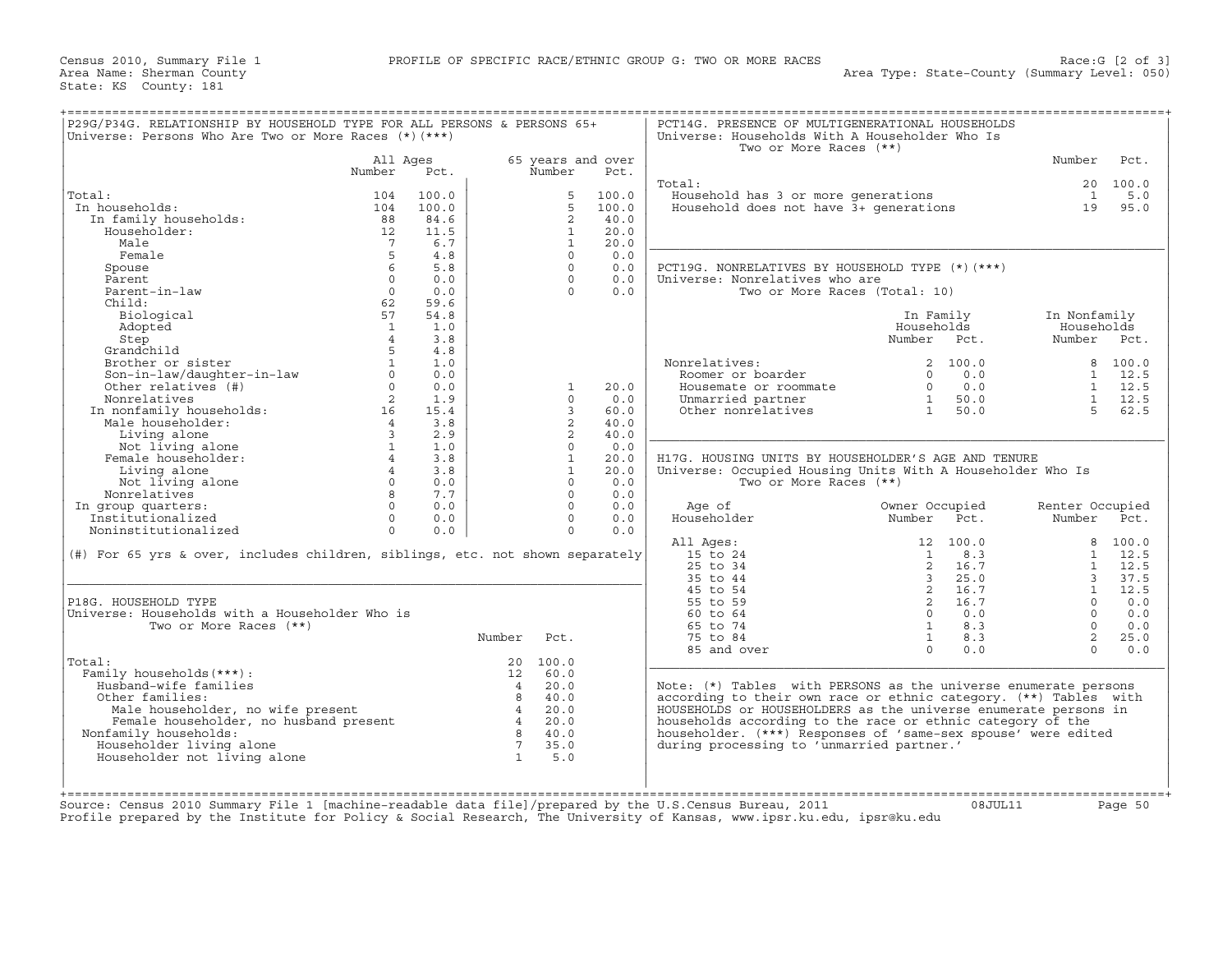| Universe: Persons Who Are Two or More Races (*) (***)                                                                                 | P29G/P34G. RELATIONSHIP BY HOUSEHOLD TYPE FOR ALL PERSONS & PERSONS 65+ |       |                 |                   |       | PCT14G. PRESENCE OF MULTIGENERATIONAL HOUSEHOLDS<br>Universe: Households With A Householder Who Is<br>Two or More Races (**) |                |            |                 |                |
|---------------------------------------------------------------------------------------------------------------------------------------|-------------------------------------------------------------------------|-------|-----------------|-------------------|-------|------------------------------------------------------------------------------------------------------------------------------|----------------|------------|-----------------|----------------|
|                                                                                                                                       | All Ages                                                                |       |                 | 65 years and over |       |                                                                                                                              |                |            | Number          | Pct.           |
|                                                                                                                                       | Number                                                                  | Pct.  |                 | Number            | Pct.  |                                                                                                                              |                |            |                 |                |
|                                                                                                                                       |                                                                         |       |                 |                   |       | Total:                                                                                                                       |                |            |                 | 20 100.0       |
| Total:                                                                                                                                | 104                                                                     | 100.0 |                 | 5                 | 100.0 | Household has 3 or more generations                                                                                          |                |            | $\overline{1}$  | 5.0            |
| In households:                                                                                                                        | 104                                                                     | 100.0 |                 | $5^{\circ}$       | 100.0 | Household does not have 3+ generations                                                                                       |                |            | 19              | 95.0           |
| In family households:                                                                                                                 | 88                                                                      | 84.6  |                 | 2                 | 40.0  |                                                                                                                              |                |            |                 |                |
| Householder:                                                                                                                          | 12                                                                      | 11.5  |                 | $\mathbf{1}$      | 20.0  |                                                                                                                              |                |            |                 |                |
| Male                                                                                                                                  | $\overline{7}$                                                          | 6.7   |                 | $\mathbf{1}$      | 20.0  |                                                                                                                              |                |            |                 |                |
| Female                                                                                                                                | 5                                                                       | 4.8   |                 | $\Omega$          | 0.0   |                                                                                                                              |                |            |                 |                |
| Spouse                                                                                                                                |                                                                         | 5.8   |                 | $\Omega$          | 0.0   | PCT19G. NONRELATIVES BY HOUSEHOLD TYPE (*) (***)                                                                             |                |            |                 |                |
| Parent                                                                                                                                | $\Omega$                                                                | 0.0   |                 | $\Omega$          | 0.0   | Universe: Nonrelatives who are                                                                                               |                |            |                 |                |
| Parent-in-law                                                                                                                         | $\Omega$                                                                | 0.0   |                 | $\Omega$          | 0.0   | Two or More Races (Total: 10)                                                                                                |                |            |                 |                |
| Child:                                                                                                                                | 62                                                                      | 59.6  |                 |                   |       |                                                                                                                              |                |            |                 |                |
| Biological                                                                                                                            | 57                                                                      | 54.8  |                 |                   |       |                                                                                                                              | In Family      |            | In Nonfamily    |                |
| Adopted                                                                                                                               | $\mathbf{1}$                                                            | 1.0   |                 |                   |       |                                                                                                                              | Households     |            | Households      |                |
| Step                                                                                                                                  | $\overline{4}$                                                          | 3.8   |                 |                   |       |                                                                                                                              | Number Pct.    |            | Number          | Pct.           |
| Grandchild                                                                                                                            | 5                                                                       | 4.8   |                 |                   |       |                                                                                                                              |                |            |                 |                |
| Brother or sister                                                                                                                     |                                                                         | 1.0   |                 |                   |       | Nonrelatives:                                                                                                                |                | 2 100.0    |                 | 8 100.0        |
| Son-in-law/daughter-in-law<br>Other relatives (#)                                                                                     | $\circ$                                                                 | 0.0   |                 |                   |       | Roomer or boarder                                                                                                            |                | $0 \t 0.0$ |                 | $1 \quad 12.5$ |
| Other relatives (#)                                                                                                                   | $\Omega$                                                                | 0.0   |                 | 1                 | 20.0  | Housemate or roommate                                                                                                        | $\Omega$       | 0.0        |                 | $1 \quad 12.5$ |
| Nonrelatives                                                                                                                          | 2                                                                       | 1.9   |                 | $\Omega$          | 0.0   | Unmarried partner                                                                                                            | 1              | 50.0       |                 | $1 \quad 12.5$ |
|                                                                                                                                       |                                                                         | 15.4  |                 | 3                 | 60.0  | Other nonrelatives                                                                                                           | 1              | 50.0       | $5 -$           | 62.5           |
|                                                                                                                                       |                                                                         | 3.8   |                 | 2                 | 40.0  |                                                                                                                              |                |            |                 |                |
|                                                                                                                                       |                                                                         | 2.9   |                 | 2                 | 40.0  |                                                                                                                              |                |            |                 |                |
| Nonrelatives 2<br>In nonfamily households: 16<br>Male householder: 4<br>Living alone 3<br>Not living alone 1<br>Female householder: 4 |                                                                         | 1.0   |                 | $\Omega$          | 0.0   |                                                                                                                              |                |            |                 |                |
| Female householder:                                                                                                                   | $4\degree$                                                              | 3.8   |                 | $\mathbf{1}$      | 20.0  | H17G. HOUSING UNITS BY HOUSEHOLDER'S AGE AND TENURE                                                                          |                |            |                 |                |
| Living alone                                                                                                                          | $\overline{4}$                                                          | 3.8   |                 | $\mathbf{1}$      | 20.0  | Universe: Occupied Housing Units With A Householder Who Is                                                                   |                |            |                 |                |
| Not living alone                                                                                                                      | $0 \qquad \qquad$                                                       | 0.0   |                 | $\Omega$          | 0.0   | Two or More Races (**)                                                                                                       |                |            |                 |                |
| Nonrelatives                                                                                                                          | 8 <sup>8</sup>                                                          | 7.7   |                 | $\Omega$          | 0.0   |                                                                                                                              |                |            |                 |                |
| In group quarters:                                                                                                                    | $\Omega$                                                                | 0.0   |                 | $\Omega$          | 0.0   | Age of                                                                                                                       | Owner Occupied |            | Renter Occupied |                |
| Institutionalized                                                                                                                     | $\Omega$                                                                | 0.0   |                 | $\Omega$          | 0.0   | Householder                                                                                                                  | Number         | Pct.       | Number Pct.     |                |
|                                                                                                                                       | $\circ$                                                                 | 0.0   |                 | $\Omega$          | 0.0   |                                                                                                                              |                |            |                 |                |
| Noninstitutionalized                                                                                                                  |                                                                         |       |                 |                   |       |                                                                                                                              |                |            |                 |                |
|                                                                                                                                       |                                                                         |       |                 |                   |       | All Ages:                                                                                                                    |                | 12 100.0   |                 | 8 100.0        |
| (#) For 65 yrs & over, includes children, siblings, etc. not shown separately                                                         |                                                                         |       |                 |                   |       | 15 to 24                                                                                                                     | $\mathbf{1}$   | 8.3        |                 | $1 \quad 12.5$ |
|                                                                                                                                       |                                                                         |       |                 |                   |       | 25 to 34                                                                                                                     |                | 2 16.7     |                 | $1 \quad 12.5$ |
|                                                                                                                                       |                                                                         |       |                 |                   |       | 35 to 44                                                                                                                     | $\overline{3}$ | 25.0       | 3 <sup>7</sup>  | 37.5           |
|                                                                                                                                       |                                                                         |       |                 |                   |       | 45 to 54                                                                                                                     |                | 2 16.7     | $\mathbf{1}$    | 12.5           |
| P18G. HOUSEHOLD TYPE                                                                                                                  |                                                                         |       |                 |                   |       | 55 to 59                                                                                                                     | $\overline{2}$ | 16.7       | $\Omega$        | 0.0            |
| Universe: Households with a Householder Who is                                                                                        |                                                                         |       |                 |                   |       | 60 to 64                                                                                                                     | $\Omega$       | 0.0        | $\Omega$        | 0.0            |
| Two or More Races (**)                                                                                                                |                                                                         |       |                 |                   |       | 65 to 74                                                                                                                     | $\mathbf{1}$   | 8.3        | $\Omega$        | 0.0            |
|                                                                                                                                       |                                                                         |       | Number          | Pct.              |       | 75 to 84                                                                                                                     | 1              | 8.3        | $\overline{a}$  | 25.0           |
|                                                                                                                                       |                                                                         |       |                 |                   |       | 85 and over                                                                                                                  | $\Omega$       | 0.0        | $\Omega$        | 0.0            |
| Total:                                                                                                                                |                                                                         |       |                 | 20 100.0          |       |                                                                                                                              |                |            |                 |                |
| Family households (***) :                                                                                                             |                                                                         |       |                 | 12 60.0           |       |                                                                                                                              |                |            |                 |                |
| Husband-wife families                                                                                                                 |                                                                         |       | $\overline{4}$  | 20.0              |       | Note: (*) Tables with PERSONS as the universe enumerate persons                                                              |                |            |                 |                |
| Other families:                                                                                                                       |                                                                         |       |                 | 8 40.0            |       | according to their own race or ethnic category. (**) Tables with                                                             |                |            |                 |                |
| Male householder, no wife present                                                                                                     |                                                                         |       | $\overline{4}$  | 20.0              |       | HOUSEHOLDS or HOUSEHOLDERS as the universe enumerate persons in                                                              |                |            |                 |                |
|                                                                                                                                       |                                                                         |       |                 | 20.0              |       | households according to the race or ethnic category of the                                                                   |                |            |                 |                |
| Male householder, no wife present<br>Female householder, no husband present<br>Nonfamily households:                                  |                                                                         |       | $\overline{4}$  | 8 40.0            |       | householder. (***) Responses of 'same-sex spouse' were edited                                                                |                |            |                 |                |
| Householder living alone                                                                                                              |                                                                         |       | $7\overline{ }$ | 35.0              |       | during processing to 'unmarried partner.'                                                                                    |                |            |                 |                |
| Householder not living alone                                                                                                          |                                                                         |       | $\overline{1}$  | 5.0               |       |                                                                                                                              |                |            |                 |                |
|                                                                                                                                       |                                                                         |       |                 |                   |       |                                                                                                                              |                |            |                 |                |
|                                                                                                                                       |                                                                         |       |                 |                   |       |                                                                                                                              |                |            |                 |                |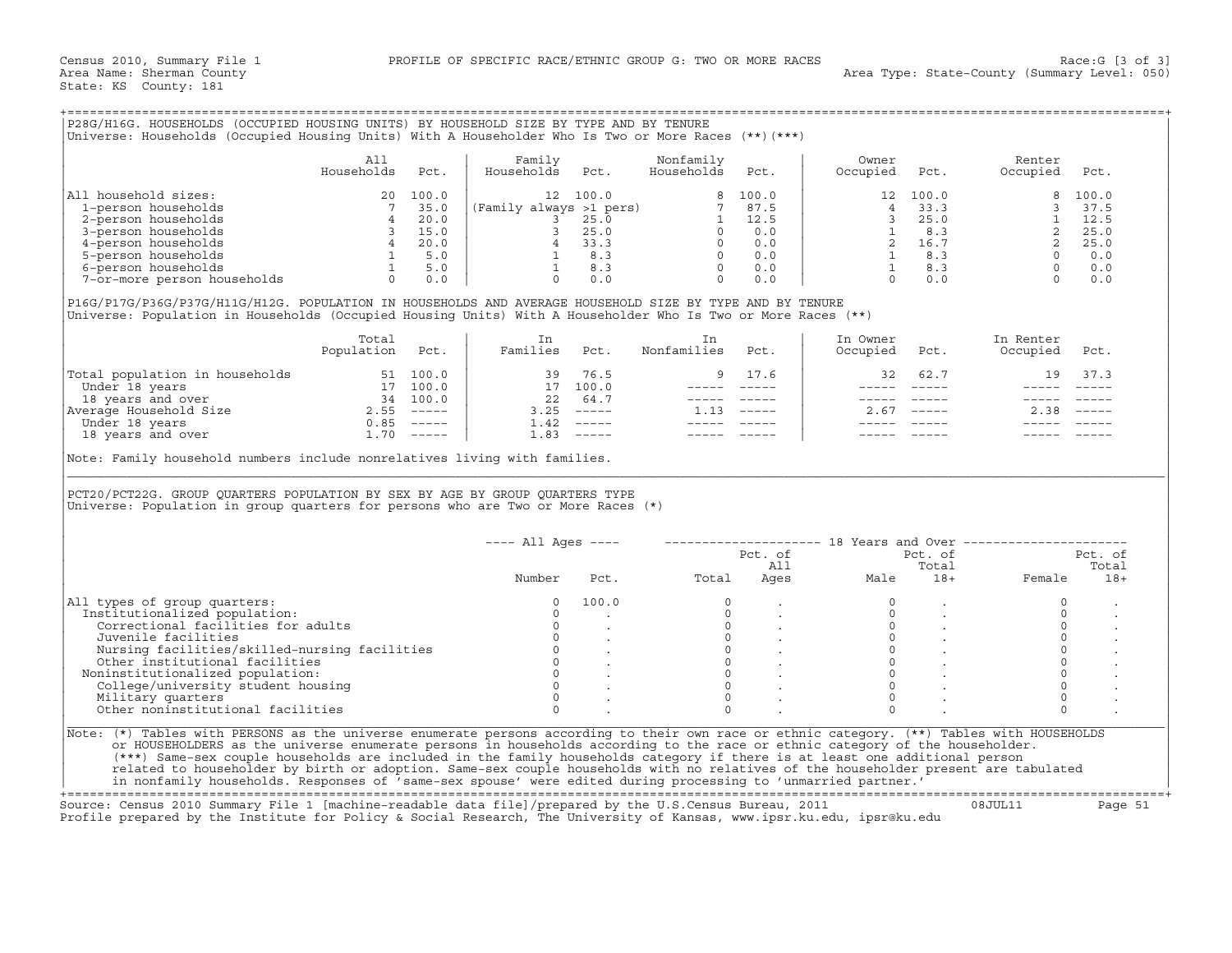| P28G/H16G. HOUSEHOLDS (OCCUPIED HOUSING UNITS) BY HOUSEHOLD SIZE BY TYPE AND BY TENURE<br>Universe: Households (Occupied Housing Units) With A Householder Who Is Two or More Races (**)(***) |                   |                                                            |                                            |                                                    |                         |                                                            |                   |                                                           |                    |                                                            |
|-----------------------------------------------------------------------------------------------------------------------------------------------------------------------------------------------|-------------------|------------------------------------------------------------|--------------------------------------------|----------------------------------------------------|-------------------------|------------------------------------------------------------|-------------------|-----------------------------------------------------------|--------------------|------------------------------------------------------------|
|                                                                                                                                                                                               | All<br>Households | Pct.                                                       | Family<br>Households                       | Pct.                                               | Nonfamily<br>Households | Pct.                                                       | Owner<br>Occupied | Pct.                                                      | Renter<br>Occupied | Pct.                                                       |
| All household sizes:<br>1-person households<br>2-person households<br>3-person households<br>4-person households<br>5-person households<br>6-person households<br>7-or-more person households |                   | 100.0<br>35.0<br>20.0<br>15.0<br>20.0<br>5.0<br>5.0<br>0.0 | 12 <sup>°</sup><br>(Family always >1 pers) | 100.0<br>25.0<br>25.0<br>33.3<br>8.3<br>8.3<br>0.0 |                         | 8 100.0<br>87.5<br>12.5<br>0.0<br>0.0<br>0.0<br>0.0<br>0.0 | 12 <sup>°</sup>   | 100.0<br>33.3<br>25.0<br>8.3<br>16.7<br>8.3<br>8.3<br>0.0 | $\mathsf{R}$       | 100.0<br>37.5<br>12.5<br>25.0<br>25.0<br>0.0<br>0.0<br>0.0 |

|                                | Total<br>Population | Pct.          | Families | Pct.                      | Nonfamilies | Pct.          | In Owner<br>Occupied | Pct.          | In Renter<br>Occupied | Pct.                      |
|--------------------------------|---------------------|---------------|----------|---------------------------|-------------|---------------|----------------------|---------------|-----------------------|---------------------------|
| Total population in households |                     | 51 100.0      | 39       | 76.5                      |             | 9 17.6        | 32                   | 62.7          | 19                    | 37.3                      |
| Under 18 years                 |                     | 100.0         | 17       | 100.0                     |             |               |                      |               |                       |                           |
| 18 years and over              | 34                  | 100.0         | 22       | 64.7                      |             |               |                      |               |                       |                           |
| Average Household Size         | 2.55                | $------$      | 3.25     | $\qquad \qquad - - - - -$ |             | $- - - - - -$ | 2.67                 | $\frac{1}{2}$ | 2.38                  | $\qquad \qquad - - - - -$ |
| Under 18 years                 | 0.85                | $- - - - - -$ |          | $1.42$ -----              |             |               |                      |               |                       |                           |
| 18 years and over              | 1.70                | $\frac{1}{2}$ | 1.83     | $- - - - - -$             |             |               |                      |               |                       |                           |

| P28G/H16G. HOUSEHOLDS (OCCUPIED HOUSING UNITS) BY HOUSEHOLD SIZE BY TYPE AND BY TENURE<br>Universe: Households (Occupied Housing Units) With A Householder Who Is Two or More Races (**) (***)                                                                                                                                                                                                                                                                                                                                                                                                                                                                   |                                                                                                                            |                                                                                                                                           |                                                          |                                           |                                                                                                           |                   |                |                                                                                                                                                                                                                                                                                                                         |                |
|------------------------------------------------------------------------------------------------------------------------------------------------------------------------------------------------------------------------------------------------------------------------------------------------------------------------------------------------------------------------------------------------------------------------------------------------------------------------------------------------------------------------------------------------------------------------------------------------------------------------------------------------------------------|----------------------------------------------------------------------------------------------------------------------------|-------------------------------------------------------------------------------------------------------------------------------------------|----------------------------------------------------------|-------------------------------------------|-----------------------------------------------------------------------------------------------------------|-------------------|----------------|-------------------------------------------------------------------------------------------------------------------------------------------------------------------------------------------------------------------------------------------------------------------------------------------------------------------------|----------------|
|                                                                                                                                                                                                                                                                                                                                                                                                                                                                                                                                                                                                                                                                  | All<br>Uds Pct<br>1ds 20 100.0<br>3 3 5.0<br>8 4 20.0<br>8 4 20.0<br>8 4 20.0<br>9 16.1<br>8 6 17<br>8 15.0<br>8 16.0<br>1 | Family<br>Households                                                                                                                      | Pct.                                                     | Nonfamily<br>Households                   | Pct.                                                                                                      | Owner<br>Occupied | Pct.           | Renter<br>Occupied                                                                                                                                                                                                                                                                                                      | Pct.           |
| All household sizes:                                                                                                                                                                                                                                                                                                                                                                                                                                                                                                                                                                                                                                             |                                                                                                                            |                                                                                                                                           | 12 100.0                                                 |                                           | 8 100.0                                                                                                   |                   |                | $\begin{array}{cccccc} & 100\, . \, \upsilon & & & & & \\ 4 & 33\, . \, 3 & & & & & \\ 3 & 25\, . \, 0 & & & & & \\ 1 & 8\, . \, 3 & & & & 2 & 25\, . \, 0 \\ 2 & 16\, . \, 7 & & & 2 & 25\, . \, 0 \\ 1 & 8\, . \, 3 & & & 0 & 0\, . \, 0 \\ 1 & 8\, . \, 3 & & & 0 & 0\, . \, 0 \\ 0 & 0 & & & 0 & 0\, . \end{array}$ |                |
| 1-person households                                                                                                                                                                                                                                                                                                                                                                                                                                                                                                                                                                                                                                              |                                                                                                                            |                                                                                                                                           |                                                          |                                           |                                                                                                           |                   |                |                                                                                                                                                                                                                                                                                                                         |                |
| 2-person households                                                                                                                                                                                                                                                                                                                                                                                                                                                                                                                                                                                                                                              |                                                                                                                            |                                                                                                                                           |                                                          |                                           |                                                                                                           |                   |                |                                                                                                                                                                                                                                                                                                                         |                |
| 3-person households<br>4-person households                                                                                                                                                                                                                                                                                                                                                                                                                                                                                                                                                                                                                       |                                                                                                                            |                                                                                                                                           |                                                          |                                           |                                                                                                           |                   |                |                                                                                                                                                                                                                                                                                                                         |                |
| 5-person households                                                                                                                                                                                                                                                                                                                                                                                                                                                                                                                                                                                                                                              |                                                                                                                            |                                                                                                                                           |                                                          |                                           |                                                                                                           |                   |                |                                                                                                                                                                                                                                                                                                                         |                |
| 6-person households                                                                                                                                                                                                                                                                                                                                                                                                                                                                                                                                                                                                                                              |                                                                                                                            |                                                                                                                                           |                                                          |                                           |                                                                                                           |                   |                |                                                                                                                                                                                                                                                                                                                         |                |
| 7-or-more person households                                                                                                                                                                                                                                                                                                                                                                                                                                                                                                                                                                                                                                      | $\begin{bmatrix} 4 & 20.0 \\ 1 & 5.0 \\ 1 & 5.0 \\ 0 & 0.0 \end{bmatrix}$                                                  | (Family always >1 pers)<br>3 25.0<br>3 25.0<br>4 33.3<br>0 0.0<br>1 8.3<br>0 0.0<br>1 8.3<br>0 0.0<br>0 0.0<br>1 8.3<br>0 0.0<br>$\Omega$ | 0.0                                                      | $\Omega$                                  | 0.0                                                                                                       |                   |                |                                                                                                                                                                                                                                                                                                                         |                |
|                                                                                                                                                                                                                                                                                                                                                                                                                                                                                                                                                                                                                                                                  |                                                                                                                            |                                                                                                                                           |                                                          |                                           |                                                                                                           |                   |                |                                                                                                                                                                                                                                                                                                                         |                |
| P16G/P17G/P36G/P37G/H11G/H12G. POPULATION IN HOUSEHOLDS AND AVERAGE HOUSEHOLD SIZE BY TYPE AND BY TENURE<br>Universe: Population in Households (Occupied Housing Units) With A Householder Who Is Two or More Races (**)                                                                                                                                                                                                                                                                                                                                                                                                                                         |                                                                                                                            |                                                                                                                                           |                                                          |                                           |                                                                                                           |                   |                |                                                                                                                                                                                                                                                                                                                         |                |
|                                                                                                                                                                                                                                                                                                                                                                                                                                                                                                                                                                                                                                                                  | Total                                                                                                                      | In                                                                                                                                        |                                                          | In                                        |                                                                                                           | In Owner          |                | In Renter                                                                                                                                                                                                                                                                                                               |                |
|                                                                                                                                                                                                                                                                                                                                                                                                                                                                                                                                                                                                                                                                  | Population Pct.                                                                                                            | Families Pct.                                                                                                                             |                                                          | Nonfamilies                               | Pct.                                                                                                      | Occupied          | Pct.           | Occupied                                                                                                                                                                                                                                                                                                                | Pct.           |
| $\begin{tabular}{ l l } \hline \texttt{Total population in households} & \texttt{51} & \texttt{100.0} \\ \hline \texttt{Under 18 years} & \texttt{31} & \texttt{100.0} \\ \hline \texttt{18 years and over} & \texttt{34} & \texttt{100.0} \\ \texttt{Average House} & \texttt{35} & \texttt{----} \\ \texttt{Under 18 years and over} & \texttt{1.70} & \texttt{-----} \\ \hline \end{tabular}$                                                                                                                                                                                                                                                                 |                                                                                                                            |                                                                                                                                           | 39 76.5                                                  | 9                                         | 17.6                                                                                                      | 32                | 62.7           | 19                                                                                                                                                                                                                                                                                                                      | 37.3           |
|                                                                                                                                                                                                                                                                                                                                                                                                                                                                                                                                                                                                                                                                  |                                                                                                                            |                                                                                                                                           | 17 100.0                                                 |                                           | ----- -----                                                                                               |                   | $\frac{1}{2}$  |                                                                                                                                                                                                                                                                                                                         |                |
|                                                                                                                                                                                                                                                                                                                                                                                                                                                                                                                                                                                                                                                                  |                                                                                                                            |                                                                                                                                           | 22 64.7                                                  |                                           |                                                                                                           |                   | ------ ------  |                                                                                                                                                                                                                                                                                                                         |                |
|                                                                                                                                                                                                                                                                                                                                                                                                                                                                                                                                                                                                                                                                  |                                                                                                                            |                                                                                                                                           | $3.25$ $---$                                             | $1.13$ -----                              |                                                                                                           |                   | $2.67$ -----   | $2.38$ -----                                                                                                                                                                                                                                                                                                            |                |
|                                                                                                                                                                                                                                                                                                                                                                                                                                                                                                                                                                                                                                                                  |                                                                                                                            |                                                                                                                                           | $1.42$ -----                                             |                                           | $\begin{array}{cccccc} - & - & - & - & - & - & - \\ & - & - & - & - & - \\ & & - & - & - & - \end{array}$ |                   |                |                                                                                                                                                                                                                                                                                                                         |                |
|                                                                                                                                                                                                                                                                                                                                                                                                                                                                                                                                                                                                                                                                  |                                                                                                                            |                                                                                                                                           | $1.83$ -----                                             | $------$                                  |                                                                                                           |                   |                |                                                                                                                                                                                                                                                                                                                         |                |
| PCT20/PCT22G. GROUP QUARTERS POPULATION BY SEX BY AGE BY GROUP QUARTERS TYPE<br>Universe: Population in group quarters for persons who are Two or More Races $(*)$                                                                                                                                                                                                                                                                                                                                                                                                                                                                                               |                                                                                                                            |                                                                                                                                           |                                                          |                                           |                                                                                                           |                   |                |                                                                                                                                                                                                                                                                                                                         |                |
|                                                                                                                                                                                                                                                                                                                                                                                                                                                                                                                                                                                                                                                                  |                                                                                                                            | $---$ All Ages $---$                                                                                                                      |                                                          |                                           |                                                                                                           |                   |                | --------------------    18 Years and Over ----------------------                                                                                                                                                                                                                                                        |                |
|                                                                                                                                                                                                                                                                                                                                                                                                                                                                                                                                                                                                                                                                  |                                                                                                                            |                                                                                                                                           |                                                          |                                           | Pct. of                                                                                                   |                   | Pct. of        |                                                                                                                                                                                                                                                                                                                         | Pct. of        |
|                                                                                                                                                                                                                                                                                                                                                                                                                                                                                                                                                                                                                                                                  |                                                                                                                            | Number                                                                                                                                    | Pct.                                                     | Total                                     | All                                                                                                       | Ages<br>Male      | Total<br>$18+$ | Female                                                                                                                                                                                                                                                                                                                  | Total<br>$18+$ |
| All types of group quarters:                                                                                                                                                                                                                                                                                                                                                                                                                                                                                                                                                                                                                                     |                                                                                                                            | $\circ$                                                                                                                                   | 100.0                                                    | $\Omega$                                  |                                                                                                           |                   |                | $\circ$                                                                                                                                                                                                                                                                                                                 |                |
| Institutionalized population:                                                                                                                                                                                                                                                                                                                                                                                                                                                                                                                                                                                                                                    |                                                                                                                            | $\Omega$                                                                                                                                  |                                                          | $\Omega$                                  |                                                                                                           | $\Omega$          |                | $\Omega$                                                                                                                                                                                                                                                                                                                |                |
| Correctional facilities for adults                                                                                                                                                                                                                                                                                                                                                                                                                                                                                                                                                                                                                               |                                                                                                                            | $\circ$                                                                                                                                   |                                                          | $\overline{0}$                            |                                                                                                           | $\mathbf{0}$      |                | $\circ$                                                                                                                                                                                                                                                                                                                 |                |
| Juvenile facilities                                                                                                                                                                                                                                                                                                                                                                                                                                                                                                                                                                                                                                              |                                                                                                                            | $\Omega$                                                                                                                                  |                                                          | $\begin{matrix} 0 \\ 0 \\ 0 \end{matrix}$ |                                                                                                           | $\Omega$          |                | $\circ$                                                                                                                                                                                                                                                                                                                 |                |
| Nursing facilities/skilled-nursing facilities                                                                                                                                                                                                                                                                                                                                                                                                                                                                                                                                                                                                                    |                                                                                                                            | $\circ$                                                                                                                                   |                                                          |                                           |                                                                                                           | $\Omega$          |                | $\circ$                                                                                                                                                                                                                                                                                                                 |                |
| Other institutional facilities                                                                                                                                                                                                                                                                                                                                                                                                                                                                                                                                                                                                                                   |                                                                                                                            |                                                                                                                                           |                                                          | $\circ$                                   |                                                                                                           | $\Omega$          |                | $\circ$                                                                                                                                                                                                                                                                                                                 |                |
| Noninstitutionalized population:                                                                                                                                                                                                                                                                                                                                                                                                                                                                                                                                                                                                                                 |                                                                                                                            |                                                                                                                                           | $\begin{matrix} 0 & & \cdot \\ 0 & & \cdot \end{matrix}$ | $\circ$                                   |                                                                                                           | $\Omega$          |                | $\circ$                                                                                                                                                                                                                                                                                                                 |                |
| College/university student housing                                                                                                                                                                                                                                                                                                                                                                                                                                                                                                                                                                                                                               |                                                                                                                            | $\Omega$                                                                                                                                  |                                                          | $\Omega$                                  |                                                                                                           | $\Omega$          |                | $\Omega$                                                                                                                                                                                                                                                                                                                |                |
| Military quarters                                                                                                                                                                                                                                                                                                                                                                                                                                                                                                                                                                                                                                                |                                                                                                                            | $\Omega$                                                                                                                                  |                                                          | $\Omega$                                  |                                                                                                           | $\Omega$          |                | $\circ$                                                                                                                                                                                                                                                                                                                 |                |
| Other noninstitutional facilities                                                                                                                                                                                                                                                                                                                                                                                                                                                                                                                                                                                                                                |                                                                                                                            | $\cap$                                                                                                                                    |                                                          | $\cap$                                    |                                                                                                           | $\cap$            |                | $\Omega$                                                                                                                                                                                                                                                                                                                |                |
| Note: (*) Tables with PERSONS as the universe enumerate persons according to their own race or ethnic category. (**) Tables with HOUSEHOLDS<br>or HOUSEHOLDERS as the universe enumerate persons in households according to the race or ethnic category of the householder.<br>(***) Same-sex couple households are included in the family households category if there is at least one additional person<br>related to householder by birth or adoption. Same-sex couple households with no relatives of the householder present are tabulated<br>in nonfamily households. Responses of 'same-sex spouse' were edited during processing to 'unmarried partner.' |                                                                                                                            |                                                                                                                                           |                                                          |                                           |                                                                                                           |                   |                |                                                                                                                                                                                                                                                                                                                         |                |

+===================================================================================================================================================+ Source: Census 2010 Summary File 1 [machine−readable data file]/prepared by the U.S.Census Bureau, 2011 08JUL11 Page 51

Profile prepared by the Institute for Policy & Social Research, The University of Kansas, www.ipsr.ku.edu, ipsr@ku.edu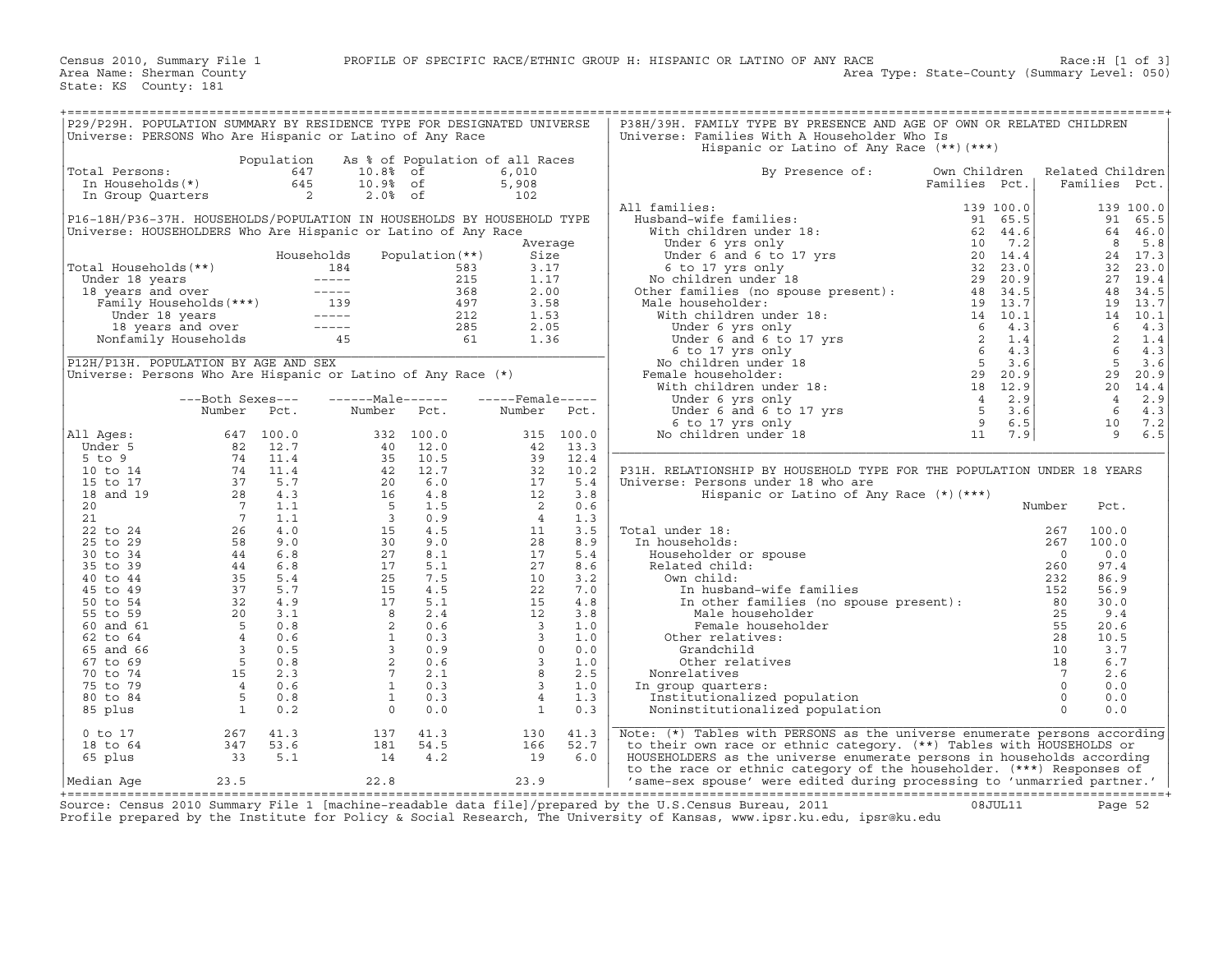| P29/P29H. POPULATION SUMMARY BY RESIDENCE TYPE FOR DESIGNATED UNIVERSE |                                                                                                                                                                          |            |                                                                                                                                                                                                                                                                                                                                                                                   |                 |                                                  |            | P38H/39H. FAMILY TYPE BY PRESENCE AND AGE OF OWN OR RELATED CHILDREN                                                                                                                                                                     |                                                                                              |                |                  |                       |
|------------------------------------------------------------------------|--------------------------------------------------------------------------------------------------------------------------------------------------------------------------|------------|-----------------------------------------------------------------------------------------------------------------------------------------------------------------------------------------------------------------------------------------------------------------------------------------------------------------------------------------------------------------------------------|-----------------|--------------------------------------------------|------------|------------------------------------------------------------------------------------------------------------------------------------------------------------------------------------------------------------------------------------------|----------------------------------------------------------------------------------------------|----------------|------------------|-----------------------|
| Universe: PERSONS Who Are Hispanic or Latino of Any Race               |                                                                                                                                                                          |            |                                                                                                                                                                                                                                                                                                                                                                                   |                 |                                                  |            | Universe: Families With A Householder Who Is<br>Hispanic or Latino of Any Race (**) (***)                                                                                                                                                |                                                                                              |                |                  |                       |
|                                                                        |                                                                                                                                                                          | Population | As % of Population of all Races                                                                                                                                                                                                                                                                                                                                                   |                 |                                                  |            |                                                                                                                                                                                                                                          |                                                                                              |                |                  |                       |
| Total Persons:                                                         | otal Persons:<br>In Households(*)                                                                                                                                        | 647        | 10.8% of                                                                                                                                                                                                                                                                                                                                                                          |                 | 6,010                                            |            | By Presence of:                                                                                                                                                                                                                          | Own Children                                                                                 |                | Related Children |                       |
|                                                                        |                                                                                                                                                                          | 645        | 10.9% of<br>$2.0%$ of                                                                                                                                                                                                                                                                                                                                                             |                 | 5,908<br>102                                     |            |                                                                                                                                                                                                                                          | Families Pct.                                                                                |                | Families Pct.    |                       |
|                                                                        | In Group Quarters 2                                                                                                                                                      |            |                                                                                                                                                                                                                                                                                                                                                                                   |                 |                                                  |            | All families:                                                                                                                                                                                                                            |                                                                                              |                |                  | 139 100.0             |
| P16-18H/P36-37H. HOUSEHOLDS/POPULATION IN HOUSEHOLDS BY HOUSEHOLD TYPE |                                                                                                                                                                          |            |                                                                                                                                                                                                                                                                                                                                                                                   |                 |                                                  |            | 1 families:<br>Husband-wife families:<br>With children under 18:<br>Under 6 yrs only<br>Under 6 and 6 to 17 yrs<br>6 to 17 yrs and the compact of the compact of the compact of the compact of the compact of the compact of the compact |                                                                                              |                | 91               | 65.5                  |
| Universe: HOUSEHOLDERS Who Are Hispanic or Latino of Any Race          |                                                                                                                                                                          |            |                                                                                                                                                                                                                                                                                                                                                                                   |                 |                                                  |            |                                                                                                                                                                                                                                          |                                                                                              |                |                  | 64 46.0               |
|                                                                        |                                                                                                                                                                          |            |                                                                                                                                                                                                                                                                                                                                                                                   |                 |                                                  | Average    |                                                                                                                                                                                                                                          |                                                                                              |                | 8                | 5.8                   |
|                                                                        |                                                                                                                                                                          |            | Households                                                                                                                                                                                                                                                                                                                                                                        | Population (**) | Size                                             |            |                                                                                                                                                                                                                                          |                                                                                              |                |                  | 24 17.3               |
| Total Households(**)                                                   |                                                                                                                                                                          |            |                                                                                                                                                                                                                                                                                                                                                                                   |                 | 3.17                                             |            |                                                                                                                                                                                                                                          |                                                                                              |                |                  | 32 23.0               |
|                                                                        |                                                                                                                                                                          |            |                                                                                                                                                                                                                                                                                                                                                                                   |                 | 1.17                                             |            |                                                                                                                                                                                                                                          |                                                                                              |                |                  | 27 19.4               |
|                                                                        |                                                                                                                                                                          |            |                                                                                                                                                                                                                                                                                                                                                                                   |                 | 2.00                                             |            |                                                                                                                                                                                                                                          |                                                                                              |                |                  | 48 34.5               |
|                                                                        |                                                                                                                                                                          |            |                                                                                                                                                                                                                                                                                                                                                                                   |                 | 3.58                                             |            | increased and the business of the space of the space of the space of the space of the space of the space of the space of the space of the space of the space of the space of the space of the space of the space of the space            |                                                                                              |                |                  | 19 13.7               |
|                                                                        |                                                                                                                                                                          |            |                                                                                                                                                                                                                                                                                                                                                                                   |                 | 1.53                                             |            |                                                                                                                                                                                                                                          |                                                                                              |                |                  | 14 10.1               |
|                                                                        |                                                                                                                                                                          |            |                                                                                                                                                                                                                                                                                                                                                                                   |                 | 2.05                                             |            |                                                                                                                                                                                                                                          |                                                                                              |                | 6                | 4.3                   |
|                                                                        |                                                                                                                                                                          |            |                                                                                                                                                                                                                                                                                                                                                                                   |                 | 1.36                                             |            |                                                                                                                                                                                                                                          |                                                                                              |                | $\overline{2}$   | 1.4                   |
|                                                                        |                                                                                                                                                                          |            |                                                                                                                                                                                                                                                                                                                                                                                   |                 |                                                  |            |                                                                                                                                                                                                                                          |                                                                                              |                | 6 <sup>6</sup>   | 4.3                   |
| P12H/P13H. POPULATION BY AGE AND SEX                                   |                                                                                                                                                                          |            |                                                                                                                                                                                                                                                                                                                                                                                   |                 |                                                  |            |                                                                                                                                                                                                                                          |                                                                                              |                | $5^{\circ}$      | 3.6                   |
| Universe: Persons Who Are Hispanic or Latino of Any Race (*)           |                                                                                                                                                                          |            |                                                                                                                                                                                                                                                                                                                                                                                   |                 |                                                  |            | Female householder:                                                                                                                                                                                                                      |                                                                                              |                | 29               | 20.9                  |
|                                                                        |                                                                                                                                                                          |            |                                                                                                                                                                                                                                                                                                                                                                                   |                 |                                                  |            |                                                                                                                                                                                                                                          |                                                                                              |                |                  | 20 14.4<br>$4 \t 2.9$ |
|                                                                        | ---Both Sexes---<br>Number Pct.                                                                                                                                          |            | ------Male------<br>Number Pct.                                                                                                                                                                                                                                                                                                                                                   |                 | $---$ Female-----<br>Number                      | Pct.       |                                                                                                                                                                                                                                          |                                                                                              |                | 6                | 4.3                   |
|                                                                        |                                                                                                                                                                          |            |                                                                                                                                                                                                                                                                                                                                                                                   |                 |                                                  |            |                                                                                                                                                                                                                                          |                                                                                              |                | 10               | 7.2                   |
| All Ages:                                                              |                                                                                                                                                                          |            |                                                                                                                                                                                                                                                                                                                                                                                   | 332 100.0       |                                                  | 315 100.0  |                                                                                                                                                                                                                                          |                                                                                              |                | 9                | 6.5                   |
| Under 5                                                                |                                                                                                                                                                          |            | 40                                                                                                                                                                                                                                                                                                                                                                                | 12.0            | 42                                               | 13.3       |                                                                                                                                                                                                                                          |                                                                                              |                |                  |                       |
| $5$ to $9$                                                             | $(47 \quad 100.0$ $82 \quad 12.7$ $74 \quad 11.4$ $74 \quad 11.4$ $37 \quad 5.7$ $28 \quad 4.3$ $7 \quad 1.1$ $7 \quad 1.1$ $26 \quad 4.0$ $58 \quad 9.0$ $44 \quad 6.8$ |            | $\frac{35}{42}$<br>$\frac{42}{16}$<br>$\frac{5}{3}$                                                                                                                                                                                                                                                                                                                               | 10.5            | $42$<br>39<br>32<br>17<br>12<br>12               | 12.4       |                                                                                                                                                                                                                                          |                                                                                              |                |                  |                       |
| 10 to 14                                                               |                                                                                                                                                                          |            |                                                                                                                                                                                                                                                                                                                                                                                   | 12.7            |                                                  | 10.2       | P31H. RELATIONSHIP BY HOUSEHOLD TYPE FOR THE POPULATION UNDER 18 YEARS                                                                                                                                                                   |                                                                                              |                |                  |                       |
| 15 to 17                                                               |                                                                                                                                                                          |            |                                                                                                                                                                                                                                                                                                                                                                                   | 6.0             |                                                  | 5.4        | Universe: Persons under 18 who are                                                                                                                                                                                                       |                                                                                              |                |                  |                       |
| 18 and 19                                                              |                                                                                                                                                                          |            |                                                                                                                                                                                                                                                                                                                                                                                   | 4.8             |                                                  | 3.8        | Hispanic or Latino of Any Race $(*)$ $(***)$                                                                                                                                                                                             |                                                                                              |                |                  |                       |
| $20^{\circ}$                                                           |                                                                                                                                                                          |            |                                                                                                                                                                                                                                                                                                                                                                                   | 1.5             | $\overline{\phantom{a}}$                         | 0.6        |                                                                                                                                                                                                                                          |                                                                                              | Number         | Pct.             |                       |
| 21                                                                     |                                                                                                                                                                          |            |                                                                                                                                                                                                                                                                                                                                                                                   | 0.9             | $\overline{4}$                                   | 1.3        |                                                                                                                                                                                                                                          |                                                                                              |                |                  |                       |
| 22 to 24                                                               |                                                                                                                                                                          |            |                                                                                                                                                                                                                                                                                                                                                                                   | 4.5             | 11                                               | 3.5        | al under 18:<br>n households:<br>Householder or spouse<br>Related child:<br>Own child:<br>In husband-wife families<br>Total under 18:                                                                                                    |                                                                                              | 267            | 100.0            |                       |
| 25 to 29                                                               |                                                                                                                                                                          |            |                                                                                                                                                                                                                                                                                                                                                                                   | 9.0             | 28                                               | 8.9        | In households:                                                                                                                                                                                                                           |                                                                                              | 267            | 100.0            |                       |
| 30 to 34                                                               |                                                                                                                                                                          |            |                                                                                                                                                                                                                                                                                                                                                                                   | 8.1             | 17                                               | 5.4        |                                                                                                                                                                                                                                          |                                                                                              | $\overline{0}$ | 0.0              |                       |
| 35 to 39                                                               |                                                                                                                                                                          |            |                                                                                                                                                                                                                                                                                                                                                                                   | 5.1             | 27                                               | 8.6        |                                                                                                                                                                                                                                          |                                                                                              | 260            | 97.4             |                       |
| 40 to 44                                                               | $44$ 6.8<br>35 5.4<br>37 5.7                                                                                                                                             |            |                                                                                                                                                                                                                                                                                                                                                                                   | 7.5             | 10                                               | 3.2        |                                                                                                                                                                                                                                          |                                                                                              | 232            | 86.9             |                       |
| 45 to 49                                                               |                                                                                                                                                                          |            |                                                                                                                                                                                                                                                                                                                                                                                   | 4.5             | 22                                               | 7.0        |                                                                                                                                                                                                                                          |                                                                                              | 152            | 56.9             |                       |
| 50 to 54                                                               |                                                                                                                                                                          |            |                                                                                                                                                                                                                                                                                                                                                                                   | 5.1             | 15                                               | 4.8        |                                                                                                                                                                                                                                          |                                                                                              |                | 30.0             |                       |
| 55 to 59<br>60 and 61                                                  | $\begin{array}{rrrr} & 32 & 4.9 \\ 20 & 3.1 \\ 5 & 0.8 \\ 4 & 0.6 \\ 3 & 0.5 \\ 5 & 5 & 0.8 \\ 15 & 2.3 \\ 4 & 0.6 \\ \end{array}$                                       |            | $\begin{array}{r} 3 \\ 30 \\ 27 \\ 15 \\ 30 \\ 21 \\ 17 \\ 8 \\ 2 \\ 1 \\ 3 \\ 2 \\ 7 \\ 1 \\ 1 \\ 3 \\ 2 \\ 7 \\ 1 \\ 1 \\ 2 \\ 3 \\ 2 \\ 7 \\ 1 \\ 1 \\ 2 \\ 3 \\ 2 \\ 7 \\ 1 \\ 1 \\ 2 \\ 3 \\ 3 \\ 4 \\ 5 \\ 6 \\ 7 \\ 1 \\ 3 \\ 4 \\ 5 \\ 2 \\ 4 \\ 5 \\ 2 \\ 4 \\ 5 \\ 4 \\ 5 \\ 5 \\ 6 \\ 6 \\ 7 \\ 7 \\ 8 \\ 9 \\ 1 \\ 1 \\ 1 \\ 1 \\ 2 \\ 3 \\ 4 \\ 4 \\ 5 \\ 4 \\ 5 \\$ | 2.4<br>0.6      | 12                                               | 3.8<br>1.0 | Male householder<br>Female householder                                                                                                                                                                                                   |                                                                                              | 25<br>55       | 9.4<br>20.6      |                       |
| 62 to 64                                                               |                                                                                                                                                                          |            |                                                                                                                                                                                                                                                                                                                                                                                   | 0.3             | $\frac{1}{3}$<br>3<br>3<br>3<br>8<br>3<br>8<br>3 | 1.0        | Other relatives:                                                                                                                                                                                                                         |                                                                                              | 28             | 10.5             |                       |
| 65 and 66                                                              |                                                                                                                                                                          |            |                                                                                                                                                                                                                                                                                                                                                                                   | 0.9             |                                                  | 0.0        | Grandchild                                                                                                                                                                                                                               |                                                                                              | 10             | 3.7              |                       |
| 67 to 69                                                               |                                                                                                                                                                          |            |                                                                                                                                                                                                                                                                                                                                                                                   | 0.6             |                                                  | 1.0        | Other relatives                                                                                                                                                                                                                          |                                                                                              | 18             | 6.7              |                       |
| 70 to 74                                                               |                                                                                                                                                                          |            |                                                                                                                                                                                                                                                                                                                                                                                   | 2.1             |                                                  | 2.5        | Nonrelatives                                                                                                                                                                                                                             |                                                                                              | $7\phantom{0}$ | 2.6              |                       |
| 75 to 79                                                               |                                                                                                                                                                          |            |                                                                                                                                                                                                                                                                                                                                                                                   | 0.3             | $\overline{\mathbf{3}}$                          | 1.0        | In group quarters:                                                                                                                                                                                                                       |                                                                                              | $\overline{0}$ | 0.0              |                       |
| 80 to 84                                                               | $5^{\circ}$                                                                                                                                                              | 0.8        | $\mathbf{1}$                                                                                                                                                                                                                                                                                                                                                                      | 0.3             | $\overline{4}$                                   | 1.3        | Institutionalized population                                                                                                                                                                                                             |                                                                                              | $\overline{0}$ | 0.0              |                       |
| 85 plus                                                                | $\overline{\phantom{a}}$                                                                                                                                                 | 0.2        | $\Omega$                                                                                                                                                                                                                                                                                                                                                                          | 0.0             | $\overline{1}$                                   | 0.3        | Noninstitutionalized population                                                                                                                                                                                                          | $\begin{tabular}{cc} 2 & 2 \\ 5 & 5 \\ 2 & 1 \\ 1 & 1 \\ \end{tabular}$<br><br>: ion llation | $\Omega$       | 0.0              |                       |
| 0 to 17                                                                | 267                                                                                                                                                                      | 41.3       | 137                                                                                                                                                                                                                                                                                                                                                                               | 41.3            | 130                                              | 41.3       | Note: (*) Tables with PERSONS as the universe enumerate persons according                                                                                                                                                                |                                                                                              |                |                  |                       |
| 18 to 64                                                               | 347                                                                                                                                                                      | 53.6       | 181                                                                                                                                                                                                                                                                                                                                                                               | 54.5            | 166                                              | 52.7       | to their own race or ethnic category. (**) Tables with HOUSEHOLDS or                                                                                                                                                                     |                                                                                              |                |                  |                       |
| 65 plus                                                                | 33                                                                                                                                                                       | 5.1        | 14                                                                                                                                                                                                                                                                                                                                                                                | 4.2             | 19                                               | 6.0        | HOUSEHOLDERS as the universe enumerate persons in households according                                                                                                                                                                   |                                                                                              |                |                  |                       |
|                                                                        |                                                                                                                                                                          |            |                                                                                                                                                                                                                                                                                                                                                                                   |                 |                                                  |            | to the race or ethnic category of the householder. (***) Responses of                                                                                                                                                                    |                                                                                              |                |                  |                       |
| Median Aqe                                                             | 23.5                                                                                                                                                                     |            | 22.8                                                                                                                                                                                                                                                                                                                                                                              |                 | 23.9                                             |            | 'same-sex spouse' were edited during processing to 'unmarried partner.'                                                                                                                                                                  |                                                                                              |                |                  |                       |

+===================================================================================================================================================+Source: Census 2010 Summary File 1 [machine−readable data file]/prepared by the U.S.Census Bureau, 2011 08JUL11 Page 52 Profile prepared by the Institute for Policy & Social Research, The University of Kansas, www.ipsr.ku.edu, ipsr@ku.edu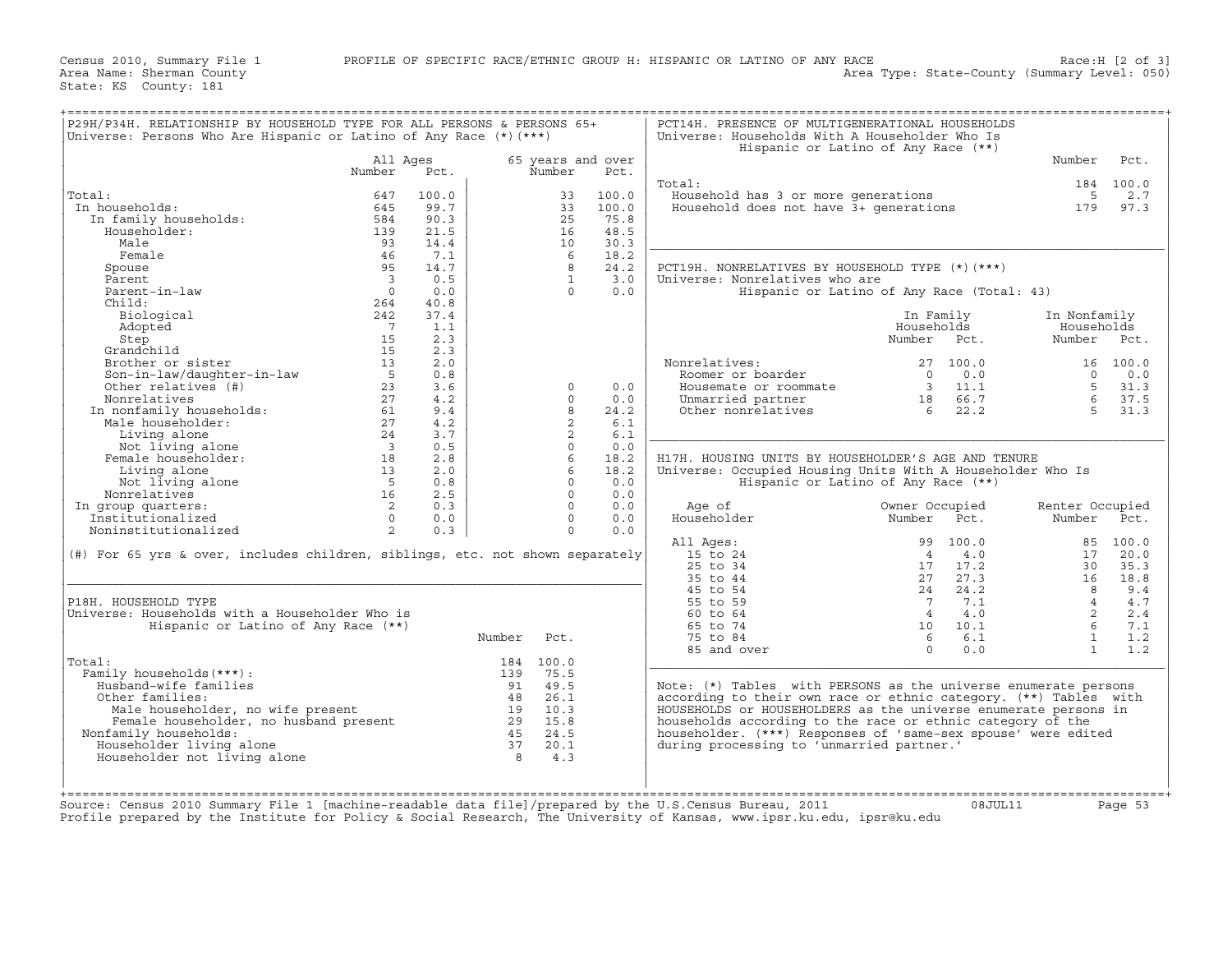| Universe: Persons Who Are Hispanic or Latino of Any Race $(*)$ (***)             |                          |       |         |                   |       | Universe: Households With A Householder Who Is                   | Hispanic or Latino of Any Race (**)        |                 |                  |
|----------------------------------------------------------------------------------|--------------------------|-------|---------|-------------------|-------|------------------------------------------------------------------|--------------------------------------------|-----------------|------------------|
|                                                                                  | All Ages                 |       |         | 65 years and over |       |                                                                  |                                            | Number          | Pct.             |
|                                                                                  | Number                   | Pct.  |         | Number            | Pct.  |                                                                  |                                            |                 |                  |
| Total:                                                                           | 647                      | 100.0 |         | 33                | 100.0 | Total:<br>Household has 3 or more generations                    |                                            | 5               | 184 100.0<br>2.7 |
| In households:                                                                   | 645                      | 99.7  |         | 33                | 100.0 |                                                                  |                                            | 179             |                  |
|                                                                                  |                          |       |         |                   |       | Household does not have 3+ generations                           |                                            |                 | 97.3             |
| In family households:                                                            | 584                      | 90.3  |         | 25                | 75.8  |                                                                  |                                            |                 |                  |
| Householder:                                                                     | 139                      | 21.5  |         | 16                | 48.5  |                                                                  |                                            |                 |                  |
| Male                                                                             | 93                       | 14.4  |         | 10                | 30.3  |                                                                  |                                            |                 |                  |
| Female                                                                           | 46                       | 7.1   |         | -6                | 18.2  |                                                                  |                                            |                 |                  |
| Spouse                                                                           | 95                       | 14.7  |         | 8                 | 24.2  | PCT19H. NONRELATIVES BY HOUSEHOLD TYPE (*) (***)                 |                                            |                 |                  |
| Parent                                                                           | $\overline{\mathbf{3}}$  | 0.5   |         | $\mathbf{1}$      | 3.0   | Universe: Nonrelatives who are                                   |                                            |                 |                  |
| Parent-in-law                                                                    | $\bigcirc$               | 0.0   |         | $\Omega$          | 0.0   |                                                                  | Hispanic or Latino of Any Race (Total: 43) |                 |                  |
| Child:                                                                           | 264                      | 40.8  |         |                   |       |                                                                  |                                            |                 |                  |
| Biological                                                                       | 242                      | 37.4  |         |                   |       |                                                                  | In Family                                  | In Nonfamily    |                  |
| Adopted                                                                          | $\overline{7}$           | 1.1   |         |                   |       |                                                                  | Households                                 | Households      |                  |
| Step                                                                             | 15                       | 2.3   |         |                   |       |                                                                  | Number Pct.                                | Number Pct.     |                  |
| Grandchild                                                                       | 15                       | 2.3   |         |                   |       |                                                                  |                                            |                 |                  |
| Brother or sister                                                                | 13                       | 2.0   |         |                   |       | Nonrelatives:                                                    | 27 100.0                                   |                 | 16 100.0         |
| Son-in-law/daughter-in-law                                                       | 5                        | 0.8   |         |                   |       | Roomer or boarder                                                | $\Omega$<br>0.0                            | $\Omega$        | 0.0              |
| Other relatives (#)                                                              | 23                       | 3.6   |         | $\Omega$          | 0.0   | Housemate or roommate                                            | $\overline{\mathbf{3}}$<br>11.1            | $5^{\circ}$     | 31.3             |
| Nonrelatives                                                                     | 27                       | 4.2   |         | $\Omega$          | 0.0   | Unmarried partner                                                | 18<br>66.7                                 | 6               | 37.5             |
| In nonfamily households:<br>Male householder:                                    | 61                       | 9.4   |         | 8                 | 24.2  | Other nonrelatives                                               | 22.2<br>6                                  | 5               | 31.3             |
|                                                                                  | 27                       | 4.2   |         | 2                 | 6.1   |                                                                  |                                            |                 |                  |
| Living alone                                                                     | 24                       | 3.7   |         | 2                 | 6.1   |                                                                  |                                            |                 |                  |
| Not living alone                                                                 | $\overline{\phantom{a}}$ | 0.5   |         | $\Omega$          | 0.0   |                                                                  |                                            |                 |                  |
| Female householder:                                                              | 18                       | 2.8   |         | 6                 | 18.2  | H17H. HOUSING UNITS BY HOUSEHOLDER'S AGE AND TENURE              |                                            |                 |                  |
| Living alone                                                                     | 13                       | 2.0   |         | 6                 | 18.2  | Universe: Occupied Housing Units With A Householder Who Is       |                                            |                 |                  |
| Not living alone                                                                 | $5^{\circ}$              | 0.8   |         | $\Omega$          | 0.0   |                                                                  | Hispanic or Latino of Any Race (**)        |                 |                  |
| Nonrelatives                                                                     | 16                       | 2.5   |         | $\Omega$          | 0.0   |                                                                  |                                            |                 |                  |
|                                                                                  | 2                        | 0.3   |         | $\Omega$          | 0.0   |                                                                  |                                            |                 |                  |
| In group quarters:                                                               |                          |       |         |                   |       | Age of                                                           | Owner Occupied                             | Renter Occupied |                  |
| Institutionalized                                                                | $\Omega$                 | 0.0   |         | $\Omega$          | 0.0   | Householder                                                      | Number<br>Pct.                             | Number          | Pct.             |
| Noninstitutionalized                                                             | 2                        | 0.3   |         | $\Omega$          | 0.0   |                                                                  |                                            |                 |                  |
|                                                                                  |                          |       |         |                   |       | All Ages:                                                        | 99<br>100.0                                |                 | 85 100.0         |
| $(\#)$ For 65 yrs & over, includes children, siblings, etc. not shown separately |                          |       |         |                   |       | 15 to 24                                                         | 4.0<br>$\overline{4}$                      | 17              | 20.0             |
|                                                                                  |                          |       |         |                   |       | 25 to 34                                                         | 17<br>17.2                                 | 30              | 35.3             |
|                                                                                  |                          |       |         |                   |       | 35 to 44                                                         | 27<br>27.3                                 | 16              | 18.8             |
|                                                                                  |                          |       |         |                   |       | 45 to 54                                                         | 24.2<br>24                                 | 8               | 9.4              |
| P18H. HOUSEHOLD TYPE                                                             |                          |       |         |                   |       | 55 to 59                                                         | 7.1<br>$\overline{7}$                      | $\overline{4}$  | 4.7              |
| Universe: Households with a Householder Who is                                   |                          |       |         |                   |       | 60 to 64                                                         | $\overline{4}$<br>4.0                      | 2               | 2.4              |
| Hispanic or Latino of Any Race (**)                                              |                          |       |         |                   |       | 65 to 74                                                         | 10<br>10.1                                 | 6               | 7.1              |
|                                                                                  |                          |       | Number  | Pct.              |       | 75 to 84                                                         | 6.1<br>6                                   | $\mathbf{1}$    | 1.2              |
|                                                                                  |                          |       |         |                   |       | 85 and over                                                      | $\Omega$<br>0.0                            | $\overline{1}$  | 1.2              |
| Total:                                                                           |                          |       |         | 184 100.0         |       |                                                                  |                                            |                 |                  |
| Family households (***) :                                                        |                          |       | 139     | 75.5              |       |                                                                  |                                            |                 |                  |
| Husband-wife families                                                            |                          |       | 91      | 49.5              |       | Note: (*) Tables with PERSONS as the universe enumerate persons  |                                            |                 |                  |
| Other families:                                                                  |                          |       |         | 48 26.1           |       | according to their own race or ethnic category. (**) Tables with |                                            |                 |                  |
| Male householder, no wife present                                                |                          |       | 19      | 10.3              |       | HOUSEHOLDS or HOUSEHOLDERS as the universe enumerate persons in  |                                            |                 |                  |
| Female householder, no husband present                                           |                          |       | 29 15.8 |                   |       | households according to the race or ethnic category of the       |                                            |                 |                  |
| Nonfamily households:                                                            |                          |       |         | 45 24.5           |       | householder. (***) Responses of 'same-sex spouse' were edited    |                                            |                 |                  |
|                                                                                  |                          |       | 37      | 20.1              |       | during processing to 'unmarried partner.'                        |                                            |                 |                  |
|                                                                                  |                          |       | 8       | 4.3               |       |                                                                  |                                            |                 |                  |
| Householder living alone                                                         |                          |       |         |                   |       |                                                                  |                                            |                 |                  |
| Householder not living alone                                                     |                          |       |         |                   |       |                                                                  |                                            |                 |                  |
|                                                                                  |                          |       |         |                   |       |                                                                  |                                            |                 |                  |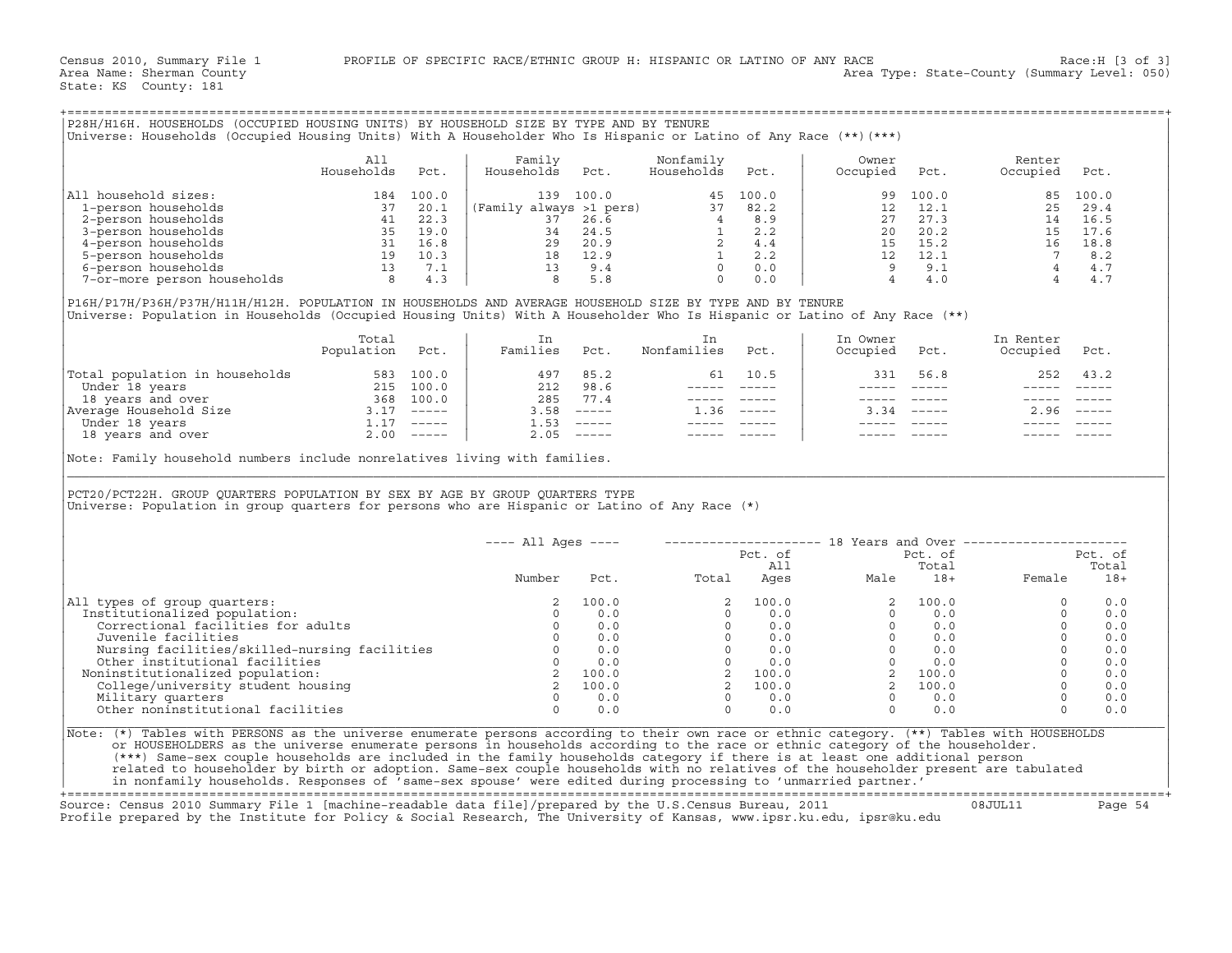| P28H/H16H. HOUSEHOLDS (OCCUPIED HOUSING UNITS) BY HOUSEHOLD SIZE BY TYPE AND BY TENURE<br>Universe: Households (Occupied Housing Units) With A Householder Who Is Hispanic or Latino of Any Race (**)(***) |                   |       |                         |       |                         |       |                   |       |                    |       |
|------------------------------------------------------------------------------------------------------------------------------------------------------------------------------------------------------------|-------------------|-------|-------------------------|-------|-------------------------|-------|-------------------|-------|--------------------|-------|
|                                                                                                                                                                                                            |                   |       |                         |       |                         |       |                   |       |                    |       |
|                                                                                                                                                                                                            | All<br>Households | Pct.  | Family<br>Households    | Pct.  | Nonfamily<br>Households | Pct.  | Owner<br>Occupied | Pct.  | Renter<br>Occupied | Pct.  |
| All household sizes:                                                                                                                                                                                       | 184               | 100.0 | 139                     | 100.0 | 45                      | 100.0 | 99                | 100.0 | 85                 | 100.0 |
| 1-person households                                                                                                                                                                                        | 37                | 20.1  | (Family always >1 pers) |       | 37                      | 82.2  |                   | 12.1  | 25                 | 29.4  |
| 2-person households                                                                                                                                                                                        | 41                | 22.3  | 37                      | 26.6  |                         | 8.9   | 27                | 27.3  | 14                 | 16.5  |
| 3-person households                                                                                                                                                                                        | 35                | 19.0  | 34                      | 24.5  |                         | 2.2   | 20                | 20.2  | 15                 | 17.6  |
| 4-person households                                                                                                                                                                                        | 31                | 16.8  | 29                      | 20.9  |                         | 4.4   | 15                | 15.2  | 16                 | 18.8  |
| 5-person households                                                                                                                                                                                        | 19                | 10.3  | 18                      | 12.9  |                         | 2.2   | 12 <sup>°</sup>   | 12.1  |                    | 8.2   |
| 6-person households                                                                                                                                                                                        |                   | 7.1   |                         | 9.4   |                         | 0.0   |                   | 9.1   |                    | 4.7   |
| 7-or-more person households                                                                                                                                                                                | 8                 | 4.3   | 8                       | 5.8   |                         | 0.0   |                   | 4.0   |                    | 4.7   |

|                                | Total<br>Population | Pct.          | Families | Pct.                      | Nonfamilies | Pct.     | In Owner<br>Occupied | Pct.                      | In Renter<br>Occupied | Pct.     |
|--------------------------------|---------------------|---------------|----------|---------------------------|-------------|----------|----------------------|---------------------------|-----------------------|----------|
| Total population in households | 583                 | 100.0         | 497      | 85.2                      | 61          | 10.5     | 331                  | 56.8                      |                       | 252 43.2 |
| Under 18 years                 | 215                 | 100.0         | 212      | 98.6                      |             |          |                      |                           |                       |          |
| 18 years and over              | 368                 | 100.0         | 285      | 77.4                      |             |          |                      |                           |                       |          |
| Average Household Size         | 3.17                | $------$      | 3.58     | $\qquad \qquad - - - - -$ | 136         | $------$ | 3.34                 | $\qquad \qquad - - - - -$ | 2.96                  | $------$ |
| Under 18 years                 |                     | $- - - - - -$ | 1.53     | $\frac{1}{2}$             |             |          |                      |                           |                       |          |
| 18 years and over              | 2.00                | $- - - - - -$ |          | $2.05$ -----              |             |          |                      |                           |                       |          |

|                                                                                                                                                                                                                                                                             |                   |      |                      |       |                                                                                                                                                                                                                                                                                                                                                                                                                                                                                 |                 | Universe: Households (Occupied Housing Units) With A Householder Who Is Hispanic or Latino of Any Race (**) (***)                                                                                                                                                                                            |                                                     |                                                          |         |
|-----------------------------------------------------------------------------------------------------------------------------------------------------------------------------------------------------------------------------------------------------------------------------|-------------------|------|----------------------|-------|---------------------------------------------------------------------------------------------------------------------------------------------------------------------------------------------------------------------------------------------------------------------------------------------------------------------------------------------------------------------------------------------------------------------------------------------------------------------------------|-----------------|--------------------------------------------------------------------------------------------------------------------------------------------------------------------------------------------------------------------------------------------------------------------------------------------------------------|-----------------------------------------------------|----------------------------------------------------------|---------|
|                                                                                                                                                                                                                                                                             | All<br>Households | Pct. | Family<br>Households | Pct.  | Nonfamily<br>Households                                                                                                                                                                                                                                                                                                                                                                                                                                                         | Pct.            | Owner<br>Occupied                                                                                                                                                                                                                                                                                            | Pct.                                                | Renter<br>Occupied                                       | Pct.    |
| All household sizes:                                                                                                                                                                                                                                                        |                   |      |                      |       |                                                                                                                                                                                                                                                                                                                                                                                                                                                                                 |                 |                                                                                                                                                                                                                                                                                                              |                                                     |                                                          |         |
|                                                                                                                                                                                                                                                                             |                   |      |                      |       |                                                                                                                                                                                                                                                                                                                                                                                                                                                                                 |                 |                                                                                                                                                                                                                                                                                                              |                                                     |                                                          |         |
|                                                                                                                                                                                                                                                                             |                   |      |                      |       |                                                                                                                                                                                                                                                                                                                                                                                                                                                                                 |                 |                                                                                                                                                                                                                                                                                                              |                                                     |                                                          |         |
|                                                                                                                                                                                                                                                                             |                   |      |                      |       |                                                                                                                                                                                                                                                                                                                                                                                                                                                                                 |                 |                                                                                                                                                                                                                                                                                                              |                                                     |                                                          |         |
|                                                                                                                                                                                                                                                                             |                   |      |                      |       |                                                                                                                                                                                                                                                                                                                                                                                                                                                                                 |                 |                                                                                                                                                                                                                                                                                                              |                                                     |                                                          |         |
|                                                                                                                                                                                                                                                                             |                   |      |                      |       |                                                                                                                                                                                                                                                                                                                                                                                                                                                                                 |                 |                                                                                                                                                                                                                                                                                                              |                                                     |                                                          |         |
|                                                                                                                                                                                                                                                                             |                   |      |                      |       |                                                                                                                                                                                                                                                                                                                                                                                                                                                                                 |                 |                                                                                                                                                                                                                                                                                                              |                                                     |                                                          |         |
|                                                                                                                                                                                                                                                                             |                   |      |                      |       |                                                                                                                                                                                                                                                                                                                                                                                                                                                                                 |                 |                                                                                                                                                                                                                                                                                                              |                                                     |                                                          |         |
| P16H/P17H/P36H/P37H/H11H/H12H. POPULATION IN HOUSEHOLDS AND AVERAGE HOUSEHOLD SIZE BY TYPE AND BY TENURE<br>Universe: Population in Households (Occupied Housing Units) With A Householder Who Is Hispanic or Latino of Any Race (**)                                       |                   |      |                      |       |                                                                                                                                                                                                                                                                                                                                                                                                                                                                                 |                 |                                                                                                                                                                                                                                                                                                              |                                                     |                                                          |         |
|                                                                                                                                                                                                                                                                             | Total             |      | In                   |       | In                                                                                                                                                                                                                                                                                                                                                                                                                                                                              |                 | In Owner                                                                                                                                                                                                                                                                                                     |                                                     | In Renter                                                |         |
|                                                                                                                                                                                                                                                                             | Population Pct.   |      | Families Pct.        |       | Nonfamilies Pct.                                                                                                                                                                                                                                                                                                                                                                                                                                                                |                 | Occupied Pct.                                                                                                                                                                                                                                                                                                |                                                     | Occupied Pct.                                            |         |
|                                                                                                                                                                                                                                                                             |                   |      |                      |       |                                                                                                                                                                                                                                                                                                                                                                                                                                                                                 | 61 10.5         | 331                                                                                                                                                                                                                                                                                                          | 56.8                                                | 252                                                      | 43.2    |
|                                                                                                                                                                                                                                                                             |                   |      |                      |       |                                                                                                                                                                                                                                                                                                                                                                                                                                                                                 | _______________ |                                                                                                                                                                                                                                                                                                              |                                                     | $\frac{1}{2}$                                            |         |
|                                                                                                                                                                                                                                                                             |                   |      |                      |       | ----- -----                                                                                                                                                                                                                                                                                                                                                                                                                                                                     |                 | $------$                                                                                                                                                                                                                                                                                                     | $\qquad \qquad - - - - -$                           |                                                          |         |
|                                                                                                                                                                                                                                                                             |                   |      |                      |       | $1.36$ -----                                                                                                                                                                                                                                                                                                                                                                                                                                                                    |                 |                                                                                                                                                                                                                                                                                                              | $3.34$ -----                                        | $2.96$ -----                                             |         |
|                                                                                                                                                                                                                                                                             |                   |      |                      |       | ______________                                                                                                                                                                                                                                                                                                                                                                                                                                                                  |                 |                                                                                                                                                                                                                                                                                                              |                                                     |                                                          |         |
|                                                                                                                                                                                                                                                                             |                   |      |                      |       | $\begin{tabular}{lllllllllll} \multicolumn{2}{l}{} & \multicolumn{2}{l}{} & \multicolumn{2}{l}{} & \multicolumn{2}{l}{} & \multicolumn{2}{l}{} & \multicolumn{2}{l}{} & \multicolumn{2}{l}{} & \multicolumn{2}{l}{} & \multicolumn{2}{l}{} & \multicolumn{2}{l}{} & \multicolumn{2}{l}{} & \multicolumn{2}{l}{} & \multicolumn{2}{l}{} & \multicolumn{2}{l}{} & \multicolumn{2}{l}{} & \multicolumn{2}{l}{} & \multicolumn{2}{l}{} & \multicolumn{2}{l}{} & \multicolumn{2}{l}$ |                 |                                                                                                                                                                                                                                                                                                              |                                                     |                                                          |         |
| Note: Family household numbers include nonrelatives living with families.                                                                                                                                                                                                   |                   |      |                      |       |                                                                                                                                                                                                                                                                                                                                                                                                                                                                                 |                 |                                                                                                                                                                                                                                                                                                              |                                                     |                                                          |         |
| PCT20/PCT22H. GROUP QUARTERS POPULATION BY SEX BY AGE BY GROUP QUARTERS TYPE<br>Universe: Population in group quarters for persons who are Hispanic or Latino of Any Race (*)                                                                                               |                   |      |                      |       |                                                                                                                                                                                                                                                                                                                                                                                                                                                                                 |                 |                                                                                                                                                                                                                                                                                                              |                                                     |                                                          |         |
|                                                                                                                                                                                                                                                                             |                   |      | $---$ All Ages $---$ |       |                                                                                                                                                                                                                                                                                                                                                                                                                                                                                 |                 |                                                                                                                                                                                                                                                                                                              |                                                     | -------------------- 18 Years and Over ----------------- |         |
|                                                                                                                                                                                                                                                                             |                   |      |                      |       |                                                                                                                                                                                                                                                                                                                                                                                                                                                                                 |                 |                                                                                                                                                                                                                                                                                                              |                                                     |                                                          | Pct. of |
|                                                                                                                                                                                                                                                                             |                   |      |                      |       |                                                                                                                                                                                                                                                                                                                                                                                                                                                                                 |                 |                                                                                                                                                                                                                                                                                                              |                                                     |                                                          | Total   |
|                                                                                                                                                                                                                                                                             |                   |      | Number               |       |                                                                                                                                                                                                                                                                                                                                                                                                                                                                                 |                 | Pct. of Pct. of Pct. of Pct. of All Pct. of All Pct. Total Ages Male 18+                                                                                                                                                                                                                                     |                                                     | Female                                                   | $18+$   |
|                                                                                                                                                                                                                                                                             |                   |      | 2                    | 100.0 |                                                                                                                                                                                                                                                                                                                                                                                                                                                                                 |                 |                                                                                                                                                                                                                                                                                                              |                                                     | $\Omega$                                                 | 0.0     |
|                                                                                                                                                                                                                                                                             |                   |      |                      |       |                                                                                                                                                                                                                                                                                                                                                                                                                                                                                 |                 |                                                                                                                                                                                                                                                                                                              |                                                     | $\Omega$                                                 | 0.0     |
|                                                                                                                                                                                                                                                                             |                   |      |                      |       |                                                                                                                                                                                                                                                                                                                                                                                                                                                                                 |                 |                                                                                                                                                                                                                                                                                                              | $\begin{smallmatrix}100.0\\ 0\\ 0\end{smallmatrix}$ | $\Omega$                                                 | 0.0     |
|                                                                                                                                                                                                                                                                             |                   |      |                      |       |                                                                                                                                                                                                                                                                                                                                                                                                                                                                                 |                 |                                                                                                                                                                                                                                                                                                              |                                                     | $\Omega$                                                 | 0.0     |
|                                                                                                                                                                                                                                                                             |                   |      |                      |       |                                                                                                                                                                                                                                                                                                                                                                                                                                                                                 |                 |                                                                                                                                                                                                                                                                                                              |                                                     | $\Omega$                                                 | 0.0     |
|                                                                                                                                                                                                                                                                             |                   |      |                      |       |                                                                                                                                                                                                                                                                                                                                                                                                                                                                                 |                 |                                                                                                                                                                                                                                                                                                              |                                                     | $\Omega$                                                 | 0.0     |
|                                                                                                                                                                                                                                                                             |                   |      |                      |       |                                                                                                                                                                                                                                                                                                                                                                                                                                                                                 |                 |                                                                                                                                                                                                                                                                                                              |                                                     | $\Omega$                                                 | 0.0     |
| Institutionalized population:<br>Noninstitutionalized population:                                                                                                                                                                                                           |                   |      |                      |       |                                                                                                                                                                                                                                                                                                                                                                                                                                                                                 |                 |                                                                                                                                                                                                                                                                                                              |                                                     | $\Omega$                                                 | 0.0     |
|                                                                                                                                                                                                                                                                             |                   |      |                      |       |                                                                                                                                                                                                                                                                                                                                                                                                                                                                                 |                 |                                                                                                                                                                                                                                                                                                              |                                                     | $\Omega$                                                 | 0.0     |
| All types of group quarters:                                                                                                                                                                                                                                                |                   |      |                      |       |                                                                                                                                                                                                                                                                                                                                                                                                                                                                                 |                 |                                                                                                                                                                                                                                                                                                              |                                                     | $\Omega$                                                 | 0.0     |
|                                                                                                                                                                                                                                                                             |                   |      |                      |       |                                                                                                                                                                                                                                                                                                                                                                                                                                                                                 |                 | $\begin{array}{cccccc} 2 & 100.0 & & 2 & 100.0 \\ 0 & 0.0 & & 0 & 0.0 \\ 0 & 0.0 & & 0 & 0.0 \\ 0 & 0.0 & & 0 & 0.0 \\ 0 & 0.0 & & 0 & 0.0 \\ 0 & 0.0 & & 0 & 0.0 \\ 2 & 100.0 & & 2 & 100.0 \\ 2 & 100.0 & & 2 & 100.0 \\ 0 & 0.0 & & 0 & 0.0 \\ 0 & 0.0 & & 0 & 0.0 \\ 0 & 0.0 & & 0 & 0.0 \\ \end{array}$ |                                                     |                                                          |         |
| University of the matrices of the matrices of the Mursing facilities of the institutional facilities of the matrix of the minimized population:<br>Other institutional facilities of the minimized population:<br>College/universi                                          |                   |      |                      |       |                                                                                                                                                                                                                                                                                                                                                                                                                                                                                 |                 |                                                                                                                                                                                                                                                                                                              |                                                     |                                                          |         |
| Note: (*) Tables with PERSONS as the universe enumerate persons according to their own race or ethnic category. (**) Tables with HOUSEHOLDS<br>or HOUSEHOLDERS as the universe enumerate persons in households according to the race or ethnic category of the householder. |                   |      |                      |       |                                                                                                                                                                                                                                                                                                                                                                                                                                                                                 |                 |                                                                                                                                                                                                                                                                                                              |                                                     |                                                          |         |
| (***) Same-sex couple households are included in the family households category if there is at least one additional person<br>related to householder by birth or adoption. Same-sex couple households with no relatives of the householder present are tabulated            |                   |      |                      |       |                                                                                                                                                                                                                                                                                                                                                                                                                                                                                 |                 |                                                                                                                                                                                                                                                                                                              |                                                     |                                                          |         |

+===================================================================================================================================================+

Source: Census 2010 Summary File 1 [machine−readable data file]/prepared by the U.S.Census Bureau, 2011 08JUL11 Page 54 Profile prepared by the Institute for Policy & Social Research, The University of Kansas, www.ipsr.ku.edu, ipsr@ku.edu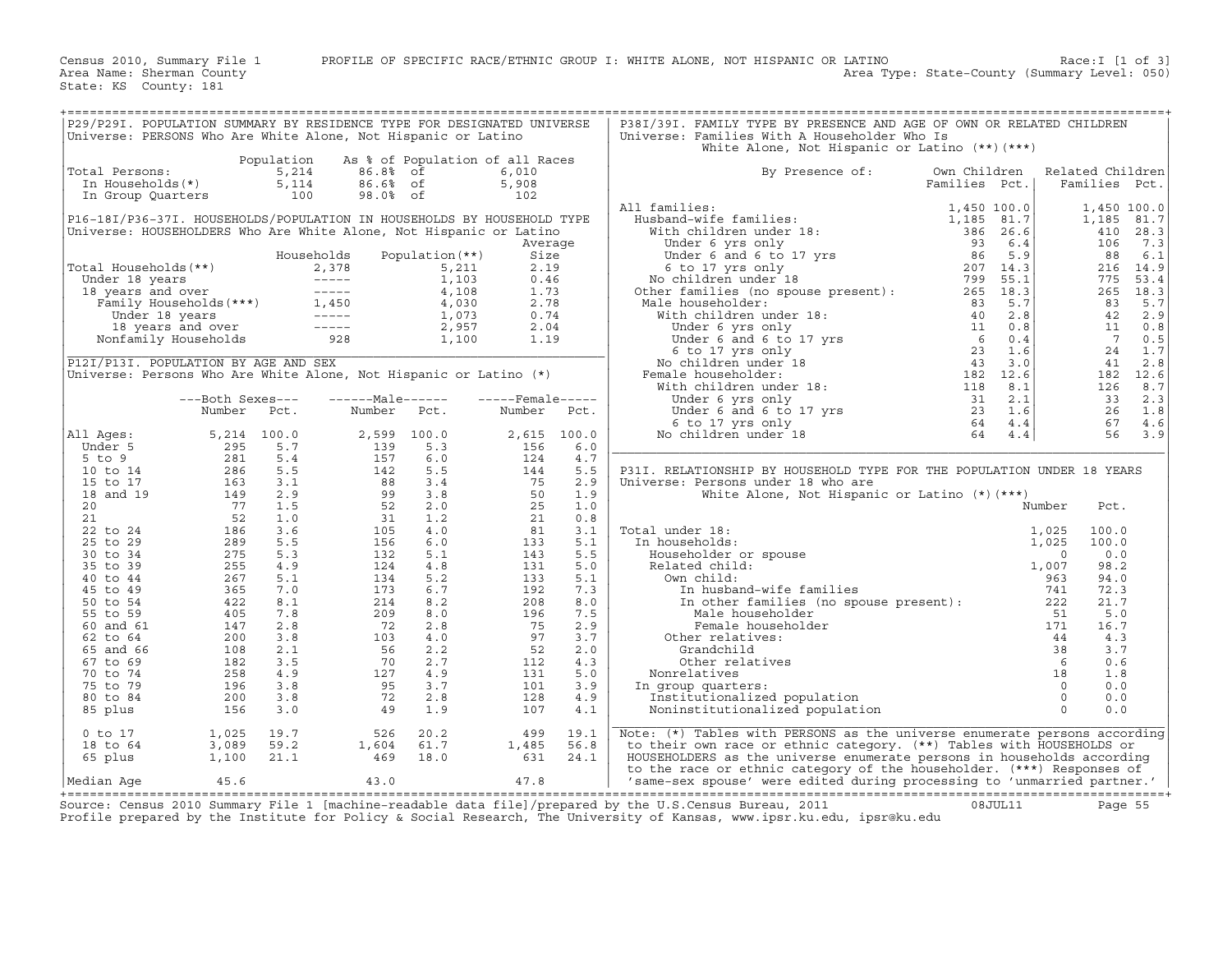| P29/P291. POPULATION SUMMARY BY RESIDENCE TYPE FOR DESIGNATED UNIVERSE<br>Universe: PERSONS Who Are White Alone, Not Hispanic or Latino                                                                                                                  |                                                                                                                                                                                                                                                                               |      |                                                                                                                                                                                                                                                                                    |                       |             | P38I/39I. FAMILY TYPE BY PRESENCE AND AGE OF OWN OR RELATED CHILDREN<br>Universe: Families With A Householder Who Is<br>White Alone, Not Hispanic or Latino (**)(***) |               |                  |  |
|----------------------------------------------------------------------------------------------------------------------------------------------------------------------------------------------------------------------------------------------------------|-------------------------------------------------------------------------------------------------------------------------------------------------------------------------------------------------------------------------------------------------------------------------------|------|------------------------------------------------------------------------------------------------------------------------------------------------------------------------------------------------------------------------------------------------------------------------------------|-----------------------|-------------|-----------------------------------------------------------------------------------------------------------------------------------------------------------------------|---------------|------------------|--|
|                                                                                                                                                                                                                                                          |                                                                                                                                                                                                                                                                               |      | Population As % of Population of all Races                                                                                                                                                                                                                                         |                       |             |                                                                                                                                                                       |               |                  |  |
| Total Persons:                                                                                                                                                                                                                                           |                                                                                                                                                                                                                                                                               |      |                                                                                                                                                                                                                                                                                    | 6,010                 |             | By Presence of:                                                                                                                                                       | Own Children  | Related Children |  |
|                                                                                                                                                                                                                                                          |                                                                                                                                                                                                                                                                               |      |                                                                                                                                                                                                                                                                                    | 5,908                 |             |                                                                                                                                                                       | Families Pct. | Families Pct.    |  |
|                                                                                                                                                                                                                                                          |                                                                                                                                                                                                                                                                               |      |                                                                                                                                                                                                                                                                                    | 102                   |             |                                                                                                                                                                       |               |                  |  |
|                                                                                                                                                                                                                                                          |                                                                                                                                                                                                                                                                               |      |                                                                                                                                                                                                                                                                                    |                       |             | All families:                                                                                                                                                         |               |                  |  |
| P16-18I/P36-37I. HOUSEHOLDS/POPULATION IN HOUSEHOLDS BY HOUSEHOLD TYPE                                                                                                                                                                                   |                                                                                                                                                                                                                                                                               |      |                                                                                                                                                                                                                                                                                    |                       |             |                                                                                                                                                                       |               |                  |  |
| Universe: HOUSEHOLDERS Who Are White Alone, Not Hispanic or Latino                                                                                                                                                                                       |                                                                                                                                                                                                                                                                               |      |                                                                                                                                                                                                                                                                                    |                       |             |                                                                                                                                                                       |               |                  |  |
|                                                                                                                                                                                                                                                          |                                                                                                                                                                                                                                                                               |      |                                                                                                                                                                                                                                                                                    | Average               |             |                                                                                                                                                                       |               |                  |  |
|                                                                                                                                                                                                                                                          |                                                                                                                                                                                                                                                                               |      |                                                                                                                                                                                                                                                                                    | Size                  |             |                                                                                                                                                                       |               |                  |  |
| Total Households (**)<br>Total Households (**)<br>Under 18 years<br>18 years<br>18 years<br>19 years<br>Total System over<br>Family Households (***)<br>The Taylor over<br>The Taylor of the Captain (**)<br>2,957<br>Nonfamily Households<br>2,957<br>N |                                                                                                                                                                                                                                                                               |      |                                                                                                                                                                                                                                                                                    | 2.19                  |             |                                                                                                                                                                       |               |                  |  |
|                                                                                                                                                                                                                                                          |                                                                                                                                                                                                                                                                               |      |                                                                                                                                                                                                                                                                                    | 0.46                  |             |                                                                                                                                                                       |               |                  |  |
|                                                                                                                                                                                                                                                          |                                                                                                                                                                                                                                                                               |      |                                                                                                                                                                                                                                                                                    |                       |             |                                                                                                                                                                       |               |                  |  |
|                                                                                                                                                                                                                                                          |                                                                                                                                                                                                                                                                               |      |                                                                                                                                                                                                                                                                                    |                       |             | Other families (no<br>Male householder:                                                                                                                               |               |                  |  |
|                                                                                                                                                                                                                                                          |                                                                                                                                                                                                                                                                               |      |                                                                                                                                                                                                                                                                                    |                       |             |                                                                                                                                                                       |               |                  |  |
|                                                                                                                                                                                                                                                          |                                                                                                                                                                                                                                                                               |      |                                                                                                                                                                                                                                                                                    |                       |             |                                                                                                                                                                       |               |                  |  |
|                                                                                                                                                                                                                                                          |                                                                                                                                                                                                                                                                               |      |                                                                                                                                                                                                                                                                                    |                       |             |                                                                                                                                                                       |               |                  |  |
|                                                                                                                                                                                                                                                          |                                                                                                                                                                                                                                                                               |      |                                                                                                                                                                                                                                                                                    |                       |             |                                                                                                                                                                       |               |                  |  |
| P12I/P13I. POPULATION BY AGE AND SEX                                                                                                                                                                                                                     |                                                                                                                                                                                                                                                                               |      |                                                                                                                                                                                                                                                                                    |                       |             |                                                                                                                                                                       |               |                  |  |
| Universe: Persons Who Are White Alone, Not Hispanic or Latino (*)                                                                                                                                                                                        |                                                                                                                                                                                                                                                                               |      |                                                                                                                                                                                                                                                                                    |                       |             |                                                                                                                                                                       |               |                  |  |
|                                                                                                                                                                                                                                                          |                                                                                                                                                                                                                                                                               |      |                                                                                                                                                                                                                                                                                    |                       |             |                                                                                                                                                                       |               |                  |  |
|                                                                                                                                                                                                                                                          | ---Both Sexes---                                                                                                                                                                                                                                                              |      | ------Male------                                                                                                                                                                                                                                                                   | -----Female-----      |             |                                                                                                                                                                       |               |                  |  |
|                                                                                                                                                                                                                                                          | Number                                                                                                                                                                                                                                                                        | Pct. | Number Pct.                                                                                                                                                                                                                                                                        | Number Pct.           |             |                                                                                                                                                                       |               |                  |  |
|                                                                                                                                                                                                                                                          |                                                                                                                                                                                                                                                                               |      |                                                                                                                                                                                                                                                                                    |                       |             |                                                                                                                                                                       |               |                  |  |
|                                                                                                                                                                                                                                                          |                                                                                                                                                                                                                                                                               |      |                                                                                                                                                                                                                                                                                    |                       | 2,615 100.0 |                                                                                                                                                                       |               |                  |  |
| All Ages:                                                                                                                                                                                                                                                |                                                                                                                                                                                                                                                                               |      |                                                                                                                                                                                                                                                                                    |                       | 6.0         |                                                                                                                                                                       |               |                  |  |
|                                                                                                                                                                                                                                                          |                                                                                                                                                                                                                                                                               |      |                                                                                                                                                                                                                                                                                    |                       | 4.7         |                                                                                                                                                                       |               |                  |  |
|                                                                                                                                                                                                                                                          |                                                                                                                                                                                                                                                                               |      |                                                                                                                                                                                                                                                                                    |                       | 5.5         | P31I. RELATIONSHIP BY HOUSEHOLD TYPE FOR THE POPULATION UNDER 18 YEARS                                                                                                |               |                  |  |
|                                                                                                                                                                                                                                                          |                                                                                                                                                                                                                                                                               |      |                                                                                                                                                                                                                                                                                    |                       | 2.9         |                                                                                                                                                                       |               |                  |  |
|                                                                                                                                                                                                                                                          |                                                                                                                                                                                                                                                                               |      |                                                                                                                                                                                                                                                                                    |                       | 1.9         | Universe: Persons under 18 who are                                                                                                                                    |               |                  |  |
|                                                                                                                                                                                                                                                          |                                                                                                                                                                                                                                                                               |      |                                                                                                                                                                                                                                                                                    |                       | 1.0         | White Alone, Not Hispanic or Latino (*) (***)                                                                                                                         |               | Number<br>Pct.   |  |
|                                                                                                                                                                                                                                                          |                                                                                                                                                                                                                                                                               |      |                                                                                                                                                                                                                                                                                    |                       | 0.8         |                                                                                                                                                                       |               |                  |  |
|                                                                                                                                                                                                                                                          |                                                                                                                                                                                                                                                                               |      |                                                                                                                                                                                                                                                                                    |                       | 3.1         | Total under 18:                                                                                                                                                       |               | 100.0            |  |
|                                                                                                                                                                                                                                                          |                                                                                                                                                                                                                                                                               |      |                                                                                                                                                                                                                                                                                    |                       | 5.1         | In households:                                                                                                                                                        |               | 100.0            |  |
|                                                                                                                                                                                                                                                          |                                                                                                                                                                                                                                                                               |      |                                                                                                                                                                                                                                                                                    |                       | 5.5         |                                                                                                                                                                       |               | 0.0              |  |
|                                                                                                                                                                                                                                                          |                                                                                                                                                                                                                                                                               |      |                                                                                                                                                                                                                                                                                    |                       | 5.0         |                                                                                                                                                                       |               | 98.2             |  |
|                                                                                                                                                                                                                                                          |                                                                                                                                                                                                                                                                               |      |                                                                                                                                                                                                                                                                                    |                       | 5.1         |                                                                                                                                                                       |               | 94.0             |  |
|                                                                                                                                                                                                                                                          |                                                                                                                                                                                                                                                                               |      |                                                                                                                                                                                                                                                                                    |                       | 7.3         |                                                                                                                                                                       |               | 72.3             |  |
|                                                                                                                                                                                                                                                          |                                                                                                                                                                                                                                                                               |      |                                                                                                                                                                                                                                                                                    |                       | 8.0         |                                                                                                                                                                       |               | 21.7             |  |
|                                                                                                                                                                                                                                                          |                                                                                                                                                                                                                                                                               |      |                                                                                                                                                                                                                                                                                    |                       | 7.5         | The Male Role<br>Male Role<br>Permale house<br>The relatives:<br>Other relatives:<br>Grandchild<br>Tives                                                              |               | 5.0              |  |
|                                                                                                                                                                                                                                                          |                                                                                                                                                                                                                                                                               |      |                                                                                                                                                                                                                                                                                    |                       | 2.9         |                                                                                                                                                                       |               | 16.7             |  |
|                                                                                                                                                                                                                                                          |                                                                                                                                                                                                                                                                               |      |                                                                                                                                                                                                                                                                                    |                       | 3.7         |                                                                                                                                                                       |               | 4.3              |  |
|                                                                                                                                                                                                                                                          |                                                                                                                                                                                                                                                                               |      |                                                                                                                                                                                                                                                                                    |                       | 2.0         |                                                                                                                                                                       |               | 3.7              |  |
|                                                                                                                                                                                                                                                          |                                                                                                                                                                                                                                                                               |      |                                                                                                                                                                                                                                                                                    |                       | 4.3         |                                                                                                                                                                       |               | 0.6              |  |
|                                                                                                                                                                                                                                                          |                                                                                                                                                                                                                                                                               |      |                                                                                                                                                                                                                                                                                    |                       | 5.0         |                                                                                                                                                                       |               | 1.8              |  |
|                                                                                                                                                                                                                                                          |                                                                                                                                                                                                                                                                               |      |                                                                                                                                                                                                                                                                                    |                       | 3.9         | In group quarters:                                                                                                                                                    |               | 0.0              |  |
|                                                                                                                                                                                                                                                          |                                                                                                                                                                                                                                                                               |      |                                                                                                                                                                                                                                                                                    |                       | 4.9         |                                                                                                                                                                       |               | 0.0              |  |
|                                                                                                                                                                                                                                                          |                                                                                                                                                                                                                                                                               |      |                                                                                                                                                                                                                                                                                    |                       | 4.1         |                                                                                                                                                                       |               | 0.0              |  |
|                                                                                                                                                                                                                                                          | Number Pcc.<br>11 Ages: 5, 214 100.0<br>5 to 9<br>10 to 14<br>286 5.5<br>15 to 17<br>286 5.5<br>18 and 19<br>149 2.9<br>20<br>7 1.5<br>21 52 1.0<br>22 to 24<br>52 1.0<br>22 to 24<br>52 1.0<br>22 52 1.0<br>22 1.0<br>22 1.0<br>22 1.0<br>22 1.0<br>22 1.0<br>23 275 5.3<br> |      | 2, 599 100.0<br>139 5.3<br>157 6.0<br>142 5.5<br>88 3.4<br>99 3.8<br>99 3.2<br>2.0<br>31 1.2<br>105 4.0<br>156 6.0<br>132 5.1<br>134 5.2<br>134 5.2<br>134 5.2<br>209 8.0<br>72 2.8<br>72 2.8<br>56 2.2<br>103 4.0<br>72 2.8<br>8.0<br>72 2.8<br>56 2.2<br>103 4.0<br>72 2.8<br>92 |                       |             |                                                                                                                                                                       |               |                  |  |
| 0 to 17                                                                                                                                                                                                                                                  |                                                                                                                                                                                                                                                                               |      |                                                                                                                                                                                                                                                                                    |                       | 19.1        | Note: (*) Tables with PERSONS as the universe enumerate persons according                                                                                             |               |                  |  |
| 18 to 64                                                                                                                                                                                                                                                 |                                                                                                                                                                                                                                                                               |      |                                                                                                                                                                                                                                                                                    |                       | 56.8        | to their own race or ethnic category. (**) Tables with HOUSEHOLDS or                                                                                                  |               |                  |  |
| 65 plus                                                                                                                                                                                                                                                  |                                                                                                                                                                                                                                                                               |      | $\begin{array}{cccc} 1,025 & 19.7 & 526 & 20.2 \\ 3,089 & 59.2 & 1,604 & 61.7 \\ 1,100 & 21.1 & 469 & 18.0 \end{array}$                                                                                                                                                            | $499$<br>1,485<br>631 | 24.1        | HOUSEHOLDERS as the universe enumerate persons in households according                                                                                                |               |                  |  |
|                                                                                                                                                                                                                                                          |                                                                                                                                                                                                                                                                               |      |                                                                                                                                                                                                                                                                                    |                       |             | to the race or ethnic category of the householder. (***) Responses of                                                                                                 |               |                  |  |
|                                                                                                                                                                                                                                                          |                                                                                                                                                                                                                                                                               |      |                                                                                                                                                                                                                                                                                    |                       |             |                                                                                                                                                                       |               |                  |  |
|                                                                                                                                                                                                                                                          |                                                                                                                                                                                                                                                                               |      |                                                                                                                                                                                                                                                                                    |                       |             |                                                                                                                                                                       |               |                  |  |

+===================================================================================================================================================+Source: Census 2010 Summary File 1 [machine−readable data file]/prepared by the U.S.Census Bureau, 2011 08JUL11 Page 55 Profile prepared by the Institute for Policy & Social Research, The University of Kansas, www.ipsr.ku.edu, ipsr@ku.edu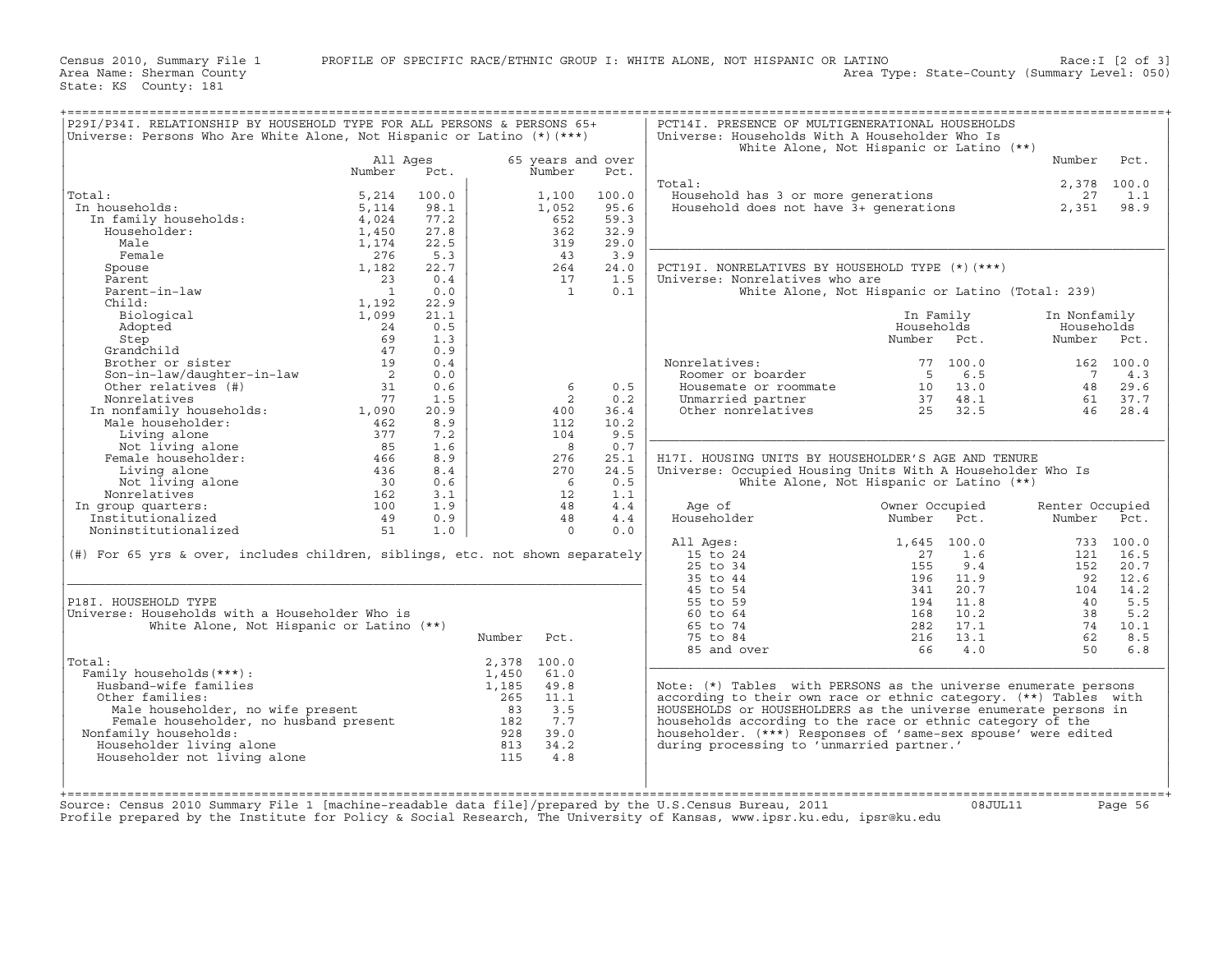Census 2010, Summary File 1 PROFILE OF SPECIFIC RACE/ETHNIC GROUP I: WHITE ALONE, NOT HISPANIC OR LATINO Race:I [2 of 3]<br>Area Name: Sherman County Level: 050) Area Type: State-County (Summary Level: 050) Area Type: State-County (Summary Level: 050)

| P29I/P34I. RELATIONSHIP BY HOUSEHOLD TYPE FOR ALL PERSONS & PERSONS 65+<br>Universe: Persons Who Are White Alone, Not Hispanic or Latino (*) (***)                                         |                                         |       |             |                   |       | PCT14I. PRESENCE OF MULTIGENERATIONAL HOUSEHOLDS<br>Universe: Households With A Householder Who Is<br>White Alone, Not Hispanic or Latino (**)                                                                                                                                                       |                |         |                 |           |
|--------------------------------------------------------------------------------------------------------------------------------------------------------------------------------------------|-----------------------------------------|-------|-------------|-------------------|-------|------------------------------------------------------------------------------------------------------------------------------------------------------------------------------------------------------------------------------------------------------------------------------------------------------|----------------|---------|-----------------|-----------|
|                                                                                                                                                                                            | All Ages                                |       |             | 65 years and over |       |                                                                                                                                                                                                                                                                                                      |                |         | Number          | Pct.      |
|                                                                                                                                                                                            | Number                                  | Pct.  |             | Number            | Pct.  |                                                                                                                                                                                                                                                                                                      |                |         |                 |           |
|                                                                                                                                                                                            |                                         |       |             |                   |       | Total:                                                                                                                                                                                                                                                                                               |                |         | 2,378 100.0     |           |
| Total:                                                                                                                                                                                     | 5,214                                   | 100.0 |             | 1,100             | 100.0 | Nousehold has 3 or more generations<br>Household does not have 3+ generations 27 1.1<br>2,351 98.9                                                                                                                                                                                                   |                |         |                 |           |
| In households:                                                                                                                                                                             | 5,114                                   | 98.1  |             | 1,052             | 95.6  |                                                                                                                                                                                                                                                                                                      |                |         |                 |           |
|                                                                                                                                                                                            | 4,024                                   | 77.2  |             | 652               | 59.3  |                                                                                                                                                                                                                                                                                                      |                |         |                 |           |
|                                                                                                                                                                                            | 1,450                                   | 27.8  |             | 362               | 32.9  |                                                                                                                                                                                                                                                                                                      |                |         |                 |           |
| Male                                                                                                                                                                                       | 1,174                                   | 22.5  |             | 319               | 29.0  |                                                                                                                                                                                                                                                                                                      |                |         |                 |           |
| Female                                                                                                                                                                                     | 276                                     | 5.3   |             | 43                | 3.9   |                                                                                                                                                                                                                                                                                                      |                |         |                 |           |
| Spouse                                                                                                                                                                                     | 1,182                                   | 22.7  |             | 264               | 24.0  | PCT19I. NONRELATIVES BY HOUSEHOLD TYPE (*) (***)                                                                                                                                                                                                                                                     |                |         |                 |           |
|                                                                                                                                                                                            | 23                                      | 0.4   |             | 17                | 1.5   | Universe: Nonrelatives who are                                                                                                                                                                                                                                                                       |                |         |                 |           |
|                                                                                                                                                                                            | $\overline{1}$                          | 0.0   |             | $\overline{1}$    | 0.1   | White Alone, Not Hispanic or Latino (Total: 239)                                                                                                                                                                                                                                                     |                |         |                 |           |
|                                                                                                                                                                                            | 1,192                                   | 22.9  |             |                   |       |                                                                                                                                                                                                                                                                                                      |                |         |                 |           |
|                                                                                                                                                                                            | 1,099                                   | 21.1  |             |                   |       |                                                                                                                                                                                                                                                                                                      |                |         | In Nonfamily    |           |
|                                                                                                                                                                                            |                                         |       |             |                   |       |                                                                                                                                                                                                                                                                                                      | In Family      |         |                 |           |
|                                                                                                                                                                                            | $\begin{array}{r} 24 \\ 69 \end{array}$ | 0.5   |             |                   |       |                                                                                                                                                                                                                                                                                                      | Households     |         | Households      |           |
|                                                                                                                                                                                            | 47                                      | 1.3   |             |                   |       |                                                                                                                                                                                                                                                                                                      | Number Pct.    |         | Number Pct.     |           |
| spouse<br>Parent<br>Parent-in-law<br>Child:<br>Biological<br>Adopted<br>Step<br>Grandchild<br>Brother or sister<br>Son-in-law/daughter-in-law<br>Other relatives (#)<br>Oner relatives (#) |                                         | 0.9   |             |                   |       |                                                                                                                                                                                                                                                                                                      |                |         |                 |           |
|                                                                                                                                                                                            | 19                                      | 0.4   |             |                   |       | Nonrelatives:<br>Roomer or boarder<br>onrelatives: 77 100.0<br>Roomer or boarder 5 6.5<br>Housemate or roommate 10 13.0<br>Unmarried partner 37 48.1<br>Other nonrelatives 25 32.5                                                                                                                   |                |         | 162 100.0       |           |
|                                                                                                                                                                                            | $\begin{array}{c} 2 \\ 31 \end{array}$  | 0.0   |             |                   |       |                                                                                                                                                                                                                                                                                                      |                |         |                 | 7 4.3     |
|                                                                                                                                                                                            |                                         | 0.6   |             | 6                 | 0.5   |                                                                                                                                                                                                                                                                                                      |                |         |                 | 48 29.6   |
|                                                                                                                                                                                            |                                         | 1.5   |             | $\overline{2}$    | 0.2   |                                                                                                                                                                                                                                                                                                      |                |         | 61 37.7         |           |
|                                                                                                                                                                                            |                                         | 20.9  |             | 400               | 36.4  |                                                                                                                                                                                                                                                                                                      |                |         |                 | 46 28.4   |
|                                                                                                                                                                                            |                                         | 8.9   |             | 112               | 10.2  |                                                                                                                                                                                                                                                                                                      |                |         |                 |           |
|                                                                                                                                                                                            |                                         | 7.2   |             | 104               | 9.5   |                                                                                                                                                                                                                                                                                                      |                |         |                 |           |
|                                                                                                                                                                                            |                                         | 1.6   |             | $_{\rm 8}$        | 0.7   |                                                                                                                                                                                                                                                                                                      |                |         |                 |           |
|                                                                                                                                                                                            |                                         | 8.9   |             | 276               | 25.1  | H17I. HOUSING UNITS BY HOUSEHOLDER'S AGE AND TENURE                                                                                                                                                                                                                                                  |                |         |                 |           |
|                                                                                                                                                                                            |                                         | 8.4   |             | 270               | 24.5  | Universe: Occupied Housing Units With A Householder Who Is                                                                                                                                                                                                                                           |                |         |                 |           |
|                                                                                                                                                                                            |                                         | 0.6   |             | 6                 | 0.5   | White Alone, Not Hispanic or Latino (**)                                                                                                                                                                                                                                                             |                |         |                 |           |
|                                                                                                                                                                                            |                                         | 3.1   |             | 12                | 1.1   |                                                                                                                                                                                                                                                                                                      |                |         |                 |           |
| In group quarters:                                                                                                                                                                         |                                         | 1.9   |             | 48                | 4.4   | Age of                                                                                                                                                                                                                                                                                               | Owner Occupied |         | Renter Occupied |           |
|                                                                                                                                                                                            |                                         | 0.9   |             | 48                | 4.4   | Householder                                                                                                                                                                                                                                                                                          | Number Pct.    |         | Number Pct.     |           |
|                                                                                                                                                                                            |                                         | 1.0   |             | $\overline{0}$    | 0.0   |                                                                                                                                                                                                                                                                                                      |                |         |                 |           |
|                                                                                                                                                                                            |                                         |       |             |                   |       | All Ages:                                                                                                                                                                                                                                                                                            | 1,645 100.0    |         |                 | 733 100.0 |
| (#) For 65 yrs & over, includes children, siblings, etc. not shown separately                                                                                                              |                                         |       |             |                   |       | 15 to 24                                                                                                                                                                                                                                                                                             | 27             | 1.6     |                 | 121 16.5  |
|                                                                                                                                                                                            |                                         |       |             |                   |       |                                                                                                                                                                                                                                                                                                      |                |         | 152             | 20.7      |
|                                                                                                                                                                                            |                                         |       |             |                   |       |                                                                                                                                                                                                                                                                                                      |                |         |                 | 92 12.6   |
|                                                                                                                                                                                            |                                         |       |             |                   |       |                                                                                                                                                                                                                                                                                                      |                |         | 104             | 14.2      |
| P18I. HOUSEHOLD TYPE                                                                                                                                                                       |                                         |       |             |                   |       | 15 to 24<br>25 to 34<br>35 to 44<br>35 to 54<br>45 to 54<br>55 to 59<br>194<br>11.8<br>60 to 64<br>194<br>11.8<br>65 to 74<br>282<br>17.1<br>75 to 84<br>282<br>17.1<br>75 to 84<br>282<br>17.1<br>281<br>281<br>281<br>28<br>17.1<br>28<br>17.1<br>28<br>28<br>28<br>28<br>28<br>28<br>28<br>28<br> |                |         | 40              | 5.5       |
| Universe: Households with a Householder Who is                                                                                                                                             |                                         |       |             |                   |       |                                                                                                                                                                                                                                                                                                      |                |         | 38              | 5.2       |
| White Alone, Not Hispanic or Latino (**)                                                                                                                                                   |                                         |       |             |                   |       |                                                                                                                                                                                                                                                                                                      |                |         |                 | 74 10.1   |
|                                                                                                                                                                                            |                                         |       | Number Pct. |                   |       |                                                                                                                                                                                                                                                                                                      |                |         | 62              | 8.5       |
|                                                                                                                                                                                            |                                         |       |             |                   |       | 85 and over                                                                                                                                                                                                                                                                                          | $216$ $13.1$   | 66 4.0  | 50              | 6.8       |
| Total:                                                                                                                                                                                     |                                         |       | 2,378 100.0 |                   |       |                                                                                                                                                                                                                                                                                                      |                |         |                 |           |
| Family households (***) :                                                                                                                                                                  |                                         |       | 1,450       | 61.0              |       |                                                                                                                                                                                                                                                                                                      |                |         |                 |           |
| Husband-wife families                                                                                                                                                                      |                                         |       | 1,185       | 49.8              |       | Note: $(*)$ Tables with PERSONS as the universe enumerate persons                                                                                                                                                                                                                                    |                |         |                 |           |
| Other families:                                                                                                                                                                            |                                         |       |             |                   |       | according to their own race or ethnic category. (**) Tables with                                                                                                                                                                                                                                     |                |         |                 |           |
|                                                                                                                                                                                            |                                         |       |             |                   |       | HOUSEHOLDS or HOUSEHOLDERS as the universe enumerate persons in                                                                                                                                                                                                                                      |                |         |                 |           |
|                                                                                                                                                                                            |                                         |       |             |                   |       | households according to the race or ethnic category of the                                                                                                                                                                                                                                           |                |         |                 |           |
| Nonfamily households:                                                                                                                                                                      |                                         |       |             |                   |       | householder. (***) Responses of 'same-sex spouse' were edited                                                                                                                                                                                                                                        |                |         |                 |           |
| Householder living alone                                                                                                                                                                   |                                         |       |             |                   |       | during processing to 'unmarried partner.'                                                                                                                                                                                                                                                            |                |         |                 |           |
| Householder not living alone                                                                                                                                                               |                                         |       |             |                   |       |                                                                                                                                                                                                                                                                                                      |                |         |                 |           |
|                                                                                                                                                                                            |                                         |       |             |                   |       |                                                                                                                                                                                                                                                                                                      |                |         |                 |           |
|                                                                                                                                                                                            |                                         |       |             |                   |       |                                                                                                                                                                                                                                                                                                      |                |         |                 |           |
|                                                                                                                                                                                            |                                         |       |             |                   |       |                                                                                                                                                                                                                                                                                                      |                |         |                 |           |
| Source: Census 2010 Summary File 1 [machine-readable data file]/prepared by the U.S.Census Bureau, 2011                                                                                    |                                         |       |             |                   |       |                                                                                                                                                                                                                                                                                                      |                | 08JUL11 |                 | Page 56   |
|                                                                                                                                                                                            |                                         |       |             |                   |       | Profile prepared by the Institute for Policy & Social Research, The University of Kansas, www.ipsr.ku.edu, ipsr@ku.edu                                                                                                                                                                               |                |         |                 |           |